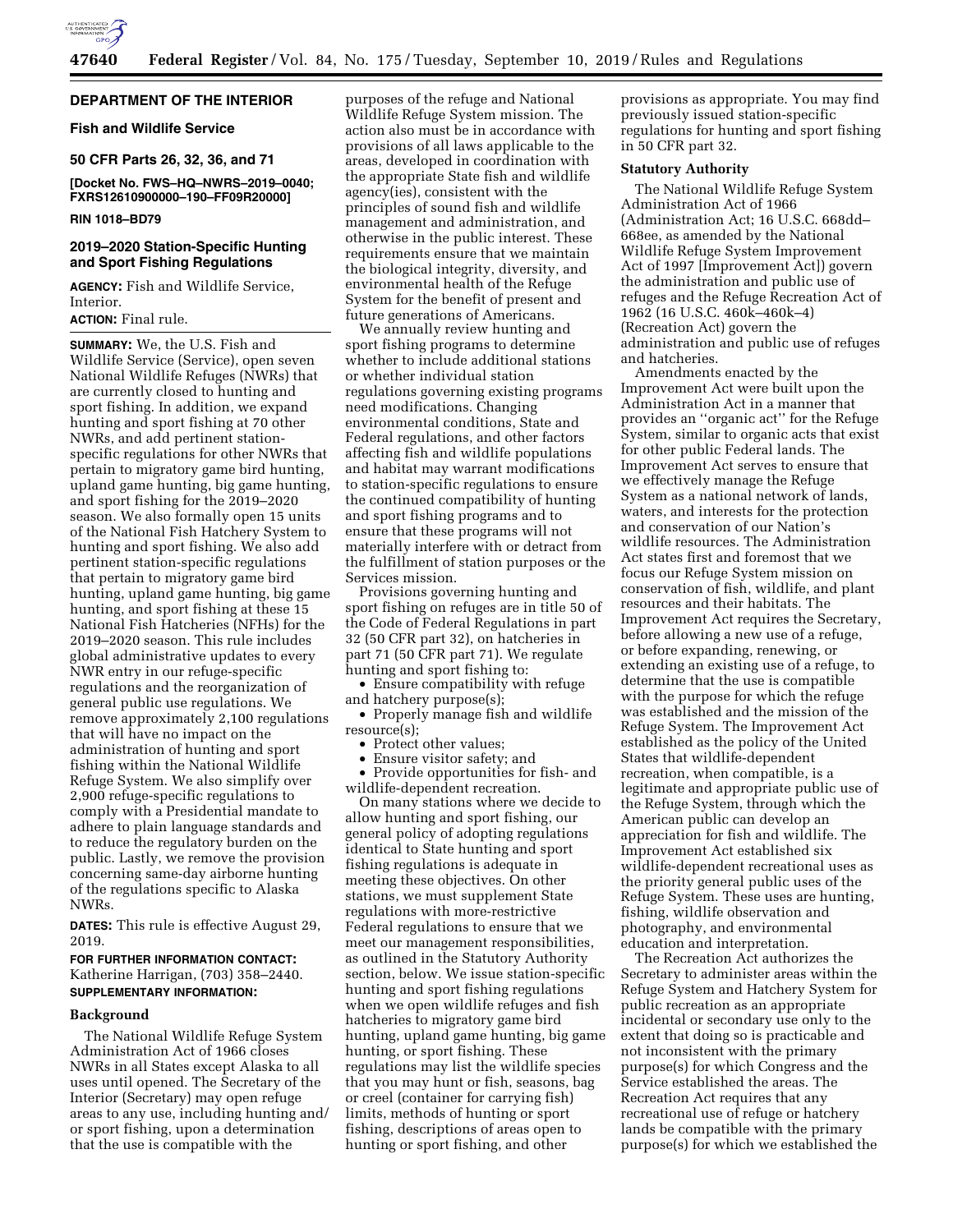

# **DEPARTMENT OF THE INTERIOR**

## **Fish and Wildlife Service**

# **50 CFR Parts 26, 32, 36, and 71**

# **[Docket No. FWS–HQ–NWRS–2019–0040; FXRS12610900000–190–FF09R20000]**

# **RIN 1018–BD79**

# **2019–2020 Station-Specific Hunting and Sport Fishing Regulations**

**AGENCY:** Fish and Wildlife Service, Interior.

## **ACTION:** Final rule.

**SUMMARY:** We, the U.S. Fish and Wildlife Service (Service), open seven National Wildlife Refuges (NWRs) that are currently closed to hunting and sport fishing. In addition, we expand hunting and sport fishing at 70 other NWRs, and add pertinent stationspecific regulations for other NWRs that pertain to migratory game bird hunting, upland game hunting, big game hunting, and sport fishing for the 2019–2020 season. We also formally open 15 units of the National Fish Hatchery System to hunting and sport fishing. We also add pertinent station-specific regulations that pertain to migratory game bird hunting, upland game hunting, big game hunting, and sport fishing at these 15 National Fish Hatcheries (NFHs) for the 2019–2020 season. This rule includes global administrative updates to every NWR entry in our refuge-specific regulations and the reorganization of general public use regulations. We remove approximately 2,100 regulations that will have no impact on the administration of hunting and sport fishing within the National Wildlife Refuge System. We also simplify over 2,900 refuge-specific regulations to comply with a Presidential mandate to adhere to plain language standards and to reduce the regulatory burden on the public. Lastly, we remove the provision concerning same-day airborne hunting of the regulations specific to Alaska NWRs.

**DATES:** This rule is effective August 29, 2019.

# **FOR FURTHER INFORMATION CONTACT:**  Katherine Harrigan, (703) 358–2440. **SUPPLEMENTARY INFORMATION:**

# **Background**

The National Wildlife Refuge System Administration Act of 1966 closes NWRs in all States except Alaska to all uses until opened. The Secretary of the Interior (Secretary) may open refuge areas to any use, including hunting and/ or sport fishing, upon a determination that the use is compatible with the

purposes of the refuge and National Wildlife Refuge System mission. The action also must be in accordance with provisions of all laws applicable to the areas, developed in coordination with the appropriate State fish and wildlife agency(ies), consistent with the principles of sound fish and wildlife management and administration, and otherwise in the public interest. These requirements ensure that we maintain the biological integrity, diversity, and environmental health of the Refuge System for the benefit of present and future generations of Americans.

We annually review hunting and sport fishing programs to determine whether to include additional stations or whether individual station regulations governing existing programs need modifications. Changing environmental conditions, State and Federal regulations, and other factors affecting fish and wildlife populations and habitat may warrant modifications to station-specific regulations to ensure the continued compatibility of hunting and sport fishing programs and to ensure that these programs will not materially interfere with or detract from the fulfillment of station purposes or the Services mission.

Provisions governing hunting and sport fishing on refuges are in title 50 of the Code of Federal Regulations in part 32 (50 CFR part 32), on hatcheries in part 71 (50 CFR part 71). We regulate hunting and sport fishing to:

• Ensure compatibility with refuge and hatchery purpose(s);

• Properly manage fish and wildlife resource(s);

• Protect other values;

• Ensure visitor safety; and

• Provide opportunities for fish- and wildlife-dependent recreation.

On many stations where we decide to allow hunting and sport fishing, our general policy of adopting regulations identical to State hunting and sport fishing regulations is adequate in meeting these objectives. On other stations, we must supplement State regulations with more-restrictive Federal regulations to ensure that we meet our management responsibilities, as outlined in the Statutory Authority section, below. We issue station-specific hunting and sport fishing regulations when we open wildlife refuges and fish hatcheries to migratory game bird hunting, upland game hunting, big game hunting, or sport fishing. These regulations may list the wildlife species that you may hunt or fish, seasons, bag or creel (container for carrying fish) limits, methods of hunting or sport fishing, descriptions of areas open to hunting or sport fishing, and other

provisions as appropriate. You may find previously issued station-specific regulations for hunting and sport fishing in 50 CFR part 32.

# **Statutory Authority**

The National Wildlife Refuge System Administration Act of 1966 (Administration Act; 16 U.S.C. 668dd– 668ee, as amended by the National Wildlife Refuge System Improvement Act of 1997 [Improvement Act]) govern the administration and public use of refuges and the Refuge Recreation Act of 1962 (16 U.S.C. 460k–460k–4) (Recreation Act) govern the administration and public use of refuges and hatcheries.

Amendments enacted by the Improvement Act were built upon the Administration Act in a manner that provides an ''organic act'' for the Refuge System, similar to organic acts that exist for other public Federal lands. The Improvement Act serves to ensure that we effectively manage the Refuge System as a national network of lands, waters, and interests for the protection and conservation of our Nation's wildlife resources. The Administration Act states first and foremost that we focus our Refuge System mission on conservation of fish, wildlife, and plant resources and their habitats. The Improvement Act requires the Secretary, before allowing a new use of a refuge, or before expanding, renewing, or extending an existing use of a refuge, to determine that the use is compatible with the purpose for which the refuge was established and the mission of the Refuge System. The Improvement Act established as the policy of the United States that wildlife-dependent recreation, when compatible, is a legitimate and appropriate public use of the Refuge System, through which the American public can develop an appreciation for fish and wildlife. The Improvement Act established six wildlife-dependent recreational uses as the priority general public uses of the Refuge System. These uses are hunting, fishing, wildlife observation and photography, and environmental education and interpretation.

The Recreation Act authorizes the Secretary to administer areas within the Refuge System and Hatchery System for public recreation as an appropriate incidental or secondary use only to the extent that doing so is practicable and not inconsistent with the primary purpose(s) for which Congress and the Service established the areas. The Recreation Act requires that any recreational use of refuge or hatchery lands be compatible with the primary purpose(s) for which we established the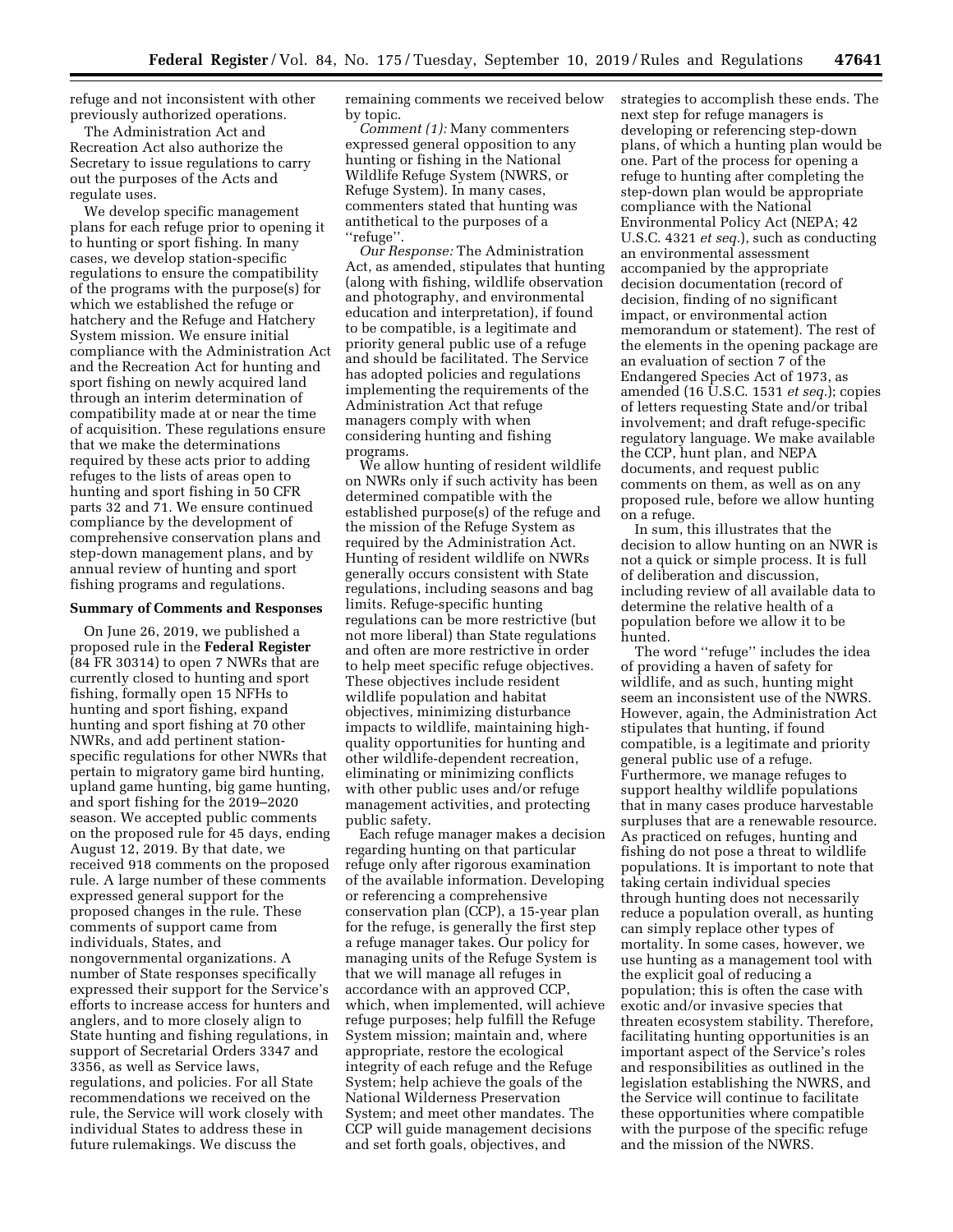refuge and not inconsistent with other previously authorized operations.

The Administration Act and Recreation Act also authorize the Secretary to issue regulations to carry out the purposes of the Acts and regulate uses.

We develop specific management plans for each refuge prior to opening it to hunting or sport fishing. In many cases, we develop station-specific regulations to ensure the compatibility of the programs with the purpose(s) for which we established the refuge or hatchery and the Refuge and Hatchery System mission. We ensure initial compliance with the Administration Act and the Recreation Act for hunting and sport fishing on newly acquired land through an interim determination of compatibility made at or near the time of acquisition. These regulations ensure that we make the determinations required by these acts prior to adding refuges to the lists of areas open to hunting and sport fishing in 50 CFR parts 32 and 71. We ensure continued compliance by the development of comprehensive conservation plans and step-down management plans, and by annual review of hunting and sport fishing programs and regulations.

### **Summary of Comments and Responses**

On June 26, 2019, we published a proposed rule in the **Federal Register**  (84 FR 30314) to open 7 NWRs that are currently closed to hunting and sport fishing, formally open 15 NFHs to hunting and sport fishing, expand hunting and sport fishing at 70 other NWRs, and add pertinent stationspecific regulations for other NWRs that pertain to migratory game bird hunting, upland game hunting, big game hunting, and sport fishing for the 2019–2020 season. We accepted public comments on the proposed rule for 45 days, ending August 12, 2019. By that date, we received 918 comments on the proposed rule. A large number of these comments expressed general support for the proposed changes in the rule. These comments of support came from individuals, States, and nongovernmental organizations. A number of State responses specifically expressed their support for the Service's efforts to increase access for hunters and anglers, and to more closely align to State hunting and fishing regulations, in support of Secretarial Orders 3347 and 3356, as well as Service laws, regulations, and policies. For all State recommendations we received on the rule, the Service will work closely with individual States to address these in future rulemakings. We discuss the

remaining comments we received below by topic.

*Comment (1):* Many commenters expressed general opposition to any hunting or fishing in the National Wildlife Refuge System (NWRS, or Refuge System). In many cases, commenters stated that hunting was antithetical to the purposes of a ''refuge''.

*Our Response:* The Administration Act, as amended, stipulates that hunting (along with fishing, wildlife observation and photography, and environmental education and interpretation), if found to be compatible, is a legitimate and priority general public use of a refuge and should be facilitated. The Service has adopted policies and regulations implementing the requirements of the Administration Act that refuge managers comply with when considering hunting and fishing programs.

We allow hunting of resident wildlife on NWRs only if such activity has been determined compatible with the established purpose(s) of the refuge and the mission of the Refuge System as required by the Administration Act. Hunting of resident wildlife on NWRs generally occurs consistent with State regulations, including seasons and bag limits. Refuge-specific hunting regulations can be more restrictive (but not more liberal) than State regulations and often are more restrictive in order to help meet specific refuge objectives. These objectives include resident wildlife population and habitat objectives, minimizing disturbance impacts to wildlife, maintaining highquality opportunities for hunting and other wildlife-dependent recreation, eliminating or minimizing conflicts with other public uses and/or refuge management activities, and protecting public safety.

Each refuge manager makes a decision regarding hunting on that particular refuge only after rigorous examination of the available information. Developing or referencing a comprehensive conservation plan (CCP), a 15-year plan for the refuge, is generally the first step a refuge manager takes. Our policy for managing units of the Refuge System is that we will manage all refuges in accordance with an approved CCP, which, when implemented, will achieve refuge purposes; help fulfill the Refuge System mission; maintain and, where appropriate, restore the ecological integrity of each refuge and the Refuge System; help achieve the goals of the National Wilderness Preservation System; and meet other mandates. The CCP will guide management decisions and set forth goals, objectives, and

strategies to accomplish these ends. The next step for refuge managers is developing or referencing step-down plans, of which a hunting plan would be one. Part of the process for opening a refuge to hunting after completing the step-down plan would be appropriate compliance with the National Environmental Policy Act (NEPA; 42 U.S.C. 4321 *et seq.*), such as conducting an environmental assessment accompanied by the appropriate decision documentation (record of decision, finding of no significant impact, or environmental action memorandum or statement). The rest of the elements in the opening package are an evaluation of section 7 of the Endangered Species Act of 1973, as amended (16 U.S.C. 1531 *et seq.*); copies of letters requesting State and/or tribal involvement; and draft refuge-specific regulatory language. We make available the CCP, hunt plan, and NEPA documents, and request public comments on them, as well as on any proposed rule, before we allow hunting on a refuge.

In sum, this illustrates that the decision to allow hunting on an NWR is not a quick or simple process. It is full of deliberation and discussion, including review of all available data to determine the relative health of a population before we allow it to be hunted.

The word ''refuge'' includes the idea of providing a haven of safety for wildlife, and as such, hunting might seem an inconsistent use of the NWRS. However, again, the Administration Act stipulates that hunting, if found compatible, is a legitimate and priority general public use of a refuge. Furthermore, we manage refuges to support healthy wildlife populations that in many cases produce harvestable surpluses that are a renewable resource. As practiced on refuges, hunting and fishing do not pose a threat to wildlife populations. It is important to note that taking certain individual species through hunting does not necessarily reduce a population overall, as hunting can simply replace other types of mortality. In some cases, however, we use hunting as a management tool with the explicit goal of reducing a population; this is often the case with exotic and/or invasive species that threaten ecosystem stability. Therefore, facilitating hunting opportunities is an important aspect of the Service's roles and responsibilities as outlined in the legislation establishing the NWRS, and the Service will continue to facilitate these opportunities where compatible with the purpose of the specific refuge and the mission of the NWRS.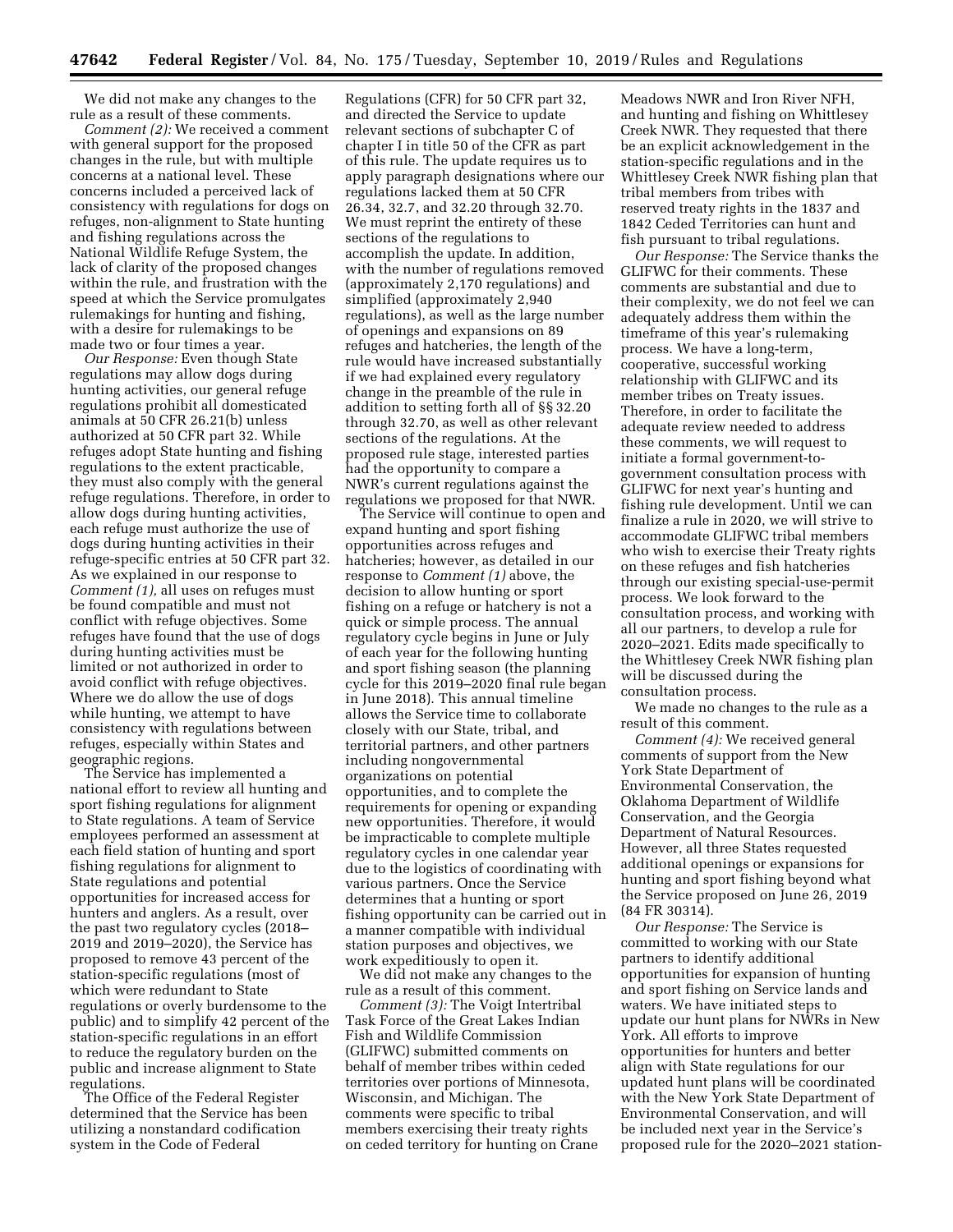We did not make any changes to the rule as a result of these comments.

*Comment (2):* We received a comment with general support for the proposed changes in the rule, but with multiple concerns at a national level. These concerns included a perceived lack of consistency with regulations for dogs on refuges, non-alignment to State hunting and fishing regulations across the National Wildlife Refuge System, the lack of clarity of the proposed changes within the rule, and frustration with the speed at which the Service promulgates rulemakings for hunting and fishing, with a desire for rulemakings to be made two or four times a year.

*Our Response:* Even though State regulations may allow dogs during hunting activities, our general refuge regulations prohibit all domesticated animals at 50 CFR 26.21(b) unless authorized at 50 CFR part 32. While refuges adopt State hunting and fishing regulations to the extent practicable, they must also comply with the general refuge regulations. Therefore, in order to allow dogs during hunting activities, each refuge must authorize the use of dogs during hunting activities in their refuge-specific entries at 50 CFR part 32. As we explained in our response to *Comment (1),* all uses on refuges must be found compatible and must not conflict with refuge objectives. Some refuges have found that the use of dogs during hunting activities must be limited or not authorized in order to avoid conflict with refuge objectives. Where we do allow the use of dogs while hunting, we attempt to have consistency with regulations between refuges, especially within States and geographic regions.

The Service has implemented a national effort to review all hunting and sport fishing regulations for alignment to State regulations. A team of Service employees performed an assessment at each field station of hunting and sport fishing regulations for alignment to State regulations and potential opportunities for increased access for hunters and anglers. As a result, over the past two regulatory cycles (2018– 2019 and 2019–2020), the Service has proposed to remove 43 percent of the station-specific regulations (most of which were redundant to State regulations or overly burdensome to the public) and to simplify 42 percent of the station-specific regulations in an effort to reduce the regulatory burden on the public and increase alignment to State regulations.

The Office of the Federal Register determined that the Service has been utilizing a nonstandard codification system in the Code of Federal

Regulations (CFR) for 50 CFR part 32, and directed the Service to update relevant sections of subchapter C of chapter I in title 50 of the CFR as part of this rule. The update requires us to apply paragraph designations where our regulations lacked them at 50 CFR 26.34, 32.7, and 32.20 through 32.70. We must reprint the entirety of these sections of the regulations to accomplish the update. In addition, with the number of regulations removed (approximately 2,170 regulations) and simplified (approximately 2,940 regulations), as well as the large number of openings and expansions on 89 refuges and hatcheries, the length of the rule would have increased substantially if we had explained every regulatory change in the preamble of the rule in addition to setting forth all of §§ 32.20 through 32.70, as well as other relevant sections of the regulations. At the proposed rule stage, interested parties had the opportunity to compare a NWR's current regulations against the regulations we proposed for that NWR.

The Service will continue to open and expand hunting and sport fishing opportunities across refuges and hatcheries; however, as detailed in our response to *Comment (1)* above, the decision to allow hunting or sport fishing on a refuge or hatchery is not a quick or simple process. The annual regulatory cycle begins in June or July of each year for the following hunting and sport fishing season (the planning cycle for this 2019–2020 final rule began in June 2018). This annual timeline allows the Service time to collaborate closely with our State, tribal, and territorial partners, and other partners including nongovernmental organizations on potential opportunities, and to complete the requirements for opening or expanding new opportunities. Therefore, it would be impracticable to complete multiple regulatory cycles in one calendar year due to the logistics of coordinating with various partners. Once the Service determines that a hunting or sport fishing opportunity can be carried out in a manner compatible with individual station purposes and objectives, we work expeditiously to open it.

We did not make any changes to the rule as a result of this comment.

*Comment (3):* The Voigt Intertribal Task Force of the Great Lakes Indian Fish and Wildlife Commission (GLIFWC) submitted comments on behalf of member tribes within ceded territories over portions of Minnesota, Wisconsin, and Michigan. The comments were specific to tribal members exercising their treaty rights on ceded territory for hunting on Crane Meadows NWR and Iron River NFH, and hunting and fishing on Whittlesey Creek NWR. They requested that there be an explicit acknowledgement in the station-specific regulations and in the Whittlesey Creek NWR fishing plan that tribal members from tribes with reserved treaty rights in the 1837 and 1842 Ceded Territories can hunt and fish pursuant to tribal regulations.

*Our Response:* The Service thanks the GLIFWC for their comments. These comments are substantial and due to their complexity, we do not feel we can adequately address them within the timeframe of this year's rulemaking process. We have a long-term, cooperative, successful working relationship with GLIFWC and its member tribes on Treaty issues. Therefore, in order to facilitate the adequate review needed to address these comments, we will request to initiate a formal government-togovernment consultation process with GLIFWC for next year's hunting and fishing rule development. Until we can finalize a rule in 2020, we will strive to accommodate GLIFWC tribal members who wish to exercise their Treaty rights on these refuges and fish hatcheries through our existing special-use-permit process. We look forward to the consultation process, and working with all our partners, to develop a rule for 2020–2021. Edits made specifically to the Whittlesey Creek NWR fishing plan will be discussed during the consultation process.

We made no changes to the rule as a result of this comment.

*Comment (4):* We received general comments of support from the New York State Department of Environmental Conservation, the Oklahoma Department of Wildlife Conservation, and the Georgia Department of Natural Resources. However, all three States requested additional openings or expansions for hunting and sport fishing beyond what the Service proposed on June 26, 2019 (84 FR 30314).

*Our Response:* The Service is committed to working with our State partners to identify additional opportunities for expansion of hunting and sport fishing on Service lands and waters. We have initiated steps to update our hunt plans for NWRs in New York. All efforts to improve opportunities for hunters and better align with State regulations for our updated hunt plans will be coordinated with the New York State Department of Environmental Conservation, and will be included next year in the Service's proposed rule for the 2020–2021 station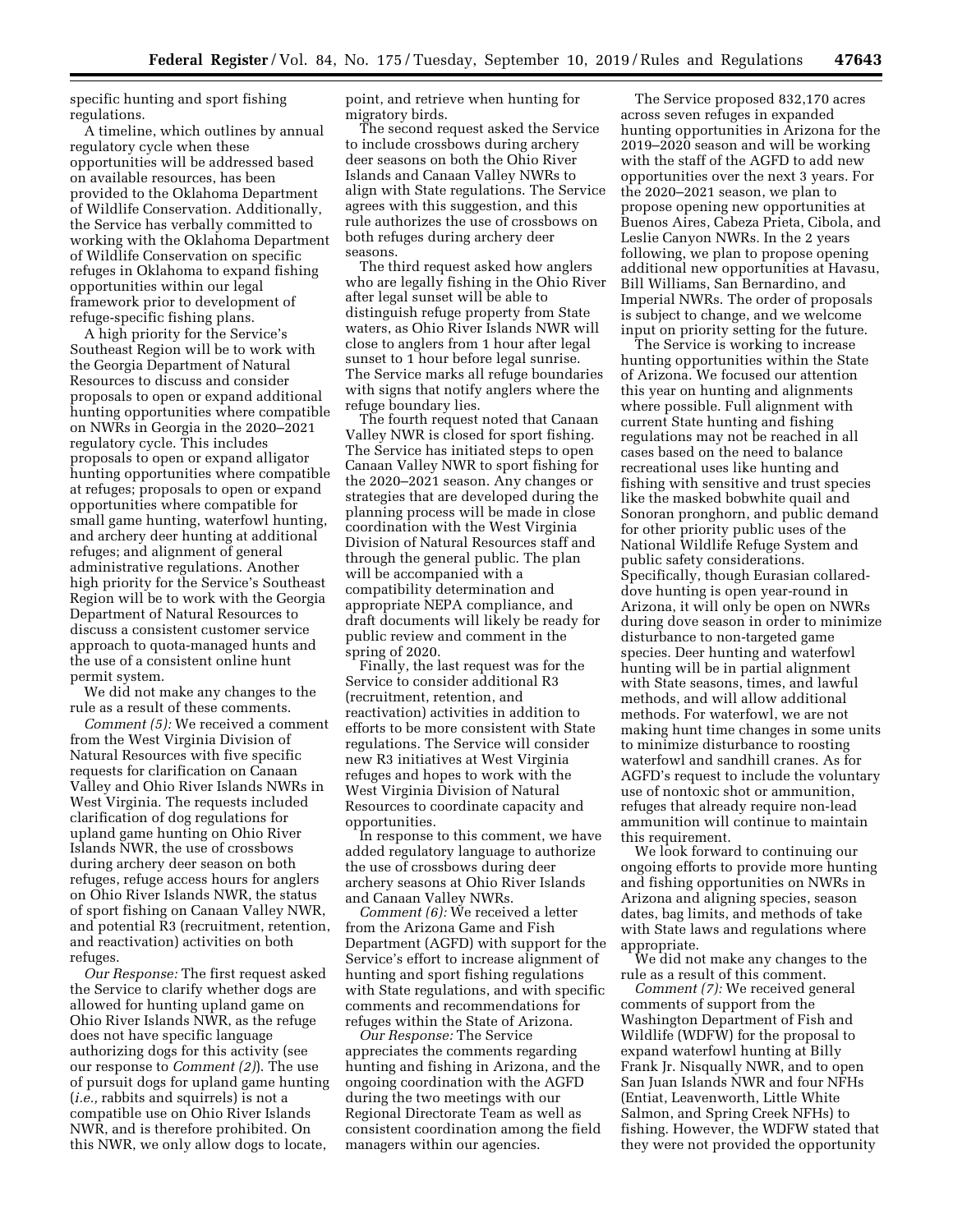specific hunting and sport fishing regulations.

A timeline, which outlines by annual regulatory cycle when these opportunities will be addressed based on available resources, has been provided to the Oklahoma Department of Wildlife Conservation. Additionally, the Service has verbally committed to working with the Oklahoma Department of Wildlife Conservation on specific refuges in Oklahoma to expand fishing opportunities within our legal framework prior to development of refuge-specific fishing plans.

A high priority for the Service's Southeast Region will be to work with the Georgia Department of Natural Resources to discuss and consider proposals to open or expand additional hunting opportunities where compatible on NWRs in Georgia in the 2020–2021 regulatory cycle. This includes proposals to open or expand alligator hunting opportunities where compatible at refuges; proposals to open or expand opportunities where compatible for small game hunting, waterfowl hunting, and archery deer hunting at additional refuges; and alignment of general administrative regulations. Another high priority for the Service's Southeast Region will be to work with the Georgia Department of Natural Resources to discuss a consistent customer service approach to quota-managed hunts and the use of a consistent online hunt permit system.

We did not make any changes to the rule as a result of these comments.

*Comment (5):* We received a comment from the West Virginia Division of Natural Resources with five specific requests for clarification on Canaan Valley and Ohio River Islands NWRs in West Virginia. The requests included clarification of dog regulations for upland game hunting on Ohio River Islands NWR, the use of crossbows during archery deer season on both refuges, refuge access hours for anglers on Ohio River Islands NWR, the status of sport fishing on Canaan Valley NWR, and potential R3 (recruitment, retention, and reactivation) activities on both refuges.

*Our Response:* The first request asked the Service to clarify whether dogs are allowed for hunting upland game on Ohio River Islands NWR, as the refuge does not have specific language authorizing dogs for this activity (see our response to *Comment (2)*). The use of pursuit dogs for upland game hunting (*i.e.,* rabbits and squirrels) is not a compatible use on Ohio River Islands NWR, and is therefore prohibited. On this NWR, we only allow dogs to locate,

point, and retrieve when hunting for migratory birds.

The second request asked the Service to include crossbows during archery deer seasons on both the Ohio River Islands and Canaan Valley NWRs to align with State regulations. The Service agrees with this suggestion, and this rule authorizes the use of crossbows on both refuges during archery deer seasons.

The third request asked how anglers who are legally fishing in the Ohio River after legal sunset will be able to distinguish refuge property from State waters, as Ohio River Islands NWR will close to anglers from 1 hour after legal sunset to 1 hour before legal sunrise. The Service marks all refuge boundaries with signs that notify anglers where the refuge boundary lies.

The fourth request noted that Canaan Valley NWR is closed for sport fishing. The Service has initiated steps to open Canaan Valley NWR to sport fishing for the 2020–2021 season. Any changes or strategies that are developed during the planning process will be made in close coordination with the West Virginia Division of Natural Resources staff and through the general public. The plan will be accompanied with a compatibility determination and appropriate NEPA compliance, and draft documents will likely be ready for public review and comment in the spring of 2020.

Finally, the last request was for the Service to consider additional R3 (recruitment, retention, and reactivation) activities in addition to efforts to be more consistent with State regulations. The Service will consider new R3 initiatives at West Virginia refuges and hopes to work with the West Virginia Division of Natural Resources to coordinate capacity and opportunities.

In response to this comment, we have added regulatory language to authorize the use of crossbows during deer archery seasons at Ohio River Islands and Canaan Valley NWRs.

*Comment (6):* We received a letter from the Arizona Game and Fish Department (AGFD) with support for the Service's effort to increase alignment of hunting and sport fishing regulations with State regulations, and with specific comments and recommendations for refuges within the State of Arizona.

*Our Response:* The Service appreciates the comments regarding hunting and fishing in Arizona, and the ongoing coordination with the AGFD during the two meetings with our Regional Directorate Team as well as consistent coordination among the field managers within our agencies.

The Service proposed 832,170 acres across seven refuges in expanded hunting opportunities in Arizona for the 2019–2020 season and will be working with the staff of the AGFD to add new opportunities over the next 3 years. For the 2020–2021 season, we plan to propose opening new opportunities at Buenos Aires, Cabeza Prieta, Cibola, and Leslie Canyon NWRs. In the 2 years following, we plan to propose opening additional new opportunities at Havasu, Bill Williams, San Bernardino, and Imperial NWRs. The order of proposals is subject to change, and we welcome input on priority setting for the future.

The Service is working to increase hunting opportunities within the State of Arizona. We focused our attention this year on hunting and alignments where possible. Full alignment with current State hunting and fishing regulations may not be reached in all cases based on the need to balance recreational uses like hunting and fishing with sensitive and trust species like the masked bobwhite quail and Sonoran pronghorn, and public demand for other priority public uses of the National Wildlife Refuge System and public safety considerations. Specifically, though Eurasian collareddove hunting is open year-round in Arizona, it will only be open on NWRs during dove season in order to minimize disturbance to non-targeted game species. Deer hunting and waterfowl hunting will be in partial alignment with State seasons, times, and lawful methods, and will allow additional methods. For waterfowl, we are not making hunt time changes in some units to minimize disturbance to roosting waterfowl and sandhill cranes. As for AGFD's request to include the voluntary use of nontoxic shot or ammunition, refuges that already require non-lead ammunition will continue to maintain this requirement.

We look forward to continuing our ongoing efforts to provide more hunting and fishing opportunities on NWRs in Arizona and aligning species, season dates, bag limits, and methods of take with State laws and regulations where appropriate.

We did not make any changes to the rule as a result of this comment.

*Comment (7):* We received general comments of support from the Washington Department of Fish and Wildlife (WDFW) for the proposal to expand waterfowl hunting at Billy Frank Jr. Nisqually NWR, and to open San Juan Islands NWR and four NFHs (Entiat, Leavenworth, Little White Salmon, and Spring Creek NFHs) to fishing. However, the WDFW stated that they were not provided the opportunity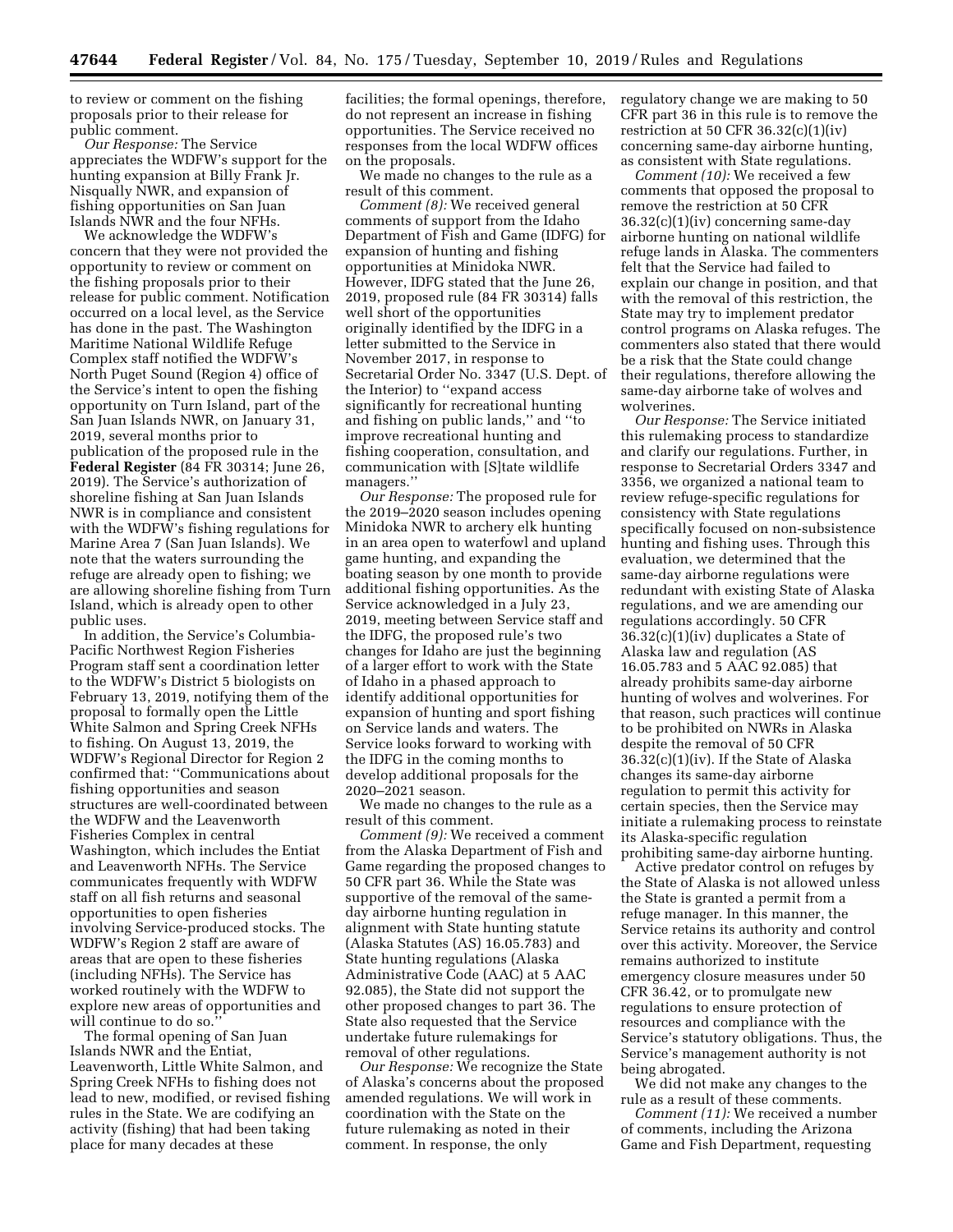to review or comment on the fishing proposals prior to their release for public comment.

*Our Response:* The Service appreciates the WDFW's support for the hunting expansion at Billy Frank Jr. Nisqually NWR, and expansion of fishing opportunities on San Juan Islands NWR and the four NFHs.

We acknowledge the WDFW's concern that they were not provided the opportunity to review or comment on the fishing proposals prior to their release for public comment. Notification occurred on a local level, as the Service has done in the past. The Washington Maritime National Wildlife Refuge Complex staff notified the WDFW's North Puget Sound (Region 4) office of the Service's intent to open the fishing opportunity on Turn Island, part of the San Juan Islands NWR, on January 31, 2019, several months prior to publication of the proposed rule in the **Federal Register** (84 FR 30314; June 26, 2019). The Service's authorization of shoreline fishing at San Juan Islands NWR is in compliance and consistent with the WDFW's fishing regulations for Marine Area 7 (San Juan Islands). We note that the waters surrounding the refuge are already open to fishing; we are allowing shoreline fishing from Turn Island, which is already open to other public uses.

In addition, the Service's Columbia-Pacific Northwest Region Fisheries Program staff sent a coordination letter to the WDFW's District 5 biologists on February 13, 2019, notifying them of the proposal to formally open the Little White Salmon and Spring Creek NFHs to fishing. On August 13, 2019, the WDFW's Regional Director for Region 2 confirmed that: ''Communications about fishing opportunities and season structures are well-coordinated between the WDFW and the Leavenworth Fisheries Complex in central Washington, which includes the Entiat and Leavenworth NFHs. The Service communicates frequently with WDFW staff on all fish returns and seasonal opportunities to open fisheries involving Service-produced stocks. The WDFW's Region 2 staff are aware of areas that are open to these fisheries (including NFHs). The Service has worked routinely with the WDFW to explore new areas of opportunities and will continue to do so.''

The formal opening of San Juan Islands NWR and the Entiat, Leavenworth, Little White Salmon, and Spring Creek NFHs to fishing does not lead to new, modified, or revised fishing rules in the State. We are codifying an activity (fishing) that had been taking place for many decades at these

facilities; the formal openings, therefore, do not represent an increase in fishing opportunities. The Service received no responses from the local WDFW offices on the proposals.

We made no changes to the rule as a result of this comment.

*Comment (8):* We received general comments of support from the Idaho Department of Fish and Game (IDFG) for expansion of hunting and fishing opportunities at Minidoka NWR. However, IDFG stated that the June 26, 2019, proposed rule (84 FR 30314) falls well short of the opportunities originally identified by the IDFG in a letter submitted to the Service in November 2017, in response to Secretarial Order No. 3347 (U.S. Dept. of the Interior) to ''expand access significantly for recreational hunting and fishing on public lands,'' and ''to improve recreational hunting and fishing cooperation, consultation, and communication with [S]tate wildlife managers.''

*Our Response:* The proposed rule for the 2019–2020 season includes opening Minidoka NWR to archery elk hunting in an area open to waterfowl and upland game hunting, and expanding the boating season by one month to provide additional fishing opportunities. As the Service acknowledged in a July 23, 2019, meeting between Service staff and the IDFG, the proposed rule's two changes for Idaho are just the beginning of a larger effort to work with the State of Idaho in a phased approach to identify additional opportunities for expansion of hunting and sport fishing on Service lands and waters. The Service looks forward to working with the IDFG in the coming months to develop additional proposals for the 2020–2021 season.

We made no changes to the rule as a result of this comment.

*Comment (9):* We received a comment from the Alaska Department of Fish and Game regarding the proposed changes to 50 CFR part 36. While the State was supportive of the removal of the sameday airborne hunting regulation in alignment with State hunting statute (Alaska Statutes (AS) 16.05.783) and State hunting regulations (Alaska Administrative Code (AAC) at 5 AAC 92.085), the State did not support the other proposed changes to part 36. The State also requested that the Service undertake future rulemakings for removal of other regulations.

*Our Response:* We recognize the State of Alaska's concerns about the proposed amended regulations. We will work in coordination with the State on the future rulemaking as noted in their comment. In response, the only

regulatory change we are making to 50 CFR part 36 in this rule is to remove the restriction at 50 CFR 36.32(c)(1)(iv) concerning same-day airborne hunting, as consistent with State regulations.

*Comment (10):* We received a few comments that opposed the proposal to remove the restriction at 50 CFR 36.32(c)(1)(iv) concerning same-day airborne hunting on national wildlife refuge lands in Alaska. The commenters felt that the Service had failed to explain our change in position, and that with the removal of this restriction, the State may try to implement predator control programs on Alaska refuges. The commenters also stated that there would be a risk that the State could change their regulations, therefore allowing the same-day airborne take of wolves and wolverines.

*Our Response:* The Service initiated this rulemaking process to standardize and clarify our regulations. Further, in response to Secretarial Orders 3347 and 3356, we organized a national team to review refuge-specific regulations for consistency with State regulations specifically focused on non-subsistence hunting and fishing uses. Through this evaluation, we determined that the same-day airborne regulations were redundant with existing State of Alaska regulations, and we are amending our regulations accordingly. 50 CFR 36.32(c)(1)(iv) duplicates a State of Alaska law and regulation (AS 16.05.783 and 5 AAC 92.085) that already prohibits same-day airborne hunting of wolves and wolverines. For that reason, such practices will continue to be prohibited on NWRs in Alaska despite the removal of 50 CFR 36.32(c)(1)(iv). If the State of Alaska changes its same-day airborne regulation to permit this activity for certain species, then the Service may initiate a rulemaking process to reinstate its Alaska-specific regulation prohibiting same-day airborne hunting.

Active predator control on refuges by the State of Alaska is not allowed unless the State is granted a permit from a refuge manager. In this manner, the Service retains its authority and control over this activity. Moreover, the Service remains authorized to institute emergency closure measures under 50 CFR 36.42, or to promulgate new regulations to ensure protection of resources and compliance with the Service's statutory obligations. Thus, the Service's management authority is not being abrogated.

We did not make any changes to the rule as a result of these comments.

*Comment (11):* We received a number of comments, including the Arizona Game and Fish Department, requesting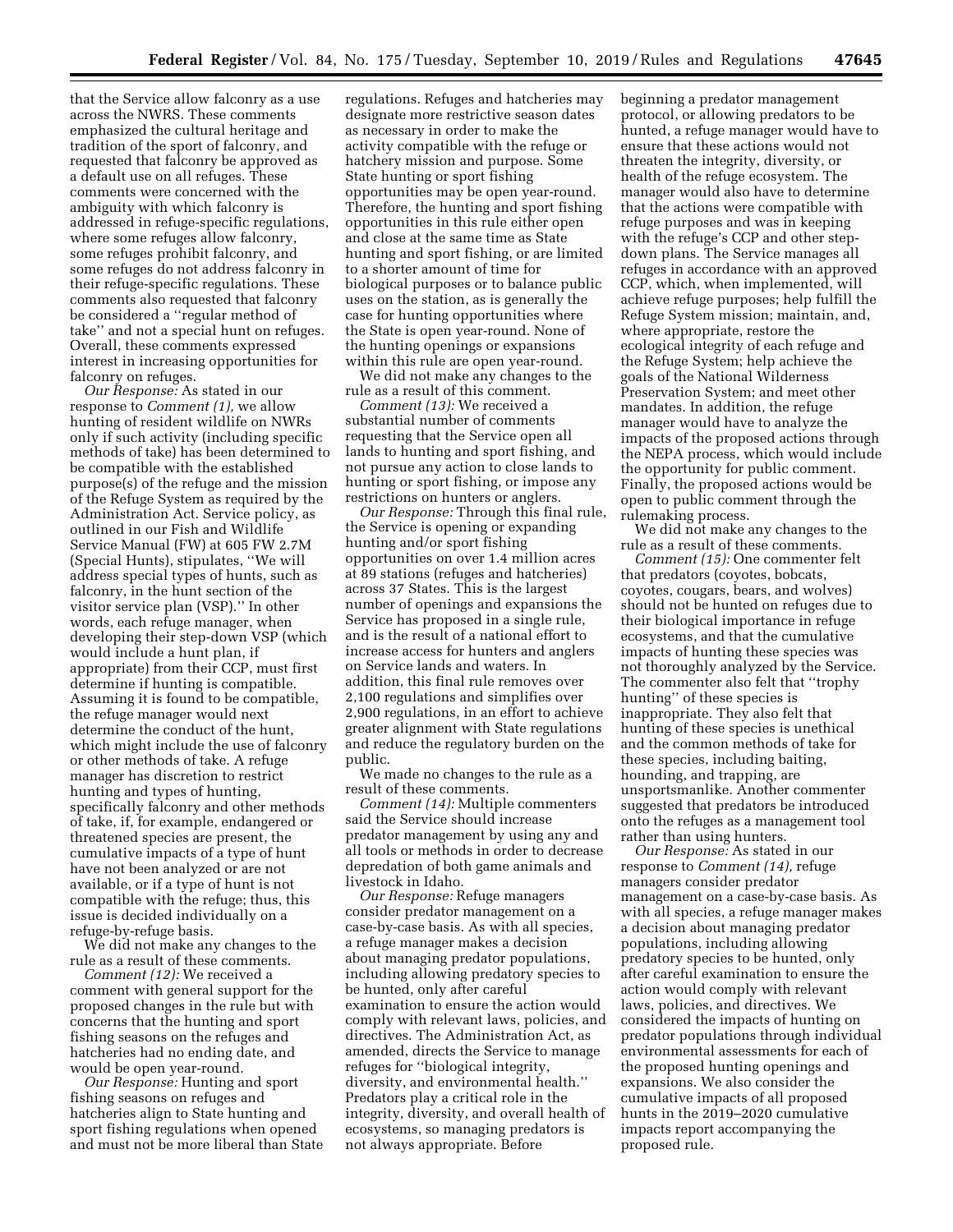that the Service allow falconry as a use across the NWRS. These comments emphasized the cultural heritage and tradition of the sport of falconry, and requested that falconry be approved as a default use on all refuges. These comments were concerned with the ambiguity with which falconry is addressed in refuge-specific regulations, where some refuges allow falconry, some refuges prohibit falconry, and some refuges do not address falconry in their refuge-specific regulations. These comments also requested that falconry be considered a ''regular method of take'' and not a special hunt on refuges. Overall, these comments expressed interest in increasing opportunities for falconry on refuges.

*Our Response:* As stated in our response to *Comment (1),* we allow hunting of resident wildlife on NWRs only if such activity (including specific methods of take) has been determined to be compatible with the established purpose(s) of the refuge and the mission of the Refuge System as required by the Administration Act. Service policy, as outlined in our Fish and Wildlife Service Manual (FW) at 605 FW 2.7M (Special Hunts), stipulates, ''We will address special types of hunts, such as falconry, in the hunt section of the visitor service plan (VSP).'' In other words, each refuge manager, when developing their step-down VSP (which would include a hunt plan, if appropriate) from their CCP, must first determine if hunting is compatible. Assuming it is found to be compatible, the refuge manager would next determine the conduct of the hunt, which might include the use of falconry or other methods of take. A refuge manager has discretion to restrict hunting and types of hunting, specifically falconry and other methods of take, if, for example, endangered or threatened species are present, the cumulative impacts of a type of hunt have not been analyzed or are not available, or if a type of hunt is not compatible with the refuge; thus, this issue is decided individually on a refuge-by-refuge basis.

We did not make any changes to the rule as a result of these comments.

*Comment (12):* We received a comment with general support for the proposed changes in the rule but with concerns that the hunting and sport fishing seasons on the refuges and hatcheries had no ending date, and would be open year-round.

*Our Response:* Hunting and sport fishing seasons on refuges and hatcheries align to State hunting and sport fishing regulations when opened and must not be more liberal than State regulations. Refuges and hatcheries may designate more restrictive season dates as necessary in order to make the activity compatible with the refuge or hatchery mission and purpose. Some State hunting or sport fishing opportunities may be open year-round. Therefore, the hunting and sport fishing opportunities in this rule either open and close at the same time as State hunting and sport fishing, or are limited to a shorter amount of time for biological purposes or to balance public uses on the station, as is generally the case for hunting opportunities where the State is open year-round. None of the hunting openings or expansions within this rule are open year-round.

We did not make any changes to the rule as a result of this comment.

*Comment (13):* We received a substantial number of comments requesting that the Service open all lands to hunting and sport fishing, and not pursue any action to close lands to hunting or sport fishing, or impose any restrictions on hunters or anglers.

*Our Response:* Through this final rule, the Service is opening or expanding hunting and/or sport fishing opportunities on over 1.4 million acres at 89 stations (refuges and hatcheries) across 37 States. This is the largest number of openings and expansions the Service has proposed in a single rule, and is the result of a national effort to increase access for hunters and anglers on Service lands and waters. In addition, this final rule removes over 2,100 regulations and simplifies over 2,900 regulations, in an effort to achieve greater alignment with State regulations and reduce the regulatory burden on the public.

We made no changes to the rule as a result of these comments.

*Comment (14):* Multiple commenters said the Service should increase predator management by using any and all tools or methods in order to decrease depredation of both game animals and livestock in Idaho.

*Our Response:* Refuge managers consider predator management on a case-by-case basis. As with all species, a refuge manager makes a decision about managing predator populations, including allowing predatory species to be hunted, only after careful examination to ensure the action would comply with relevant laws, policies, and directives. The Administration Act, as amended, directs the Service to manage refuges for ''biological integrity, diversity, and environmental health.'' Predators play a critical role in the integrity, diversity, and overall health of ecosystems, so managing predators is not always appropriate. Before

beginning a predator management protocol, or allowing predators to be hunted, a refuge manager would have to ensure that these actions would not threaten the integrity, diversity, or health of the refuge ecosystem. The manager would also have to determine that the actions were compatible with refuge purposes and was in keeping with the refuge's CCP and other stepdown plans. The Service manages all refuges in accordance with an approved CCP, which, when implemented, will achieve refuge purposes; help fulfill the Refuge System mission; maintain, and, where appropriate, restore the ecological integrity of each refuge and the Refuge System; help achieve the goals of the National Wilderness Preservation System; and meet other mandates. In addition, the refuge manager would have to analyze the impacts of the proposed actions through the NEPA process, which would include the opportunity for public comment. Finally, the proposed actions would be open to public comment through the rulemaking process.

We did not make any changes to the rule as a result of these comments.

*Comment (15):* One commenter felt that predators (coyotes, bobcats, coyotes, cougars, bears, and wolves) should not be hunted on refuges due to their biological importance in refuge ecosystems, and that the cumulative impacts of hunting these species was not thoroughly analyzed by the Service. The commenter also felt that ''trophy hunting'' of these species is inappropriate. They also felt that hunting of these species is unethical and the common methods of take for these species, including baiting, hounding, and trapping, are unsportsmanlike. Another commenter suggested that predators be introduced onto the refuges as a management tool rather than using hunters.

*Our Response:* As stated in our response to *Comment (14),* refuge managers consider predator management on a case-by-case basis. As with all species, a refuge manager makes a decision about managing predator populations, including allowing predatory species to be hunted, only after careful examination to ensure the action would comply with relevant laws, policies, and directives. We considered the impacts of hunting on predator populations through individual environmental assessments for each of the proposed hunting openings and expansions. We also consider the cumulative impacts of all proposed hunts in the 2019–2020 cumulative impacts report accompanying the proposed rule.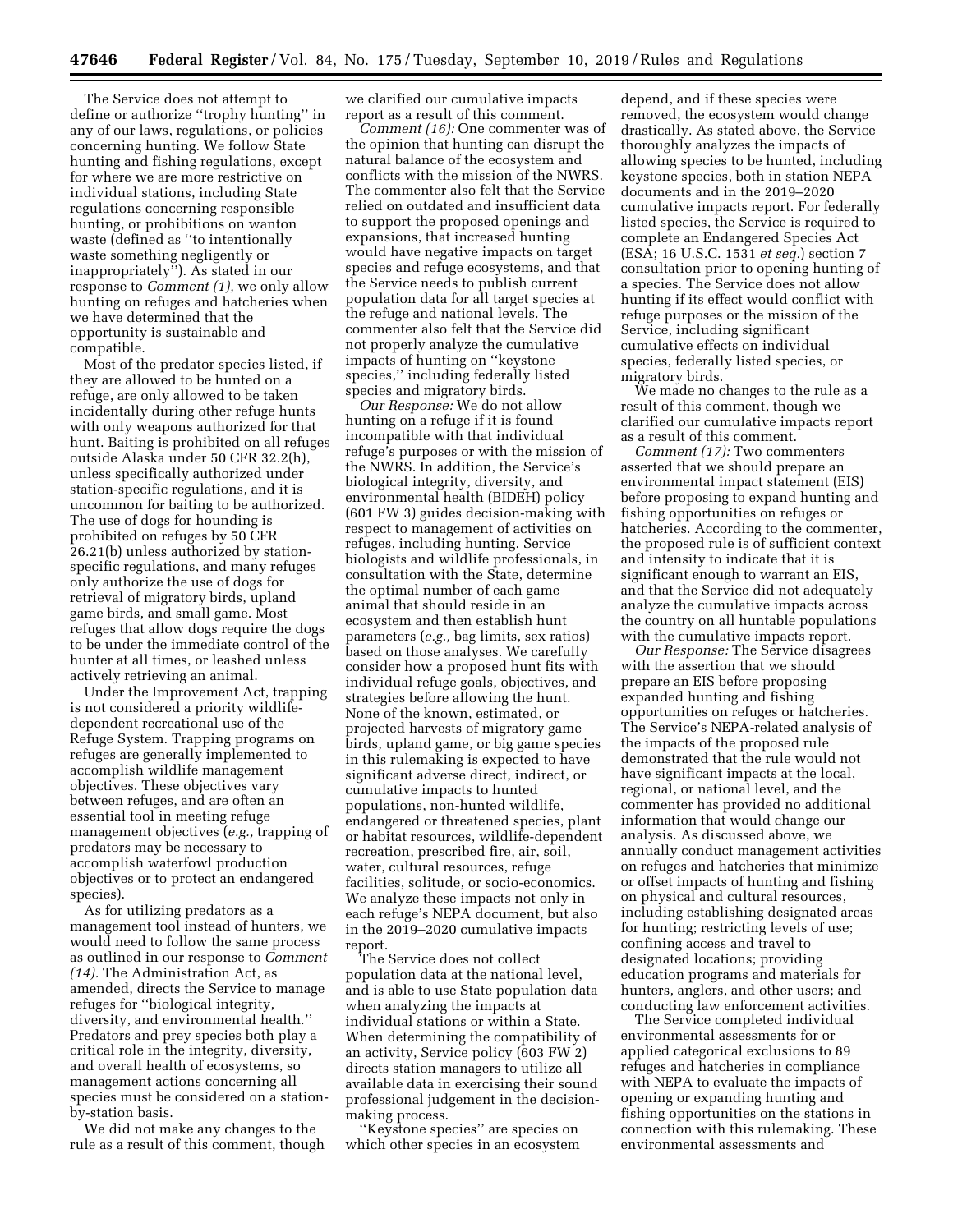The Service does not attempt to define or authorize ''trophy hunting'' in any of our laws, regulations, or policies concerning hunting. We follow State hunting and fishing regulations, except for where we are more restrictive on individual stations, including State regulations concerning responsible hunting, or prohibitions on wanton waste (defined as ''to intentionally waste something negligently or inappropriately''). As stated in our response to *Comment (1),* we only allow hunting on refuges and hatcheries when we have determined that the opportunity is sustainable and compatible.

Most of the predator species listed, if they are allowed to be hunted on a refuge, are only allowed to be taken incidentally during other refuge hunts with only weapons authorized for that hunt. Baiting is prohibited on all refuges outside Alaska under 50 CFR 32.2(h), unless specifically authorized under station-specific regulations, and it is uncommon for baiting to be authorized. The use of dogs for hounding is prohibited on refuges by 50 CFR 26.21(b) unless authorized by stationspecific regulations, and many refuges only authorize the use of dogs for retrieval of migratory birds, upland game birds, and small game. Most refuges that allow dogs require the dogs to be under the immediate control of the hunter at all times, or leashed unless actively retrieving an animal.

Under the Improvement Act, trapping is not considered a priority wildlifedependent recreational use of the Refuge System. Trapping programs on refuges are generally implemented to accomplish wildlife management objectives. These objectives vary between refuges, and are often an essential tool in meeting refuge management objectives (*e.g.,* trapping of predators may be necessary to accomplish waterfowl production objectives or to protect an endangered species).

As for utilizing predators as a management tool instead of hunters, we would need to follow the same process as outlined in our response to *Comment (14).* The Administration Act, as amended, directs the Service to manage refuges for ''biological integrity, diversity, and environmental health.'' Predators and prey species both play a critical role in the integrity, diversity, and overall health of ecosystems, so management actions concerning all species must be considered on a stationby-station basis.

We did not make any changes to the rule as a result of this comment, though we clarified our cumulative impacts report as a result of this comment.

*Comment (16):* One commenter was of the opinion that hunting can disrupt the natural balance of the ecosystem and conflicts with the mission of the NWRS. The commenter also felt that the Service relied on outdated and insufficient data to support the proposed openings and expansions, that increased hunting would have negative impacts on target species and refuge ecosystems, and that the Service needs to publish current population data for all target species at the refuge and national levels. The commenter also felt that the Service did not properly analyze the cumulative impacts of hunting on ''keystone species,'' including federally listed species and migratory birds.

*Our Response:* We do not allow hunting on a refuge if it is found incompatible with that individual refuge's purposes or with the mission of the NWRS. In addition, the Service's biological integrity, diversity, and environmental health (BIDEH) policy (601 FW 3) guides decision-making with respect to management of activities on refuges, including hunting. Service biologists and wildlife professionals, in consultation with the State, determine the optimal number of each game animal that should reside in an ecosystem and then establish hunt parameters (*e.g.,* bag limits, sex ratios) based on those analyses. We carefully consider how a proposed hunt fits with individual refuge goals, objectives, and strategies before allowing the hunt. None of the known, estimated, or projected harvests of migratory game birds, upland game, or big game species in this rulemaking is expected to have significant adverse direct, indirect, or cumulative impacts to hunted populations, non-hunted wildlife, endangered or threatened species, plant or habitat resources, wildlife-dependent recreation, prescribed fire, air, soil, water, cultural resources, refuge facilities, solitude, or socio-economics. We analyze these impacts not only in each refuge's NEPA document, but also in the 2019–2020 cumulative impacts report.

The Service does not collect population data at the national level, and is able to use State population data when analyzing the impacts at individual stations or within a State. When determining the compatibility of an activity, Service policy (603 FW 2) directs station managers to utilize all available data in exercising their sound professional judgement in the decisionmaking process.

'Keystone species'' are species on which other species in an ecosystem

depend, and if these species were removed, the ecosystem would change drastically. As stated above, the Service thoroughly analyzes the impacts of allowing species to be hunted, including keystone species, both in station NEPA documents and in the 2019–2020 cumulative impacts report. For federally listed species, the Service is required to complete an Endangered Species Act (ESA; 16 U.S.C. 1531 *et seq.*) section 7 consultation prior to opening hunting of a species. The Service does not allow hunting if its effect would conflict with refuge purposes or the mission of the Service, including significant cumulative effects on individual species, federally listed species, or migratory birds.

We made no changes to the rule as a result of this comment, though we clarified our cumulative impacts report as a result of this comment.

*Comment (17):* Two commenters asserted that we should prepare an environmental impact statement (EIS) before proposing to expand hunting and fishing opportunities on refuges or hatcheries. According to the commenter, the proposed rule is of sufficient context and intensity to indicate that it is significant enough to warrant an EIS, and that the Service did not adequately analyze the cumulative impacts across the country on all huntable populations with the cumulative impacts report.

*Our Response:* The Service disagrees with the assertion that we should prepare an EIS before proposing expanded hunting and fishing opportunities on refuges or hatcheries. The Service's NEPA-related analysis of the impacts of the proposed rule demonstrated that the rule would not have significant impacts at the local, regional, or national level, and the commenter has provided no additional information that would change our analysis. As discussed above, we annually conduct management activities on refuges and hatcheries that minimize or offset impacts of hunting and fishing on physical and cultural resources, including establishing designated areas for hunting; restricting levels of use; confining access and travel to designated locations; providing education programs and materials for hunters, anglers, and other users; and conducting law enforcement activities.

The Service completed individual environmental assessments for or applied categorical exclusions to 89 refuges and hatcheries in compliance with NEPA to evaluate the impacts of opening or expanding hunting and fishing opportunities on the stations in connection with this rulemaking. These environmental assessments and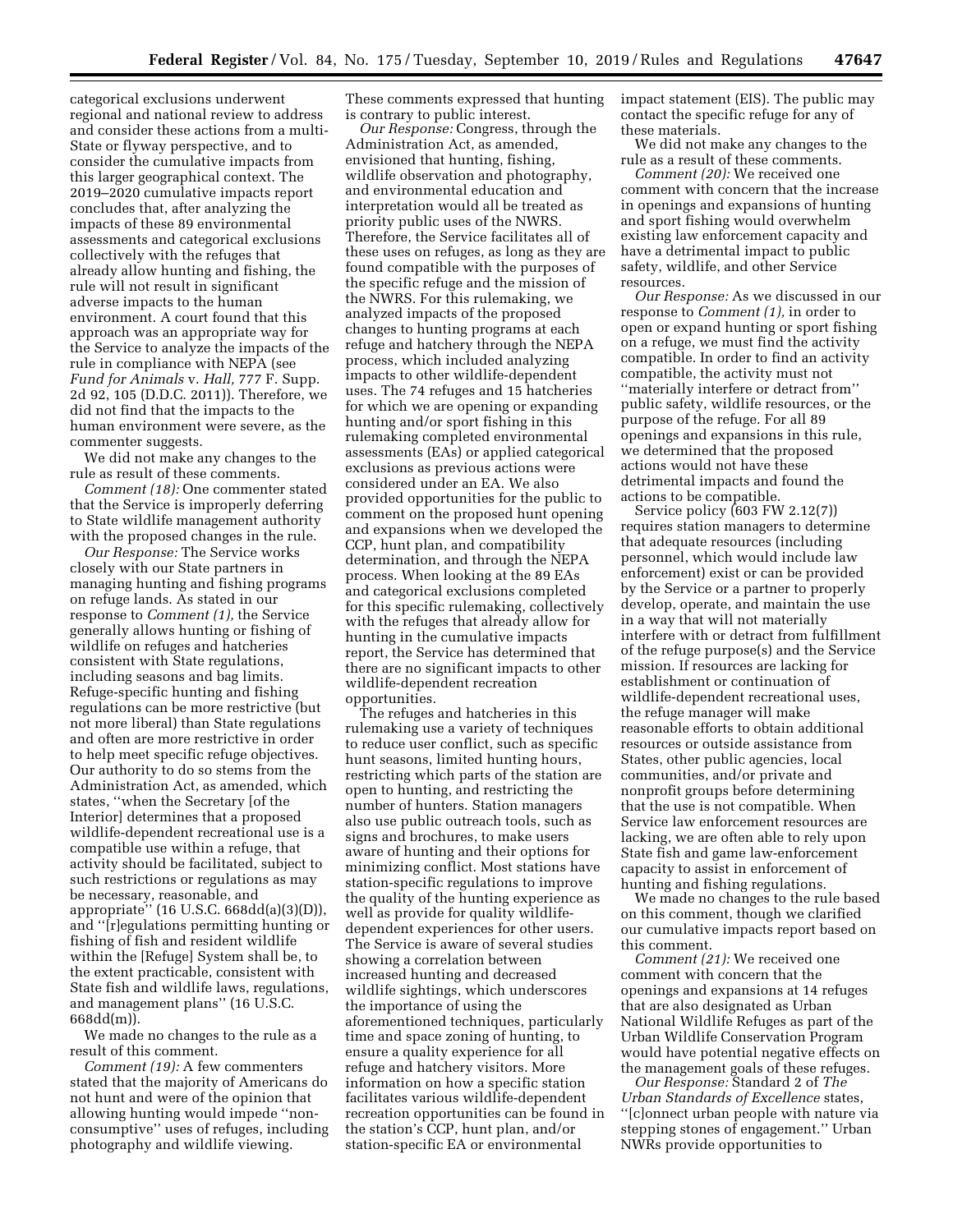categorical exclusions underwent regional and national review to address and consider these actions from a multi-State or flyway perspective, and to consider the cumulative impacts from this larger geographical context. The 2019–2020 cumulative impacts report concludes that, after analyzing the impacts of these 89 environmental assessments and categorical exclusions collectively with the refuges that already allow hunting and fishing, the rule will not result in significant adverse impacts to the human environment. A court found that this approach was an appropriate way for the Service to analyze the impacts of the rule in compliance with NEPA (see *Fund for Animals* v. *Hall,* 777 F. Supp. 2d 92, 105 (D.D.C. 2011)). Therefore, we did not find that the impacts to the human environment were severe, as the commenter suggests.

We did not make any changes to the rule as result of these comments.

*Comment (18):* One commenter stated that the Service is improperly deferring to State wildlife management authority with the proposed changes in the rule.

*Our Response:* The Service works closely with our State partners in managing hunting and fishing programs on refuge lands. As stated in our response to *Comment (1),* the Service generally allows hunting or fishing of wildlife on refuges and hatcheries consistent with State regulations, including seasons and bag limits. Refuge-specific hunting and fishing regulations can be more restrictive (but not more liberal) than State regulations and often are more restrictive in order to help meet specific refuge objectives. Our authority to do so stems from the Administration Act, as amended, which states, ''when the Secretary [of the Interior] determines that a proposed wildlife-dependent recreational use is a compatible use within a refuge, that activity should be facilitated, subject to such restrictions or regulations as may be necessary, reasonable, and appropriate'' (16 U.S.C. 668dd(a)(3)(D)), and ''[r]egulations permitting hunting or fishing of fish and resident wildlife within the [Refuge] System shall be, to the extent practicable, consistent with State fish and wildlife laws, regulations, and management plans'' (16 U.S.C. 668dd(m)).

We made no changes to the rule as a result of this comment.

*Comment (19):* A few commenters stated that the majority of Americans do not hunt and were of the opinion that allowing hunting would impede ''nonconsumptive'' uses of refuges, including photography and wildlife viewing.

These comments expressed that hunting is contrary to public interest.

*Our Response:* Congress, through the Administration Act, as amended, envisioned that hunting, fishing, wildlife observation and photography, and environmental education and interpretation would all be treated as priority public uses of the NWRS. Therefore, the Service facilitates all of these uses on refuges, as long as they are found compatible with the purposes of the specific refuge and the mission of the NWRS. For this rulemaking, we analyzed impacts of the proposed changes to hunting programs at each refuge and hatchery through the NEPA process, which included analyzing impacts to other wildlife-dependent uses. The 74 refuges and 15 hatcheries for which we are opening or expanding hunting and/or sport fishing in this rulemaking completed environmental assessments (EAs) or applied categorical exclusions as previous actions were considered under an EA. We also provided opportunities for the public to comment on the proposed hunt opening and expansions when we developed the CCP, hunt plan, and compatibility determination, and through the NEPA process. When looking at the 89 EAs and categorical exclusions completed for this specific rulemaking, collectively with the refuges that already allow for hunting in the cumulative impacts report, the Service has determined that there are no significant impacts to other wildlife-dependent recreation opportunities.

The refuges and hatcheries in this rulemaking use a variety of techniques to reduce user conflict, such as specific hunt seasons, limited hunting hours, restricting which parts of the station are open to hunting, and restricting the number of hunters. Station managers also use public outreach tools, such as signs and brochures, to make users aware of hunting and their options for minimizing conflict. Most stations have station-specific regulations to improve the quality of the hunting experience as well as provide for quality wildlifedependent experiences for other users. The Service is aware of several studies showing a correlation between increased hunting and decreased wildlife sightings, which underscores the importance of using the aforementioned techniques, particularly time and space zoning of hunting, to ensure a quality experience for all refuge and hatchery visitors. More information on how a specific station facilitates various wildlife-dependent recreation opportunities can be found in the station's CCP, hunt plan, and/or station-specific EA or environmental

impact statement (EIS). The public may contact the specific refuge for any of these materials.

We did not make any changes to the rule as a result of these comments.

*Comment (20):* We received one comment with concern that the increase in openings and expansions of hunting and sport fishing would overwhelm existing law enforcement capacity and have a detrimental impact to public safety, wildlife, and other Service resources.

*Our Response:* As we discussed in our response to *Comment (1),* in order to open or expand hunting or sport fishing on a refuge, we must find the activity compatible. In order to find an activity compatible, the activity must not ''materially interfere or detract from'' public safety, wildlife resources, or the purpose of the refuge. For all 89 openings and expansions in this rule, we determined that the proposed actions would not have these detrimental impacts and found the actions to be compatible.

Service policy (603 FW 2.12(7)) requires station managers to determine that adequate resources (including personnel, which would include law enforcement) exist or can be provided by the Service or a partner to properly develop, operate, and maintain the use in a way that will not materially interfere with or detract from fulfillment of the refuge purpose(s) and the Service mission. If resources are lacking for establishment or continuation of wildlife-dependent recreational uses, the refuge manager will make reasonable efforts to obtain additional resources or outside assistance from States, other public agencies, local communities, and/or private and nonprofit groups before determining that the use is not compatible. When Service law enforcement resources are lacking, we are often able to rely upon State fish and game law-enforcement capacity to assist in enforcement of hunting and fishing regulations.

We made no changes to the rule based on this comment, though we clarified our cumulative impacts report based on this comment.

*Comment (21):* We received one comment with concern that the openings and expansions at 14 refuges that are also designated as Urban National Wildlife Refuges as part of the Urban Wildlife Conservation Program would have potential negative effects on the management goals of these refuges.

*Our Response:* Standard 2 of *The Urban Standards of Excellence* states, ''[c]onnect urban people with nature via stepping stones of engagement.'' Urban NWRs provide opportunities to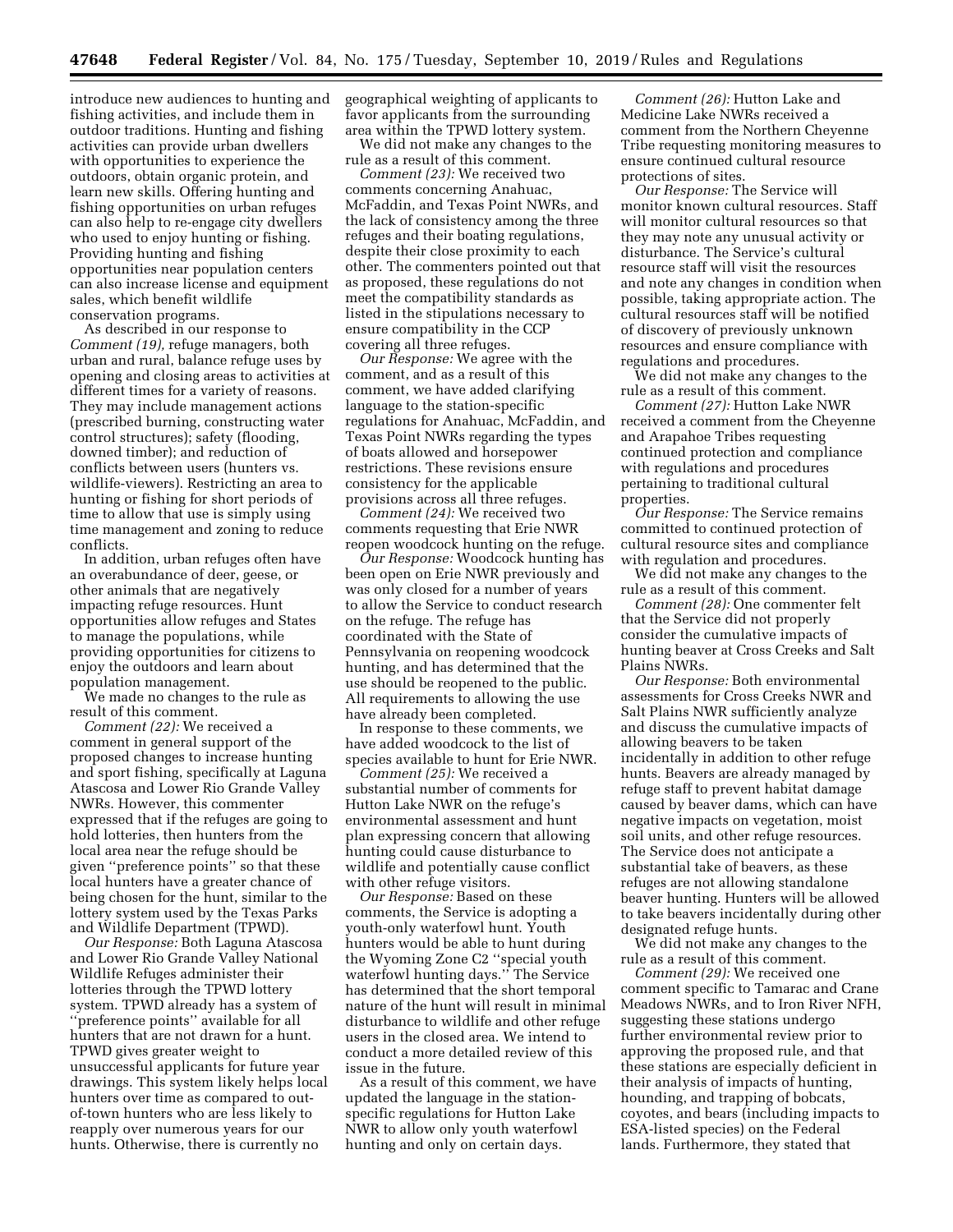introduce new audiences to hunting and fishing activities, and include them in outdoor traditions. Hunting and fishing activities can provide urban dwellers with opportunities to experience the outdoors, obtain organic protein, and learn new skills. Offering hunting and fishing opportunities on urban refuges can also help to re-engage city dwellers who used to enjoy hunting or fishing. Providing hunting and fishing opportunities near population centers can also increase license and equipment sales, which benefit wildlife conservation programs.

As described in our response to *Comment (19),* refuge managers, both urban and rural, balance refuge uses by opening and closing areas to activities at different times for a variety of reasons. They may include management actions (prescribed burning, constructing water control structures); safety (flooding, downed timber); and reduction of conflicts between users (hunters vs. wildlife-viewers). Restricting an area to hunting or fishing for short periods of time to allow that use is simply using time management and zoning to reduce conflicts.

In addition, urban refuges often have an overabundance of deer, geese, or other animals that are negatively impacting refuge resources. Hunt opportunities allow refuges and States to manage the populations, while providing opportunities for citizens to enjoy the outdoors and learn about population management.

We made no changes to the rule as result of this comment.

*Comment (22):* We received a comment in general support of the proposed changes to increase hunting and sport fishing, specifically at Laguna Atascosa and Lower Rio Grande Valley NWRs. However, this commenter expressed that if the refuges are going to hold lotteries, then hunters from the local area near the refuge should be given ''preference points'' so that these local hunters have a greater chance of being chosen for the hunt, similar to the lottery system used by the Texas Parks and Wildlife Department (TPWD).

*Our Response:* Both Laguna Atascosa and Lower Rio Grande Valley National Wildlife Refuges administer their lotteries through the TPWD lottery system. TPWD already has a system of ''preference points'' available for all hunters that are not drawn for a hunt. TPWD gives greater weight to unsuccessful applicants for future year drawings. This system likely helps local hunters over time as compared to outof-town hunters who are less likely to reapply over numerous years for our hunts. Otherwise, there is currently no

geographical weighting of applicants to favor applicants from the surrounding area within the TPWD lottery system.

We did not make any changes to the rule as a result of this comment.

*Comment (23):* We received two comments concerning Anahuac, McFaddin, and Texas Point NWRs, and the lack of consistency among the three refuges and their boating regulations, despite their close proximity to each other. The commenters pointed out that as proposed, these regulations do not meet the compatibility standards as listed in the stipulations necessary to ensure compatibility in the CCP covering all three refuges.

*Our Response:* We agree with the comment, and as a result of this comment, we have added clarifying language to the station-specific regulations for Anahuac, McFaddin, and Texas Point NWRs regarding the types of boats allowed and horsepower restrictions. These revisions ensure consistency for the applicable provisions across all three refuges.

*Comment (24):* We received two comments requesting that Erie NWR reopen woodcock hunting on the refuge.

*Our Response:* Woodcock hunting has been open on Erie NWR previously and was only closed for a number of years to allow the Service to conduct research on the refuge. The refuge has coordinated with the State of Pennsylvania on reopening woodcock hunting, and has determined that the use should be reopened to the public. All requirements to allowing the use have already been completed.

In response to these comments, we have added woodcock to the list of species available to hunt for Erie NWR.

*Comment (25):* We received a substantial number of comments for Hutton Lake NWR on the refuge's environmental assessment and hunt plan expressing concern that allowing hunting could cause disturbance to wildlife and potentially cause conflict with other refuge visitors.

*Our Response:* Based on these comments, the Service is adopting a youth-only waterfowl hunt. Youth hunters would be able to hunt during the Wyoming Zone C2 ''special youth waterfowl hunting days.'' The Service has determined that the short temporal nature of the hunt will result in minimal disturbance to wildlife and other refuge users in the closed area. We intend to conduct a more detailed review of this issue in the future.

As a result of this comment, we have updated the language in the stationspecific regulations for Hutton Lake NWR to allow only youth waterfowl hunting and only on certain days.

*Comment (26):* Hutton Lake and Medicine Lake NWRs received a comment from the Northern Cheyenne Tribe requesting monitoring measures to ensure continued cultural resource protections of sites.

*Our Response:* The Service will monitor known cultural resources. Staff will monitor cultural resources so that they may note any unusual activity or disturbance. The Service's cultural resource staff will visit the resources and note any changes in condition when possible, taking appropriate action. The cultural resources staff will be notified of discovery of previously unknown resources and ensure compliance with regulations and procedures.

We did not make any changes to the rule as a result of this comment.

*Comment (27):* Hutton Lake NWR received a comment from the Cheyenne and Arapahoe Tribes requesting continued protection and compliance with regulations and procedures pertaining to traditional cultural properties.

*Our Response:* The Service remains committed to continued protection of cultural resource sites and compliance with regulation and procedures.

We did not make any changes to the rule as a result of this comment.

*Comment (28):* One commenter felt that the Service did not properly consider the cumulative impacts of hunting beaver at Cross Creeks and Salt Plains NWRs.

*Our Response:* Both environmental assessments for Cross Creeks NWR and Salt Plains NWR sufficiently analyze and discuss the cumulative impacts of allowing beavers to be taken incidentally in addition to other refuge hunts. Beavers are already managed by refuge staff to prevent habitat damage caused by beaver dams, which can have negative impacts on vegetation, moist soil units, and other refuge resources. The Service does not anticipate a substantial take of beavers, as these refuges are not allowing standalone beaver hunting. Hunters will be allowed to take beavers incidentally during other designated refuge hunts.

We did not make any changes to the rule as a result of this comment.

*Comment (29):* We received one comment specific to Tamarac and Crane Meadows NWRs, and to Iron River NFH, suggesting these stations undergo further environmental review prior to approving the proposed rule, and that these stations are especially deficient in their analysis of impacts of hunting, hounding, and trapping of bobcats, coyotes, and bears (including impacts to ESA-listed species) on the Federal lands. Furthermore, they stated that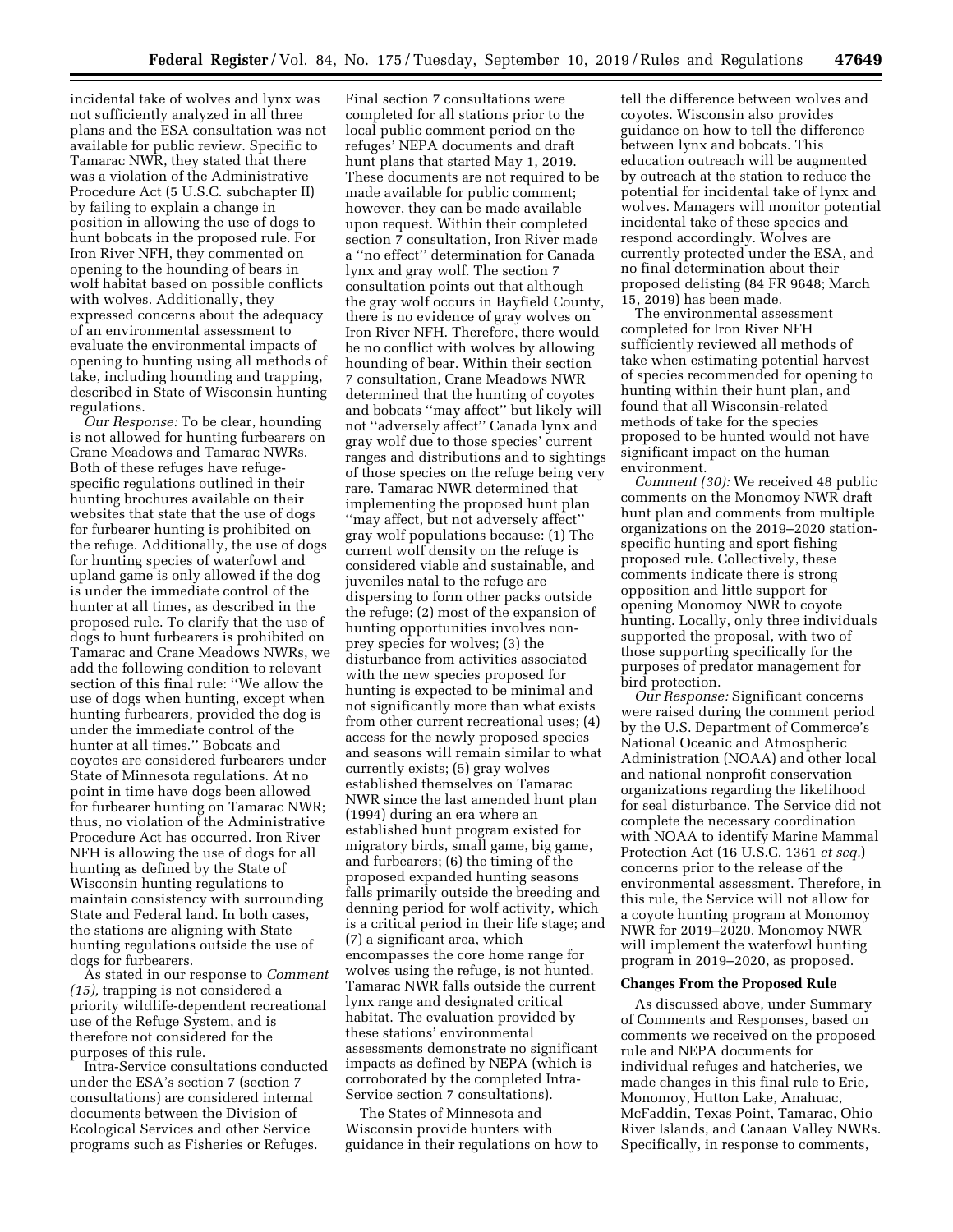incidental take of wolves and lynx was not sufficiently analyzed in all three plans and the ESA consultation was not available for public review. Specific to Tamarac NWR, they stated that there was a violation of the Administrative Procedure Act (5 U.S.C. subchapter II) by failing to explain a change in position in allowing the use of dogs to hunt bobcats in the proposed rule. For Iron River NFH, they commented on opening to the hounding of bears in wolf habitat based on possible conflicts with wolves. Additionally, they expressed concerns about the adequacy of an environmental assessment to evaluate the environmental impacts of opening to hunting using all methods of take, including hounding and trapping, described in State of Wisconsin hunting regulations.

*Our Response:* To be clear, hounding is not allowed for hunting furbearers on Crane Meadows and Tamarac NWRs. Both of these refuges have refugespecific regulations outlined in their hunting brochures available on their websites that state that the use of dogs for furbearer hunting is prohibited on the refuge. Additionally, the use of dogs for hunting species of waterfowl and upland game is only allowed if the dog is under the immediate control of the hunter at all times, as described in the proposed rule. To clarify that the use of dogs to hunt furbearers is prohibited on Tamarac and Crane Meadows NWRs, we add the following condition to relevant section of this final rule: ''We allow the use of dogs when hunting, except when hunting furbearers, provided the dog is under the immediate control of the hunter at all times.'' Bobcats and coyotes are considered furbearers under State of Minnesota regulations. At no point in time have dogs been allowed for furbearer hunting on Tamarac NWR; thus, no violation of the Administrative Procedure Act has occurred. Iron River NFH is allowing the use of dogs for all hunting as defined by the State of Wisconsin hunting regulations to maintain consistency with surrounding State and Federal land. In both cases, the stations are aligning with State hunting regulations outside the use of dogs for furbearers.

As stated in our response to *Comment (15),* trapping is not considered a priority wildlife-dependent recreational use of the Refuge System, and is therefore not considered for the purposes of this rule.

Intra-Service consultations conducted under the ESA's section 7 (section 7 consultations) are considered internal documents between the Division of Ecological Services and other Service programs such as Fisheries or Refuges.

Final section 7 consultations were completed for all stations prior to the local public comment period on the refuges' NEPA documents and draft hunt plans that started May 1, 2019. These documents are not required to be made available for public comment; however, they can be made available upon request. Within their completed section 7 consultation, Iron River made a ''no effect'' determination for Canada lynx and gray wolf. The section 7 consultation points out that although the gray wolf occurs in Bayfield County, there is no evidence of gray wolves on Iron River NFH. Therefore, there would be no conflict with wolves by allowing hounding of bear. Within their section 7 consultation, Crane Meadows NWR determined that the hunting of coyotes and bobcats ''may affect'' but likely will not ''adversely affect'' Canada lynx and gray wolf due to those species' current ranges and distributions and to sightings of those species on the refuge being very rare. Tamarac NWR determined that implementing the proposed hunt plan ''may affect, but not adversely affect'' gray wolf populations because: (1) The current wolf density on the refuge is considered viable and sustainable, and juveniles natal to the refuge are dispersing to form other packs outside the refuge; (2) most of the expansion of hunting opportunities involves nonprey species for wolves; (3) the disturbance from activities associated with the new species proposed for hunting is expected to be minimal and not significantly more than what exists from other current recreational uses; (4) access for the newly proposed species and seasons will remain similar to what currently exists; (5) gray wolves established themselves on Tamarac NWR since the last amended hunt plan (1994) during an era where an established hunt program existed for migratory birds, small game, big game, and furbearers; (6) the timing of the proposed expanded hunting seasons falls primarily outside the breeding and denning period for wolf activity, which is a critical period in their life stage; and (7) a significant area, which encompasses the core home range for wolves using the refuge, is not hunted. Tamarac NWR falls outside the current lynx range and designated critical habitat. The evaluation provided by these stations' environmental assessments demonstrate no significant impacts as defined by NEPA (which is corroborated by the completed Intra-Service section 7 consultations).

The States of Minnesota and Wisconsin provide hunters with guidance in their regulations on how to tell the difference between wolves and coyotes. Wisconsin also provides guidance on how to tell the difference between lynx and bobcats. This education outreach will be augmented by outreach at the station to reduce the potential for incidental take of lynx and wolves. Managers will monitor potential incidental take of these species and respond accordingly. Wolves are currently protected under the ESA, and no final determination about their proposed delisting (84 FR 9648; March 15, 2019) has been made.

The environmental assessment completed for Iron River NFH sufficiently reviewed all methods of take when estimating potential harvest of species recommended for opening to hunting within their hunt plan, and found that all Wisconsin-related methods of take for the species proposed to be hunted would not have significant impact on the human environment.

*Comment (30):* We received 48 public comments on the Monomoy NWR draft hunt plan and comments from multiple organizations on the 2019–2020 stationspecific hunting and sport fishing proposed rule. Collectively, these comments indicate there is strong opposition and little support for opening Monomoy NWR to coyote hunting. Locally, only three individuals supported the proposal, with two of those supporting specifically for the purposes of predator management for bird protection.

*Our Response:* Significant concerns were raised during the comment period by the U.S. Department of Commerce's National Oceanic and Atmospheric Administration (NOAA) and other local and national nonprofit conservation organizations regarding the likelihood for seal disturbance. The Service did not complete the necessary coordination with NOAA to identify Marine Mammal Protection Act (16 U.S.C. 1361 *et seq.*) concerns prior to the release of the environmental assessment. Therefore, in this rule, the Service will not allow for a coyote hunting program at Monomoy NWR for 2019–2020. Monomoy NWR will implement the waterfowl hunting program in 2019–2020, as proposed.

### **Changes From the Proposed Rule**

As discussed above, under Summary of Comments and Responses, based on comments we received on the proposed rule and NEPA documents for individual refuges and hatcheries, we made changes in this final rule to Erie, Monomoy, Hutton Lake, Anahuac, McFaddin, Texas Point, Tamarac, Ohio River Islands, and Canaan Valley NWRs. Specifically, in response to comments,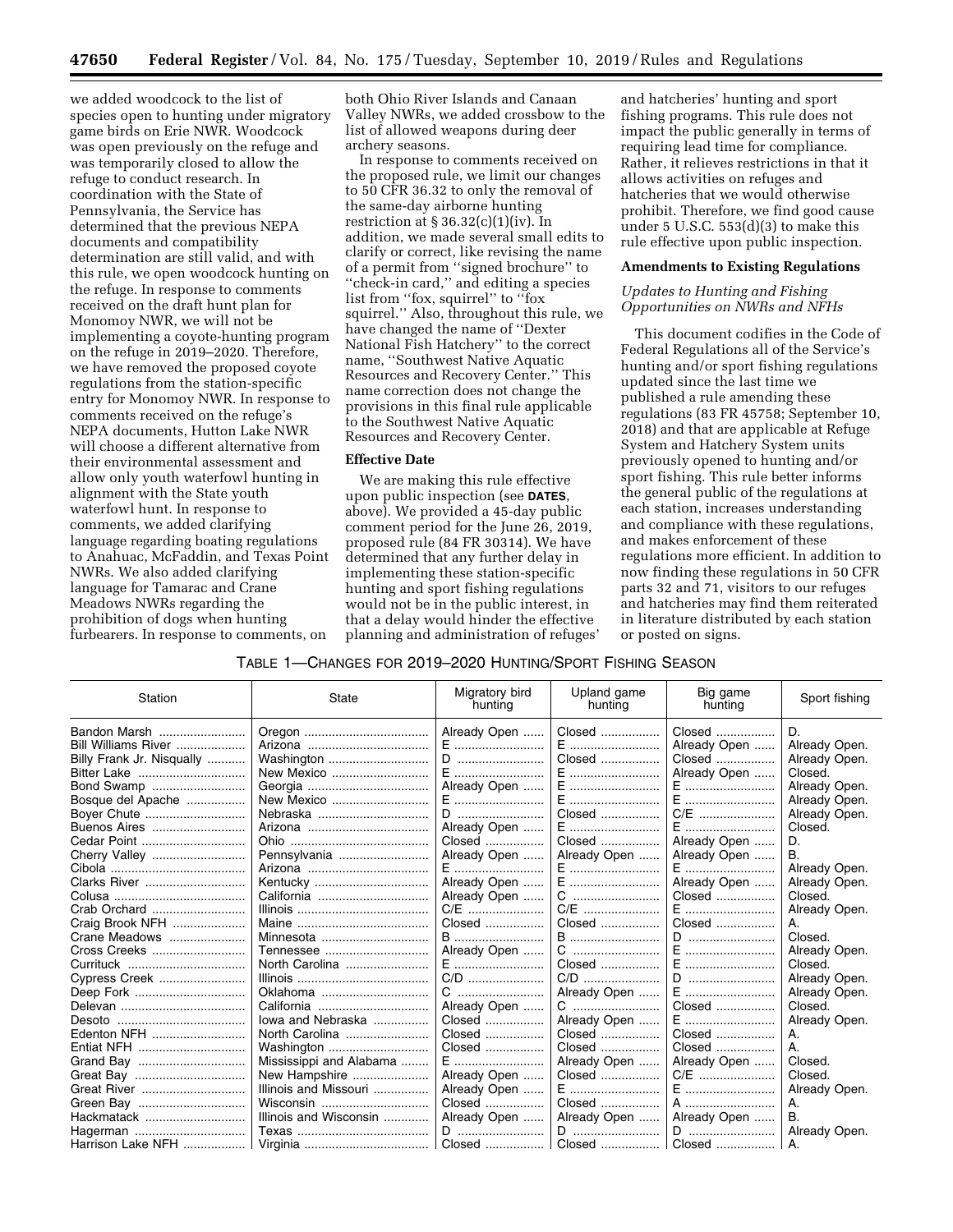we added woodcock to the list of species open to hunting under migratory game birds on Erie NWR. Woodcock was open previously on the refuge and was temporarily closed to allow the refuge to conduct research. In coordination with the State of Pennsylvania, the Service has determined that the previous NEPA documents and compatibility determination are still valid, and with this rule, we open woodcock hunting on the refuge. In response to comments received on the draft hunt plan for Monomoy NWR, we will not be implementing a coyote-hunting program on the refuge in 2019–2020. Therefore, we have removed the proposed coyote regulations from the station-specific entry for Monomoy NWR. In response to comments received on the refuge's NEPA documents, Hutton Lake NWR will choose a different alternative from their environmental assessment and allow only youth waterfowl hunting in alignment with the State youth waterfowl hunt. In response to comments, we added clarifying language regarding boating regulations to Anahuac, McFaddin, and Texas Point NWRs. We also added clarifying language for Tamarac and Crane Meadows NWRs regarding the prohibition of dogs when hunting furbearers. In response to comments, on

both Ohio River Islands and Canaan Valley NWRs, we added crossbow to the list of allowed weapons during deer archery seasons.

In response to comments received on the proposed rule, we limit our changes to 50 CFR 36.32 to only the removal of the same-day airborne hunting restriction at  $\S 36.32(c)(1)(iv)$ . In addition, we made several small edits to clarify or correct, like revising the name of a permit from ''signed brochure'' to ''check-in card,'' and editing a species list from "fox, squirrel" to "fox squirrel.'' Also, throughout this rule, we have changed the name of ''Dexter National Fish Hatchery'' to the correct name, ''Southwest Native Aquatic Resources and Recovery Center.'' This name correction does not change the provisions in this final rule applicable to the Southwest Native Aquatic Resources and Recovery Center.

# **Effective Date**

We are making this rule effective upon public inspection (see **DATES**, above). We provided a 45-day public comment period for the June 26, 2019, proposed rule (84 FR 30314). We have determined that any further delay in implementing these station-specific hunting and sport fishing regulations would not be in the public interest, in that a delay would hinder the effective planning and administration of refuges'

and hatcheries' hunting and sport fishing programs. This rule does not impact the public generally in terms of requiring lead time for compliance. Rather, it relieves restrictions in that it allows activities on refuges and hatcheries that we would otherwise prohibit. Therefore, we find good cause under 5 U.S.C.  $553(d)(3)$  to make this rule effective upon public inspection.

#### **Amendments to Existing Regulations**

## *Updates to Hunting and Fishing Opportunities on NWRs and NFHs*

This document codifies in the Code of Federal Regulations all of the Service's hunting and/or sport fishing regulations updated since the last time we published a rule amending these regulations (83 FR 45758; September 10, 2018) and that are applicable at Refuge System and Hatchery System units previously opened to hunting and/or sport fishing. This rule better informs the general public of the regulations at each station, increases understanding and compliance with these regulations, and makes enforcement of these regulations more efficient. In addition to now finding these regulations in 50 CFR parts 32 and 71, visitors to our refuges and hatcheries may find them reiterated in literature distributed by each station or posted on signs.

| Table 1—Changes for 2019—2020 Hunting/Sport Fishing Season |  |
|------------------------------------------------------------|--|
|------------------------------------------------------------|--|

| Station                   | <b>State</b>            | Migratory bird<br>hunting | Upland game<br>hunting | Big game<br>hunting | Sport fishing |
|---------------------------|-------------------------|---------------------------|------------------------|---------------------|---------------|
| Bandon Marsh              |                         | Already Open              | Closed                 | Closed              | D.            |
| Bill Williams River       |                         | E                         | E                      | Already Open        | Already Open. |
| Billy Frank Jr. Nisqually | Washington              | D                         | Closed                 | Closed              | Already Open. |
| Bitter Lake               | New Mexico              | E                         | Е                      | Already Open        | Closed.       |
| Bond Swamp                |                         | Already Open              | $E$                    | E                   | Already Open. |
| Bosque del Apache         | New Mexico              | E                         | E                      | E                   | Already Open. |
| Boyer Chute               | Nebraska                | D                         | Closed                 | C/E                 | Already Open. |
| Buenos Aires              |                         | Already Open              | E                      | E                   | Closed.       |
| Cedar Point               |                         | Closed                    | Closed                 | Already Open        | D.            |
| Cherry Valley             | Pennsylvania            | Already Open              | Already Open           | Already Open        | <b>B.</b>     |
|                           |                         | E                         | E                      | E                   | Already Open. |
| Clarks River              |                         | Already Open              | $E$                    | Already Open        | Already Open. |
|                           | California              | Already Open              | C                      | Closed              | Closed.       |
| Crab Orchard              |                         | C/E                       | C/E                    | E                   | Already Open. |
| Craig Brook NFH           |                         | Closed                    | Closed                 | Closed              | Α.            |
| Crane Meadows             | Minnesota               | B                         | B                      | D                   | Closed.       |
| Cross Creeks              |                         | Already Open              |                        | $E$                 | Already Open. |
|                           | North Carolina          | E                         | Closed                 | E                   | Closed.       |
| Cypress Creek             |                         | C/D                       |                        | D                   | Already Open. |
| Deep Fork                 | Oklahoma                | C                         | Already Open           | E                   | Already Open. |
|                           |                         | Already Open              | C                      | Closed              | Closed.       |
|                           | lowa and Nebraska       | Closed                    | Already Open           | E                   | Already Open. |
| Edenton NFH               | North Carolina          | Closed                    | Closed                 | Closed              | Α.            |
|                           | Washington              | Closed                    | Closed                 | Closed              | A.            |
| Grand Bay                 | Mississippi and Alabama | E                         | Already Open           | Already Open        | Closed.       |
|                           | New Hampshire           | Already Open              | Closed                 |                     | Closed.       |
|                           | Illinois and Missouri   | Already Open              | E                      | E                   | Already Open. |
|                           | Wisconsin               | Closed                    | Closed                 | A                   | Α.            |
| Hackmatack                | Illinois and Wisconsin  | Already Open              | Already Open           | Already Open        | В.            |
| Hagerman                  |                         | $D$                       | D                      | D    Already Open.  |               |
| Harrison Lake NFH         |                         |                           | Closed    Closed       | Closed    A.        |               |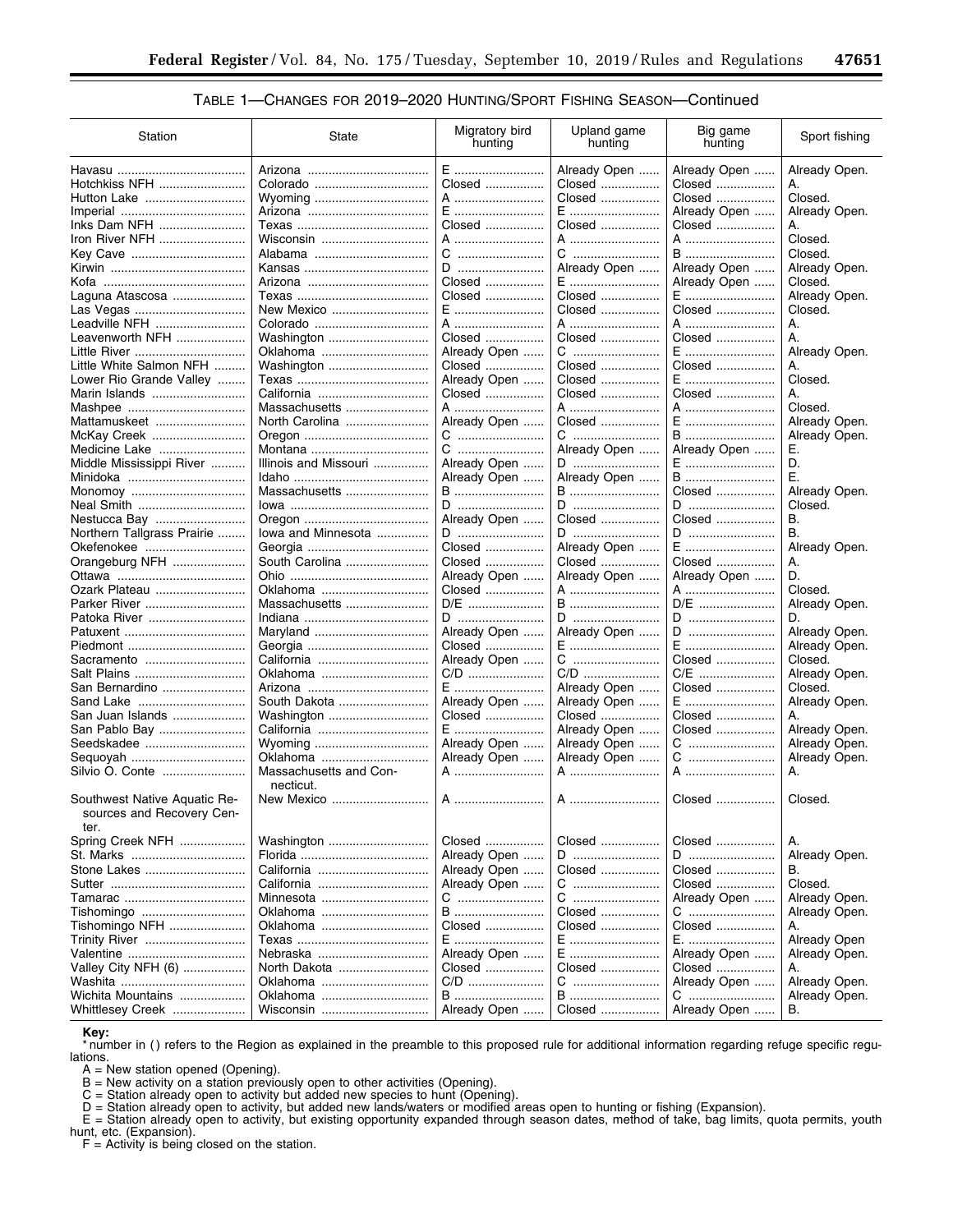# TABLE 1—CHANGES FOR 2019–2020 HUNTING/SPORT FISHING SEASON—Continued

| Station                                                           | State                               | Migratory bird<br>hunting | Upland game<br>hunting | Big game<br>hunting | Sport fishing       |
|-------------------------------------------------------------------|-------------------------------------|---------------------------|------------------------|---------------------|---------------------|
|                                                                   |                                     | E                         | Already Open           | Already Open        | Already Open.       |
| Hotchkiss NFH                                                     |                                     | Closed                    | Closed                 | Closed              | А.                  |
| Hutton Lake                                                       |                                     | A                         | Closed                 | Closed              | Closed.             |
|                                                                   |                                     | E                         | E                      | Already Open        | Already Open.       |
| Inks Dam NFH                                                      |                                     | Closed                    | Closed                 | Closed              | А.                  |
| Iron River NFH                                                    | Wisconsin                           | A                         | A                      | A                   | Closed.             |
|                                                                   | Alabama                             | C                         | C                      | B                   | Closed.             |
|                                                                   |                                     |                           |                        |                     |                     |
|                                                                   |                                     | D                         | Already Open           | Already Open        | Already Open.       |
|                                                                   |                                     | Closed                    | E                      | Already Open        | Closed.             |
| Laguna Atascosa                                                   |                                     | Closed                    | Closed                 | E                   | Already Open.       |
| Las Vegas                                                         | New Mexico                          | E                         | Closed                 | Closed              | Closed.             |
| Leadville NFH                                                     | Colorado                            | A                         | A                      | A                   | А.                  |
| Leavenworth NFH                                                   | Washington                          | Closed                    | Closed                 | Closed              | А.                  |
| Little River                                                      | Oklahoma                            | Already Open              | C                      | E                   | Already Open.       |
| Little White Salmon NFH                                           | Washington                          | Closed                    | Closed                 | Closed              | А.                  |
| Lower Rio Grande Valley                                           |                                     | Already Open              | Closed                 | E                   | Closed.             |
| Marin Islands                                                     | California                          | Closed                    | Closed                 | Closed              | А.                  |
|                                                                   | Massachusetts                       | A                         | A                      | A                   | Closed.             |
| Mattamuskeet                                                      | North Carolina                      | Already Open              | Closed                 | E                   | Already Open.       |
| McKay Creek                                                       |                                     | C                         | C                      | B                   | Already Open.       |
| Medicine Lake                                                     |                                     | C                         | Already Open           | Already Open        | Е.                  |
| Middle Mississippi River                                          | Illinois and Missouri               | Already Open              | D                      | E                   | D.                  |
|                                                                   |                                     | Already Open              | Already Open           | B                   | Е.                  |
| Monomoy                                                           | Massachusetts                       | B                         | B                      | Closed              | Already Open.       |
| Neal Smith                                                        |                                     | D                         | $D$                    | $D$                 | Closed.             |
| Nestucca Bay                                                      |                                     | Already Open              | Closed                 | Closed              | В.                  |
| Northern Tallgrass Prairie                                        | lowa and Minnesota                  | D                         | D                      | D                   | В.                  |
| Okefenokee                                                        |                                     | Closed                    | Already Open           | E                   | Already Open.       |
| Orangeburg NFH                                                    | South Carolina                      | Closed                    | Closed                 | Closed              | А.                  |
|                                                                   |                                     | Already Open              | Already Open           | Already Open        | D.                  |
| Ozark Plateau                                                     | Oklahoma                            | Closed                    | A                      | A                   | Closed.             |
| Parker River                                                      | Massachusetts                       | D/E                       | <b>B</b>               | D/E                 | Already Open.       |
|                                                                   |                                     | D                         |                        | D                   | D.                  |
| Patoka River                                                      |                                     |                           | D                      |                     |                     |
|                                                                   | Maryland                            | Already Open              | Already Open           | D<br>E              | Already Open.       |
| Piedmont                                                          |                                     | Closed                    | E                      |                     | Already Open.       |
| Sacramento                                                        |                                     | Already Open              | C                      | Closed              | Closed.             |
| Salt Plains                                                       | Oklahoma                            | C/D                       | C/D                    | C/E                 | Already Open.       |
| San Bernardino                                                    |                                     | E                         | Already Open           | Closed              | Closed.             |
| Sand Lake                                                         | South Dakota                        | Already Open              | Already Open           | E                   | Already Open.       |
| San Juan Islands                                                  | Washington                          | Closed                    | Closed                 | Closed              | А.                  |
| San Pablo Bay                                                     | California                          | E                         | Already Open<br>       | Closed              | Already Open.       |
| Seedskadee                                                        | Wyoming                             | Already Open              | Already Open           | C                   | Already Open.       |
|                                                                   | Oklahoma                            | Already Open              | Already Open           | C                   | Already Open.       |
| Silvio O. Conte                                                   | Massachusetts and Con-<br>necticut. | A                         | A                      | A                   | А.                  |
| Southwest Native Aquatic Re-<br>sources and Recovery Cen-<br>ter. | New Mexico                          | A                         | A                      | Closed              | Closed.             |
| Spring Creek NFH                                                  | Washington                          | Closed                    | Closed                 | Closed              | А.                  |
| St. Marks                                                         |                                     | Already Open              | D                      | D                   | Already Open.       |
| Stone Lakes                                                       |                                     | Already Open              | Closed                 | Closed              | В.                  |
|                                                                   | California                          | Already Open              | C                      | Closed              | Closed.             |
|                                                                   | Minnesota                           | C                         | C                      | Already Open        | Already Open.       |
| Tishomingo                                                        | Oklahoma                            | $B$ , , , , , ,           | Closed                 | C                   | Already Open.       |
| Tishomingo NFH                                                    | Oklahoma                            | Closed                    | Closed                 | Closed              | А.                  |
| Trinity River                                                     |                                     | E                         | $E$                    | E.                  | Already Open        |
| Valentine                                                         |                                     | Already Open              | E                      | Already Open        |                     |
|                                                                   |                                     |                           | Closed                 |                     | Already Open.       |
| Valley City NFH (6)<br>Washita                                    | North Dakota                        | Closed                    | C                      | Closed              | А.                  |
| Wichita Mountains                                                 | Oklahoma<br>Oklahoma                | C/D                       | B                      | Already Open        | Already Open.       |
| Whittlesey Creek                                                  | Wisconsin                           | B<br>Already Open         | Closed                 | C<br>Already Open   | Already Open.<br>В. |
|                                                                   |                                     |                           |                        |                     |                     |

**Key:** 

\* number in () refers to the Region as explained in the preamble to this proposed rule for additional information regarding refuge specific regulations.

A = New station opened (Opening).

B = New activity on a station previously open to other activities (Opening).

C = Station already open to activity but added new species to hunt (Opening).

D = Station already open to activity, but added new lands/waters or modified areas open to hunting or fishing (Expansion).

E = Station already open to activity, but existing opportunity expanded through season dates, method of take, bag limits, quota permits, youth hunt, etc. (Expansion).

 $F =$  Activity is being closed on the station.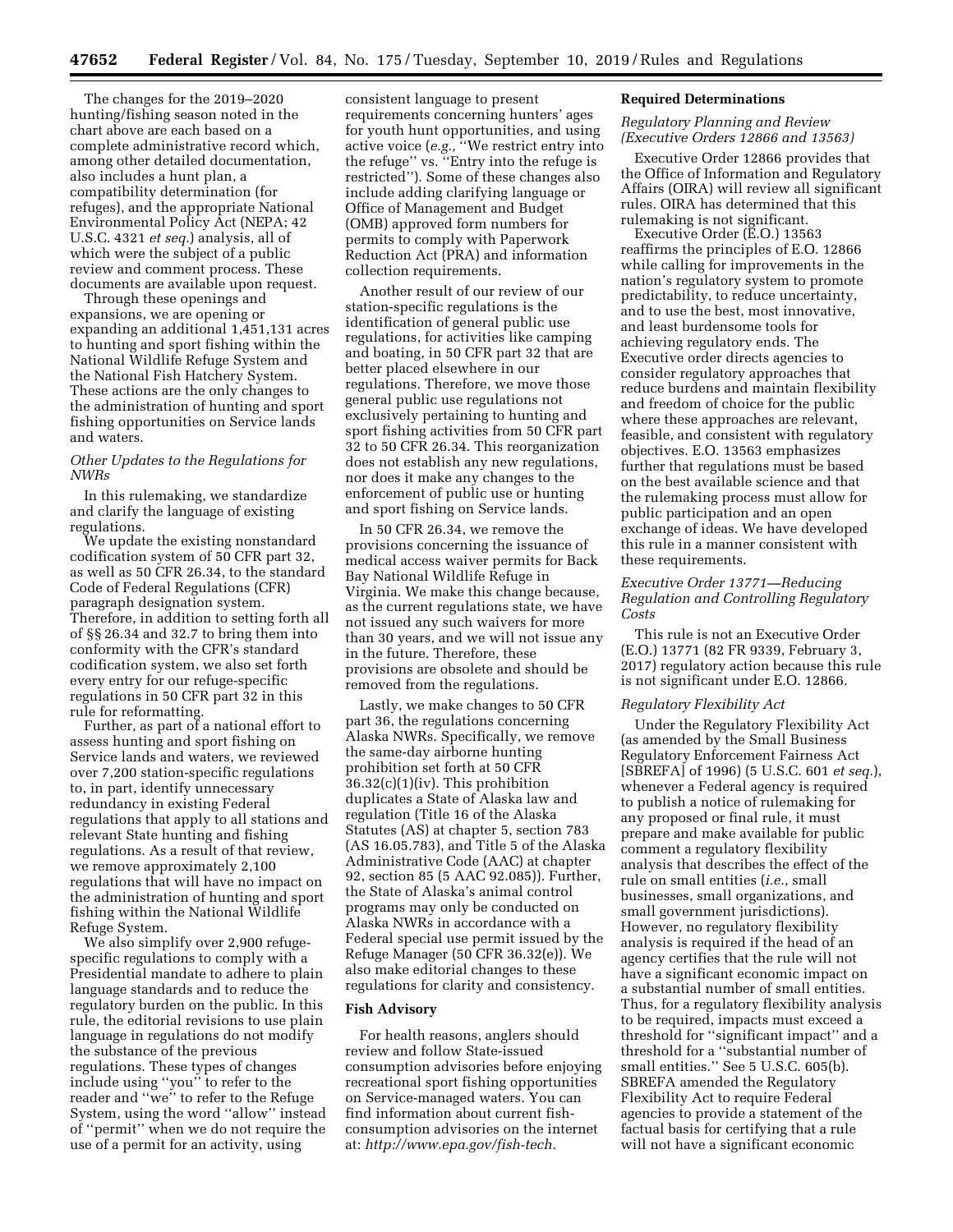The changes for the 2019–2020 hunting/fishing season noted in the chart above are each based on a complete administrative record which, among other detailed documentation, also includes a hunt plan, a compatibility determination (for refuges), and the appropriate National Environmental Policy Act (NEPA; 42 U.S.C. 4321 *et seq.*) analysis, all of which were the subject of a public review and comment process. These documents are available upon request.

Through these openings and expansions, we are opening or expanding an additional 1,451,131 acres to hunting and sport fishing within the National Wildlife Refuge System and the National Fish Hatchery System. These actions are the only changes to the administration of hunting and sport fishing opportunities on Service lands and waters.

## *Other Updates to the Regulations for NWRs*

In this rulemaking, we standardize and clarify the language of existing regulations.

We update the existing nonstandard codification system of 50 CFR part 32, as well as 50 CFR 26.34, to the standard Code of Federal Regulations (CFR) paragraph designation system. Therefore, in addition to setting forth all of §§ 26.34 and 32.7 to bring them into conformity with the CFR's standard codification system, we also set forth every entry for our refuge-specific regulations in 50 CFR part 32 in this rule for reformatting.

Further, as part of a national effort to assess hunting and sport fishing on Service lands and waters, we reviewed over 7,200 station-specific regulations to, in part, identify unnecessary redundancy in existing Federal regulations that apply to all stations and relevant State hunting and fishing regulations. As a result of that review, we remove approximately 2,100 regulations that will have no impact on the administration of hunting and sport fishing within the National Wildlife Refuge System.

We also simplify over 2,900 refugespecific regulations to comply with a Presidential mandate to adhere to plain language standards and to reduce the regulatory burden on the public. In this rule, the editorial revisions to use plain language in regulations do not modify the substance of the previous regulations. These types of changes include using ''you'' to refer to the reader and ''we'' to refer to the Refuge System, using the word ''allow'' instead of ''permit'' when we do not require the use of a permit for an activity, using

consistent language to present requirements concerning hunters' ages for youth hunt opportunities, and using active voice (*e.g.,* ''We restrict entry into the refuge'' vs. ''Entry into the refuge is restricted''). Some of these changes also include adding clarifying language or Office of Management and Budget (OMB) approved form numbers for permits to comply with Paperwork Reduction Act (PRA) and information collection requirements.

Another result of our review of our station-specific regulations is the identification of general public use regulations, for activities like camping and boating, in 50 CFR part 32 that are better placed elsewhere in our regulations. Therefore, we move those general public use regulations not exclusively pertaining to hunting and sport fishing activities from 50 CFR part 32 to 50 CFR 26.34. This reorganization does not establish any new regulations, nor does it make any changes to the enforcement of public use or hunting and sport fishing on Service lands.

In 50 CFR 26.34, we remove the provisions concerning the issuance of medical access waiver permits for Back Bay National Wildlife Refuge in Virginia. We make this change because, as the current regulations state, we have not issued any such waivers for more than 30 years, and we will not issue any in the future. Therefore, these provisions are obsolete and should be removed from the regulations.

Lastly, we make changes to 50 CFR part 36, the regulations concerning Alaska NWRs. Specifically, we remove the same-day airborne hunting prohibition set forth at 50 CFR 36.32(c)(1)(iv). This prohibition duplicates a State of Alaska law and regulation (Title 16 of the Alaska Statutes (AS) at chapter 5, section 783 (AS 16.05.783), and Title 5 of the Alaska Administrative Code (AAC) at chapter 92, section 85 (5 AAC 92.085)). Further, the State of Alaska's animal control programs may only be conducted on Alaska NWRs in accordance with a Federal special use permit issued by the Refuge Manager (50 CFR 36.32(e)). We also make editorial changes to these regulations for clarity and consistency.

### **Fish Advisory**

For health reasons, anglers should review and follow State-issued consumption advisories before enjoying recreational sport fishing opportunities on Service-managed waters. You can find information about current fishconsumption advisories on the internet at: *[http://www.epa.gov/fish-tech.](http://www.epa.gov/fish-tech)* 

#### **Required Determinations**

## *Regulatory Planning and Review (Executive Orders 12866 and 13563)*

Executive Order 12866 provides that the Office of Information and Regulatory Affairs (OIRA) will review all significant rules. OIRA has determined that this rulemaking is not significant.

Executive Order (E.O.) 13563 reaffirms the principles of E.O. 12866 while calling for improvements in the nation's regulatory system to promote predictability, to reduce uncertainty, and to use the best, most innovative, and least burdensome tools for achieving regulatory ends. The Executive order directs agencies to consider regulatory approaches that reduce burdens and maintain flexibility and freedom of choice for the public where these approaches are relevant, feasible, and consistent with regulatory objectives. E.O. 13563 emphasizes further that regulations must be based on the best available science and that the rulemaking process must allow for public participation and an open exchange of ideas. We have developed this rule in a manner consistent with these requirements.

# *Executive Order 13771—Reducing Regulation and Controlling Regulatory Costs*

This rule is not an Executive Order (E.O.) 13771 (82 FR 9339, February 3, 2017) regulatory action because this rule is not significant under E.O. 12866.

#### *Regulatory Flexibility Act*

Under the Regulatory Flexibility Act (as amended by the Small Business Regulatory Enforcement Fairness Act [SBREFA] of 1996) (5 U.S.C. 601 *et seq.*), whenever a Federal agency is required to publish a notice of rulemaking for any proposed or final rule, it must prepare and make available for public comment a regulatory flexibility analysis that describes the effect of the rule on small entities (*i.e.,* small businesses, small organizations, and small government jurisdictions). However, no regulatory flexibility analysis is required if the head of an agency certifies that the rule will not have a significant economic impact on a substantial number of small entities. Thus, for a regulatory flexibility analysis to be required, impacts must exceed a threshold for ''significant impact'' and a threshold for a ''substantial number of small entities.'' See 5 U.S.C. 605(b). SBREFA amended the Regulatory Flexibility Act to require Federal agencies to provide a statement of the factual basis for certifying that a rule will not have a significant economic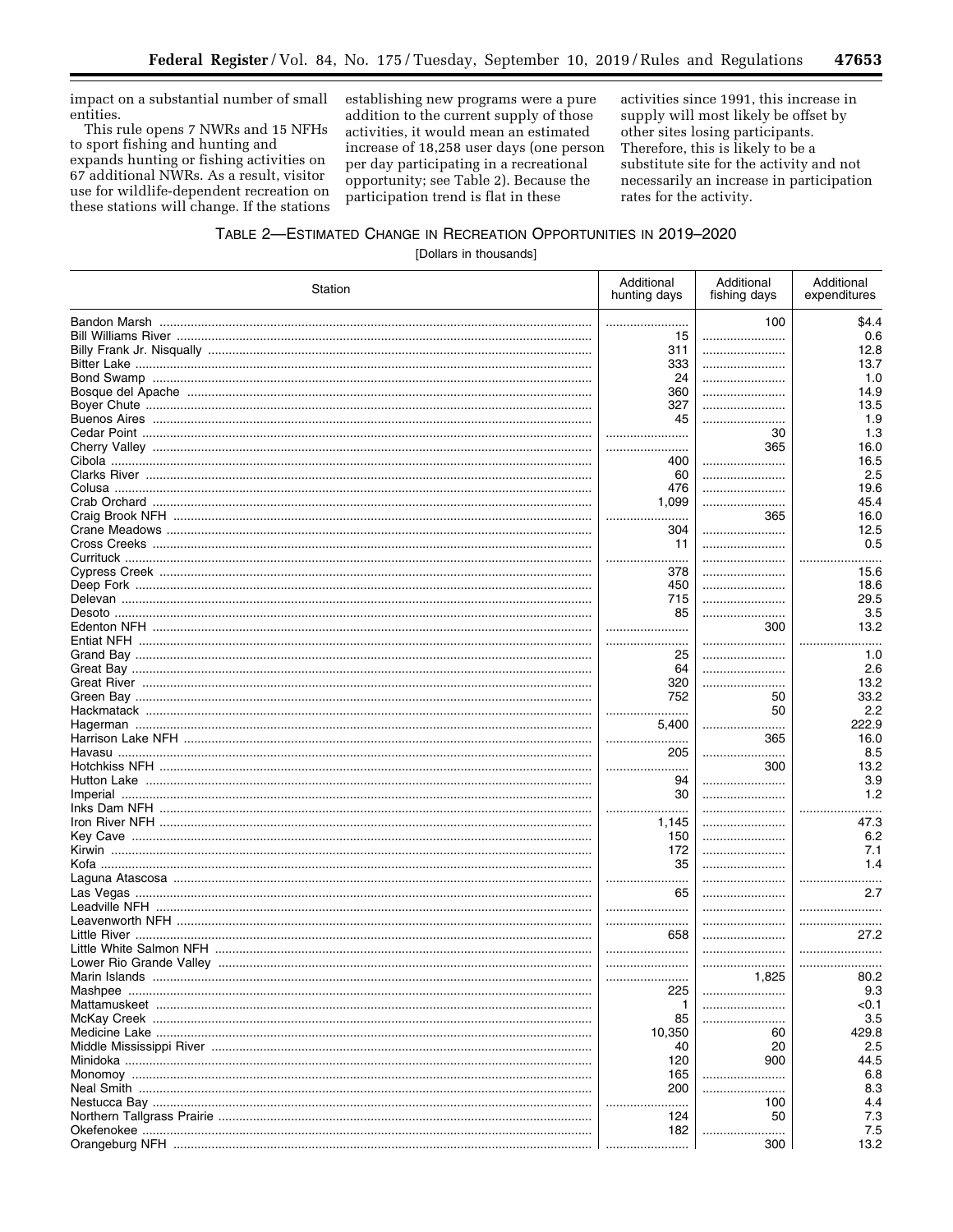impact on a substantial number of small entities.

This rule opens 7 NWRs and 15 NFHs to sport fishing and hunting and expands hunting or fishing activities on 67 additional NWRs. As a result, visitor use for wildlife-dependent recreation on these stations will change. If the stations establishing new programs were a pure addition to the current supply of those activities, it would mean an estimated increase of 18,258 user days (one person per day participating in a recreational opportunity; see Table 2). Because the participation trend is flat in these

activities since 1991, this increase in supply will most likely be offset by other sites losing participants. Therefore, this is likely to be a substitute site for the activity and not necessarily an increase in participation rates for the activity.

# TABLE 2-ESTIMATED CHANGE IN RECREATION OPPORTUNITIES IN 2019-2020

[Dollars in thousands]

| Station | Additional<br>hunting days | Additional<br>fishing days | Additional<br>expenditures |
|---------|----------------------------|----------------------------|----------------------------|
|         |                            | 100                        | \$4.4                      |
|         | 15                         |                            | 0.6                        |
|         | 311                        |                            | 12.8                       |
|         | 333                        |                            | 13.7                       |
|         |                            |                            |                            |
|         | 24                         |                            | 1.0                        |
|         | 360                        |                            | 14.9                       |
|         | 327                        |                            | 13.5                       |
|         | 45                         |                            | 1.9                        |
|         |                            | 30                         | 1.3                        |
|         |                            | 365                        | 16.0                       |
|         | 400                        |                            | 16.5                       |
|         | 60                         |                            | 2.5                        |
|         | 476                        |                            | 19.6                       |
|         | 1,099                      |                            | 45.4                       |
|         |                            | 365                        | 16.0                       |
|         | 304                        |                            | 12.5                       |
|         | 11                         |                            | 0.5                        |
|         |                            |                            |                            |
|         | 378                        |                            | .<br>15.6                  |
|         |                            |                            |                            |
|         | 450                        |                            | 18.6                       |
|         | 715                        |                            | 29.5                       |
|         | 85                         |                            | 3.5                        |
|         |                            | 300                        | 13.2                       |
|         |                            |                            |                            |
|         | 25                         |                            | 1.0                        |
|         | 64                         |                            | 2.6                        |
|         | 320                        |                            | 13.2                       |
|         | 752                        | 50                         | 33.2                       |
|         |                            | 50                         | 2.2                        |
|         | 5,400                      |                            | 222.9                      |
|         |                            | 365                        | 16.0                       |
|         | 205                        |                            | 8.5                        |
|         |                            | .<br>300                   | 13.2                       |
|         |                            |                            |                            |
|         | 94                         |                            | 3.9                        |
|         | 30                         |                            | 1.2                        |
|         |                            |                            |                            |
|         | 1,145                      |                            | 47.3                       |
|         | 150                        |                            | 6.2                        |
|         | 172                        |                            | 7.1                        |
|         | 35                         |                            | 1.4                        |
|         |                            |                            |                            |
|         | 65                         |                            | 2.7                        |
|         |                            |                            |                            |
|         |                            |                            |                            |
|         | 658                        |                            | <br>27.2                   |
|         |                            |                            |                            |
|         |                            |                            |                            |
|         |                            |                            |                            |
|         |                            | 1,825                      | 80.2                       |
|         | 225                        |                            | 9.3                        |
|         |                            |                            | <0.1                       |
|         | 85                         |                            | 3.5                        |
|         | 10,350                     | 60                         | 429.8                      |
|         | 40                         | 20                         | 2.5                        |
|         | 120                        | 900                        | 44.5                       |
|         | 165                        | .                          | 6.8                        |
|         |                            |                            |                            |
|         | 200                        |                            | 8.3                        |
|         | .                          | 100                        | 4.4                        |
|         | 124                        | 50                         | 7.3                        |
|         | 182                        |                            | 7.5                        |
|         |                            | 300                        | 13.2                       |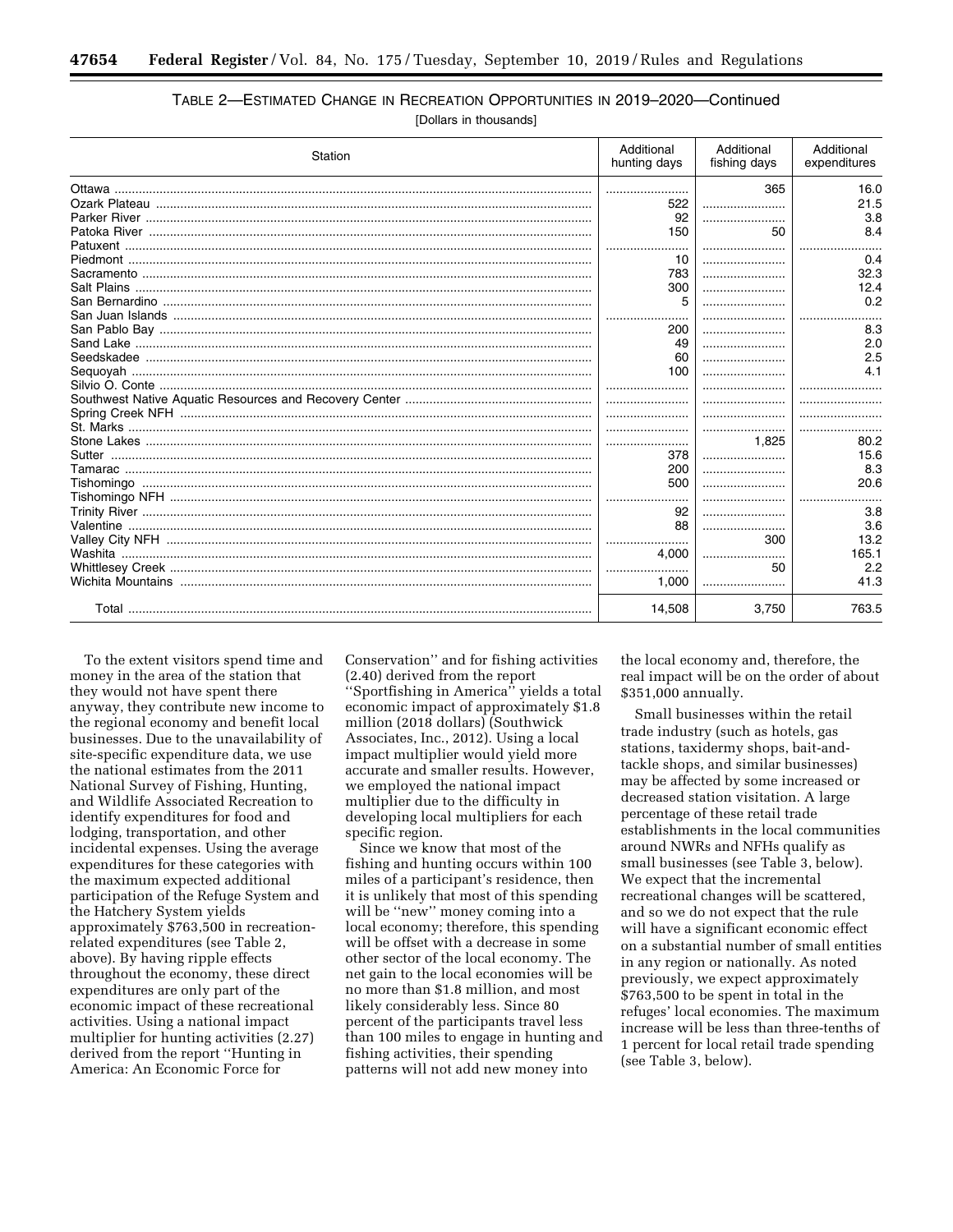| TABLE 2—ESTIMATED CHANGE IN RECREATION OPPORTUNITIES IN 2019-2020—Continued |
|-----------------------------------------------------------------------------|
| [Dollars in thousands]                                                      |

| Station | Additional<br>hunting days | Additional<br>fishing days | Additional<br>expenditures |
|---------|----------------------------|----------------------------|----------------------------|
|         |                            | 365                        | 16.0                       |
|         | 522                        |                            | 21.5                       |
|         | 92                         |                            | 3.8                        |
|         | 150                        | 50                         | 8.4                        |
|         |                            |                            |                            |
|         | 10                         |                            | 0.4                        |
|         | 783                        |                            | 32.3                       |
|         | 300                        |                            | 12.4                       |
|         | 5                          |                            | 0.2                        |
|         |                            |                            |                            |
|         | 200                        |                            | 8.3                        |
|         | 49                         |                            | 2.0                        |
|         | 60                         |                            | 2.5                        |
|         | 100                        |                            | 4.1                        |
|         |                            |                            |                            |
|         |                            |                            |                            |
|         |                            |                            |                            |
|         |                            |                            |                            |
|         |                            | 1,825                      | 80.2                       |
|         | 378                        |                            | 15.6                       |
|         | 200                        |                            | 8.3                        |
|         | 500                        |                            | 20.6                       |
|         |                            |                            |                            |
|         | 92                         |                            | 3.8                        |
|         | 88                         |                            | 3.6                        |
|         |                            | 300                        | 13.2                       |
|         | 4.000                      |                            | 165.1                      |
|         |                            | 50                         | 2.2                        |
|         | 1.000                      |                            | 41.3                       |
|         | 14,508                     | 3.750                      | 763.5                      |

To the extent visitors spend time and money in the area of the station that they would not have spent there anyway, they contribute new income to the regional economy and benefit local businesses. Due to the unavailability of site-specific expenditure data, we use the national estimates from the 2011 National Survey of Fishing, Hunting, and Wildlife Associated Recreation to identify expenditures for food and lodging, transportation, and other incidental expenses. Using the average expenditures for these categories with the maximum expected additional participation of the Refuge System and the Hatchery System yields approximately \$763,500 in recreationrelated expenditures (see Table 2, above). By having ripple effects throughout the economy, these direct expenditures are only part of the economic impact of these recreational activities. Using a national impact multiplier for hunting activities (2.27) derived from the report ''Hunting in America: An Economic Force for

Conservation'' and for fishing activities (2.40) derived from the report ''Sportfishing in America'' yields a total economic impact of approximately \$1.8 million (2018 dollars) (Southwick Associates, Inc., 2012). Using a local impact multiplier would yield more accurate and smaller results. However, we employed the national impact multiplier due to the difficulty in developing local multipliers for each specific region.

Since we know that most of the fishing and hunting occurs within 100 miles of a participant's residence, then it is unlikely that most of this spending will be "new" money coming into a local economy; therefore, this spending will be offset with a decrease in some other sector of the local economy. The net gain to the local economies will be no more than \$1.8 million, and most likely considerably less. Since 80 percent of the participants travel less than 100 miles to engage in hunting and fishing activities, their spending patterns will not add new money into

the local economy and, therefore, the real impact will be on the order of about \$351,000 annually.

Small businesses within the retail trade industry (such as hotels, gas stations, taxidermy shops, bait-andtackle shops, and similar businesses) may be affected by some increased or decreased station visitation. A large percentage of these retail trade establishments in the local communities around NWRs and NFHs qualify as small businesses (see Table 3, below). We expect that the incremental recreational changes will be scattered, and so we do not expect that the rule will have a significant economic effect on a substantial number of small entities in any region or nationally. As noted previously, we expect approximately \$763,500 to be spent in total in the refuges' local economies. The maximum increase will be less than three-tenths of 1 percent for local retail trade spending (see Table 3, below).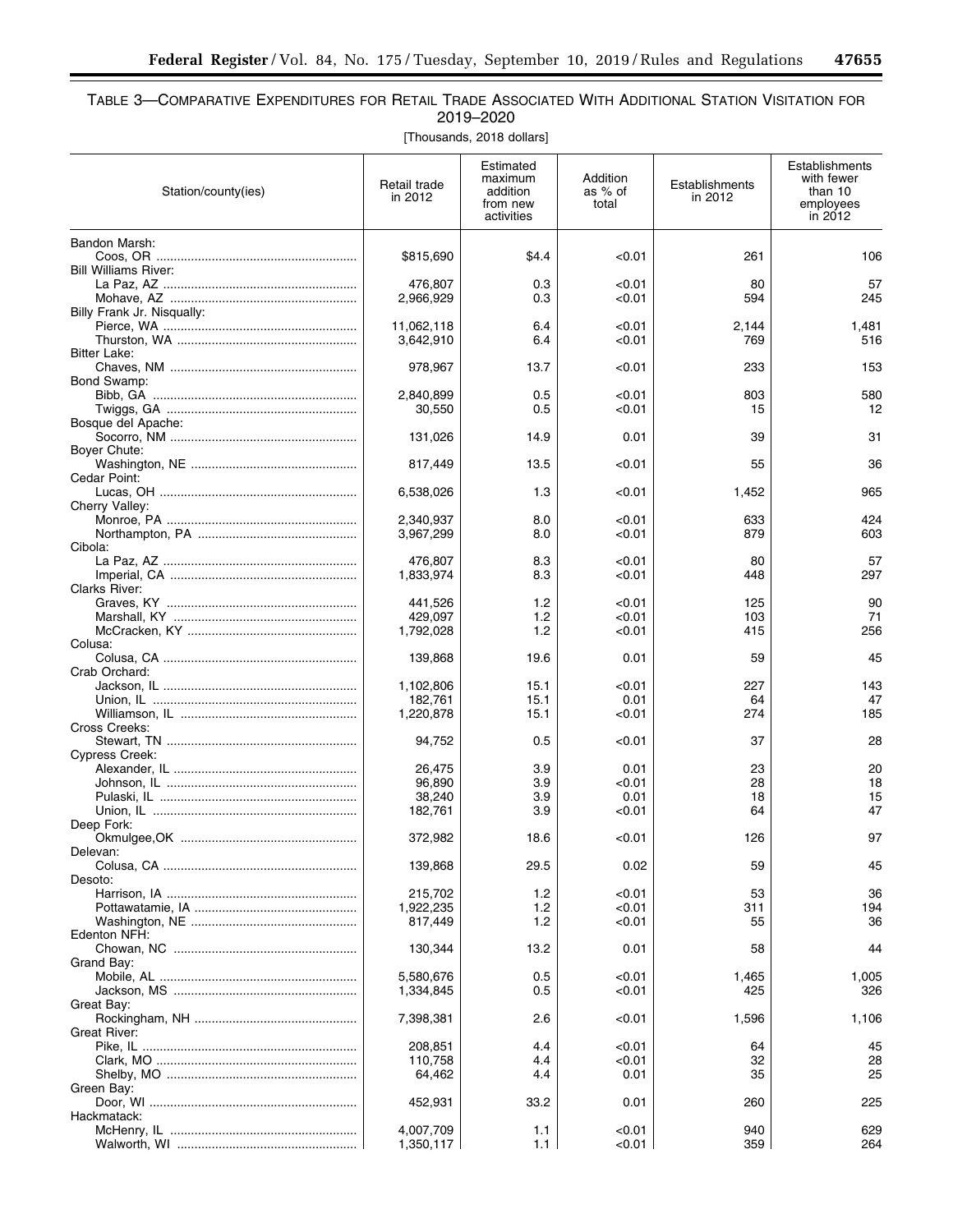# TABLE 3—COMPARATIVE EXPENDITURES FOR RETAIL TRADE ASSOCIATED WITH ADDITIONAL STATION VISITATION FOR 2019–2020

| [Thousands, 2018 dollars] |  |  |
|---------------------------|--|--|
|                           |  |  |

| Station/county(ies)         | Retail trade<br>in 2012 | Estimated<br>maximum<br>addition<br>from new<br>activities | Addition<br>as % of<br>total | Establishments<br>in 2012 | Establishments<br>with fewer<br>than 10<br>employees<br>in 2012 |
|-----------------------------|-------------------------|------------------------------------------------------------|------------------------------|---------------------------|-----------------------------------------------------------------|
| Bandon Marsh:               |                         |                                                            |                              |                           |                                                                 |
|                             | \$815,690               | \$4.4                                                      | < 0.01                       | 261                       | 106                                                             |
| <b>Bill Williams River:</b> | 476,807                 | 0.3                                                        | < 0.01                       | 80                        | 57                                                              |
|                             | 2,966,929               | 0.3                                                        | < 0.01                       | 594                       | 245                                                             |
| Billy Frank Jr. Nisqually:  |                         |                                                            |                              |                           |                                                                 |
|                             | 11,062,118              | 6.4                                                        | < 0.01                       | 2,144                     | 1,481                                                           |
|                             | 3,642,910               | 6.4                                                        | < 0.01                       | 769                       | 516                                                             |
| <b>Bitter Lake:</b>         | 978,967                 | 13.7                                                       | < 0.01                       | 233                       | 153                                                             |
| Bond Swamp:                 |                         |                                                            |                              |                           |                                                                 |
|                             | 2,840,899               | 0.5                                                        | < 0.01                       | 803                       | 580                                                             |
|                             | 30,550                  | 0.5                                                        | < 0.01                       | 15                        | 12                                                              |
| Bosque del Apache:          |                         | 14.9                                                       | 0.01                         | 39                        | 31                                                              |
| Boyer Chute:                | 131,026                 |                                                            |                              |                           |                                                                 |
|                             | 817,449                 | 13.5                                                       | < 0.01                       | 55                        | 36                                                              |
| Cedar Point:                |                         |                                                            |                              |                           |                                                                 |
|                             | 6,538,026               | 1.3                                                        | < 0.01                       | 1,452                     | 965                                                             |
| Cherry Valley:              | 2.340.937               | 8.0                                                        | < 0.01                       | 633                       | 424                                                             |
|                             | 3,967,299               | 8.0                                                        | < 0.01                       | 879                       | 603                                                             |
| Cibola:                     |                         |                                                            |                              |                           |                                                                 |
|                             | 476,807                 | 8.3                                                        | < 0.01                       | 80                        | 57                                                              |
| Clarks River:               | 1,833,974               | 8.3                                                        | < 0.01                       | 448                       | 297                                                             |
|                             | 441,526                 | 1.2                                                        | < 0.01                       | 125                       | 90                                                              |
|                             | 429,097                 | 1.2                                                        | < 0.01                       | 103                       | 71                                                              |
|                             | 1,792,028               | 1.2                                                        | < 0.01                       | 415                       | 256                                                             |
| Colusa:                     |                         |                                                            |                              |                           |                                                                 |
| Crab Orchard:               | 139,868                 | 19.6                                                       | 0.01                         | 59                        | 45                                                              |
|                             | 1,102,806               | 15.1                                                       | < 0.01                       | 227                       | 143                                                             |
|                             | 182,761                 | 15.1                                                       | 0.01                         | 64                        | 47                                                              |
|                             | 1,220,878               | 15.1                                                       | < 0.01                       | 274                       | 185                                                             |
| Cross Creeks:               | 94,752                  | 0.5                                                        | < 0.01                       | 37                        | 28                                                              |
| Cypress Creek:              |                         |                                                            |                              |                           |                                                                 |
|                             | 26,475                  | 3.9                                                        | 0.01                         | 23                        | 20                                                              |
|                             | 96,890                  | 3.9                                                        | < 0.01                       | 28                        | 18                                                              |
|                             | 38,240                  | 3.9                                                        | 0.01                         | 18                        | 15                                                              |
| Deep Fork:                  | 182,761                 | 3.9                                                        | < 0.01                       | 64                        | 47                                                              |
|                             | 372,982                 | 18.6                                                       | < 0.01                       | 126                       | 97                                                              |
| Delevan:                    |                         |                                                            |                              |                           |                                                                 |
|                             | 139,868                 | 29.5                                                       | 0.02                         | 59                        | 45                                                              |
| Desoto:                     | 215,702                 | 1.2                                                        | < 0.01                       | 53                        | 36                                                              |
|                             | 1,922,235               | 1.2                                                        | < 0.01                       | 311                       | 194                                                             |
|                             | 817,449                 | 1.2                                                        | < 0.01                       | 55                        | 36                                                              |
| Edenton NFH:                |                         |                                                            |                              |                           |                                                                 |
| Grand Bay:                  | 130,344                 | 13.2                                                       | 0.01                         | 58                        | 44                                                              |
|                             | 5,580,676               | 0.5                                                        | < 0.01                       | 1,465                     | 1,005                                                           |
|                             | 1,334,845               | 0.5                                                        | < 0.01                       | 425                       | 326                                                             |
| Great Bay:                  |                         |                                                            |                              |                           |                                                                 |
|                             | 7,398,381               | 2.6                                                        | < 0.01                       | 1,596                     | 1,106                                                           |
| Great River:                | 208,851                 | 4.4                                                        | < 0.01                       | 64                        | 45                                                              |
|                             | 110,758                 | 4.4                                                        | < 0.01                       | 32                        | 28                                                              |
|                             | 64,462                  | 4.4                                                        | 0.01                         | 35                        | 25                                                              |
| Green Bay:                  |                         |                                                            |                              |                           |                                                                 |
|                             | 452,931                 | 33.2                                                       | 0.01                         | 260                       | 225                                                             |
| Hackmatack:                 | 4,007,709               | 1.1                                                        | < 0.01                       | 940                       | 629                                                             |
|                             | 1,350,117               | 1.1                                                        | < 0.01                       | 359                       | 264                                                             |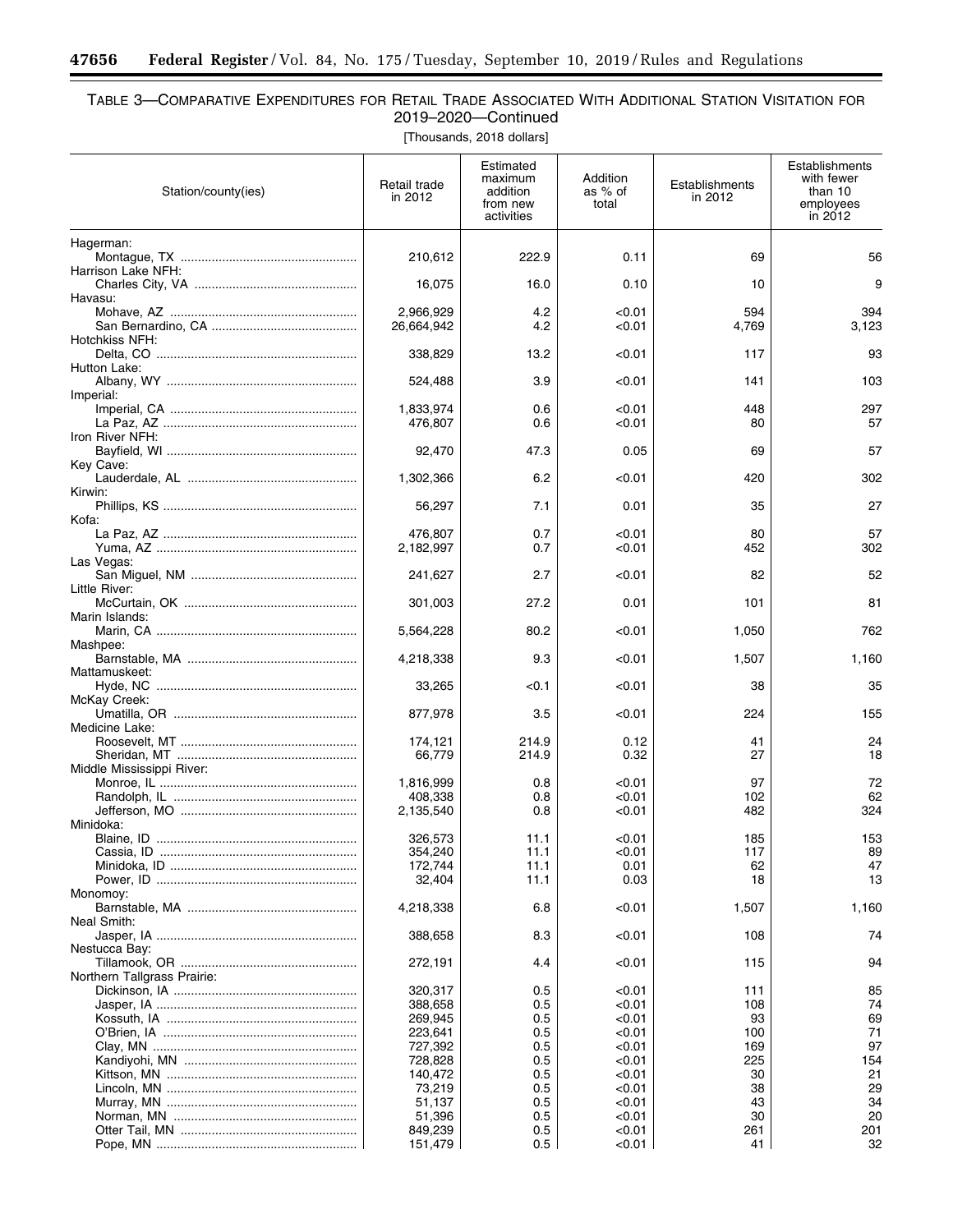۳

# TABLE 3—COMPARATIVE EXPENDITURES FOR RETAIL TRADE ASSOCIATED WITH ADDITIONAL STATION VISITATION FOR 2019–2020—Continued

۰

[Thousands, 2018 dollars]

| Station/county(ies)         | Retail trade<br>in 2012 | Estimated<br>maximum<br>addition<br>from new<br>activities | Addition<br>as % of<br>total | Establishments<br>in 2012 | Establishments<br>with fewer<br>than 10<br>employees<br>in 2012 |
|-----------------------------|-------------------------|------------------------------------------------------------|------------------------------|---------------------------|-----------------------------------------------------------------|
| Hagerman:                   |                         |                                                            |                              |                           |                                                                 |
|                             | 210,612                 | 222.9                                                      | 0.11                         | 69                        | 56                                                              |
| Harrison Lake NFH:          | 16,075                  | 16.0                                                       | 0.10                         | 10                        | 9                                                               |
| Havasu:                     |                         |                                                            |                              |                           |                                                                 |
|                             | 2,966,929<br>26,664,942 | 4.2<br>4.2                                                 | < 0.01<br>< 0.01             | 594<br>4,769              | 394<br>3,123                                                    |
| Hotchkiss NFH:              |                         |                                                            |                              |                           |                                                                 |
| Hutton Lake:                | 338,829                 | 13.2                                                       | < 0.01                       | 117                       | 93                                                              |
|                             | 524,488                 | 3.9                                                        | < 0.01                       | 141                       | 103                                                             |
| Imperial:                   |                         |                                                            |                              |                           |                                                                 |
|                             | 1,833,974<br>476,807    | 0.6<br>0.6                                                 | < 0.01<br><0.01              | 448<br>80                 | 297<br>57                                                       |
| Iron River NFH:             |                         |                                                            |                              |                           |                                                                 |
| Key Cave:                   | 92,470                  | 47.3                                                       | 0.05                         | 69                        | 57                                                              |
|                             | 1,302,366               | 6.2                                                        | < 0.01                       | 420                       | 302                                                             |
| Kirwin:                     |                         |                                                            |                              |                           |                                                                 |
| Kofa:                       | 56,297                  | 7.1                                                        | 0.01                         | 35                        | 27                                                              |
|                             | 476,807                 | 0.7                                                        | < 0.01                       | 80                        | 57                                                              |
| Las Vegas:                  | 2,182,997               | 0.7                                                        | < 0.01                       | 452                       | 302                                                             |
|                             | 241,627                 | 2.7                                                        | < 0.01                       | 82                        | 52                                                              |
| Little River:               |                         |                                                            |                              |                           |                                                                 |
| Marin Islands:              | 301,003                 | 27.2                                                       | 0.01                         | 101                       | 81                                                              |
|                             | 5,564,228               | 80.2                                                       | < 0.01                       | 1,050                     | 762                                                             |
| Mashpee:                    | 4,218,338               | 9.3                                                        | < 0.01                       | 1,507                     | 1,160                                                           |
| Mattamuskeet:               |                         |                                                            |                              |                           |                                                                 |
|                             | 33,265                  | < 0.1                                                      | < 0.01                       | 38                        | 35                                                              |
| McKay Creek:                | 877,978                 | 3.5                                                        | < 0.01                       | 224                       | 155                                                             |
| Medicine Lake:              |                         |                                                            |                              |                           |                                                                 |
|                             | 174,121<br>66,779       | 214.9<br>214.9                                             | 0.12<br>0.32                 | 41<br>27                  | 24<br>18                                                        |
| Middle Mississippi River:   |                         |                                                            |                              |                           |                                                                 |
|                             | 1,816,999<br>408,338    | 0.8<br>0.8                                                 | < 0.01<br><0.01              | 97<br>102                 | 72<br>62                                                        |
|                             | 2,135,540               | 0.8                                                        | < 0.01                       | 482                       | 324                                                             |
| Minidoka:                   |                         |                                                            |                              |                           |                                                                 |
|                             | 326,573<br>354,240      | 11.1<br>11.1                                               | < 0.01<br><0.01              | 185<br>117                | 153<br>89                                                       |
|                             | 172,744                 | 11.1                                                       | 0.01                         | 62                        | 47                                                              |
|                             | 32,404                  | 11.1                                                       | 0.03                         | 18                        | 13                                                              |
| Monomov:                    | 4,218,338               | 6.8                                                        | < 0.01                       | 1,507                     | 1,160                                                           |
| Neal Smith:                 |                         |                                                            |                              |                           |                                                                 |
|                             | 388,658                 | 8.3                                                        | < 0.01                       | 108                       | 74                                                              |
| Nestucca Bav:               | 272,191                 | 4.4                                                        | < 0.01                       | 115                       | 94                                                              |
| Northern Tallgrass Prairie: |                         |                                                            |                              |                           |                                                                 |
|                             | 320,317<br>388,658      | 0.5<br>0.5                                                 | < 0.01<br>< 0.01             | 111<br>108                | 85<br>74                                                        |
|                             | 269,945                 | 0.5                                                        | < 0.01                       | 93                        | 69                                                              |
|                             | 223,641                 | 0.5                                                        | < 0.01                       | 100                       | 71                                                              |
|                             | 727,392                 | 0.5                                                        | < 0.01                       | 169                       | 97                                                              |
|                             | 728,828                 | 0.5                                                        | < 0.01                       | 225                       | 154                                                             |
|                             | 140,472                 | 0.5                                                        | < 0.01                       | 30                        | 21                                                              |
|                             | 73,219                  | 0.5                                                        | < 0.01                       | 38                        | 29                                                              |
|                             | 51,137<br>51,396        | 0.5<br>0.5                                                 | < 0.01                       | 43                        | 34<br>20                                                        |
|                             | 849,239                 | 0.5                                                        | < 0.01<br>< 0.01             | 30<br>261                 | 201                                                             |
|                             | 151,479                 | 0.5                                                        | < 0.01                       | 41                        | 32                                                              |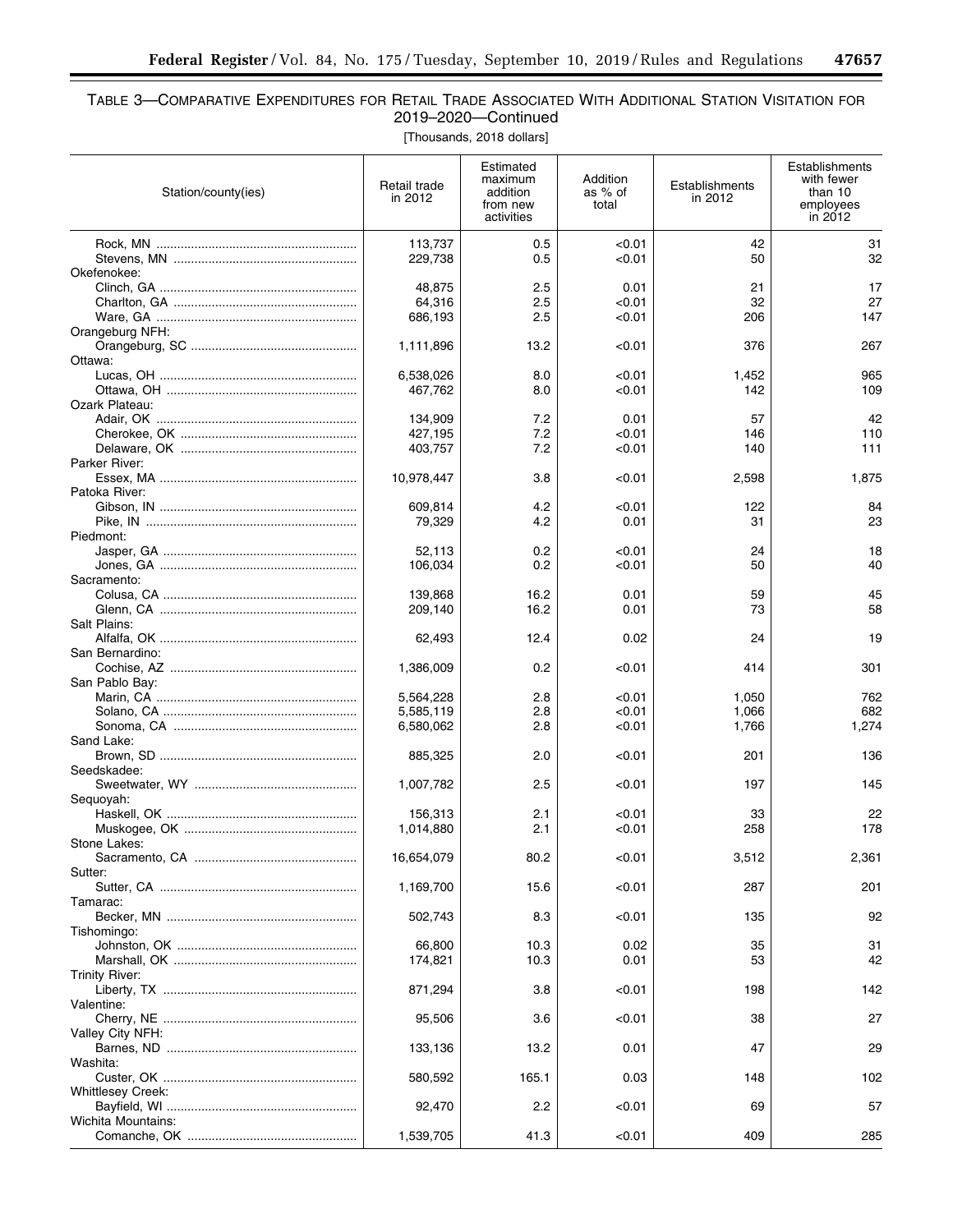# TABLE 3—COMPARATIVE EXPENDITURES FOR RETAIL TRADE ASSOCIATED WITH ADDITIONAL STATION VISITATION FOR 2019–2020—Continued

| [Thousands, 2018 dollars] |  |  |
|---------------------------|--|--|
|---------------------------|--|--|

| Station/county(ies)      | Retail trade<br>in 2012 | Estimated<br>maximum<br>addition<br>from new<br>activities | Addition<br>as % of<br>total | Establishments<br>in 2012 | Establishments<br>with fewer<br>than 10<br>employees<br>in 2012 |
|--------------------------|-------------------------|------------------------------------------------------------|------------------------------|---------------------------|-----------------------------------------------------------------|
|                          | 113,737                 | 0.5                                                        | < 0.01                       | 42                        | 31                                                              |
|                          | 229,738                 | 0.5                                                        | < 0.01                       | 50                        | 32                                                              |
| Okefenokee:              |                         |                                                            |                              |                           |                                                                 |
|                          | 48,875                  | 2.5                                                        | 0.01                         | 21                        | 17                                                              |
|                          | 64,316                  | 2.5                                                        | <0.01                        | 32                        | 27                                                              |
|                          | 686,193                 | 2.5                                                        | <0.01                        | 206                       | 147                                                             |
| Orangeburg NFH:          |                         | 13.2                                                       | <0.01                        | 376                       | 267                                                             |
| Ottawa:                  | 1,111,896               |                                                            |                              |                           |                                                                 |
|                          | 6,538,026               | 8.0                                                        | <0.01                        | 1,452                     | 965                                                             |
|                          | 467,762                 | 8.0                                                        | < 0.01                       | 142                       | 109                                                             |
| Ozark Plateau:           |                         |                                                            |                              |                           |                                                                 |
|                          | 134,909                 | 7.2                                                        | 0.01                         | 57                        | 42                                                              |
|                          | 427,195                 | 7.2                                                        | <0.01                        | 146                       | 110                                                             |
|                          | 403,757                 | 7.2                                                        | < 0.01                       | 140                       | 111                                                             |
| Parker River:            |                         |                                                            |                              |                           |                                                                 |
| Patoka River:            | 10,978,447              | 3.8                                                        | <0.01                        | 2,598                     | 1,875                                                           |
|                          | 609,814                 | 4.2                                                        | <0.01                        | 122                       | 84                                                              |
|                          | 79,329                  | 4.2                                                        | 0.01                         | 31                        | 23                                                              |
| Piedmont:                |                         |                                                            |                              |                           |                                                                 |
|                          | 52,113                  | 0.2                                                        | < 0.01                       | 24                        | 18                                                              |
|                          | 106,034                 | 0.2                                                        | <0.01                        | 50                        | 40                                                              |
| Sacramento:              |                         |                                                            |                              |                           |                                                                 |
|                          | 139.868                 | 16.2                                                       | 0.01                         | 59                        | 45                                                              |
|                          | 209,140                 | 16.2                                                       | 0.01                         | 73                        | 58                                                              |
| Salt Plains:             | 62,493                  | 12.4                                                       | 0.02                         | 24                        | 19                                                              |
| San Bernardino:          |                         |                                                            |                              |                           |                                                                 |
|                          | 1,386,009               | 0.2                                                        | <0.01                        | 414                       | 301                                                             |
| San Pablo Bay:           |                         |                                                            |                              |                           |                                                                 |
|                          | 5,564,228               | 2.8                                                        | <0.01                        | 1,050                     | 762                                                             |
|                          | 5,585,119               | 2.8                                                        | < 0.01                       | 1,066                     | 682                                                             |
|                          | 6,580,062               | 2.8                                                        | <0.01                        | 1,766                     | 1,274                                                           |
| Sand Lake:               |                         |                                                            |                              |                           |                                                                 |
| Seedskadee:              | 885,325                 | 2.0                                                        | <0.01                        | 201                       | 136                                                             |
|                          | 1,007,782               | 2.5                                                        | <0.01                        | 197                       | 145                                                             |
| Sequoyah:                |                         |                                                            |                              |                           |                                                                 |
|                          | 156,313                 | 2.1                                                        | <0.01                        | 33                        | 22                                                              |
|                          | 1,014,880               | 2.1                                                        | <0.01                        | 258                       | 178                                                             |
| Stone Lakes:             |                         |                                                            |                              |                           |                                                                 |
|                          | 16,654,079              | 80.2                                                       | <0.01                        | 3,512                     | 2,361                                                           |
| Sutter:                  |                         |                                                            |                              |                           |                                                                 |
| Tamarac:                 | 1,169,700               | 15.6                                                       | <0.01                        | 287                       | 201                                                             |
|                          | 502,743                 | 8.3                                                        | < 0.01                       | 135                       | 92                                                              |
| Tishomingo:              |                         |                                                            |                              |                           |                                                                 |
|                          | 66,800                  | 10.3                                                       | 0.02                         | 35                        | 31                                                              |
|                          | 174,821                 | 10.3                                                       | 0.01                         | 53                        | 42                                                              |
| Trinity River:           |                         |                                                            |                              |                           |                                                                 |
|                          | 871,294                 | 3.8                                                        | <0.01                        | 198                       | 142                                                             |
| Valentine:               |                         |                                                            |                              |                           |                                                                 |
|                          | 95,506                  | 3.6                                                        | <0.01                        | 38                        | 27                                                              |
| Valley City NFH:         | 133,136                 | 13.2                                                       | 0.01                         | 47                        | 29                                                              |
| Washita:                 |                         |                                                            |                              |                           |                                                                 |
|                          | 580,592                 | 165.1                                                      | 0.03                         | 148                       | 102                                                             |
| <b>Whittlesey Creek:</b> |                         |                                                            |                              |                           |                                                                 |
|                          | 92,470                  | 2.2                                                        | <0.01                        | 69                        | 57                                                              |
| Wichita Mountains:       |                         |                                                            |                              |                           |                                                                 |
|                          | 1,539,705               | 41.3                                                       | < 0.01                       | 409                       | 285                                                             |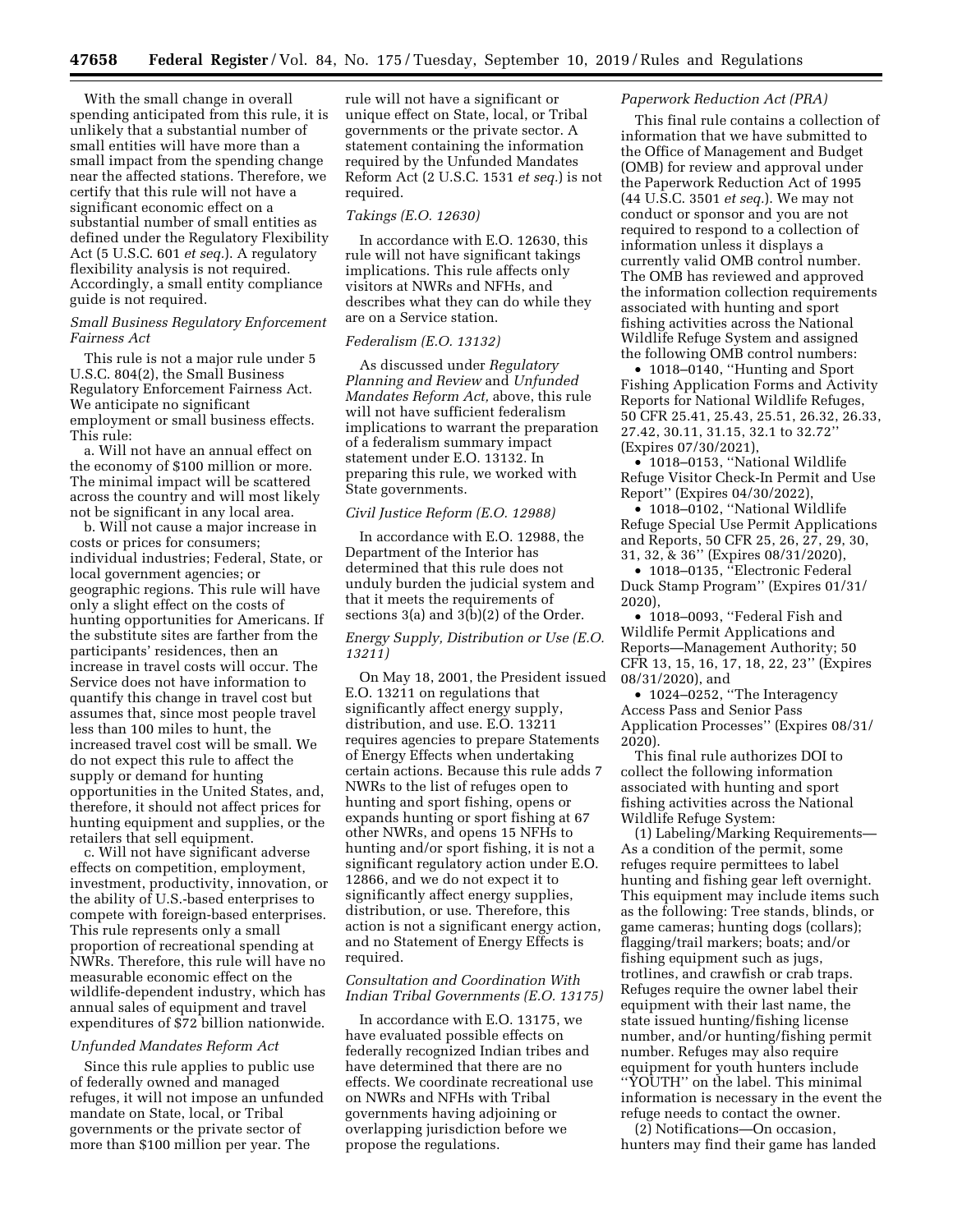With the small change in overall spending anticipated from this rule, it is unlikely that a substantial number of small entities will have more than a small impact from the spending change near the affected stations. Therefore, we certify that this rule will not have a significant economic effect on a substantial number of small entities as defined under the Regulatory Flexibility Act (5 U.S.C. 601 *et seq.*). A regulatory flexibility analysis is not required. Accordingly, a small entity compliance guide is not required.

# *Small Business Regulatory Enforcement Fairness Act*

This rule is not a major rule under 5 U.S.C. 804(2), the Small Business Regulatory Enforcement Fairness Act. We anticipate no significant employment or small business effects. This rule:

a. Will not have an annual effect on the economy of \$100 million or more. The minimal impact will be scattered across the country and will most likely not be significant in any local area.

b. Will not cause a major increase in costs or prices for consumers; individual industries; Federal, State, or local government agencies; or geographic regions. This rule will have only a slight effect on the costs of hunting opportunities for Americans. If the substitute sites are farther from the participants' residences, then an increase in travel costs will occur. The Service does not have information to quantify this change in travel cost but assumes that, since most people travel less than 100 miles to hunt, the increased travel cost will be small. We do not expect this rule to affect the supply or demand for hunting opportunities in the United States, and, therefore, it should not affect prices for hunting equipment and supplies, or the retailers that sell equipment.

c. Will not have significant adverse effects on competition, employment, investment, productivity, innovation, or the ability of U.S.-based enterprises to compete with foreign-based enterprises. This rule represents only a small proportion of recreational spending at NWRs. Therefore, this rule will have no measurable economic effect on the wildlife-dependent industry, which has annual sales of equipment and travel expenditures of \$72 billion nationwide.

#### *Unfunded Mandates Reform Act*

Since this rule applies to public use of federally owned and managed refuges, it will not impose an unfunded mandate on State, local, or Tribal governments or the private sector of more than \$100 million per year. The

rule will not have a significant or unique effect on State, local, or Tribal governments or the private sector. A statement containing the information required by the Unfunded Mandates Reform Act (2 U.S.C. 1531 *et seq.*) is not required.

#### *Takings (E.O. 12630)*

In accordance with E.O. 12630, this rule will not have significant takings implications. This rule affects only visitors at NWRs and NFHs, and describes what they can do while they are on a Service station.

### *Federalism (E.O. 13132)*

As discussed under *Regulatory Planning and Review* and *Unfunded Mandates Reform Act,* above, this rule will not have sufficient federalism implications to warrant the preparation of a federalism summary impact statement under E.O. 13132. In preparing this rule, we worked with State governments.

#### *Civil Justice Reform (E.O. 12988)*

In accordance with E.O. 12988, the Department of the Interior has determined that this rule does not unduly burden the judicial system and that it meets the requirements of sections 3(a) and 3(b)(2) of the Order.

# *Energy Supply, Distribution or Use (E.O. 13211)*

On May 18, 2001, the President issued E.O. 13211 on regulations that significantly affect energy supply, distribution, and use. E.O. 13211 requires agencies to prepare Statements of Energy Effects when undertaking certain actions. Because this rule adds 7 NWRs to the list of refuges open to hunting and sport fishing, opens or expands hunting or sport fishing at 67 other NWRs, and opens 15 NFHs to hunting and/or sport fishing, it is not a significant regulatory action under E.O. 12866, and we do not expect it to significantly affect energy supplies, distribution, or use. Therefore, this action is not a significant energy action, and no Statement of Energy Effects is required.

#### *Consultation and Coordination With Indian Tribal Governments (E.O. 13175)*

In accordance with E.O. 13175, we have evaluated possible effects on federally recognized Indian tribes and have determined that there are no effects. We coordinate recreational use on NWRs and NFHs with Tribal governments having adjoining or overlapping jurisdiction before we propose the regulations.

#### *Paperwork Reduction Act (PRA)*

This final rule contains a collection of information that we have submitted to the Office of Management and Budget (OMB) for review and approval under the Paperwork Reduction Act of 1995 (44 U.S.C. 3501 *et seq.*). We may not conduct or sponsor and you are not required to respond to a collection of information unless it displays a currently valid OMB control number. The OMB has reviewed and approved the information collection requirements associated with hunting and sport fishing activities across the National Wildlife Refuge System and assigned the following OMB control numbers:

• 1018–0140, "Hunting and Sport Fishing Application Forms and Activity Reports for National Wildlife Refuges, 50 CFR 25.41, 25.43, 25.51, 26.32, 26.33, 27.42, 30.11, 31.15, 32.1 to 32.72'' (Expires 07/30/2021),

• 1018–0153, ''National Wildlife Refuge Visitor Check-In Permit and Use Report'' (Expires 04/30/2022),

• 1018–0102, ''National Wildlife Refuge Special Use Permit Applications and Reports, 50 CFR 25, 26, 27, 29, 30, 31, 32, & 36'' (Expires 08/31/2020),

• 1018–0135, "Electronic Federal Duck Stamp Program'' (Expires 01/31/ 2020),

• 1018–0093, ''Federal Fish and Wildlife Permit Applications and Reports—Management Authority; 50 CFR 13, 15, 16, 17, 18, 22, 23'' (Expires 08/31/2020), and

• 1024–0252, ''The Interagency Access Pass and Senior Pass Application Processes'' (Expires 08/31/ 2020).

This final rule authorizes DOI to collect the following information associated with hunting and sport fishing activities across the National Wildlife Refuge System:

(1) Labeling/Marking Requirements— As a condition of the permit, some refuges require permittees to label hunting and fishing gear left overnight. This equipment may include items such as the following: Tree stands, blinds, or game cameras; hunting dogs (collars); flagging/trail markers; boats; and/or fishing equipment such as jugs, trotlines, and crawfish or crab traps. Refuges require the owner label their equipment with their last name, the state issued hunting/fishing license number, and/or hunting/fishing permit number. Refuges may also require equipment for youth hunters include ''YOUTH'' on the label. This minimal information is necessary in the event the refuge needs to contact the owner.

(2) Notifications—On occasion, hunters may find their game has landed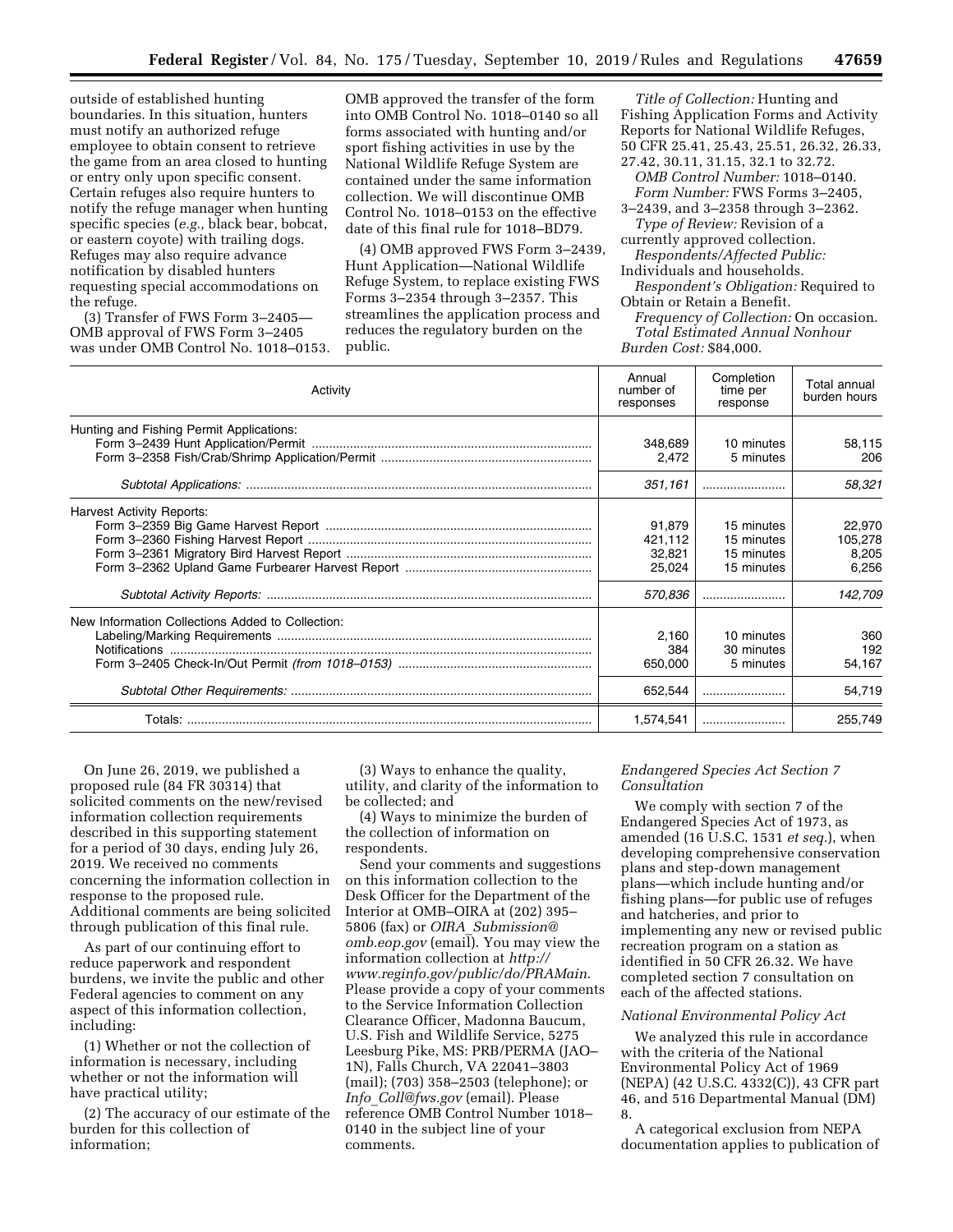outside of established hunting boundaries. In this situation, hunters must notify an authorized refuge employee to obtain consent to retrieve the game from an area closed to hunting or entry only upon specific consent. Certain refuges also require hunters to notify the refuge manager when hunting specific species (*e.g.,* black bear, bobcat, or eastern coyote) with trailing dogs. Refuges may also require advance notification by disabled hunters requesting special accommodations on the refuge.

(3) Transfer of FWS Form 3–2405— OMB approval of FWS Form 3–2405 was under OMB Control No. 1018–0153.

OMB approved the transfer of the form into OMB Control No. 1018–0140 so all forms associated with hunting and/or sport fishing activities in use by the National Wildlife Refuge System are contained under the same information collection. We will discontinue OMB Control No. 1018–0153 on the effective date of this final rule for 1018–BD79.

(4) OMB approved FWS Form 3–2439, Hunt Application—National Wildlife Refuge System, to replace existing FWS Forms 3–2354 through 3–2357. This streamlines the application process and reduces the regulatory burden on the public.

*Title of Collection:* Hunting and Fishing Application Forms and Activity Reports for National Wildlife Refuges, 50 CFR 25.41, 25.43, 25.51, 26.32, 26.33, 27.42, 30.11, 31.15, 32.1 to 32.72.

*OMB Control Number:* 1018–0140. *Form Number:* FWS Forms 3–2405,

3–2439, and 3–2358 through 3–2362. *Type of Review:* Revision of a

currently approved collection. *Respondents/Affected Public:* 

Individuals and households.

*Respondent's Obligation:* Required to Obtain or Retain a Benefit.

*Frequency of Collection:* On occasion. *Total Estimated Annual Nonhour Burden Cost:* \$84,000.

| Activity                                                          | Annual<br>number of<br>responses                 | Completion<br>time per<br>response                   | Total annual<br>burden hours                   |
|-------------------------------------------------------------------|--------------------------------------------------|------------------------------------------------------|------------------------------------------------|
| Hunting and Fishing Permit Applications:                          | 348,689<br>2,472                                 | 10 minutes<br>5 minutes                              | 58,115<br>206                                  |
|                                                                   | 351,161                                          |                                                      | 58,321                                         |
| <b>Harvest Activity Reports:</b>                                  | 91.879<br>421,112<br>32,821<br>25,024<br>570.836 | 15 minutes<br>15 minutes<br>15 minutes<br>15 minutes | 22,970<br>105,278<br>8,205<br>6,256<br>142,709 |
| New Information Collections Added to Collection:<br>Notifications | 2,160<br>384<br>650,000<br>652,544               | 10 minutes<br>30 minutes<br>5 minutes                | 360<br>192<br>54,167<br>54,719                 |
|                                                                   | 1,574,541                                        |                                                      | 255,749                                        |

On June 26, 2019, we published a proposed rule (84 FR 30314) that solicited comments on the new/revised information collection requirements described in this supporting statement for a period of 30 days, ending July 26, 2019. We received no comments concerning the information collection in response to the proposed rule. Additional comments are being solicited through publication of this final rule.

As part of our continuing effort to reduce paperwork and respondent burdens, we invite the public and other Federal agencies to comment on any aspect of this information collection, including:

(1) Whether or not the collection of information is necessary, including whether or not the information will have practical utility;

(2) The accuracy of our estimate of the burden for this collection of information;

(3) Ways to enhance the quality, utility, and clarity of the information to be collected; and

(4) Ways to minimize the burden of the collection of information on respondents.

Send your comments and suggestions on this information collection to the Desk Officer for the Department of the Interior at OMB–OIRA at (202) 395– 5806 (fax) or *OIRA*\_*[Submission@](mailto:OIRA_Submission@omb.eop.gov) [omb.eop.gov](mailto:OIRA_Submission@omb.eop.gov)* (email). You may view the information collection at *[http://](http://www.reginfo.gov/public/do/PRAMain) [www.reginfo.gov/public/do/PRAMain](http://www.reginfo.gov/public/do/PRAMain)*. Please provide a copy of your comments to the Service Information Collection Clearance Officer, Madonna Baucum, U.S. Fish and Wildlife Service, 5275 Leesburg Pike, MS: PRB/PERMA (JAO– 1N), Falls Church, VA 22041–3803 (mail); (703) 358–2503 (telephone); or *Info*\_*[Coll@fws.gov](mailto:Info_Coll@fws.gov)* (email). Please reference OMB Control Number 1018– 0140 in the subject line of your comments.

# *Endangered Species Act Section 7 Consultation*

We comply with section 7 of the Endangered Species Act of 1973, as amended (16 U.S.C. 1531 *et seq.*), when developing comprehensive conservation plans and step-down management plans—which include hunting and/or fishing plans—for public use of refuges and hatcheries, and prior to implementing any new or revised public recreation program on a station as identified in 50 CFR 26.32. We have completed section 7 consultation on each of the affected stations.

#### *National Environmental Policy Act*

We analyzed this rule in accordance with the criteria of the National Environmental Policy Act of 1969 (NEPA) (42 U.S.C. 4332(C)), 43 CFR part 46, and 516 Departmental Manual (DM) 8.

A categorical exclusion from NEPA documentation applies to publication of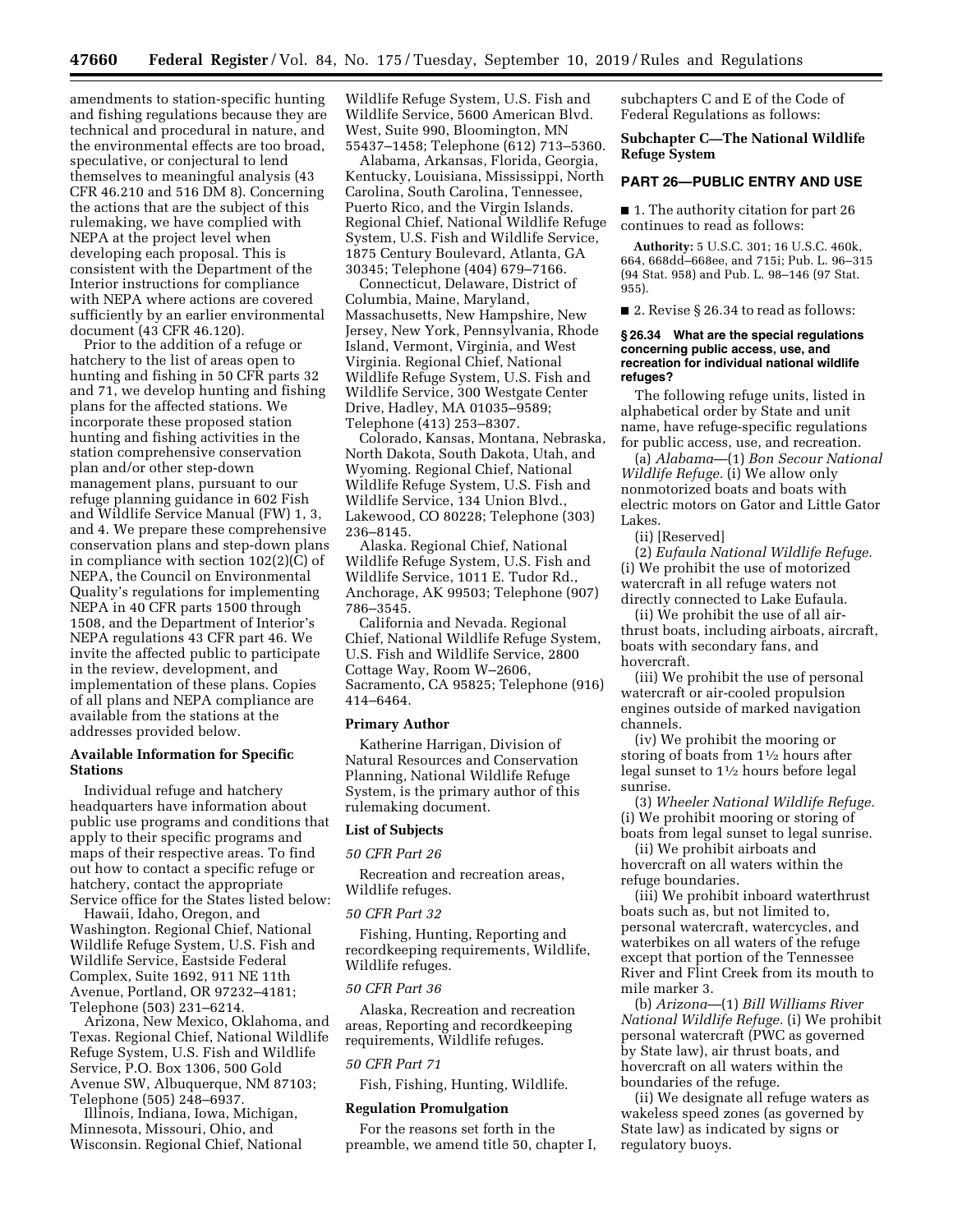amendments to station-specific hunting and fishing regulations because they are technical and procedural in nature, and the environmental effects are too broad, speculative, or conjectural to lend themselves to meaningful analysis (43 CFR 46.210 and 516 DM 8). Concerning the actions that are the subject of this rulemaking, we have complied with NEPA at the project level when developing each proposal. This is consistent with the Department of the Interior instructions for compliance with NEPA where actions are covered sufficiently by an earlier environmental document (43 CFR 46.120).

Prior to the addition of a refuge or hatchery to the list of areas open to hunting and fishing in 50 CFR parts 32 and 71, we develop hunting and fishing plans for the affected stations. We incorporate these proposed station hunting and fishing activities in the station comprehensive conservation plan and/or other step-down management plans, pursuant to our refuge planning guidance in 602 Fish and Wildlife Service Manual (FW) 1, 3, and 4. We prepare these comprehensive conservation plans and step-down plans in compliance with section 102(2)(C) of NEPA, the Council on Environmental Quality's regulations for implementing NEPA in 40 CFR parts 1500 through 1508, and the Department of Interior's NEPA regulations 43 CFR part 46. We invite the affected public to participate in the review, development, and implementation of these plans. Copies of all plans and NEPA compliance are available from the stations at the addresses provided below.

## **Available Information for Specific Stations**

Individual refuge and hatchery headquarters have information about public use programs and conditions that apply to their specific programs and maps of their respective areas. To find out how to contact a specific refuge or hatchery, contact the appropriate Service office for the States listed below:

Hawaii, Idaho, Oregon, and Washington. Regional Chief, National Wildlife Refuge System, U.S. Fish and Wildlife Service, Eastside Federal Complex, Suite 1692, 911 NE 11th Avenue, Portland, OR 97232–4181; Telephone (503) 231–6214.

Arizona, New Mexico, Oklahoma, and Texas. Regional Chief, National Wildlife Refuge System, U.S. Fish and Wildlife Service, P.O. Box 1306, 500 Gold Avenue SW, Albuquerque, NM 87103; Telephone (505) 248–6937.

Illinois, Indiana, Iowa, Michigan, Minnesota, Missouri, Ohio, and Wisconsin. Regional Chief, National Wildlife Refuge System, U.S. Fish and Wildlife Service, 5600 American Blvd. West, Suite 990, Bloomington, MN 55437–1458; Telephone (612) 713–5360.

Alabama, Arkansas, Florida, Georgia, Kentucky, Louisiana, Mississippi, North Carolina, South Carolina, Tennessee, Puerto Rico, and the Virgin Islands. Regional Chief, National Wildlife Refuge System, U.S. Fish and Wildlife Service, 1875 Century Boulevard, Atlanta, GA 30345; Telephone (404) 679–7166.

Connecticut, Delaware, District of Columbia, Maine, Maryland, Massachusetts, New Hampshire, New Jersey, New York, Pennsylvania, Rhode Island, Vermont, Virginia, and West Virginia. Regional Chief, National Wildlife Refuge System, U.S. Fish and Wildlife Service, 300 Westgate Center Drive, Hadley, MA 01035–9589; Telephone (413) 253–8307.

Colorado, Kansas, Montana, Nebraska, North Dakota, South Dakota, Utah, and Wyoming. Regional Chief, National Wildlife Refuge System, U.S. Fish and Wildlife Service, 134 Union Blvd., Lakewood, CO 80228; Telephone (303) 236–8145.

Alaska. Regional Chief, National Wildlife Refuge System, U.S. Fish and Wildlife Service, 1011 E. Tudor Rd., Anchorage, AK 99503; Telephone (907) 786–3545.

California and Nevada. Regional Chief, National Wildlife Refuge System, U.S. Fish and Wildlife Service, 2800 Cottage Way, Room W–2606, Sacramento, CA 95825; Telephone (916) 414–6464.

## **Primary Author**

Katherine Harrigan, Division of Natural Resources and Conservation Planning, National Wildlife Refuge System, is the primary author of this rulemaking document.

#### **List of Subjects**

*50 CFR Part 26* 

Recreation and recreation areas, Wildlife refuges.

#### *50 CFR Part 32*

Fishing, Hunting, Reporting and recordkeeping requirements, Wildlife, Wildlife refuges.

#### *50 CFR Part 36*

Alaska, Recreation and recreation areas, Reporting and recordkeeping requirements, Wildlife refuges.

# *50 CFR Part 71*

Fish, Fishing, Hunting, Wildlife.

## **Regulation Promulgation**

For the reasons set forth in the preamble, we amend title 50, chapter I,

subchapters C and E of the Code of Federal Regulations as follows:

# **Subchapter C—The National Wildlife Refuge System**

## **PART 26—PUBLIC ENTRY AND USE**

■ 1. The authority citation for part 26 continues to read as follows:

**Authority:** 5 U.S.C. 301; 16 U.S.C. 460k, 664, 668dd–668ee, and 715i; Pub. L. 96–315 (94 Stat. 958) and Pub. L. 98–146 (97 Stat. 955).

■ 2. Revise § 26.34 to read as follows:

#### **§ 26.34 What are the special regulations concerning public access, use, and recreation for individual national wildlife refuges?**

The following refuge units, listed in alphabetical order by State and unit name, have refuge-specific regulations for public access, use, and recreation.

(a) *Alabama*—(1) *Bon Secour National Wildlife Refuge.* (i) We allow only nonmotorized boats and boats with electric motors on Gator and Little Gator Lakes.

(ii) [Reserved]

(2) *Eufaula National Wildlife Refuge.*  (i) We prohibit the use of motorized watercraft in all refuge waters not directly connected to Lake Eufaula.

(ii) We prohibit the use of all airthrust boats, including airboats, aircraft, boats with secondary fans, and hovercraft.

(iii) We prohibit the use of personal watercraft or air-cooled propulsion engines outside of marked navigation channels.

(iv) We prohibit the mooring or storing of boats from  $1\frac{1}{2}$  hours after legal sunset to 11⁄2 hours before legal sunrise.

(3) *Wheeler National Wildlife Refuge.*  (i) We prohibit mooring or storing of boats from legal sunset to legal sunrise.

(ii) We prohibit airboats and hovercraft on all waters within the refuge boundaries.

(iii) We prohibit inboard waterthrust boats such as, but not limited to, personal watercraft, watercycles, and waterbikes on all waters of the refuge except that portion of the Tennessee River and Flint Creek from its mouth to mile marker 3.

(b) *Arizona*—(1) *Bill Williams River National Wildlife Refuge.* (i) We prohibit personal watercraft (PWC as governed by State law), air thrust boats, and hovercraft on all waters within the boundaries of the refuge.

(ii) We designate all refuge waters as wakeless speed zones (as governed by State law) as indicated by signs or regulatory buoys.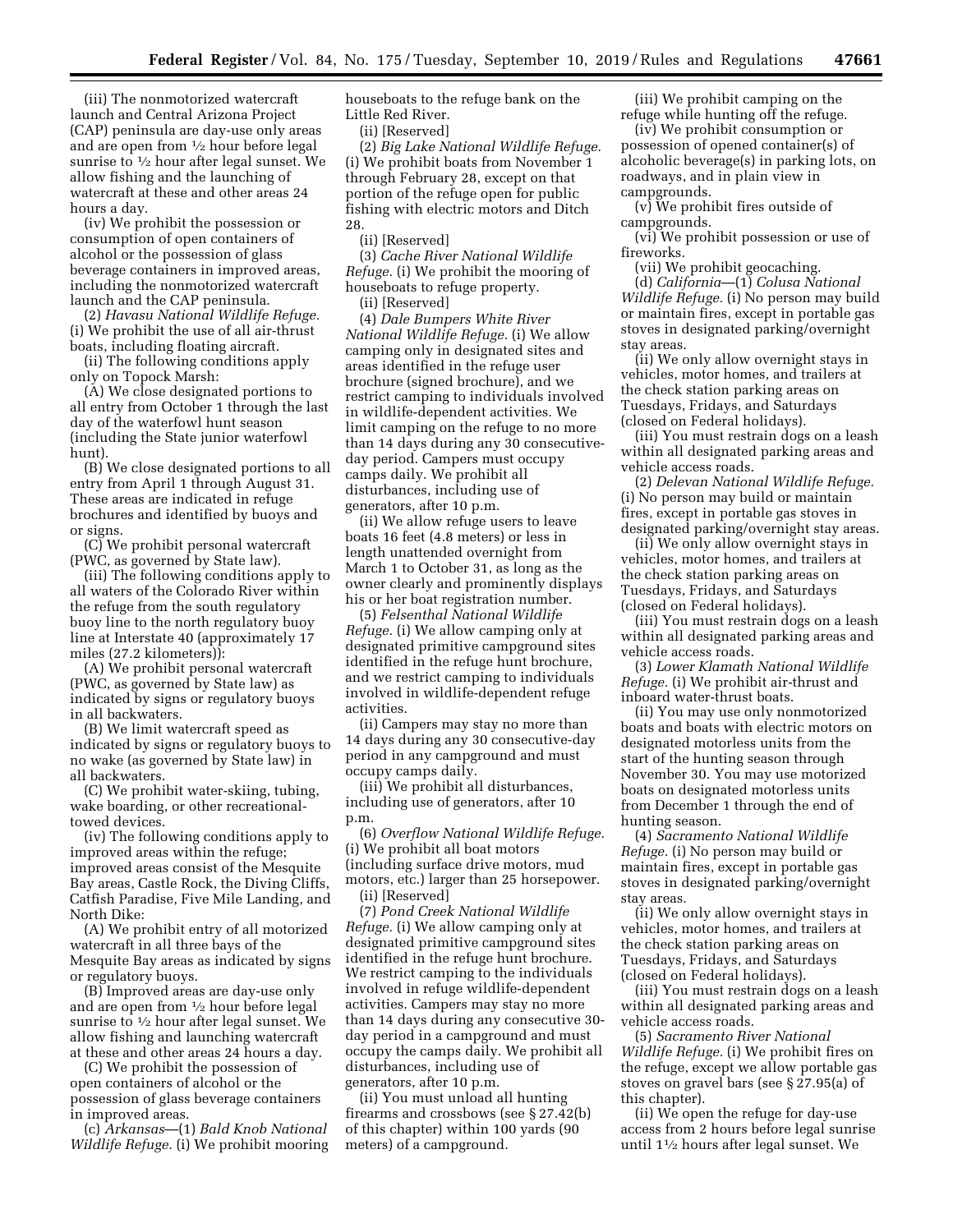(iii) The nonmotorized watercraft launch and Central Arizona Project (CAP) peninsula are day-use only areas and are open from 1⁄2 hour before legal sunrise to 1⁄2 hour after legal sunset. We allow fishing and the launching of watercraft at these and other areas 24 hours a day.

(iv) We prohibit the possession or consumption of open containers of alcohol or the possession of glass beverage containers in improved areas, including the nonmotorized watercraft launch and the CAP peninsula.

(2) *Havasu National Wildlife Refuge.*  (i) We prohibit the use of all air-thrust boats, including floating aircraft.

(ii) The following conditions apply only on Topock Marsh:

(A) We close designated portions to all entry from October 1 through the last day of the waterfowl hunt season (including the State junior waterfowl hunt).

(B) We close designated portions to all entry from April 1 through August 31. These areas are indicated in refuge brochures and identified by buoys and or signs.

(C) We prohibit personal watercraft (PWC, as governed by State law).

(iii) The following conditions apply to all waters of the Colorado River within the refuge from the south regulatory buoy line to the north regulatory buoy line at Interstate 40 (approximately 17 miles (27.2 kilometers)):

(A) We prohibit personal watercraft (PWC, as governed by State law) as indicated by signs or regulatory buoys in all backwaters.

(B) We limit watercraft speed as indicated by signs or regulatory buoys to no wake (as governed by State law) in all backwaters.

(C) We prohibit water-skiing, tubing, wake boarding, or other recreationaltowed devices.

(iv) The following conditions apply to improved areas within the refuge; improved areas consist of the Mesquite Bay areas, Castle Rock, the Diving Cliffs, Catfish Paradise, Five Mile Landing, and North Dike:

(A) We prohibit entry of all motorized watercraft in all three bays of the Mesquite Bay areas as indicated by signs or regulatory buoys.

(B) Improved areas are day-use only and are open from 1⁄2 hour before legal sunrise to  $\frac{1}{2}$  hour after legal sunset. We allow fishing and launching watercraft at these and other areas 24 hours a day.

(C) We prohibit the possession of open containers of alcohol or the possession of glass beverage containers in improved areas.

(c) *Arkansas*—(1) *Bald Knob National Wildlife Refuge.* (i) We prohibit mooring houseboats to the refuge bank on the Little Red River.

(ii) [Reserved]

(2) *Big Lake National Wildlife Refuge.*  (i) We prohibit boats from November 1 through February 28, except on that portion of the refuge open for public fishing with electric motors and Ditch 28.

(ii) [Reserved]

(3) *Cache River National Wildlife Refuge.* (i) We prohibit the mooring of houseboats to refuge property.

(ii) [Reserved]

(4) *Dale Bumpers White River National Wildlife Refuge.* (i) We allow camping only in designated sites and areas identified in the refuge user brochure (signed brochure), and we restrict camping to individuals involved in wildlife-dependent activities. We limit camping on the refuge to no more than 14 days during any 30 consecutiveday period. Campers must occupy camps daily. We prohibit all disturbances, including use of generators, after 10 p.m.

(ii) We allow refuge users to leave boats 16 feet (4.8 meters) or less in length unattended overnight from March 1 to October 31, as long as the owner clearly and prominently displays his or her boat registration number.

(5) *Felsenthal National Wildlife Refuge.* (i) We allow camping only at designated primitive campground sites identified in the refuge hunt brochure, and we restrict camping to individuals involved in wildlife-dependent refuge activities.

(ii) Campers may stay no more than 14 days during any 30 consecutive-day period in any campground and must occupy camps daily.

(iii) We prohibit all disturbances, including use of generators, after 10 p.m.

(6) *Overflow National Wildlife Refuge.*  (i) We prohibit all boat motors (including surface drive motors, mud motors, etc.) larger than 25 horsepower. (ii) [Reserved]

(7) *Pond Creek National Wildlife Refuge.* (i) We allow camping only at designated primitive campground sites identified in the refuge hunt brochure. We restrict camping to the individuals involved in refuge wildlife-dependent activities. Campers may stay no more than 14 days during any consecutive 30 day period in a campground and must occupy the camps daily. We prohibit all disturbances, including use of generators, after 10 p.m.

(ii) You must unload all hunting firearms and crossbows (see § 27.42(b) of this chapter) within 100 yards (90 meters) of a campground.

(iii) We prohibit camping on the refuge while hunting off the refuge.

(iv) We prohibit consumption or possession of opened container(s) of alcoholic beverage(s) in parking lots, on roadways, and in plain view in campgrounds.

(v) We prohibit fires outside of campgrounds.

(vi) We prohibit possession or use of fireworks.

(vii) We prohibit geocaching. (d) *California*—(1) *Colusa National Wildlife Refuge.* (i) No person may build or maintain fires, except in portable gas stoves in designated parking/overnight stay areas.

(ii) We only allow overnight stays in vehicles, motor homes, and trailers at the check station parking areas on Tuesdays, Fridays, and Saturdays (closed on Federal holidays).

(iii) You must restrain dogs on a leash within all designated parking areas and vehicle access roads.

(2) *Delevan National Wildlife Refuge.*  (i) No person may build or maintain fires, except in portable gas stoves in designated parking/overnight stay areas.

(ii) We only allow overnight stays in vehicles, motor homes, and trailers at the check station parking areas on Tuesdays, Fridays, and Saturdays (closed on Federal holidays).

(iii) You must restrain dogs on a leash within all designated parking areas and vehicle access roads.

(3) *Lower Klamath National Wildlife Refuge.* (i) We prohibit air-thrust and inboard water-thrust boats.

(ii) You may use only nonmotorized boats and boats with electric motors on designated motorless units from the start of the hunting season through November 30. You may use motorized boats on designated motorless units from December 1 through the end of hunting season.

(4) *Sacramento National Wildlife Refuge.* (i) No person may build or maintain fires, except in portable gas stoves in designated parking/overnight stay areas.

(ii) We only allow overnight stays in vehicles, motor homes, and trailers at the check station parking areas on Tuesdays, Fridays, and Saturdays (closed on Federal holidays).

(iii) You must restrain dogs on a leash within all designated parking areas and vehicle access roads.

(5) *Sacramento River National Wildlife Refuge.* (i) We prohibit fires on the refuge, except we allow portable gas stoves on gravel bars (see § 27.95(a) of this chapter).

(ii) We open the refuge for day-use access from 2 hours before legal sunrise until 11⁄2 hours after legal sunset. We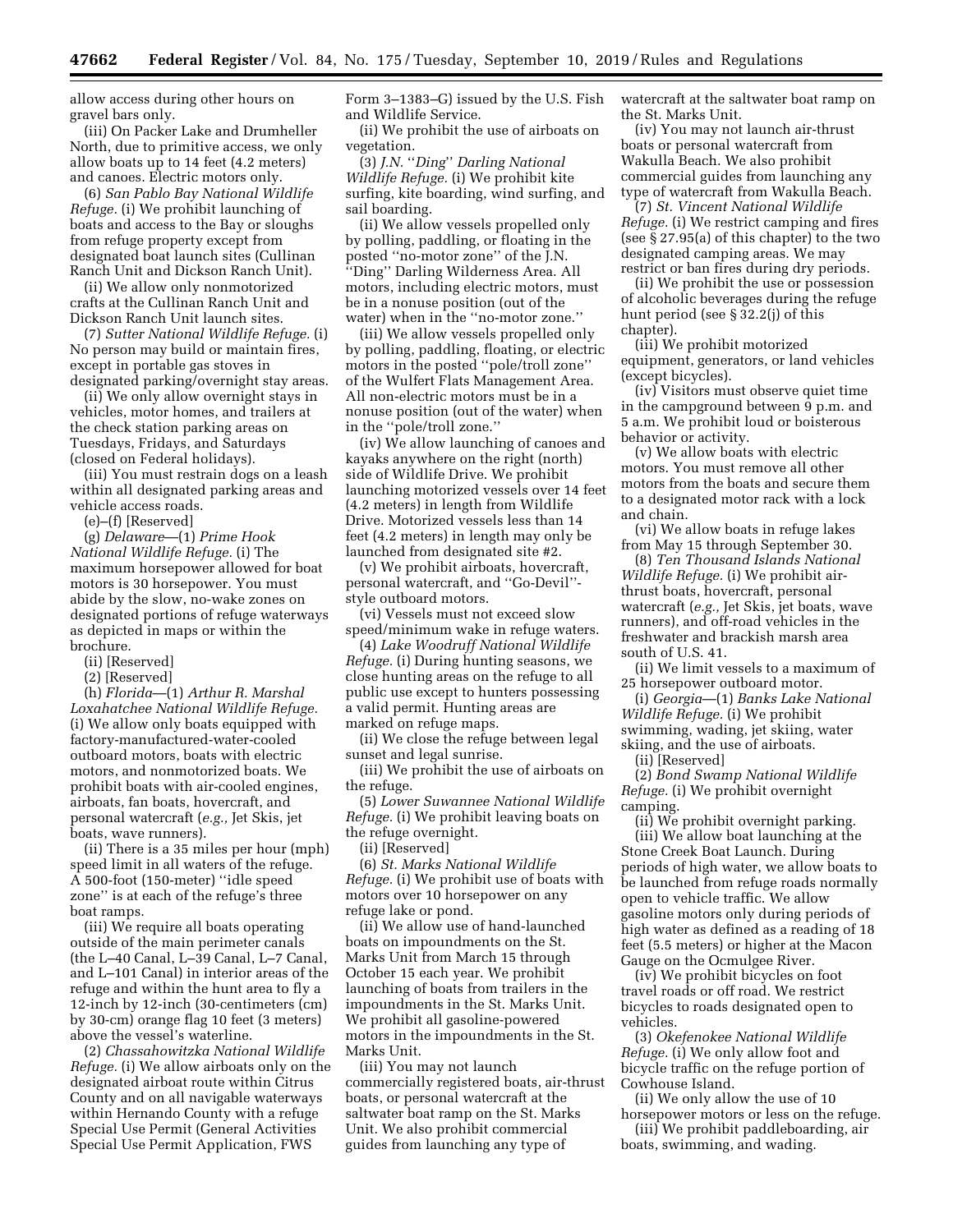allow access during other hours on gravel bars only.

(iii) On Packer Lake and Drumheller North, due to primitive access, we only allow boats up to 14 feet (4.2 meters) and canoes. Electric motors only.

(6) *San Pablo Bay National Wildlife Refuge.* (i) We prohibit launching of boats and access to the Bay or sloughs from refuge property except from designated boat launch sites (Cullinan Ranch Unit and Dickson Ranch Unit).

(ii) We allow only nonmotorized crafts at the Cullinan Ranch Unit and Dickson Ranch Unit launch sites.

(7) *Sutter National Wildlife Refuge.* (i) No person may build or maintain fires, except in portable gas stoves in designated parking/overnight stay areas.

(ii) We only allow overnight stays in vehicles, motor homes, and trailers at the check station parking areas on Tuesdays, Fridays, and Saturdays (closed on Federal holidays).

(iii) You must restrain dogs on a leash within all designated parking areas and vehicle access roads.

(e)–(f) [Reserved]

(g) *Delaware*—(1) *Prime Hook National Wildlife Refuge.* (i) The maximum horsepower allowed for boat motors is 30 horsepower. You must abide by the slow, no-wake zones on designated portions of refuge waterways as depicted in maps or within the brochure.

(ii) [Reserved]

(2) [Reserved]

(h) *Florida*—(1) *Arthur R. Marshal Loxahatchee National Wildlife Refuge.*  (i) We allow only boats equipped with factory-manufactured-water-cooled outboard motors, boats with electric motors, and nonmotorized boats. We prohibit boats with air-cooled engines, airboats, fan boats, hovercraft, and personal watercraft (*e.g.,* Jet Skis, jet boats, wave runners).

(ii) There is a 35 miles per hour (mph) speed limit in all waters of the refuge. A 500-foot (150-meter) ''idle speed zone'' is at each of the refuge's three boat ramps.

(iii) We require all boats operating outside of the main perimeter canals (the L–40 Canal, L–39 Canal, L–7 Canal, and L–101 Canal) in interior areas of the refuge and within the hunt area to fly a 12-inch by 12-inch (30-centimeters (cm) by 30-cm) orange flag 10 feet (3 meters) above the vessel's waterline.

(2) *Chassahowitzka National Wildlife Refuge.* (i) We allow airboats only on the designated airboat route within Citrus County and on all navigable waterways within Hernando County with a refuge Special Use Permit (General Activities Special Use Permit Application, FWS

Form 3–1383–G) issued by the U.S. Fish and Wildlife Service.

(ii) We prohibit the use of airboats on vegetation.

(3) *J.N.* ''*Ding*'' *Darling National Wildlife Refuge.* (i) We prohibit kite surfing, kite boarding, wind surfing, and sail boarding.

(ii) We allow vessels propelled only by polling, paddling, or floating in the posted ''no-motor zone'' of the J.N. ''Ding'' Darling Wilderness Area. All motors, including electric motors, must be in a nonuse position (out of the water) when in the ''no-motor zone.''

(iii) We allow vessels propelled only by polling, paddling, floating, or electric motors in the posted ''pole/troll zone'' of the Wulfert Flats Management Area. All non-electric motors must be in a nonuse position (out of the water) when in the ''pole/troll zone.''

(iv) We allow launching of canoes and kayaks anywhere on the right (north) side of Wildlife Drive. We prohibit launching motorized vessels over 14 feet (4.2 meters) in length from Wildlife Drive. Motorized vessels less than 14 feet (4.2 meters) in length may only be launched from designated site #2.

(v) We prohibit airboats, hovercraft, personal watercraft, and ''Go-Devil'' style outboard motors.

(vi) Vessels must not exceed slow speed/minimum wake in refuge waters.

(4) *Lake Woodruff National Wildlife Refuge.* (i) During hunting seasons, we close hunting areas on the refuge to all public use except to hunters possessing a valid permit. Hunting areas are marked on refuge maps.

(ii) We close the refuge between legal sunset and legal sunrise.

(iii) We prohibit the use of airboats on the refuge.

(5) *Lower Suwannee National Wildlife Refuge.* (i) We prohibit leaving boats on the refuge overnight.

(ii) [Reserved]

(6) *St. Marks National Wildlife Refuge.* (i) We prohibit use of boats with motors over 10 horsepower on any refuge lake or pond.

(ii) We allow use of hand-launched boats on impoundments on the St. Marks Unit from March 15 through October 15 each year. We prohibit launching of boats from trailers in the impoundments in the St. Marks Unit. We prohibit all gasoline-powered motors in the impoundments in the St. Marks Unit.

(iii) You may not launch commercially registered boats, air-thrust boats, or personal watercraft at the saltwater boat ramp on the St. Marks Unit. We also prohibit commercial guides from launching any type of

watercraft at the saltwater boat ramp on the St. Marks Unit.

(iv) You may not launch air-thrust boats or personal watercraft from Wakulla Beach. We also prohibit commercial guides from launching any type of watercraft from Wakulla Beach.

(7) *St. Vincent National Wildlife Refuge.* (i) We restrict camping and fires (see § 27.95(a) of this chapter) to the two designated camping areas. We may restrict or ban fires during dry periods.

(ii) We prohibit the use or possession of alcoholic beverages during the refuge hunt period (see § 32.2(j) of this chapter).

(iii) We prohibit motorized equipment, generators, or land vehicles (except bicycles).

(iv) Visitors must observe quiet time in the campground between 9 p.m. and 5 a.m. We prohibit loud or boisterous behavior or activity.

(v) We allow boats with electric motors. You must remove all other motors from the boats and secure them to a designated motor rack with a lock and chain.

(vi) We allow boats in refuge lakes from May 15 through September 30.

(8) *Ten Thousand Islands National Wildlife Refuge.* (i) We prohibit airthrust boats, hovercraft, personal watercraft (*e.g.,* Jet Skis, jet boats, wave runners), and off-road vehicles in the freshwater and brackish marsh area south of U.S. 41.

(ii) We limit vessels to a maximum of 25 horsepower outboard motor.

(i) *Georgia*—(1) *Banks Lake National Wildlife Refuge.* (i) We prohibit swimming, wading, jet skiing, water skiing, and the use of airboats.

(ii) [Reserved]

(2) *Bond Swamp National Wildlife Refuge.* (i) We prohibit overnight camping.

(ii) We prohibit overnight parking.

(iii) We allow boat launching at the Stone Creek Boat Launch. During periods of high water, we allow boats to be launched from refuge roads normally open to vehicle traffic. We allow gasoline motors only during periods of high water as defined as a reading of 18 feet (5.5 meters) or higher at the Macon Gauge on the Ocmulgee River.

(iv) We prohibit bicycles on foot travel roads or off road. We restrict bicycles to roads designated open to vehicles.

(3) *Okefenokee National Wildlife Refuge.* (i) We only allow foot and bicycle traffic on the refuge portion of Cowhouse Island.

(ii) We only allow the use of 10 horsepower motors or less on the refuge.

(iii) We prohibit paddleboarding, air boats, swimming, and wading.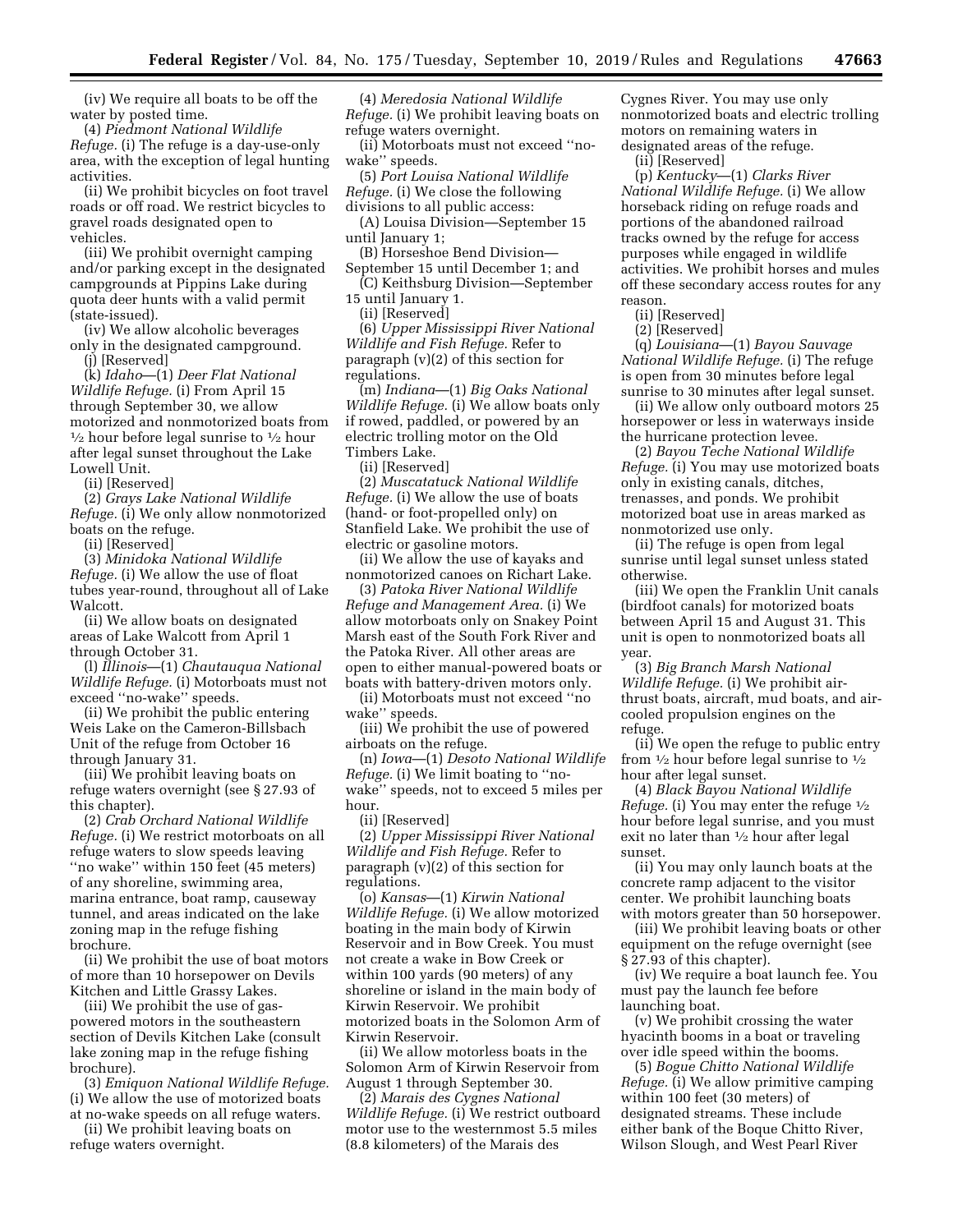(iv) We require all boats to be off the water by posted time.

(4) *Piedmont National Wildlife Refuge.* (i) The refuge is a day-use-only area, with the exception of legal hunting activities.

(ii) We prohibit bicycles on foot travel roads or off road. We restrict bicycles to gravel roads designated open to vehicles.

(iii) We prohibit overnight camping and/or parking except in the designated campgrounds at Pippins Lake during quota deer hunts with a valid permit (state-issued).

(iv) We allow alcoholic beverages only in the designated campground.

(j) [Reserved]

(k) *Idaho*—(1) *Deer Flat National Wildlife Refuge.* (i) From April 15 through September 30, we allow motorized and nonmotorized boats from  $\frac{1}{2}$  hour before legal sunrise to  $\frac{1}{2}$  hour after legal sunset throughout the Lake Lowell Unit.

(ii) [Reserved]

(2) *Grays Lake National Wildlife Refuge.* (i) We only allow nonmotorized boats on the refuge.

(ii) [Reserved]

(3) *Minidoka National Wildlife Refuge.* (i) We allow the use of float tubes year-round, throughout all of Lake Walcott.

(ii) We allow boats on designated areas of Lake Walcott from April 1 through October 31.

(l) *Illinois*—(1) *Chautauqua National Wildlife Refuge.* (i) Motorboats must not exceed ''no-wake'' speeds.

(ii) We prohibit the public entering Weis Lake on the Cameron-Billsbach Unit of the refuge from October 16 through January 31.

(iii) We prohibit leaving boats on refuge waters overnight (see § 27.93 of this chapter).

(2) *Crab Orchard National Wildlife Refuge.* (i) We restrict motorboats on all refuge waters to slow speeds leaving ''no wake'' within 150 feet (45 meters) of any shoreline, swimming area, marina entrance, boat ramp, causeway tunnel, and areas indicated on the lake zoning map in the refuge fishing brochure.

(ii) We prohibit the use of boat motors of more than 10 horsepower on Devils Kitchen and Little Grassy Lakes.

(iii) We prohibit the use of gaspowered motors in the southeastern section of Devils Kitchen Lake (consult lake zoning map in the refuge fishing brochure).

(3) *Emiquon National Wildlife Refuge.*  (i) We allow the use of motorized boats

at no-wake speeds on all refuge waters. (ii) We prohibit leaving boats on refuge waters overnight.

(4) *Meredosia National Wildlife Refuge.* (i) We prohibit leaving boats on refuge waters overnight.

(ii) Motorboats must not exceed ''nowake'' speeds.

(5) *Port Louisa National Wildlife Refuge.* (i) We close the following divisions to all public access:

(A) Louisa Division—September 15 until January 1;

(B) Horseshoe Bend Division— September 15 until December 1; and

(C) Keithsburg Division—September 15 until January 1.

(ii) [Reserved]

(6) *Upper Mississippi River National Wildlife and Fish Refuge.* Refer to paragraph (v)(2) of this section for regulations.

(m) *Indiana*—(1) *Big Oaks National Wildlife Refuge.* (i) We allow boats only if rowed, paddled, or powered by an electric trolling motor on the Old Timbers Lake.

(ii) [Reserved]

(2) *Muscatatuck National Wildlife Refuge.* (i) We allow the use of boats (hand- or foot-propelled only) on Stanfield Lake. We prohibit the use of electric or gasoline motors.

(ii) We allow the use of kayaks and nonmotorized canoes on Richart Lake.

(3) *Patoka River National Wildlife Refuge and Management Area.* (i) We allow motorboats only on Snakey Point Marsh east of the South Fork River and the Patoka River. All other areas are open to either manual-powered boats or boats with battery-driven motors only.

(ii) Motorboats must not exceed ''no wake'' speeds.

(iii) We prohibit the use of powered airboats on the refuge.

(n) *Iowa*—(1) *Desoto National Wildlife Refuge.* (i) We limit boating to ''nowake'' speeds, not to exceed 5 miles per hour.

(ii) [Reserved]

(2) *Upper Mississippi River National Wildlife and Fish Refuge.* Refer to paragraph (v)(2) of this section for regulations.

(o) *Kansas*—(1) *Kirwin National Wildlife Refuge.* (i) We allow motorized boating in the main body of Kirwin Reservoir and in Bow Creek. You must not create a wake in Bow Creek or within 100 yards (90 meters) of any shoreline or island in the main body of Kirwin Reservoir. We prohibit motorized boats in the Solomon Arm of Kirwin Reservoir.

(ii) We allow motorless boats in the Solomon Arm of Kirwin Reservoir from August 1 through September 30.

(2) *Marais des Cygnes National Wildlife Refuge.* (i) We restrict outboard motor use to the westernmost 5.5 miles (8.8 kilometers) of the Marais des

Cygnes River. You may use only nonmotorized boats and electric trolling motors on remaining waters in designated areas of the refuge.

(ii) [Reserved]

(p) *Kentucky*—(1) *Clarks River National Wildlife Refuge.* (i) We allow horseback riding on refuge roads and portions of the abandoned railroad tracks owned by the refuge for access purposes while engaged in wildlife activities. We prohibit horses and mules off these secondary access routes for any reason.

(ii) [Reserved]

(2) [Reserved]

(q) *Louisiana*—(1) *Bayou Sauvage National Wildlife Refuge.* (i) The refuge is open from 30 minutes before legal sunrise to 30 minutes after legal sunset.

(ii) We allow only outboard motors 25 horsepower or less in waterways inside the hurricane protection levee.

(2) *Bayou Teche National Wildlife Refuge.* (i) You may use motorized boats only in existing canals, ditches, trenasses, and ponds. We prohibit motorized boat use in areas marked as nonmotorized use only.

(ii) The refuge is open from legal sunrise until legal sunset unless stated otherwise.

(iii) We open the Franklin Unit canals (birdfoot canals) for motorized boats between April 15 and August 31. This unit is open to nonmotorized boats all year.

(3) *Big Branch Marsh National Wildlife Refuge.* (i) We prohibit airthrust boats, aircraft, mud boats, and aircooled propulsion engines on the refuge.

(ii) We open the refuge to public entry from  $\frac{1}{2}$  hour before legal sunrise to  $\frac{1}{2}$ hour after legal sunset.

(4) *Black Bayou National Wildlife Refuge.* (i) You may enter the refuge 1⁄2 hour before legal sunrise, and you must exit no later than 1⁄2 hour after legal sunset.

(ii) You may only launch boats at the concrete ramp adjacent to the visitor center. We prohibit launching boats with motors greater than 50 horsepower.

(iii) We prohibit leaving boats or other equipment on the refuge overnight (see § 27.93 of this chapter).

(iv) We require a boat launch fee. You must pay the launch fee before launching boat.

(v) We prohibit crossing the water hyacinth booms in a boat or traveling over idle speed within the booms.

(5) *Bogue Chitto National Wildlife Refuge.* (i) We allow primitive camping within 100 feet (30 meters) of designated streams. These include either bank of the Boque Chitto River, Wilson Slough, and West Pearl River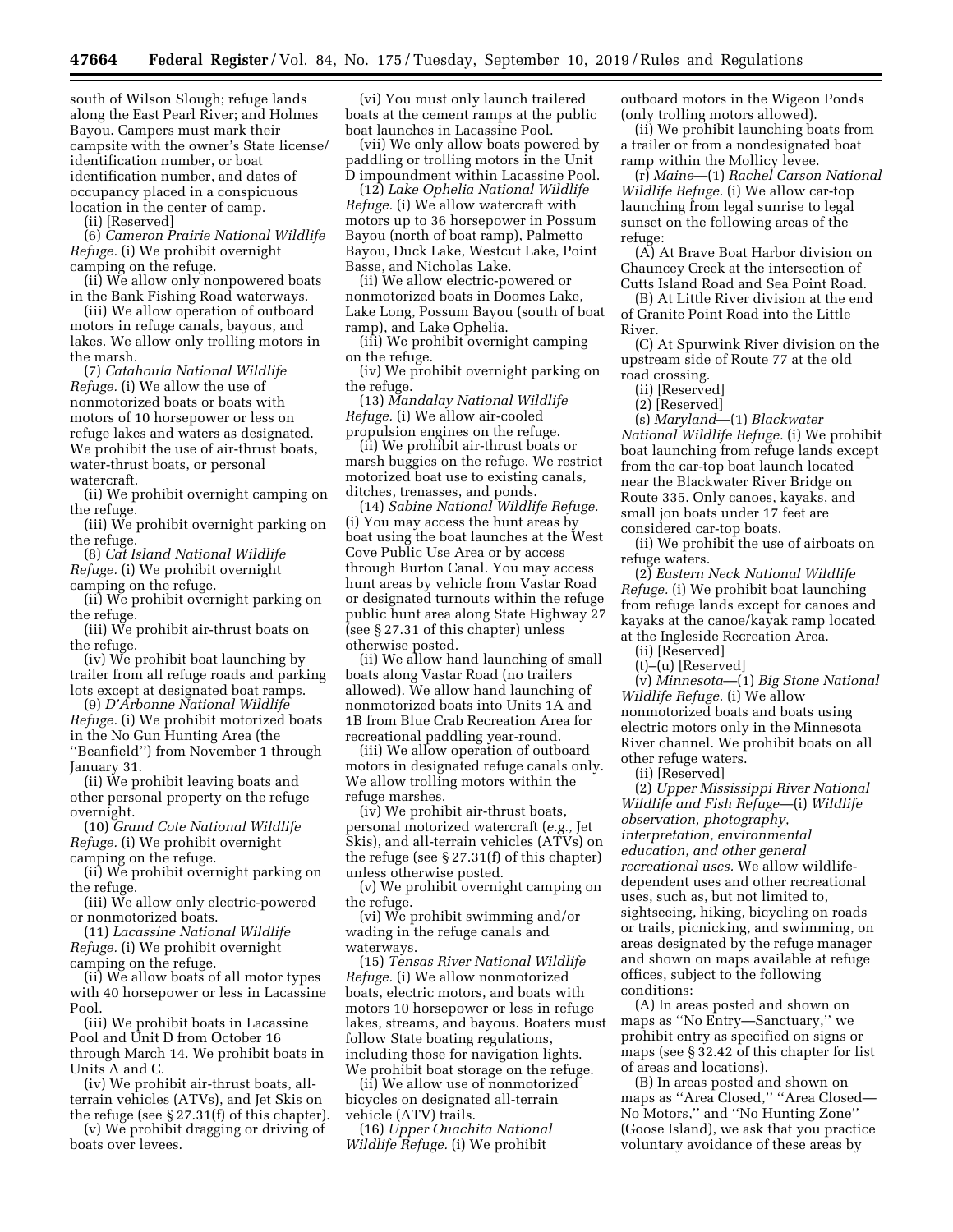south of Wilson Slough; refuge lands along the East Pearl River; and Holmes Bayou. Campers must mark their campsite with the owner's State license/ identification number, or boat identification number, and dates of occupancy placed in a conspicuous location in the center of camp.

(ii) [Reserved]

(6) *Cameron Prairie National Wildlife Refuge.* (i) We prohibit overnight camping on the refuge.

(ii) We allow only nonpowered boats in the Bank Fishing Road waterways.

(iii) We allow operation of outboard motors in refuge canals, bayous, and lakes. We allow only trolling motors in the marsh.

(7) *Catahoula National Wildlife Refuge.* (i) We allow the use of nonmotorized boats or boats with motors of 10 horsepower or less on refuge lakes and waters as designated. We prohibit the use of air-thrust boats, water-thrust boats, or personal watercraft.

(ii) We prohibit overnight camping on the refuge.

(iii) We prohibit overnight parking on the refuge.

(8) *Cat Island National Wildlife Refuge.* (i) We prohibit overnight camping on the refuge.

(ii) We prohibit overnight parking on the refuge.

(iii) We prohibit air-thrust boats on the refuge.

(iv) We prohibit boat launching by trailer from all refuge roads and parking lots except at designated boat ramps.

(9) *D'Arbonne National Wildlife Refuge.* (i) We prohibit motorized boats in the No Gun Hunting Area (the ''Beanfield'') from November 1 through January 31.

(ii) We prohibit leaving boats and other personal property on the refuge overnight.

(10) *Grand Cote National Wildlife Refuge.* (i) We prohibit overnight camping on the refuge.

(ii) We prohibit overnight parking on the refuge.

(iii) We allow only electric-powered or nonmotorized boats.

(11) *Lacassine National Wildlife Refuge.* (i) We prohibit overnight camping on the refuge.

(ii) We allow boats of all motor types with 40 horsepower or less in Lacassine Pool.

(iii) We prohibit boats in Lacassine Pool and Unit D from October 16 through March 14. We prohibit boats in Units A and C.

(iv) We prohibit air-thrust boats, allterrain vehicles (ATVs), and Jet Skis on the refuge (see § 27.31(f) of this chapter).

(v) We prohibit dragging or driving of boats over levees.

(vi) You must only launch trailered boats at the cement ramps at the public boat launches in Lacassine Pool.

(vii) We only allow boats powered by paddling or trolling motors in the Unit D impoundment within Lacassine Pool.

(12) *Lake Ophelia National Wildlife Refuge.* (i) We allow watercraft with motors up to 36 horsepower in Possum Bayou (north of boat ramp), Palmetto Bayou, Duck Lake, Westcut Lake, Point Basse, and Nicholas Lake.

(ii) We allow electric-powered or nonmotorized boats in Doomes Lake, Lake Long, Possum Bayou (south of boat ramp), and Lake Ophelia.

(iii) We prohibit overnight camping on the refuge.

(iv) We prohibit overnight parking on the refuge.

(13) *Mandalay National Wildlife Refuge.* (i) We allow air-cooled propulsion engines on the refuge.

(ii) We prohibit air-thrust boats or marsh buggies on the refuge. We restrict motorized boat use to existing canals, ditches, trenasses, and ponds.

(14) *Sabine National Wildlife Refuge.*  (i) You may access the hunt areas by boat using the boat launches at the West Cove Public Use Area or by access through Burton Canal. You may access hunt areas by vehicle from Vastar Road or designated turnouts within the refuge public hunt area along State Highway 27 (see § 27.31 of this chapter) unless otherwise posted.

(ii) We allow hand launching of small boats along Vastar Road (no trailers allowed). We allow hand launching of nonmotorized boats into Units 1A and 1B from Blue Crab Recreation Area for recreational paddling year-round.

(iii) We allow operation of outboard motors in designated refuge canals only. We allow trolling motors within the refuge marshes.

(iv) We prohibit air-thrust boats, personal motorized watercraft (*e.g.,* Jet Skis), and all-terrain vehicles (ATVs) on the refuge (see § 27.31(f) of this chapter) unless otherwise posted.

(v) We prohibit overnight camping on the refuge.

(vi) We prohibit swimming and/or wading in the refuge canals and waterways.

(15) *Tensas River National Wildlife Refuge.* (i) We allow nonmotorized boats, electric motors, and boats with motors 10 horsepower or less in refuge lakes, streams, and bayous. Boaters must follow State boating regulations, including those for navigation lights. We prohibit boat storage on the refuge.

(ii) We allow use of nonmotorized bicycles on designated all-terrain vehicle (ATV) trails.

(16) *Upper Ouachita National Wildlife Refuge.* (i) We prohibit

outboard motors in the Wigeon Ponds (only trolling motors allowed).

(ii) We prohibit launching boats from a trailer or from a nondesignated boat ramp within the Mollicy levee.

(r) *Maine*—(1) *Rachel Carson National Wildlife Refuge.* (i) We allow car-top launching from legal sunrise to legal sunset on the following areas of the refuge:

(A) At Brave Boat Harbor division on Chauncey Creek at the intersection of Cutts Island Road and Sea Point Road.

(B) At Little River division at the end of Granite Point Road into the Little River.

(C) At Spurwink River division on the upstream side of Route 77 at the old road crossing.

(ii) [Reserved]

(2) [Reserved]

(s) *Maryland*—(1) *Blackwater National Wildlife Refuge.* (i) We prohibit boat launching from refuge lands except from the car-top boat launch located near the Blackwater River Bridge on Route 335. Only canoes, kayaks, and small jon boats under 17 feet are considered car-top boats.

(ii) We prohibit the use of airboats on refuge waters.

(2) *Eastern Neck National Wildlife Refuge.* (i) We prohibit boat launching from refuge lands except for canoes and kayaks at the canoe/kayak ramp located at the Ingleside Recreation Area.

(ii) [Reserved]

(t)–(u) [Reserved]

(v) *Minnesota*—(1) *Big Stone National Wildlife Refuge.* (i) We allow nonmotorized boats and boats using electric motors only in the Minnesota River channel. We prohibit boats on all other refuge waters.

(ii) [Reserved]

(2) *Upper Mississippi River National Wildlife and Fish Refuge*—(i) *Wildlife observation, photography, interpretation, environmental education, and other general recreational uses.* We allow wildlifedependent uses and other recreational uses, such as, but not limited to, sightseeing, hiking, bicycling on roads or trails, picnicking, and swimming, on areas designated by the refuge manager and shown on maps available at refuge offices, subject to the following conditions:

(A) In areas posted and shown on maps as ''No Entry—Sanctuary,'' we prohibit entry as specified on signs or maps (see § 32.42 of this chapter for list of areas and locations).

(B) In areas posted and shown on maps as ''Area Closed,'' ''Area Closed— No Motors,'' and ''No Hunting Zone'' (Goose Island), we ask that you practice voluntary avoidance of these areas by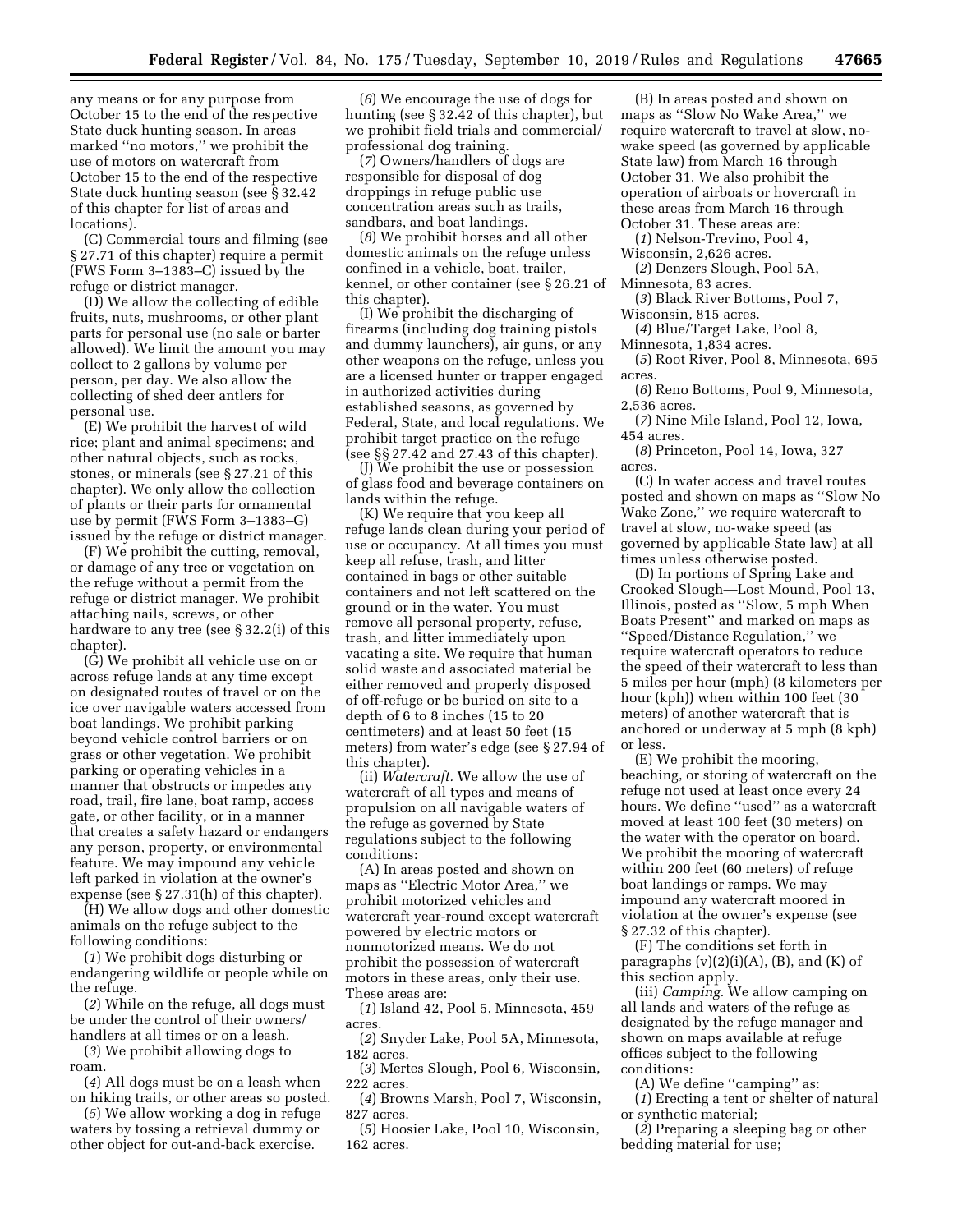any means or for any purpose from October 15 to the end of the respective State duck hunting season. In areas marked ''no motors,'' we prohibit the use of motors on watercraft from October 15 to the end of the respective State duck hunting season (see § 32.42 of this chapter for list of areas and locations).

(C) Commercial tours and filming (see § 27.71 of this chapter) require a permit (FWS Form 3–1383–C) issued by the refuge or district manager.

(D) We allow the collecting of edible fruits, nuts, mushrooms, or other plant parts for personal use (no sale or barter allowed). We limit the amount you may collect to 2 gallons by volume per person, per day. We also allow the collecting of shed deer antlers for personal use.

(E) We prohibit the harvest of wild rice; plant and animal specimens; and other natural objects, such as rocks, stones, or minerals (see § 27.21 of this chapter). We only allow the collection of plants or their parts for ornamental use by permit (FWS Form 3–1383–G) issued by the refuge or district manager.

(F) We prohibit the cutting, removal, or damage of any tree or vegetation on the refuge without a permit from the refuge or district manager. We prohibit attaching nails, screws, or other hardware to any tree (see § 32.2(i) of this chapter).

(G) We prohibit all vehicle use on or across refuge lands at any time except on designated routes of travel or on the ice over navigable waters accessed from boat landings. We prohibit parking beyond vehicle control barriers or on grass or other vegetation. We prohibit parking or operating vehicles in a manner that obstructs or impedes any road, trail, fire lane, boat ramp, access gate, or other facility, or in a manner that creates a safety hazard or endangers any person, property, or environmental feature. We may impound any vehicle left parked in violation at the owner's expense (see § 27.31(h) of this chapter).

(H) We allow dogs and other domestic animals on the refuge subject to the following conditions:

(*1*) We prohibit dogs disturbing or endangering wildlife or people while on the refuge.

(*2*) While on the refuge, all dogs must be under the control of their owners/ handlers at all times or on a leash.

(*3*) We prohibit allowing dogs to roam.

(*4*) All dogs must be on a leash when on hiking trails, or other areas so posted.

(*5*) We allow working a dog in refuge waters by tossing a retrieval dummy or other object for out-and-back exercise.

(*6*) We encourage the use of dogs for hunting (see § 32.42 of this chapter), but we prohibit field trials and commercial/ professional dog training.

(*7*) Owners/handlers of dogs are responsible for disposal of dog droppings in refuge public use concentration areas such as trails, sandbars, and boat landings.

(*8*) We prohibit horses and all other domestic animals on the refuge unless confined in a vehicle, boat, trailer, kennel, or other container (see § 26.21 of this chapter).

(I) We prohibit the discharging of firearms (including dog training pistols and dummy launchers), air guns, or any other weapons on the refuge, unless you are a licensed hunter or trapper engaged in authorized activities during established seasons, as governed by Federal, State, and local regulations. We prohibit target practice on the refuge (see §§ 27.42 and 27.43 of this chapter).

(J) We prohibit the use or possession of glass food and beverage containers on lands within the refuge.

(K) We require that you keep all refuge lands clean during your period of use or occupancy. At all times you must keep all refuse, trash, and litter contained in bags or other suitable containers and not left scattered on the ground or in the water. You must remove all personal property, refuse, trash, and litter immediately upon vacating a site. We require that human solid waste and associated material be either removed and properly disposed of off-refuge or be buried on site to a depth of 6 to 8 inches (15 to 20 centimeters) and at least 50 feet (15 meters) from water's edge (see § 27.94 of this chapter).

(ii) *Watercraft.* We allow the use of watercraft of all types and means of propulsion on all navigable waters of the refuge as governed by State regulations subject to the following conditions:

(A) In areas posted and shown on maps as ''Electric Motor Area,'' we prohibit motorized vehicles and watercraft year-round except watercraft powered by electric motors or nonmotorized means. We do not prohibit the possession of watercraft motors in these areas, only their use. These areas are:

(*1*) Island 42, Pool 5, Minnesota, 459 acres

(*2*) Snyder Lake, Pool 5A, Minnesota, 182 acres.

(*3*) Mertes Slough, Pool 6, Wisconsin, 222 acres.

(*4*) Browns Marsh, Pool 7, Wisconsin, 827 acres.

(*5*) Hoosier Lake, Pool 10, Wisconsin, 162 acres.

(B) In areas posted and shown on maps as ''Slow No Wake Area,'' we require watercraft to travel at slow, nowake speed (as governed by applicable State law) from March 16 through October 31. We also prohibit the operation of airboats or hovercraft in these areas from March 16 through October 31. These areas are:

(*1*) Nelson-Trevino, Pool 4,

Wisconsin, 2,626 acres.

(*2*) Denzers Slough, Pool 5A, Minnesota, 83 acres.

(*3*) Black River Bottoms, Pool 7,

Wisconsin, 815 acres.

(*4*) Blue/Target Lake, Pool 8,

Minnesota, 1,834 acres. (*5*) Root River, Pool 8, Minnesota, 695 acres.

(*6*) Reno Bottoms, Pool 9, Minnesota, 2,536 acres.

(*7*) Nine Mile Island, Pool 12, Iowa, 454 acres.

(*8*) Princeton, Pool 14, Iowa, 327 acres.

(C) In water access and travel routes posted and shown on maps as ''Slow No Wake Zone,'' we require watercraft to travel at slow, no-wake speed (as governed by applicable State law) at all times unless otherwise posted.

(D) In portions of Spring Lake and Crooked Slough—Lost Mound, Pool 13, Illinois, posted as ''Slow, 5 mph When Boats Present'' and marked on maps as ''Speed/Distance Regulation,'' we require watercraft operators to reduce the speed of their watercraft to less than 5 miles per hour (mph) (8 kilometers per hour (kph)) when within 100 feet (30 meters) of another watercraft that is anchored or underway at 5 mph (8 kph) or less.

(E) We prohibit the mooring, beaching, or storing of watercraft on the refuge not used at least once every 24 hours. We define ''used'' as a watercraft moved at least 100 feet (30 meters) on the water with the operator on board. We prohibit the mooring of watercraft within 200 feet (60 meters) of refuge boat landings or ramps. We may impound any watercraft moored in violation at the owner's expense (see § 27.32 of this chapter).

(F) The conditions set forth in paragraphs  $(v)(2)(i)(A)$ ,  $(B)$ , and  $(K)$  of this section apply.

(iii) *Camping.* We allow camping on all lands and waters of the refuge as designated by the refuge manager and shown on maps available at refuge offices subject to the following conditions:

(A) We define ''camping'' as: (*1*) Erecting a tent or shelter of natural or synthetic material;

(*2*) Preparing a sleeping bag or other bedding material for use;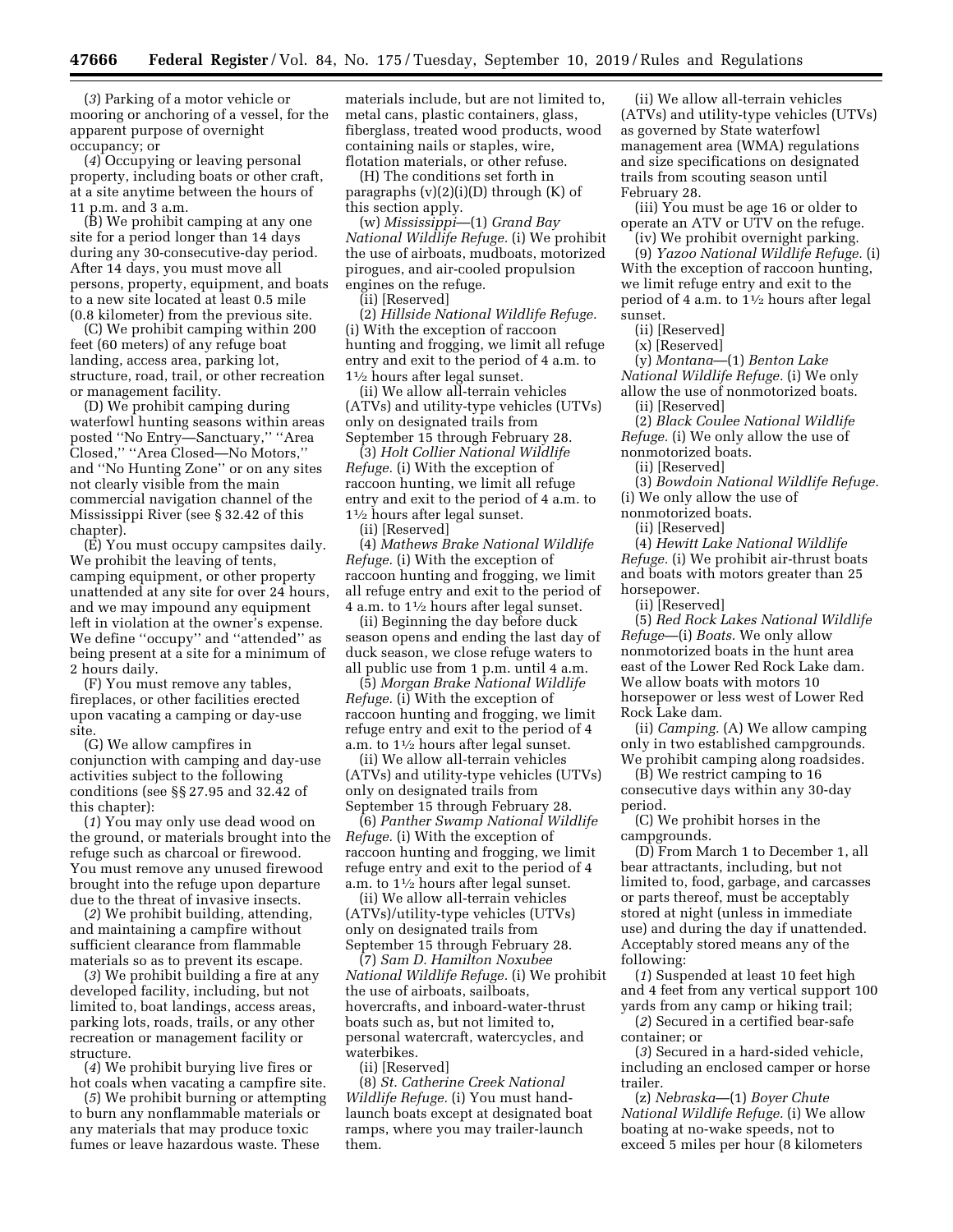(*3*) Parking of a motor vehicle or mooring or anchoring of a vessel, for the apparent purpose of overnight occupancy; or

(*4*) Occupying or leaving personal property, including boats or other craft, at a site anytime between the hours of 11 p.m. and 3 a.m.

(B) We prohibit camping at any one site for a period longer than 14 days during any 30-consecutive-day period. After 14 days, you must move all persons, property, equipment, and boats to a new site located at least 0.5 mile (0.8 kilometer) from the previous site.

(C) We prohibit camping within 200 feet (60 meters) of any refuge boat landing, access area, parking lot, structure, road, trail, or other recreation or management facility.

(D) We prohibit camping during waterfowl hunting seasons within areas posted ''No Entry—Sanctuary,'' ''Area Closed,'' ''Area Closed—No Motors,'' and ''No Hunting Zone'' or on any sites not clearly visible from the main commercial navigation channel of the Mississippi River (see § 32.42 of this chapter).

(E) You must occupy campsites daily. We prohibit the leaving of tents, camping equipment, or other property unattended at any site for over 24 hours, and we may impound any equipment left in violation at the owner's expense. We define ''occupy'' and ''attended'' as being present at a site for a minimum of 2 hours daily.

(F) You must remove any tables, fireplaces, or other facilities erected upon vacating a camping or day-use site.

(G) We allow campfires in conjunction with camping and day-use activities subject to the following conditions (see §§ 27.95 and 32.42 of this chapter):

(*1*) You may only use dead wood on the ground, or materials brought into the refuge such as charcoal or firewood. You must remove any unused firewood brought into the refuge upon departure due to the threat of invasive insects.

(*2*) We prohibit building, attending, and maintaining a campfire without sufficient clearance from flammable materials so as to prevent its escape.

(*3*) We prohibit building a fire at any developed facility, including, but not limited to, boat landings, access areas, parking lots, roads, trails, or any other recreation or management facility or structure.

(*4*) We prohibit burying live fires or hot coals when vacating a campfire site.

(*5*) We prohibit burning or attempting to burn any nonflammable materials or any materials that may produce toxic fumes or leave hazardous waste. These

materials include, but are not limited to, metal cans, plastic containers, glass, fiberglass, treated wood products, wood containing nails or staples, wire, flotation materials, or other refuse.

(H) The conditions set forth in paragraphs  $(v)(2)(i)(D)$  through  $(K)$  of this section apply.

(w) *Mississippi*—(1) *Grand Bay National Wildlife Refuge.* (i) We prohibit the use of airboats, mudboats, motorized pirogues, and air-cooled propulsion engines on the refuge.

(ii) [Reserved]

(2) *Hillside National Wildlife Refuge.*  (i) With the exception of raccoon hunting and frogging, we limit all refuge entry and exit to the period of 4 a.m. to 11⁄2 hours after legal sunset.

(ii) We allow all-terrain vehicles (ATVs) and utility-type vehicles (UTVs) only on designated trails from September 15 through February 28.

(3) *Holt Collier National Wildlife Refuge.* (i) With the exception of raccoon hunting, we limit all refuge entry and exit to the period of 4 a.m. to 11⁄2 hours after legal sunset.

(ii) [Reserved]

(4) *Mathews Brake National Wildlife Refuge.* (i) With the exception of raccoon hunting and frogging, we limit all refuge entry and exit to the period of 4 a.m. to  $1\frac{1}{2}$  hours after legal sunset.

(ii) Beginning the day before duck season opens and ending the last day of duck season, we close refuge waters to all public use from 1 p.m. until 4 a.m.

(5) *Morgan Brake National Wildlife Refuge.* (i) With the exception of raccoon hunting and frogging, we limit refuge entry and exit to the period of 4 a.m. to 11⁄2 hours after legal sunset.

(ii) We allow all-terrain vehicles (ATVs) and utility-type vehicles (UTVs) only on designated trails from September 15 through February 28.

(6) *Panther Swamp National Wildlife Refuge.* (i) With the exception of raccoon hunting and frogging, we limit refuge entry and exit to the period of 4 a.m. to  $1\frac{1}{2}$  hours after legal sunset.

(ii) We allow all-terrain vehicles (ATVs)/utility-type vehicles (UTVs) only on designated trails from September 15 through February 28.

(7) *Sam D. Hamilton Noxubee National Wildlife Refuge.* (i) We prohibit the use of airboats, sailboats, hovercrafts, and inboard-water-thrust boats such as, but not limited to, personal watercraft, watercycles, and waterbikes.

(ii) [Reserved]

(8) *St. Catherine Creek National Wildlife Refuge.* (i) You must handlaunch boats except at designated boat ramps, where you may trailer-launch them.

(ii) We allow all-terrain vehicles (ATVs) and utility-type vehicles (UTVs) as governed by State waterfowl management area (WMA) regulations and size specifications on designated trails from scouting season until February 28.

(iii) You must be age 16 or older to operate an ATV or UTV on the refuge.

(iv) We prohibit overnight parking. (9) *Yazoo National Wildlife Refuge.* (i)

With the exception of raccoon hunting, we limit refuge entry and exit to the period of 4 a.m. to 11⁄2 hours after legal sunset.

(ii) [Reserved]

(x) [Reserved]

(y) *Montana*—(1) *Benton Lake National Wildlife Refuge.* (i) We only allow the use of nonmotorized boats.

(ii) [Reserved]

(2) *Black Coulee National Wildlife Refuge.* (i) We only allow the use of nonmotorized boats.

(ii) [Reserved]

(3) *Bowdoin National Wildlife Refuge.*  (i) We only allow the use of

nonmotorized boats.

(ii) [Reserved]

(4) *Hewitt Lake National Wildlife Refuge.* (i) We prohibit air-thrust boats and boats with motors greater than 25 horsepower.

(ii) [Reserved]

(5) *Red Rock Lakes National Wildlife Refuge*—(i) *Boats.* We only allow nonmotorized boats in the hunt area east of the Lower Red Rock Lake dam. We allow boats with motors 10 horsepower or less west of Lower Red Rock Lake dam.

(ii) *Camping.* (A) We allow camping only in two established campgrounds. We prohibit camping along roadsides.

(B) We restrict camping to 16 consecutive days within any 30-day period.

(C) We prohibit horses in the campgrounds.

(D) From March 1 to December 1, all bear attractants, including, but not limited to, food, garbage, and carcasses or parts thereof, must be acceptably stored at night (unless in immediate use) and during the day if unattended. Acceptably stored means any of the following:

(*1*) Suspended at least 10 feet high and 4 feet from any vertical support 100 yards from any camp or hiking trail;

(*2*) Secured in a certified bear-safe container; or

(*3*) Secured in a hard-sided vehicle, including an enclosed camper or horse trailer.

(z) *Nebraska*—(1) *Boyer Chute National Wildlife Refuge.* (i) We allow boating at no-wake speeds, not to exceed 5 miles per hour (8 kilometers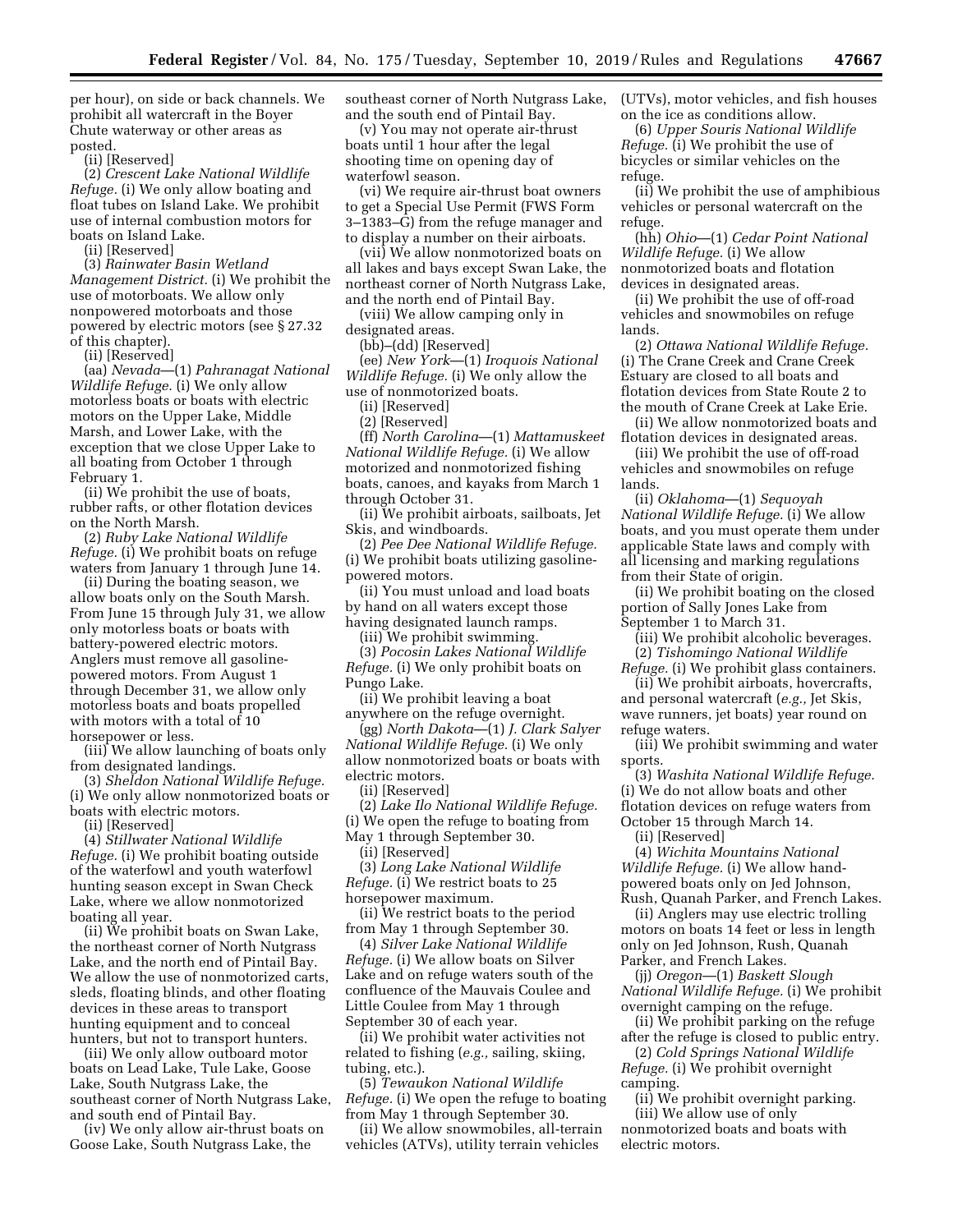per hour), on side or back channels. We prohibit all watercraft in the Boyer Chute waterway or other areas as posted.

(ii) [Reserved]

(2) *Crescent Lake National Wildlife Refuge.* (i) We only allow boating and float tubes on Island Lake. We prohibit use of internal combustion motors for boats on Island Lake.

(ii) [Reserved]

(3) *Rainwater Basin Wetland Management District.* (i) We prohibit the use of motorboats. We allow only nonpowered motorboats and those powered by electric motors (see § 27.32 of this chapter).

(ii) [Reserved]

(aa) *Nevada*—(1) *Pahranagat National Wildlife Refuge.* (i) We only allow motorless boats or boats with electric motors on the Upper Lake, Middle Marsh, and Lower Lake, with the exception that we close Upper Lake to all boating from October 1 through February 1.

(ii) We prohibit the use of boats, rubber rafts, or other flotation devices on the North Marsh.

(2) *Ruby Lake National Wildlife Refuge.* (i) We prohibit boats on refuge waters from January 1 through June 14.

(ii) During the boating season, we allow boats only on the South Marsh. From June 15 through July 31, we allow only motorless boats or boats with battery-powered electric motors. Anglers must remove all gasolinepowered motors. From August 1 through December 31, we allow only motorless boats and boats propelled with motors with a total of 10 horsepower or less.

(iii) We allow launching of boats only from designated landings.

(3) *Sheldon National Wildlife Refuge.*  (i) We only allow nonmotorized boats or boats with electric motors.

(ii) [Reserved]

(4) *Stillwater National Wildlife Refuge.* (i) We prohibit boating outside of the waterfowl and youth waterfowl hunting season except in Swan Check Lake, where we allow nonmotorized boating all year.

(ii) We prohibit boats on Swan Lake, the northeast corner of North Nutgrass Lake, and the north end of Pintail Bay. We allow the use of nonmotorized carts, sleds, floating blinds, and other floating devices in these areas to transport hunting equipment and to conceal hunters, but not to transport hunters.

(iii) We only allow outboard motor boats on Lead Lake, Tule Lake, Goose Lake, South Nutgrass Lake, the southeast corner of North Nutgrass Lake, and south end of Pintail Bay.

(iv) We only allow air-thrust boats on Goose Lake, South Nutgrass Lake, the

southeast corner of North Nutgrass Lake, and the south end of Pintail Bay.

(v) You may not operate air-thrust boats until 1 hour after the legal shooting time on opening day of waterfowl season.

(vi) We require air-thrust boat owners to get a Special Use Permit (FWS Form 3–1383–G) from the refuge manager and to display a number on their airboats.

(vii) We allow nonmotorized boats on all lakes and bays except Swan Lake, the northeast corner of North Nutgrass Lake, and the north end of Pintail Bay.

(viii) We allow camping only in designated areas.

(bb)–(dd) [Reserved]

(ee) *New York*—(1) *Iroquois National Wildlife Refuge.* (i) We only allow the use of nonmotorized boats.

(ii) [Reserved]

(2) [Reserved]

(ff) *North Carolina*—(1) *Mattamuskeet National Wildlife Refuge.* (i) We allow motorized and nonmotorized fishing boats, canoes, and kayaks from March 1 through October 31.

(ii) We prohibit airboats, sailboats, Jet Skis, and windboards.

(2) *Pee Dee National Wildlife Refuge.*  (i) We prohibit boats utilizing gasolinepowered motors.

(ii) You must unload and load boats by hand on all waters except those having designated launch ramps.

(iii) We prohibit swimming.

(3) *Pocosin Lakes National Wildlife Refuge.* (i) We only prohibit boats on Pungo Lake.

(ii) We prohibit leaving a boat anywhere on the refuge overnight.

(gg) *North Dakota*—(1) *J. Clark Salyer National Wildlife Refuge.* (i) We only allow nonmotorized boats or boats with electric motors.

(ii) [Reserved]

(2) *Lake Ilo National Wildlife Refuge.*  (i) We open the refuge to boating from May 1 through September 30.

(ii) [Reserved]

(3) *Long Lake National Wildlife Refuge.* (i) We restrict boats to 25 horsepower maximum.

(ii) We restrict boats to the period from May 1 through September 30.

(4) *Silver Lake National Wildlife Refuge.* (i) We allow boats on Silver Lake and on refuge waters south of the confluence of the Mauvais Coulee and Little Coulee from May 1 through September 30 of each year.

(ii) We prohibit water activities not related to fishing (*e.g.,* sailing, skiing, tubing, etc.).

(5) *Tewaukon National Wildlife Refuge.* (i) We open the refuge to boating from May 1 through September 30.

(ii) We allow snowmobiles, all-terrain vehicles (ATVs), utility terrain vehicles

(UTVs), motor vehicles, and fish houses on the ice as conditions allow.

(6) *Upper Souris National Wildlife Refuge.* (i) We prohibit the use of bicycles or similar vehicles on the refuge.

(ii) We prohibit the use of amphibious vehicles or personal watercraft on the refuge.

(hh) *Ohio*—(1) *Cedar Point National Wildlife Refuge.* (i) We allow nonmotorized boats and flotation devices in designated areas.

(ii) We prohibit the use of off-road vehicles and snowmobiles on refuge lands.

(2) *Ottawa National Wildlife Refuge.*  (i) The Crane Creek and Crane Creek Estuary are closed to all boats and flotation devices from State Route 2 to the mouth of Crane Creek at Lake Erie.

(ii) We allow nonmotorized boats and flotation devices in designated areas.

(iii) We prohibit the use of off-road vehicles and snowmobiles on refuge lands.

(ii) *Oklahoma*—(1) *Sequoyah National Wildlife Refuge.* (i) We allow boats, and you must operate them under applicable State laws and comply with all licensing and marking regulations from their State of origin.

(ii) We prohibit boating on the closed portion of Sally Jones Lake from September 1 to March 31.

(iii) We prohibit alcoholic beverages. (2) *Tishomingo National Wildlife* 

*Refuge.* (i) We prohibit glass containers. (ii) We prohibit airboats, hovercrafts, and personal watercraft (*e.g.,* Jet Skis,

wave runners, jet boats) year round on refuge waters.

(iii) We prohibit swimming and water sports.

(3) *Washita National Wildlife Refuge.*  (i) We do not allow boats and other flotation devices on refuge waters from October 15 through March 14.

(ii) [Reserved]

(4) *Wichita Mountains National Wildlife Refuge.* (i) We allow handpowered boats only on Jed Johnson, Rush, Quanah Parker, and French Lakes.

(ii) Anglers may use electric trolling motors on boats 14 feet or less in length only on Jed Johnson, Rush, Quanah Parker, and French Lakes.

(jj) *Oregon*—(1) *Baskett Slough National Wildlife Refuge.* (i) We prohibit overnight camping on the refuge.

(ii) We prohibit parking on the refuge after the refuge is closed to public entry.

(2) *Cold Springs National Wildlife Refuge.* (i) We prohibit overnight camping.

(ii) We prohibit overnight parking. (iii) We allow use of only nonmotorized boats and boats with electric motors.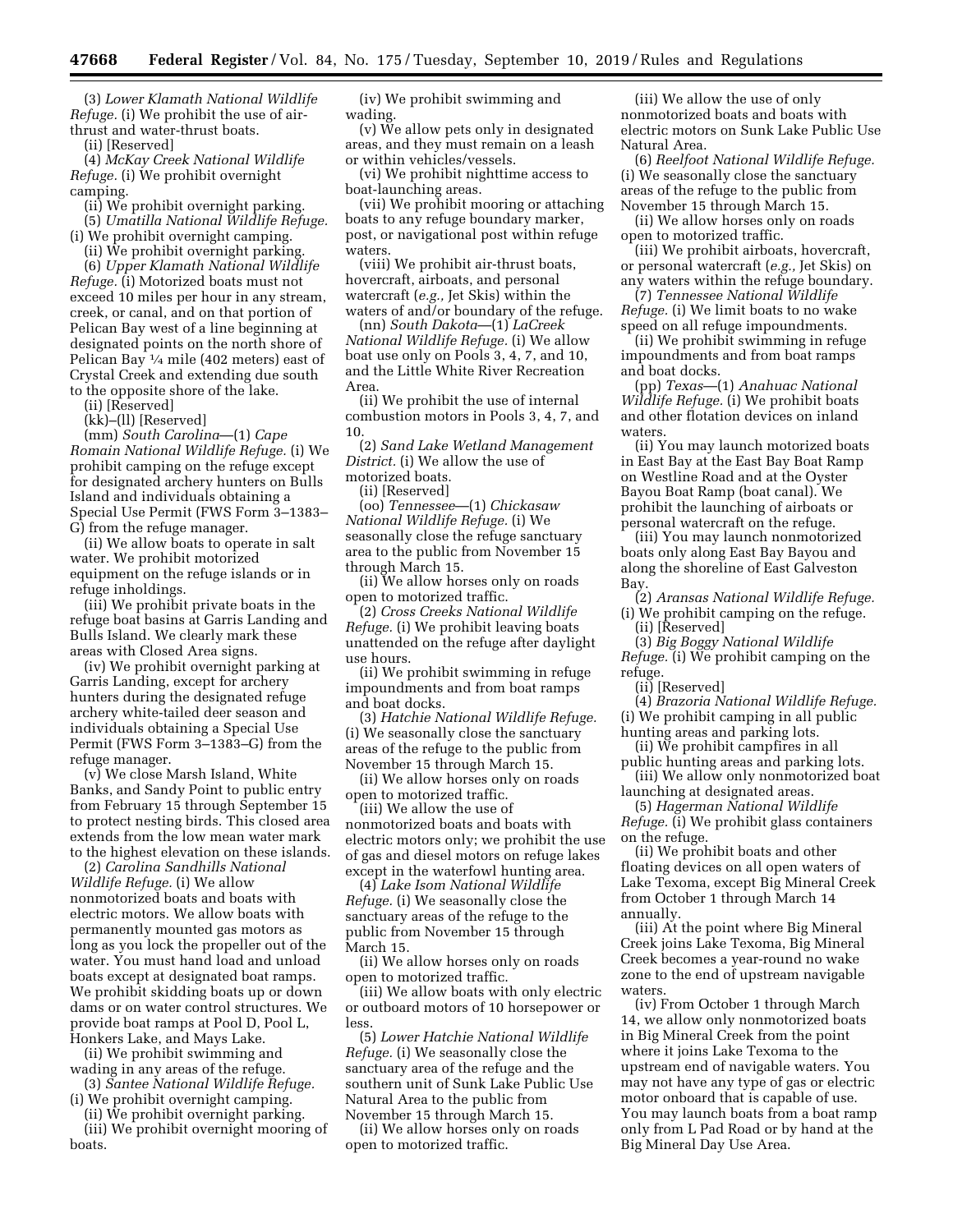(3) *Lower Klamath National Wildlife Refuge.* (i) We prohibit the use of airthrust and water-thrust boats.

(ii) [Reserved]

(4) *McKay Creek National Wildlife Refuge.* (i) We prohibit overnight camping.

(ii) We prohibit overnight parking.

(5) *Umatilla National Wildlife Refuge.*  (i) We prohibit overnight camping.

(ii) We prohibit overnight parking.

(6) *Upper Klamath National Wildlife Refuge.* (i) Motorized boats must not exceed 10 miles per hour in any stream, creek, or canal, and on that portion of Pelican Bay west of a line beginning at designated points on the north shore of Pelican Bay 1⁄4 mile (402 meters) east of Crystal Creek and extending due south to the opposite shore of the lake.

(ii) [Reserved]

(kk)–(ll) [Reserved]

(mm) *South Carolina*—(1) *Cape Romain National Wildlife Refuge.* (i) We prohibit camping on the refuge except for designated archery hunters on Bulls Island and individuals obtaining a Special Use Permit (FWS Form 3–1383– G) from the refuge manager.

(ii) We allow boats to operate in salt water. We prohibit motorized equipment on the refuge islands or in refuge inholdings.

(iii) We prohibit private boats in the refuge boat basins at Garris Landing and Bulls Island. We clearly mark these areas with Closed Area signs.

(iv) We prohibit overnight parking at Garris Landing, except for archery hunters during the designated refuge archery white-tailed deer season and individuals obtaining a Special Use Permit (FWS Form 3–1383–G) from the refuge manager.

(v) We close Marsh Island, White Banks, and Sandy Point to public entry from February 15 through September 15 to protect nesting birds. This closed area extends from the low mean water mark to the highest elevation on these islands.

(2) *Carolina Sandhills National Wildlife Refuge.* (i) We allow nonmotorized boats and boats with electric motors. We allow boats with permanently mounted gas motors as long as you lock the propeller out of the water. You must hand load and unload boats except at designated boat ramps. We prohibit skidding boats up or down dams or on water control structures. We provide boat ramps at Pool D, Pool L, Honkers Lake, and Mays Lake.

(ii) We prohibit swimming and wading in any areas of the refuge. (3) *Santee National Wildlife Refuge.* 

(i) We prohibit overnight camping.

(ii) We prohibit overnight parking. (iii) We prohibit overnight mooring of boats.

(iv) We prohibit swimming and wading.

(v) We allow pets only in designated areas, and they must remain on a leash or within vehicles/vessels.

(vi) We prohibit nighttime access to boat-launching areas.

(vii) We prohibit mooring or attaching boats to any refuge boundary marker, post, or navigational post within refuge waters.

(viii) We prohibit air-thrust boats, hovercraft, airboats, and personal watercraft (*e.g.,* Jet Skis) within the waters of and/or boundary of the refuge.

(nn) *South Dakota*—(1) *LaCreek National Wildlife Refuge.* (i) We allow boat use only on Pools 3, 4, 7, and 10, and the Little White River Recreation Area.

(ii) We prohibit the use of internal combustion motors in Pools 3, 4, 7, and 10.

(2) *Sand Lake Wetland Management District.* (i) We allow the use of motorized boats.

(ii) [Reserved]

(oo) *Tennessee*—(1) *Chickasaw National Wildlife Refuge.* (i) We seasonally close the refuge sanctuary area to the public from November 15 through March 15.

(ii) We allow horses only on roads open to motorized traffic.

(2) *Cross Creeks National Wildlife Refuge.* (i) We prohibit leaving boats unattended on the refuge after daylight use hours.

(ii) We prohibit swimming in refuge impoundments and from boat ramps and boat docks.

(3) *Hatchie National Wildlife Refuge.*  (i) We seasonally close the sanctuary areas of the refuge to the public from November 15 through March 15.

(ii) We allow horses only on roads open to motorized traffic.

(iii) We allow the use of nonmotorized boats and boats with electric motors only; we prohibit the use of gas and diesel motors on refuge lakes except in the waterfowl hunting area.

(4) *Lake Isom National Wildlife Refuge.* (i) We seasonally close the sanctuary areas of the refuge to the public from November 15 through March 15.

(ii) We allow horses only on roads open to motorized traffic.

(iii) We allow boats with only electric or outboard motors of 10 horsepower or less.

(5) *Lower Hatchie National Wildlife Refuge.* (i) We seasonally close the sanctuary area of the refuge and the southern unit of Sunk Lake Public Use Natural Area to the public from November 15 through March 15.

(ii) We allow horses only on roads open to motorized traffic.

(iii) We allow the use of only nonmotorized boats and boats with electric motors on Sunk Lake Public Use Natural Area.

(6) *Reelfoot National Wildlife Refuge.*  (i) We seasonally close the sanctuary areas of the refuge to the public from November 15 through March 15.

(ii) We allow horses only on roads open to motorized traffic.

(iii) We prohibit airboats, hovercraft, or personal watercraft (*e.g.,* Jet Skis) on any waters within the refuge boundary.

(7) *Tennessee National Wildlife Refuge.* (i) We limit boats to no wake speed on all refuge impoundments.

(ii) We prohibit swimming in refuge impoundments and from boat ramps and boat docks.

(pp) *Texas*—(1) *Anahuac National Wildlife Refuge.* (i) We prohibit boats and other flotation devices on inland waters.

(ii) You may launch motorized boats in East Bay at the East Bay Boat Ramp on Westline Road and at the Oyster Bayou Boat Ramp (boat canal). We prohibit the launching of airboats or personal watercraft on the refuge.

(iii) You may launch nonmotorized boats only along East Bay Bayou and along the shoreline of East Galveston Bay.

(2) *Aransas National Wildlife Refuge.*  (i) We prohibit camping on the refuge.

(ii) [Reserved]

(3) *Big Boggy National Wildlife Refuge.* (i) We prohibit camping on the refuge.

(ii) [Reserved]

(4) *Brazoria National Wildlife Refuge.*  (i) We prohibit camping in all public hunting areas and parking lots.

(ii) We prohibit campfires in all public hunting areas and parking lots.

(iii) We allow only nonmotorized boat launching at designated areas.

(5) *Hagerman National Wildlife Refuge.* (i) We prohibit glass containers

on the refuge. (ii) We prohibit boats and other floating devices on all open waters of Lake Texoma, except Big Mineral Creek from October 1 through March 14 annually.

(iii) At the point where Big Mineral Creek joins Lake Texoma, Big Mineral Creek becomes a year-round no wake zone to the end of upstream navigable waters.

(iv) From October 1 through March 14, we allow only nonmotorized boats in Big Mineral Creek from the point where it joins Lake Texoma to the upstream end of navigable waters. You may not have any type of gas or electric motor onboard that is capable of use. You may launch boats from a boat ramp only from L Pad Road or by hand at the Big Mineral Day Use Area.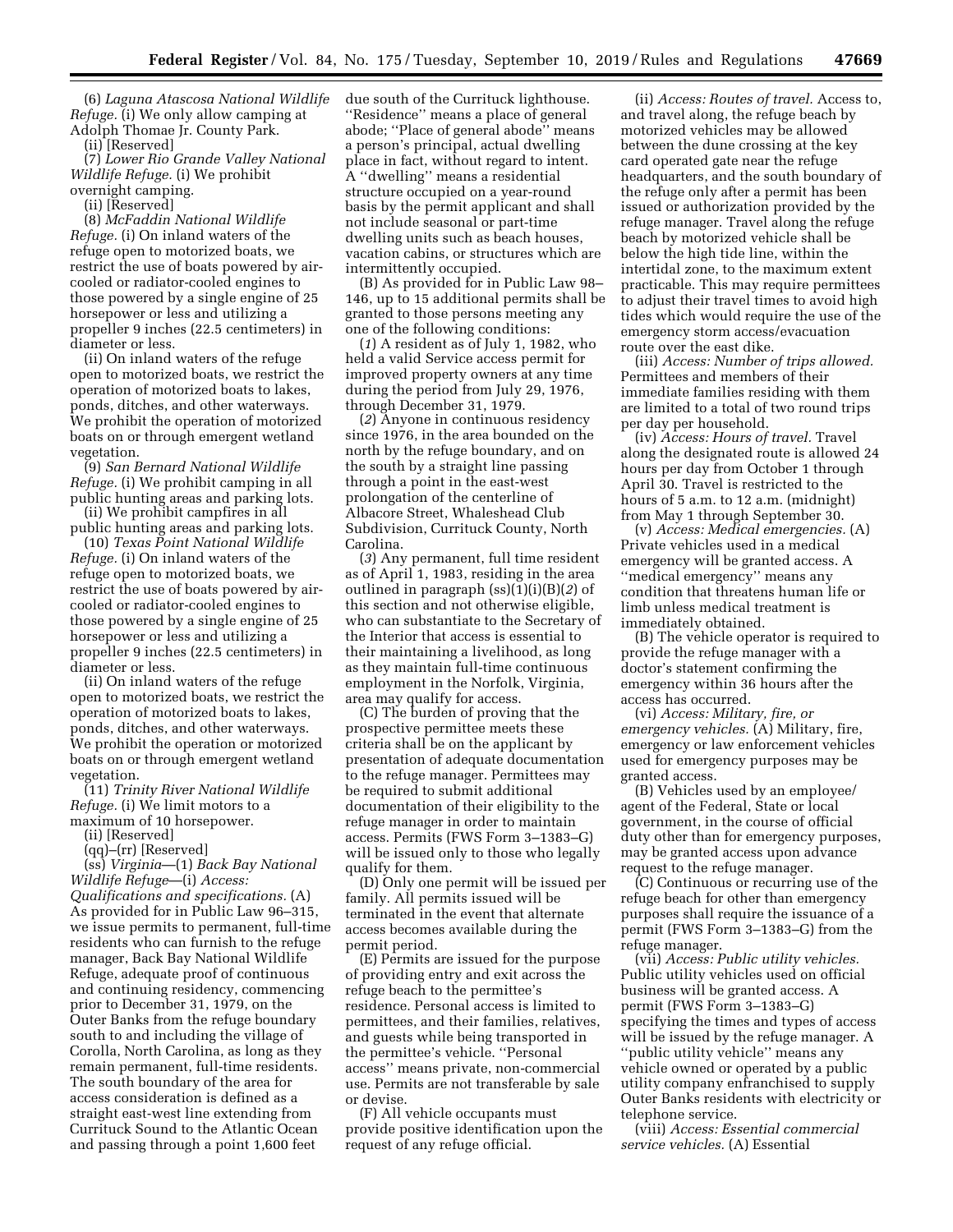(6) *Laguna Atascosa National Wildlife Refuge.* (i) We only allow camping at Adolph Thomae Jr. County Park.

(ii) [Reserved]

(7) *Lower Rio Grande Valley National Wildlife Refuge.* (i) We prohibit overnight camping.

(ii) [Reserved]

(8) *McFaddin National Wildlife Refuge.* (i) On inland waters of the refuge open to motorized boats, we restrict the use of boats powered by aircooled or radiator-cooled engines to those powered by a single engine of 25 horsepower or less and utilizing a propeller 9 inches (22.5 centimeters) in diameter or less.

(ii) On inland waters of the refuge open to motorized boats, we restrict the operation of motorized boats to lakes, ponds, ditches, and other waterways. We prohibit the operation of motorized boats on or through emergent wetland vegetation.

(9) *San Bernard National Wildlife Refuge.* (i) We prohibit camping in all public hunting areas and parking lots.

(ii) We prohibit campfires in all public hunting areas and parking lots.

(10) *Texas Point National Wildlife Refuge.* (i) On inland waters of the refuge open to motorized boats, we restrict the use of boats powered by aircooled or radiator-cooled engines to those powered by a single engine of 25 horsepower or less and utilizing a propeller 9 inches (22.5 centimeters) in diameter or less.

(ii) On inland waters of the refuge open to motorized boats, we restrict the operation of motorized boats to lakes, ponds, ditches, and other waterways. We prohibit the operation or motorized boats on or through emergent wetland vegetation.

(11) *Trinity River National Wildlife Refuge.* (i) We limit motors to a maximum of 10 horsepower.

(ii) [Reserved]

(qq)–(rr) [Reserved]

(ss) *Virginia*—(1) *Back Bay National Wildlife Refuge*—(i) *Access: Qualifications and specifications.* (A) As provided for in Public Law 96–315, we issue permits to permanent, full-time residents who can furnish to the refuge manager, Back Bay National Wildlife Refuge, adequate proof of continuous and continuing residency, commencing prior to December 31, 1979, on the Outer Banks from the refuge boundary south to and including the village of Corolla, North Carolina, as long as they remain permanent, full-time residents. The south boundary of the area for access consideration is defined as a straight east-west line extending from Currituck Sound to the Atlantic Ocean and passing through a point 1,600 feet

due south of the Currituck lighthouse. ''Residence'' means a place of general abode; ''Place of general abode'' means a person's principal, actual dwelling place in fact, without regard to intent. A ''dwelling'' means a residential structure occupied on a year-round basis by the permit applicant and shall not include seasonal or part-time dwelling units such as beach houses, vacation cabins, or structures which are intermittently occupied.

(B) As provided for in Public Law 98– 146, up to 15 additional permits shall be granted to those persons meeting any one of the following conditions:

(*1*) A resident as of July 1, 1982, who held a valid Service access permit for improved property owners at any time during the period from July 29, 1976, through December 31, 1979.

(*2*) Anyone in continuous residency since 1976, in the area bounded on the north by the refuge boundary, and on the south by a straight line passing through a point in the east-west prolongation of the centerline of Albacore Street, Whaleshead Club Subdivision, Currituck County, North Carolina.

(*3*) Any permanent, full time resident as of April 1, 1983, residing in the area outlined in paragraph (ss)(1)(i)(B)(*2*) of this section and not otherwise eligible, who can substantiate to the Secretary of the Interior that access is essential to their maintaining a livelihood, as long as they maintain full-time continuous employment in the Norfolk, Virginia, area may qualify for access.

(C) The burden of proving that the prospective permittee meets these criteria shall be on the applicant by presentation of adequate documentation to the refuge manager. Permittees may be required to submit additional documentation of their eligibility to the refuge manager in order to maintain access. Permits (FWS Form 3–1383–G) will be issued only to those who legally qualify for them.

(D) Only one permit will be issued per family. All permits issued will be terminated in the event that alternate access becomes available during the permit period.

(E) Permits are issued for the purpose of providing entry and exit across the refuge beach to the permittee's residence. Personal access is limited to permittees, and their families, relatives, and guests while being transported in the permittee's vehicle. ''Personal access'' means private, non-commercial use. Permits are not transferable by sale or devise.

(F) All vehicle occupants must provide positive identification upon the request of any refuge official.

(ii) *Access: Routes of travel.* Access to, and travel along, the refuge beach by motorized vehicles may be allowed between the dune crossing at the key card operated gate near the refuge headquarters, and the south boundary of the refuge only after a permit has been issued or authorization provided by the refuge manager. Travel along the refuge beach by motorized vehicle shall be below the high tide line, within the intertidal zone, to the maximum extent practicable. This may require permittees to adjust their travel times to avoid high tides which would require the use of the emergency storm access/evacuation route over the east dike.

(iii) *Access: Number of trips allowed.*  Permittees and members of their immediate families residing with them are limited to a total of two round trips per day per household.

(iv) *Access: Hours of travel.* Travel along the designated route is allowed 24 hours per day from October 1 through April 30. Travel is restricted to the hours of 5 a.m. to 12 a.m. (midnight) from May 1 through September 30.

(v) *Access: Medical emergencies.* (A) Private vehicles used in a medical emergency will be granted access. A ''medical emergency'' means any condition that threatens human life or limb unless medical treatment is immediately obtained.

(B) The vehicle operator is required to provide the refuge manager with a doctor's statement confirming the emergency within 36 hours after the access has occurred.

(vi) *Access: Military, fire, or emergency vehicles.* (A) Military, fire, emergency or law enforcement vehicles used for emergency purposes may be granted access.

(B) Vehicles used by an employee/ agent of the Federal, State or local government, in the course of official duty other than for emergency purposes, may be granted access upon advance request to the refuge manager.

(C) Continuous or recurring use of the refuge beach for other than emergency purposes shall require the issuance of a permit (FWS Form 3–1383–G) from the refuge manager.

(vii) *Access: Public utility vehicles.*  Public utility vehicles used on official business will be granted access. A permit (FWS Form 3–1383–G) specifying the times and types of access will be issued by the refuge manager. A ''public utility vehicle'' means any vehicle owned or operated by a public utility company enfranchised to supply Outer Banks residents with electricity or telephone service.

(viii) *Access: Essential commercial service vehicles.* (A) Essential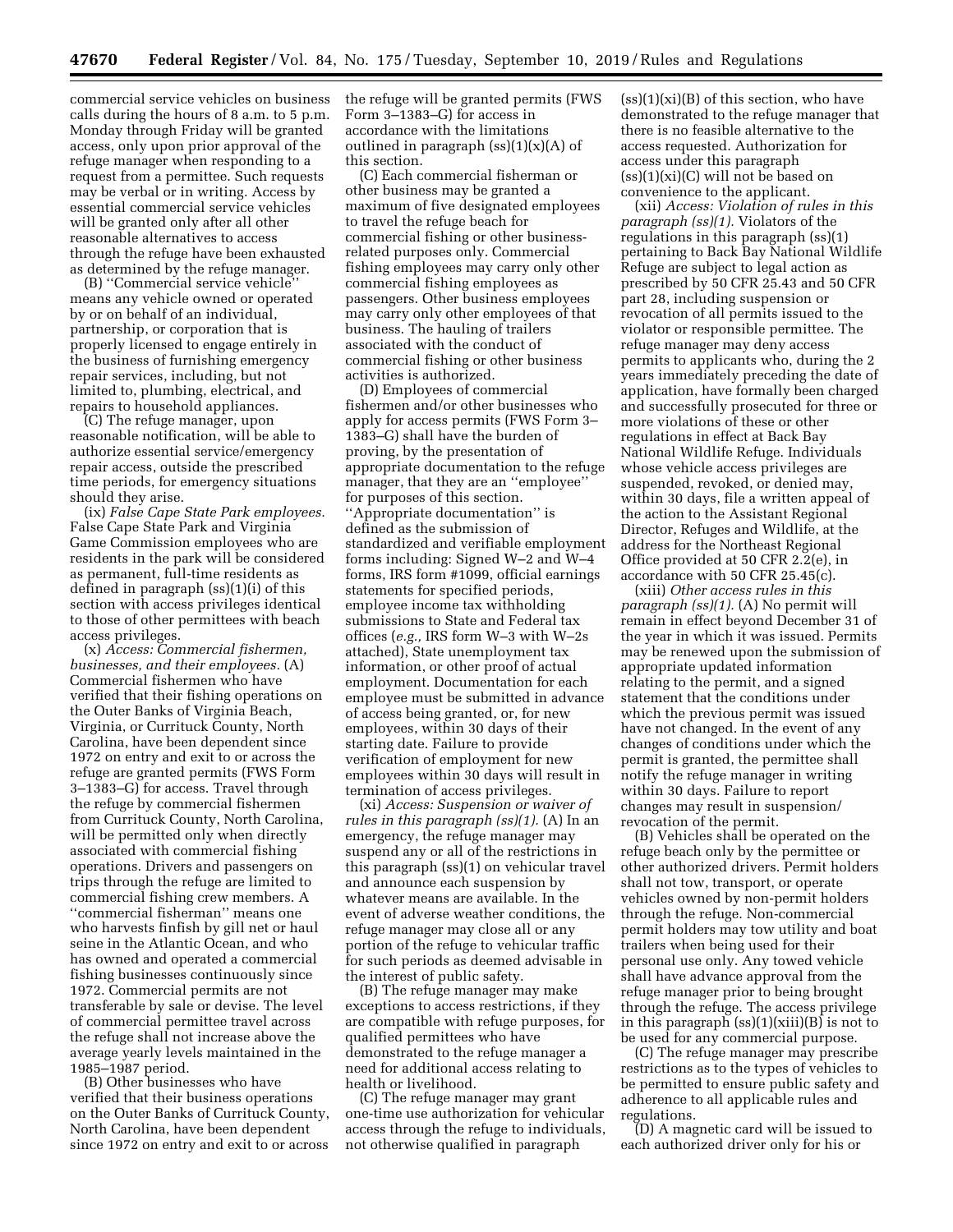commercial service vehicles on business calls during the hours of 8 a.m. to 5 p.m. Monday through Friday will be granted access, only upon prior approval of the refuge manager when responding to a request from a permittee. Such requests may be verbal or in writing. Access by essential commercial service vehicles will be granted only after all other reasonable alternatives to access through the refuge have been exhausted as determined by the refuge manager.

(B) ''Commercial service vehicle'' means any vehicle owned or operated by or on behalf of an individual, partnership, or corporation that is properly licensed to engage entirely in the business of furnishing emergency repair services, including, but not limited to, plumbing, electrical, and repairs to household appliances.

(C) The refuge manager, upon reasonable notification, will be able to authorize essential service/emergency repair access, outside the prescribed time periods, for emergency situations should they arise.

(ix) *False Cape State Park employees.*  False Cape State Park and Virginia Game Commission employees who are residents in the park will be considered as permanent, full-time residents as defined in paragraph (ss)(1)(i) of this section with access privileges identical to those of other permittees with beach access privileges.

(x) *Access: Commercial fishermen, businesses, and their employees.* (A) Commercial fishermen who have verified that their fishing operations on the Outer Banks of Virginia Beach, Virginia, or Currituck County, North Carolina, have been dependent since 1972 on entry and exit to or across the refuge are granted permits (FWS Form 3–1383–G) for access. Travel through the refuge by commercial fishermen from Currituck County, North Carolina, will be permitted only when directly associated with commercial fishing operations. Drivers and passengers on trips through the refuge are limited to commercial fishing crew members. A ''commercial fisherman'' means one who harvests finfish by gill net or haul seine in the Atlantic Ocean, and who has owned and operated a commercial fishing businesses continuously since 1972. Commercial permits are not transferable by sale or devise. The level of commercial permittee travel across the refuge shall not increase above the average yearly levels maintained in the 1985–1987 period.

(B) Other businesses who have verified that their business operations on the Outer Banks of Currituck County, North Carolina, have been dependent since 1972 on entry and exit to or across

the refuge will be granted permits (FWS Form 3–1383–G) for access in accordance with the limitations outlined in paragraph  $(ss)(1)(x)(A)$  of this section.

(C) Each commercial fisherman or other business may be granted a maximum of five designated employees to travel the refuge beach for commercial fishing or other businessrelated purposes only. Commercial fishing employees may carry only other commercial fishing employees as passengers. Other business employees may carry only other employees of that business. The hauling of trailers associated with the conduct of commercial fishing or other business activities is authorized.

(D) Employees of commercial fishermen and/or other businesses who apply for access permits (FWS Form 3– 1383–G) shall have the burden of proving, by the presentation of appropriate documentation to the refuge manager, that they are an ''employee'' for purposes of this section. ''Appropriate documentation'' is defined as the submission of standardized and verifiable employment forms including: Signed W–2 and W–4 forms, IRS form #1099, official earnings statements for specified periods, employee income tax withholding submissions to State and Federal tax offices (*e.g.,* IRS form W–3 with W–2s attached), State unemployment tax information, or other proof of actual employment. Documentation for each employee must be submitted in advance of access being granted, or, for new employees, within 30 days of their starting date. Failure to provide verification of employment for new employees within 30 days will result in termination of access privileges.

(xi) *Access: Suspension or waiver of rules in this paragraph (ss)(1).* (A) In an emergency, the refuge manager may suspend any or all of the restrictions in this paragraph (ss)(1) on vehicular travel and announce each suspension by whatever means are available. In the event of adverse weather conditions, the refuge manager may close all or any portion of the refuge to vehicular traffic for such periods as deemed advisable in the interest of public safety.

(B) The refuge manager may make exceptions to access restrictions, if they are compatible with refuge purposes, for qualified permittees who have demonstrated to the refuge manager a need for additional access relating to health or livelihood.

(C) The refuge manager may grant one-time use authorization for vehicular access through the refuge to individuals, not otherwise qualified in paragraph

 $(ss)(1)(xi)(B)$  of this section, who have demonstrated to the refuge manager that there is no feasible alternative to the access requested. Authorization for access under this paragraph  $(ss)(1)(xi)(C)$  will not be based on convenience to the applicant.

(xii) *Access: Violation of rules in this paragraph (ss)(1).* Violators of the regulations in this paragraph (ss)(1) pertaining to Back Bay National Wildlife Refuge are subject to legal action as prescribed by 50 CFR 25.43 and 50 CFR part 28, including suspension or revocation of all permits issued to the violator or responsible permittee. The refuge manager may deny access permits to applicants who, during the 2 years immediately preceding the date of application, have formally been charged and successfully prosecuted for three or more violations of these or other regulations in effect at Back Bay National Wildlife Refuge. Individuals whose vehicle access privileges are suspended, revoked, or denied may, within 30 days, file a written appeal of the action to the Assistant Regional Director, Refuges and Wildlife, at the address for the Northeast Regional Office provided at 50 CFR 2.2(e), in accordance with 50 CFR 25.45(c).

(xiii) *Other access rules in this paragraph (ss)(1).* (A) No permit will remain in effect beyond December 31 of the year in which it was issued. Permits may be renewed upon the submission of appropriate updated information relating to the permit, and a signed statement that the conditions under which the previous permit was issued have not changed. In the event of any changes of conditions under which the permit is granted, the permittee shall notify the refuge manager in writing within 30 days. Failure to report changes may result in suspension/ revocation of the permit.

(B) Vehicles shall be operated on the refuge beach only by the permittee or other authorized drivers. Permit holders shall not tow, transport, or operate vehicles owned by non-permit holders through the refuge. Non-commercial permit holders may tow utility and boat trailers when being used for their personal use only. Any towed vehicle shall have advance approval from the refuge manager prior to being brought through the refuge. The access privilege in this paragraph (ss)(1)(xiii)(B) is not to be used for any commercial purpose.

(C) The refuge manager may prescribe restrictions as to the types of vehicles to be permitted to ensure public safety and adherence to all applicable rules and regulations.

(D) A magnetic card will be issued to each authorized driver only for his or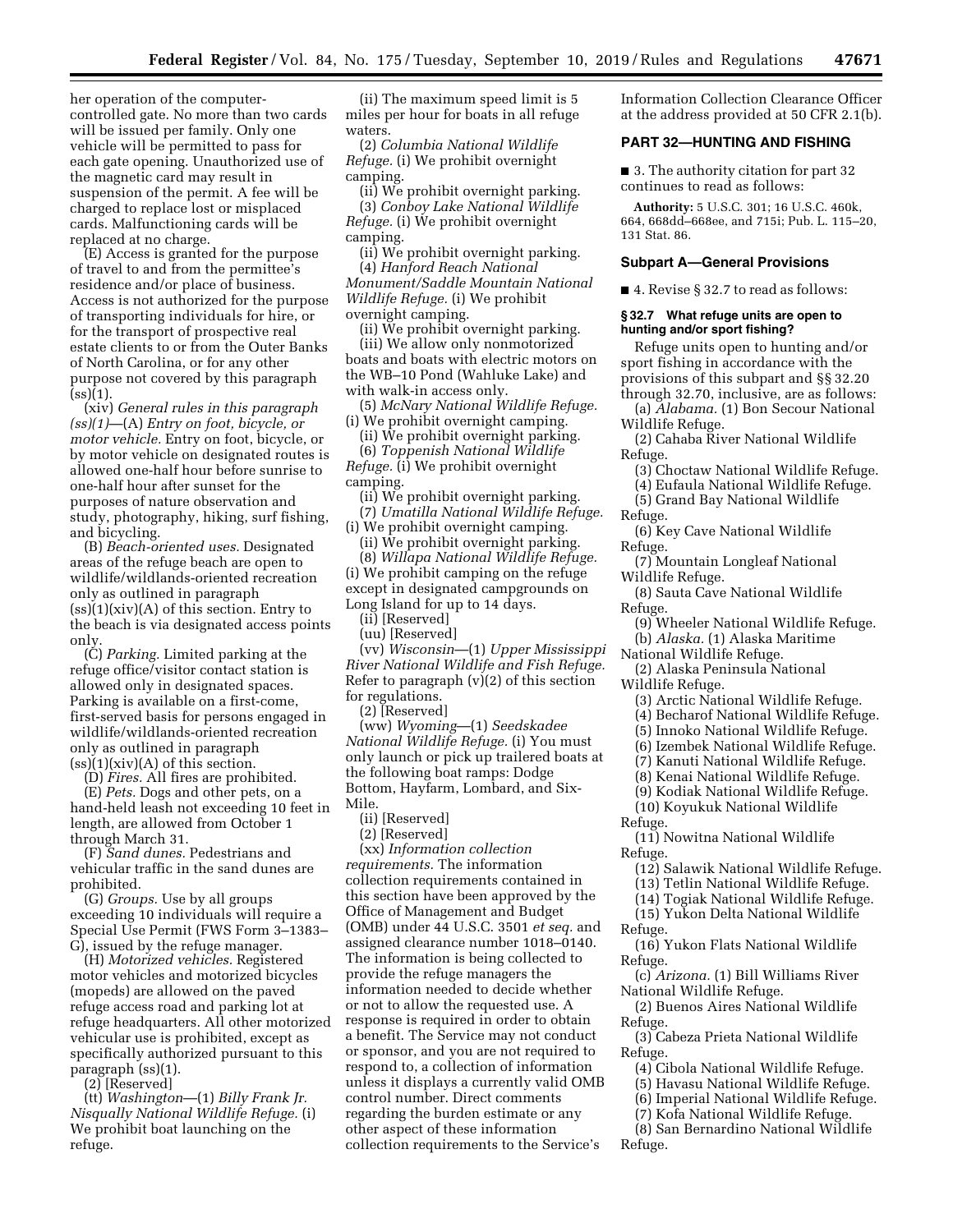her operation of the computercontrolled gate. No more than two cards will be issued per family. Only one vehicle will be permitted to pass for each gate opening. Unauthorized use of the magnetic card may result in suspension of the permit. A fee will be charged to replace lost or misplaced cards. Malfunctioning cards will be replaced at no charge.

(E) Access is granted for the purpose of travel to and from the permittee's residence and/or place of business. Access is not authorized for the purpose of transporting individuals for hire, or for the transport of prospective real estate clients to or from the Outer Banks of North Carolina, or for any other purpose not covered by this paragraph  $(ss)(1)$ .

(xiv) *General rules in this paragraph (ss)(1)*—(A) *Entry on foot, bicycle, or motor vehicle.* Entry on foot, bicycle, or by motor vehicle on designated routes is allowed one-half hour before sunrise to one-half hour after sunset for the purposes of nature observation and study, photography, hiking, surf fishing, and bicycling.

(B) *Beach-oriented uses.* Designated areas of the refuge beach are open to wildlife/wildlands-oriented recreation only as outlined in paragraph  $(s)$ (1)(xiv)(A) of this section. Entry to the beach is via designated access points only.

(C) *Parking.* Limited parking at the refuge office/visitor contact station is allowed only in designated spaces. Parking is available on a first-come, first-served basis for persons engaged in wildlife/wildlands-oriented recreation only as outlined in paragraph  $(ss)(1)(xiv)(A)$  of this section.

(D) *Fires.* All fires are prohibited.

(E) *Pets.* Dogs and other pets, on a hand-held leash not exceeding 10 feet in length, are allowed from October 1 through March 31.

(F) *Sand dunes.* Pedestrians and vehicular traffic in the sand dunes are prohibited.

(G) *Groups.* Use by all groups exceeding 10 individuals will require a Special Use Permit (FWS Form 3–1383– G), issued by the refuge manager.

(H) *Motorized vehicles.* Registered motor vehicles and motorized bicycles (mopeds) are allowed on the paved refuge access road and parking lot at refuge headquarters. All other motorized vehicular use is prohibited, except as specifically authorized pursuant to this paragraph (ss)(1).

(2) [Reserved]

(tt) *Washington*—(1) *Billy Frank Jr. Nisqually National Wildlife Refuge.* (i) We prohibit boat launching on the refuge.

(ii) The maximum speed limit is 5 miles per hour for boats in all refuge waters.

(2) *Columbia National Wildlife Refuge.* (i) We prohibit overnight camping.

(ii) We prohibit overnight parking. (3) *Conboy Lake National Wildlife Refuge.* (i) We prohibit overnight camping.

(ii) We prohibit overnight parking. (4) *Hanford Reach National Monument/Saddle Mountain National Wildlife Refuge.* (i) We prohibit overnight camping.

(ii) We prohibit overnight parking. (iii) We allow only nonmotorized boats and boats with electric motors on the WB–10 Pond (Wahluke Lake) and with walk-in access only.

(5) *McNary National Wildlife Refuge.*  (i) We prohibit overnight camping.

(ii) We prohibit overnight parking.

(6) *Toppenish National Wildlife Refuge.* (i) We prohibit overnight camping.

(ii) We prohibit overnight parking. (7) *Umatilla National Wildlife Refuge.* 

(i) We prohibit overnight camping. (ii) We prohibit overnight parking.

(8) *Willapa National Wildlife Refuge.* 

(i) We prohibit camping on the refuge except in designated campgrounds on Long Island for up to 14 days.

(ii) [Reserved]

(uu) [Reserved]

(vv) *Wisconsin*—(1) *Upper Mississippi River National Wildlife and Fish Refuge.*  Refer to paragraph (v)(2) of this section for regulations.

(2) [Reserved]

(ww) *Wyoming*—(1) *Seedskadee National Wildlife Refuge.* (i) You must only launch or pick up trailered boats at the following boat ramps: Dodge Bottom, Hayfarm, Lombard, and Six-Mile.

(ii) [Reserved]

(2) [Reserved]

(xx) *Information collection requirements.* The information collection requirements contained in this section have been approved by the Office of Management and Budget (OMB) under 44 U.S.C. 3501 *et seq.* and assigned clearance number 1018–0140. The information is being collected to provide the refuge managers the information needed to decide whether or not to allow the requested use. A response is required in order to obtain a benefit. The Service may not conduct or sponsor, and you are not required to respond to, a collection of information unless it displays a currently valid OMB control number. Direct comments regarding the burden estimate or any other aspect of these information collection requirements to the Service's

Information Collection Clearance Officer at the address provided at 50 CFR 2.1(b).

# **PART 32—HUNTING AND FISHING**

■ 3. The authority citation for part 32 continues to read as follows:

**Authority:** 5 U.S.C. 301; 16 U.S.C. 460k, 664, 668dd–668ee, and 715i; Pub. L. 115–20, 131 Stat. 86.

#### **Subpart A—General Provisions**

■ 4. Revise § 32.7 to read as follows:

### **§ 32.7 What refuge units are open to hunting and/or sport fishing?**

Refuge units open to hunting and/or sport fishing in accordance with the provisions of this subpart and §§ 32.20 through 32.70, inclusive, are as follows:

(a) *Alabama.* (1) Bon Secour National Wildlife Refuge.

(2) Cahaba River National Wildlife Refuge.

(3) Choctaw National Wildlife Refuge.

(4) Eufaula National Wildlife Refuge.

(5) Grand Bay National Wildlife

Refuge.

(6) Key Cave National Wildlife Refuge.

(7) Mountain Longleaf National Wildlife Refuge.

(8) Sauta Cave National Wildlife Refuge.

(9) Wheeler National Wildlife Refuge. (b) *Alaska.* (1) Alaska Maritime

National Wildlife Refuge.

(2) Alaska Peninsula National Wildlife Refuge.

(3) Arctic National Wildlife Refuge.

(4) Becharof National Wildlife Refuge.

(5) Innoko National Wildlife Refuge.

(6) Izembek National Wildlife Refuge.

(7) Kanuti National Wildlife Refuge.

(8) Kenai National Wildlife Refuge.

(9) Kodiak National Wildlife Refuge.

(10) Koyukuk National Wildlife

Refuge.

(11) Nowitna National Wildlife Refuge.

(12) Salawik National Wildlife Refuge.

(13) Tetlin National Wildlife Refuge.

(14) Togiak National Wildlife Refuge.

(15) Yukon Delta National Wildlife

Refuge.

(16) Yukon Flats National Wildlife Refuge.

(c) *Arizona.* (1) Bill Williams River National Wildlife Refuge.

(2) Buenos Aires National Wildlife Refuge.

(3) Cabeza Prieta National Wildlife Refuge.

(4) Cibola National Wildlife Refuge.

(5) Havasu National Wildlife Refuge.

(6) Imperial National Wildlife Refuge.

(7) Kofa National Wildlife Refuge.

(8) San Bernardino National Wildlife Refuge.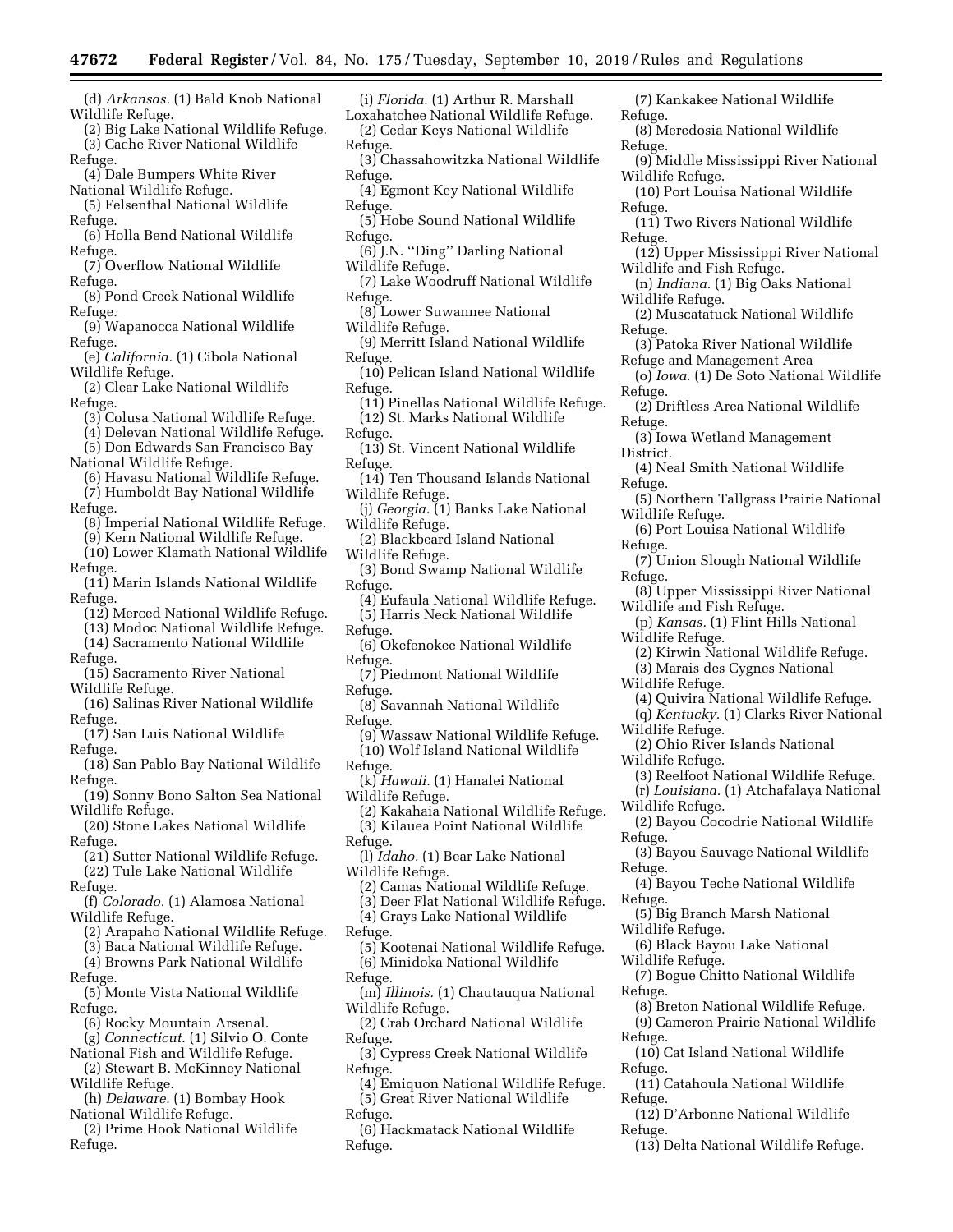- (d) *Arkansas.* (1) Bald Knob National Wildlife Refuge.
- (2) Big Lake National Wildlife Refuge. (3) Cache River National Wildlife
- Refuge. (4) Dale Bumpers White River National Wildlife Refuge.
- (5) Felsenthal National Wildlife Refuge.
- (6) Holla Bend National Wildlife Refuge.
- (7) Overflow National Wildlife Refuge.
- (8) Pond Creek National Wildlife Refuge.
- (9) Wapanocca National Wildlife Refuge.
- (e) *California.* (1) Cibola National Wildlife Refuge.
- (2) Clear Lake National Wildlife Refuge.
- (3) Colusa National Wildlife Refuge.
- (4) Delevan National Wildlife Refuge. (5) Don Edwards San Francisco Bay
- National Wildlife Refuge.
- (6) Havasu National Wildlife Refuge. (7) Humboldt Bay National Wildlife
- Refuge. (8) Imperial National Wildlife Refuge.
- (9) Kern National Wildlife Refuge. (10) Lower Klamath National Wildlife
- Refuge.
- (11) Marin Islands National Wildlife Refuge.
- (12) Merced National Wildlife Refuge.
- (13) Modoc National Wildlife Refuge.

(14) Sacramento National Wildlife

- Refuge.
- (15) Sacramento River National Wildlife Refuge.
- (16) Salinas River National Wildlife Refuge.
- (17) San Luis National Wildlife Refuge.
- (18) San Pablo Bay National Wildlife Refuge.
- (19) Sonny Bono Salton Sea National Wildlife Refuge.
- (20) Stone Lakes National Wildlife Refuge.
- (21) Sutter National Wildlife Refuge. (22) Tule Lake National Wildlife
- Refuge.
- (f) *Colorado.* (1) Alamosa National Wildlife Refuge.
- (2) Arapaho National Wildlife Refuge. (3) Baca National Wildlife Refuge.
- (4) Browns Park National Wildlife
- Refuge.
- (5) Monte Vista National Wildlife Refuge.
- (6) Rocky Mountain Arsenal.
- (g) *Connecticut.* (1) Silvio O. Conte National Fish and Wildlife Refuge.
- (2) Stewart B. McKinney National Wildlife Refuge.
- (h) *Delaware.* (1) Bombay Hook National Wildlife Refuge.
- (2) Prime Hook National Wildlife Refuge.
- (i) *Florida.* (1) Arthur R. Marshall Loxahatchee National Wildlife Refuge. (2) Cedar Keys National Wildlife
- Refuge.
- (3) Chassahowitzka National Wildlife Refuge.
- (4) Egmont Key National Wildlife Refuge.
- (5) Hobe Sound National Wildlife Refuge.
- (6) J.N. ''Ding'' Darling National Wildlife Refuge.
- (7) Lake Woodruff National Wildlife Refuge.
- (8) Lower Suwannee National Wildlife Refuge.
- (9) Merritt Island National Wildlife Refuge.
- (10) Pelican Island National Wildlife Refuge.
- (11) Pinellas National Wildlife Refuge. (12) St. Marks National Wildlife
- Refuge.
- (13) St. Vincent National Wildlife Refuge.
- (14) Ten Thousand Islands National Wildlife Refuge.
- (j) *Georgia.* (1) Banks Lake National Wildlife Refuge.
- (2) Blackbeard Island National Wildlife Refuge.
- (3) Bond Swamp National Wildlife Refuge.
- (4) Eufaula National Wildlife Refuge. (5) Harris Neck National Wildlife
- Refuge.
- (6) Okefenokee National Wildlife Refuge.
- (7) Piedmont National Wildlife Refuge.
- (8) Savannah National Wildlife Refuge.
- (9) Wassaw National Wildlife Refuge. (10) Wolf Island National Wildlife Refuge.
- (k) *Hawaii.* (1) Hanalei National Wildlife Refuge.
- (2) Kakahaia National Wildlife Refuge. (3) Kilauea Point National Wildlife
- Refuge.
- (l) *Idaho.* (1) Bear Lake National Wildlife Refuge.
- (2) Camas National Wildlife Refuge. (3) Deer Flat National Wildlife Refuge.
- (4) Grays Lake National Wildlife
- Refuge.
- (5) Kootenai National Wildlife Refuge. (6) Minidoka National Wildlife
- Refuge.
- (m) *Illinois.* (1) Chautauqua National Wildlife Refuge.
- (2) Crab Orchard National Wildlife Refuge.
- (3) Cypress Creek National Wildlife Refuge.
- (4) Emiquon National Wildlife Refuge. (5) Great River National Wildlife Refuge.
- (6) Hackmatack National Wildlife Refuge.
- (7) Kankakee National Wildlife Refuge.
- (8) Meredosia National Wildlife Refuge.
- (9) Middle Mississippi River National Wildlife Refuge.
- (10) Port Louisa National Wildlife Refuge.
- (11) Two Rivers National Wildlife Refuge.
- (12) Upper Mississippi River National Wildlife and Fish Refuge.
- (n) *Indiana.* (1) Big Oaks National Wildlife Refuge.
- (2) Muscatatuck National Wildlife Refuge.
- (3) Patoka River National Wildlife Refuge and Management Area
- (o) *Iowa.* (1) De Soto National Wildlife Refuge.
- (2) Driftless Area National Wildlife Refuge.
- (3) Iowa Wetland Management District.
- (4) Neal Smith National Wildlife Refuge.
- (5) Northern Tallgrass Prairie National Wildlife Refuge.
- (6) Port Louisa National Wildlife Refuge.
- (7) Union Slough National Wildlife Refuge.
- (8) Upper Mississippi River National Wildlife and Fish Refuge.
- (p) *Kansas.* (1) Flint Hills National Wildlife Refuge.

(2) Ohio River Islands National

- (2) Kirwin National Wildlife Refuge.
- (3) Marais des Cygnes National
- Wildlife Refuge.

Wildlife Refuge.

Wildlife Refuge.

Wildlife Refuge.

Wildlife Refuge.

Wildlife Refuge.

Refuge.

Refuge.

Refuge.

Refuge.

Refuge.

Refuge.

Refuge.

Refuge.

(4) Quivira National Wildlife Refuge. (q) *Kentucky.* (1) Clarks River National

(3) Reelfoot National Wildlife Refuge. (r) *Louisiana.* (1) Atchafalaya National

(2) Bayou Cocodrie National Wildlife

(3) Bayou Sauvage National Wildlife

(4) Bayou Teche National Wildlife

(5) Big Branch Marsh National

(6) Black Bayou Lake National

(7) Bogue Chitto National Wildlife

(8) Breton National Wildlife Refuge. (9) Cameron Prairie National Wildlife

(10) Cat Island National Wildlife

(11) Catahoula National Wildlife

(12) D'Arbonne National Wildlife

(13) Delta National Wildlife Refuge.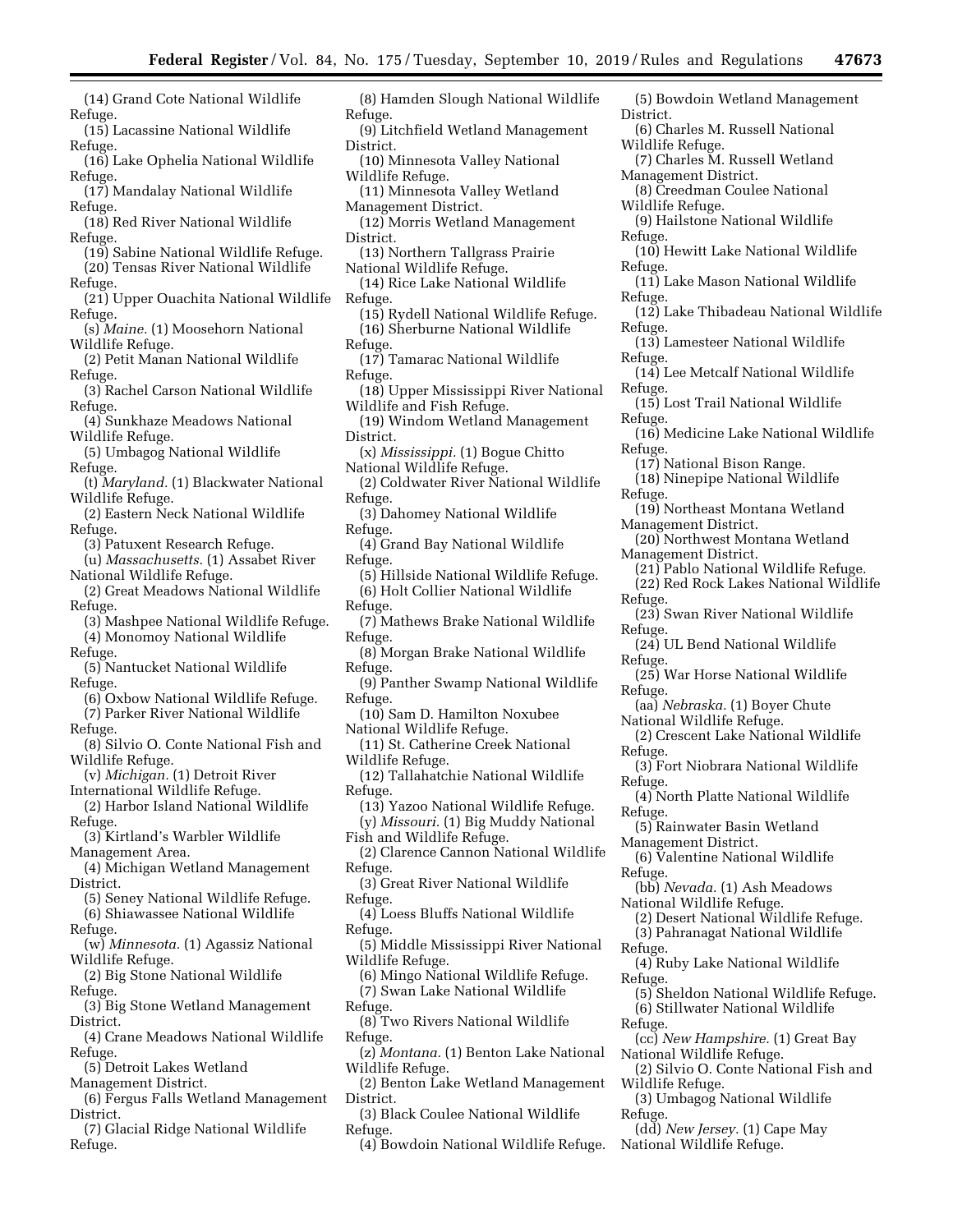- (14) Grand Cote National Wildlife Refuge. (15) Lacassine National Wildlife
- Refuge. (16) Lake Ophelia National Wildlife
- Refuge.
- (17) Mandalay National Wildlife Refuge.
- (18) Red River National Wildlife Refuge.
- (19) Sabine National Wildlife Refuge. (20) Tensas River National Wildlife
- Refuge.
- (21) Upper Ouachita National Wildlife Refuge.
- (s) *Maine.* (1) Moosehorn National Wildlife Refuge.
- (2) Petit Manan National Wildlife Refuge.
- (3) Rachel Carson National Wildlife Refuge.
- (4) Sunkhaze Meadows National Wildlife Refuge.
- (5) Umbagog National Wildlife Refuge.
- (t) *Maryland.* (1) Blackwater National Wildlife Refuge.
- (2) Eastern Neck National Wildlife Refuge.
- (3) Patuxent Research Refuge.
- (u) *Massachusetts.* (1) Assabet River National Wildlife Refuge.
- (2) Great Meadows National Wildlife Refuge.
- (3) Mashpee National Wildlife Refuge. (4) Monomoy National Wildlife
- Refuge.
- (5) Nantucket National Wildlife Refuge.
- (6) Oxbow National Wildlife Refuge.
- (7) Parker River National Wildlife Refuge.
- (8) Silvio O. Conte National Fish and Wildlife Refuge.
- (v) *Michigan.* (1) Detroit River
- International Wildlife Refuge. (2) Harbor Island National Wildlife Refuge.
- (3) Kirtland's Warbler Wildlife Management Area.
- (4) Michigan Wetland Management District.
	- (5) Seney National Wildlife Refuge.
- (6) Shiawassee National Wildlife Refuge.
- (w) *Minnesota.* (1) Agassiz National
- Wildlife Refuge. (2) Big Stone National Wildlife
- Refuge.
- (3) Big Stone Wetland Management District.
- (4) Crane Meadows National Wildlife Refuge.
- (5) Detroit Lakes Wetland
- Management District.
- (6) Fergus Falls Wetland Management District.
- (7) Glacial Ridge National Wildlife Refuge.
- (8) Hamden Slough National Wildlife Refuge. (9) Litchfield Wetland Management District.
- (10) Minnesota Valley National Wildlife Refuge.
- (11) Minnesota Valley Wetland Management District.
- (12) Morris Wetland Management District.
- (13) Northern Tallgrass Prairie National Wildlife Refuge.
- (14) Rice Lake National Wildlife Refuge.
- (15) Rydell National Wildlife Refuge. (16) Sherburne National Wildlife Refuge.
- (17) Tamarac National Wildlife Refuge.
- (18) Upper Mississippi River National Wildlife and Fish Refuge.
- (19) Windom Wetland Management District.
- (x) *Mississippi.* (1) Bogue Chitto National Wildlife Refuge.
- (2) Coldwater River National Wildlife Refuge.
- (3) Dahomey National Wildlife Refuge.
- (4) Grand Bay National Wildlife Refuge.
- (5) Hillside National Wildlife Refuge. (6) Holt Collier National Wildlife
- Refuge. (7) Mathews Brake National Wildlife
- Refuge. (8) Morgan Brake National Wildlife
- Refuge.
- (9) Panther Swamp National Wildlife Refuge.
- (10) Sam D. Hamilton Noxubee National Wildlife Refuge.
- (11) St. Catherine Creek National Wildlife Refuge.
- (12) Tallahatchie National Wildlife Refuge.
- (13) Yazoo National Wildlife Refuge. (y) *Missouri.* (1) Big Muddy National
- Fish and Wildlife Refuge.
- (2) Clarence Cannon National Wildlife Refuge.
- (3) Great River National Wildlife Refuge.
- (4) Loess Bluffs National Wildlife Refuge.
- (5) Middle Mississippi River National Wildlife Refuge.
- (6) Mingo National Wildlife Refuge. (7) Swan Lake National Wildlife
- Refuge.
- (8) Two Rivers National Wildlife Refuge.
- (z) *Montana.* (1) Benton Lake National Wildlife Refuge.
- (2) Benton Lake Wetland Management District.
- (3) Black Coulee National Wildlife Refuge.
- (4) Bowdoin National Wildlife Refuge.

(6) Charles M. Russell National Wildlife Refuge. (7) Charles M. Russell Wetland Management District. (8) Creedman Coulee National Wildlife Refuge. (9) Hailstone National Wildlife

(5) Bowdoin Wetland Management

District.

- Refuge. (10) Hewitt Lake National Wildlife Refuge.
- (11) Lake Mason National Wildlife Refuge.
- (12) Lake Thibadeau National Wildlife Refuge.
- (13) Lamesteer National Wildlife Refuge.
- (14) Lee Metcalf National Wildlife Refuge.
- (15) Lost Trail National Wildlife Refuge.
- (16) Medicine Lake National Wildlife Refuge.
- (17) National Bison Range. (18) Ninepipe National Wildlife
- Refuge.
- (19) Northeast Montana Wetland Management District.
- (20) Northwest Montana Wetland Management District.
- (21) Pablo National Wildlife Refuge.
- (22) Red Rock Lakes National Wildlife Refuge.
- (23) Swan River National Wildlife Refuge.
- (24) UL Bend National Wildlife Refuge.
- (25) War Horse National Wildlife Refuge.
- (aa) *Nebraska.* (1) Boyer Chute National Wildlife Refuge.
- (2) Crescent Lake National Wildlife Refuge.
- (3) Fort Niobrara National Wildlife Refuge.
- (4) North Platte National Wildlife Refuge.
- (5) Rainwater Basin Wetland
- Management District. (6) Valentine National Wildlife Refuge.
- (bb) *Nevada.* (1) Ash Meadows National Wildlife Refuge.

Refuge.

Refuge.

Refuge.

Refuge.

(2) Desert National Wildlife Refuge. (3) Pahranagat National Wildlife

(4) Ruby Lake National Wildlife

(5) Sheldon National Wildlife Refuge. (6) Stillwater National Wildlife

(cc) *New Hampshire.* (1) Great Bay

(3) Umbagog National Wildlife

(dd) *New Jersey.* (1) Cape May

(2) Silvio O. Conte National Fish and

National Wildlife Refuge.

National Wildlife Refuge.

Wildlife Refuge.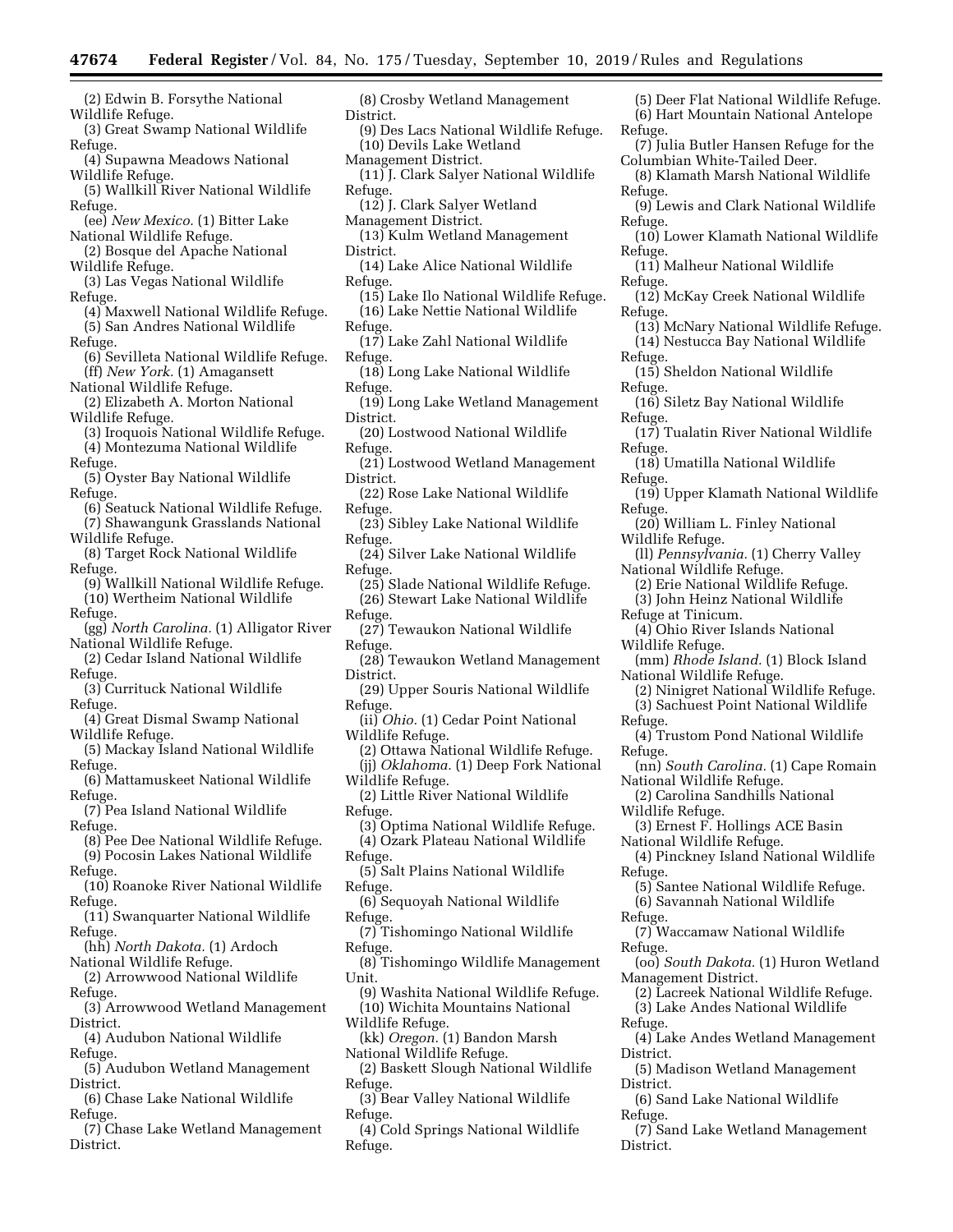(2) Edwin B. Forsythe National (3) Great Swamp National Wildlife (10) Wertheim National Wildlife (6) Chase Lake National Wildlife (8) Crosby Wetland Management District. (10) Devils Lake Wetland Management District. Refuge. (12) J. Clark Salyer Wetland Management District. (13) Kulm Wetland Management District. (14) Lake Alice National Wildlife Refuge. (16) Lake Nettie National Wildlife Refuge. (17) Lake Zahl National Wildlife Refuge. (18) Long Lake National Wildlife Refuge. District. (20) Lostwood National Wildlife Refuge. District. (22) Rose Lake National Wildlife Refuge. (23) Sibley Lake National Wildlife Refuge. (24) Silver Lake National Wildlife Refuge. Refuge. (27) Tewaukon National Wildlife Refuge. District. Refuge. Wildlife Refuge. Wildlife Refuge. Refuge. (4) Ozark Plateau National Wildlife Refuge. Refuge. Refuge. Refuge. Unit. Wildlife Refuge. National Wildlife Refuge. Refuge.

> (4) Cold Springs National Wildlife Refuge.

(9) Des Lacs National Wildlife Refuge. (11) J. Clark Salyer National Wildlife (15) Lake Ilo National Wildlife Refuge. (19) Long Lake Wetland Management (21) Lostwood Wetland Management (25) Slade National Wildlife Refuge. (26) Stewart Lake National Wildlife Refuge. Columbian White-Tailed Deer. Refuge. Refuge. Refuge. Refuge. Refuge. Refuge. Refuge. Refuge. Refuge. Refuge. Refuge. (20) William L. Finley National Wildlife Refuge. (3) John Heinz National Wildlife Refuge at Tinicum. Wildlife Refuge. National Wildlife Refuge. Refuge. Refuge. Wildlife Refuge. (3) Ernest F. Hollings ACE Basin National Wildlife Refuge.

- (5) Salt Plains National Wildlife
- (6) Sequoyah National Wildlife

(7) Tishomingo National Wildlife

(8) Tishomingo Wildlife Management

(9) Washita National Wildlife Refuge. (10) Wichita Mountains National

(kk) *Oregon.* (1) Bandon Marsh

(2) Baskett Slough National Wildlife

(3) Bear Valley National Wildlife

- (28) Tewaukon Wetland Management (29) Upper Souris National Wildlife
- 
- (ii) *Ohio.* (1) Cedar Point National
- (2) Ottawa National Wildlife Refuge. (jj) *Oklahoma.* (1) Deep Fork National
- (2) Little River National Wildlife
- (3) Optima National Wildlife Refuge.
- 
- 
- 

Refuge.

(5) Deer Flat National Wildlife Refuge. (6) Hart Mountain National Antelope

- (7) Julia Butler Hansen Refuge for the
- (8) Klamath Marsh National Wildlife
- (9) Lewis and Clark National Wildlife
- (10) Lower Klamath National Wildlife

(11) Malheur National Wildlife

(12) McKay Creek National Wildlife

- (13) McNary National Wildlife Refuge. (14) Nestucca Bay National Wildlife
- (15) Sheldon National Wildlife
- (16) Siletz Bay National Wildlife
- (17) Tualatin River National Wildlife
- (18) Umatilla National Wildlife
- (19) Upper Klamath National Wildlife

- (ll) *Pennsylvania.* (1) Cherry Valley National Wildlife Refuge.
	- (2) Erie National Wildlife Refuge.
	-

(4) Ohio River Islands National

(mm) *Rhode Island.* (1) Block Island

- (2) Ninigret National Wildlife Refuge.
- (3) Sachuest Point National Wildlife

(4) Trustom Pond National Wildlife

(nn) *South Carolina.* (1) Cape Romain National Wildlife Refuge.

(2) Carolina Sandhills National

- 
- (4) Pinckney Island National Wildlife Refuge.
- (5) Santee National Wildlife Refuge. (6) Savannah National Wildlife
- Refuge. (7) Waccamaw National Wildlife
- Refuge.
- (oo) *South Dakota.* (1) Huron Wetland Management District.
- (2) Lacreek National Wildlife Refuge. (3) Lake Andes National Wildlife

Refuge. (4) Lake Andes Wetland Management

- District.
- (5) Madison Wetland Management District.

(6) Sand Lake National Wildlife Refuge.

(7) Sand Lake Wetland Management District.

Refuge. (4) Supawna Meadows National Wildlife Refuge.

(5) Wallkill River National Wildlife Refuge.

(ee) *New Mexico.* (1) Bitter Lake National Wildlife Refuge.

- (2) Bosque del Apache National Wildlife Refuge.
- (3) Las Vegas National Wildlife Refuge.
- (4) Maxwell National Wildlife Refuge. (5) San Andres National Wildlife

Refuge.

- (6) Sevilleta National Wildlife Refuge. (ff) *New York.* (1) Amagansett
- National Wildlife Refuge. (2) Elizabeth A. Morton National

Wildlife Refuge.

Wildlife Refuge.

(3) Iroquois National Wildlife Refuge. (4) Montezuma National Wildlife

Refuge.

- (5) Oyster Bay National Wildlife Refuge.
- (6) Seatuck National Wildlife Refuge. (7) Shawangunk Grasslands National
- Wildlife Refuge. (8) Target Rock National Wildlife Refuge.
- (9) Wallkill National Wildlife Refuge.

Refuge.

(gg) *North Carolina.* (1) Alligator River National Wildlife Refuge.

(2) Cedar Island National Wildlife Refuge.

- (3) Currituck National Wildlife Refuge.
- (4) Great Dismal Swamp National Wildlife Refuge.
- (5) Mackay Island National Wildlife Refuge.
- (6) Mattamuskeet National Wildlife Refuge.

(7) Pea Island National Wildlife Refuge.

(8) Pee Dee National Wildlife Refuge. (9) Pocosin Lakes National Wildlife

- Refuge.
- (10) Roanoke River National Wildlife Refuge.
- (11) Swanquarter National Wildlife Refuge.
- (hh) *North Dakota.* (1) Ardoch
- National Wildlife Refuge. (2) Arrowwood National Wildlife
- Refuge.

District.

Refuge.

District.

(3) Arrowwood Wetland Management District.

(7) Chase Lake Wetland Management

- (4) Audubon National Wildlife
- Refuge. (5) Audubon Wetland Management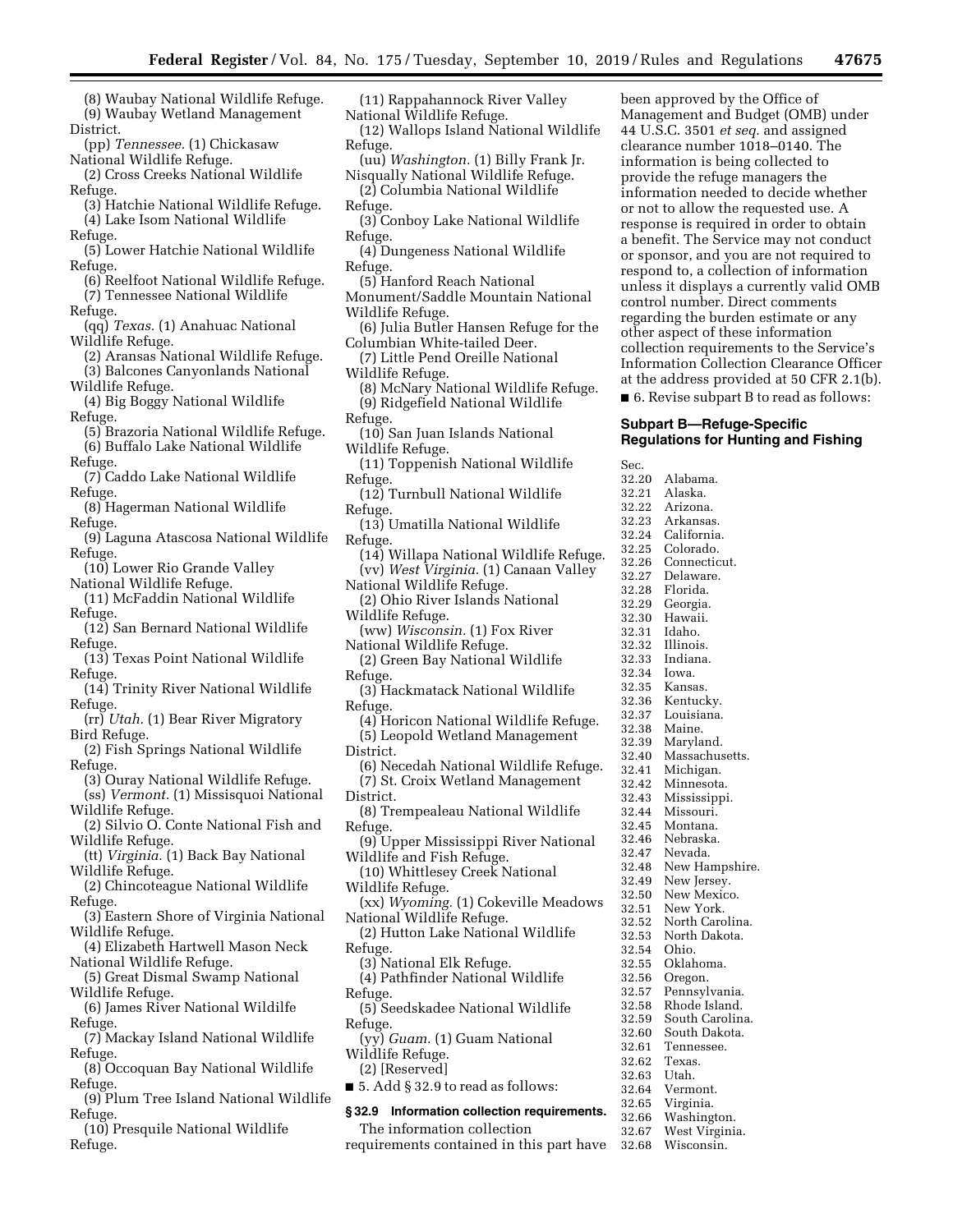(8) Waubay National Wildlife Refuge. (9) Waubay Wetland Management District.

(pp) *Tennessee.* (1) Chickasaw National Wildlife Refuge.

- (2) Cross Creeks National Wildlife Refuge.
- (3) Hatchie National Wildlife Refuge.
- (4) Lake Isom National Wildlife Refuge.
- (5) Lower Hatchie National Wildlife Refuge.

(6) Reelfoot National Wildlife Refuge. (7) Tennessee National Wildlife

- Refuge.
- (qq) *Texas.* (1) Anahuac National Wildlife Refuge.
- (2) Aransas National Wildlife Refuge. (3) Balcones Canyonlands National
- Wildlife Refuge.
- (4) Big Boggy National Wildlife Refuge.
- (5) Brazoria National Wildlife Refuge. (6) Buffalo Lake National Wildlife
- Refuge. (7) Caddo Lake National Wildlife Refuge.
- (8) Hagerman National Wildlife Refuge.
- (9) Laguna Atascosa National Wildlife Refuge.
- (10) Lower Rio Grande Valley
- National Wildlife Refuge.
- (11) McFaddin National Wildlife Refuge.
- (12) San Bernard National Wildlife Refuge.
- (13) Texas Point National Wildlife Refuge.
- (14) Trinity River National Wildlife Refuge.
- (rr) *Utah.* (1) Bear River Migratory Bird Refuge.
- (2) Fish Springs National Wildlife Refuge.
- (3) Ouray National Wildlife Refuge. (ss) *Vermont.* (1) Missisquoi National
- Wildlife Refuge. (2) Silvio O. Conte National Fish and
- Wildlife Refuge. (tt) *Virginia.* (1) Back Bay National
- Wildlife Refuge.
- (2) Chincoteague National Wildlife Refuge.
- (3) Eastern Shore of Virginia National Wildlife Refuge.
- (4) Elizabeth Hartwell Mason Neck National Wildlife Refuge.
- (5) Great Dismal Swamp National Wildlife Refuge.
- (6) James River National Wildilfe Refuge.
- (7) Mackay Island National Wildlife Refuge.
- (8) Occoquan Bay National Wildlife Refuge.
- (9) Plum Tree Island National Wildlife Refuge.
- (10) Presquile National Wildlife Refuge.
- (11) Rappahannock River Valley National Wildlife Refuge. (12) Wallops Island National Wildlife
- Refuge. (uu) *Washington.* (1) Billy Frank Jr.
- Nisqually National Wildlife Refuge. (2) Columbia National Wildlife
- Refuge.
- (3) Conboy Lake National Wildlife Refuge.
- (4) Dungeness National Wildlife Refuge.
	- (5) Hanford Reach National
- Monument/Saddle Mountain National Wildlife Refuge.
- (6) Julia Butler Hansen Refuge for the Columbian White-tailed Deer.
- (7) Little Pend Oreille National Wildlife Refuge.
- (8) McNary National Wildlife Refuge. (9) Ridgefield National Wildlife Refuge.
- (10) San Juan Islands National Wildlife Refuge.
- (11) Toppenish National Wildlife Refuge.
- (12) Turnbull National Wildlife Refuge.
- (13) Umatilla National Wildlife Refuge.
- (14) Willapa National Wildlife Refuge. (vv) *West Virginia.* (1) Canaan Valley
- National Wildlife Refuge. (2) Ohio River Islands National
- Wildlife Refuge.
- (ww) *Wisconsin.* (1) Fox River National Wildlife Refuge.
- (2) Green Bay National Wildlife Refuge.
- (3) Hackmatack National Wildlife Refuge.
- (4) Horicon National Wildlife Refuge. (5) Leopold Wetland Management
- District.
- (6) Necedah National Wildlife Refuge. (7) St. Croix Wetland Management
- District.
- (8) Trempealeau National Wildlife Refuge.
- (9) Upper Mississippi River National Wildlife and Fish Refuge.
- (10) Whittlesey Creek National Wildlife Refuge.
- (xx) *Wyoming.* (1) Cokeville Meadows National Wildlife Refuge.
- (2) Hutton Lake National Wildlife Refuge.
- (3) National Elk Refuge.
- (4) Pathfinder National Wildlife Refuge.
- (5) Seedskadee National Wildlife Refuge.
- (yy) *Guam.* (1) Guam National
- Wildlife Refuge.
- (2) [Reserved]
- 5. Add § 32.9 to read as follows:

# **§ 32.9 Information collection requirements.**

The information collection requirements contained in this part have been approved by the Office of Management and Budget (OMB) under 44 U.S.C. 3501 *et seq.* and assigned clearance number 1018–0140. The information is being collected to provide the refuge managers the information needed to decide whether or not to allow the requested use. A response is required in order to obtain a benefit. The Service may not conduct or sponsor, and you are not required to respond to, a collection of information unless it displays a currently valid OMB control number. Direct comments regarding the burden estimate or any other aspect of these information collection requirements to the Service's Information Collection Clearance Officer at the address provided at 50 CFR 2.1(b).

■ 6. Revise subpart B to read as follows:

# **Subpart B—Refuge-Specific Regulations for Hunting and Fishing**

Sec. 32.20 Alabama.<br>32.21 Alaska. Alaska. 32.22 Arizona. 32.23 Arkansas. California. 32.25 Colorado. Connecticut. 32.27 Delaware.<br>32.28 Florida. 32.28 Florida.<br>32.29 Georgia Georgia. 32.30 Hawaii. 32.31 Idaho. Illinois. 32.33 Indiana. 32.34 Iowa. 32.35 Kansas. 32.36 Kentucky.<br>32.37 Louisiana. Louisiana. 32.38 Maine.<br>32.39 Maryla 32.39 Maryland.<br>32.40 Massachus Massachusetts. 32.41 Michigan. 32.42 Minnesota.<br>32.43 Mississipp 32.43 Mississippi.<br>32.44 Missouri. Missouri. 32.45 Montana. 32.46 Nebraska.<br>32.47 Nevada. 32.47 Nevada. New Hampshire. 32.49 New Jersey.<br>32.50 New Mexic 32.50 New Mexico.<br>32.51 New York. New York. 32.52 North Carolina. 32.53 North Dakota. 32.54 Ohio.<br>32.55 Oklah 32.55 Oklahoma.<br>32.56 Oregon. 32.56 Oregon.<br>32.57 Pennsyl 32.57 Pennsylvania. 32.58 Rhode Island. South Carolina.

- 32.60 South Dakota. 32.61 Tennessee.
- 32.62 Texas.
- 32.63 Utah.
- Vermont.
- 32.65 Virginia.
- 32.66 Washington.
- 32.67 West Virginia.
- 32.68 Wisconsin.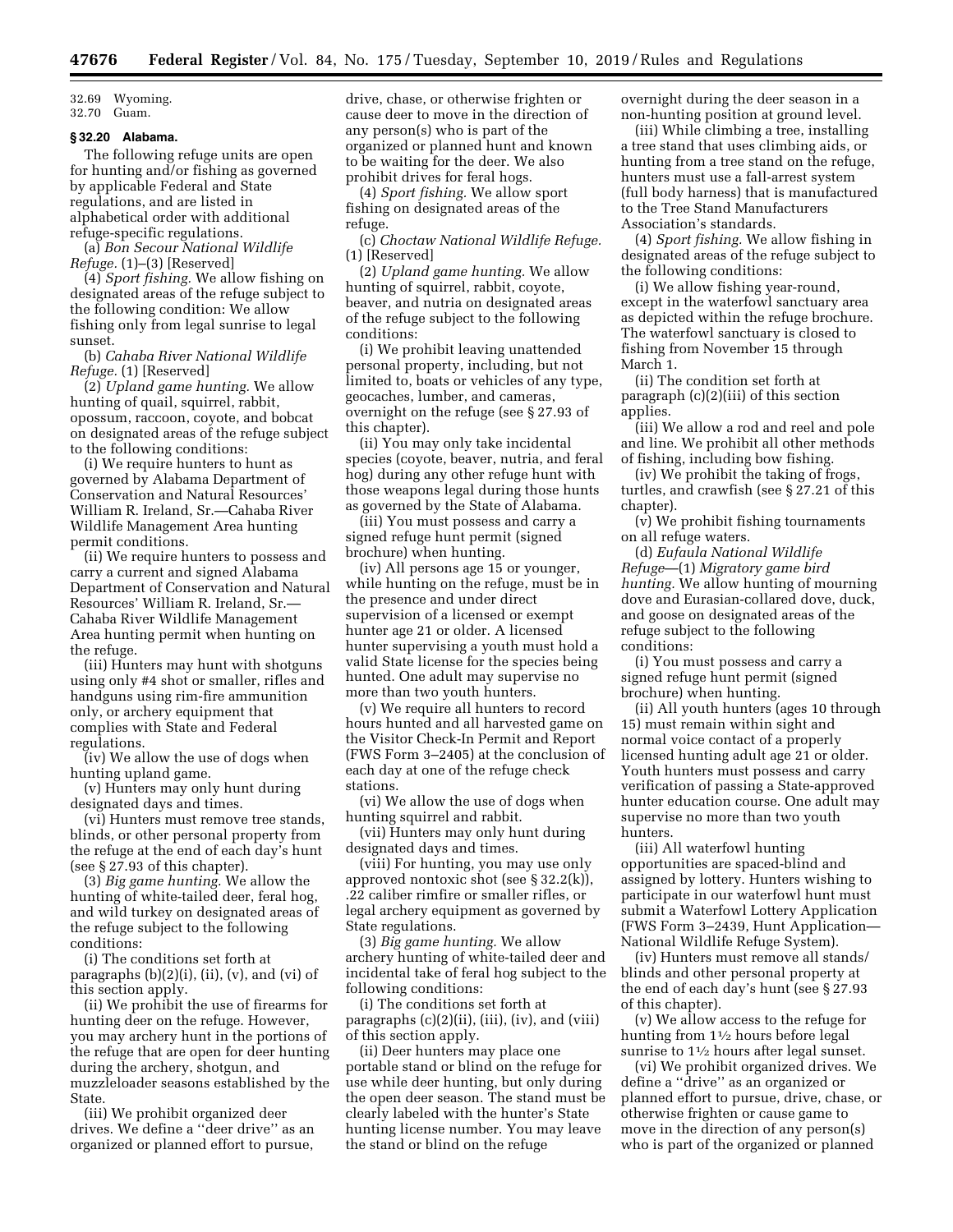32.69 Wyoming. 32.70 Guam.

#### **§ 32.20 Alabama.**

The following refuge units are open for hunting and/or fishing as governed by applicable Federal and State regulations, and are listed in alphabetical order with additional refuge-specific regulations.

(a) *Bon Secour National Wildlife Refuge.* (1)–(3) [Reserved]

(4) *Sport fishing.* We allow fishing on designated areas of the refuge subject to the following condition: We allow fishing only from legal sunrise to legal sunset.

(b) *Cahaba River National Wildlife Refuge.* (1) [Reserved]

(2) *Upland game hunting.* We allow hunting of quail, squirrel, rabbit, opossum, raccoon, coyote, and bobcat on designated areas of the refuge subject to the following conditions:

(i) We require hunters to hunt as governed by Alabama Department of Conservation and Natural Resources' William R. Ireland, Sr.—Cahaba River Wildlife Management Area hunting permit conditions.

(ii) We require hunters to possess and carry a current and signed Alabama Department of Conservation and Natural Resources' William R. Ireland, Sr.— Cahaba River Wildlife Management Area hunting permit when hunting on the refuge.

(iii) Hunters may hunt with shotguns using only #4 shot or smaller, rifles and handguns using rim-fire ammunition only, or archery equipment that complies with State and Federal regulations.

(iv) We allow the use of dogs when hunting upland game.

(v) Hunters may only hunt during designated days and times.

(vi) Hunters must remove tree stands, blinds, or other personal property from the refuge at the end of each day's hunt (see § 27.93 of this chapter).

(3) *Big game hunting.* We allow the hunting of white-tailed deer, feral hog, and wild turkey on designated areas of the refuge subject to the following conditions:

(i) The conditions set forth at paragraphs (b)(2)(i), (ii), (v), and (vi) of this section apply.

(ii) We prohibit the use of firearms for hunting deer on the refuge. However, you may archery hunt in the portions of the refuge that are open for deer hunting during the archery, shotgun, and muzzleloader seasons established by the State.

(iii) We prohibit organized deer drives. We define a ''deer drive'' as an organized or planned effort to pursue,

drive, chase, or otherwise frighten or cause deer to move in the direction of any person(s) who is part of the organized or planned hunt and known to be waiting for the deer. We also prohibit drives for feral hogs.

(4) *Sport fishing.* We allow sport fishing on designated areas of the refuge.

(c) *Choctaw National Wildlife Refuge.*  (1) [Reserved]

(2) *Upland game hunting.* We allow hunting of squirrel, rabbit, coyote, beaver, and nutria on designated areas of the refuge subject to the following conditions:

(i) We prohibit leaving unattended personal property, including, but not limited to, boats or vehicles of any type, geocaches, lumber, and cameras, overnight on the refuge (see § 27.93 of this chapter).

(ii) You may only take incidental species (coyote, beaver, nutria, and feral hog) during any other refuge hunt with those weapons legal during those hunts as governed by the State of Alabama.

(iii) You must possess and carry a signed refuge hunt permit (signed brochure) when hunting.

(iv) All persons age 15 or younger, while hunting on the refuge, must be in the presence and under direct supervision of a licensed or exempt hunter age 21 or older. A licensed hunter supervising a youth must hold a valid State license for the species being hunted. One adult may supervise no more than two youth hunters.

(v) We require all hunters to record hours hunted and all harvested game on the Visitor Check-In Permit and Report (FWS Form 3–2405) at the conclusion of each day at one of the refuge check stations.

(vi) We allow the use of dogs when hunting squirrel and rabbit.

(vii) Hunters may only hunt during designated days and times.

(viii) For hunting, you may use only approved nontoxic shot (see § 32.2(k)), .22 caliber rimfire or smaller rifles, or legal archery equipment as governed by State regulations.

(3) *Big game hunting.* We allow archery hunting of white-tailed deer and incidental take of feral hog subject to the following conditions:

(i) The conditions set forth at paragraphs  $(c)(2)(ii)$ ,  $(iii)$ ,  $(iv)$ , and  $(viii)$ of this section apply.

(ii) Deer hunters may place one portable stand or blind on the refuge for use while deer hunting, but only during the open deer season. The stand must be clearly labeled with the hunter's State hunting license number. You may leave the stand or blind on the refuge

overnight during the deer season in a non-hunting position at ground level.

(iii) While climbing a tree, installing a tree stand that uses climbing aids, or hunting from a tree stand on the refuge, hunters must use a fall-arrest system (full body harness) that is manufactured to the Tree Stand Manufacturers Association's standards.

(4) *Sport fishing.* We allow fishing in designated areas of the refuge subject to the following conditions:

(i) We allow fishing year-round, except in the waterfowl sanctuary area as depicted within the refuge brochure. The waterfowl sanctuary is closed to fishing from November 15 through March 1.

(ii) The condition set forth at paragraph (c)(2)(iii) of this section applies.

(iii) We allow a rod and reel and pole and line. We prohibit all other methods of fishing, including bow fishing.

(iv) We prohibit the taking of frogs, turtles, and crawfish (see § 27.21 of this chapter).

(v) We prohibit fishing tournaments on all refuge waters.

(d) *Eufaula National Wildlife Refuge*—(1) *Migratory game bird hunting.* We allow hunting of mourning dove and Eurasian-collared dove, duck, and goose on designated areas of the refuge subject to the following conditions:

(i) You must possess and carry a signed refuge hunt permit (signed brochure) when hunting.

(ii) All youth hunters (ages 10 through 15) must remain within sight and normal voice contact of a properly licensed hunting adult age 21 or older. Youth hunters must possess and carry verification of passing a State-approved hunter education course. One adult may supervise no more than two youth hunters.

(iii) All waterfowl hunting opportunities are spaced-blind and assigned by lottery. Hunters wishing to participate in our waterfowl hunt must submit a Waterfowl Lottery Application (FWS Form 3–2439, Hunt Application— National Wildlife Refuge System).

(iv) Hunters must remove all stands/ blinds and other personal property at the end of each day's hunt (see § 27.93 of this chapter).

(v) We allow access to the refuge for hunting from 11⁄2 hours before legal sunrise to  $1\frac{1}{2}$  hours after legal sunset.

(vi) We prohibit organized drives. We define a ''drive'' as an organized or planned effort to pursue, drive, chase, or otherwise frighten or cause game to move in the direction of any person(s) who is part of the organized or planned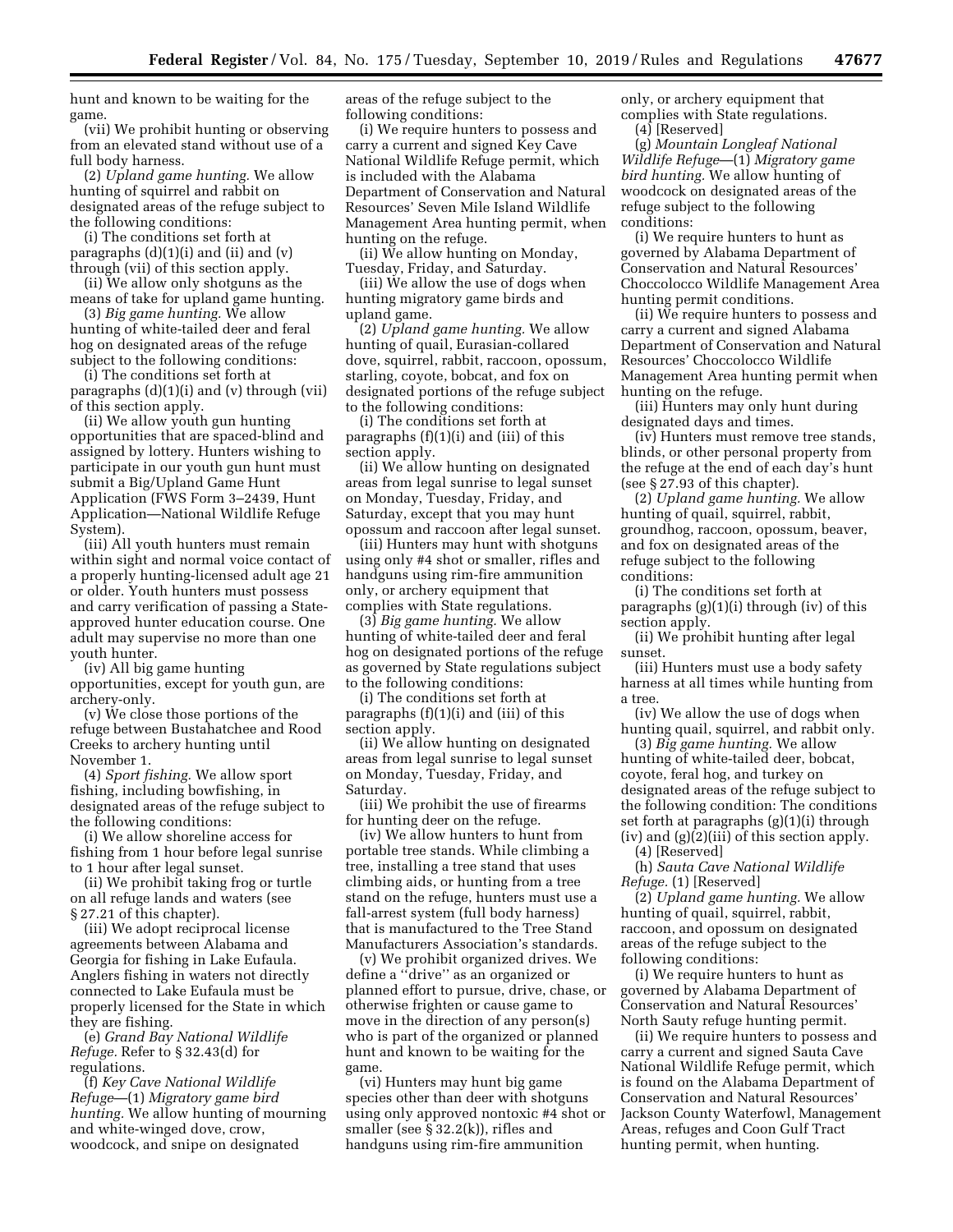hunt and known to be waiting for the game.

(vii) We prohibit hunting or observing from an elevated stand without use of a full body harness.

(2) *Upland game hunting.* We allow hunting of squirrel and rabbit on designated areas of the refuge subject to the following conditions:

(i) The conditions set forth at paragraphs  $(d)(1)(i)$  and  $(ii)$  and  $(v)$ through (vii) of this section apply.

(ii) We allow only shotguns as the means of take for upland game hunting.

(3) *Big game hunting.* We allow hunting of white-tailed deer and feral hog on designated areas of the refuge subject to the following conditions:

(i) The conditions set forth at paragraphs (d)(1)(i) and (v) through (vii) of this section apply.

(ii) We allow youth gun hunting opportunities that are spaced-blind and assigned by lottery. Hunters wishing to participate in our youth gun hunt must submit a Big/Upland Game Hunt Application (FWS Form 3–2439, Hunt Application—National Wildlife Refuge System).

(iii) All youth hunters must remain within sight and normal voice contact of a properly hunting-licensed adult age 21 or older. Youth hunters must possess and carry verification of passing a Stateapproved hunter education course. One adult may supervise no more than one youth hunter.

(iv) All big game hunting opportunities, except for youth gun, are archery-only.

(v) We close those portions of the refuge between Bustahatchee and Rood Creeks to archery hunting until November 1.

(4) *Sport fishing.* We allow sport fishing, including bowfishing, in designated areas of the refuge subject to the following conditions:

(i) We allow shoreline access for fishing from 1 hour before legal sunrise to 1 hour after legal sunset.

(ii) We prohibit taking frog or turtle on all refuge lands and waters (see § 27.21 of this chapter).

(iii) We adopt reciprocal license agreements between Alabama and Georgia for fishing in Lake Eufaula. Anglers fishing in waters not directly connected to Lake Eufaula must be properly licensed for the State in which they are fishing.

(e) *Grand Bay National Wildlife Refuge.* Refer to § 32.43(d) for regulations.

(f) *Key Cave National Wildlife Refuge*—(1) *Migratory game bird hunting.* We allow hunting of mourning and white-winged dove, crow, woodcock, and snipe on designated

areas of the refuge subject to the following conditions:

(i) We require hunters to possess and carry a current and signed Key Cave National Wildlife Refuge permit, which is included with the Alabama Department of Conservation and Natural Resources' Seven Mile Island Wildlife Management Area hunting permit, when hunting on the refuge.

(ii) We allow hunting on Monday, Tuesday, Friday, and Saturday.

(iii) We allow the use of dogs when hunting migratory game birds and upland game.

(2) *Upland game hunting.* We allow hunting of quail, Eurasian-collared dove, squirrel, rabbit, raccoon, opossum, starling, coyote, bobcat, and fox on designated portions of the refuge subject to the following conditions:

(i) The conditions set forth at paragraphs (f)(1)(i) and (iii) of this section apply.

(ii) We allow hunting on designated areas from legal sunrise to legal sunset on Monday, Tuesday, Friday, and Saturday, except that you may hunt opossum and raccoon after legal sunset.

(iii) Hunters may hunt with shotguns using only #4 shot or smaller, rifles and handguns using rim-fire ammunition only, or archery equipment that complies with State regulations.

(3) *Big game hunting.* We allow hunting of white-tailed deer and feral hog on designated portions of the refuge as governed by State regulations subject to the following conditions:

(i) The conditions set forth at paragraphs (f)(1)(i) and (iii) of this section apply.

(ii) We allow hunting on designated areas from legal sunrise to legal sunset on Monday, Tuesday, Friday, and Saturday.

(iii) We prohibit the use of firearms for hunting deer on the refuge.

(iv) We allow hunters to hunt from portable tree stands. While climbing a tree, installing a tree stand that uses climbing aids, or hunting from a tree stand on the refuge, hunters must use a fall-arrest system (full body harness) that is manufactured to the Tree Stand Manufacturers Association's standards.

(v) We prohibit organized drives. We define a ''drive'' as an organized or planned effort to pursue, drive, chase, or otherwise frighten or cause game to move in the direction of any person(s) who is part of the organized or planned hunt and known to be waiting for the game.

(vi) Hunters may hunt big game species other than deer with shotguns using only approved nontoxic #4 shot or smaller (see § 32.2(k)), rifles and handguns using rim-fire ammunition

only, or archery equipment that complies with State regulations.

(4) [Reserved]

(g) *Mountain Longleaf National Wildlife Refuge*—(1) *Migratory game bird hunting.* We allow hunting of woodcock on designated areas of the refuge subject to the following conditions:

(i) We require hunters to hunt as governed by Alabama Department of Conservation and Natural Resources' Choccolocco Wildlife Management Area hunting permit conditions.

(ii) We require hunters to possess and carry a current and signed Alabama Department of Conservation and Natural Resources' Choccolocco Wildlife Management Area hunting permit when hunting on the refuge.

(iii) Hunters may only hunt during designated days and times.

(iv) Hunters must remove tree stands, blinds, or other personal property from the refuge at the end of each day's hunt (see § 27.93 of this chapter).

(2) *Upland game hunting.* We allow hunting of quail, squirrel, rabbit, groundhog, raccoon, opossum, beaver, and fox on designated areas of the refuge subject to the following conditions:

(i) The conditions set forth at paragraphs (g)(1)(i) through (iv) of this section apply.

(ii) We prohibit hunting after legal sunset.

(iii) Hunters must use a body safety harness at all times while hunting from a tree.

(iv) We allow the use of dogs when hunting quail, squirrel, and rabbit only.

(3) *Big game hunting.* We allow hunting of white-tailed deer, bobcat, coyote, feral hog, and turkey on designated areas of the refuge subject to the following condition: The conditions set forth at paragraphs (g)(1)(i) through (iv) and (g)(2)(iii) of this section apply.

(4) [Reserved]

(h) *Sauta Cave National Wildlife Refuge.* (1) [Reserved]

(2) *Upland game hunting.* We allow hunting of quail, squirrel, rabbit, raccoon, and opossum on designated areas of the refuge subject to the following conditions:

(i) We require hunters to hunt as governed by Alabama Department of Conservation and Natural Resources' North Sauty refuge hunting permit.

(ii) We require hunters to possess and carry a current and signed Sauta Cave National Wildlife Refuge permit, which is found on the Alabama Department of Conservation and Natural Resources' Jackson County Waterfowl, Management Areas, refuges and Coon Gulf Tract hunting permit, when hunting.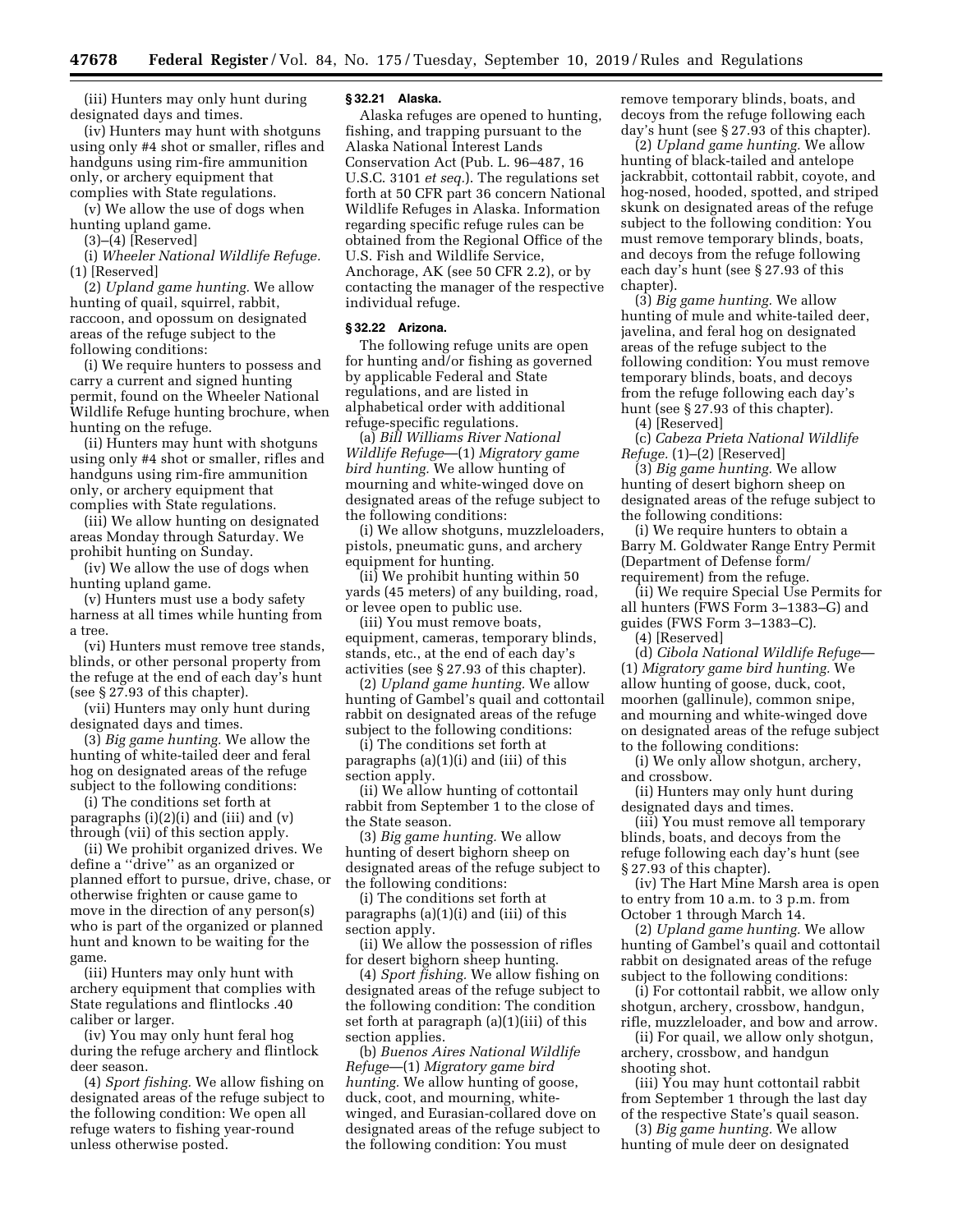(iii) Hunters may only hunt during designated days and times.

(iv) Hunters may hunt with shotguns using only #4 shot or smaller, rifles and handguns using rim-fire ammunition only, or archery equipment that complies with State regulations.

(v) We allow the use of dogs when

hunting upland game. (3)–(4) [Reserved]

(i) *Wheeler National Wildlife Refuge.*  (1) [Reserved]

(2) *Upland game hunting.* We allow hunting of quail, squirrel, rabbit, raccoon, and opossum on designated areas of the refuge subject to the following conditions:

(i) We require hunters to possess and carry a current and signed hunting permit, found on the Wheeler National Wildlife Refuge hunting brochure, when hunting on the refuge.

(ii) Hunters may hunt with shotguns using only #4 shot or smaller, rifles and handguns using rim-fire ammunition only, or archery equipment that complies with State regulations.

(iii) We allow hunting on designated areas Monday through Saturday. We prohibit hunting on Sunday.

(iv) We allow the use of dogs when hunting upland game.

(v) Hunters must use a body safety harness at all times while hunting from a tree.

(vi) Hunters must remove tree stands, blinds, or other personal property from the refuge at the end of each day's hunt (see § 27.93 of this chapter).

(vii) Hunters may only hunt during designated days and times.

(3) *Big game hunting.* We allow the hunting of white-tailed deer and feral hog on designated areas of the refuge subject to the following conditions:

(i) The conditions set forth at paragraphs  $(i)(2)(i)$  and  $(iii)$  and  $(v)$ through (vii) of this section apply.

(ii) We prohibit organized drives. We define a ''drive'' as an organized or planned effort to pursue, drive, chase, or otherwise frighten or cause game to move in the direction of any person(s) who is part of the organized or planned hunt and known to be waiting for the game.

(iii) Hunters may only hunt with archery equipment that complies with State regulations and flintlocks .40 caliber or larger.

(iv) You may only hunt feral hog during the refuge archery and flintlock deer season.

(4) *Sport fishing.* We allow fishing on designated areas of the refuge subject to the following condition: We open all refuge waters to fishing year-round unless otherwise posted.

# **§ 32.21 Alaska.**

Alaska refuges are opened to hunting, fishing, and trapping pursuant to the Alaska National Interest Lands Conservation Act (Pub. L. 96–487, 16 U.S.C. 3101 *et seq.*). The regulations set forth at 50 CFR part 36 concern National Wildlife Refuges in Alaska. Information regarding specific refuge rules can be obtained from the Regional Office of the U.S. Fish and Wildlife Service, Anchorage, AK (see 50 CFR 2.2), or by contacting the manager of the respective individual refuge.

# **§ 32.22 Arizona.**

The following refuge units are open for hunting and/or fishing as governed by applicable Federal and State regulations, and are listed in alphabetical order with additional refuge-specific regulations.

(a) *Bill Williams River National Wildlife Refuge*—(1) *Migratory game bird hunting.* We allow hunting of mourning and white-winged dove on designated areas of the refuge subject to the following conditions:

(i) We allow shotguns, muzzleloaders, pistols, pneumatic guns, and archery equipment for hunting.

(ii) We prohibit hunting within 50 yards (45 meters) of any building, road, or levee open to public use.

(iii) You must remove boats, equipment, cameras, temporary blinds, stands, etc., at the end of each day's activities (see § 27.93 of this chapter).

(2) *Upland game hunting.* We allow hunting of Gambel's quail and cottontail rabbit on designated areas of the refuge subject to the following conditions:

(i) The conditions set forth at paragraphs (a)(1)(i) and (iii) of this section apply.

(ii) We allow hunting of cottontail rabbit from September 1 to the close of the State season.

(3) *Big game hunting.* We allow hunting of desert bighorn sheep on designated areas of the refuge subject to the following conditions:

(i) The conditions set forth at paragraphs (a)(1)(i) and (iii) of this section apply.

(ii) We allow the possession of rifles for desert bighorn sheep hunting.

(4) *Sport fishing.* We allow fishing on designated areas of the refuge subject to the following condition: The condition set forth at paragraph (a)(1)(iii) of this section applies.

(b) *Buenos Aires National Wildlife Refuge*—(1) *Migratory game bird hunting.* We allow hunting of goose, duck, coot, and mourning, whitewinged, and Eurasian-collared dove on designated areas of the refuge subject to the following condition: You must

remove temporary blinds, boats, and decoys from the refuge following each day's hunt (see § 27.93 of this chapter).

(2) *Upland game hunting.* We allow hunting of black-tailed and antelope jackrabbit, cottontail rabbit, coyote, and hog-nosed, hooded, spotted, and striped skunk on designated areas of the refuge subject to the following condition: You must remove temporary blinds, boats, and decoys from the refuge following each day's hunt (see § 27.93 of this chapter).

(3) *Big game hunting.* We allow hunting of mule and white-tailed deer, javelina, and feral hog on designated areas of the refuge subject to the following condition: You must remove temporary blinds, boats, and decoys from the refuge following each day's hunt (see § 27.93 of this chapter). (4) [Reserved]

(c) *Cabeza Prieta National Wildlife Refuge.* (1)–(2) [Reserved]

(3) *Big game hunting.* We allow hunting of desert bighorn sheep on designated areas of the refuge subject to the following conditions:

(i) We require hunters to obtain a Barry M. Goldwater Range Entry Permit (Department of Defense form/ requirement) from the refuge.

(ii) We require Special Use Permits for all hunters (FWS Form 3–1383–G) and guides (FWS Form 3–1383–C).

(4) [Reserved]

(d) *Cibola National Wildlife Refuge*— (1) *Migratory game bird hunting.* We allow hunting of goose, duck, coot, moorhen (gallinule), common snipe, and mourning and white-winged dove on designated areas of the refuge subject to the following conditions:

(i) We only allow shotgun, archery, and crossbow.

(ii) Hunters may only hunt during designated days and times.

(iii) You must remove all temporary blinds, boats, and decoys from the refuge following each day's hunt (see § 27.93 of this chapter).

(iv) The Hart Mine Marsh area is open to entry from 10 a.m. to 3 p.m. from October 1 through March 14.

(2) *Upland game hunting.* We allow hunting of Gambel's quail and cottontail rabbit on designated areas of the refuge subject to the following conditions:

(i) For cottontail rabbit, we allow only shotgun, archery, crossbow, handgun, rifle, muzzleloader, and bow and arrow.

(ii) For quail, we allow only shotgun, archery, crossbow, and handgun shooting shot.

(iii) You may hunt cottontail rabbit from September 1 through the last day of the respective State's quail season.

(3) *Big game hunting.* We allow hunting of mule deer on designated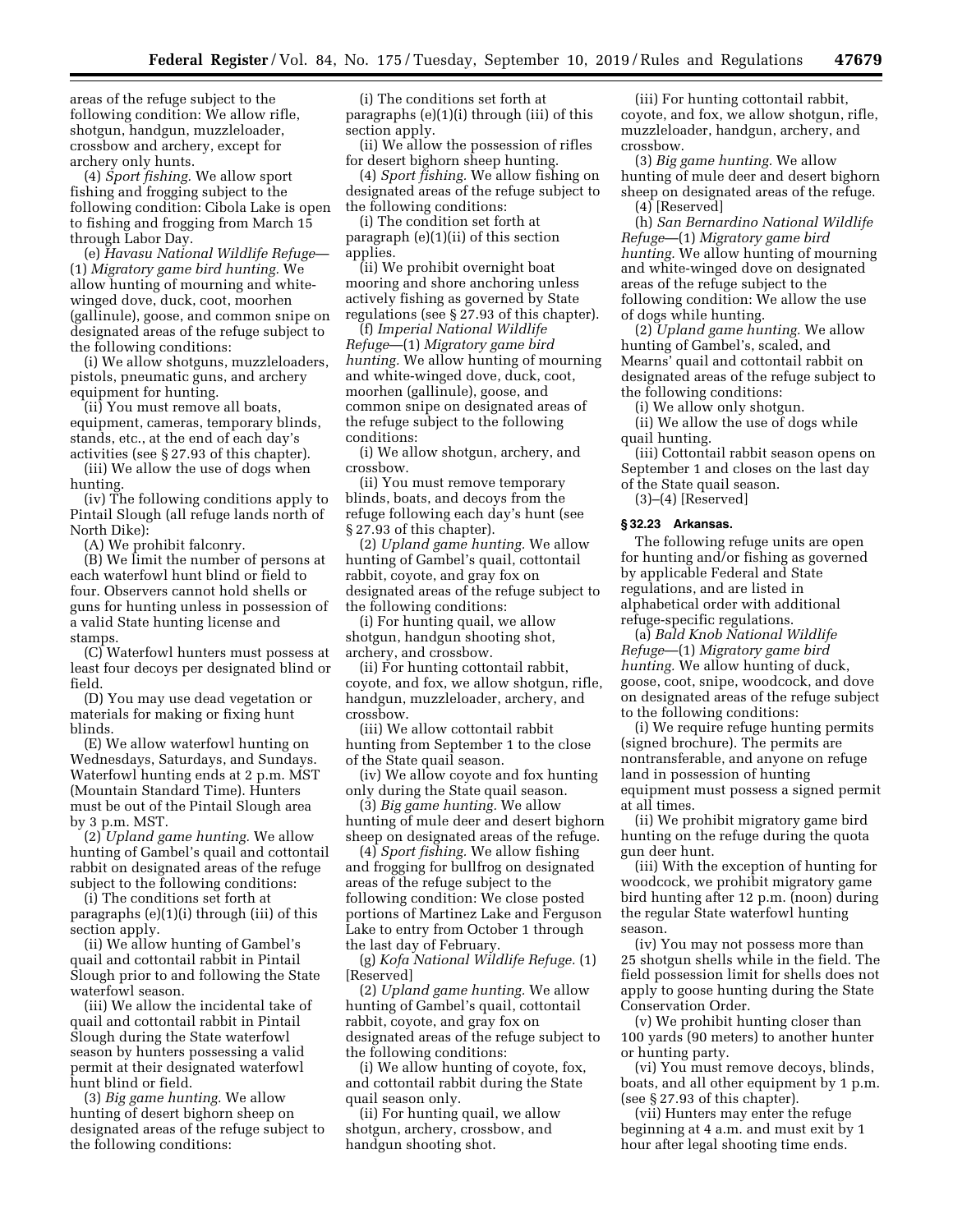areas of the refuge subject to the following condition: We allow rifle, shotgun, handgun, muzzleloader, crossbow and archery, except for archery only hunts.

(4) *Sport fishing.* We allow sport fishing and frogging subject to the following condition: Cibola Lake is open to fishing and frogging from March 15 through Labor Day.

(e) *Havasu National Wildlife Refuge*— (1) *Migratory game bird hunting.* We allow hunting of mourning and whitewinged dove, duck, coot, moorhen (gallinule), goose, and common snipe on designated areas of the refuge subject to the following conditions:

(i) We allow shotguns, muzzleloaders, pistols, pneumatic guns, and archery equipment for hunting.

(ii) You must remove all boats, equipment, cameras, temporary blinds, stands, etc., at the end of each day's activities (see § 27.93 of this chapter).

(iii) We allow the use of dogs when hunting.

(iv) The following conditions apply to Pintail Slough (all refuge lands north of North Dike):

(A) We prohibit falconry.

(B) We limit the number of persons at each waterfowl hunt blind or field to four. Observers cannot hold shells or guns for hunting unless in possession of a valid State hunting license and stamps.

(C) Waterfowl hunters must possess at least four decoys per designated blind or field.

(D) You may use dead vegetation or materials for making or fixing hunt blinds.

(E) We allow waterfowl hunting on Wednesdays, Saturdays, and Sundays. Waterfowl hunting ends at 2 p.m. MST (Mountain Standard Time). Hunters must be out of the Pintail Slough area by 3 p.m. MST.

(2) *Upland game hunting.* We allow hunting of Gambel's quail and cottontail rabbit on designated areas of the refuge subject to the following conditions:

(i) The conditions set forth at paragraphs (e)(1)(i) through (iii) of this section apply.

(ii) We allow hunting of Gambel's quail and cottontail rabbit in Pintail Slough prior to and following the State waterfowl season.

(iii) We allow the incidental take of quail and cottontail rabbit in Pintail Slough during the State waterfowl season by hunters possessing a valid permit at their designated waterfowl hunt blind or field.

(3) *Big game hunting.* We allow hunting of desert bighorn sheep on designated areas of the refuge subject to the following conditions:

(i) The conditions set forth at paragraphs (e)(1)(i) through (iii) of this section apply.

(ii) We allow the possession of rifles for desert bighorn sheep hunting.

(4) *Sport fishing.* We allow fishing on designated areas of the refuge subject to the following conditions:

(i) The condition set forth at paragraph (e)(1)(ii) of this section applies.

(ii) We prohibit overnight boat mooring and shore anchoring unless actively fishing as governed by State regulations (see § 27.93 of this chapter).

(f) *Imperial National Wildlife Refuge*—(1) *Migratory game bird hunting.* We allow hunting of mourning and white-winged dove, duck, coot, moorhen (gallinule), goose, and common snipe on designated areas of the refuge subject to the following conditions:

(i) We allow shotgun, archery, and crossbow.

(ii) You must remove temporary blinds, boats, and decoys from the refuge following each day's hunt (see § 27.93 of this chapter).

(2) *Upland game hunting.* We allow hunting of Gambel's quail, cottontail rabbit, coyote, and gray fox on designated areas of the refuge subject to the following conditions:

(i) For hunting quail, we allow shotgun, handgun shooting shot, archery, and crossbow.

(ii) For hunting cottontail rabbit, coyote, and fox, we allow shotgun, rifle, handgun, muzzleloader, archery, and crossbow.

(iii) We allow cottontail rabbit hunting from September 1 to the close of the State quail season.

(iv) We allow coyote and fox hunting only during the State quail season.

(3) *Big game hunting.* We allow hunting of mule deer and desert bighorn sheep on designated areas of the refuge.

(4) *Sport fishing.* We allow fishing and frogging for bullfrog on designated areas of the refuge subject to the following condition: We close posted portions of Martinez Lake and Ferguson Lake to entry from October 1 through the last day of February.

(g) *Kofa National Wildlife Refuge.* (1) [Reserved]

(2) *Upland game hunting.* We allow hunting of Gambel's quail, cottontail rabbit, coyote, and gray fox on designated areas of the refuge subject to the following conditions:

(i) We allow hunting of coyote, fox, and cottontail rabbit during the State quail season only.

(ii) For hunting quail, we allow shotgun, archery, crossbow, and handgun shooting shot.

(iii) For hunting cottontail rabbit, coyote, and fox, we allow shotgun, rifle, muzzleloader, handgun, archery, and crossbow.

(3) *Big game hunting.* We allow hunting of mule deer and desert bighorn sheep on designated areas of the refuge. (4) [Reserved]

(h) *San Bernardino National Wildlife Refuge*—(1) *Migratory game bird hunting.* We allow hunting of mourning and white-winged dove on designated areas of the refuge subject to the following condition: We allow the use of dogs while hunting.

(2) *Upland game hunting.* We allow hunting of Gambel's, scaled, and Mearns' quail and cottontail rabbit on designated areas of the refuge subject to the following conditions:

(i) We allow only shotgun.

(ii) We allow the use of dogs while quail hunting.

(iii) Cottontail rabbit season opens on September 1 and closes on the last day of the State quail season.

 $(3)$ – $(4)$  [Reserved]

#### **§ 32.23 Arkansas.**

The following refuge units are open for hunting and/or fishing as governed by applicable Federal and State regulations, and are listed in alphabetical order with additional refuge-specific regulations.

(a) *Bald Knob National Wildlife Refuge*—(1) *Migratory game bird hunting.* We allow hunting of duck, goose, coot, snipe, woodcock, and dove on designated areas of the refuge subject to the following conditions:

(i) We require refuge hunting permits (signed brochure). The permits are nontransferable, and anyone on refuge land in possession of hunting equipment must possess a signed permit at all times.

(ii) We prohibit migratory game bird hunting on the refuge during the quota gun deer hunt.

(iii) With the exception of hunting for woodcock, we prohibit migratory game bird hunting after 12 p.m. (noon) during the regular State waterfowl hunting season.

(iv) You may not possess more than 25 shotgun shells while in the field. The field possession limit for shells does not apply to goose hunting during the State Conservation Order.

(v) We prohibit hunting closer than 100 yards (90 meters) to another hunter or hunting party.

(vi) You must remove decoys, blinds, boats, and all other equipment by 1 p.m. (see § 27.93 of this chapter).

(vii) Hunters may enter the refuge beginning at 4 a.m. and must exit by 1 hour after legal shooting time ends.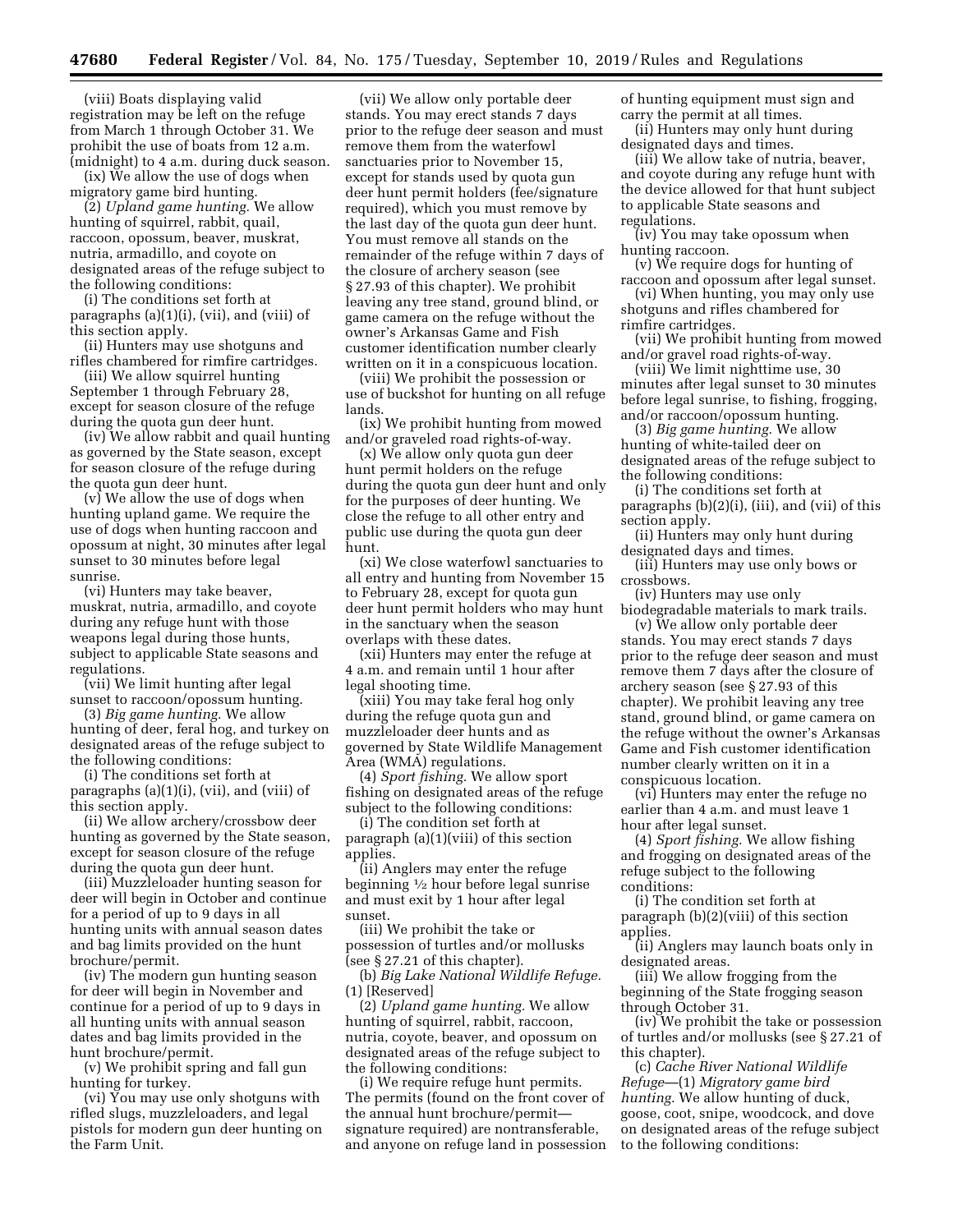(viii) Boats displaying valid registration may be left on the refuge from March 1 through October 31. We prohibit the use of boats from 12 a.m. (midnight) to 4 a.m. during duck season.

(ix) We allow the use of dogs when migratory game bird hunting.

(2) *Upland game hunting.* We allow hunting of squirrel, rabbit, quail, raccoon, opossum, beaver, muskrat, nutria, armadillo, and coyote on designated areas of the refuge subject to the following conditions:

(i) The conditions set forth at paragraphs (a)(1)(i), (vii), and (viii) of this section apply.

(ii) Hunters may use shotguns and rifles chambered for rimfire cartridges.

(iii) We allow squirrel hunting September 1 through February 28, except for season closure of the refuge during the quota gun deer hunt.

(iv) We allow rabbit and quail hunting as governed by the State season, except for season closure of the refuge during the quota gun deer hunt.

(v) We allow the use of dogs when hunting upland game. We require the use of dogs when hunting raccoon and opossum at night, 30 minutes after legal sunset to 30 minutes before legal sunrise.

(vi) Hunters may take beaver, muskrat, nutria, armadillo, and coyote during any refuge hunt with those weapons legal during those hunts, subject to applicable State seasons and regulations.

(vii) We limit hunting after legal sunset to raccoon/opossum hunting.

(3) *Big game hunting.* We allow hunting of deer, feral hog, and turkey on designated areas of the refuge subject to the following conditions:

(i) The conditions set forth at paragraphs (a)(1)(i), (vii), and (viii) of this section apply.

(ii) We allow archery/crossbow deer hunting as governed by the State season, except for season closure of the refuge during the quota gun deer hunt.

(iii) Muzzleloader hunting season for deer will begin in October and continue for a period of up to 9 days in all hunting units with annual season dates and bag limits provided on the hunt brochure/permit.

(iv) The modern gun hunting season for deer will begin in November and continue for a period of up to 9 days in all hunting units with annual season dates and bag limits provided in the hunt brochure/permit.

(v) We prohibit spring and fall gun hunting for turkey.

(vi) You may use only shotguns with rifled slugs, muzzleloaders, and legal pistols for modern gun deer hunting on the Farm Unit.

(vii) We allow only portable deer stands. You may erect stands 7 days prior to the refuge deer season and must remove them from the waterfowl sanctuaries prior to November 15, except for stands used by quota gun deer hunt permit holders (fee/signature required), which you must remove by the last day of the quota gun deer hunt. You must remove all stands on the remainder of the refuge within 7 days of the closure of archery season (see § 27.93 of this chapter). We prohibit leaving any tree stand, ground blind, or game camera on the refuge without the owner's Arkansas Game and Fish customer identification number clearly written on it in a conspicuous location.

(viii) We prohibit the possession or use of buckshot for hunting on all refuge lands.

(ix) We prohibit hunting from mowed and/or graveled road rights-of-way.

(x) We allow only quota gun deer hunt permit holders on the refuge during the quota gun deer hunt and only for the purposes of deer hunting. We close the refuge to all other entry and public use during the quota gun deer hunt.

(xi) We close waterfowl sanctuaries to all entry and hunting from November 15 to February 28, except for quota gun deer hunt permit holders who may hunt in the sanctuary when the season overlaps with these dates.

(xii) Hunters may enter the refuge at 4 a.m. and remain until 1 hour after legal shooting time.

(xiii) You may take feral hog only during the refuge quota gun and muzzleloader deer hunts and as governed by State Wildlife Management Area (WMA) regulations.

(4) *Sport fishing.* We allow sport fishing on designated areas of the refuge subject to the following conditions:

(i) The condition set forth at paragraph (a)(1)(viii) of this section applies.

(ii) Anglers may enter the refuge beginning 1⁄2 hour before legal sunrise and must exit by 1 hour after legal sunset.

(iii) We prohibit the take or possession of turtles and/or mollusks (see § 27.21 of this chapter).

(b) *Big Lake National Wildlife Refuge.*  (1) [Reserved]

(2) *Upland game hunting.* We allow hunting of squirrel, rabbit, raccoon, nutria, coyote, beaver, and opossum on designated areas of the refuge subject to the following conditions:

(i) We require refuge hunt permits. The permits (found on the front cover of the annual hunt brochure/permit signature required) are nontransferable, and anyone on refuge land in possession of hunting equipment must sign and carry the permit at all times.

(ii) Hunters may only hunt during designated days and times.

(iii) We allow take of nutria, beaver, and coyote during any refuge hunt with the device allowed for that hunt subject to applicable State seasons and regulations.

(iv) You may take opossum when hunting raccoon.

(v) We require dogs for hunting of raccoon and opossum after legal sunset.

(vi) When hunting, you may only use shotguns and rifles chambered for rimfire cartridges.

(vii) We prohibit hunting from mowed and/or gravel road rights-of-way.

(viii) We limit nighttime use, 30 minutes after legal sunset to 30 minutes before legal sunrise, to fishing, frogging, and/or raccoon/opossum hunting.

(3) *Big game hunting.* We allow hunting of white-tailed deer on designated areas of the refuge subject to the following conditions:

(i) The conditions set forth at paragraphs (b)(2)(i), (iii), and (vii) of this section apply.

(ii) Hunters may only hunt during designated days and times.

(iii) Hunters may use only bows or crossbows.

(iv) Hunters may use only biodegradable materials to mark trails.

(v) We allow only portable deer stands. You may erect stands 7 days prior to the refuge deer season and must remove them 7 days after the closure of archery season (see § 27.93 of this chapter). We prohibit leaving any tree stand, ground blind, or game camera on the refuge without the owner's Arkansas Game and Fish customer identification number clearly written on it in a conspicuous location.

(vi) Hunters may enter the refuge no earlier than 4 a.m. and must leave 1 hour after legal sunset.

(4) *Sport fishing.* We allow fishing and frogging on designated areas of the refuge subject to the following conditions:

(i) The condition set forth at paragraph (b)(2)(viii) of this section applies.

(ii) Anglers may launch boats only in designated areas.

(iii) We allow frogging from the beginning of the State frogging season through October 31.

(iv) We prohibit the take or possession of turtles and/or mollusks (see § 27.21 of this chapter).

(c) *Cache River National Wildlife Refuge*—(1) *Migratory game bird hunting.* We allow hunting of duck, goose, coot, snipe, woodcock, and dove on designated areas of the refuge subject to the following conditions: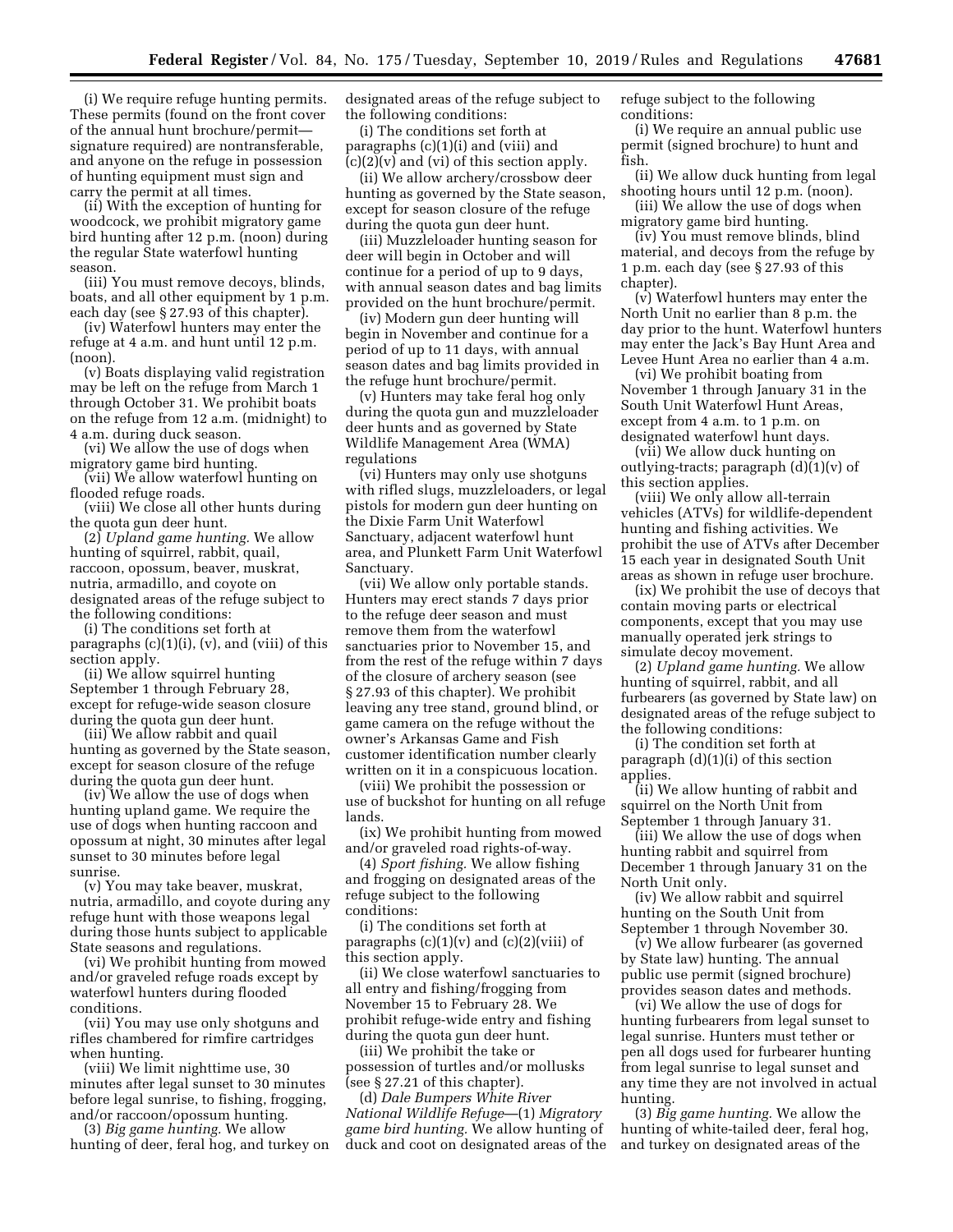(i) We require refuge hunting permits. These permits (found on the front cover of the annual hunt brochure/permit signature required) are nontransferable, and anyone on the refuge in possession of hunting equipment must sign and carry the permit at all times.

(ii) With the exception of hunting for woodcock, we prohibit migratory game bird hunting after 12 p.m. (noon) during the regular State waterfowl hunting season.

(iii) You must remove decoys, blinds, boats, and all other equipment by 1 p.m. each day (see § 27.93 of this chapter).

(iv) Waterfowl hunters may enter the refuge at 4 a.m. and hunt until 12 p.m. (noon).

(v) Boats displaying valid registration may be left on the refuge from March 1 through October 31. We prohibit boats on the refuge from 12 a.m. (midnight) to 4 a.m. during duck season.

(vi) We allow the use of dogs when migratory game bird hunting.

(vii) We allow waterfowl hunting on flooded refuge roads.

(viii) We close all other hunts during the quota gun deer hunt.

(2) *Upland game hunting.* We allow hunting of squirrel, rabbit, quail, raccoon, opossum, beaver, muskrat, nutria, armadillo, and coyote on designated areas of the refuge subject to the following conditions:

(i) The conditions set forth at paragraphs  $(c)(1)(i)$ ,  $(v)$ , and  $(viii)$  of this section apply.

(ii) We allow squirrel hunting September 1 through February 28, except for refuge-wide season closure during the quota gun deer hunt.

(iii) We allow rabbit and quail hunting as governed by the State season, except for season closure of the refuge during the quota gun deer hunt.

(iv) We allow the use of dogs when hunting upland game. We require the use of dogs when hunting raccoon and opossum at night, 30 minutes after legal sunset to 30 minutes before legal sunrise.

(v) You may take beaver, muskrat, nutria, armadillo, and coyote during any refuge hunt with those weapons legal during those hunts subject to applicable State seasons and regulations.

(vi) We prohibit hunting from mowed and/or graveled refuge roads except by waterfowl hunters during flooded conditions.

(vii) You may use only shotguns and rifles chambered for rimfire cartridges when hunting.

(viii) We limit nighttime use, 30 minutes after legal sunset to 30 minutes before legal sunrise, to fishing, frogging, and/or raccoon/opossum hunting.

(3) *Big game hunting.* We allow hunting of deer, feral hog, and turkey on designated areas of the refuge subject to the following conditions:

(i) The conditions set forth at paragraphs (c)(1)(i) and (viii) and  $(c)(2)(v)$  and  $(vi)$  of this section apply.

(ii) We allow archery/crossbow deer hunting as governed by the State season, except for season closure of the refuge during the quota gun deer hunt.

(iii) Muzzleloader hunting season for deer will begin in October and will continue for a period of up to 9 days, with annual season dates and bag limits provided on the hunt brochure/permit.

(iv) Modern gun deer hunting will begin in November and continue for a period of up to 11 days, with annual season dates and bag limits provided in the refuge hunt brochure/permit.

(v) Hunters may take feral hog only during the quota gun and muzzleloader deer hunts and as governed by State Wildlife Management Area (WMA) regulations

(vi) Hunters may only use shotguns with rifled slugs, muzzleloaders, or legal pistols for modern gun deer hunting on the Dixie Farm Unit Waterfowl Sanctuary, adjacent waterfowl hunt area, and Plunkett Farm Unit Waterfowl Sanctuary.

(vii) We allow only portable stands. Hunters may erect stands 7 days prior to the refuge deer season and must remove them from the waterfowl sanctuaries prior to November 15, and from the rest of the refuge within 7 days of the closure of archery season (see § 27.93 of this chapter). We prohibit leaving any tree stand, ground blind, or game camera on the refuge without the owner's Arkansas Game and Fish customer identification number clearly written on it in a conspicuous location.

(viii) We prohibit the possession or use of buckshot for hunting on all refuge lands.

(ix) We prohibit hunting from mowed and/or graveled road rights-of-way.

(4) *Sport fishing.* We allow fishing and frogging on designated areas of the refuge subject to the following conditions:

(i) The conditions set forth at paragraphs  $(c)(1)(v)$  and  $(c)(2)(viii)$  of this section apply.

(ii) We close waterfowl sanctuaries to all entry and fishing/frogging from November 15 to February 28. We prohibit refuge-wide entry and fishing during the quota gun deer hunt.

(iii) We prohibit the take or possession of turtles and/or mollusks (see § 27.21 of this chapter).

(d) *Dale Bumpers White River National Wildlife Refuge*—(1) *Migratory game bird hunting.* We allow hunting of duck and coot on designated areas of the refuge subject to the following conditions:

(i) We require an annual public use permit (signed brochure) to hunt and fish.

(ii) We allow duck hunting from legal shooting hours until 12 p.m. (noon).

(iii) We allow the use of dogs when migratory game bird hunting.

(iv) You must remove blinds, blind material, and decoys from the refuge by 1 p.m. each day (see § 27.93 of this chapter).

(v) Waterfowl hunters may enter the North Unit no earlier than 8 p.m. the day prior to the hunt. Waterfowl hunters may enter the Jack's Bay Hunt Area and Levee Hunt Area no earlier than 4 a.m.

(vi) We prohibit boating from November 1 through January 31 in the South Unit Waterfowl Hunt Areas, except from 4 a.m. to 1 p.m. on designated waterfowl hunt days.

(vii) We allow duck hunting on outlying-tracts; paragraph  $(d)(1)(v)$  of this section applies.

(viii) We only allow all-terrain vehicles (ATVs) for wildlife-dependent hunting and fishing activities. We prohibit the use of ATVs after December 15 each year in designated South Unit areas as shown in refuge user brochure.

(ix) We prohibit the use of decoys that contain moving parts or electrical components, except that you may use manually operated jerk strings to simulate decoy movement.

(2) *Upland game hunting.* We allow hunting of squirrel, rabbit, and all furbearers (as governed by State law) on designated areas of the refuge subject to the following conditions:

(i) The condition set forth at paragraph  $(d)(1)(i)$  of this section applies.

(ii) We allow hunting of rabbit and squirrel on the North Unit from September 1 through January 31.

(iii) We allow the use of dogs when hunting rabbit and squirrel from December 1 through January 31 on the North Unit only.

(iv) We allow rabbit and squirrel hunting on the South Unit from September 1 through November 30.

(v) We allow furbearer (as governed by State law) hunting. The annual public use permit (signed brochure) provides season dates and methods.

(vi) We allow the use of dogs for hunting furbearers from legal sunset to legal sunrise. Hunters must tether or pen all dogs used for furbearer hunting from legal sunrise to legal sunset and any time they are not involved in actual hunting.

(3) *Big game hunting.* We allow the hunting of white-tailed deer, feral hog, and turkey on designated areas of the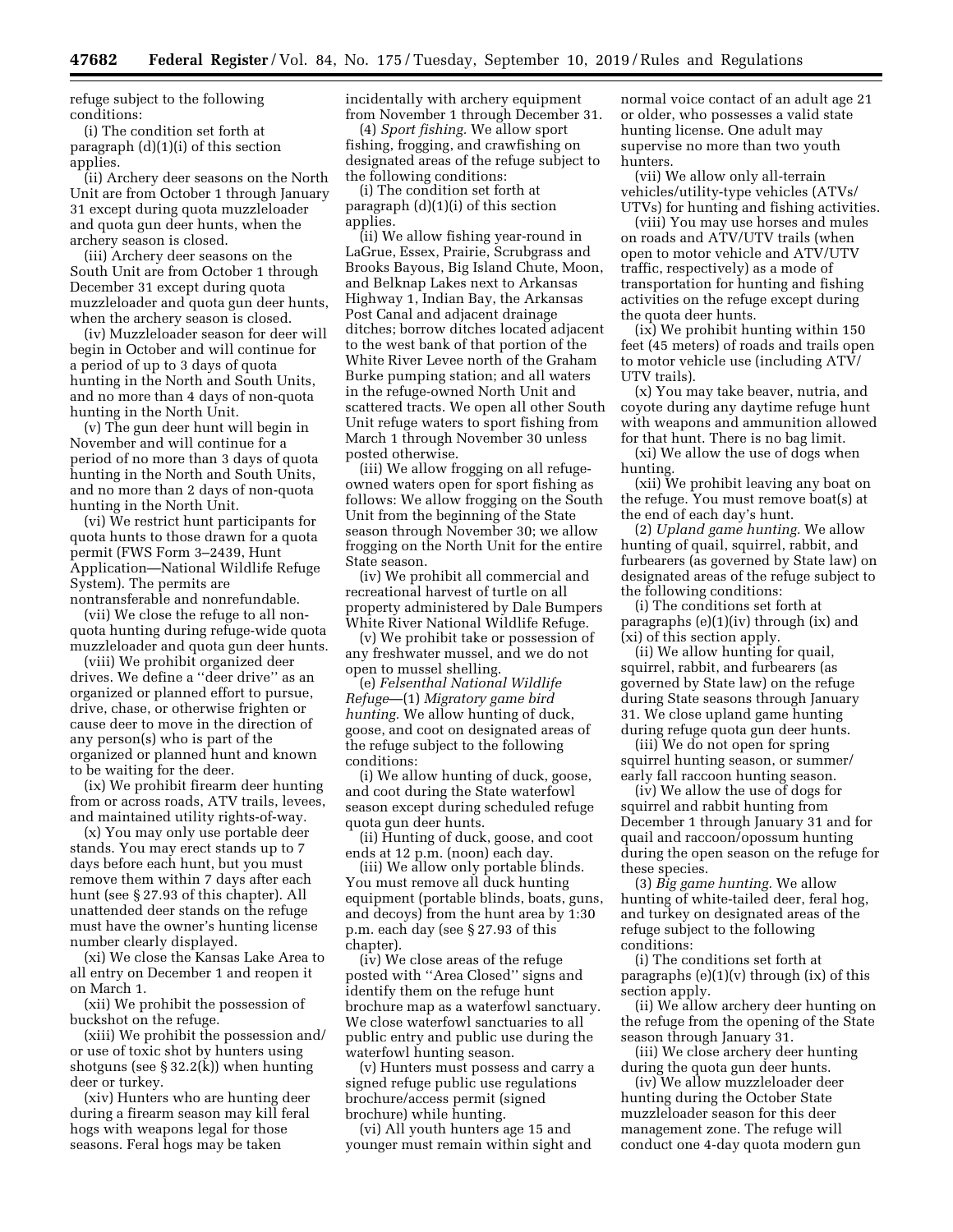refuge subject to the following conditions:

(i) The condition set forth at paragraph (d)(1)(i) of this section applies.

(ii) Archery deer seasons on the North Unit are from October 1 through January 31 except during quota muzzleloader and quota gun deer hunts, when the archery season is closed.

(iii) Archery deer seasons on the South Unit are from October 1 through December 31 except during quota muzzleloader and quota gun deer hunts, when the archery season is closed.

(iv) Muzzleloader season for deer will begin in October and will continue for a period of up to 3 days of quota hunting in the North and South Units, and no more than 4 days of non-quota hunting in the North Unit.

(v) The gun deer hunt will begin in November and will continue for a period of no more than 3 days of quota hunting in the North and South Units, and no more than 2 days of non-quota hunting in the North Unit.

(vi) We restrict hunt participants for quota hunts to those drawn for a quota permit (FWS Form 3–2439, Hunt Application—National Wildlife Refuge System). The permits are nontransferable and nonrefundable.

(vii) We close the refuge to all nonquota hunting during refuge-wide quota muzzleloader and quota gun deer hunts.

(viii) We prohibit organized deer drives. We define a ''deer drive'' as an organized or planned effort to pursue, drive, chase, or otherwise frighten or cause deer to move in the direction of any person(s) who is part of the organized or planned hunt and known to be waiting for the deer.

(ix) We prohibit firearm deer hunting from or across roads, ATV trails, levees, and maintained utility rights-of-way.

(x) You may only use portable deer stands. You may erect stands up to 7 days before each hunt, but you must remove them within 7 days after each hunt (see § 27.93 of this chapter). All unattended deer stands on the refuge must have the owner's hunting license number clearly displayed.

(xi) We close the Kansas Lake Area to all entry on December 1 and reopen it on March 1.

(xii) We prohibit the possession of buckshot on the refuge.

(xiii) We prohibit the possession and/ or use of toxic shot by hunters using shotguns (see § 32.2(k)) when hunting deer or turkey.

(xiv) Hunters who are hunting deer during a firearm season may kill feral hogs with weapons legal for those seasons. Feral hogs may be taken

incidentally with archery equipment from November 1 through December 31.

(4) *Sport fishing.* We allow sport fishing, frogging, and crawfishing on designated areas of the refuge subject to the following conditions:

(i) The condition set forth at paragraph (d)(1)(i) of this section applies.

(ii) We allow fishing year-round in LaGrue, Essex, Prairie, Scrubgrass and Brooks Bayous, Big Island Chute, Moon, and Belknap Lakes next to Arkansas Highway 1, Indian Bay, the Arkansas Post Canal and adjacent drainage ditches; borrow ditches located adjacent to the west bank of that portion of the White River Levee north of the Graham Burke pumping station; and all waters in the refuge-owned North Unit and scattered tracts. We open all other South Unit refuge waters to sport fishing from March 1 through November 30 unless posted otherwise.

(iii) We allow frogging on all refugeowned waters open for sport fishing as follows: We allow frogging on the South Unit from the beginning of the State season through November 30; we allow frogging on the North Unit for the entire State season.

(iv) We prohibit all commercial and recreational harvest of turtle on all property administered by Dale Bumpers White River National Wildlife Refuge.

(v) We prohibit take or possession of any freshwater mussel, and we do not open to mussel shelling.

(e) *Felsenthal National Wildlife Refuge*—(1) *Migratory game bird hunting.* We allow hunting of duck, goose, and coot on designated areas of the refuge subject to the following conditions:

(i) We allow hunting of duck, goose, and coot during the State waterfowl season except during scheduled refuge quota gun deer hunts.

(ii) Hunting of duck, goose, and coot ends at 12 p.m. (noon) each day.

(iii) We allow only portable blinds. You must remove all duck hunting equipment (portable blinds, boats, guns, and decoys) from the hunt area by 1:30 p.m. each day (see § 27.93 of this chapter).

(iv) We close areas of the refuge posted with ''Area Closed'' signs and identify them on the refuge hunt brochure map as a waterfowl sanctuary. We close waterfowl sanctuaries to all public entry and public use during the waterfowl hunting season.

(v) Hunters must possess and carry a signed refuge public use regulations brochure/access permit (signed brochure) while hunting.

(vi) All youth hunters age 15 and younger must remain within sight and normal voice contact of an adult age 21 or older, who possesses a valid state hunting license. One adult may supervise no more than two youth hunters.

(vii) We allow only all-terrain vehicles/utility-type vehicles (ATVs/ UTVs) for hunting and fishing activities.

(viii) You may use horses and mules on roads and ATV/UTV trails (when open to motor vehicle and ATV/UTV traffic, respectively) as a mode of transportation for hunting and fishing activities on the refuge except during the quota deer hunts.

(ix) We prohibit hunting within 150 feet (45 meters) of roads and trails open to motor vehicle use (including ATV/ UTV trails).

(x) You may take beaver, nutria, and coyote during any daytime refuge hunt with weapons and ammunition allowed for that hunt. There is no bag limit.

(xi) We allow the use of dogs when hunting.

(xii) We prohibit leaving any boat on the refuge. You must remove boat(s) at the end of each day's hunt.

(2) *Upland game hunting.* We allow hunting of quail, squirrel, rabbit, and furbearers (as governed by State law) on designated areas of the refuge subject to the following conditions:

(i) The conditions set forth at paragraphs (e)(1)(iv) through (ix) and (xi) of this section apply.

(ii) We allow hunting for quail, squirrel, rabbit, and furbearers (as governed by State law) on the refuge during State seasons through January 31. We close upland game hunting during refuge quota gun deer hunts.

(iii) We do not open for spring squirrel hunting season, or summer/ early fall raccoon hunting season.

(iv) We allow the use of dogs for squirrel and rabbit hunting from December 1 through January 31 and for quail and raccoon/opossum hunting during the open season on the refuge for these species.

(3) *Big game hunting.* We allow hunting of white-tailed deer, feral hog, and turkey on designated areas of the refuge subject to the following conditions:

(i) The conditions set forth at paragraphs  $(e)(1)(v)$  through  $(ix)$  of this section apply.

(ii) We allow archery deer hunting on the refuge from the opening of the State season through January 31.

(iii) We close archery deer hunting during the quota gun deer hunts.

(iv) We allow muzzleloader deer hunting during the October State muzzleloader season for this deer management zone. The refuge will conduct one 4-day quota modern gun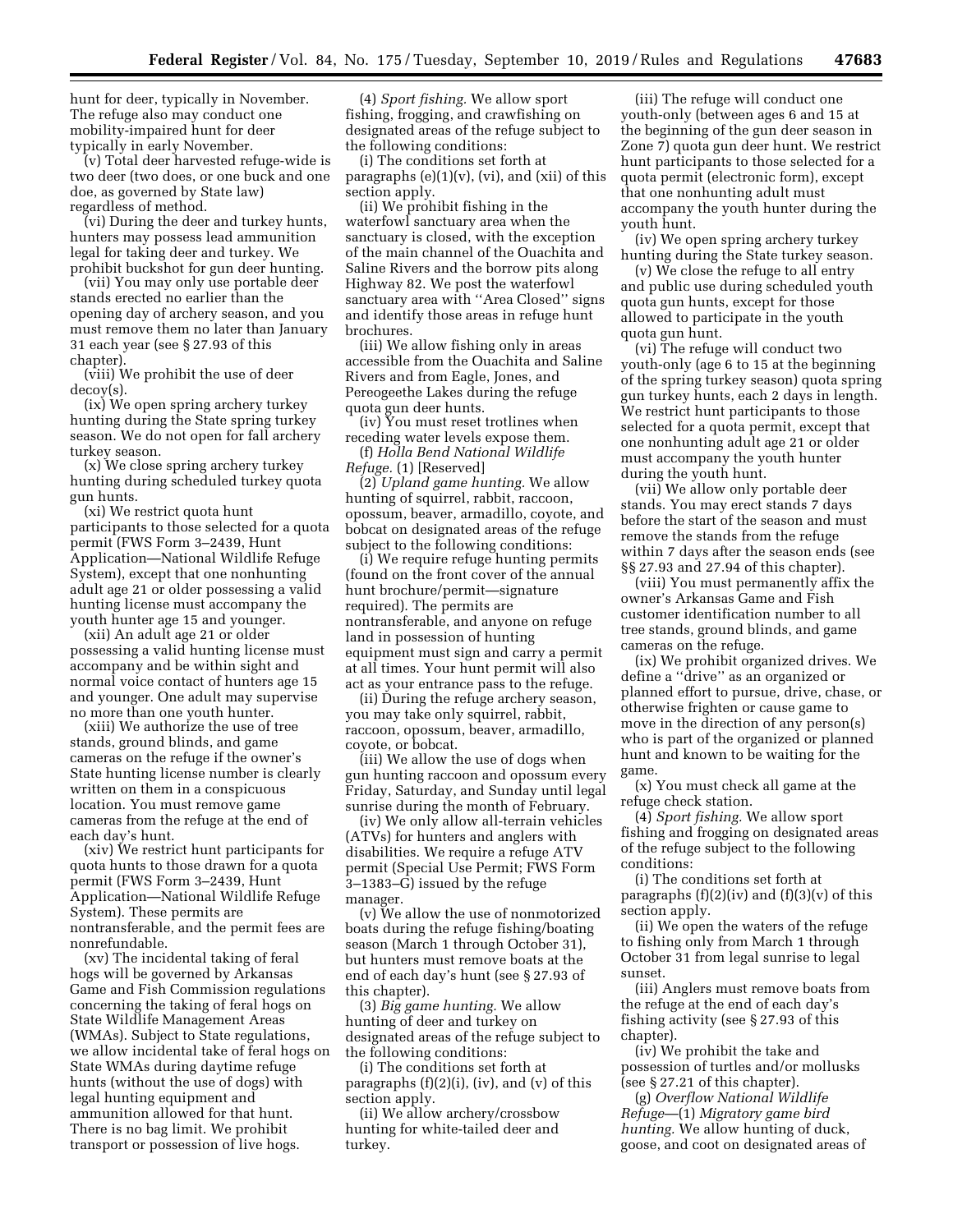hunt for deer, typically in November. The refuge also may conduct one mobility-impaired hunt for deer typically in early November.

(v) Total deer harvested refuge-wide is two deer (two does, or one buck and one doe, as governed by State law) regardless of method.

(vi) During the deer and turkey hunts, hunters may possess lead ammunition legal for taking deer and turkey. We prohibit buckshot for gun deer hunting.

(vii) You may only use portable deer stands erected no earlier than the opening day of archery season, and you must remove them no later than January 31 each year (see § 27.93 of this chapter).

(viii) We prohibit the use of deer decoy(s).

(ix) We open spring archery turkey hunting during the State spring turkey season. We do not open for fall archery turkey season.

(x) We close spring archery turkey hunting during scheduled turkey quota gun hunts.

(xi) We restrict quota hunt participants to those selected for a quota permit (FWS Form 3–2439, Hunt Application—National Wildlife Refuge System), except that one nonhunting adult age 21 or older possessing a valid hunting license must accompany the youth hunter age 15 and younger.

(xii) An adult age 21 or older possessing a valid hunting license must accompany and be within sight and normal voice contact of hunters age 15 and younger. One adult may supervise no more than one youth hunter.

(xiii) We authorize the use of tree stands, ground blinds, and game cameras on the refuge if the owner's State hunting license number is clearly written on them in a conspicuous location. You must remove game cameras from the refuge at the end of each day's hunt.

(xiv) We restrict hunt participants for quota hunts to those drawn for a quota permit (FWS Form 3–2439, Hunt Application—National Wildlife Refuge System). These permits are nontransferable, and the permit fees are nonrefundable.

(xv) The incidental taking of feral hogs will be governed by Arkansas Game and Fish Commission regulations concerning the taking of feral hogs on State Wildlife Management Areas (WMAs). Subject to State regulations, we allow incidental take of feral hogs on State WMAs during daytime refuge hunts (without the use of dogs) with legal hunting equipment and ammunition allowed for that hunt. There is no bag limit. We prohibit transport or possession of live hogs.

(4) *Sport fishing.* We allow sport fishing, frogging, and crawfishing on designated areas of the refuge subject to the following conditions:

(i) The conditions set forth at paragraphs  $(e)(1)(v)$ ,  $(vi)$ , and  $(xii)$  of this section apply.

(ii) We prohibit fishing in the waterfowl sanctuary area when the sanctuary is closed, with the exception of the main channel of the Ouachita and Saline Rivers and the borrow pits along Highway 82. We post the waterfowl sanctuary area with ''Area Closed'' signs and identify those areas in refuge hunt brochures.

(iii) We allow fishing only in areas accessible from the Ouachita and Saline Rivers and from Eagle, Jones, and Pereogeethe Lakes during the refuge quota gun deer hunts.

(iv) You must reset trotlines when receding water levels expose them.

(f) *Holla Bend National Wildlife Refuge.* (1) [Reserved]

(2) *Upland game hunting.* We allow hunting of squirrel, rabbit, raccoon, opossum, beaver, armadillo, coyote, and bobcat on designated areas of the refuge subject to the following conditions:

(i) We require refuge hunting permits (found on the front cover of the annual hunt brochure/permit—signature required). The permits are nontransferable, and anyone on refuge land in possession of hunting equipment must sign and carry a permit at all times. Your hunt permit will also act as your entrance pass to the refuge.

(ii) During the refuge archery season, you may take only squirrel, rabbit, raccoon, opossum, beaver, armadillo, coyote, or bobcat.

(iii) We allow the use of dogs when gun hunting raccoon and opossum every Friday, Saturday, and Sunday until legal sunrise during the month of February.

(iv) We only allow all-terrain vehicles (ATVs) for hunters and anglers with disabilities. We require a refuge ATV permit (Special Use Permit; FWS Form 3–1383–G) issued by the refuge manager.

(v) We allow the use of nonmotorized boats during the refuge fishing/boating season (March 1 through October 31), but hunters must remove boats at the end of each day's hunt (see § 27.93 of this chapter).

(3) *Big game hunting.* We allow hunting of deer and turkey on designated areas of the refuge subject to the following conditions:

(i) The conditions set forth at paragraphs  $(f)(2)(i)$ ,  $(iv)$ , and  $(v)$  of this section apply.

(ii) We allow archery/crossbow hunting for white-tailed deer and turkey.

(iii) The refuge will conduct one youth-only (between ages 6 and 15 at the beginning of the gun deer season in Zone 7) quota gun deer hunt. We restrict hunt participants to those selected for a quota permit (electronic form), except that one nonhunting adult must accompany the youth hunter during the youth hunt.

(iv) We open spring archery turkey hunting during the State turkey season.

(v) We close the refuge to all entry and public use during scheduled youth quota gun hunts, except for those allowed to participate in the youth quota gun hunt.

(vi) The refuge will conduct two youth-only (age 6 to 15 at the beginning of the spring turkey season) quota spring gun turkey hunts, each 2 days in length. We restrict hunt participants to those selected for a quota permit, except that one nonhunting adult age 21 or older must accompany the youth hunter during the youth hunt.

(vii) We allow only portable deer stands. You may erect stands 7 days before the start of the season and must remove the stands from the refuge within 7 days after the season ends (see §§ 27.93 and 27.94 of this chapter).

(viii) You must permanently affix the owner's Arkansas Game and Fish customer identification number to all tree stands, ground blinds, and game cameras on the refuge.

(ix) We prohibit organized drives. We define a ''drive'' as an organized or planned effort to pursue, drive, chase, or otherwise frighten or cause game to move in the direction of any person(s) who is part of the organized or planned hunt and known to be waiting for the game.

(x) You must check all game at the refuge check station.

(4) *Sport fishing.* We allow sport fishing and frogging on designated areas of the refuge subject to the following conditions:

(i) The conditions set forth at paragraphs  $(f)(2)(iv)$  and  $(f)(3)(v)$  of this section apply.

(ii) We open the waters of the refuge to fishing only from March 1 through October 31 from legal sunrise to legal sunset.

(iii) Anglers must remove boats from the refuge at the end of each day's fishing activity (see § 27.93 of this chapter).

(iv) We prohibit the take and possession of turtles and/or mollusks (see § 27.21 of this chapter).

(g) *Overflow National Wildlife Refuge*—(1) *Migratory game bird hunting.* We allow hunting of duck, goose, and coot on designated areas of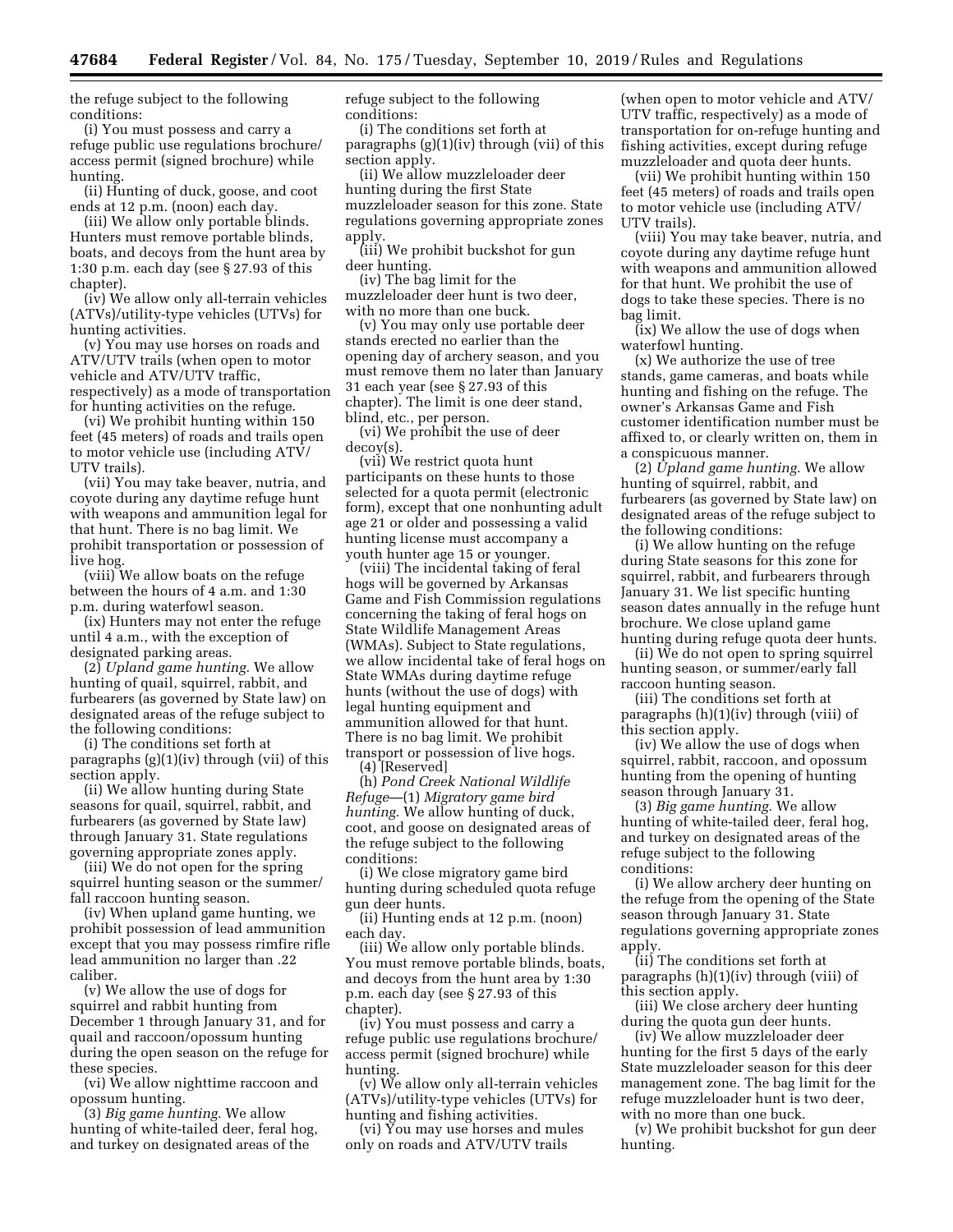the refuge subject to the following conditions:

(i) You must possess and carry a refuge public use regulations brochure/ access permit (signed brochure) while hunting.

(ii) Hunting of duck, goose, and coot ends at 12 p.m. (noon) each day.

(iii) We allow only portable blinds. Hunters must remove portable blinds, boats, and decoys from the hunt area by 1:30 p.m. each day (see § 27.93 of this chapter).

(iv) We allow only all-terrain vehicles (ATVs)/utility-type vehicles (UTVs) for hunting activities.

(v) You may use horses on roads and ATV/UTV trails (when open to motor vehicle and ATV/UTV traffic, respectively) as a mode of transportation for hunting activities on the refuge.

(vi) We prohibit hunting within 150 feet (45 meters) of roads and trails open to motor vehicle use (including ATV/ UTV trails).

(vii) You may take beaver, nutria, and coyote during any daytime refuge hunt with weapons and ammunition legal for that hunt. There is no bag limit. We prohibit transportation or possession of live hog.

(viii) We allow boats on the refuge between the hours of 4 a.m. and 1:30 p.m. during waterfowl season.

(ix) Hunters may not enter the refuge until 4 a.m., with the exception of designated parking areas.

(2) *Upland game hunting.* We allow hunting of quail, squirrel, rabbit, and furbearers (as governed by State law) on designated areas of the refuge subject to the following conditions:

(i) The conditions set forth at paragraphs (g)(1)(iv) through (vii) of this section apply.

(ii) We allow hunting during State seasons for quail, squirrel, rabbit, and furbearers (as governed by State law) through January 31. State regulations governing appropriate zones apply.

(iii) We do not open for the spring squirrel hunting season or the summer/ fall raccoon hunting season.

(iv) When upland game hunting, we prohibit possession of lead ammunition except that you may possess rimfire rifle lead ammunition no larger than .22 caliber.

(v) We allow the use of dogs for squirrel and rabbit hunting from December 1 through January 31, and for quail and raccoon/opossum hunting during the open season on the refuge for these species.

(vi) We allow nighttime raccoon and opossum hunting.

(3) *Big game hunting.* We allow hunting of white-tailed deer, feral hog, and turkey on designated areas of the

refuge subject to the following conditions:

(i) The conditions set forth at paragraphs (g)(1)(iv) through (vii) of this section apply.

(ii) We allow muzzleloader deer hunting during the first State muzzleloader season for this zone. State regulations governing appropriate zones apply.

(iii) We prohibit buckshot for gun deer hunting.

(iv) The bag limit for the muzzleloader deer hunt is two deer, with no more than one buck.

(v) You may only use portable deer stands erected no earlier than the opening day of archery season, and you must remove them no later than January 31 each year (see § 27.93 of this chapter). The limit is one deer stand, blind, etc., per person.

(vi) We prohibit the use of deer decoy(s).

(vii) We restrict quota hunt participants on these hunts to those selected for a quota permit (electronic form), except that one nonhunting adult age 21 or older and possessing a valid hunting license must accompany a youth hunter age 15 or younger.

(viii) The incidental taking of feral hogs will be governed by Arkansas Game and Fish Commission regulations concerning the taking of feral hogs on State Wildlife Management Areas (WMAs). Subject to State regulations, we allow incidental take of feral hogs on State WMAs during daytime refuge hunts (without the use of dogs) with legal hunting equipment and ammunition allowed for that hunt. There is no bag limit. We prohibit transport or possession of live hogs. (4) [Reserved]

(h) *Pond Creek National Wildlife Refuge*—(1) *Migratory game bird hunting.* We allow hunting of duck, coot, and goose on designated areas of the refuge subject to the following conditions:

(i) We close migratory game bird hunting during scheduled quota refuge gun deer hunts.

(ii) Hunting ends at 12 p.m. (noon) each day.

(iii) We allow only portable blinds. You must remove portable blinds, boats, and decoys from the hunt area by 1:30 p.m. each day (see § 27.93 of this chapter).

(iv) You must possess and carry a refuge public use regulations brochure/ access permit (signed brochure) while hunting.

(v) We allow only all-terrain vehicles (ATVs)/utility-type vehicles (UTVs) for hunting and fishing activities.

(vi) You may use horses and mules only on roads and ATV/UTV trails

(when open to motor vehicle and ATV/ UTV traffic, respectively) as a mode of transportation for on-refuge hunting and fishing activities, except during refuge muzzleloader and quota deer hunts.

(vii) We prohibit hunting within 150 feet (45 meters) of roads and trails open to motor vehicle use (including ATV/ UTV trails).

(viii) You may take beaver, nutria, and coyote during any daytime refuge hunt with weapons and ammunition allowed for that hunt. We prohibit the use of dogs to take these species. There is no bag limit.

(ix) We allow the use of dogs when waterfowl hunting.

(x) We authorize the use of tree stands, game cameras, and boats while hunting and fishing on the refuge. The owner's Arkansas Game and Fish customer identification number must be affixed to, or clearly written on, them in a conspicuous manner.

(2) *Upland game hunting.* We allow hunting of squirrel, rabbit, and furbearers (as governed by State law) on designated areas of the refuge subject to the following conditions:

(i) We allow hunting on the refuge during State seasons for this zone for squirrel, rabbit, and furbearers through January 31. We list specific hunting season dates annually in the refuge hunt brochure. We close upland game hunting during refuge quota deer hunts.

(ii) We do not open to spring squirrel hunting season, or summer/early fall raccoon hunting season.

(iii) The conditions set forth at paragraphs (h)(1)(iv) through (viii) of this section apply.

(iv) We allow the use of dogs when squirrel, rabbit, raccoon, and opossum hunting from the opening of hunting season through January 31.

(3) *Big game hunting.* We allow hunting of white-tailed deer, feral hog, and turkey on designated areas of the refuge subject to the following conditions:

(i) We allow archery deer hunting on the refuge from the opening of the State season through January 31. State regulations governing appropriate zones apply.

(ii) The conditions set forth at paragraphs (h)(1)(iv) through (viii) of this section apply.

(iii) We close archery deer hunting during the quota gun deer hunts.

(iv) We allow muzzleloader deer hunting for the first 5 days of the early State muzzleloader season for this deer management zone. The bag limit for the refuge muzzleloader hunt is two deer, with no more than one buck.

(v) We prohibit buckshot for gun deer hunting.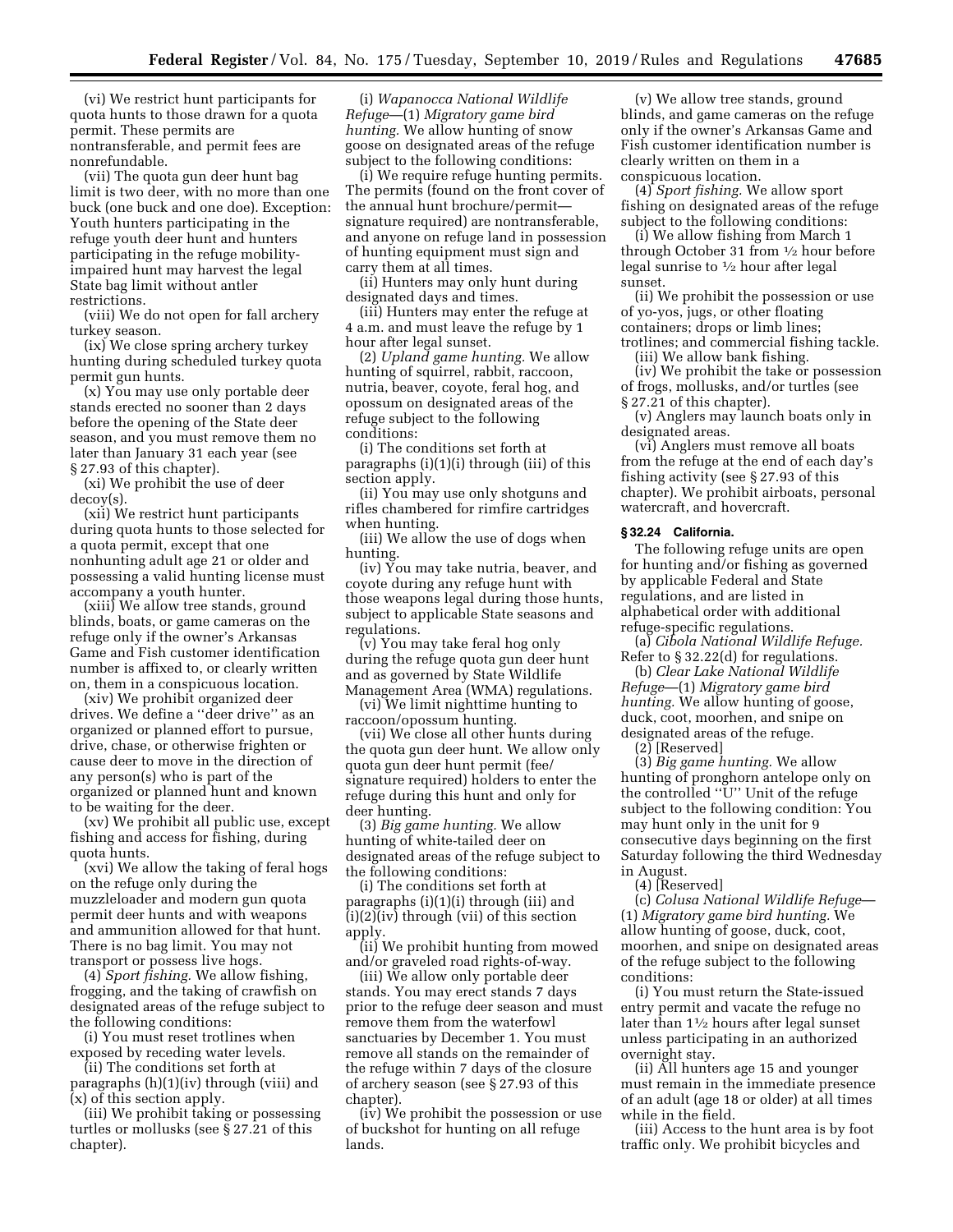(vi) We restrict hunt participants for quota hunts to those drawn for a quota permit. These permits are nontransferable, and permit fees are nonrefundable.

(vii) The quota gun deer hunt bag limit is two deer, with no more than one buck (one buck and one doe). Exception: Youth hunters participating in the refuge youth deer hunt and hunters participating in the refuge mobilityimpaired hunt may harvest the legal State bag limit without antler restrictions.

(viii) We do not open for fall archery turkey season.

(ix) We close spring archery turkey hunting during scheduled turkey quota permit gun hunts.

(x) You may use only portable deer stands erected no sooner than 2 days before the opening of the State deer season, and you must remove them no later than January 31 each year (see § 27.93 of this chapter).

(xi) We prohibit the use of deer decoy(s).

(xii) We restrict hunt participants during quota hunts to those selected for a quota permit, except that one nonhunting adult age 21 or older and possessing a valid hunting license must accompany a youth hunter.

(xiii) We allow tree stands, ground blinds, boats, or game cameras on the refuge only if the owner's Arkansas Game and Fish customer identification number is affixed to, or clearly written on, them in a conspicuous location.

(xiv) We prohibit organized deer drives. We define a ''deer drive'' as an organized or planned effort to pursue, drive, chase, or otherwise frighten or cause deer to move in the direction of any person(s) who is part of the organized or planned hunt and known to be waiting for the deer.

(xv) We prohibit all public use, except fishing and access for fishing, during quota hunts.

(xvi) We allow the taking of feral hogs on the refuge only during the muzzleloader and modern gun quota permit deer hunts and with weapons and ammunition allowed for that hunt. There is no bag limit. You may not transport or possess live hogs.

(4) *Sport fishing.* We allow fishing, frogging, and the taking of crawfish on designated areas of the refuge subject to the following conditions:

(i) You must reset trotlines when exposed by receding water levels.

(ii) The conditions set forth at paragraphs (h)(1)(iv) through (viii) and (x) of this section apply.

(iii) We prohibit taking or possessing turtles or mollusks (see § 27.21 of this chapter).

(i) *Wapanocca National Wildlife Refuge*—(1) *Migratory game bird hunting.* We allow hunting of snow goose on designated areas of the refuge subject to the following conditions:

(i) We require refuge hunting permits. The permits (found on the front cover of the annual hunt brochure/permit signature required) are nontransferable, and anyone on refuge land in possession of hunting equipment must sign and carry them at all times.

(ii) Hunters may only hunt during designated days and times.

(iii) Hunters may enter the refuge at 4 a.m. and must leave the refuge by 1 hour after legal sunset.

(2) *Upland game hunting.* We allow hunting of squirrel, rabbit, raccoon, nutria, beaver, coyote, feral hog, and opossum on designated areas of the refuge subject to the following conditions:

(i) The conditions set forth at paragraphs (i)(1)(i) through (iii) of this section apply.

(ii) You may use only shotguns and rifles chambered for rimfire cartridges when hunting.

(iii) We allow the use of dogs when hunting.

(iv) You may take nutria, beaver, and coyote during any refuge hunt with those weapons legal during those hunts, subject to applicable State seasons and regulations.

(v) You may take feral hog only during the refuge quota gun deer hunt and as governed by State Wildlife Management Area (WMA) regulations.

(vi) We limit nighttime hunting to raccoon/opossum hunting.

(vii) We close all other hunts during the quota gun deer hunt. We allow only quota gun deer hunt permit (fee/ signature required) holders to enter the refuge during this hunt and only for deer hunting.

(3) *Big game hunting.* We allow hunting of white-tailed deer on designated areas of the refuge subject to the following conditions:

(i) The conditions set forth at paragraphs (i)(1)(i) through (iii) and (i)(2)(iv) through (vii) of this section apply.

(ii) We prohibit hunting from mowed and/or graveled road rights-of-way.

(iii) We allow only portable deer stands. You may erect stands 7 days prior to the refuge deer season and must remove them from the waterfowl sanctuaries by December 1. You must remove all stands on the remainder of the refuge within 7 days of the closure of archery season (see § 27.93 of this chapter).

(iv) We prohibit the possession or use of buckshot for hunting on all refuge lands.

(v) We allow tree stands, ground blinds, and game cameras on the refuge only if the owner's Arkansas Game and Fish customer identification number is clearly written on them in a conspicuous location.

(4) *Sport fishing.* We allow sport fishing on designated areas of the refuge subject to the following conditions:

(i) We allow fishing from March 1 through October 31 from 1⁄2 hour before legal sunrise to 1⁄2 hour after legal sunset.

(ii) We prohibit the possession or use of yo-yos, jugs, or other floating containers; drops or limb lines;

trotlines; and commercial fishing tackle. (iii) We allow bank fishing.

(iv) We prohibit the take or possession of frogs, mollusks, and/or turtles (see § 27.21 of this chapter).

(v) Anglers may launch boats only in designated areas.

(vi) Anglers must remove all boats from the refuge at the end of each day's fishing activity (see § 27.93 of this chapter). We prohibit airboats, personal watercraft, and hovercraft.

#### **§ 32.24 California.**

The following refuge units are open for hunting and/or fishing as governed by applicable Federal and State regulations, and are listed in alphabetical order with additional refuge-specific regulations.

(a) *Cibola National Wildlife Refuge.*  Refer to § 32.22(d) for regulations.

(b) *Clear Lake National Wildlife Refuge*—(1) *Migratory game bird hunting.* We allow hunting of goose, duck, coot, moorhen, and snipe on designated areas of the refuge.

 $(2)$  [Reserved]

(3) *Big game hunting.* We allow hunting of pronghorn antelope only on the controlled ''U'' Unit of the refuge subject to the following condition: You may hunt only in the unit for 9 consecutive days beginning on the first Saturday following the third Wednesday in August.

(4) [Reserved]

(c) *Colusa National Wildlife Refuge*— (1) *Migratory game bird hunting.* We allow hunting of goose, duck, coot, moorhen, and snipe on designated areas of the refuge subject to the following conditions:

(i) You must return the State-issued entry permit and vacate the refuge no later than 11⁄2 hours after legal sunset unless participating in an authorized overnight stay.

(ii) All hunters age 15 and younger must remain in the immediate presence of an adult (age 18 or older) at all times while in the field.

(iii) Access to the hunt area is by foot traffic only. We prohibit bicycles and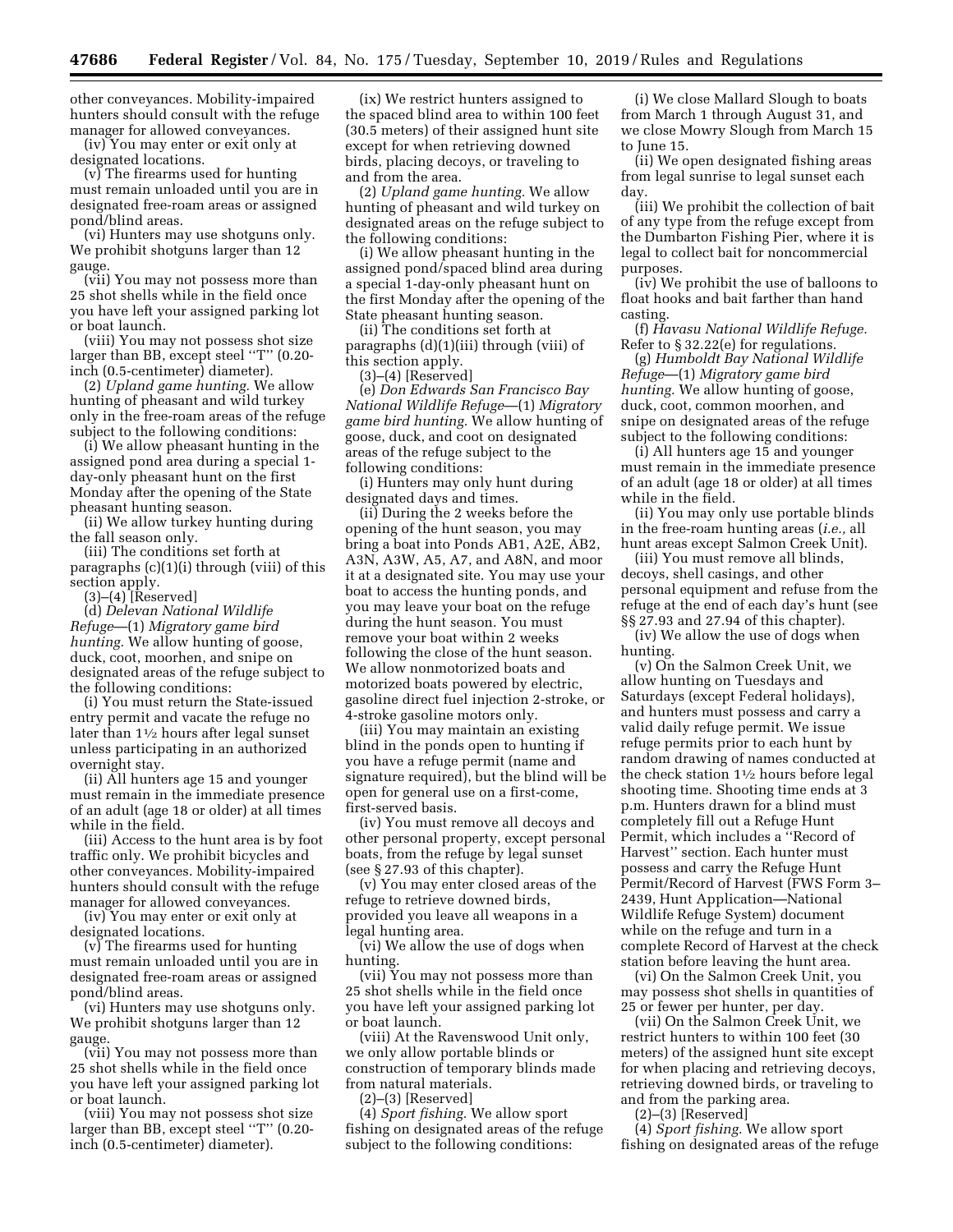other conveyances. Mobility-impaired hunters should consult with the refuge manager for allowed conveyances.

(iv) You may enter or exit only at designated locations.

(v) The firearms used for hunting must remain unloaded until you are in designated free-roam areas or assigned pond/blind areas.

(vi) Hunters may use shotguns only. We prohibit shotguns larger than 12 gauge.

(vii) You may not possess more than 25 shot shells while in the field once you have left your assigned parking lot or boat launch.

(viii) You may not possess shot size larger than BB, except steel ''T'' (0.20 inch (0.5-centimeter) diameter).

(2) *Upland game hunting.* We allow hunting of pheasant and wild turkey only in the free-roam areas of the refuge subject to the following conditions:

(i) We allow pheasant hunting in the assigned pond area during a special 1 day-only pheasant hunt on the first Monday after the opening of the State pheasant hunting season.

(ii) We allow turkey hunting during the fall season only.

(iii) The conditions set forth at paragraphs (c)(1)(i) through (viii) of this section apply.

(3)–(4) [Reserved]

(d) *Delevan National Wildlife Refuge*—(1) *Migratory game bird hunting.* We allow hunting of goose, duck, coot, moorhen, and snipe on designated areas of the refuge subject to the following conditions:

(i) You must return the State-issued entry permit and vacate the refuge no later than  $1\frac{1}{2}$  hours after legal sunset unless participating in an authorized overnight stay.

(ii) All hunters age 15 and younger must remain in the immediate presence of an adult (age 18 or older) at all times while in the field.

(iii) Access to the hunt area is by foot traffic only. We prohibit bicycles and other conveyances. Mobility-impaired hunters should consult with the refuge manager for allowed conveyances.

(iv) You may enter or exit only at designated locations.

(v) The firearms used for hunting must remain unloaded until you are in designated free-roam areas or assigned pond/blind areas.

(vi) Hunters may use shotguns only. We prohibit shotguns larger than 12 gauge.

(vii) You may not possess more than 25 shot shells while in the field once you have left your assigned parking lot or boat launch.

(viii) You may not possess shot size larger than BB, except steel ''T'' (0.20 inch (0.5-centimeter) diameter).

(ix) We restrict hunters assigned to the spaced blind area to within 100 feet (30.5 meters) of their assigned hunt site except for when retrieving downed birds, placing decoys, or traveling to and from the area.

(2) *Upland game hunting.* We allow hunting of pheasant and wild turkey on designated areas on the refuge subject to the following conditions:

(i) We allow pheasant hunting in the assigned pond/spaced blind area during a special 1-day-only pheasant hunt on the first Monday after the opening of the State pheasant hunting season.

(ii) The conditions set forth at paragraphs (d)(1)(iii) through (viii) of this section apply.

(3)–(4) [Reserved]

(e) *Don Edwards San Francisco Bay National Wildlife Refuge*—(1) *Migratory game bird hunting.* We allow hunting of goose, duck, and coot on designated areas of the refuge subject to the following conditions:

(i) Hunters may only hunt during designated days and times.

(ii) During the 2 weeks before the opening of the hunt season, you may bring a boat into Ponds AB1, A2E, AB2, A3N, A3W, A5, A7, and A8N, and moor it at a designated site. You may use your boat to access the hunting ponds, and you may leave your boat on the refuge during the hunt season. You must remove your boat within 2 weeks following the close of the hunt season. We allow nonmotorized boats and motorized boats powered by electric, gasoline direct fuel injection 2-stroke, or 4-stroke gasoline motors only.

(iii) You may maintain an existing blind in the ponds open to hunting if you have a refuge permit (name and signature required), but the blind will be open for general use on a first-come, first-served basis.

(iv) You must remove all decoys and other personal property, except personal boats, from the refuge by legal sunset (see § 27.93 of this chapter).

(v) You may enter closed areas of the refuge to retrieve downed birds, provided you leave all weapons in a legal hunting area.

(vi) We allow the use of dogs when hunting.

(vii) You may not possess more than 25 shot shells while in the field once you have left your assigned parking lot or boat launch.

(viii) At the Ravenswood Unit only, we only allow portable blinds or construction of temporary blinds made from natural materials.

(2)–(3) [Reserved]

(4) *Sport fishing.* We allow sport fishing on designated areas of the refuge subject to the following conditions:

(i) We close Mallard Slough to boats from March 1 through August 31, and we close Mowry Slough from March 15 to June 15.

(ii) We open designated fishing areas from legal sunrise to legal sunset each day.

(iii) We prohibit the collection of bait of any type from the refuge except from the Dumbarton Fishing Pier, where it is legal to collect bait for noncommercial purposes.

(iv) We prohibit the use of balloons to float hooks and bait farther than hand casting.

(f) *Havasu National Wildlife Refuge.*  Refer to § 32.22(e) for regulations.

(g) *Humboldt Bay National Wildlife Refuge*—(1) *Migratory game bird hunting.* We allow hunting of goose, duck, coot, common moorhen, and snipe on designated areas of the refuge subject to the following conditions:

(i) All hunters age 15 and younger must remain in the immediate presence of an adult (age 18 or older) at all times while in the field.

(ii) You may only use portable blinds in the free-roam hunting areas (*i.e.,* all hunt areas except Salmon Creek Unit).

(iii) You must remove all blinds, decoys, shell casings, and other personal equipment and refuse from the refuge at the end of each day's hunt (see §§ 27.93 and 27.94 of this chapter).

(iv) We allow the use of dogs when hunting.

(v) On the Salmon Creek Unit, we allow hunting on Tuesdays and Saturdays (except Federal holidays), and hunters must possess and carry a valid daily refuge permit. We issue refuge permits prior to each hunt by random drawing of names conducted at the check station  $1\frac{1}{2}$  hours before legal shooting time. Shooting time ends at 3 p.m. Hunters drawn for a blind must completely fill out a Refuge Hunt Permit, which includes a ''Record of Harvest'' section. Each hunter must possess and carry the Refuge Hunt Permit/Record of Harvest (FWS Form 3– 2439, Hunt Application—National Wildlife Refuge System) document while on the refuge and turn in a complete Record of Harvest at the check station before leaving the hunt area.

(vi) On the Salmon Creek Unit, you may possess shot shells in quantities of 25 or fewer per hunter, per day.

(vii) On the Salmon Creek Unit, we restrict hunters to within 100 feet (30 meters) of the assigned hunt site except for when placing and retrieving decoys, retrieving downed birds, or traveling to and from the parking area.

(2)–(3) [Reserved]

(4) *Sport fishing.* We allow sport fishing on designated areas of the refuge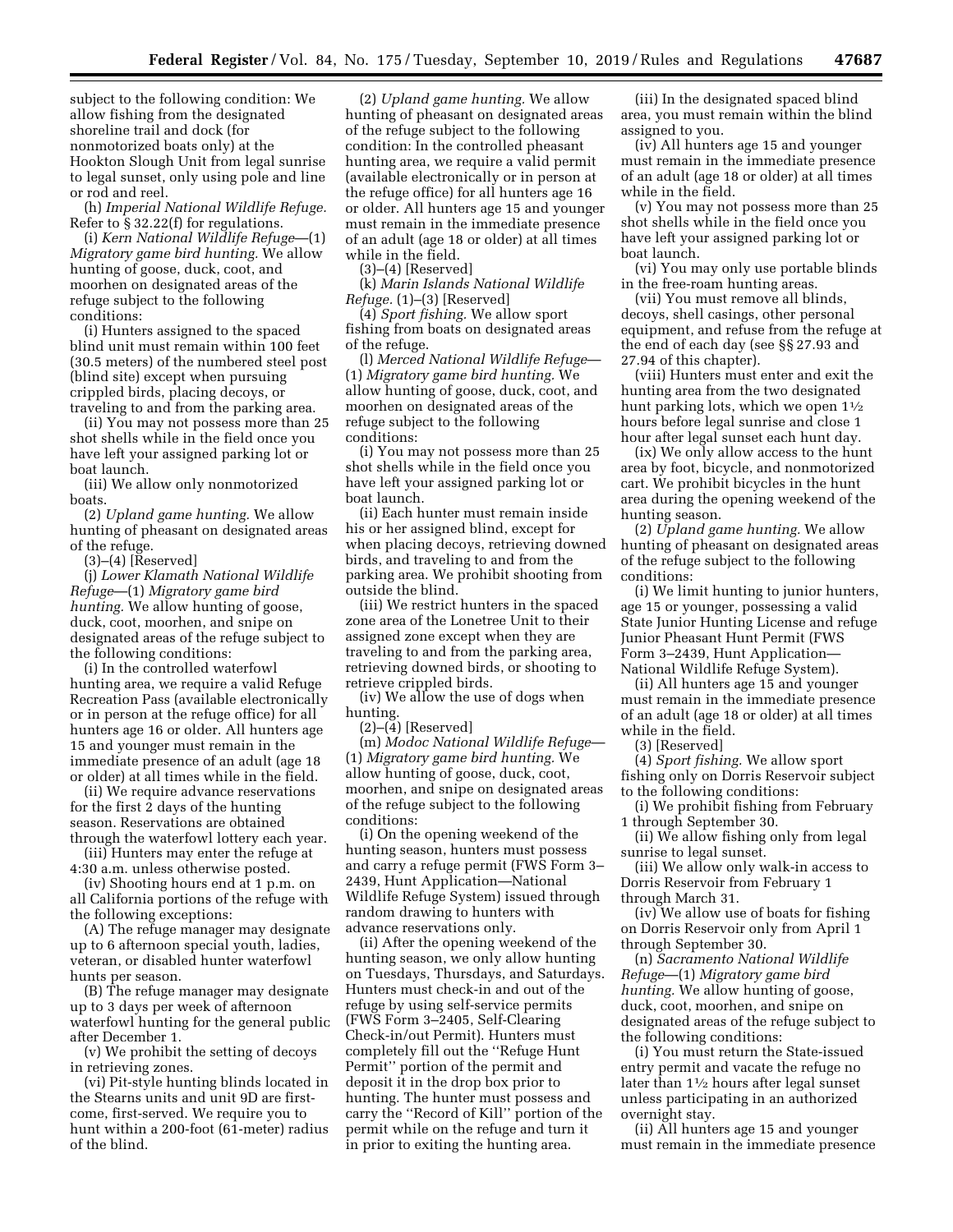subject to the following condition: We allow fishing from the designated shoreline trail and dock (for nonmotorized boats only) at the Hookton Slough Unit from legal sunrise to legal sunset, only using pole and line or rod and reel.

(h) *Imperial National Wildlife Refuge.*  Refer to § 32.22(f) for regulations.

(i) *Kern National Wildlife Refuge*—(1) *Migratory game bird hunting.* We allow hunting of goose, duck, coot, and moorhen on designated areas of the refuge subject to the following conditions:

(i) Hunters assigned to the spaced blind unit must remain within 100 feet (30.5 meters) of the numbered steel post (blind site) except when pursuing crippled birds, placing decoys, or traveling to and from the parking area.

(ii) You may not possess more than 25 shot shells while in the field once you have left your assigned parking lot or boat launch.

(iii) We allow only nonmotorized boats.

(2) *Upland game hunting.* We allow hunting of pheasant on designated areas of the refuge.

(3)–(4) [Reserved]

(j) *Lower Klamath National Wildlife Refuge*—(1) *Migratory game bird hunting.* We allow hunting of goose, duck, coot, moorhen, and snipe on designated areas of the refuge subject to the following conditions:

(i) In the controlled waterfowl hunting area, we require a valid Refuge Recreation Pass (available electronically or in person at the refuge office) for all hunters age 16 or older. All hunters age 15 and younger must remain in the immediate presence of an adult (age 18 or older) at all times while in the field.

(ii) We require advance reservations for the first 2 days of the hunting season. Reservations are obtained through the waterfowl lottery each year.

(iii) Hunters may enter the refuge at 4:30 a.m. unless otherwise posted.

(iv) Shooting hours end at 1 p.m. on all California portions of the refuge with the following exceptions:

(A) The refuge manager may designate up to 6 afternoon special youth, ladies, veteran, or disabled hunter waterfowl hunts per season.

(B) The refuge manager may designate up to 3 days per week of afternoon waterfowl hunting for the general public after December 1.

(v) We prohibit the setting of decoys in retrieving zones.

(vi) Pit-style hunting blinds located in the Stearns units and unit 9D are firstcome, first-served. We require you to hunt within a 200-foot (61-meter) radius of the blind.

(2) *Upland game hunting.* We allow hunting of pheasant on designated areas of the refuge subject to the following condition: In the controlled pheasant hunting area, we require a valid permit (available electronically or in person at the refuge office) for all hunters age 16 or older. All hunters age 15 and younger must remain in the immediate presence of an adult (age 18 or older) at all times while in the field.

(3)–(4) [Reserved]

(k) *Marin Islands National Wildlife Refuge.* (1)–(3) [Reserved]

(4) *Sport fishing.* We allow sport fishing from boats on designated areas of the refuge.

(l) *Merced National Wildlife Refuge*— (1) *Migratory game bird hunting.* We allow hunting of goose, duck, coot, and moorhen on designated areas of the refuge subject to the following conditions:

(i) You may not possess more than 25 shot shells while in the field once you have left your assigned parking lot or boat launch.

(ii) Each hunter must remain inside his or her assigned blind, except for when placing decoys, retrieving downed birds, and traveling to and from the parking area. We prohibit shooting from outside the blind.

(iii) We restrict hunters in the spaced zone area of the Lonetree Unit to their assigned zone except when they are traveling to and from the parking area, retrieving downed birds, or shooting to retrieve crippled birds.

(iv) We allow the use of dogs when hunting.

(2)–(4) [Reserved]

(m) *Modoc National Wildlife Refuge*— (1) *Migratory game bird hunting.* We allow hunting of goose, duck, coot, moorhen, and snipe on designated areas of the refuge subject to the following conditions:

(i) On the opening weekend of the hunting season, hunters must possess and carry a refuge permit (FWS Form 3– 2439, Hunt Application—National Wildlife Refuge System) issued through random drawing to hunters with advance reservations only.

(ii) After the opening weekend of the hunting season, we only allow hunting on Tuesdays, Thursdays, and Saturdays. Hunters must check-in and out of the refuge by using self-service permits (FWS Form 3–2405, Self-Clearing Check-in/out Permit). Hunters must completely fill out the ''Refuge Hunt Permit'' portion of the permit and deposit it in the drop box prior to hunting. The hunter must possess and carry the ''Record of Kill'' portion of the permit while on the refuge and turn it in prior to exiting the hunting area.

(iii) In the designated spaced blind area, you must remain within the blind assigned to you.

(iv) All hunters age 15 and younger must remain in the immediate presence of an adult (age 18 or older) at all times while in the field.

(v) You may not possess more than 25 shot shells while in the field once you have left your assigned parking lot or boat launch.

(vi) You may only use portable blinds in the free-roam hunting areas.

(vii) You must remove all blinds, decoys, shell casings, other personal equipment, and refuse from the refuge at the end of each day (see §§ 27.93 and 27.94 of this chapter).

(viii) Hunters must enter and exit the hunting area from the two designated hunt parking lots, which we open  $1\frac{1}{2}$ hours before legal sunrise and close 1 hour after legal sunset each hunt day.

(ix) We only allow access to the hunt area by foot, bicycle, and nonmotorized cart. We prohibit bicycles in the hunt area during the opening weekend of the hunting season.

(2) *Upland game hunting.* We allow hunting of pheasant on designated areas of the refuge subject to the following conditions:

(i) We limit hunting to junior hunters, age 15 or younger, possessing a valid State Junior Hunting License and refuge Junior Pheasant Hunt Permit (FWS Form 3–2439, Hunt Application— National Wildlife Refuge System).

(ii) All hunters age 15 and younger must remain in the immediate presence of an adult (age 18 or older) at all times while in the field.

(3) [Reserved]

(4) *Sport fishing.* We allow sport fishing only on Dorris Reservoir subject to the following conditions:

(i) We prohibit fishing from February 1 through September 30.

(ii) We allow fishing only from legal sunrise to legal sunset.

(iii) We allow only walk-in access to Dorris Reservoir from February 1 through March 31.

(iv) We allow use of boats for fishing on Dorris Reservoir only from April 1 through September 30.

(n) *Sacramento National Wildlife Refuge*—(1) *Migratory game bird hunting.* We allow hunting of goose, duck, coot, moorhen, and snipe on designated areas of the refuge subject to the following conditions:

(i) You must return the State-issued entry permit and vacate the refuge no later than 11⁄2 hours after legal sunset unless participating in an authorized overnight stay.

(ii) All hunters age 15 and younger must remain in the immediate presence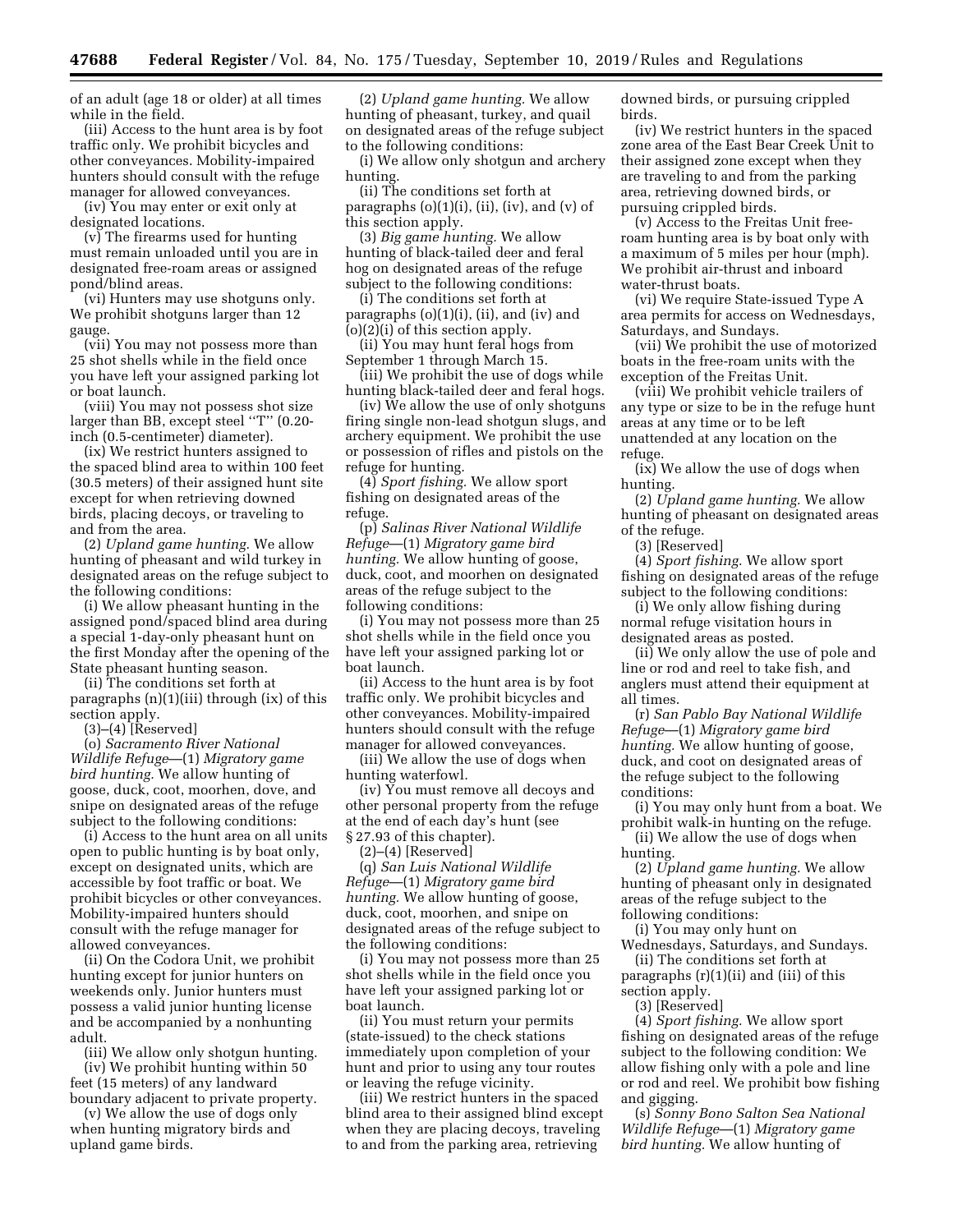of an adult (age 18 or older) at all times while in the field.

(iii) Access to the hunt area is by foot traffic only. We prohibit bicycles and other conveyances. Mobility-impaired hunters should consult with the refuge manager for allowed conveyances.

(iv) You may enter or exit only at designated locations.

 $(v)$  The firearms used for hunting must remain unloaded until you are in designated free-roam areas or assigned pond/blind areas.

(vi) Hunters may use shotguns only. We prohibit shotguns larger than 12 gauge.

(vii) You may not possess more than 25 shot shells while in the field once you have left your assigned parking lot or boat launch.

(viii) You may not possess shot size larger than BB, except steel ''T'' (0.20 inch (0.5-centimeter) diameter).

(ix) We restrict hunters assigned to the spaced blind area to within 100 feet (30.5 meters) of their assigned hunt site except for when retrieving downed birds, placing decoys, or traveling to and from the area.

(2) *Upland game hunting.* We allow hunting of pheasant and wild turkey in designated areas on the refuge subject to the following conditions:

(i) We allow pheasant hunting in the assigned pond/spaced blind area during a special 1-day-only pheasant hunt on the first Monday after the opening of the State pheasant hunting season.

(ii) The conditions set forth at paragraphs (n)(1)(iii) through (ix) of this section apply.

(3)–(4) [Reserved]

(o) *Sacramento River National Wildlife Refuge*—(1) *Migratory game bird hunting.* We allow hunting of goose, duck, coot, moorhen, dove, and snipe on designated areas of the refuge subject to the following conditions:

(i) Access to the hunt area on all units open to public hunting is by boat only, except on designated units, which are accessible by foot traffic or boat. We prohibit bicycles or other conveyances. Mobility-impaired hunters should consult with the refuge manager for allowed conveyances.

(ii) On the Codora Unit, we prohibit hunting except for junior hunters on weekends only. Junior hunters must possess a valid junior hunting license and be accompanied by a nonhunting adult.

(iii) We allow only shotgun hunting. (iv) We prohibit hunting within 50 feet (15 meters) of any landward boundary adjacent to private property.

(v) We allow the use of dogs only when hunting migratory birds and upland game birds.

(2) *Upland game hunting.* We allow hunting of pheasant, turkey, and quail on designated areas of the refuge subject to the following conditions:

(i) We allow only shotgun and archery hunting.

(ii) The conditions set forth at paragraphs (o)(1)(i), (ii), (iv), and (v) of this section apply.

(3) *Big game hunting.* We allow hunting of black-tailed deer and feral hog on designated areas of the refuge subject to the following conditions:

(i) The conditions set forth at paragraphs (o)(1)(i), (ii), and (iv) and (o)(2)(i) of this section apply.

(ii) You may hunt feral hogs from September 1 through March 15.

(iii) We prohibit the use of dogs while hunting black-tailed deer and feral hogs.

(iv) We allow the use of only shotguns firing single non-lead shotgun slugs, and archery equipment. We prohibit the use or possession of rifles and pistols on the refuge for hunting.

(4) *Sport fishing.* We allow sport fishing on designated areas of the refuge.

(p) *Salinas River National Wildlife Refuge*—(1) *Migratory game bird hunting.* We allow hunting of goose, duck, coot, and moorhen on designated areas of the refuge subject to the following conditions:

(i) You may not possess more than 25 shot shells while in the field once you have left your assigned parking lot or boat launch.

(ii) Access to the hunt area is by foot traffic only. We prohibit bicycles and other conveyances. Mobility-impaired hunters should consult with the refuge manager for allowed conveyances.

(iii) We allow the use of dogs when hunting waterfowl.

(iv) You must remove all decoys and other personal property from the refuge at the end of each day's hunt (see § 27.93 of this chapter).

(2)–(4) [Reserved]

(q) *San Luis National Wildlife Refuge*—(1) *Migratory game bird hunting.* We allow hunting of goose, duck, coot, moorhen, and snipe on designated areas of the refuge subject to the following conditions:

(i) You may not possess more than 25 shot shells while in the field once you have left your assigned parking lot or boat launch.

(ii) You must return your permits (state-issued) to the check stations immediately upon completion of your hunt and prior to using any tour routes or leaving the refuge vicinity.

(iii) We restrict hunters in the spaced blind area to their assigned blind except when they are placing decoys, traveling to and from the parking area, retrieving

downed birds, or pursuing crippled birds.

(iv) We restrict hunters in the spaced zone area of the East Bear Creek Unit to their assigned zone except when they are traveling to and from the parking area, retrieving downed birds, or pursuing crippled birds.

(v) Access to the Freitas Unit freeroam hunting area is by boat only with a maximum of 5 miles per hour (mph). We prohibit air-thrust and inboard water-thrust boats.

(vi) We require State-issued Type A area permits for access on Wednesdays, Saturdays, and Sundays.

(vii) We prohibit the use of motorized boats in the free-roam units with the exception of the Freitas Unit.

(viii) We prohibit vehicle trailers of any type or size to be in the refuge hunt areas at any time or to be left unattended at any location on the refuge.

(ix) We allow the use of dogs when hunting.

(2) *Upland game hunting.* We allow hunting of pheasant on designated areas of the refuge.

(3) [Reserved]

(4) *Sport fishing.* We allow sport fishing on designated areas of the refuge subject to the following conditions:

(i) We only allow fishing during normal refuge visitation hours in designated areas as posted.

(ii) We only allow the use of pole and line or rod and reel to take fish, and anglers must attend their equipment at all times.

(r) *San Pablo Bay National Wildlife Refuge*—(1) *Migratory game bird hunting.* We allow hunting of goose, duck, and coot on designated areas of the refuge subject to the following conditions:

(i) You may only hunt from a boat. We prohibit walk-in hunting on the refuge.

(ii) We allow the use of dogs when hunting.

(2) *Upland game hunting.* We allow hunting of pheasant only in designated areas of the refuge subject to the following conditions:

(i) You may only hunt on

Wednesdays, Saturdays, and Sundays. (ii) The conditions set forth at

paragraphs (r)(1)(ii) and (iii) of this section apply.

(3) [Reserved]

(4) *Sport fishing.* We allow sport fishing on designated areas of the refuge subject to the following condition: We allow fishing only with a pole and line or rod and reel. We prohibit bow fishing and gigging.

(s) *Sonny Bono Salton Sea National Wildlife Refuge*—(1) *Migratory game bird hunting.* We allow hunting of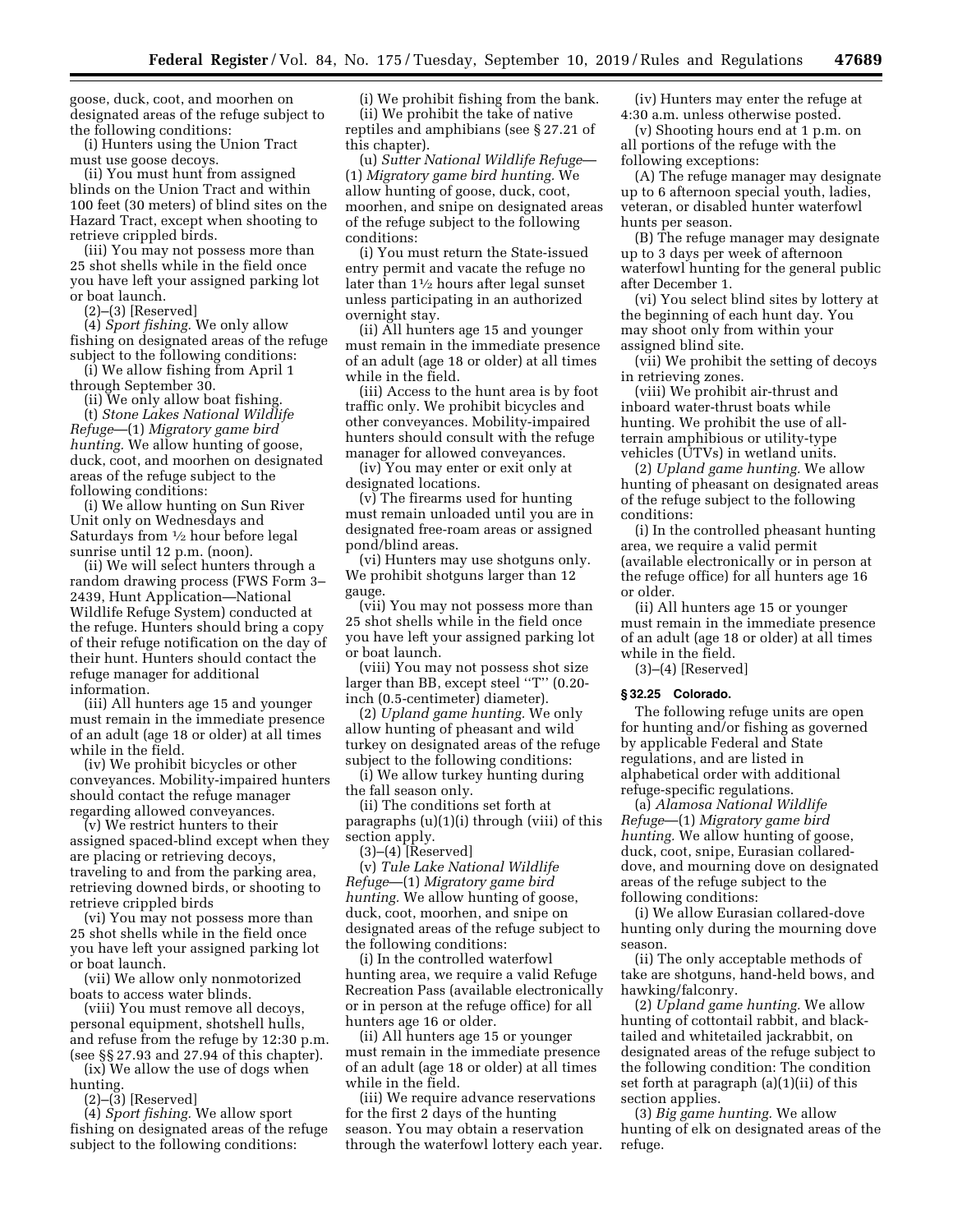goose, duck, coot, and moorhen on designated areas of the refuge subject to the following conditions:

(i) Hunters using the Union Tract must use goose decoys.

(ii) You must hunt from assigned blinds on the Union Tract and within 100 feet (30 meters) of blind sites on the Hazard Tract, except when shooting to retrieve crippled birds.

(iii) You may not possess more than 25 shot shells while in the field once you have left your assigned parking lot or boat launch.

(2)–(3) [Reserved]

(4) *Sport fishing.* We only allow fishing on designated areas of the refuge subject to the following conditions:

(i) We allow fishing from April 1 through September 30.

(ii) We only allow boat fishing. (t) *Stone Lakes National Wildlife Refuge*—(1) *Migratory game bird hunting.* We allow hunting of goose, duck, coot, and moorhen on designated areas of the refuge subject to the following conditions:

(i) We allow hunting on Sun River Unit only on Wednesdays and Saturdays from 1⁄2 hour before legal sunrise until 12 p.m. (noon).

(ii) We will select hunters through a random drawing process (FWS Form 3– 2439, Hunt Application—National Wildlife Refuge System) conducted at the refuge. Hunters should bring a copy of their refuge notification on the day of their hunt. Hunters should contact the refuge manager for additional information.

(iii) All hunters age 15 and younger must remain in the immediate presence of an adult (age 18 or older) at all times while in the field.

(iv) We prohibit bicycles or other conveyances. Mobility-impaired hunters should contact the refuge manager regarding allowed conveyances.

(v) We restrict hunters to their assigned spaced-blind except when they are placing or retrieving decoys, traveling to and from the parking area, retrieving downed birds, or shooting to retrieve crippled birds

(vi) You may not possess more than 25 shot shells while in the field once you have left your assigned parking lot or boat launch.

(vii) We allow only nonmotorized boats to access water blinds.

(viii) You must remove all decoys, personal equipment, shotshell hulls, and refuse from the refuge by 12:30 p.m. (see §§ 27.93 and 27.94 of this chapter).

(ix) We allow the use of dogs when hunting.

 $(2)$ – $(\check{3})$  [Reserved]

(4) *Sport fishing.* We allow sport fishing on designated areas of the refuge subject to the following conditions:

(i) We prohibit fishing from the bank. (ii) We prohibit the take of native reptiles and amphibians (see § 27.21 of this chapter).

(u) *Sutter National Wildlife Refuge*— (1) *Migratory game bird hunting.* We allow hunting of goose, duck, coot, moorhen, and snipe on designated areas of the refuge subject to the following conditions:

(i) You must return the State-issued entry permit and vacate the refuge no later than 11⁄2 hours after legal sunset unless participating in an authorized overnight stay.

(ii) All hunters age 15 and younger must remain in the immediate presence of an adult (age 18 or older) at all times while in the field.

(iii) Access to the hunt area is by foot traffic only. We prohibit bicycles and other conveyances. Mobility-impaired hunters should consult with the refuge manager for allowed conveyances.

(iv) You may enter or exit only at designated locations.

(v) The firearms used for hunting must remain unloaded until you are in designated free-roam areas or assigned pond/blind areas.

(vi) Hunters may use shotguns only. We prohibit shotguns larger than 12 gauge.

(vii) You may not possess more than 25 shot shells while in the field once you have left your assigned parking lot or boat launch.

(viii) You may not possess shot size larger than BB, except steel ''T'' (0.20 inch (0.5-centimeter) diameter).

(2) *Upland game hunting.* We only allow hunting of pheasant and wild turkey on designated areas of the refuge subject to the following conditions:

(i) We allow turkey hunting during the fall season only.

(ii) The conditions set forth at paragraphs (u)(1)(i) through (viii) of this section apply.

(3)–(4) [Reserved]

(v) *Tule Lake National Wildlife Refuge*—(1) *Migratory game bird hunting.* We allow hunting of goose, duck, coot, moorhen, and snipe on designated areas of the refuge subject to the following conditions:

(i) In the controlled waterfowl hunting area, we require a valid Refuge Recreation Pass (available electronically or in person at the refuge office) for all hunters age 16 or older.

(ii) All hunters age 15 or younger must remain in the immediate presence of an adult (age 18 or older) at all times while in the field.

(iii) We require advance reservations for the first 2 days of the hunting season. You may obtain a reservation through the waterfowl lottery each year.

(iv) Hunters may enter the refuge at 4:30 a.m. unless otherwise posted.

(v) Shooting hours end at 1 p.m. on all portions of the refuge with the following exceptions:

(A) The refuge manager may designate up to 6 afternoon special youth, ladies, veteran, or disabled hunter waterfowl hunts per season.

(B) The refuge manager may designate up to 3 days per week of afternoon waterfowl hunting for the general public after December 1.

(vi) You select blind sites by lottery at the beginning of each hunt day. You may shoot only from within your assigned blind site.

(vii) We prohibit the setting of decoys in retrieving zones.

(viii) We prohibit air-thrust and inboard water-thrust boats while hunting. We prohibit the use of allterrain amphibious or utility-type vehicles (UTVs) in wetland units.

(2) *Upland game hunting.* We allow hunting of pheasant on designated areas of the refuge subject to the following conditions:

(i) In the controlled pheasant hunting area, we require a valid permit (available electronically or in person at the refuge office) for all hunters age 16 or older.

(ii) All hunters age 15 or younger must remain in the immediate presence of an adult (age 18 or older) at all times while in the field.

(3)–(4) [Reserved]

# **§ 32.25 Colorado.**

The following refuge units are open for hunting and/or fishing as governed by applicable Federal and State regulations, and are listed in alphabetical order with additional refuge-specific regulations.

(a) *Alamosa National Wildlife Refuge*—(1) *Migratory game bird hunting.* We allow hunting of goose, duck, coot, snipe, Eurasian collareddove, and mourning dove on designated areas of the refuge subject to the following conditions:

(i) We allow Eurasian collared-dove hunting only during the mourning dove season.

(ii) The only acceptable methods of take are shotguns, hand-held bows, and hawking/falconry.

(2) *Upland game hunting.* We allow hunting of cottontail rabbit, and blacktailed and whitetailed jackrabbit, on designated areas of the refuge subject to the following condition: The condition set forth at paragraph (a)(1)(ii) of this section applies.

(3) *Big game hunting.* We allow hunting of elk on designated areas of the refuge.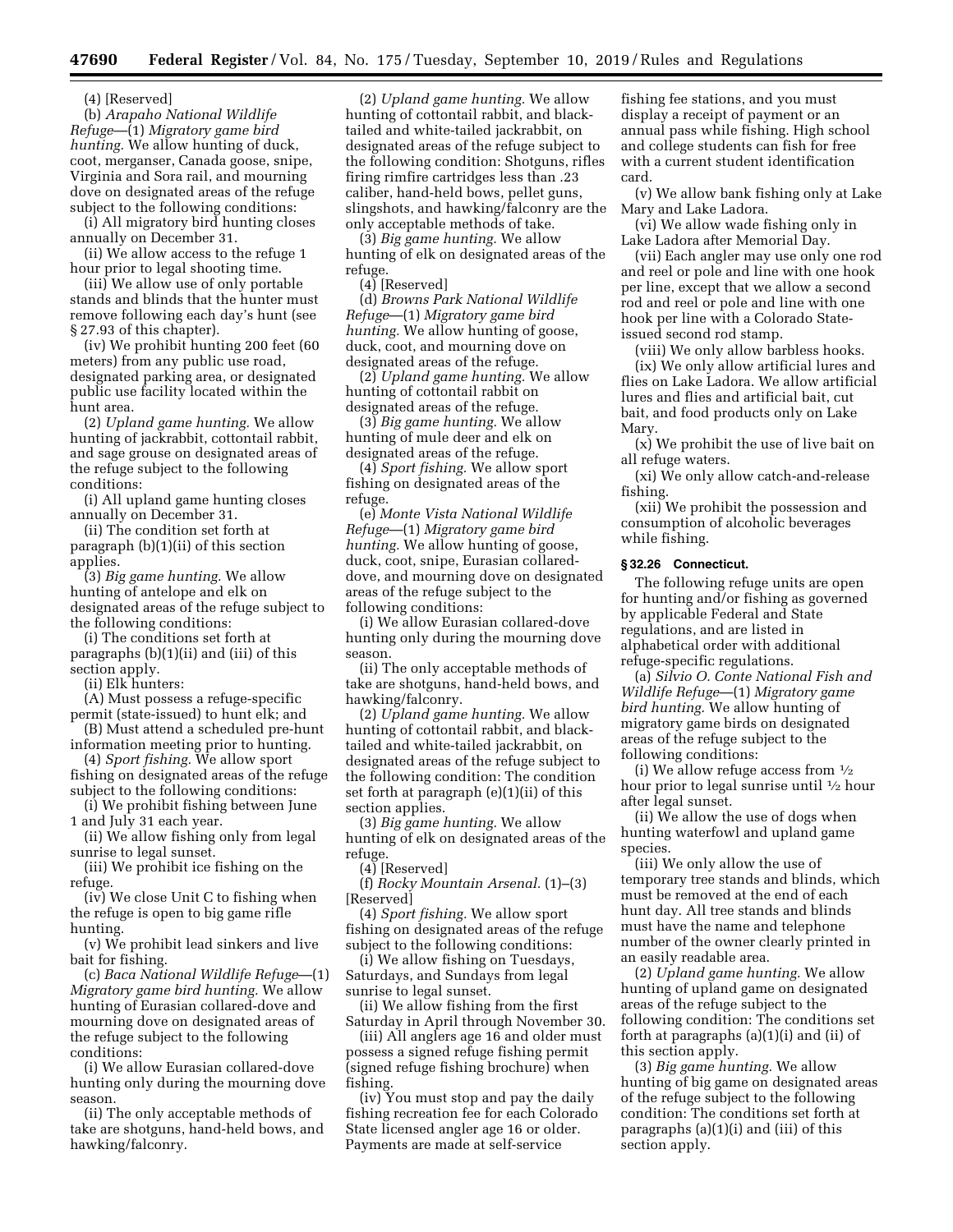(4) [Reserved]

(b) *Arapaho National Wildlife Refuge*—(1) *Migratory game bird hunting.* We allow hunting of duck, coot, merganser, Canada goose, snipe, Virginia and Sora rail, and mourning dove on designated areas of the refuge subject to the following conditions:

(i) All migratory bird hunting closes annually on December 31.

(ii) We allow access to the refuge 1 hour prior to legal shooting time.

(iii) We allow use of only portable stands and blinds that the hunter must remove following each day's hunt (see § 27.93 of this chapter).

(iv) We prohibit hunting 200 feet (60 meters) from any public use road, designated parking area, or designated public use facility located within the hunt area.

(2) *Upland game hunting.* We allow hunting of jackrabbit, cottontail rabbit, and sage grouse on designated areas of the refuge subject to the following conditions:

(i) All upland game hunting closes annually on December 31.

(ii) The condition set forth at paragraph (b)(1)(ii) of this section applies.

(3) *Big game hunting.* We allow hunting of antelope and elk on designated areas of the refuge subject to the following conditions:

(i) The conditions set forth at paragraphs (b)(1)(ii) and (iii) of this section apply.

(ii) Elk hunters:

(A) Must possess a refuge-specific

permit (state-issued) to hunt elk; and (B) Must attend a scheduled pre-hunt

information meeting prior to hunting. (4) *Sport fishing.* We allow sport

fishing on designated areas of the refuge subject to the following conditions:

(i) We prohibit fishing between June 1 and July 31 each year.

(ii) We allow fishing only from legal sunrise to legal sunset.

(iii) We prohibit ice fishing on the refuge.

(iv) We close Unit C to fishing when the refuge is open to big game rifle hunting.

(v) We prohibit lead sinkers and live bait for fishing.

(c) *Baca National Wildlife Refuge*—(1) *Migratory game bird hunting.* We allow hunting of Eurasian collared-dove and mourning dove on designated areas of the refuge subject to the following conditions:

(i) We allow Eurasian collared-dove hunting only during the mourning dove season.

(ii) The only acceptable methods of take are shotguns, hand-held bows, and hawking/falconry.

(2) *Upland game hunting.* We allow hunting of cottontail rabbit, and blacktailed and white-tailed jackrabbit, on designated areas of the refuge subject to the following condition: Shotguns, rifles firing rimfire cartridges less than .23 caliber, hand-held bows, pellet guns, slingshots, and hawking/falconry are the only acceptable methods of take.

(3) *Big game hunting.* We allow hunting of elk on designated areas of the refuge.

(4) [Reserved]

(d) *Browns Park National Wildlife Refuge*—(1) *Migratory game bird hunting.* We allow hunting of goose, duck, coot, and mourning dove on designated areas of the refuge.

(2) *Upland game hunting.* We allow hunting of cottontail rabbit on designated areas of the refuge.

(3) *Big game hunting.* We allow hunting of mule deer and elk on designated areas of the refuge.

(4) *Sport fishing.* We allow sport fishing on designated areas of the refuge.

(e) *Monte Vista National Wildlife Refuge*—(1) *Migratory game bird hunting.* We allow hunting of goose, duck, coot, snipe, Eurasian collareddove, and mourning dove on designated areas of the refuge subject to the following conditions:

(i) We allow Eurasian collared-dove hunting only during the mourning dove season.

(ii) The only acceptable methods of take are shotguns, hand-held bows, and hawking/falconry.

(2) *Upland game hunting.* We allow hunting of cottontail rabbit, and blacktailed and white-tailed jackrabbit, on designated areas of the refuge subject to the following condition: The condition set forth at paragraph (e)(1)(ii) of this section applies.

(3) *Big game hunting.* We allow hunting of elk on designated areas of the refuge.

(4) [Reserved]

(f) *Rocky Mountain Arsenal.* (1)–(3) [Reserved]

(4) *Sport fishing.* We allow sport fishing on designated areas of the refuge subject to the following conditions:

(i) We allow fishing on Tuesdays, Saturdays, and Sundays from legal sunrise to legal sunset.

(ii) We allow fishing from the first Saturday in April through November 30.

(iii) All anglers age 16 and older must possess a signed refuge fishing permit (signed refuge fishing brochure) when fishing.

(iv) You must stop and pay the daily fishing recreation fee for each Colorado State licensed angler age 16 or older. Payments are made at self-service

fishing fee stations, and you must display a receipt of payment or an annual pass while fishing. High school and college students can fish for free with a current student identification card.

(v) We allow bank fishing only at Lake Mary and Lake Ladora.

(vi) We allow wade fishing only in Lake Ladora after Memorial Day.

(vii) Each angler may use only one rod and reel or pole and line with one hook per line, except that we allow a second rod and reel or pole and line with one hook per line with a Colorado Stateissued second rod stamp.

(viii) We only allow barbless hooks.

(ix) We only allow artificial lures and flies on Lake Ladora. We allow artificial lures and flies and artificial bait, cut bait, and food products only on Lake Mary.

(x) We prohibit the use of live bait on all refuge waters.

(xi) We only allow catch-and-release fishing.

(xii) We prohibit the possession and consumption of alcoholic beverages while fishing.

# **§ 32.26 Connecticut.**

The following refuge units are open for hunting and/or fishing as governed by applicable Federal and State regulations, and are listed in alphabetical order with additional refuge-specific regulations.

(a) *Silvio O. Conte National Fish and Wildlife Refuge*—(1) *Migratory game bird hunting.* We allow hunting of migratory game birds on designated areas of the refuge subject to the following conditions:

(i) We allow refuge access from  $\frac{1}{2}$ hour prior to legal sunrise until 1⁄2 hour after legal sunset.

(ii) We allow the use of dogs when hunting waterfowl and upland game species.

(iii) We only allow the use of temporary tree stands and blinds, which must be removed at the end of each hunt day. All tree stands and blinds must have the name and telephone number of the owner clearly printed in an easily readable area.

(2) *Upland game hunting.* We allow hunting of upland game on designated areas of the refuge subject to the following condition: The conditions set forth at paragraphs (a)(1)(i) and (ii) of this section apply.

(3) *Big game hunting.* We allow hunting of big game on designated areas of the refuge subject to the following condition: The conditions set forth at paragraphs (a)(1)(i) and (iii) of this section apply.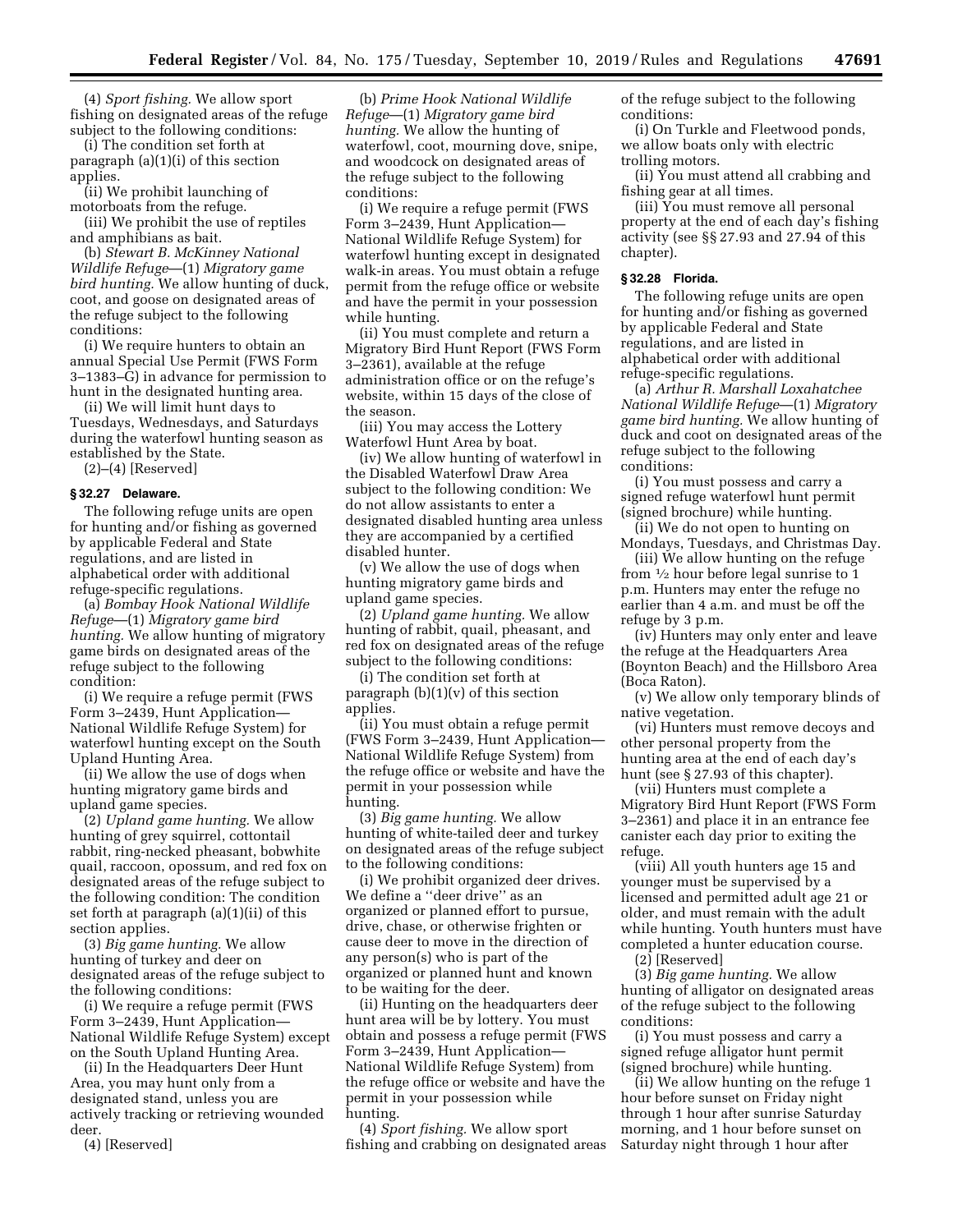(4) *Sport fishing.* We allow sport fishing on designated areas of the refuge subject to the following conditions:

(i) The condition set forth at paragraph (a)(1)(i) of this section applies.

(ii) We prohibit launching of motorboats from the refuge.

(iii) We prohibit the use of reptiles and amphibians as bait.

(b) *Stewart B. McKinney National Wildlife Refuge*—(1) *Migratory game bird hunting.* We allow hunting of duck, coot, and goose on designated areas of the refuge subject to the following conditions:

(i) We require hunters to obtain an annual Special Use Permit (FWS Form 3–1383–G) in advance for permission to hunt in the designated hunting area.

(ii) We will limit hunt days to Tuesdays, Wednesdays, and Saturdays during the waterfowl hunting season as established by the State.

(2)–(4) [Reserved]

## **§ 32.27 Delaware.**

The following refuge units are open for hunting and/or fishing as governed by applicable Federal and State regulations, and are listed in alphabetical order with additional refuge-specific regulations.

(a) *Bombay Hook National Wildlife Refuge*—(1) *Migratory game bird hunting.* We allow hunting of migratory game birds on designated areas of the refuge subject to the following condition:

(i) We require a refuge permit (FWS Form 3–2439, Hunt Application— National Wildlife Refuge System) for waterfowl hunting except on the South Upland Hunting Area.

(ii) We allow the use of dogs when hunting migratory game birds and upland game species.

(2) *Upland game hunting.* We allow hunting of grey squirrel, cottontail rabbit, ring-necked pheasant, bobwhite quail, raccoon, opossum, and red fox on designated areas of the refuge subject to the following condition: The condition set forth at paragraph (a)(1)(ii) of this section applies.

(3) *Big game hunting.* We allow hunting of turkey and deer on designated areas of the refuge subject to the following conditions:

(i) We require a refuge permit (FWS Form 3–2439, Hunt Application— National Wildlife Refuge System) except on the South Upland Hunting Area.

(ii) In the Headquarters Deer Hunt Area, you may hunt only from a designated stand, unless you are actively tracking or retrieving wounded deer.

(4) [Reserved]

(b) *Prime Hook National Wildlife Refuge*—(1) *Migratory game bird hunting.* We allow the hunting of waterfowl, coot, mourning dove, snipe, and woodcock on designated areas of the refuge subject to the following conditions:

(i) We require a refuge permit (FWS Form 3–2439, Hunt Application— National Wildlife Refuge System) for waterfowl hunting except in designated walk-in areas. You must obtain a refuge permit from the refuge office or website and have the permit in your possession while hunting.

(ii) You must complete and return a Migratory Bird Hunt Report (FWS Form 3–2361), available at the refuge administration office or on the refuge's website, within 15 days of the close of the season.

(iii) You may access the Lottery Waterfowl Hunt Area by boat.

(iv) We allow hunting of waterfowl in the Disabled Waterfowl Draw Area subject to the following condition: We do not allow assistants to enter a designated disabled hunting area unless they are accompanied by a certified disabled hunter.

(v) We allow the use of dogs when hunting migratory game birds and upland game species.

(2) *Upland game hunting.* We allow hunting of rabbit, quail, pheasant, and red fox on designated areas of the refuge subject to the following conditions:

(i) The condition set forth at paragraph  $(b)(1)(v)$  of this section applies.

(ii) You must obtain a refuge permit (FWS Form 3–2439, Hunt Application— National Wildlife Refuge System) from the refuge office or website and have the permit in your possession while hunting.

(3) *Big game hunting.* We allow hunting of white-tailed deer and turkey on designated areas of the refuge subject to the following conditions:

(i) We prohibit organized deer drives. We define a ''deer drive'' as an organized or planned effort to pursue, drive, chase, or otherwise frighten or cause deer to move in the direction of any person(s) who is part of the organized or planned hunt and known to be waiting for the deer.

(ii) Hunting on the headquarters deer hunt area will be by lottery. You must obtain and possess a refuge permit (FWS Form 3–2439, Hunt Application— National Wildlife Refuge System) from the refuge office or website and have the permit in your possession while hunting.

(4) *Sport fishing.* We allow sport fishing and crabbing on designated areas of the refuge subject to the following conditions:

(i) On Turkle and Fleetwood ponds, we allow boats only with electric trolling motors.

(ii) You must attend all crabbing and fishing gear at all times.

(iii) You must remove all personal property at the end of each day's fishing activity (see §§ 27.93 and 27.94 of this chapter).

## **§ 32.28 Florida.**

The following refuge units are open for hunting and/or fishing as governed by applicable Federal and State regulations, and are listed in alphabetical order with additional refuge-specific regulations.

(a) *Arthur R. Marshall Loxahatchee National Wildlife Refuge*—(1) *Migratory game bird hunting.* We allow hunting of duck and coot on designated areas of the refuge subject to the following conditions:

(i) You must possess and carry a signed refuge waterfowl hunt permit (signed brochure) while hunting.

(ii) We do not open to hunting on Mondays, Tuesdays, and Christmas Day.

(iii) We allow hunting on the refuge from 1⁄2 hour before legal sunrise to 1 p.m. Hunters may enter the refuge no earlier than 4 a.m. and must be off the refuge by 3 p.m.

(iv) Hunters may only enter and leave the refuge at the Headquarters Area (Boynton Beach) and the Hillsboro Area (Boca Raton).

(v) We allow only temporary blinds of native vegetation.

(vi) Hunters must remove decoys and other personal property from the hunting area at the end of each day's hunt (see § 27.93 of this chapter).

(vii) Hunters must complete a Migratory Bird Hunt Report (FWS Form 3–2361) and place it in an entrance fee canister each day prior to exiting the refuge.

(viii) All youth hunters age 15 and younger must be supervised by a licensed and permitted adult age 21 or older, and must remain with the adult while hunting. Youth hunters must have completed a hunter education course.

(2) [Reserved]

(3) *Big game hunting.* We allow hunting of alligator on designated areas of the refuge subject to the following conditions:

(i) You must possess and carry a signed refuge alligator hunt permit (signed brochure) while hunting.

(ii) We allow hunting on the refuge 1 hour before sunset on Friday night through 1 hour after sunrise Saturday morning, and 1 hour before sunset on Saturday night through 1 hour after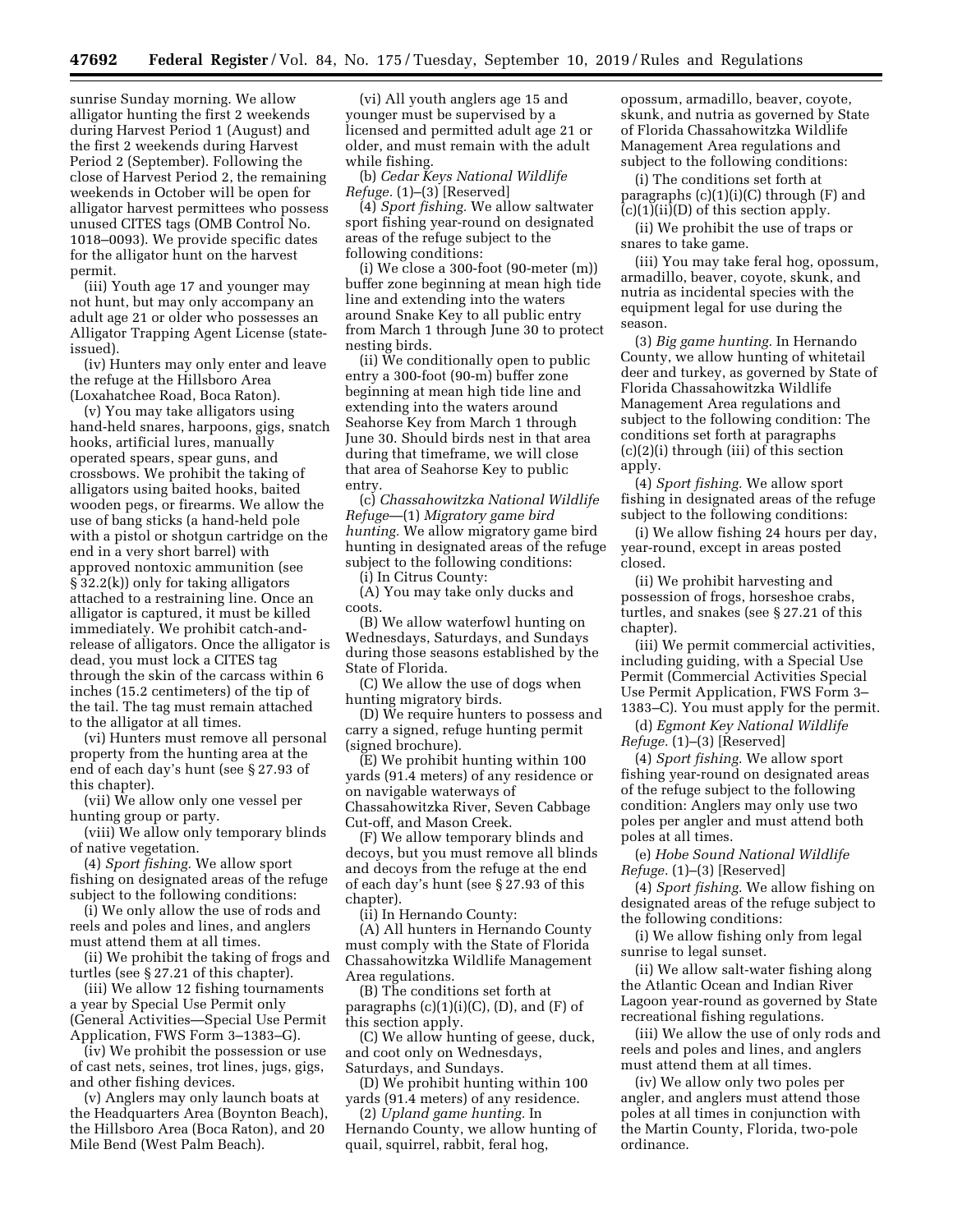sunrise Sunday morning. We allow alligator hunting the first 2 weekends during Harvest Period 1 (August) and the first 2 weekends during Harvest Period 2 (September). Following the close of Harvest Period 2, the remaining weekends in October will be open for alligator harvest permittees who possess unused CITES tags (OMB Control No. 1018–0093). We provide specific dates for the alligator hunt on the harvest permit.

(iii) Youth age 17 and younger may not hunt, but may only accompany an adult age 21 or older who possesses an Alligator Trapping Agent License (stateissued).

(iv) Hunters may only enter and leave the refuge at the Hillsboro Area (Loxahatchee Road, Boca Raton).

(v) You may take alligators using hand-held snares, harpoons, gigs, snatch hooks, artificial lures, manually operated spears, spear guns, and crossbows. We prohibit the taking of alligators using baited hooks, baited wooden pegs, or firearms. We allow the use of bang sticks (a hand-held pole with a pistol or shotgun cartridge on the end in a very short barrel) with approved nontoxic ammunition (see § 32.2(k)) only for taking alligators attached to a restraining line. Once an alligator is captured, it must be killed immediately. We prohibit catch-andrelease of alligators. Once the alligator is dead, you must lock a CITES tag through the skin of the carcass within 6 inches (15.2 centimeters) of the tip of the tail. The tag must remain attached to the alligator at all times.

(vi) Hunters must remove all personal property from the hunting area at the end of each day's hunt (see § 27.93 of this chapter).

(vii) We allow only one vessel per hunting group or party.

(viii) We allow only temporary blinds of native vegetation.

(4) *Sport fishing.* We allow sport fishing on designated areas of the refuge subject to the following conditions:

(i) We only allow the use of rods and reels and poles and lines, and anglers must attend them at all times.

(ii) We prohibit the taking of frogs and turtles (see § 27.21 of this chapter).

(iii) We allow 12 fishing tournaments a year by Special Use Permit only (General Activities—Special Use Permit Application, FWS Form 3–1383–G).

(iv) We prohibit the possession or use of cast nets, seines, trot lines, jugs, gigs, and other fishing devices.

(v) Anglers may only launch boats at the Headquarters Area (Boynton Beach), the Hillsboro Area (Boca Raton), and 20 Mile Bend (West Palm Beach).

(vi) All youth anglers age 15 and younger must be supervised by a licensed and permitted adult age 21 or older, and must remain with the adult while fishing.

(b) *Cedar Keys National Wildlife Refuge.* (1)–(3) [Reserved]

(4) *Sport fishing.* We allow saltwater sport fishing year-round on designated areas of the refuge subject to the following conditions:

(i) We close a 300-foot (90-meter (m)) buffer zone beginning at mean high tide line and extending into the waters around Snake Key to all public entry from March 1 through June 30 to protect nesting birds.

(ii) We conditionally open to public entry a 300-foot (90-m) buffer zone beginning at mean high tide line and extending into the waters around Seahorse Key from March 1 through June 30. Should birds nest in that area during that timeframe, we will close that area of Seahorse Key to public entry.

(c) *Chassahowitzka National Wildlife Refuge*—(1) *Migratory game bird hunting.* We allow migratory game bird hunting in designated areas of the refuge subject to the following conditions:

(i) In Citrus County:

(A) You may take only ducks and coots.

(B) We allow waterfowl hunting on Wednesdays, Saturdays, and Sundays during those seasons established by the State of Florida.

(C) We allow the use of dogs when hunting migratory birds.

(D) We require hunters to possess and carry a signed, refuge hunting permit (signed brochure).

(E) We prohibit hunting within 100 yards (91.4 meters) of any residence or on navigable waterways of Chassahowitzka River, Seven Cabbage Cut-off, and Mason Creek.

(F) We allow temporary blinds and decoys, but you must remove all blinds and decoys from the refuge at the end of each day's hunt (see § 27.93 of this chapter).

(ii) In Hernando County:

(A) All hunters in Hernando County must comply with the State of Florida Chassahowitzka Wildlife Management Area regulations.

(B) The conditions set forth at paragraphs  $(c)(1)(i)(C)$ ,  $(D)$ , and  $(F)$  of this section apply.

(C) We allow hunting of geese, duck, and coot only on Wednesdays, Saturdays, and Sundays.

(D) We prohibit hunting within 100 yards (91.4 meters) of any residence.

(2) *Upland game hunting.* In Hernando County, we allow hunting of quail, squirrel, rabbit, feral hog,

opossum, armadillo, beaver, coyote, skunk, and nutria as governed by State of Florida Chassahowitzka Wildlife Management Area regulations and subject to the following conditions:

(i) The conditions set forth at paragraphs (c)(1)(i)(C) through (F) and  $(c)(1)(ii)(D)$  of this section apply.

(ii) We prohibit the use of traps or snares to take game.

(iii) You may take feral hog, opossum, armadillo, beaver, coyote, skunk, and nutria as incidental species with the equipment legal for use during the season.

(3) *Big game hunting.* In Hernando County, we allow hunting of whitetail deer and turkey, as governed by State of Florida Chassahowitzka Wildlife Management Area regulations and subject to the following condition: The conditions set forth at paragraphs (c)(2)(i) through (iii) of this section apply.

(4) *Sport fishing.* We allow sport fishing in designated areas of the refuge subject to the following conditions:

(i) We allow fishing 24 hours per day, year-round, except in areas posted closed.

(ii) We prohibit harvesting and possession of frogs, horseshoe crabs, turtles, and snakes (see § 27.21 of this chapter).

(iii) We permit commercial activities, including guiding, with a Special Use Permit (Commercial Activities Special Use Permit Application, FWS Form 3– 1383–C). You must apply for the permit.

(d) *Egmont Key National Wildlife Refuge.* (1)–(3) [Reserved]

(4) *Sport fishing.* We allow sport fishing year-round on designated areas of the refuge subject to the following condition: Anglers may only use two poles per angler and must attend both poles at all times.

(e) *Hobe Sound National Wildlife Refuge.* (1)–(3) [Reserved]

(4) *Sport fishing.* We allow fishing on designated areas of the refuge subject to the following conditions:

(i) We allow fishing only from legal sunrise to legal sunset.

(ii) We allow salt-water fishing along the Atlantic Ocean and Indian River Lagoon year-round as governed by State recreational fishing regulations.

(iii) We allow the use of only rods and reels and poles and lines, and anglers must attend them at all times.

(iv) We allow only two poles per angler, and anglers must attend those poles at all times in conjunction with the Martin County, Florida, two-pole ordinance.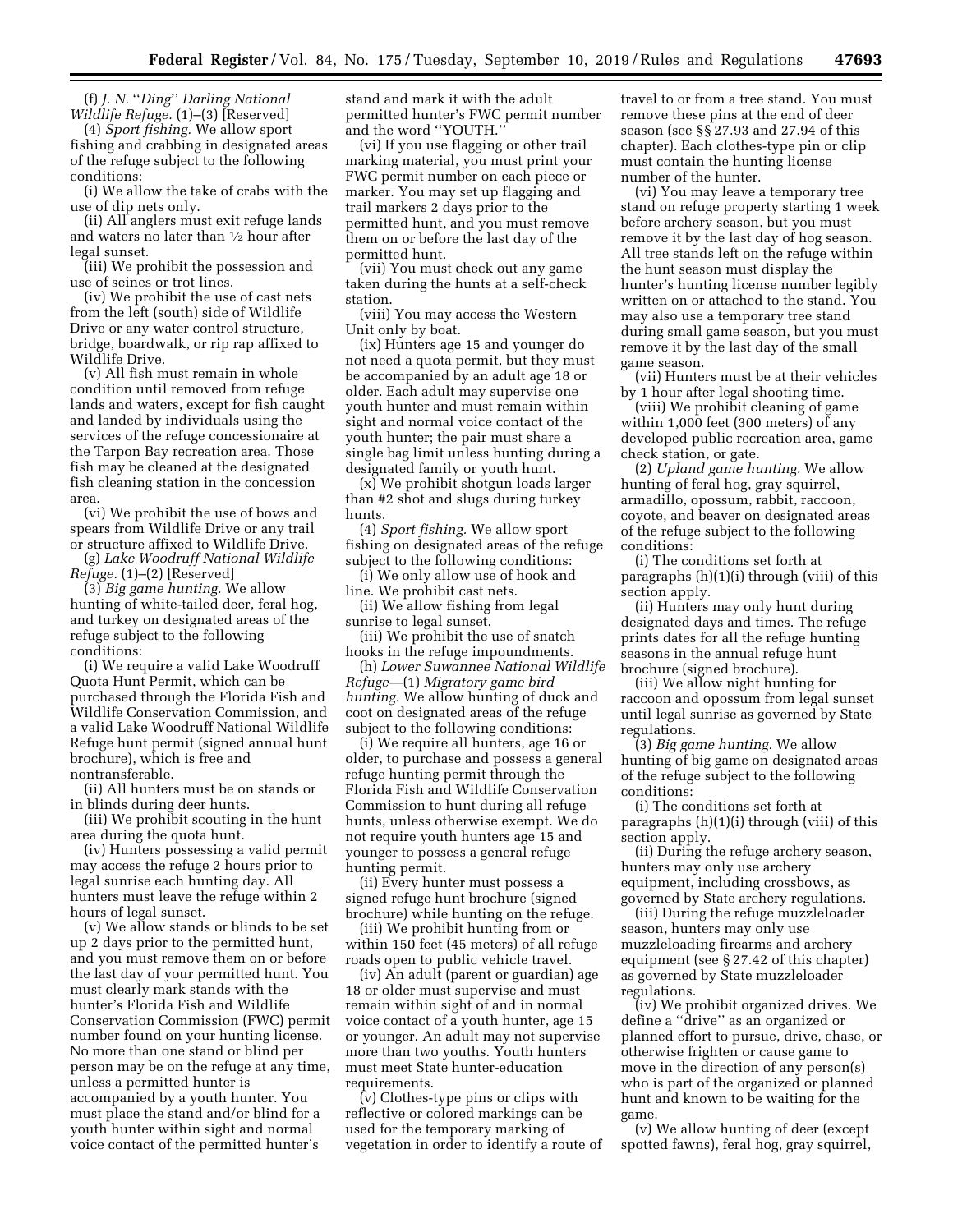(f) *J. N.* ''*Ding*'' *Darling National Wildlife Refuge.* (1)–(3) [Reserved]

(4) *Sport fishing.* We allow sport fishing and crabbing in designated areas of the refuge subject to the following conditions:

(i) We allow the take of crabs with the use of dip nets only.

(ii) All anglers must exit refuge lands and waters no later than 1⁄2 hour after legal sunset.

(iii) We prohibit the possession and use of seines or trot lines.

(iv) We prohibit the use of cast nets from the left (south) side of Wildlife Drive or any water control structure, bridge, boardwalk, or rip rap affixed to Wildlife Drive.

(v) All fish must remain in whole condition until removed from refuge lands and waters, except for fish caught and landed by individuals using the services of the refuge concessionaire at the Tarpon Bay recreation area. Those fish may be cleaned at the designated fish cleaning station in the concession area.

(vi) We prohibit the use of bows and spears from Wildlife Drive or any trail or structure affixed to Wildlife Drive.

(g) *Lake Woodruff National Wildlife Refuge.* (1)–(2) [Reserved]

(3) *Big game hunting.* We allow hunting of white-tailed deer, feral hog, and turkey on designated areas of the refuge subject to the following conditions:

(i) We require a valid Lake Woodruff Quota Hunt Permit, which can be purchased through the Florida Fish and Wildlife Conservation Commission, and a valid Lake Woodruff National Wildlife Refuge hunt permit (signed annual hunt brochure), which is free and nontransferable.

(ii) All hunters must be on stands or in blinds during deer hunts.

(iii) We prohibit scouting in the hunt area during the quota hunt.

(iv) Hunters possessing a valid permit may access the refuge 2 hours prior to legal sunrise each hunting day. All hunters must leave the refuge within 2 hours of legal sunset.

(v) We allow stands or blinds to be set up 2 days prior to the permitted hunt, and you must remove them on or before the last day of your permitted hunt. You must clearly mark stands with the hunter's Florida Fish and Wildlife Conservation Commission (FWC) permit number found on your hunting license. No more than one stand or blind per person may be on the refuge at any time, unless a permitted hunter is accompanied by a youth hunter. You must place the stand and/or blind for a youth hunter within sight and normal voice contact of the permitted hunter's

stand and mark it with the adult permitted hunter's FWC permit number and the word ''YOUTH.''

(vi) If you use flagging or other trail marking material, you must print your FWC permit number on each piece or marker. You may set up flagging and trail markers 2 days prior to the permitted hunt, and you must remove them on or before the last day of the permitted hunt.

(vii) You must check out any game taken during the hunts at a self-check station.

(viii) You may access the Western Unit only by boat.

(ix) Hunters age 15 and younger do not need a quota permit, but they must be accompanied by an adult age 18 or older. Each adult may supervise one youth hunter and must remain within sight and normal voice contact of the youth hunter; the pair must share a single bag limit unless hunting during a designated family or youth hunt.

(x) We prohibit shotgun loads larger than #2 shot and slugs during turkey hunts.

(4) *Sport fishing.* We allow sport fishing on designated areas of the refuge subject to the following conditions:

(i) We only allow use of hook and line. We prohibit cast nets.

(ii) We allow fishing from legal sunrise to legal sunset.

(iii) We prohibit the use of snatch hooks in the refuge impoundments.

(h) *Lower Suwannee National Wildlife Refuge*—(1) *Migratory game bird hunting.* We allow hunting of duck and coot on designated areas of the refuge subject to the following conditions:

(i) We require all hunters, age 16 or older, to purchase and possess a general refuge hunting permit through the Florida Fish and Wildlife Conservation Commission to hunt during all refuge hunts, unless otherwise exempt. We do not require youth hunters age 15 and younger to possess a general refuge hunting permit.

(ii) Every hunter must possess a signed refuge hunt brochure (signed brochure) while hunting on the refuge.

(iii) We prohibit hunting from or within 150 feet (45 meters) of all refuge roads open to public vehicle travel.

(iv) An adult (parent or guardian) age 18 or older must supervise and must remain within sight of and in normal voice contact of a youth hunter, age 15 or younger. An adult may not supervise more than two youths. Youth hunters must meet State hunter-education requirements.

(v) Clothes-type pins or clips with reflective or colored markings can be used for the temporary marking of vegetation in order to identify a route of

travel to or from a tree stand. You must remove these pins at the end of deer season (see §§ 27.93 and 27.94 of this chapter). Each clothes-type pin or clip must contain the hunting license number of the hunter.

(vi) You may leave a temporary tree stand on refuge property starting 1 week before archery season, but you must remove it by the last day of hog season. All tree stands left on the refuge within the hunt season must display the hunter's hunting license number legibly written on or attached to the stand. You may also use a temporary tree stand during small game season, but you must remove it by the last day of the small game season.

(vii) Hunters must be at their vehicles by 1 hour after legal shooting time.

(viii) We prohibit cleaning of game within 1,000 feet (300 meters) of any developed public recreation area, game check station, or gate.

(2) *Upland game hunting.* We allow hunting of feral hog, gray squirrel, armadillo, opossum, rabbit, raccoon, coyote, and beaver on designated areas of the refuge subject to the following conditions:

(i) The conditions set forth at paragraphs (h)(1)(i) through (viii) of this section apply.

(ii) Hunters may only hunt during designated days and times. The refuge prints dates for all the refuge hunting seasons in the annual refuge hunt brochure (signed brochure).

(iii) We allow night hunting for raccoon and opossum from legal sunset until legal sunrise as governed by State regulations.

(3) *Big game hunting.* We allow hunting of big game on designated areas of the refuge subject to the following conditions:

(i) The conditions set forth at paragraphs (h)(1)(i) through (viii) of this section apply.

(ii) During the refuge archery season, hunters may only use archery equipment, including crossbows, as governed by State archery regulations.

(iii) During the refuge muzzleloader season, hunters may only use muzzleloading firearms and archery equipment (see § 27.42 of this chapter) as governed by State muzzleloader regulations.

(iv) We prohibit organized drives. We define a ''drive'' as an organized or planned effort to pursue, drive, chase, or otherwise frighten or cause game to move in the direction of any person(s) who is part of the organized or planned hunt and known to be waiting for the game.

(v) We allow hunting of deer (except spotted fawns), feral hog, gray squirrel,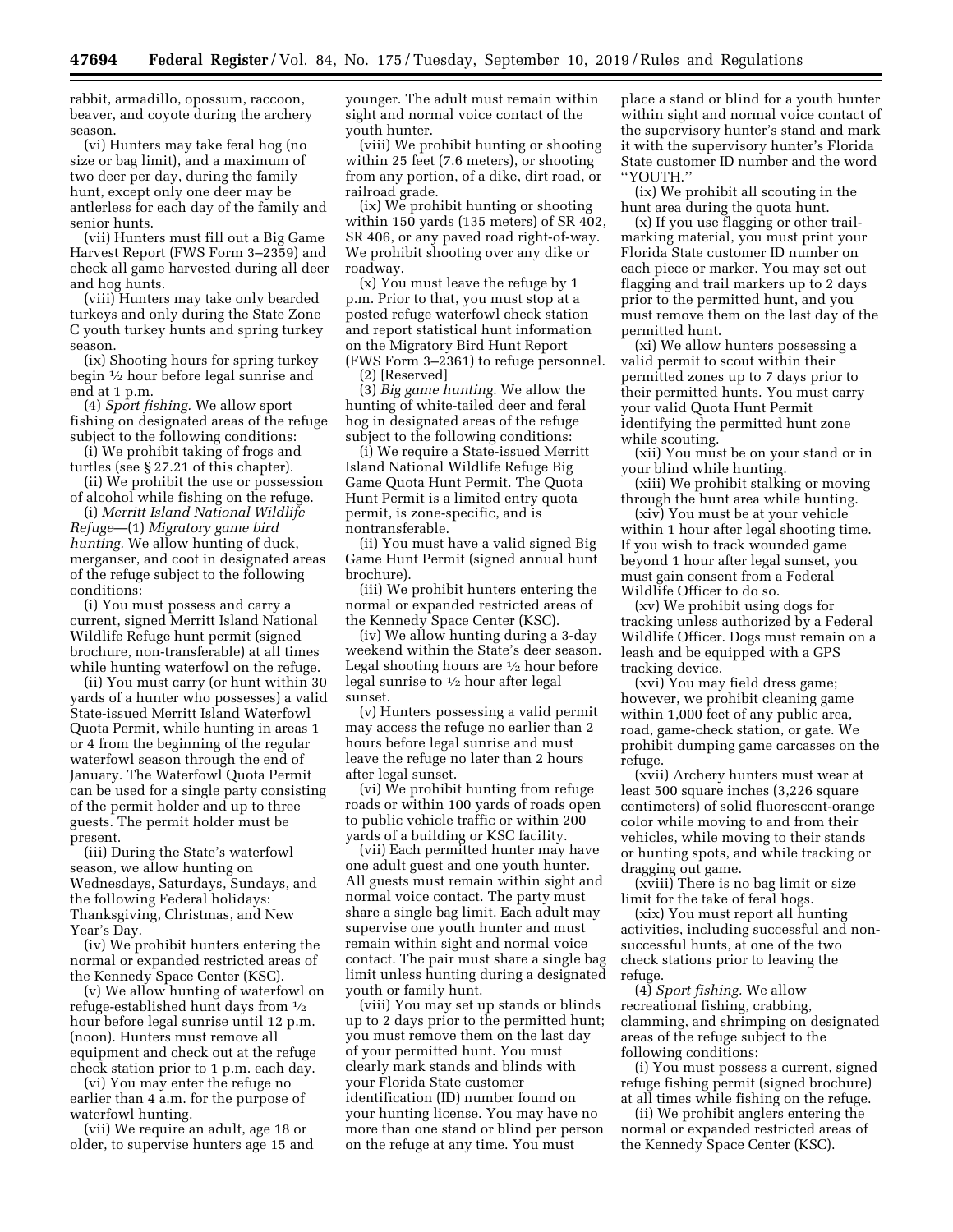rabbit, armadillo, opossum, raccoon, beaver, and coyote during the archery season.

(vi) Hunters may take feral hog (no size or bag limit), and a maximum of two deer per day, during the family hunt, except only one deer may be antlerless for each day of the family and senior hunts.

(vii) Hunters must fill out a Big Game Harvest Report (FWS Form 3–2359) and check all game harvested during all deer and hog hunts.

(viii) Hunters may take only bearded turkeys and only during the State Zone C youth turkey hunts and spring turkey season.

(ix) Shooting hours for spring turkey begin 1⁄2 hour before legal sunrise and end at 1 p.m.

(4) *Sport fishing.* We allow sport fishing on designated areas of the refuge subject to the following conditions:

(i) We prohibit taking of frogs and turtles (see § 27.21 of this chapter).

(ii) We prohibit the use or possession of alcohol while fishing on the refuge.

(i) *Merritt Island National Wildlife Refuge*—(1) *Migratory game bird hunting.* We allow hunting of duck, merganser, and coot in designated areas of the refuge subject to the following conditions:

(i) You must possess and carry a current, signed Merritt Island National Wildlife Refuge hunt permit (signed brochure, non-transferable) at all times while hunting waterfowl on the refuge.

(ii) You must carry (or hunt within 30 yards of a hunter who possesses) a valid State-issued Merritt Island Waterfowl Quota Permit, while hunting in areas 1 or 4 from the beginning of the regular waterfowl season through the end of January. The Waterfowl Quota Permit can be used for a single party consisting of the permit holder and up to three guests. The permit holder must be present.

(iii) During the State's waterfowl season, we allow hunting on Wednesdays, Saturdays, Sundays, and the following Federal holidays: Thanksgiving, Christmas, and New Year's Day.

(iv) We prohibit hunters entering the normal or expanded restricted areas of the Kennedy Space Center (KSC).

(v) We allow hunting of waterfowl on refuge-established hunt days from 1⁄2 hour before legal sunrise until 12 p.m. (noon). Hunters must remove all equipment and check out at the refuge check station prior to 1 p.m. each day.

(vi) You may enter the refuge no earlier than 4 a.m. for the purpose of waterfowl hunting.

(vii) We require an adult, age 18 or older, to supervise hunters age 15 and younger. The adult must remain within sight and normal voice contact of the youth hunter.

(viii) We prohibit hunting or shooting within 25 feet (7.6 meters), or shooting from any portion, of a dike, dirt road, or railroad grade.

(ix) We prohibit hunting or shooting within 150 yards (135 meters) of SR 402, SR 406, or any paved road right-of-way. We prohibit shooting over any dike or roadway.

(x) You must leave the refuge by 1 p.m. Prior to that, you must stop at a posted refuge waterfowl check station and report statistical hunt information on the Migratory Bird Hunt Report (FWS Form 3–2361) to refuge personnel.

(2) [Reserved]

(3) *Big game hunting.* We allow the hunting of white-tailed deer and feral hog in designated areas of the refuge subject to the following conditions:

(i) We require a State-issued Merritt Island National Wildlife Refuge Big Game Quota Hunt Permit. The Quota Hunt Permit is a limited entry quota permit, is zone-specific, and is nontransferable.

(ii) You must have a valid signed Big Game Hunt Permit (signed annual hunt brochure).

(iii) We prohibit hunters entering the normal or expanded restricted areas of the Kennedy Space Center (KSC).

(iv) We allow hunting during a 3-day weekend within the State's deer season. Legal shooting hours are 1⁄2 hour before legal sunrise to 1⁄2 hour after legal sunset.

(v) Hunters possessing a valid permit may access the refuge no earlier than 2 hours before legal sunrise and must leave the refuge no later than 2 hours after legal sunset.

(vi) We prohibit hunting from refuge roads or within 100 yards of roads open to public vehicle traffic or within 200 yards of a building or KSC facility.

(vii) Each permitted hunter may have one adult guest and one youth hunter. All guests must remain within sight and normal voice contact. The party must share a single bag limit. Each adult may supervise one youth hunter and must remain within sight and normal voice contact. The pair must share a single bag limit unless hunting during a designated youth or family hunt.

(viii) You may set up stands or blinds up to 2 days prior to the permitted hunt; you must remove them on the last day of your permitted hunt. You must clearly mark stands and blinds with your Florida State customer identification (ID) number found on your hunting license. You may have no more than one stand or blind per person on the refuge at any time. You must

place a stand or blind for a youth hunter within sight and normal voice contact of the supervisory hunter's stand and mark it with the supervisory hunter's Florida State customer ID number and the word ''YOUTH.''

(ix) We prohibit all scouting in the hunt area during the quota hunt.

(x) If you use flagging or other trailmarking material, you must print your Florida State customer ID number on each piece or marker. You may set out flagging and trail markers up to 2 days prior to the permitted hunt, and you must remove them on the last day of the permitted hunt.

(xi) We allow hunters possessing a valid permit to scout within their permitted zones up to 7 days prior to their permitted hunts. You must carry your valid Quota Hunt Permit identifying the permitted hunt zone while scouting.

(xii) You must be on your stand or in your blind while hunting.

(xiii) We prohibit stalking or moving through the hunt area while hunting.

(xiv) You must be at your vehicle within 1 hour after legal shooting time. If you wish to track wounded game beyond 1 hour after legal sunset, you must gain consent from a Federal Wildlife Officer to do so.

(xv) We prohibit using dogs for tracking unless authorized by a Federal Wildlife Officer. Dogs must remain on a leash and be equipped with a GPS tracking device.

(xvi) You may field dress game; however, we prohibit cleaning game within 1,000 feet of any public area, road, game-check station, or gate. We prohibit dumping game carcasses on the refuge.

(xvii) Archery hunters must wear at least 500 square inches (3,226 square centimeters) of solid fluorescent-orange color while moving to and from their vehicles, while moving to their stands or hunting spots, and while tracking or dragging out game.

(xviii) There is no bag limit or size limit for the take of feral hogs.

(xix) You must report all hunting activities, including successful and nonsuccessful hunts, at one of the two check stations prior to leaving the refuge.

(4) *Sport fishing.* We allow recreational fishing, crabbing, clamming, and shrimping on designated areas of the refuge subject to the following conditions:

(i) You must possess a current, signed refuge fishing permit (signed brochure) at all times while fishing on the refuge.

(ii) We prohibit anglers entering the normal or expanded restricted areas of the Kennedy Space Center (KSC).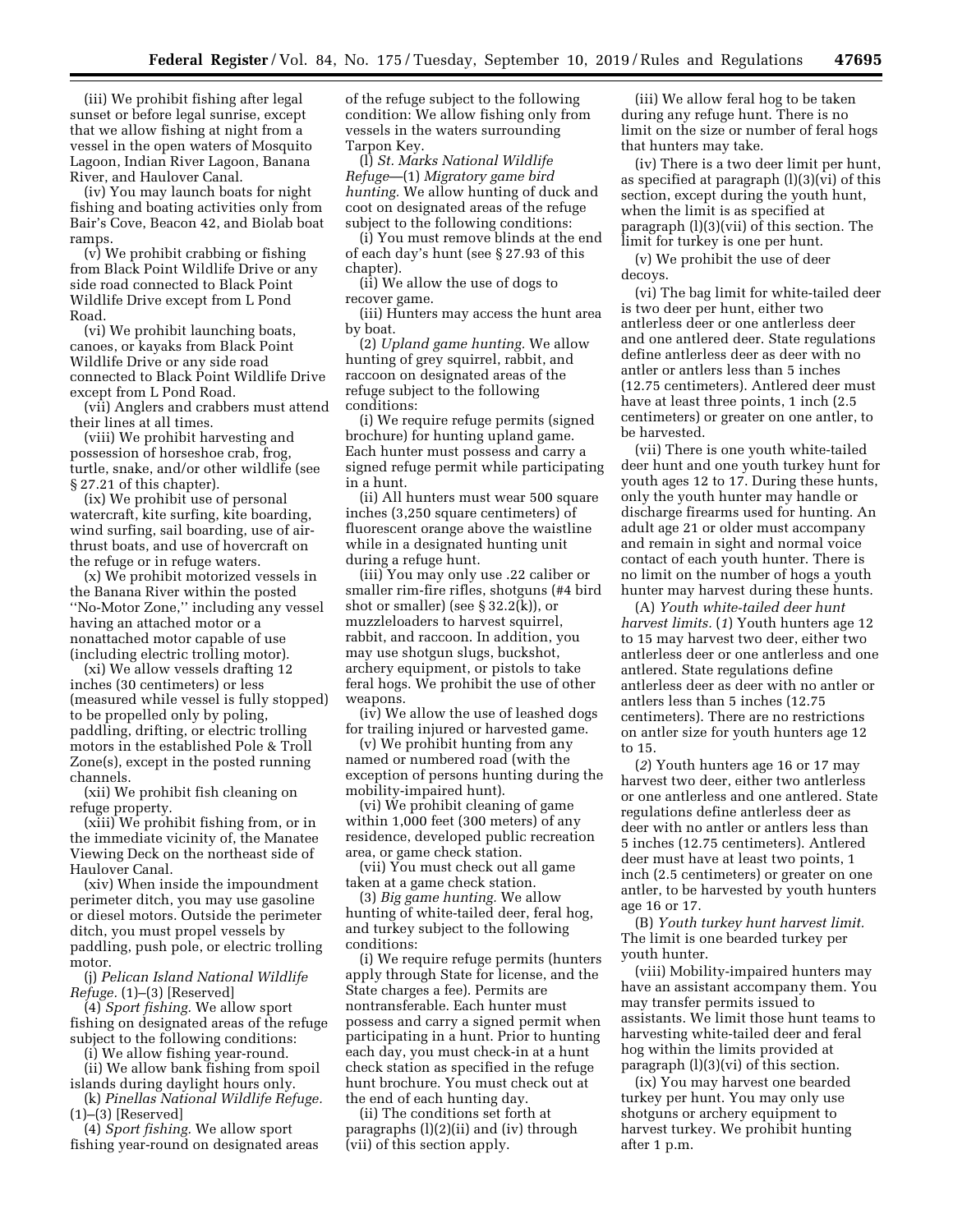(iii) We prohibit fishing after legal sunset or before legal sunrise, except that we allow fishing at night from a vessel in the open waters of Mosquito Lagoon, Indian River Lagoon, Banana River, and Haulover Canal.

(iv) You may launch boats for night fishing and boating activities only from Bair's Cove, Beacon 42, and Biolab boat ramps.

(v) We prohibit crabbing or fishing from Black Point Wildlife Drive or any side road connected to Black Point Wildlife Drive except from L Pond Road.

(vi) We prohibit launching boats, canoes, or kayaks from Black Point Wildlife Drive or any side road connected to Black Point Wildlife Drive except from L Pond Road.

(vii) Anglers and crabbers must attend their lines at all times.

(viii) We prohibit harvesting and possession of horseshoe crab, frog, turtle, snake, and/or other wildlife (see § 27.21 of this chapter).

(ix) We prohibit use of personal watercraft, kite surfing, kite boarding, wind surfing, sail boarding, use of airthrust boats, and use of hovercraft on the refuge or in refuge waters.

(x) We prohibit motorized vessels in the Banana River within the posted ''No-Motor Zone,'' including any vessel having an attached motor or a nonattached motor capable of use (including electric trolling motor).

(xi) We allow vessels drafting 12 inches (30 centimeters) or less (measured while vessel is fully stopped) to be propelled only by poling, paddling, drifting, or electric trolling motors in the established Pole & Troll Zone(s), except in the posted running channels.

(xii) We prohibit fish cleaning on refuge property.

(xiii) We prohibit fishing from, or in the immediate vicinity of, the Manatee Viewing Deck on the northeast side of Haulover Canal.

(xiv) When inside the impoundment perimeter ditch, you may use gasoline or diesel motors. Outside the perimeter ditch, you must propel vessels by paddling, push pole, or electric trolling motor.

(j) *Pelican Island National Wildlife Refuge.* (1)–(3) [Reserved]

(4) *Sport fishing.* We allow sport fishing on designated areas of the refuge subject to the following conditions:

(i) We allow fishing year-round.

(ii) We allow bank fishing from spoil islands during daylight hours only.

(k) *Pinellas National Wildlife Refuge.*  (1)–(3) [Reserved]

(4) *Sport fishing.* We allow sport fishing year-round on designated areas of the refuge subject to the following condition: We allow fishing only from vessels in the waters surrounding Tarpon Key.

(l) *St. Marks National Wildlife Refuge*—(1) *Migratory game bird hunting.* We allow hunting of duck and coot on designated areas of the refuge subject to the following conditions:

(i) You must remove blinds at the end of each day's hunt (see § 27.93 of this chapter).

(ii) We allow the use of dogs to recover game.

(iii) Hunters may access the hunt area by boat.

(2) *Upland game hunting.* We allow hunting of grey squirrel, rabbit, and raccoon on designated areas of the refuge subject to the following conditions:

(i) We require refuge permits (signed brochure) for hunting upland game. Each hunter must possess and carry a signed refuge permit while participating in a hunt.

(ii) All hunters must wear 500 square inches (3,250 square centimeters) of fluorescent orange above the waistline while in a designated hunting unit during a refuge hunt.

(iii) You may only use .22 caliber or smaller rim-fire rifles, shotguns (#4 bird shot or smaller) (see § 32.2(k)), or muzzleloaders to harvest squirrel, rabbit, and raccoon. In addition, you may use shotgun slugs, buckshot, archery equipment, or pistols to take feral hogs. We prohibit the use of other weapons.

(iv) We allow the use of leashed dogs for trailing injured or harvested game.

(v) We prohibit hunting from any named or numbered road (with the exception of persons hunting during the mobility-impaired hunt).

(vi) We prohibit cleaning of game within 1,000 feet (300 meters) of any residence, developed public recreation area, or game check station.

(vii) You must check out all game taken at a game check station.

(3) *Big game hunting.* We allow hunting of white-tailed deer, feral hog, and turkey subject to the following conditions:

(i) We require refuge permits (hunters apply through State for license, and the State charges a fee). Permits are nontransferable. Each hunter must possess and carry a signed permit when participating in a hunt. Prior to hunting each day, you must check-in at a hunt check station as specified in the refuge hunt brochure. You must check out at the end of each hunting day.

(ii) The conditions set forth at paragraphs (l)(2)(ii) and (iv) through (vii) of this section apply.

(iii) We allow feral hog to be taken during any refuge hunt. There is no limit on the size or number of feral hogs that hunters may take.

(iv) There is a two deer limit per hunt, as specified at paragraph (l)(3)(vi) of this section, except during the youth hunt, when the limit is as specified at paragraph (l)(3)(vii) of this section. The limit for turkey is one per hunt.

(v) We prohibit the use of deer decoys.

(vi) The bag limit for white-tailed deer is two deer per hunt, either two antlerless deer or one antlerless deer and one antlered deer. State regulations define antlerless deer as deer with no antler or antlers less than 5 inches (12.75 centimeters). Antlered deer must have at least three points, 1 inch (2.5 centimeters) or greater on one antler, to be harvested.

(vii) There is one youth white-tailed deer hunt and one youth turkey hunt for youth ages 12 to 17. During these hunts, only the youth hunter may handle or discharge firearms used for hunting. An adult age 21 or older must accompany and remain in sight and normal voice contact of each youth hunter. There is no limit on the number of hogs a youth hunter may harvest during these hunts.

(A) *Youth white-tailed deer hunt harvest limits.* (*1*) Youth hunters age 12 to 15 may harvest two deer, either two antlerless deer or one antlerless and one antlered. State regulations define antlerless deer as deer with no antler or antlers less than 5 inches (12.75 centimeters). There are no restrictions on antler size for youth hunters age 12 to 15.

(*2*) Youth hunters age 16 or 17 may harvest two deer, either two antlerless or one antlerless and one antlered. State regulations define antlerless deer as deer with no antler or antlers less than 5 inches (12.75 centimeters). Antlered deer must have at least two points, 1 inch (2.5 centimeters) or greater on one antler, to be harvested by youth hunters age 16 or 17.

(B) *Youth turkey hunt harvest limit.*  The limit is one bearded turkey per youth hunter.

(viii) Mobility-impaired hunters may have an assistant accompany them. You may transfer permits issued to assistants. We limit those hunt teams to harvesting white-tailed deer and feral hog within the limits provided at paragraph (l)(3)(vi) of this section.

(ix) You may harvest one bearded turkey per hunt. You may only use shotguns or archery equipment to harvest turkey. We prohibit hunting after 1 p.m.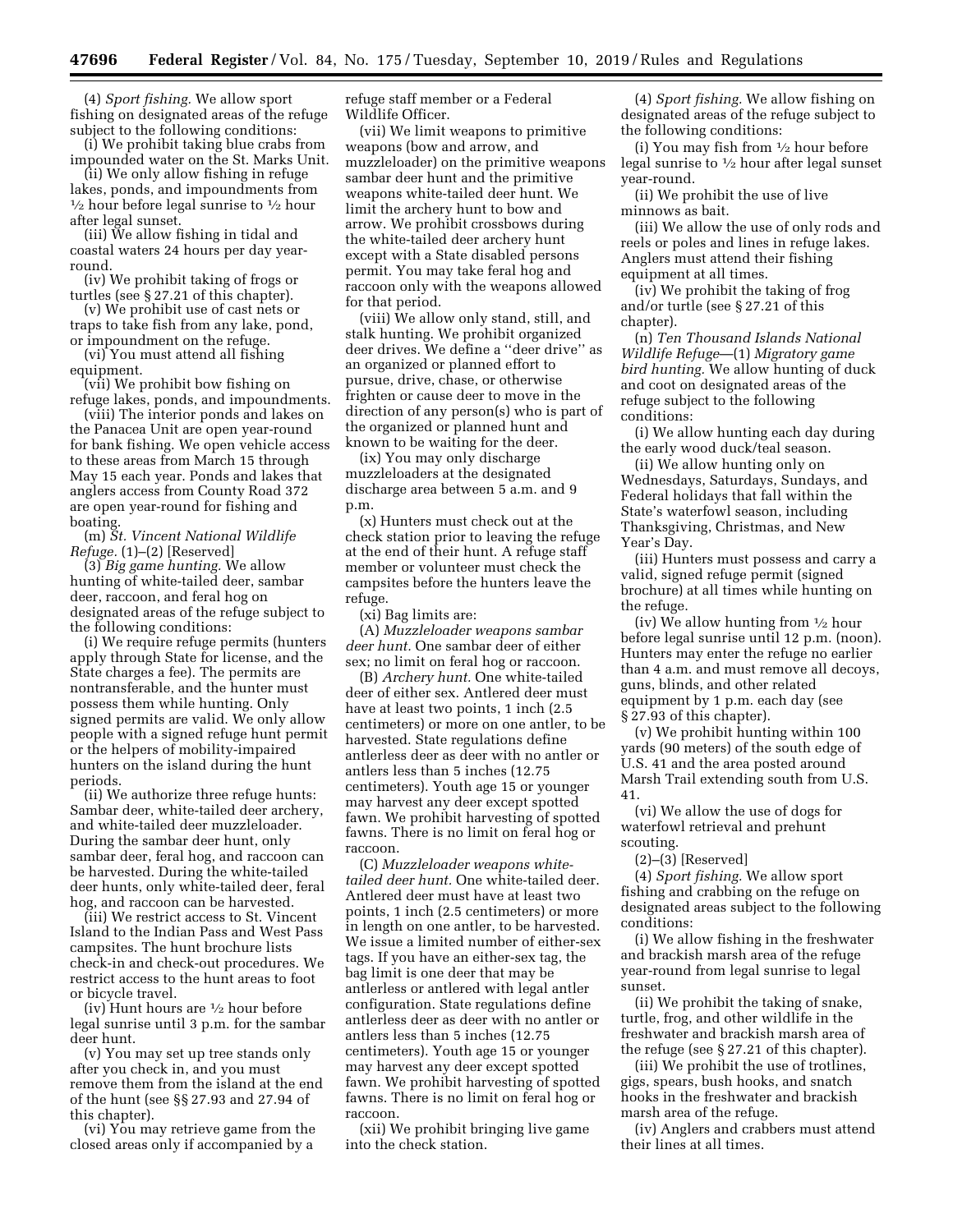(4) *Sport fishing.* We allow sport fishing on designated areas of the refuge subject to the following conditions:

(i) We prohibit taking blue crabs from impounded water on the St. Marks Unit.

(ii) We only allow fishing in refuge lakes, ponds, and impoundments from  $\frac{1}{2}$  hour before legal sunrise to  $\frac{1}{2}$  hour after legal sunset.

(iii) We allow fishing in tidal and coastal waters 24 hours per day yearround.

(iv) We prohibit taking of frogs or turtles (see § 27.21 of this chapter).

(v) We prohibit use of cast nets or traps to take fish from any lake, pond, or impoundment on the refuge.

(vi) You must attend all fishing equipment.

(vii) We prohibit bow fishing on refuge lakes, ponds, and impoundments.

(viii) The interior ponds and lakes on the Panacea Unit are open year-round for bank fishing. We open vehicle access to these areas from March 15 through May 15 each year. Ponds and lakes that anglers access from County Road 372 are open year-round for fishing and boating.

(m) *St. Vincent National Wildlife Refuge.* (1)–(2) [Reserved]

(3) *Big game hunting.* We allow hunting of white-tailed deer, sambar deer, raccoon, and feral hog on designated areas of the refuge subject to the following conditions:

(i) We require refuge permits (hunters apply through State for license, and the State charges a fee). The permits are nontransferable, and the hunter must possess them while hunting. Only signed permits are valid. We only allow people with a signed refuge hunt permit or the helpers of mobility-impaired hunters on the island during the hunt periods.

(ii) We authorize three refuge hunts: Sambar deer, white-tailed deer archery, and white-tailed deer muzzleloader. During the sambar deer hunt, only sambar deer, feral hog, and raccoon can be harvested. During the white-tailed deer hunts, only white-tailed deer, feral hog, and raccoon can be harvested.

(iii) We restrict access to St. Vincent Island to the Indian Pass and West Pass campsites. The hunt brochure lists check-in and check-out procedures. We restrict access to the hunt areas to foot or bicycle travel.

(iv) Hunt hours are 1⁄2 hour before legal sunrise until 3 p.m. for the sambar deer hunt.

(v) You may set up tree stands only after you check in, and you must remove them from the island at the end of the hunt (see §§ 27.93 and 27.94 of this chapter).

(vi) You may retrieve game from the closed areas only if accompanied by a

refuge staff member or a Federal Wildlife Officer.

(vii) We limit weapons to primitive weapons (bow and arrow, and muzzleloader) on the primitive weapons sambar deer hunt and the primitive weapons white-tailed deer hunt. We limit the archery hunt to bow and arrow. We prohibit crossbows during the white-tailed deer archery hunt except with a State disabled persons permit. You may take feral hog and raccoon only with the weapons allowed for that period.

(viii) We allow only stand, still, and stalk hunting. We prohibit organized deer drives. We define a ''deer drive'' as an organized or planned effort to pursue, drive, chase, or otherwise frighten or cause deer to move in the direction of any person(s) who is part of the organized or planned hunt and known to be waiting for the deer.

(ix) You may only discharge muzzleloaders at the designated discharge area between 5 a.m. and 9 p.m.

(x) Hunters must check out at the check station prior to leaving the refuge at the end of their hunt. A refuge staff member or volunteer must check the campsites before the hunters leave the refuge.

(xi) Bag limits are:

(A) *Muzzleloader weapons sambar deer hunt.* One sambar deer of either sex; no limit on feral hog or raccoon.

(B) *Archery hunt.* One white-tailed deer of either sex. Antlered deer must have at least two points, 1 inch (2.5 centimeters) or more on one antler, to be harvested. State regulations define antlerless deer as deer with no antler or antlers less than 5 inches (12.75 centimeters). Youth age 15 or younger may harvest any deer except spotted fawn. We prohibit harvesting of spotted fawns. There is no limit on feral hog or raccoon.

(C) *Muzzleloader weapons whitetailed deer hunt.* One white-tailed deer. Antlered deer must have at least two points, 1 inch (2.5 centimeters) or more in length on one antler, to be harvested. We issue a limited number of either-sex tags. If you have an either-sex tag, the bag limit is one deer that may be antlerless or antlered with legal antler configuration. State regulations define antlerless deer as deer with no antler or antlers less than 5 inches (12.75 centimeters). Youth age 15 or younger may harvest any deer except spotted fawn. We prohibit harvesting of spotted fawns. There is no limit on feral hog or raccoon.

(xii) We prohibit bringing live game into the check station.

(4) *Sport fishing.* We allow fishing on designated areas of the refuge subject to the following conditions:

(i) You may fish from  $\frac{1}{2}$  hour before legal sunrise to 1⁄2 hour after legal sunset year-round.

(ii) We prohibit the use of live minnows as bait.

(iii) We allow the use of only rods and reels or poles and lines in refuge lakes. Anglers must attend their fishing equipment at all times.

(iv) We prohibit the taking of frog and/or turtle (see § 27.21 of this chapter).

(n) *Ten Thousand Islands National Wildlife Refuge*—(1) *Migratory game bird hunting.* We allow hunting of duck and coot on designated areas of the refuge subject to the following conditions:

(i) We allow hunting each day during the early wood duck/teal season.

(ii) We allow hunting only on Wednesdays, Saturdays, Sundays, and Federal holidays that fall within the State's waterfowl season, including Thanksgiving, Christmas, and New Year's Day.

(iii) Hunters must possess and carry a valid, signed refuge permit (signed brochure) at all times while hunting on the refuge.

(iv) We allow hunting from 1⁄2 hour before legal sunrise until 12 p.m. (noon). Hunters may enter the refuge no earlier than 4 a.m. and must remove all decoys, guns, blinds, and other related equipment by 1 p.m. each day (see § 27.93 of this chapter).

(v) We prohibit hunting within 100 yards (90 meters) of the south edge of U.S. 41 and the area posted around Marsh Trail extending south from U.S. 41.

(vi) We allow the use of dogs for waterfowl retrieval and prehunt scouting.

(2)–(3) [Reserved]

(4) *Sport fishing.* We allow sport fishing and crabbing on the refuge on designated areas subject to the following conditions:

(i) We allow fishing in the freshwater and brackish marsh area of the refuge year-round from legal sunrise to legal sunset.

(ii) We prohibit the taking of snake, turtle, frog, and other wildlife in the freshwater and brackish marsh area of the refuge (see § 27.21 of this chapter).

(iii) We prohibit the use of trotlines, gigs, spears, bush hooks, and snatch hooks in the freshwater and brackish marsh area of the refuge.

(iv) Anglers and crabbers must attend their lines at all times.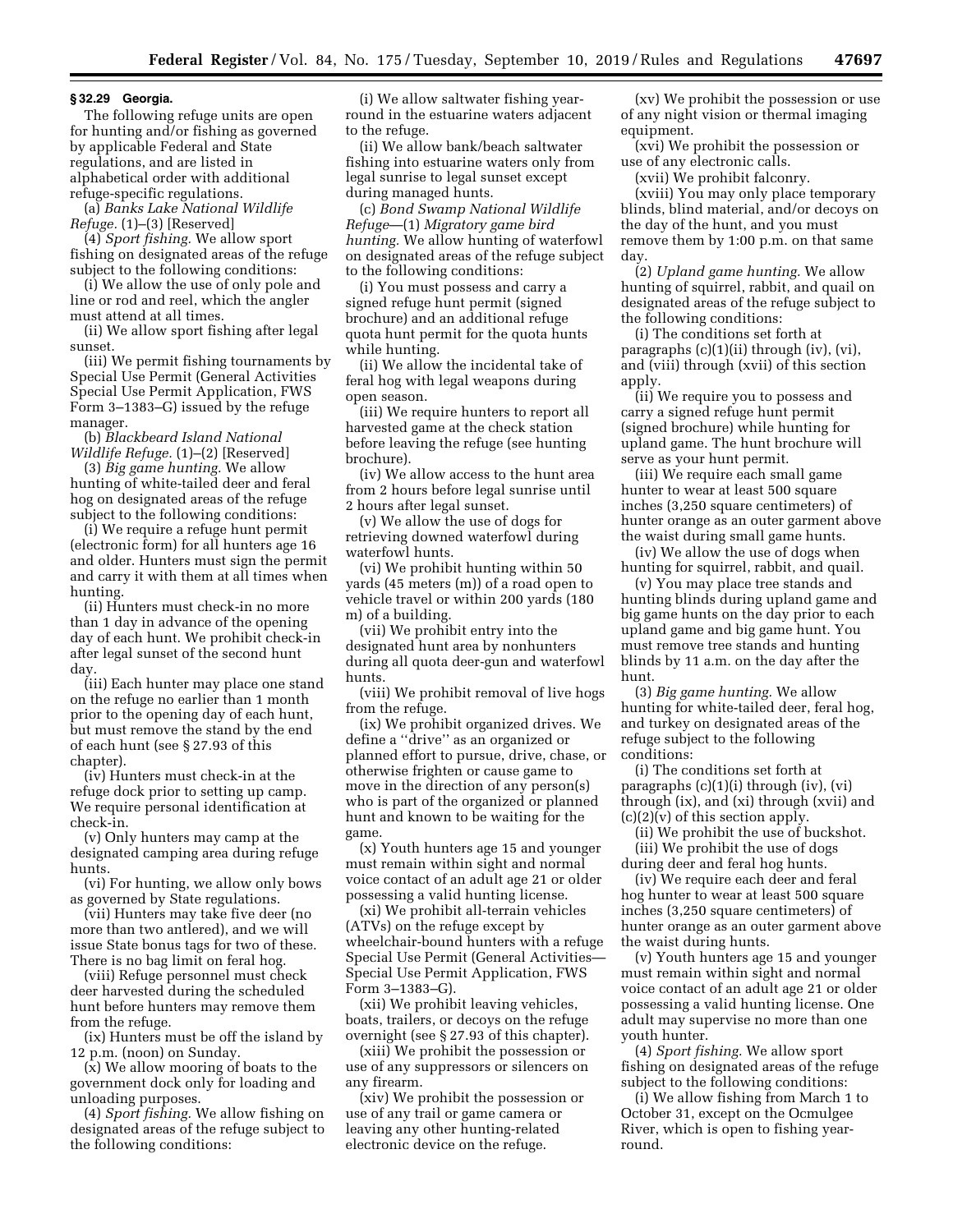## **§ 32.29 Georgia.**

The following refuge units are open for hunting and/or fishing as governed by applicable Federal and State regulations, and are listed in alphabetical order with additional refuge-specific regulations.

(a) *Banks Lake National Wildlife Refuge.* (1)–(3) [Reserved]

(4) *Sport fishing.* We allow sport fishing on designated areas of the refuge subject to the following conditions:

(i) We allow the use of only pole and line or rod and reel, which the angler must attend at all times.

(ii) We allow sport fishing after legal sunset.

(iii) We permit fishing tournaments by Special Use Permit (General Activities Special Use Permit Application, FWS Form 3–1383–G) issued by the refuge manager.

(b) *Blackbeard Island National Wildlife Refuge.* (1)–(2) [Reserved]

(3) *Big game hunting.* We allow hunting of white-tailed deer and feral hog on designated areas of the refuge subject to the following conditions:

(i) We require a refuge hunt permit (electronic form) for all hunters age 16 and older. Hunters must sign the permit and carry it with them at all times when hunting.

(ii) Hunters must check-in no more than 1 day in advance of the opening day of each hunt. We prohibit check-in after legal sunset of the second hunt day.

(iii) Each hunter may place one stand on the refuge no earlier than 1 month prior to the opening day of each hunt, but must remove the stand by the end of each hunt (see § 27.93 of this chapter).

(iv) Hunters must check-in at the refuge dock prior to setting up camp. We require personal identification at check-in.

(v) Only hunters may camp at the designated camping area during refuge hunts.

(vi) For hunting, we allow only bows as governed by State regulations.

(vii) Hunters may take five deer (no more than two antlered), and we will issue State bonus tags for two of these. There is no bag limit on feral hog.

(viii) Refuge personnel must check deer harvested during the scheduled hunt before hunters may remove them from the refuge.

(ix) Hunters must be off the island by 12 p.m. (noon) on Sunday.

(x) We allow mooring of boats to the government dock only for loading and unloading purposes.

(4) *Sport fishing.* We allow fishing on designated areas of the refuge subject to the following conditions:

(i) We allow saltwater fishing yearround in the estuarine waters adjacent to the refuge.

(ii) We allow bank/beach saltwater fishing into estuarine waters only from legal sunrise to legal sunset except during managed hunts.

(c) *Bond Swamp National Wildlife Refuge*—(1) *Migratory game bird hunting.* We allow hunting of waterfowl on designated areas of the refuge subject to the following conditions:

(i) You must possess and carry a signed refuge hunt permit (signed brochure) and an additional refuge quota hunt permit for the quota hunts while hunting.

(ii) We allow the incidental take of feral hog with legal weapons during open season.

(iii) We require hunters to report all harvested game at the check station before leaving the refuge (see hunting brochure).

(iv) We allow access to the hunt area from 2 hours before legal sunrise until 2 hours after legal sunset.

(v) We allow the use of dogs for retrieving downed waterfowl during waterfowl hunts.

(vi) We prohibit hunting within 50 yards (45 meters (m)) of a road open to vehicle travel or within 200 yards (180 m) of a building.

(vii) We prohibit entry into the designated hunt area by nonhunters during all quota deer-gun and waterfowl hunts.

(viii) We prohibit removal of live hogs from the refuge.

(ix) We prohibit organized drives. We define a ''drive'' as an organized or planned effort to pursue, drive, chase, or otherwise frighten or cause game to move in the direction of any person(s) who is part of the organized or planned hunt and known to be waiting for the game.

(x) Youth hunters age 15 and younger must remain within sight and normal voice contact of an adult age 21 or older possessing a valid hunting license.

(xi) We prohibit all-terrain vehicles (ATVs) on the refuge except by wheelchair-bound hunters with a refuge Special Use Permit (General Activities— Special Use Permit Application, FWS Form 3–1383–G).

(xii) We prohibit leaving vehicles, boats, trailers, or decoys on the refuge overnight (see § 27.93 of this chapter).

(xiii) We prohibit the possession or use of any suppressors or silencers on any firearm.

(xiv) We prohibit the possession or use of any trail or game camera or leaving any other hunting-related electronic device on the refuge.

(xv) We prohibit the possession or use of any night vision or thermal imaging equipment.

(xvi) We prohibit the possession or use of any electronic calls.

(xvii) We prohibit falconry.

(xviii) You may only place temporary blinds, blind material, and/or decoys on the day of the hunt, and you must remove them by 1:00 p.m. on that same day.

(2) *Upland game hunting.* We allow hunting of squirrel, rabbit, and quail on designated areas of the refuge subject to the following conditions:

(i) The conditions set forth at paragraphs (c)(1)(ii) through (iv), (vi), and (viii) through (xvii) of this section apply.

(ii) We require you to possess and carry a signed refuge hunt permit (signed brochure) while hunting for upland game. The hunt brochure will serve as your hunt permit.

(iii) We require each small game hunter to wear at least 500 square inches (3,250 square centimeters) of hunter orange as an outer garment above the waist during small game hunts.

(iv) We allow the use of dogs when hunting for squirrel, rabbit, and quail.

(v) You may place tree stands and hunting blinds during upland game and big game hunts on the day prior to each upland game and big game hunt. You must remove tree stands and hunting blinds by 11 a.m. on the day after the hunt.

(3) *Big game hunting.* We allow hunting for white-tailed deer, feral hog, and turkey on designated areas of the refuge subject to the following conditions:

(i) The conditions set forth at paragraphs (c)(1)(i) through (iv), (vi) through (ix), and (xi) through (xvii) and  $(c)(2)(v)$  of this section apply.

(ii) We prohibit the use of buckshot. (iii) We prohibit the use of dogs

during deer and feral hog hunts. (iv) We require each deer and feral hog hunter to wear at least 500 square inches (3,250 square centimeters) of hunter orange as an outer garment above the waist during hunts.

(v) Youth hunters age 15 and younger must remain within sight and normal voice contact of an adult age 21 or older possessing a valid hunting license. One adult may supervise no more than one youth hunter.

(4) *Sport fishing.* We allow sport fishing on designated areas of the refuge subject to the following conditions:

(i) We allow fishing from March 1 to October 31, except on the Ocmulgee River, which is open to fishing yearround.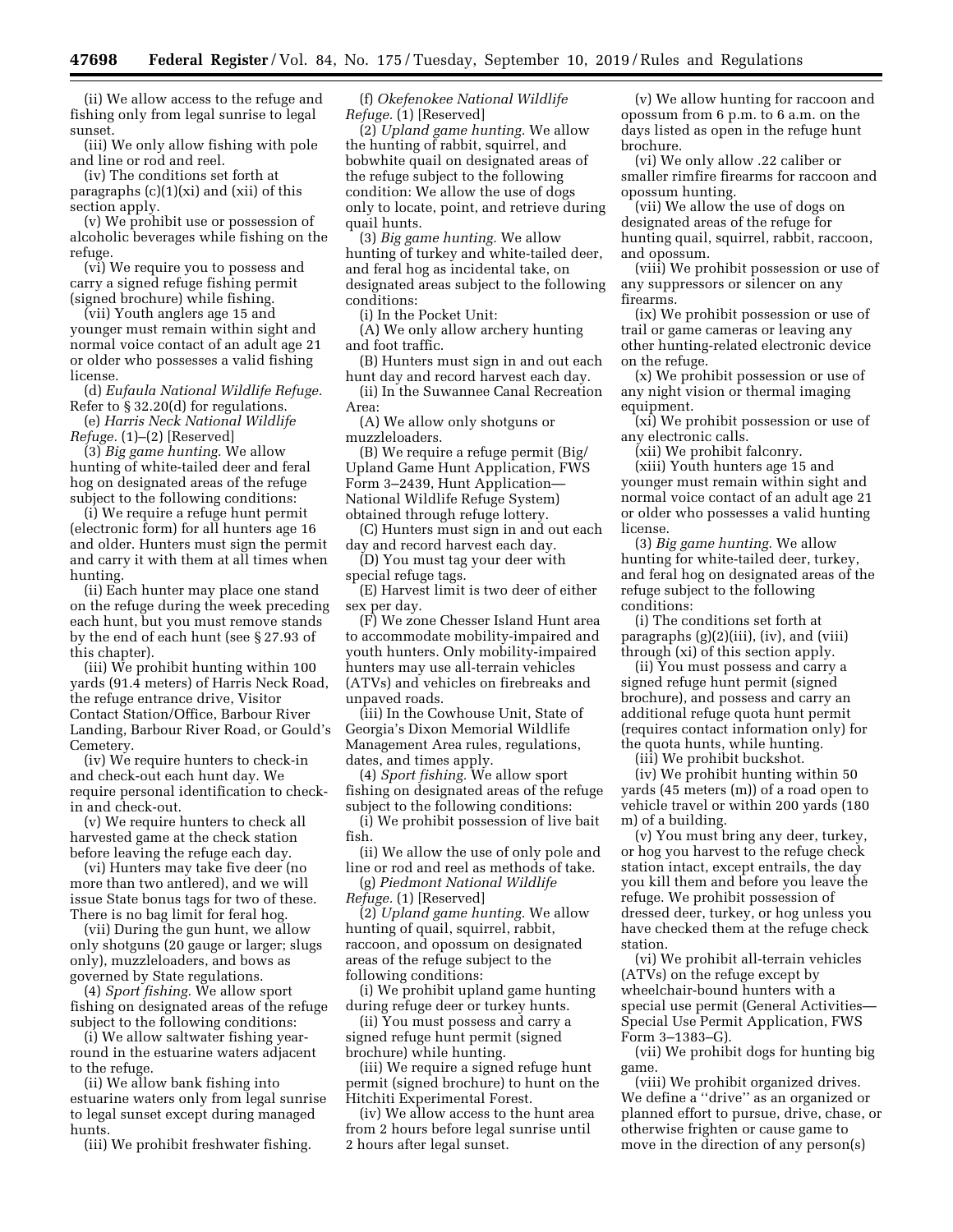(ii) We allow access to the refuge and fishing only from legal sunrise to legal sunset.

(iii) We only allow fishing with pole and line or rod and reel.

(iv) The conditions set forth at paragraphs (c)(1)(xi) and (xii) of this section apply.

(v) We prohibit use or possession of alcoholic beverages while fishing on the refuge.

(vi) We require you to possess and carry a signed refuge fishing permit (signed brochure) while fishing.

(vii) Youth anglers age 15 and younger must remain within sight and normal voice contact of an adult age 21 or older who possesses a valid fishing license.

(d) *Eufaula National Wildlife Refuge.*  Refer to § 32.20(d) for regulations.

(e) *Harris Neck National Wildlife Refuge.* (1)–(2) [Reserved]

(3) *Big game hunting.* We allow hunting of white-tailed deer and feral hog on designated areas of the refuge subject to the following conditions:

(i) We require a refuge hunt permit (electronic form) for all hunters age 16 and older. Hunters must sign the permit and carry it with them at all times when hunting.

(ii) Each hunter may place one stand on the refuge during the week preceding each hunt, but you must remove stands by the end of each hunt (see § 27.93 of this chapter).

(iii) We prohibit hunting within 100 yards (91.4 meters) of Harris Neck Road, the refuge entrance drive, Visitor Contact Station/Office, Barbour River Landing, Barbour River Road, or Gould's Cemetery.

(iv) We require hunters to check-in and check-out each hunt day. We require personal identification to checkin and check-out.

(v) We require hunters to check all harvested game at the check station before leaving the refuge each day.

(vi) Hunters may take five deer (no more than two antlered), and we will issue State bonus tags for two of these. There is no bag limit for feral hog.

(vii) During the gun hunt, we allow only shotguns (20 gauge or larger; slugs only), muzzleloaders, and bows as governed by State regulations.

(4) *Sport fishing.* We allow sport fishing on designated areas of the refuge subject to the following conditions:

(i) We allow saltwater fishing yearround in the estuarine waters adjacent to the refuge.

(ii) We allow bank fishing into estuarine waters only from legal sunrise to legal sunset except during managed hunts.

(iii) We prohibit freshwater fishing.

(f) *Okefenokee National Wildlife Refuge.* (1) [Reserved]

(2) *Upland game hunting.* We allow the hunting of rabbit, squirrel, and bobwhite quail on designated areas of the refuge subject to the following condition: We allow the use of dogs only to locate, point, and retrieve during quail hunts.

(3) *Big game hunting.* We allow hunting of turkey and white-tailed deer, and feral hog as incidental take, on designated areas subject to the following conditions:

(i) In the Pocket Unit:

(A) We only allow archery hunting and foot traffic.

(B) Hunters must sign in and out each hunt day and record harvest each day.

(ii) In the Suwannee Canal Recreation Area:

(A) We allow only shotguns or muzzleloaders.

(B) We require a refuge permit (Big/ Upland Game Hunt Application, FWS Form 3–2439, Hunt Application— National Wildlife Refuge System) obtained through refuge lottery.

(C) Hunters must sign in and out each day and record harvest each day.

(D) You must tag your deer with special refuge tags.

(E) Harvest limit is two deer of either sex per day.

(F) We zone Chesser Island Hunt area to accommodate mobility-impaired and youth hunters. Only mobility-impaired hunters may use all-terrain vehicles (ATVs) and vehicles on firebreaks and unpaved roads.

(iii) In the Cowhouse Unit, State of Georgia's Dixon Memorial Wildlife Management Area rules, regulations, dates, and times apply.

(4) *Sport fishing.* We allow sport fishing on designated areas of the refuge subject to the following conditions:

(i) We prohibit possession of live bait fish.

(ii) We allow the use of only pole and line or rod and reel as methods of take.

(g) *Piedmont National Wildlife Refuge.* (1) [Reserved]

(2) *Upland game hunting.* We allow hunting of quail, squirrel, rabbit, raccoon, and opossum on designated areas of the refuge subject to the following conditions:

(i) We prohibit upland game hunting during refuge deer or turkey hunts.

(ii) You must possess and carry a signed refuge hunt permit (signed brochure) while hunting.

(iii) We require a signed refuge hunt permit (signed brochure) to hunt on the Hitchiti Experimental Forest.

(iv) We allow access to the hunt area from 2 hours before legal sunrise until 2 hours after legal sunset.

(v) We allow hunting for raccoon and opossum from 6 p.m. to 6 a.m. on the days listed as open in the refuge hunt brochure.

(vi) We only allow .22 caliber or smaller rimfire firearms for raccoon and opossum hunting.

(vii) We allow the use of dogs on designated areas of the refuge for hunting quail, squirrel, rabbit, raccoon, and opossum.

(viii) We prohibit possession or use of any suppressors or silencer on any firearms.

(ix) We prohibit possession or use of trail or game cameras or leaving any other hunting-related electronic device on the refuge.

(x) We prohibit possession or use of any night vision or thermal imaging equipment.

(xi) We prohibit possession or use of any electronic calls.

(xii) We prohibit falconry.

(xiii) Youth hunters age 15 and younger must remain within sight and normal voice contact of an adult age 21 or older who possesses a valid hunting license.

(3) *Big game hunting.* We allow hunting for white-tailed deer, turkey, and feral hog on designated areas of the refuge subject to the following conditions:

(i) The conditions set forth at paragraphs  $(g)(2)(iii)$ ,  $(iv)$ , and  $(viii)$ through (xi) of this section apply.

(ii) You must possess and carry a signed refuge hunt permit (signed brochure), and possess and carry an additional refuge quota hunt permit (requires contact information only) for the quota hunts, while hunting.

(iii) We prohibit buckshot.

(iv) We prohibit hunting within 50 yards (45 meters (m)) of a road open to vehicle travel or within 200 yards (180 m) of a building.

(v) You must bring any deer, turkey, or hog you harvest to the refuge check station intact, except entrails, the day you kill them and before you leave the refuge. We prohibit possession of dressed deer, turkey, or hog unless you have checked them at the refuge check station.

(vi) We prohibit all-terrain vehicles (ATVs) on the refuge except by wheelchair-bound hunters with a special use permit (General Activities— Special Use Permit Application, FWS Form 3–1383–G).

(vii) We prohibit dogs for hunting big game.

(viii) We prohibit organized drives. We define a ''drive'' as an organized or planned effort to pursue, drive, chase, or otherwise frighten or cause game to move in the direction of any person(s)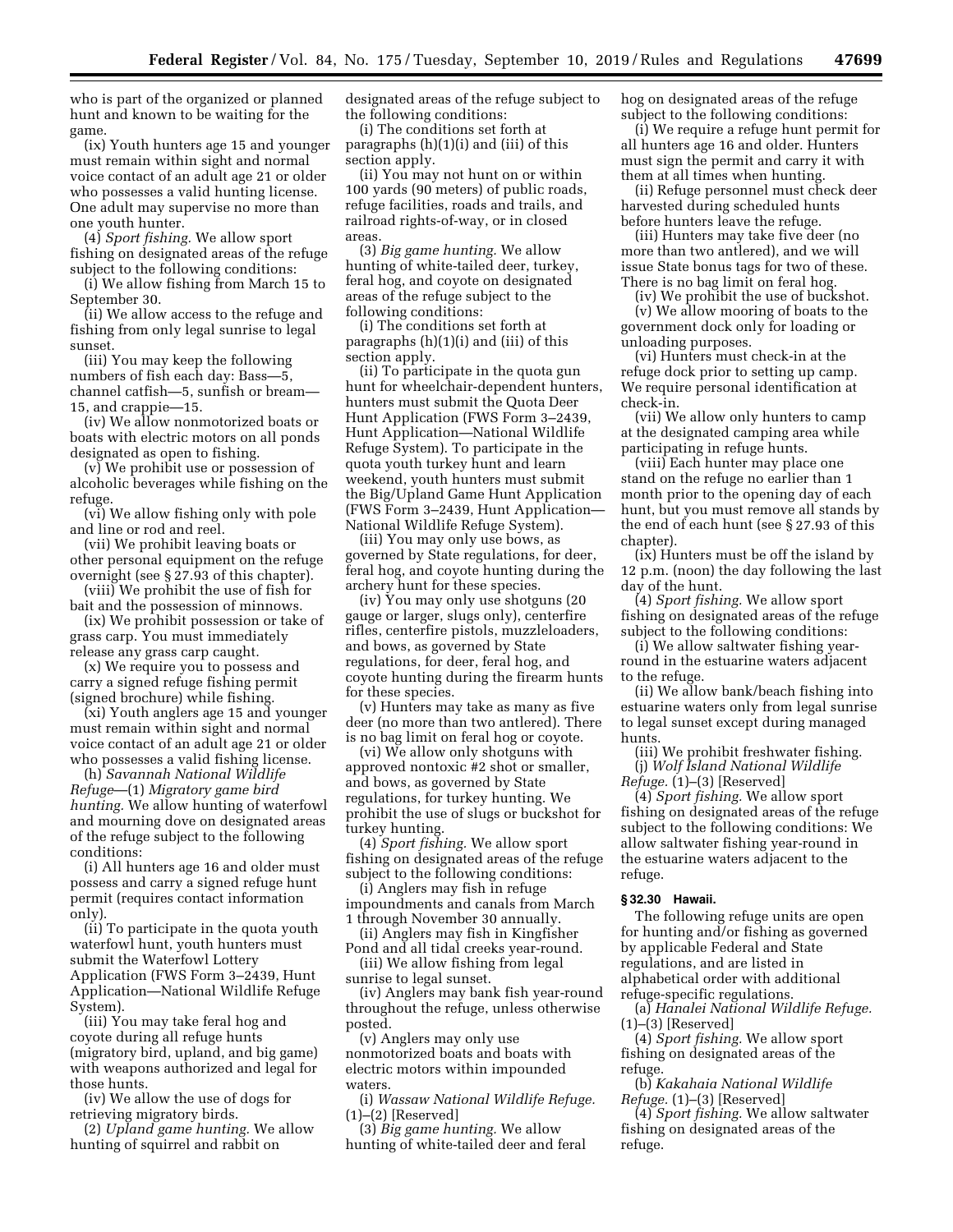who is part of the organized or planned hunt and known to be waiting for the game.

(ix) Youth hunters age 15 and younger must remain within sight and normal voice contact of an adult age 21 or older who possesses a valid hunting license. One adult may supervise no more than one youth hunter.

(4) *Sport fishing.* We allow sport fishing on designated areas of the refuge subject to the following conditions:

(i) We allow fishing from March 15 to September 30.

(ii) We allow access to the refuge and fishing from only legal sunrise to legal sunset.

(iii) You may keep the following numbers of fish each day: Bass—5, channel catfish—5, sunfish or bream— 15, and crappie—15.

(iv) We allow nonmotorized boats or boats with electric motors on all ponds designated as open to fishing.

(v) We prohibit use or possession of alcoholic beverages while fishing on the refuge.

(vi) We allow fishing only with pole and line or rod and reel.

(vii) We prohibit leaving boats or other personal equipment on the refuge overnight (see § 27.93 of this chapter).

(viii) We prohibit the use of fish for bait and the possession of minnows.

(ix) We prohibit possession or take of grass carp. You must immediately release any grass carp caught.

(x) We require you to possess and carry a signed refuge fishing permit (signed brochure) while fishing.

(xi) Youth anglers age 15 and younger must remain within sight and normal voice contact of an adult age 21 or older who possesses a valid fishing license.

(h) *Savannah National Wildlife Refuge*—(1) *Migratory game bird hunting.* We allow hunting of waterfowl and mourning dove on designated areas of the refuge subject to the following conditions:

(i) All hunters age 16 and older must possess and carry a signed refuge hunt permit (requires contact information only).

(ii) To participate in the quota youth waterfowl hunt, youth hunters must submit the Waterfowl Lottery Application (FWS Form 3–2439, Hunt Application—National Wildlife Refuge System).

(iii) You may take feral hog and coyote during all refuge hunts (migratory bird, upland, and big game) with weapons authorized and legal for those hunts.

(iv) We allow the use of dogs for retrieving migratory birds.

(2) *Upland game hunting.* We allow hunting of squirrel and rabbit on

designated areas of the refuge subject to the following conditions:

(i) The conditions set forth at paragraphs (h)(1)(i) and (iii) of this section apply.

(ii) You may not hunt on or within 100 yards (90 meters) of public roads, refuge facilities, roads and trails, and railroad rights-of-way, or in closed areas.

(3) *Big game hunting.* We allow hunting of white-tailed deer, turkey, feral hog, and coyote on designated areas of the refuge subject to the following conditions:

(i) The conditions set forth at paragraphs (h)(1)(i) and (iii) of this section apply.

(ii) To participate in the quota gun hunt for wheelchair-dependent hunters, hunters must submit the Quota Deer Hunt Application (FWS Form 3–2439, Hunt Application—National Wildlife Refuge System). To participate in the quota youth turkey hunt and learn weekend, youth hunters must submit the Big/Upland Game Hunt Application (FWS Form 3–2439, Hunt Application— National Wildlife Refuge System).

(iii) You may only use bows, as governed by State regulations, for deer, feral hog, and coyote hunting during the archery hunt for these species.

(iv) You may only use shotguns (20 gauge or larger, slugs only), centerfire rifles, centerfire pistols, muzzleloaders, and bows, as governed by State regulations, for deer, feral hog, and coyote hunting during the firearm hunts for these species.

(v) Hunters may take as many as five deer (no more than two antlered). There is no bag limit on feral hog or coyote.

(vi) We allow only shotguns with approved nontoxic #2 shot or smaller, and bows, as governed by State regulations, for turkey hunting. We prohibit the use of slugs or buckshot for turkey hunting.

(4) *Sport fishing.* We allow sport fishing on designated areas of the refuge subject to the following conditions:

(i) Anglers may fish in refuge impoundments and canals from March

1 through November 30 annually. (ii) Anglers may fish in Kingfisher

Pond and all tidal creeks year-round. (iii) We allow fishing from legal

sunrise to legal sunset.

(iv) Anglers may bank fish year-round throughout the refuge, unless otherwise posted.

(v) Anglers may only use nonmotorized boats and boats with electric motors within impounded waters.

(i) *Wassaw National Wildlife Refuge.*   $(1)$ – $(2)$  [Reserved]

(3) *Big game hunting.* We allow hunting of white-tailed deer and feral hog on designated areas of the refuge subject to the following conditions:

(i) We require a refuge hunt permit for all hunters age 16 and older. Hunters must sign the permit and carry it with them at all times when hunting.

(ii) Refuge personnel must check deer harvested during scheduled hunts before hunters leave the refuge.

(iii) Hunters may take five deer (no more than two antlered), and we will issue State bonus tags for two of these. There is no bag limit on feral hog.

(iv) We prohibit the use of buckshot. (v) We allow mooring of boats to the

government dock only for loading or unloading purposes.

(vi) Hunters must check-in at the refuge dock prior to setting up camp. We require personal identification at check-in.

(vii) We allow only hunters to camp at the designated camping area while participating in refuge hunts.

(viii) Each hunter may place one stand on the refuge no earlier than 1 month prior to the opening day of each hunt, but you must remove all stands by the end of each hunt (see § 27.93 of this chapter).

(ix) Hunters must be off the island by 12 p.m. (noon) the day following the last day of the hunt.

(4) *Sport fishing.* We allow sport fishing on designated areas of the refuge subject to the following conditions:

(i) We allow saltwater fishing yearround in the estuarine waters adjacent to the refuge.

(ii) We allow bank/beach fishing into estuarine waters only from legal sunrise to legal sunset except during managed hunts.

(iii) We prohibit freshwater fishing. (j) *Wolf Island National Wildlife Refuge.* (1)–(3) [Reserved]

(4) *Sport fishing.* We allow sport fishing on designated areas of the refuge subject to the following conditions: We allow saltwater fishing year-round in the estuarine waters adjacent to the refuge.

# **§ 32.30 Hawaii.**

The following refuge units are open for hunting and/or fishing as governed by applicable Federal and State regulations, and are listed in alphabetical order with additional refuge-specific regulations.

(a) *Hanalei National Wildlife Refuge.*  (1)–(3) [Reserved]

(4) *Sport fishing.* We allow sport fishing on designated areas of the refuge.

(b) *Kakahaia National Wildlife Refuge.* (1)–(3) [Reserved]

(4) *Sport fishing.* We allow saltwater fishing on designated areas of the refuge.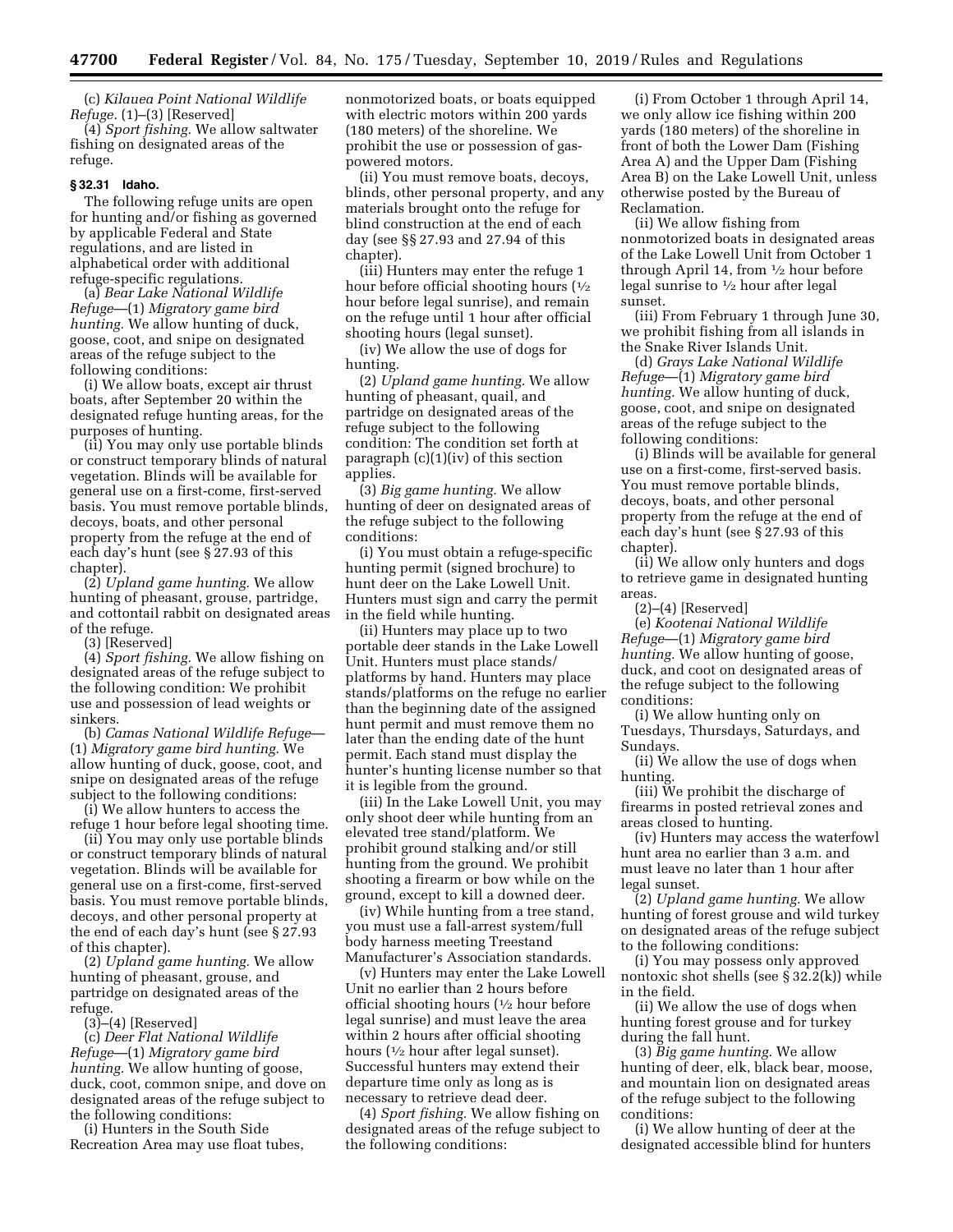(c) *Kilauea Point National Wildlife Refuge.* (1)–(3) [Reserved]

(4) *Sport fishing.* We allow saltwater fishing on designated areas of the refuge.

#### **§ 32.31 Idaho.**

The following refuge units are open for hunting and/or fishing as governed by applicable Federal and State regulations, and are listed in alphabetical order with additional refuge-specific regulations.

(a) *Bear Lake National Wildlife Refuge*—(1) *Migratory game bird hunting.* We allow hunting of duck, goose, coot, and snipe on designated areas of the refuge subject to the following conditions:

(i) We allow boats, except air thrust boats, after September 20 within the designated refuge hunting areas, for the purposes of hunting.

(ii) You may only use portable blinds or construct temporary blinds of natural vegetation. Blinds will be available for general use on a first-come, first-served basis. You must remove portable blinds, decoys, boats, and other personal property from the refuge at the end of each day's hunt (see § 27.93 of this chapter).

(2) *Upland game hunting.* We allow hunting of pheasant, grouse, partridge, and cottontail rabbit on designated areas of the refuge.

(3) [Reserved]

(4) *Sport fishing.* We allow fishing on designated areas of the refuge subject to the following condition: We prohibit use and possession of lead weights or sinkers.

(b) *Camas National Wildlife Refuge*— (1) *Migratory game bird hunting.* We allow hunting of duck, goose, coot, and snipe on designated areas of the refuge subject to the following conditions:

(i) We allow hunters to access the refuge 1 hour before legal shooting time.

(ii) You may only use portable blinds or construct temporary blinds of natural vegetation. Blinds will be available for general use on a first-come, first-served basis. You must remove portable blinds, decoys, and other personal property at the end of each day's hunt (see § 27.93 of this chapter).

(2) *Upland game hunting.* We allow hunting of pheasant, grouse, and partridge on designated areas of the refuge.

 $(3)$ – $(4)$  [Reserved]

(c) *Deer Flat National Wildlife Refuge*—(1) *Migratory game bird hunting.* We allow hunting of goose, duck, coot, common snipe, and dove on designated areas of the refuge subject to the following conditions:

(i) Hunters in the South Side Recreation Area may use float tubes, nonmotorized boats, or boats equipped with electric motors within 200 yards (180 meters) of the shoreline. We prohibit the use or possession of gaspowered motors.

(ii) You must remove boats, decoys, blinds, other personal property, and any materials brought onto the refuge for blind construction at the end of each day (see §§ 27.93 and 27.94 of this chapter).

(iii) Hunters may enter the refuge 1 hour before official shooting hours  $(1/2)$ hour before legal sunrise), and remain on the refuge until 1 hour after official shooting hours (legal sunset).

(iv) We allow the use of dogs for hunting.

(2) *Upland game hunting.* We allow hunting of pheasant, quail, and partridge on designated areas of the refuge subject to the following condition: The condition set forth at paragraph  $(c)(1)(iv)$  of this section applies.

(3) *Big game hunting.* We allow hunting of deer on designated areas of the refuge subject to the following conditions:

(i) You must obtain a refuge-specific hunting permit (signed brochure) to hunt deer on the Lake Lowell Unit. Hunters must sign and carry the permit in the field while hunting.

(ii) Hunters may place up to two portable deer stands in the Lake Lowell Unit. Hunters must place stands/ platforms by hand. Hunters may place stands/platforms on the refuge no earlier than the beginning date of the assigned hunt permit and must remove them no later than the ending date of the hunt permit. Each stand must display the hunter's hunting license number so that it is legible from the ground.

(iii) In the Lake Lowell Unit, you may only shoot deer while hunting from an elevated tree stand/platform. We prohibit ground stalking and/or still hunting from the ground. We prohibit shooting a firearm or bow while on the ground, except to kill a downed deer.

(iv) While hunting from a tree stand, you must use a fall-arrest system/full body harness meeting Treestand Manufacturer's Association standards.

(v) Hunters may enter the Lake Lowell Unit no earlier than 2 hours before official shooting hours (1⁄2 hour before legal sunrise) and must leave the area within 2 hours after official shooting hours (1/2 hour after legal sunset). Successful hunters may extend their departure time only as long as is necessary to retrieve dead deer.

(4) *Sport fishing.* We allow fishing on designated areas of the refuge subject to the following conditions:

(i) From October 1 through April 14, we only allow ice fishing within 200 yards (180 meters) of the shoreline in front of both the Lower Dam (Fishing Area A) and the Upper Dam (Fishing Area B) on the Lake Lowell Unit, unless otherwise posted by the Bureau of Reclamation.

(ii) We allow fishing from nonmotorized boats in designated areas of the Lake Lowell Unit from October 1 through April 14, from 1⁄2 hour before legal sunrise to 1⁄2 hour after legal sunset.

(iii) From February 1 through June 30, we prohibit fishing from all islands in the Snake River Islands Unit.

(d) *Grays Lake National Wildlife Refuge*—(1) *Migratory game bird hunting.* We allow hunting of duck, goose, coot, and snipe on designated areas of the refuge subject to the following conditions:

(i) Blinds will be available for general use on a first-come, first-served basis. You must remove portable blinds, decoys, boats, and other personal property from the refuge at the end of each day's hunt (see § 27.93 of this chapter).

(ii) We allow only hunters and dogs to retrieve game in designated hunting areas.

 $(2)–(4)$  [Reserved]

(e) *Kootenai National Wildlife Refuge*—(1) *Migratory game bird hunting.* We allow hunting of goose, duck, and coot on designated areas of the refuge subject to the following conditions:

(i) We allow hunting only on Tuesdays, Thursdays, Saturdays, and Sundays.

(ii) We allow the use of dogs when hunting.

(iii) We prohibit the discharge of firearms in posted retrieval zones and areas closed to hunting.

(iv) Hunters may access the waterfowl hunt area no earlier than 3 a.m. and must leave no later than 1 hour after legal sunset.

(2) *Upland game hunting.* We allow hunting of forest grouse and wild turkey on designated areas of the refuge subject to the following conditions:

(i) You may possess only approved nontoxic shot shells (see § 32.2(k)) while in the field.

(ii) We allow the use of dogs when hunting forest grouse and for turkey during the fall hunt.

(3) *Big game hunting.* We allow hunting of deer, elk, black bear, moose, and mountain lion on designated areas of the refuge subject to the following conditions:

(i) We allow hunting of deer at the designated accessible blind for hunters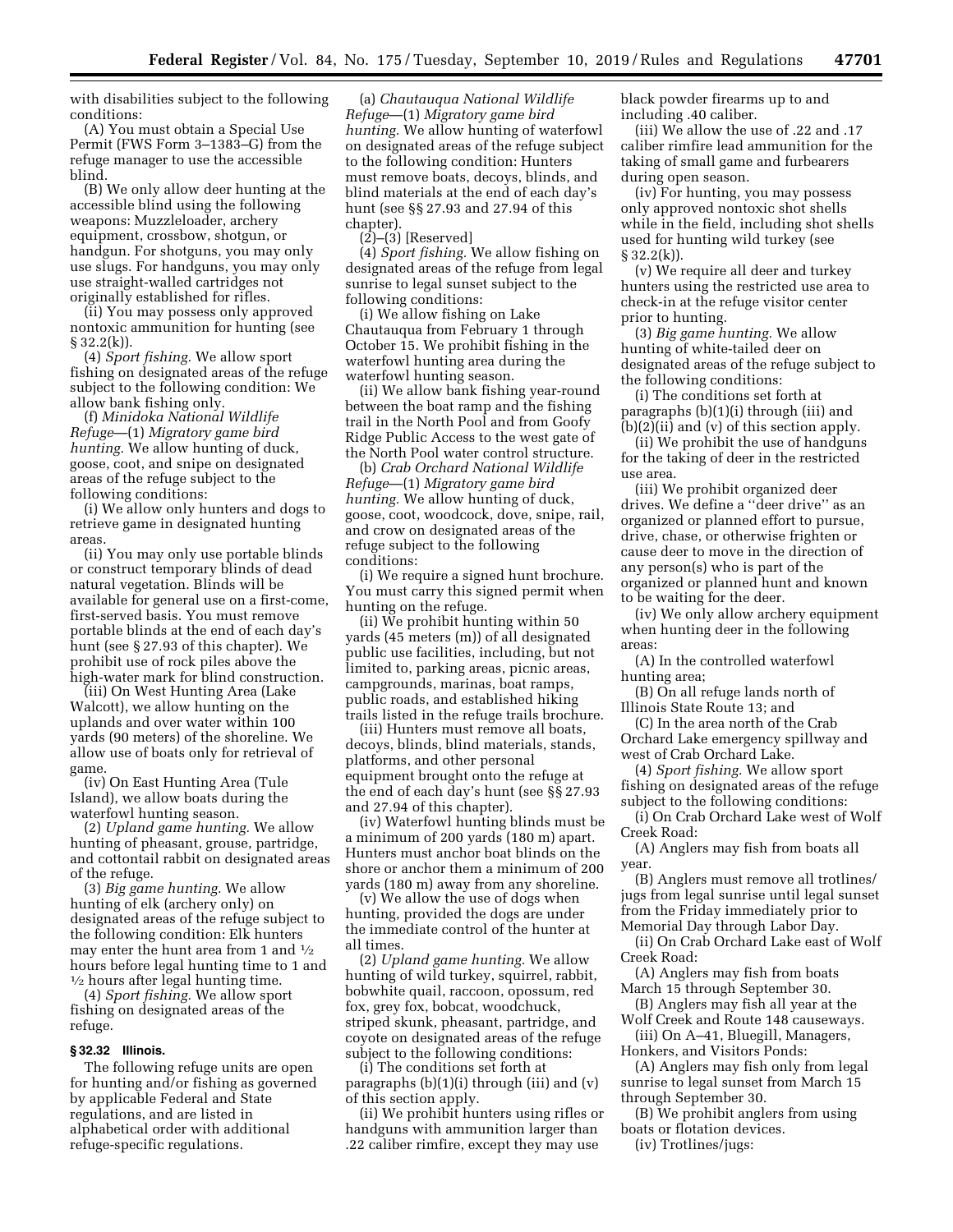with disabilities subject to the following conditions:

(A) You must obtain a Special Use Permit (FWS Form 3–1383–G) from the refuge manager to use the accessible blind.

(B) We only allow deer hunting at the accessible blind using the following weapons: Muzzleloader, archery equipment, crossbow, shotgun, or handgun. For shotguns, you may only use slugs. For handguns, you may only use straight-walled cartridges not originally established for rifles.

(ii) You may possess only approved nontoxic ammunition for hunting (see  $§ 32.2(k)$ .

(4) *Sport fishing.* We allow sport fishing on designated areas of the refuge subject to the following condition: We allow bank fishing only.

(f) *Minidoka National Wildlife Refuge*—(1) *Migratory game bird hunting.* We allow hunting of duck, goose, coot, and snipe on designated areas of the refuge subject to the following conditions:

(i) We allow only hunters and dogs to retrieve game in designated hunting areas

(ii) You may only use portable blinds or construct temporary blinds of dead natural vegetation. Blinds will be available for general use on a first-come, first-served basis. You must remove portable blinds at the end of each day's hunt (see § 27.93 of this chapter). We prohibit use of rock piles above the high-water mark for blind construction.

(iii) On West Hunting Area (Lake Walcott), we allow hunting on the uplands and over water within 100 yards (90 meters) of the shoreline. We allow use of boats only for retrieval of game.

(iv) On East Hunting Area (Tule Island), we allow boats during the waterfowl hunting season.

(2) *Upland game hunting.* We allow hunting of pheasant, grouse, partridge, and cottontail rabbit on designated areas of the refuge.

(3) *Big game hunting.* We allow hunting of elk (archery only) on designated areas of the refuge subject to the following condition: Elk hunters may enter the hunt area from 1 and  $\frac{1}{2}$ hours before legal hunting time to 1 and  $\frac{1}{2}$  hours after legal hunting time.

(4) *Sport fishing.* We allow sport fishing on designated areas of the refuge.

# **§ 32.32 Illinois.**

The following refuge units are open for hunting and/or fishing as governed by applicable Federal and State regulations, and are listed in alphabetical order with additional refuge-specific regulations.

(a) *Chautauqua National Wildlife Refuge*—(1) *Migratory game bird hunting.* We allow hunting of waterfowl on designated areas of the refuge subject to the following condition: Hunters must remove boats, decoys, blinds, and blind materials at the end of each day's hunt (see §§ 27.93 and 27.94 of this chapter).

 $(2)$ – $(3)$  [Reserved]

(4) *Sport fishing.* We allow fishing on designated areas of the refuge from legal sunrise to legal sunset subject to the following conditions:

(i) We allow fishing on Lake Chautauqua from February 1 through October 15. We prohibit fishing in the waterfowl hunting area during the waterfowl hunting season.

(ii) We allow bank fishing year-round between the boat ramp and the fishing trail in the North Pool and from Goofy Ridge Public Access to the west gate of the North Pool water control structure.

(b) *Crab Orchard National Wildlife Refuge*—(1) *Migratory game bird hunting.* We allow hunting of duck, goose, coot, woodcock, dove, snipe, rail, and crow on designated areas of the refuge subject to the following conditions:

(i) We require a signed hunt brochure. You must carry this signed permit when hunting on the refuge.

(ii) We prohibit hunting within 50 yards (45 meters (m)) of all designated public use facilities, including, but not limited to, parking areas, picnic areas, campgrounds, marinas, boat ramps, public roads, and established hiking trails listed in the refuge trails brochure.

(iii) Hunters must remove all boats, decoys, blinds, blind materials, stands, platforms, and other personal equipment brought onto the refuge at the end of each day's hunt (see §§ 27.93 and 27.94 of this chapter).

(iv) Waterfowl hunting blinds must be a minimum of 200 yards (180 m) apart. Hunters must anchor boat blinds on the shore or anchor them a minimum of 200 yards (180 m) away from any shoreline.

(v) We allow the use of dogs when hunting, provided the dogs are under the immediate control of the hunter at all times.

(2) *Upland game hunting.* We allow hunting of wild turkey, squirrel, rabbit, bobwhite quail, raccoon, opossum, red fox, grey fox, bobcat, woodchuck, striped skunk, pheasant, partridge, and coyote on designated areas of the refuge subject to the following conditions:

(i) The conditions set forth at paragraphs (b)(1)(i) through (iii) and (v) of this section apply.

(ii) We prohibit hunters using rifles or handguns with ammunition larger than .22 caliber rimfire, except they may use

black powder firearms up to and including .40 caliber.

(iii) We allow the use of .22 and .17 caliber rimfire lead ammunition for the taking of small game and furbearers during open season.

(iv) For hunting, you may possess only approved nontoxic shot shells while in the field, including shot shells used for hunting wild turkey (see § 32.2(k)).

(v) We require all deer and turkey hunters using the restricted use area to check-in at the refuge visitor center prior to hunting.

(3) *Big game hunting.* We allow hunting of white-tailed deer on designated areas of the refuge subject to the following conditions:

(i) The conditions set forth at paragraphs (b)(1)(i) through (iii) and (b)(2)(ii) and (v) of this section apply.

(ii) We prohibit the use of handguns for the taking of deer in the restricted use area.

(iii) We prohibit organized deer drives. We define a ''deer drive'' as an organized or planned effort to pursue, drive, chase, or otherwise frighten or cause deer to move in the direction of any person(s) who is part of the organized or planned hunt and known to be waiting for the deer.

(iv) We only allow archery equipment when hunting deer in the following areas:

(A) In the controlled waterfowl hunting area;

(B) On all refuge lands north of Illinois State Route 13; and

(C) In the area north of the Crab Orchard Lake emergency spillway and west of Crab Orchard Lake.

(4) *Sport fishing.* We allow sport fishing on designated areas of the refuge subject to the following conditions:

(i) On Crab Orchard Lake west of Wolf Creek Road:

(A) Anglers may fish from boats all year.

(B) Anglers must remove all trotlines/ jugs from legal sunrise until legal sunset from the Friday immediately prior to Memorial Day through Labor Day.

(ii) On Crab Orchard Lake east of Wolf Creek Road:

(A) Anglers may fish from boats March 15 through September 30.

(B) Anglers may fish all year at the Wolf Creek and Route 148 causeways.

(iii) On A–41, Bluegill, Managers, Honkers, and Visitors Ponds:

(A) Anglers may fish only from legal sunrise to legal sunset from March 15 through September 30.

(B) We prohibit anglers from using boats or flotation devices.

(iv) Trotlines/jugs: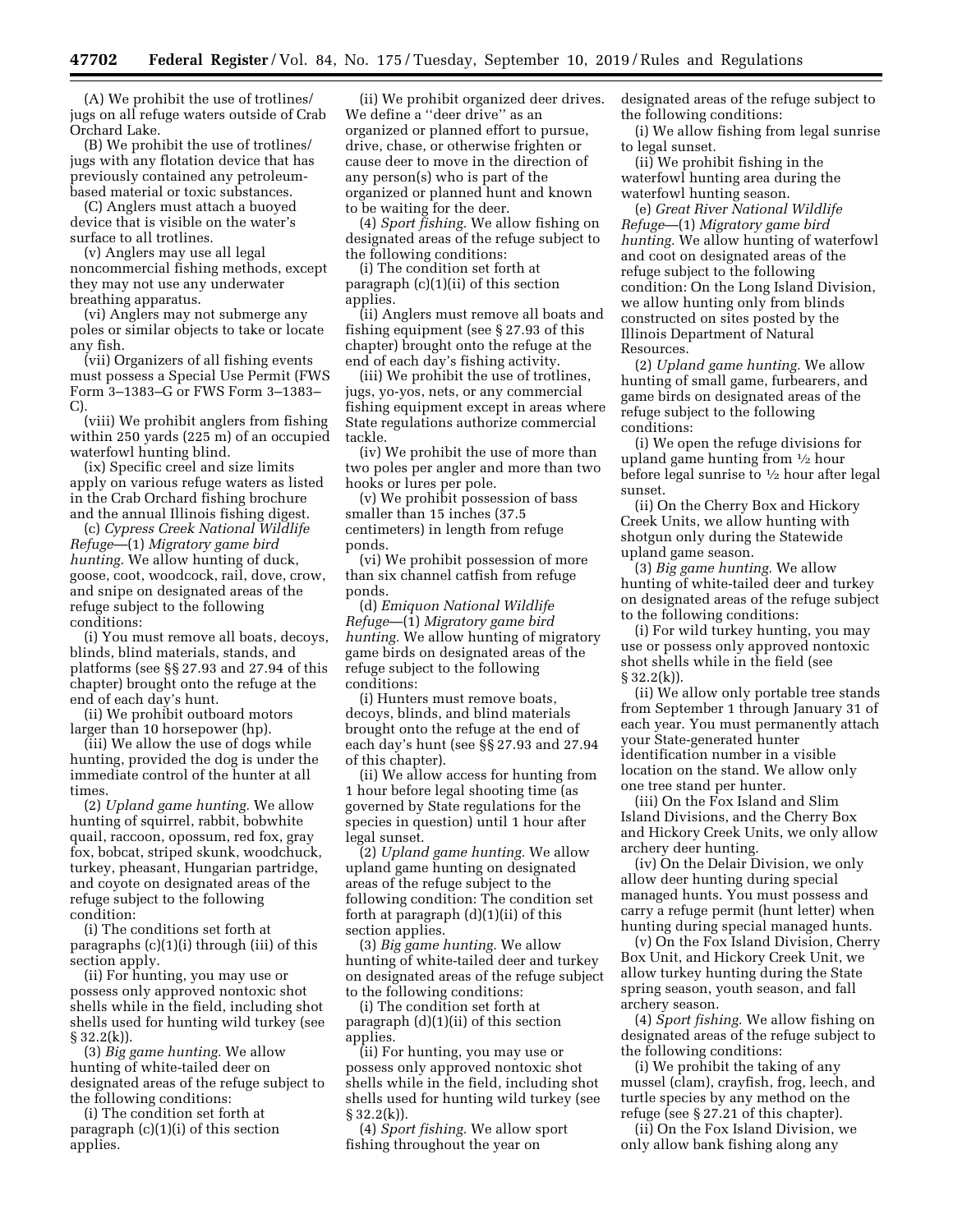(A) We prohibit the use of trotlines/ jugs on all refuge waters outside of Crab Orchard Lake.

(B) We prohibit the use of trotlines/ jugs with any flotation device that has previously contained any petroleumbased material or toxic substances.

(C) Anglers must attach a buoyed device that is visible on the water's surface to all trotlines.

(v) Anglers may use all legal noncommercial fishing methods, except they may not use any underwater breathing apparatus.

(vi) Anglers may not submerge any poles or similar objects to take or locate any fish.

(vii) Organizers of all fishing events must possess a Special Use Permit (FWS Form 3–1383–G or FWS Form 3–1383– C).

(viii) We prohibit anglers from fishing within 250 yards (225 m) of an occupied waterfowl hunting blind.

(ix) Specific creel and size limits apply on various refuge waters as listed in the Crab Orchard fishing brochure and the annual Illinois fishing digest.

(c) *Cypress Creek National Wildlife Refuge*—(1) *Migratory game bird hunting.* We allow hunting of duck, goose, coot, woodcock, rail, dove, crow, and snipe on designated areas of the refuge subject to the following conditions:

(i) You must remove all boats, decoys, blinds, blind materials, stands, and platforms (see §§ 27.93 and 27.94 of this chapter) brought onto the refuge at the end of each day's hunt.

(ii) We prohibit outboard motors larger than 10 horsepower (hp).

(iii) We allow the use of dogs while hunting, provided the dog is under the immediate control of the hunter at all times.

(2) *Upland game hunting.* We allow hunting of squirrel, rabbit, bobwhite quail, raccoon, opossum, red fox, gray fox, bobcat, striped skunk, woodchuck, turkey, pheasant, Hungarian partridge, and coyote on designated areas of the refuge subject to the following condition:

(i) The conditions set forth at paragraphs (c)(1)(i) through (iii) of this section apply.

(ii) For hunting, you may use or possess only approved nontoxic shot shells while in the field, including shot shells used for hunting wild turkey (see  $§ 32.2(k)$ .

(3) *Big game hunting.* We allow hunting of white-tailed deer on designated areas of the refuge subject to the following conditions:

(i) The condition set forth at paragraph (c)(1)(i) of this section applies.

(ii) We prohibit organized deer drives. We define a ''deer drive'' as an organized or planned effort to pursue, drive, chase, or otherwise frighten or cause deer to move in the direction of any person(s) who is part of the organized or planned hunt and known to be waiting for the deer.

(4) *Sport fishing.* We allow fishing on designated areas of the refuge subject to the following conditions:

(i) The condition set forth at paragraph (c)(1)(ii) of this section applies.

(ii) Anglers must remove all boats and fishing equipment (see § 27.93 of this chapter) brought onto the refuge at the end of each day's fishing activity.

(iii) We prohibit the use of trotlines, jugs, yo-yos, nets, or any commercial fishing equipment except in areas where State regulations authorize commercial tackle.

(iv) We prohibit the use of more than two poles per angler and more than two hooks or lures per pole.

(v) We prohibit possession of bass smaller than 15 inches (37.5 centimeters) in length from refuge ponds.

(vi) We prohibit possession of more than six channel catfish from refuge ponds.

(d) *Emiquon National Wildlife Refuge*—(1) *Migratory game bird hunting.* We allow hunting of migratory game birds on designated areas of the refuge subject to the following conditions:

(i) Hunters must remove boats, decoys, blinds, and blind materials brought onto the refuge at the end of each day's hunt (see §§ 27.93 and 27.94 of this chapter).

(ii) We allow access for hunting from 1 hour before legal shooting time (as governed by State regulations for the species in question) until 1 hour after legal sunset.

(2) *Upland game hunting.* We allow upland game hunting on designated areas of the refuge subject to the following condition: The condition set forth at paragraph (d)(1)(ii) of this section applies.

(3) *Big game hunting.* We allow hunting of white-tailed deer and turkey on designated areas of the refuge subject to the following conditions:

(i) The condition set forth at paragraph (d)(1)(ii) of this section applies.

(ii) For hunting, you may use or possess only approved nontoxic shot shells while in the field, including shot shells used for hunting wild turkey (see  $\S 32.2(k)$ ).

(4) *Sport fishing.* We allow sport fishing throughout the year on

designated areas of the refuge subject to the following conditions:

(i) We allow fishing from legal sunrise to legal sunset.

(ii) We prohibit fishing in the waterfowl hunting area during the waterfowl hunting season.

(e) *Great River National Wildlife Refuge*—(1) *Migratory game bird hunting.* We allow hunting of waterfowl and coot on designated areas of the refuge subject to the following condition: On the Long Island Division, we allow hunting only from blinds constructed on sites posted by the Illinois Department of Natural Resources.

(2) *Upland game hunting.* We allow hunting of small game, furbearers, and game birds on designated areas of the refuge subject to the following conditions:

(i) We open the refuge divisions for upland game hunting from 1⁄2 hour before legal sunrise to 1⁄2 hour after legal sunset.

(ii) On the Cherry Box and Hickory Creek Units, we allow hunting with shotgun only during the Statewide upland game season.

(3) *Big game hunting.* We allow hunting of white-tailed deer and turkey on designated areas of the refuge subject to the following conditions:

(i) For wild turkey hunting, you may use or possess only approved nontoxic shot shells while in the field (see § 32.2(k)).

(ii) We allow only portable tree stands from September 1 through January 31 of each year. You must permanently attach your State-generated hunter identification number in a visible location on the stand. We allow only one tree stand per hunter.

(iii) On the Fox Island and Slim Island Divisions, and the Cherry Box and Hickory Creek Units, we only allow archery deer hunting.

(iv) On the Delair Division, we only allow deer hunting during special managed hunts. You must possess and carry a refuge permit (hunt letter) when hunting during special managed hunts.

(v) On the Fox Island Division, Cherry Box Unit, and Hickory Creek Unit, we allow turkey hunting during the State spring season, youth season, and fall archery season.

(4) *Sport fishing.* We allow fishing on designated areas of the refuge subject to the following conditions:

(i) We prohibit the taking of any mussel (clam), crayfish, frog, leech, and turtle species by any method on the refuge (see § 27.21 of this chapter).

(ii) On the Fox Island Division, we only allow bank fishing along any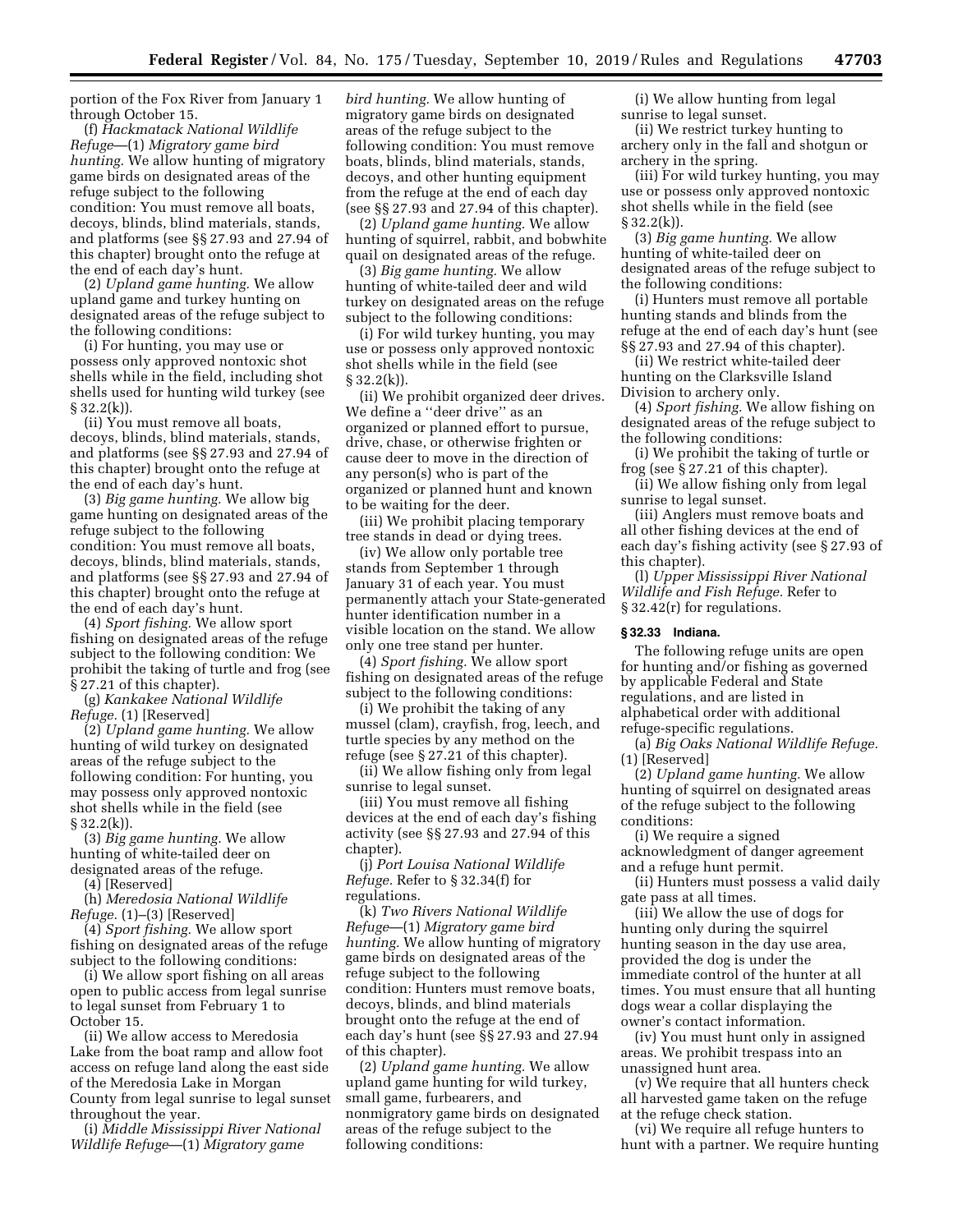portion of the Fox River from January 1 through October 15.

(f) *Hackmatack National Wildlife Refuge*—(1) *Migratory game bird hunting.* We allow hunting of migratory game birds on designated areas of the refuge subject to the following condition: You must remove all boats, decoys, blinds, blind materials, stands, and platforms (see §§ 27.93 and 27.94 of this chapter) brought onto the refuge at the end of each day's hunt.

(2) *Upland game hunting.* We allow upland game and turkey hunting on designated areas of the refuge subject to the following conditions:

(i) For hunting, you may use or possess only approved nontoxic shot shells while in the field, including shot shells used for hunting wild turkey (see § 32.2(k)).

(ii) You must remove all boats, decoys, blinds, blind materials, stands, and platforms (see §§ 27.93 and 27.94 of this chapter) brought onto the refuge at the end of each day's hunt.

(3) *Big game hunting.* We allow big game hunting on designated areas of the refuge subject to the following condition: You must remove all boats, decoys, blinds, blind materials, stands, and platforms (see §§ 27.93 and 27.94 of this chapter) brought onto the refuge at the end of each day's hunt.

(4) *Sport fishing.* We allow sport fishing on designated areas of the refuge subject to the following condition: We prohibit the taking of turtle and frog (see § 27.21 of this chapter).

(g) *Kankakee National Wildlife Refuge.* (1) [Reserved]

(2) *Upland game hunting.* We allow hunting of wild turkey on designated areas of the refuge subject to the following condition: For hunting, you may possess only approved nontoxic shot shells while in the field (see  $§ 32.2(k)$ .

(3) *Big game hunting.* We allow hunting of white-tailed deer on designated areas of the refuge.

(4) [Reserved]

(h) *Meredosia National Wildlife Refuge.* (1)–(3) [Reserved]

(4) *Sport fishing.* We allow sport fishing on designated areas of the refuge subject to the following conditions:

(i) We allow sport fishing on all areas open to public access from legal sunrise to legal sunset from February 1 to October 15.

(ii) We allow access to Meredosia Lake from the boat ramp and allow foot access on refuge land along the east side of the Meredosia Lake in Morgan County from legal sunrise to legal sunset throughout the year.

(i) *Middle Mississippi River National Wildlife Refuge*—(1) *Migratory game* 

*bird hunting.* We allow hunting of migratory game birds on designated areas of the refuge subject to the following condition: You must remove boats, blinds, blind materials, stands, decoys, and other hunting equipment from the refuge at the end of each day (see §§ 27.93 and 27.94 of this chapter).

(2) *Upland game hunting.* We allow hunting of squirrel, rabbit, and bobwhite quail on designated areas of the refuge.

(3) *Big game hunting.* We allow hunting of white-tailed deer and wild turkey on designated areas on the refuge subject to the following conditions:

(i) For wild turkey hunting, you may use or possess only approved nontoxic shot shells while in the field (see  $§ 32.2(k)$ .

(ii) We prohibit organized deer drives. We define a ''deer drive'' as an organized or planned effort to pursue, drive, chase, or otherwise frighten or cause deer to move in the direction of any person(s) who is part of the organized or planned hunt and known to be waiting for the deer.

(iii) We prohibit placing temporary tree stands in dead or dying trees.

(iv) We allow only portable tree stands from September 1 through January 31 of each year. You must permanently attach your State-generated hunter identification number in a visible location on the stand. We allow only one tree stand per hunter.

(4) *Sport fishing.* We allow sport fishing on designated areas of the refuge subject to the following conditions:

(i) We prohibit the taking of any mussel (clam), crayfish, frog, leech, and turtle species by any method on the refuge (see § 27.21 of this chapter).

(ii) We allow fishing only from legal sunrise to legal sunset.

(iii) You must remove all fishing devices at the end of each day's fishing activity (see §§ 27.93 and 27.94 of this chapter).

(j) *Port Louisa National Wildlife Refuge.* Refer to § 32.34(f) for regulations.

(k) *Two Rivers National Wildlife Refuge*—(1) *Migratory game bird hunting.* We allow hunting of migratory game birds on designated areas of the refuge subject to the following condition: Hunters must remove boats, decoys, blinds, and blind materials brought onto the refuge at the end of each day's hunt (see §§ 27.93 and 27.94 of this chapter).

(2) *Upland game hunting.* We allow upland game hunting for wild turkey, small game, furbearers, and nonmigratory game birds on designated areas of the refuge subject to the following conditions:

(i) We allow hunting from legal sunrise to legal sunset.

(ii) We restrict turkey hunting to archery only in the fall and shotgun or archery in the spring.

(iii) For wild turkey hunting, you may use or possess only approved nontoxic shot shells while in the field (see § 32.2(k)).

(3) *Big game hunting.* We allow hunting of white-tailed deer on designated areas of the refuge subject to the following conditions:

(i) Hunters must remove all portable hunting stands and blinds from the refuge at the end of each day's hunt (see §§ 27.93 and 27.94 of this chapter).

(ii) We restrict white-tailed deer hunting on the Clarksville Island Division to archery only.

(4) *Sport fishing.* We allow fishing on designated areas of the refuge subject to the following conditions:

(i) We prohibit the taking of turtle or frog (see § 27.21 of this chapter).

(ii) We allow fishing only from legal sunrise to legal sunset.

(iii) Anglers must remove boats and all other fishing devices at the end of each day's fishing activity (see § 27.93 of this chapter).

(l) *Upper Mississippi River National Wildlife and Fish Refuge.* Refer to § 32.42(r) for regulations.

# **§ 32.33 Indiana.**

The following refuge units are open for hunting and/or fishing as governed by applicable Federal and State regulations, and are listed in alphabetical order with additional refuge-specific regulations.

(a) *Big Oaks National Wildlife Refuge.*  (1) [Reserved]

(2) *Upland game hunting.* We allow hunting of squirrel on designated areas of the refuge subject to the following conditions:

(i) We require a signed acknowledgment of danger agreement and a refuge hunt permit.

(ii) Hunters must possess a valid daily gate pass at all times.

(iii) We allow the use of dogs for hunting only during the squirrel hunting season in the day use area, provided the dog is under the immediate control of the hunter at all times. You must ensure that all hunting dogs wear a collar displaying the owner's contact information.

(iv) You must hunt only in assigned areas. We prohibit trespass into an unassigned hunt area.

(v) We require that all hunters check all harvested game taken on the refuge at the refuge check station.

(vi) We require all refuge hunters to hunt with a partner. We require hunting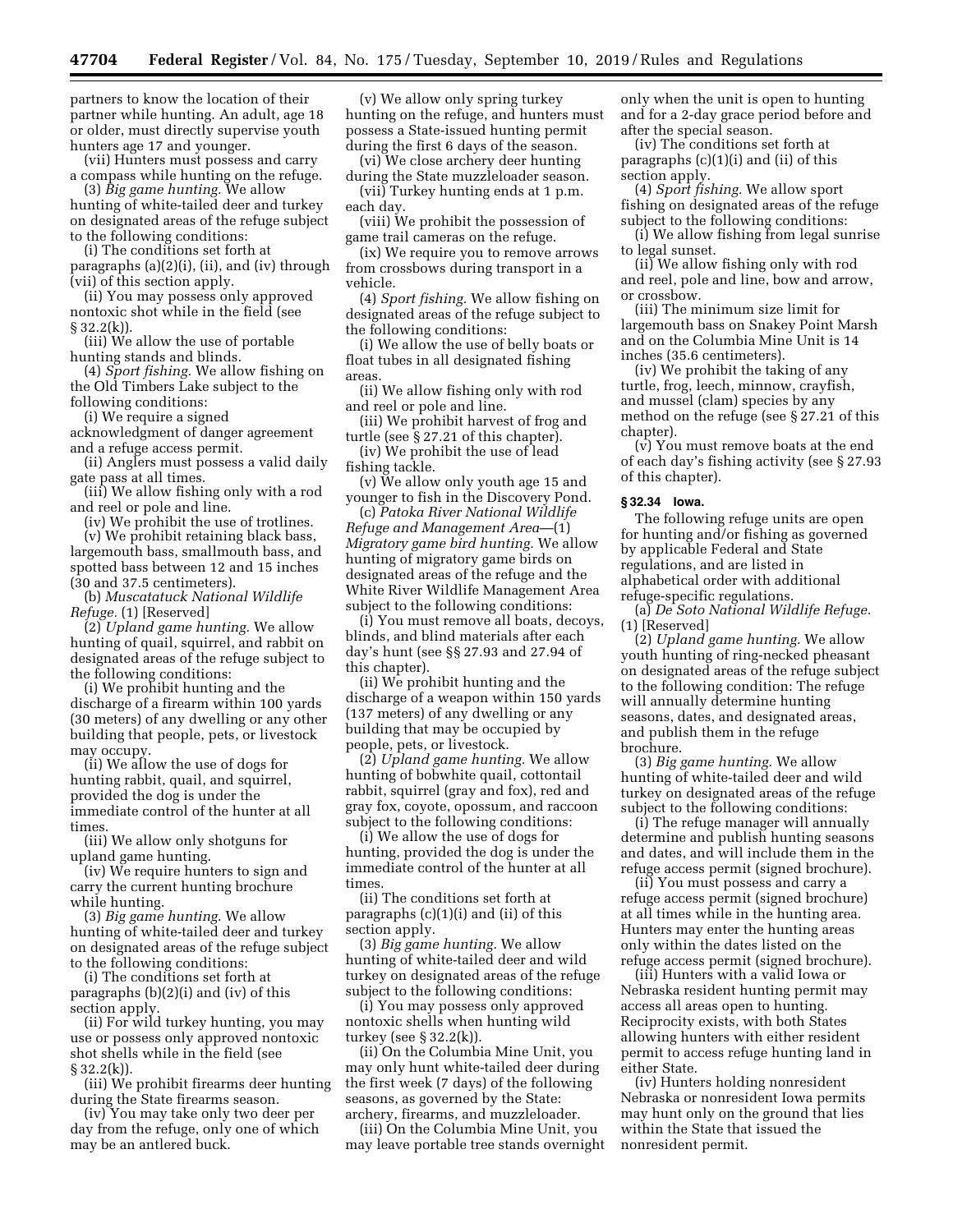partners to know the location of their partner while hunting. An adult, age 18 or older, must directly supervise youth hunters age 17 and younger.

(vii) Hunters must possess and carry a compass while hunting on the refuge.

(3) *Big game hunting.* We allow hunting of white-tailed deer and turkey on designated areas of the refuge subject to the following conditions:

(i) The conditions set forth at paragraphs (a)(2)(i), (ii), and (iv) through (vii) of this section apply.

(ii) You may possess only approved nontoxic shot while in the field (see  $§ 32.2(k)$ .

(iii) We allow the use of portable hunting stands and blinds.

(4) *Sport fishing.* We allow fishing on the Old Timbers Lake subject to the following conditions:

(i) We require a signed

acknowledgment of danger agreement and a refuge access permit.

(ii) Anglers must possess a valid daily gate pass at all times.

(iii) We allow fishing only with a rod and reel or pole and line.

(iv) We prohibit the use of trotlines. (v) We prohibit retaining black bass,

largemouth bass, smallmouth bass, and spotted bass between 12 and 15 inches (30 and 37.5 centimeters).

(b) *Muscatatuck National Wildlife Refuge.* (1) [Reserved]

(2) *Upland game hunting.* We allow hunting of quail, squirrel, and rabbit on designated areas of the refuge subject to the following conditions:

(i) We prohibit hunting and the discharge of a firearm within 100 yards (30 meters) of any dwelling or any other building that people, pets, or livestock may occupy.

(ii) We allow the use of dogs for hunting rabbit, quail, and squirrel, provided the dog is under the immediate control of the hunter at all times.

(iii) We allow only shotguns for upland game hunting.

(iv) We require hunters to sign and carry the current hunting brochure while hunting.

(3) *Big game hunting.* We allow hunting of white-tailed deer and turkey on designated areas of the refuge subject to the following conditions:

(i) The conditions set forth at paragraphs (b)(2)(i) and (iv) of this section apply.

(ii) For wild turkey hunting, you may use or possess only approved nontoxic shot shells while in the field (see § 32.2(k)).

(iii) We prohibit firearms deer hunting during the State firearms season.

(iv) You may take only two deer per day from the refuge, only one of which may be an antlered buck.

(v) We allow only spring turkey hunting on the refuge, and hunters must possess a State-issued hunting permit during the first 6 days of the season.

(vi) We close archery deer hunting during the State muzzleloader season.

(vii) Turkey hunting ends at 1 p.m. each day.

(viii) We prohibit the possession of game trail cameras on the refuge.

(ix) We require you to remove arrows from crossbows during transport in a vehicle.

(4) *Sport fishing.* We allow fishing on designated areas of the refuge subject to the following conditions:

(i) We allow the use of belly boats or float tubes in all designated fishing areas.

(ii) We allow fishing only with rod and reel or pole and line.

(iii) We prohibit harvest of frog and turtle (see § 27.21 of this chapter).

(iv) We prohibit the use of lead fishing tackle.

(v) We allow only youth age 15 and younger to fish in the Discovery Pond.

(c) *Patoka River National Wildlife Refuge and Management Area*—(1) *Migratory game bird hunting.* We allow hunting of migratory game birds on designated areas of the refuge and the White River Wildlife Management Area subject to the following conditions:

(i) You must remove all boats, decoys, blinds, and blind materials after each day's hunt (see §§ 27.93 and 27.94 of this chapter).

(ii) We prohibit hunting and the discharge of a weapon within 150 yards (137 meters) of any dwelling or any building that may be occupied by people, pets, or livestock.

(2) *Upland game hunting.* We allow hunting of bobwhite quail, cottontail rabbit, squirrel (gray and fox), red and gray fox, coyote, opossum, and raccoon subject to the following conditions:

(i) We allow the use of dogs for hunting, provided the dog is under the immediate control of the hunter at all times.

(ii) The conditions set forth at paragraphs (c)(1)(i) and (ii) of this section apply.

(3) *Big game hunting.* We allow hunting of white-tailed deer and wild turkey on designated areas of the refuge subject to the following conditions:

(i) You may possess only approved nontoxic shells when hunting wild turkey (see § 32.2(k)).

(ii) On the Columbia Mine Unit, you may only hunt white-tailed deer during the first week (7 days) of the following seasons, as governed by the State: archery, firearms, and muzzleloader.

(iii) On the Columbia Mine Unit, you may leave portable tree stands overnight

only when the unit is open to hunting and for a 2-day grace period before and after the special season.

(iv) The conditions set forth at paragraphs (c)(1)(i) and (ii) of this section apply.

(4) *Sport fishing.* We allow sport fishing on designated areas of the refuge subject to the following conditions:

(i) We allow fishing from legal sunrise to legal sunset.

(ii) We allow fishing only with rod and reel, pole and line, bow and arrow, or crossbow.

(iii) The minimum size limit for largemouth bass on Snakey Point Marsh and on the Columbia Mine Unit is 14 inches (35.6 centimeters).

(iv) We prohibit the taking of any turtle, frog, leech, minnow, crayfish, and mussel (clam) species by any method on the refuge (see § 27.21 of this chapter).

(v) You must remove boats at the end of each day's fishing activity (see § 27.93 of this chapter).

# **§ 32.34 Iowa.**

The following refuge units are open for hunting and/or fishing as governed by applicable Federal and State regulations, and are listed in alphabetical order with additional refuge-specific regulations.

(a) *De Soto National Wildlife Refuge.*  (1) [Reserved]

(2) *Upland game hunting.* We allow youth hunting of ring-necked pheasant on designated areas of the refuge subject to the following condition: The refuge will annually determine hunting seasons, dates, and designated areas, and publish them in the refuge brochure.

(3) *Big game hunting.* We allow hunting of white-tailed deer and wild turkey on designated areas of the refuge subject to the following conditions:

(i) The refuge manager will annually determine and publish hunting seasons and dates, and will include them in the refuge access permit (signed brochure).

(ii) You must possess and carry a refuge access permit (signed brochure) at all times while in the hunting area. Hunters may enter the hunting areas only within the dates listed on the refuge access permit (signed brochure).

(iii) Hunters with a valid Iowa or Nebraska resident hunting permit may access all areas open to hunting. Reciprocity exists, with both States allowing hunters with either resident permit to access refuge hunting land in either State.

(iv) Hunters holding nonresident Nebraska or nonresident Iowa permits may hunt only on the ground that lies within the State that issued the nonresident permit.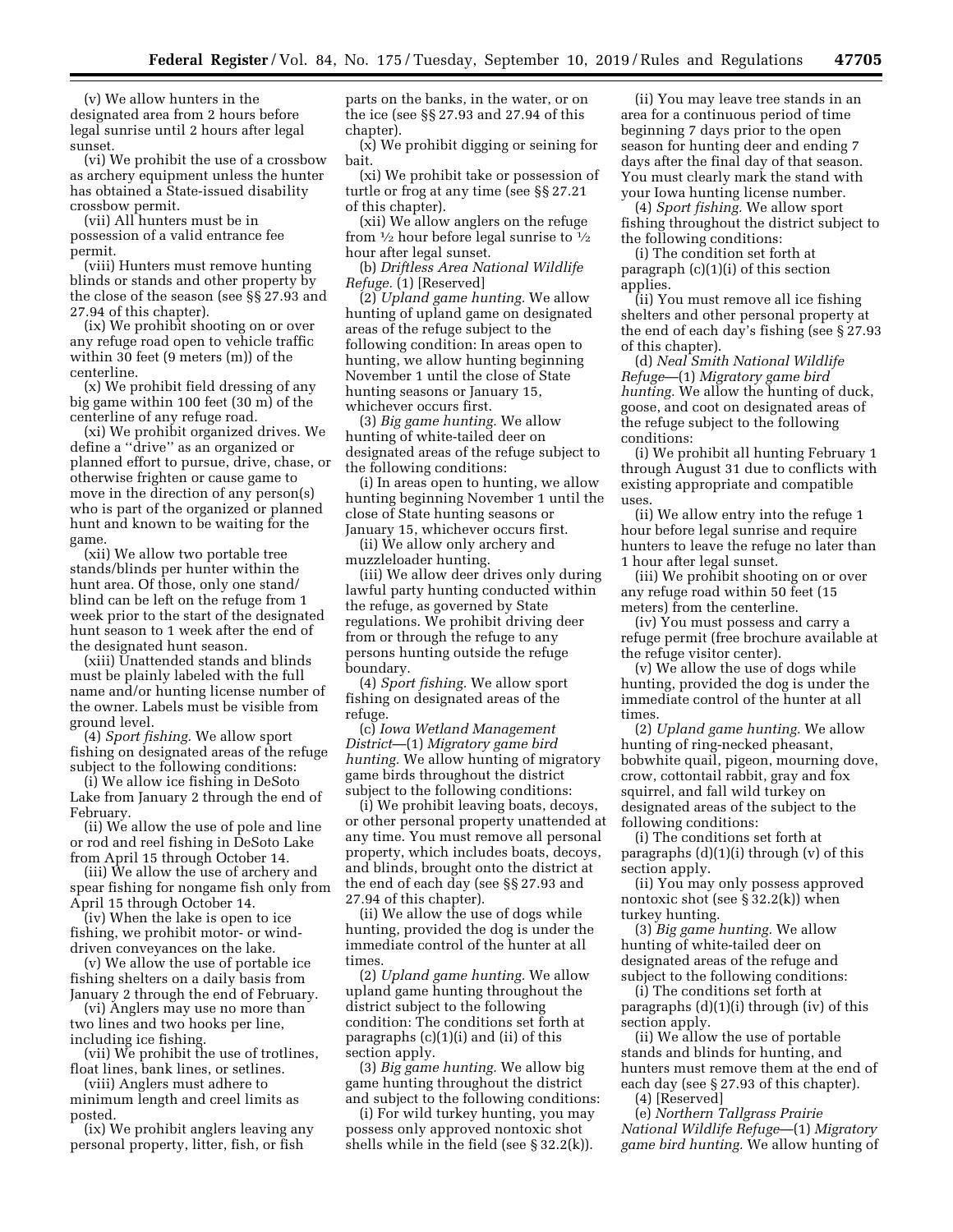(v) We allow hunters in the designated area from 2 hours before legal sunrise until 2 hours after legal sunset.

(vi) We prohibit the use of a crossbow as archery equipment unless the hunter has obtained a State-issued disability crossbow permit.

(vii) All hunters must be in possession of a valid entrance fee permit.

(viii) Hunters must remove hunting blinds or stands and other property by the close of the season (see §§ 27.93 and 27.94 of this chapter).

(ix) We prohibit shooting on or over any refuge road open to vehicle traffic within 30 feet (9 meters (m)) of the centerline.

(x) We prohibit field dressing of any big game within 100 feet (30 m) of the centerline of any refuge road.

(xi) We prohibit organized drives. We define a ''drive'' as an organized or planned effort to pursue, drive, chase, or otherwise frighten or cause game to move in the direction of any person(s) who is part of the organized or planned hunt and known to be waiting for the game.

(xii) We allow two portable tree stands/blinds per hunter within the hunt area. Of those, only one stand/ blind can be left on the refuge from 1 week prior to the start of the designated hunt season to 1 week after the end of the designated hunt season.

(xiii) Unattended stands and blinds must be plainly labeled with the full name and/or hunting license number of the owner. Labels must be visible from ground level.

(4) *Sport fishing.* We allow sport fishing on designated areas of the refuge subject to the following conditions:

(i) We allow ice fishing in DeSoto Lake from January 2 through the end of February.

(ii) We allow the use of pole and line or rod and reel fishing in DeSoto Lake from April 15 through October 14.

(iii) We allow the use of archery and spear fishing for nongame fish only from April 15 through October 14.

(iv) When the lake is open to ice fishing, we prohibit motor- or winddriven conveyances on the lake.

(v) We allow the use of portable ice fishing shelters on a daily basis from January 2 through the end of February.

(vi) Anglers may use no more than two lines and two hooks per line, including ice fishing.

(vii) We prohibit the use of trotlines, float lines, bank lines, or setlines.

(viii) Anglers must adhere to minimum length and creel limits as posted.

(ix) We prohibit anglers leaving any personal property, litter, fish, or fish

parts on the banks, in the water, or on the ice (see §§ 27.93 and 27.94 of this chapter).

(x) We prohibit digging or seining for bait.

(xi) We prohibit take or possession of turtle or frog at any time (see §§ 27.21 of this chapter).

(xii) We allow anglers on the refuge from  $\frac{1}{2}$  hour before legal sunrise to  $\frac{1}{2}$ hour after legal sunset.

(b) *Driftless Area National Wildlife Refuge.* (1) [Reserved]

(2) *Upland game hunting.* We allow hunting of upland game on designated areas of the refuge subject to the following condition: In areas open to hunting, we allow hunting beginning November 1 until the close of State hunting seasons or January 15, whichever occurs first.

(3) *Big game hunting.* We allow hunting of white-tailed deer on designated areas of the refuge subject to the following conditions:

(i) In areas open to hunting, we allow hunting beginning November 1 until the close of State hunting seasons or January 15, whichever occurs first.

(ii) We allow only archery and muzzleloader hunting.

(iii) We allow deer drives only during lawful party hunting conducted within the refuge, as governed by State regulations. We prohibit driving deer from or through the refuge to any persons hunting outside the refuge boundary.

(4) *Sport fishing.* We allow sport fishing on designated areas of the refuge.

(c) *Iowa Wetland Management District*—(1) *Migratory game bird hunting.* We allow hunting of migratory game birds throughout the district subject to the following conditions:

(i) We prohibit leaving boats, decoys, or other personal property unattended at any time. You must remove all personal property, which includes boats, decoys, and blinds, brought onto the district at the end of each day (see §§ 27.93 and 27.94 of this chapter).

(ii) We allow the use of dogs while hunting, provided the dog is under the immediate control of the hunter at all times.

(2) *Upland game hunting.* We allow upland game hunting throughout the district subject to the following condition: The conditions set forth at paragraphs (c)(1)(i) and (ii) of this section apply.

(3) *Big game hunting.* We allow big game hunting throughout the district and subject to the following conditions:

(i) For wild turkey hunting, you may possess only approved nontoxic shot shells while in the field (see § 32.2(k)).

(ii) You may leave tree stands in an area for a continuous period of time beginning 7 days prior to the open season for hunting deer and ending 7 days after the final day of that season. You must clearly mark the stand with your Iowa hunting license number.

(4) *Sport fishing.* We allow sport fishing throughout the district subject to the following conditions:

(i) The condition set forth at paragraph (c)(1)(i) of this section applies.

(ii) You must remove all ice fishing shelters and other personal property at the end of each day's fishing (see § 27.93 of this chapter).

(d) *Neal Smith National Wildlife Refuge*—(1) *Migratory game bird hunting.* We allow the hunting of duck, goose, and coot on designated areas of the refuge subject to the following conditions:

(i) We prohibit all hunting February 1 through August 31 due to conflicts with existing appropriate and compatible uses.

(ii) We allow entry into the refuge 1 hour before legal sunrise and require hunters to leave the refuge no later than 1 hour after legal sunset.

(iii) We prohibit shooting on or over any refuge road within 50 feet (15 meters) from the centerline.

(iv) You must possess and carry a refuge permit (free brochure available at the refuge visitor center).

(v) We allow the use of dogs while hunting, provided the dog is under the immediate control of the hunter at all times.

(2) *Upland game hunting.* We allow hunting of ring-necked pheasant, bobwhite quail, pigeon, mourning dove, crow, cottontail rabbit, gray and fox squirrel, and fall wild turkey on designated areas of the subject to the following conditions:

(i) The conditions set forth at paragraphs  $(d)(1)(i)$  through  $(v)$  of this section apply.

(ii) You may only possess approved nontoxic shot (see § 32.2(k)) when turkey hunting.

(3) *Big game hunting.* We allow hunting of white-tailed deer on designated areas of the refuge and subject to the following conditions:

(i) The conditions set forth at paragraphs (d)(1)(i) through (iv) of this section apply.

(ii) We allow the use of portable stands and blinds for hunting, and hunters must remove them at the end of each day (see § 27.93 of this chapter).

(4) [Reserved]

(e) *Northern Tallgrass Prairie National Wildlife Refuge*—(1) *Migratory game bird hunting.* We allow hunting of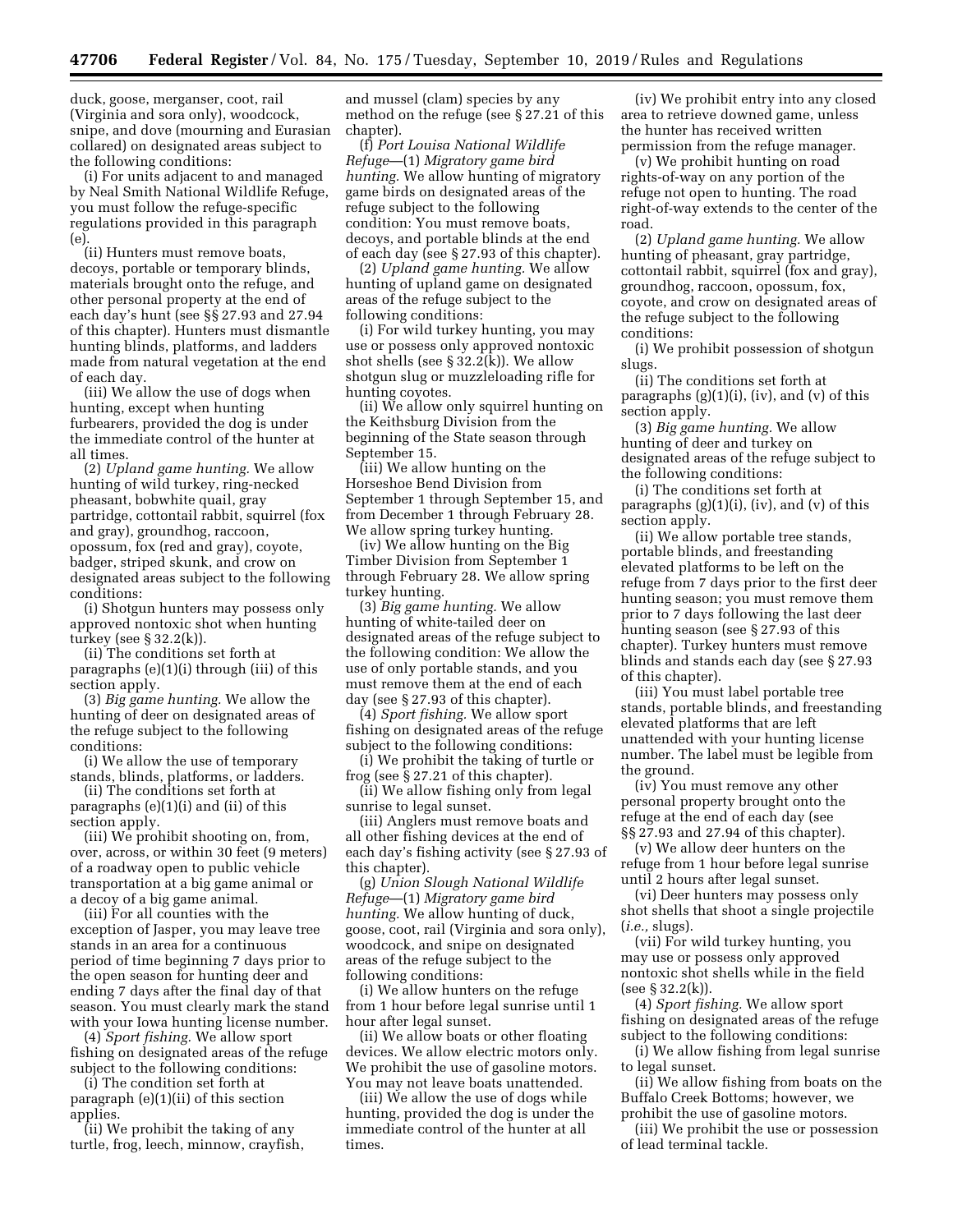duck, goose, merganser, coot, rail (Virginia and sora only), woodcock, snipe, and dove (mourning and Eurasian collared) on designated areas subject to the following conditions:

(i) For units adjacent to and managed by Neal Smith National Wildlife Refuge, you must follow the refuge-specific regulations provided in this paragraph (e).

(ii) Hunters must remove boats, decoys, portable or temporary blinds, materials brought onto the refuge, and other personal property at the end of each day's hunt (see §§ 27.93 and 27.94 of this chapter). Hunters must dismantle hunting blinds, platforms, and ladders made from natural vegetation at the end of each day.

(iii) We allow the use of dogs when hunting, except when hunting furbearers, provided the dog is under the immediate control of the hunter at all times.

(2) *Upland game hunting.* We allow hunting of wild turkey, ring-necked pheasant, bobwhite quail, gray partridge, cottontail rabbit, squirrel (fox and gray), groundhog, raccoon, opossum, fox (red and gray), coyote, badger, striped skunk, and crow on designated areas subject to the following conditions:

(i) Shotgun hunters may possess only approved nontoxic shot when hunting turkey (see § 32.2(k)).

(ii) The conditions set forth at paragraphs (e)(1)(i) through (iii) of this section apply.

(3) *Big game hunting.* We allow the hunting of deer on designated areas of the refuge subject to the following conditions:

(i) We allow the use of temporary stands, blinds, platforms, or ladders.

(ii) The conditions set forth at paragraphs (e)(1)(i) and (ii) of this section apply.

(iii) We prohibit shooting on, from, over, across, or within 30 feet (9 meters) of a roadway open to public vehicle transportation at a big game animal or a decoy of a big game animal.

(iii) For all counties with the exception of Jasper, you may leave tree stands in an area for a continuous period of time beginning 7 days prior to the open season for hunting deer and ending 7 days after the final day of that season. You must clearly mark the stand with your Iowa hunting license number.

(4) *Sport fishing.* We allow sport fishing on designated areas of the refuge subject to the following conditions:

(i) The condition set forth at paragraph (e)(1)(ii) of this section applies.

(ii) We prohibit the taking of any turtle, frog, leech, minnow, crayfish,

and mussel (clam) species by any method on the refuge (see § 27.21 of this chapter).

(f) *Port Louisa National Wildlife Refuge*—(1) *Migratory game bird hunting.* We allow hunting of migratory game birds on designated areas of the refuge subject to the following condition: You must remove boats, decoys, and portable blinds at the end of each day (see § 27.93 of this chapter).

(2) *Upland game hunting.* We allow hunting of upland game on designated areas of the refuge subject to the following conditions:

(i) For wild turkey hunting, you may use or possess only approved nontoxic shot shells (see § 32.2(k)). We allow shotgun slug or muzzleloading rifle for hunting coyotes.

(ii) We allow only squirrel hunting on the Keithsburg Division from the beginning of the State season through September 15.

(iii) We allow hunting on the Horseshoe Bend Division from September 1 through September 15, and from December 1 through February 28. We allow spring turkey hunting.

(iv) We allow hunting on the Big Timber Division from September 1 through February 28. We allow spring turkey hunting.

(3) *Big game hunting.* We allow hunting of white-tailed deer on designated areas of the refuge subject to the following condition: We allow the use of only portable stands, and you must remove them at the end of each day (see § 27.93 of this chapter).

(4) *Sport fishing.* We allow sport fishing on designated areas of the refuge subject to the following conditions:

(i) We prohibit the taking of turtle or frog (see § 27.21 of this chapter).

(ii) We allow fishing only from legal sunrise to legal sunset.

(iii) Anglers must remove boats and all other fishing devices at the end of each day's fishing activity (see § 27.93 of this chapter).

(g) *Union Slough National Wildlife Refuge*—(1) *Migratory game bird hunting.* We allow hunting of duck, goose, coot, rail (Virginia and sora only), woodcock, and snipe on designated areas of the refuge subject to the following conditions:

(i) We allow hunters on the refuge from 1 hour before legal sunrise until 1 hour after legal sunset.

(ii) We allow boats or other floating devices. We allow electric motors only. We prohibit the use of gasoline motors. You may not leave boats unattended.

(iii) We allow the use of dogs while hunting, provided the dog is under the immediate control of the hunter at all times.

(iv) We prohibit entry into any closed area to retrieve downed game, unless the hunter has received written permission from the refuge manager.

(v) We prohibit hunting on road rights-of-way on any portion of the refuge not open to hunting. The road right-of-way extends to the center of the road.

(2) *Upland game hunting.* We allow hunting of pheasant, gray partridge, cottontail rabbit, squirrel (fox and gray), groundhog, raccoon, opossum, fox, coyote, and crow on designated areas of the refuge subject to the following conditions:

(i) We prohibit possession of shotgun slugs.

(ii) The conditions set forth at paragraphs (g)(1)(i), (iv), and (v) of this section apply.

(3) *Big game hunting.* We allow hunting of deer and turkey on designated areas of the refuge subject to the following conditions:

(i) The conditions set forth at paragraphs  $(g)(1)(i)$ ,  $(iv)$ , and  $(v)$  of this section apply.

(ii) We allow portable tree stands, portable blinds, and freestanding elevated platforms to be left on the refuge from 7 days prior to the first deer hunting season; you must remove them prior to 7 days following the last deer hunting season (see § 27.93 of this chapter). Turkey hunters must remove blinds and stands each day (see § 27.93 of this chapter).

(iii) You must label portable tree stands, portable blinds, and freestanding elevated platforms that are left unattended with your hunting license number. The label must be legible from the ground.

(iv) You must remove any other personal property brought onto the refuge at the end of each day (see §§ 27.93 and 27.94 of this chapter).

(v) We allow deer hunters on the refuge from 1 hour before legal sunrise until 2 hours after legal sunset.

(vi) Deer hunters may possess only shot shells that shoot a single projectile (*i.e.,* slugs).

(vii) For wild turkey hunting, you may use or possess only approved nontoxic shot shells while in the field (see § 32.2(k)).

(4) *Sport fishing.* We allow sport fishing on designated areas of the refuge subject to the following conditions:

(i) We allow fishing from legal sunrise to legal sunset.

(ii) We allow fishing from boats on the Buffalo Creek Bottoms; however, we prohibit the use of gasoline motors.

(iii) We prohibit the use or possession of lead terminal tackle.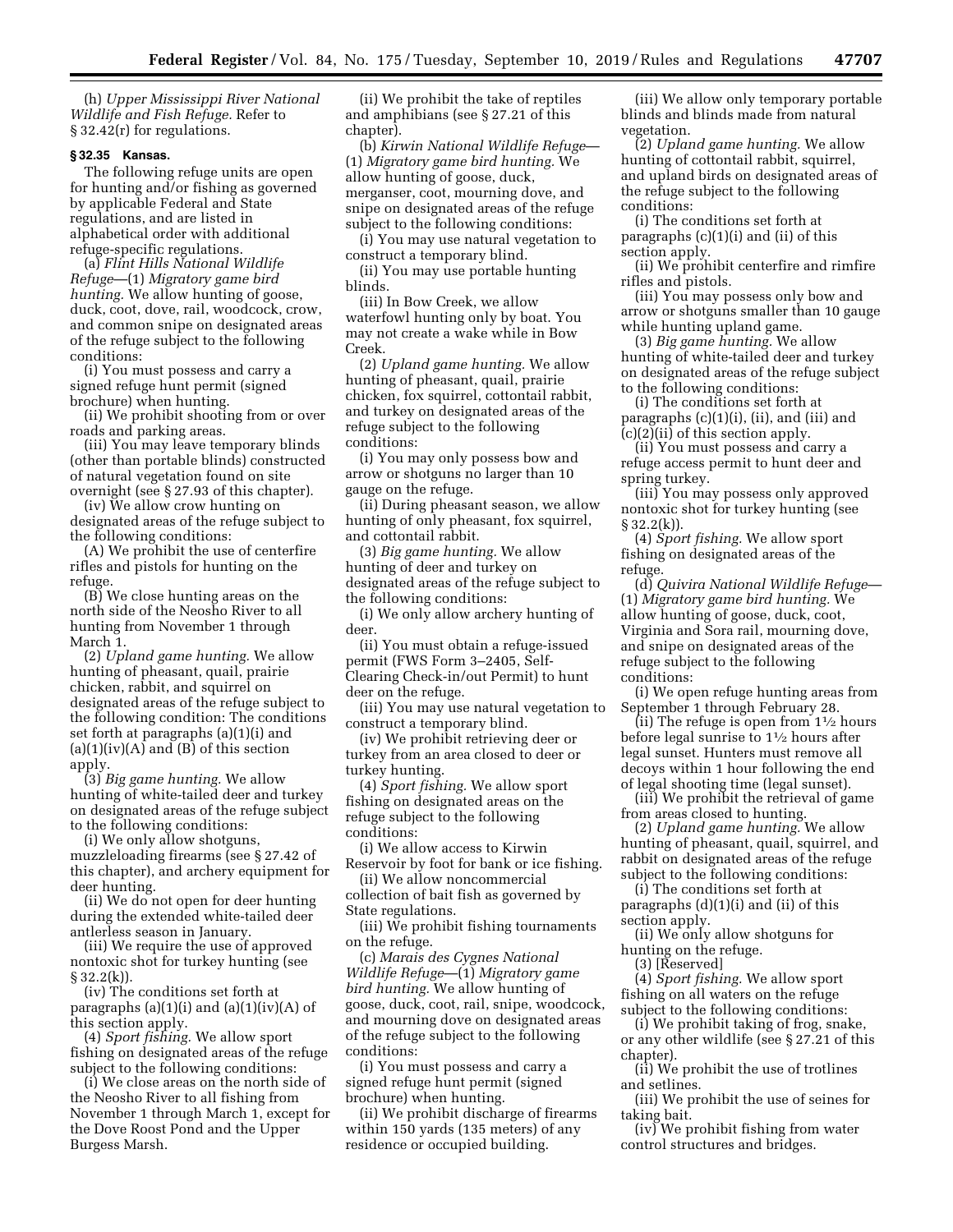(h) *Upper Mississippi River National Wildlife and Fish Refuge.* Refer to § 32.42(r) for regulations.

# **§ 32.35 Kansas.**

The following refuge units are open for hunting and/or fishing as governed by applicable Federal and State regulations, and are listed in alphabetical order with additional refuge-specific regulations.

(a) *Flint Hills National Wildlife Refuge*—(1) *Migratory game bird hunting.* We allow hunting of goose, duck, coot, dove, rail, woodcock, crow, and common snipe on designated areas of the refuge subject to the following conditions:

(i) You must possess and carry a signed refuge hunt permit (signed brochure) when hunting.

(ii) We prohibit shooting from or over roads and parking areas.

(iii) You may leave temporary blinds (other than portable blinds) constructed of natural vegetation found on site overnight (see § 27.93 of this chapter).

(iv) We allow crow hunting on designated areas of the refuge subject to the following conditions:

(A) We prohibit the use of centerfire rifles and pistols for hunting on the refuge.

(B) We close hunting areas on the north side of the Neosho River to all hunting from November 1 through March 1.

(2) *Upland game hunting.* We allow hunting of pheasant, quail, prairie chicken, rabbit, and squirrel on designated areas of the refuge subject to the following condition: The conditions set forth at paragraphs (a)(1)(i) and  $(a)(1)(iv)(A)$  and  $(B)$  of this section apply.

(3) *Big game hunting.* We allow hunting of white-tailed deer and turkey on designated areas of the refuge subject to the following conditions:

(i) We only allow shotguns, muzzleloading firearms (see § 27.42 of this chapter), and archery equipment for deer hunting.

(ii) We do not open for deer hunting during the extended white-tailed deer antlerless season in January.

(iii) We require the use of approved nontoxic shot for turkey hunting (see § 32.2(k)).

(iv) The conditions set forth at paragraphs  $(a)(1)(i)$  and  $(a)(1)(iv)(A)$  of this section apply.

(4) *Sport fishing.* We allow sport fishing on designated areas of the refuge subject to the following conditions:

(i) We close areas on the north side of the Neosho River to all fishing from November 1 through March 1, except for the Dove Roost Pond and the Upper Burgess Marsh.

(ii) We prohibit the take of reptiles and amphibians (see § 27.21 of this chapter).

(b) *Kirwin National Wildlife Refuge*— (1) *Migratory game bird hunting.* We allow hunting of goose, duck, merganser, coot, mourning dove, and snipe on designated areas of the refuge subject to the following conditions:

(i) You may use natural vegetation to construct a temporary blind.

(ii) You may use portable hunting blinds.

(iii) In Bow Creek, we allow waterfowl hunting only by boat. You may not create a wake while in Bow Creek.

(2) *Upland game hunting.* We allow hunting of pheasant, quail, prairie chicken, fox squirrel, cottontail rabbit, and turkey on designated areas of the refuge subject to the following conditions:

(i) You may only possess bow and arrow or shotguns no larger than 10 gauge on the refuge.

(ii) During pheasant season, we allow hunting of only pheasant, fox squirrel, and cottontail rabbit.

(3) *Big game hunting.* We allow hunting of deer and turkey on designated areas of the refuge subject to the following conditions:

(i) We only allow archery hunting of deer.

(ii) You must obtain a refuge-issued permit (FWS Form 3–2405, Self-Clearing Check-in/out Permit) to hunt deer on the refuge.

(iii) You may use natural vegetation to construct a temporary blind.

(iv) We prohibit retrieving deer or turkey from an area closed to deer or turkey hunting.

(4) *Sport fishing.* We allow sport fishing on designated areas on the refuge subject to the following conditions:

(i) We allow access to Kirwin Reservoir by foot for bank or ice fishing.

(ii) We allow noncommercial collection of bait fish as governed by State regulations.

(iii) We prohibit fishing tournaments on the refuge.

(c) *Marais des Cygnes National Wildlife Refuge*—(1) *Migratory game bird hunting.* We allow hunting of goose, duck, coot, rail, snipe, woodcock, and mourning dove on designated areas of the refuge subject to the following conditions:

(i) You must possess and carry a signed refuge hunt permit (signed brochure) when hunting.

(ii) We prohibit discharge of firearms within 150 yards (135 meters) of any residence or occupied building.

(iii) We allow only temporary portable blinds and blinds made from natural vegetation.

(2) *Upland game hunting.* We allow hunting of cottontail rabbit, squirrel, and upland birds on designated areas of the refuge subject to the following conditions:

(i) The conditions set forth at paragraphs (c)(1)(i) and (ii) of this section apply.

(ii) We prohibit centerfire and rimfire rifles and pistols.

(iii) You may possess only bow and arrow or shotguns smaller than 10 gauge while hunting upland game.

(3) *Big game hunting.* We allow hunting of white-tailed deer and turkey on designated areas of the refuge subject to the following conditions:

(i) The conditions set forth at paragraphs (c)(1)(i), (ii), and (iii) and (c)(2)(ii) of this section apply.

(ii) You must possess and carry a refuge access permit to hunt deer and spring turkey.

(iii) You may possess only approved nontoxic shot for turkey hunting (see § 32.2(k)).

(4) *Sport fishing.* We allow sport fishing on designated areas of the refuge.

(d) *Quivira National Wildlife Refuge*— (1) *Migratory game bird hunting.* We allow hunting of goose, duck, coot, Virginia and Sora rail, mourning dove, and snipe on designated areas of the refuge subject to the following conditions:

(i) We open refuge hunting areas from September 1 through February 28.

(ii) The refuge is open from  $1\frac{1}{2}$  hours before legal sunrise to 11⁄2 hours after legal sunset. Hunters must remove all decoys within 1 hour following the end of legal shooting time (legal sunset).

(iii) We prohibit the retrieval of game from areas closed to hunting.

(2) *Upland game hunting.* We allow hunting of pheasant, quail, squirrel, and rabbit on designated areas of the refuge subject to the following conditions:

(i) The conditions set forth at paragraphs  $(d)(1)(i)$  and  $(ii)$  of this section apply.

(ii) We only allow shotguns for hunting on the refuge.

(3) [Reserved]

(4) *Sport fishing.* We allow sport fishing on all waters on the refuge subject to the following conditions:

(i) We prohibit taking of frog, snake, or any other wildlife (see § 27.21 of this

chapter).

(ii) We prohibit the use of trotlines and setlines.

(iii) We prohibit the use of seines for taking bait.

(iv) We prohibit fishing from water control structures and bridges.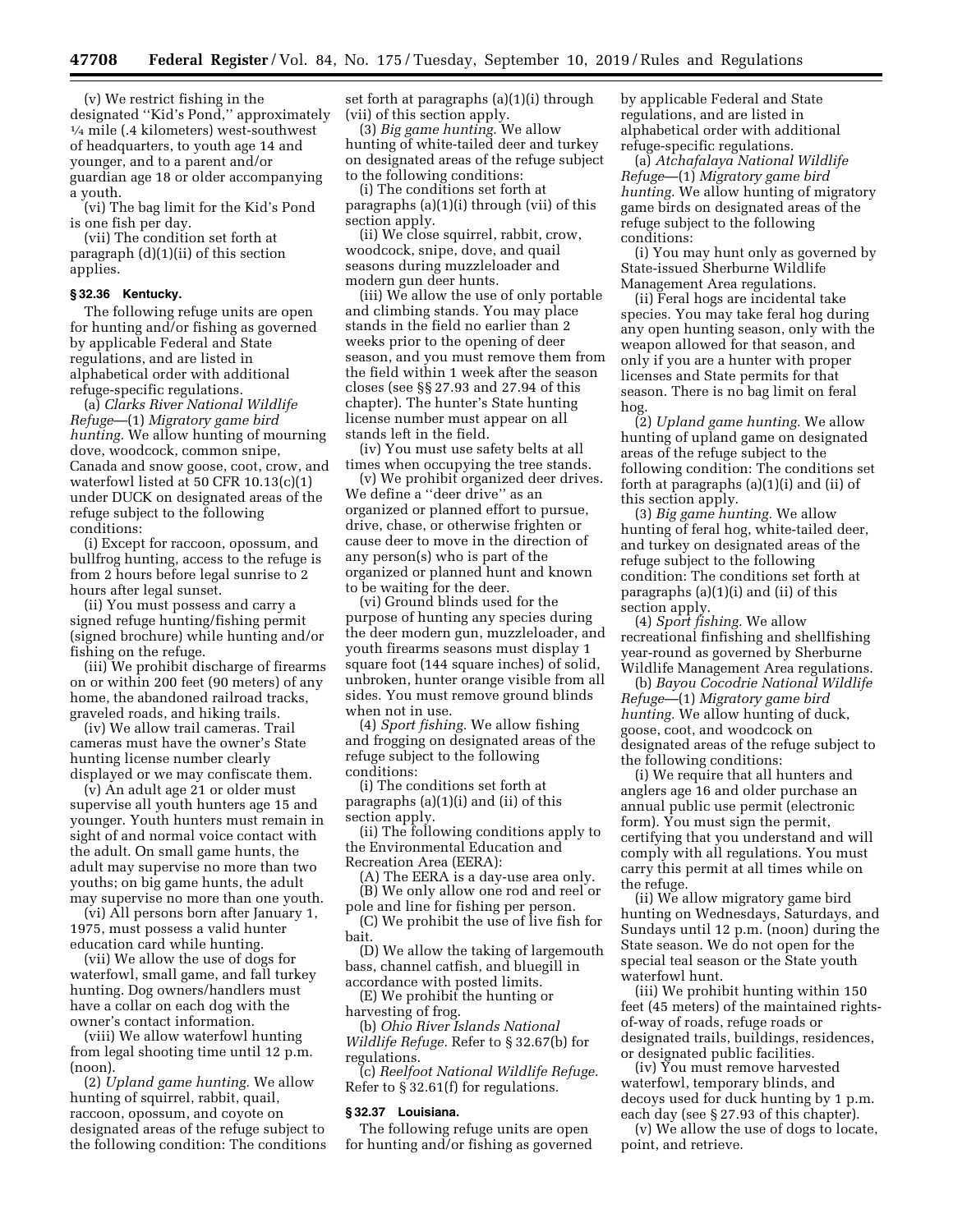(v) We restrict fishing in the designated ''Kid's Pond,'' approximately  $\frac{1}{4}$  mile (.4 kilometers) west-southwest of headquarters, to youth age 14 and younger, and to a parent and/or guardian age 18 or older accompanying a youth.

(vi) The bag limit for the Kid's Pond is one fish per day.

(vii) The condition set forth at paragraph (d)(1)(ii) of this section applies.

#### **§ 32.36 Kentucky.**

The following refuge units are open for hunting and/or fishing as governed by applicable Federal and State regulations, and are listed in alphabetical order with additional refuge-specific regulations.

(a) *Clarks River National Wildlife Refuge*—(1) *Migratory game bird hunting.* We allow hunting of mourning dove, woodcock, common snipe, Canada and snow goose, coot, crow, and waterfowl listed at 50 CFR 10.13(c)(1) under DUCK on designated areas of the refuge subject to the following conditions:

(i) Except for raccoon, opossum, and bullfrog hunting, access to the refuge is from 2 hours before legal sunrise to 2 hours after legal sunset.

(ii) You must possess and carry a signed refuge hunting/fishing permit (signed brochure) while hunting and/or fishing on the refuge.

(iii) We prohibit discharge of firearms on or within 200 feet (90 meters) of any home, the abandoned railroad tracks, graveled roads, and hiking trails.

(iv) We allow trail cameras. Trail cameras must have the owner's State hunting license number clearly displayed or we may confiscate them.

(v) An adult age 21 or older must supervise all youth hunters age 15 and younger. Youth hunters must remain in sight of and normal voice contact with the adult. On small game hunts, the adult may supervise no more than two youths; on big game hunts, the adult may supervise no more than one youth.

(vi) All persons born after January 1, 1975, must possess a valid hunter education card while hunting.

(vii) We allow the use of dogs for waterfowl, small game, and fall turkey hunting. Dog owners/handlers must have a collar on each dog with the owner's contact information.

(viii) We allow waterfowl hunting from legal shooting time until 12 p.m. (noon).

(2) *Upland game hunting.* We allow hunting of squirrel, rabbit, quail, raccoon, opossum, and coyote on designated areas of the refuge subject to the following condition: The conditions set forth at paragraphs (a)(1)(i) through (vii) of this section apply.

(3) *Big game hunting.* We allow hunting of white-tailed deer and turkey on designated areas of the refuge subject to the following conditions:

(i) The conditions set forth at paragraphs (a)(1)(i) through (vii) of this section apply.

(ii) We close squirrel, rabbit, crow, woodcock, snipe, dove, and quail seasons during muzzleloader and modern gun deer hunts.

(iii) We allow the use of only portable and climbing stands. You may place stands in the field no earlier than 2 weeks prior to the opening of deer season, and you must remove them from the field within 1 week after the season closes (see §§ 27.93 and 27.94 of this chapter). The hunter's State hunting license number must appear on all stands left in the field.

(iv) You must use safety belts at all times when occupying the tree stands.

(v) We prohibit organized deer drives. We define a ''deer drive'' as an organized or planned effort to pursue, drive, chase, or otherwise frighten or cause deer to move in the direction of any person(s) who is part of the organized or planned hunt and known to be waiting for the deer.

(vi) Ground blinds used for the purpose of hunting any species during the deer modern gun, muzzleloader, and youth firearms seasons must display 1 square foot (144 square inches) of solid, unbroken, hunter orange visible from all sides. You must remove ground blinds when not in use.

(4) *Sport fishing.* We allow fishing and frogging on designated areas of the refuge subject to the following conditions:

(i) The conditions set forth at paragraphs (a)(1)(i) and (ii) of this section apply.

(ii) The following conditions apply to the Environmental Education and Recreation Area (EERA):

(A) The EERA is a day-use area only. (B) We only allow one rod and reel or

pole and line for fishing per person. (C) We prohibit the use of live fish for bait.

(D) We allow the taking of largemouth bass, channel catfish, and bluegill in accordance with posted limits.

(E) We prohibit the hunting or harvesting of frog.

(b) *Ohio River Islands National Wildlife Refuge.* Refer to § 32.67(b) for regulations.

(c) *Reelfoot National Wildlife Refuge.*  Refer to § 32.61(f) for regulations.

## **§ 32.37 Louisiana.**

The following refuge units are open for hunting and/or fishing as governed by applicable Federal and State regulations, and are listed in alphabetical order with additional refuge-specific regulations.

(a) *Atchafalaya National Wildlife Refuge*—(1) *Migratory game bird hunting.* We allow hunting of migratory game birds on designated areas of the refuge subject to the following conditions:

(i) You may hunt only as governed by State-issued Sherburne Wildlife Management Area regulations.

(ii) Feral hogs are incidental take species. You may take feral hog during any open hunting season, only with the weapon allowed for that season, and only if you are a hunter with proper licenses and State permits for that season. There is no bag limit on feral hog.

(2) *Upland game hunting.* We allow hunting of upland game on designated areas of the refuge subject to the following condition: The conditions set forth at paragraphs (a)(1)(i) and (ii) of this section apply.

(3) *Big game hunting.* We allow hunting of feral hog, white-tailed deer, and turkey on designated areas of the refuge subject to the following condition: The conditions set forth at paragraphs (a)(1)(i) and (ii) of this section apply.

(4) *Sport fishing.* We allow recreational finfishing and shellfishing year-round as governed by Sherburne Wildlife Management Area regulations.

(b) *Bayou Cocodrie National Wildlife Refuge*—(1) *Migratory game bird hunting.* We allow hunting of duck, goose, coot, and woodcock on designated areas of the refuge subject to the following conditions:

(i) We require that all hunters and anglers age 16 and older purchase an annual public use permit (electronic form). You must sign the permit, certifying that you understand and will comply with all regulations. You must carry this permit at all times while on the refuge.

(ii) We allow migratory game bird hunting on Wednesdays, Saturdays, and Sundays until 12 p.m. (noon) during the State season. We do not open for the special teal season or the State youth waterfowl hunt.

(iii) We prohibit hunting within 150 feet (45 meters) of the maintained rightsof-way of roads, refuge roads or designated trails, buildings, residences, or designated public facilities.

(iv) You must remove harvested waterfowl, temporary blinds, and decoys used for duck hunting by 1 p.m. each day (see § 27.93 of this chapter).

(v) We allow the use of dogs to locate, point, and retrieve.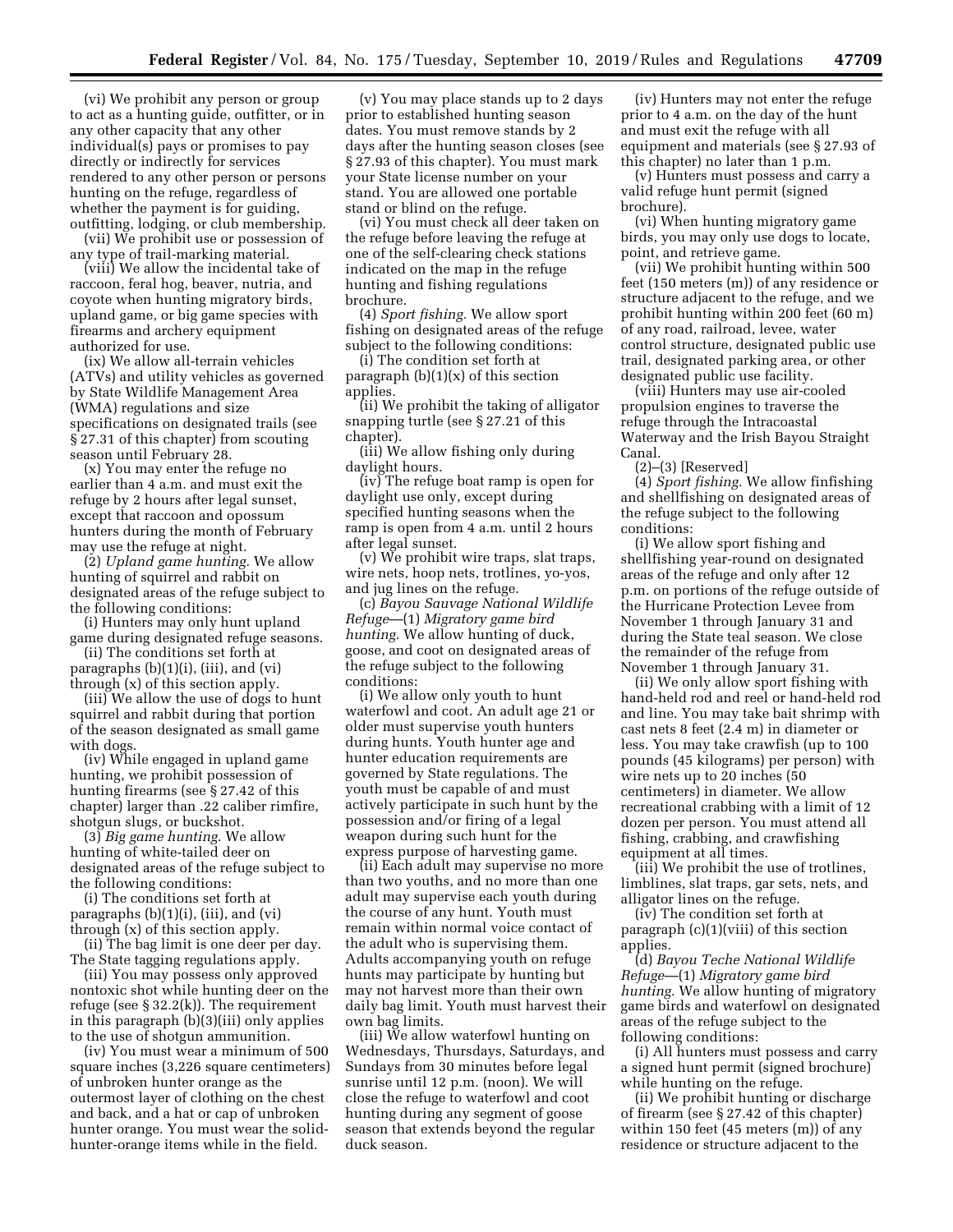(vi) We prohibit any person or group to act as a hunting guide, outfitter, or in any other capacity that any other individual(s) pays or promises to pay directly or indirectly for services rendered to any other person or persons hunting on the refuge, regardless of whether the payment is for guiding, outfitting, lodging, or club membership.

(vii) We prohibit use or possession of any type of trail-marking material.

(viii) We allow the incidental take of raccoon, feral hog, beaver, nutria, and coyote when hunting migratory birds, upland game, or big game species with firearms and archery equipment authorized for use.

(ix) We allow all-terrain vehicles (ATVs) and utility vehicles as governed by State Wildlife Management Area (WMA) regulations and size specifications on designated trails (see § 27.31 of this chapter) from scouting season until February 28.

(x) You may enter the refuge no earlier than 4 a.m. and must exit the refuge by 2 hours after legal sunset, except that raccoon and opossum hunters during the month of February may use the refuge at night.

(2) *Upland game hunting.* We allow hunting of squirrel and rabbit on designated areas of the refuge subject to the following conditions:

(i) Hunters may only hunt upland game during designated refuge seasons.

(ii) The conditions set forth at paragraphs (b)(1)(i), (iii), and (vi) through (x) of this section apply.

(iii) We allow the use of dogs to hunt squirrel and rabbit during that portion of the season designated as small game with dogs.

(iv) While engaged in upland game hunting, we prohibit possession of hunting firearms (see § 27.42 of this chapter) larger than .22 caliber rimfire, shotgun slugs, or buckshot.

(3) *Big game hunting.* We allow hunting of white-tailed deer on designated areas of the refuge subject to the following conditions:

(i) The conditions set forth at paragraphs (b)(1)(i), (iii), and (vi) through (x) of this section apply.

(ii) The bag limit is one deer per day. The State tagging regulations apply.

(iii) You may possess only approved nontoxic shot while hunting deer on the refuge (see § 32.2(k)). The requirement in this paragraph (b)(3)(iii) only applies to the use of shotgun ammunition.

(iv) You must wear a minimum of 500 square inches (3,226 square centimeters) of unbroken hunter orange as the outermost layer of clothing on the chest and back, and a hat or cap of unbroken hunter orange. You must wear the solidhunter-orange items while in the field.

(v) You may place stands up to 2 days prior to established hunting season dates. You must remove stands by 2 days after the hunting season closes (see § 27.93 of this chapter). You must mark your State license number on your stand. You are allowed one portable stand or blind on the refuge.

(vi) You must check all deer taken on the refuge before leaving the refuge at one of the self-clearing check stations indicated on the map in the refuge hunting and fishing regulations brochure.

(4) *Sport fishing.* We allow sport fishing on designated areas of the refuge subject to the following conditions:

(i) The condition set forth at paragraph  $(b)(1)(x)$  of this section applies.

(ii) We prohibit the taking of alligator snapping turtle (see § 27.21 of this chapter).

(iii) We allow fishing only during daylight hours.

(iv) The refuge boat ramp is open for daylight use only, except during specified hunting seasons when the ramp is open from 4 a.m. until 2 hours after legal sunset.

(v) We prohibit wire traps, slat traps, wire nets, hoop nets, trotlines, yo-yos, and jug lines on the refuge.

(c) *Bayou Sauvage National Wildlife Refuge*—(1) *Migratory game bird hunting.* We allow hunting of duck, goose, and coot on designated areas of the refuge subject to the following conditions:

(i) We allow only youth to hunt waterfowl and coot. An adult age 21 or older must supervise youth hunters during hunts. Youth hunter age and hunter education requirements are governed by State regulations. The youth must be capable of and must actively participate in such hunt by the possession and/or firing of a legal weapon during such hunt for the express purpose of harvesting game.

(ii) Each adult may supervise no more than two youths, and no more than one adult may supervise each youth during the course of any hunt. Youth must remain within normal voice contact of the adult who is supervising them. Adults accompanying youth on refuge hunts may participate by hunting but may not harvest more than their own daily bag limit. Youth must harvest their own bag limits.

(iii) We allow waterfowl hunting on Wednesdays, Thursdays, Saturdays, and Sundays from 30 minutes before legal sunrise until 12 p.m. (noon). We will close the refuge to waterfowl and coot hunting during any segment of goose season that extends beyond the regular duck season.

(iv) Hunters may not enter the refuge prior to 4 a.m. on the day of the hunt and must exit the refuge with all equipment and materials (see § 27.93 of this chapter) no later than 1 p.m.

(v) Hunters must possess and carry a valid refuge hunt permit (signed brochure).

(vi) When hunting migratory game birds, you may only use dogs to locate, point, and retrieve game.

(vii) We prohibit hunting within 500 feet (150 meters (m)) of any residence or structure adjacent to the refuge, and we prohibit hunting within 200 feet (60 m) of any road, railroad, levee, water control structure, designated public use trail, designated parking area, or other designated public use facility.

(viii) Hunters may use air-cooled propulsion engines to traverse the refuge through the Intracoastal Waterway and the Irish Bayou Straight Canal.

(2)–(3) [Reserved]

(4) *Sport fishing.* We allow finfishing and shellfishing on designated areas of the refuge subject to the following conditions:

(i) We allow sport fishing and shellfishing year-round on designated areas of the refuge and only after 12 p.m. on portions of the refuge outside of the Hurricane Protection Levee from November 1 through January 31 and during the State teal season. We close the remainder of the refuge from November 1 through January 31.

(ii) We only allow sport fishing with hand-held rod and reel or hand-held rod and line. You may take bait shrimp with cast nets 8 feet (2.4 m) in diameter or less. You may take crawfish (up to 100 pounds (45 kilograms) per person) with wire nets up to 20 inches (50 centimeters) in diameter. We allow recreational crabbing with a limit of 12 dozen per person. You must attend all fishing, crabbing, and crawfishing equipment at all times.

(iii) We prohibit the use of trotlines, limblines, slat traps, gar sets, nets, and alligator lines on the refuge.

(iv) The condition set forth at paragraph (c)(1)(viii) of this section applies.

(d) *Bayou Teche National Wildlife Refuge*—(1) *Migratory game bird hunting.* We allow hunting of migratory game birds and waterfowl on designated areas of the refuge subject to the following conditions:

(i) All hunters must possess and carry a signed hunt permit (signed brochure) while hunting on the refuge.

(ii) We prohibit hunting or discharge of firearm (see § 27.42 of this chapter) within 150 feet (45 meters (m)) of any residence or structure adjacent to the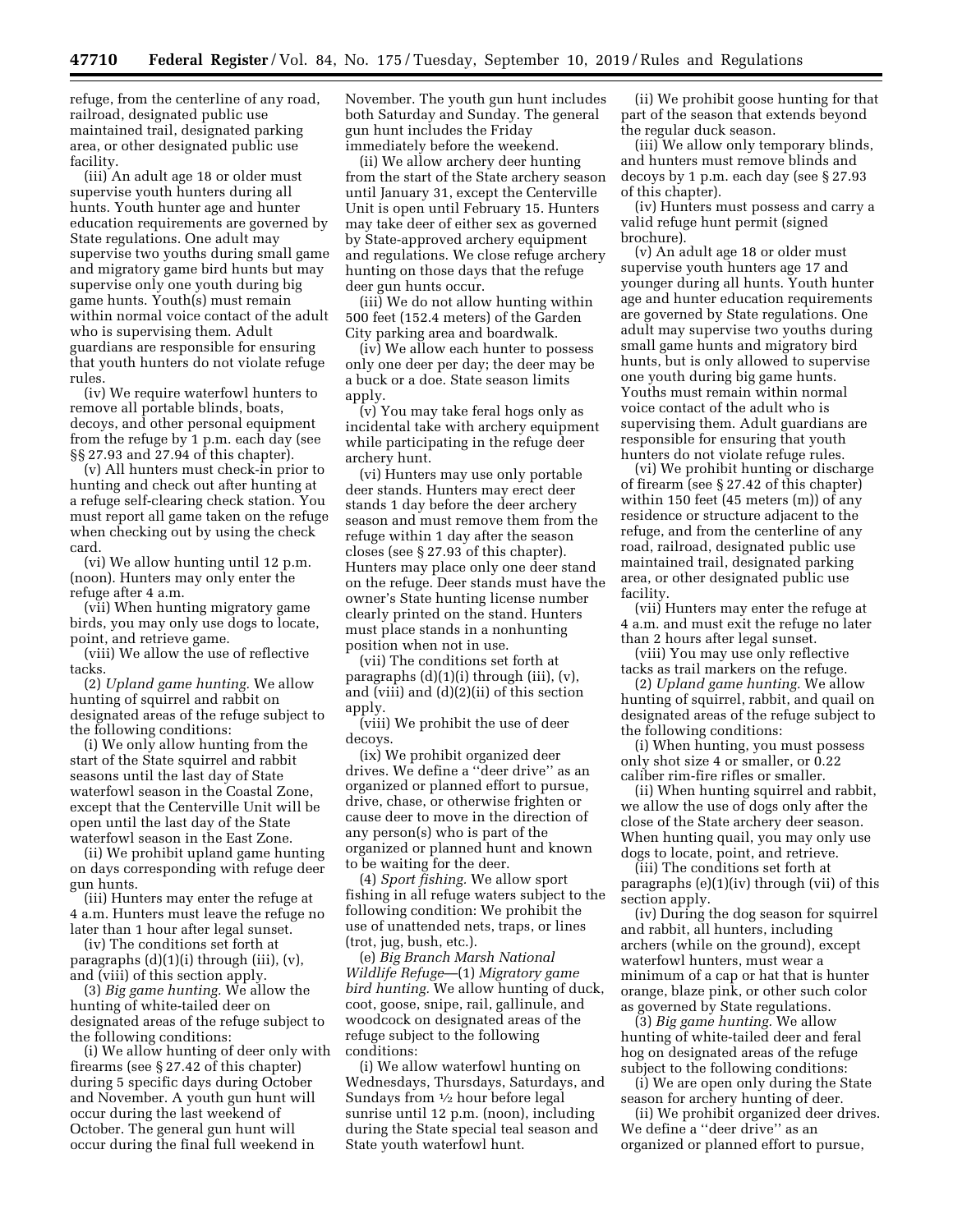refuge, from the centerline of any road, railroad, designated public use maintained trail, designated parking area, or other designated public use facility.

(iii) An adult age 18 or older must supervise youth hunters during all hunts. Youth hunter age and hunter education requirements are governed by State regulations. One adult may supervise two youths during small game and migratory game bird hunts but may supervise only one youth during big game hunts. Youth(s) must remain within normal voice contact of the adult who is supervising them. Adult guardians are responsible for ensuring that youth hunters do not violate refuge rules.

(iv) We require waterfowl hunters to remove all portable blinds, boats, decoys, and other personal equipment from the refuge by 1 p.m. each day (see §§ 27.93 and 27.94 of this chapter).

(v) All hunters must check-in prior to hunting and check out after hunting at a refuge self-clearing check station. You must report all game taken on the refuge when checking out by using the check card.

(vi) We allow hunting until 12 p.m. (noon). Hunters may only enter the refuge after 4 a.m.

(vii) When hunting migratory game birds, you may only use dogs to locate, point, and retrieve game.

(viii) We allow the use of reflective tacks.

(2) *Upland game hunting.* We allow hunting of squirrel and rabbit on designated areas of the refuge subject to the following conditions:

(i) We only allow hunting from the start of the State squirrel and rabbit seasons until the last day of State waterfowl season in the Coastal Zone, except that the Centerville Unit will be open until the last day of the State waterfowl season in the East Zone.

(ii) We prohibit upland game hunting on days corresponding with refuge deer gun hunts.

(iii) Hunters may enter the refuge at 4 a.m. Hunters must leave the refuge no later than 1 hour after legal sunset.

(iv) The conditions set forth at paragraphs  $(d)(1)(i)$  through  $(iii)$ ,  $(v)$ , and (viii) of this section apply.

(3) *Big game hunting.* We allow the hunting of white-tailed deer on designated areas of the refuge subject to the following conditions:

(i) We allow hunting of deer only with firearms (see § 27.42 of this chapter) during 5 specific days during October and November. A youth gun hunt will occur during the last weekend of October. The general gun hunt will occur during the final full weekend in

November. The youth gun hunt includes both Saturday and Sunday. The general gun hunt includes the Friday immediately before the weekend.

(ii) We allow archery deer hunting from the start of the State archery season until January 31, except the Centerville Unit is open until February 15. Hunters may take deer of either sex as governed by State-approved archery equipment and regulations. We close refuge archery hunting on those days that the refuge deer gun hunts occur.

(iii) We do not allow hunting within 500 feet (152.4 meters) of the Garden City parking area and boardwalk.

(iv) We allow each hunter to possess only one deer per day; the deer may be a buck or a doe. State season limits apply.

(v) You may take feral hogs only as incidental take with archery equipment while participating in the refuge deer archery hunt.

(vi) Hunters may use only portable deer stands. Hunters may erect deer stands 1 day before the deer archery season and must remove them from the refuge within 1 day after the season closes (see § 27.93 of this chapter). Hunters may place only one deer stand on the refuge. Deer stands must have the owner's State hunting license number clearly printed on the stand. Hunters must place stands in a nonhunting position when not in use.

(vii) The conditions set forth at paragraphs  $(d)(1)(i)$  through  $(iii)$ ,  $(v)$ , and (viii) and (d)(2)(ii) of this section apply.

(viii) We prohibit the use of deer decoys.

(ix) We prohibit organized deer drives. We define a ''deer drive'' as an organized or planned effort to pursue, drive, chase, or otherwise frighten or cause deer to move in the direction of any person(s) who is part of the organized or planned hunt and known to be waiting for the deer.

(4) *Sport fishing.* We allow sport fishing in all refuge waters subject to the following condition: We prohibit the use of unattended nets, traps, or lines (trot, jug, bush, etc.).

(e) *Big Branch Marsh National Wildlife Refuge*—(1) *Migratory game bird hunting.* We allow hunting of duck, coot, goose, snipe, rail, gallinule, and woodcock on designated areas of the refuge subject to the following conditions:

(i) We allow waterfowl hunting on Wednesdays, Thursdays, Saturdays, and Sundays from 1⁄2 hour before legal sunrise until 12 p.m. (noon), including during the State special teal season and State youth waterfowl hunt.

(ii) We prohibit goose hunting for that part of the season that extends beyond the regular duck season.

(iii) We allow only temporary blinds, and hunters must remove blinds and decoys by 1 p.m. each day (see § 27.93 of this chapter).

(iv) Hunters must possess and carry a valid refuge hunt permit (signed brochure).

(v) An adult age 18 or older must supervise youth hunters age 17 and younger during all hunts. Youth hunter age and hunter education requirements are governed by State regulations. One adult may supervise two youths during small game hunts and migratory bird hunts, but is only allowed to supervise one youth during big game hunts. Youths must remain within normal voice contact of the adult who is supervising them. Adult guardians are responsible for ensuring that youth hunters do not violate refuge rules.

(vi) We prohibit hunting or discharge of firearm (see § 27.42 of this chapter) within 150 feet (45 meters (m)) of any residence or structure adjacent to the refuge, and from the centerline of any road, railroad, designated public use maintained trail, designated parking area, or other designated public use facility.

(vii) Hunters may enter the refuge at 4 a.m. and must exit the refuge no later than 2 hours after legal sunset.

(viii) You may use only reflective tacks as trail markers on the refuge.

(2) *Upland game hunting.* We allow hunting of squirrel, rabbit, and quail on designated areas of the refuge subject to the following conditions:

(i) When hunting, you must possess only shot size 4 or smaller, or 0.22 caliber rim-fire rifles or smaller.

(ii) When hunting squirrel and rabbit, we allow the use of dogs only after the close of the State archery deer season. When hunting quail, you may only use dogs to locate, point, and retrieve.

(iii) The conditions set forth at paragraphs (e)(1)(iv) through (vii) of this section apply.

(iv) During the dog season for squirrel and rabbit, all hunters, including archers (while on the ground), except waterfowl hunters, must wear a minimum of a cap or hat that is hunter orange, blaze pink, or other such color as governed by State regulations.

(3) *Big game hunting.* We allow hunting of white-tailed deer and feral hog on designated areas of the refuge subject to the following conditions:

(i) We are open only during the State season for archery hunting of deer.

(ii) We prohibit organized deer drives. We define a ''deer drive'' as an organized or planned effort to pursue,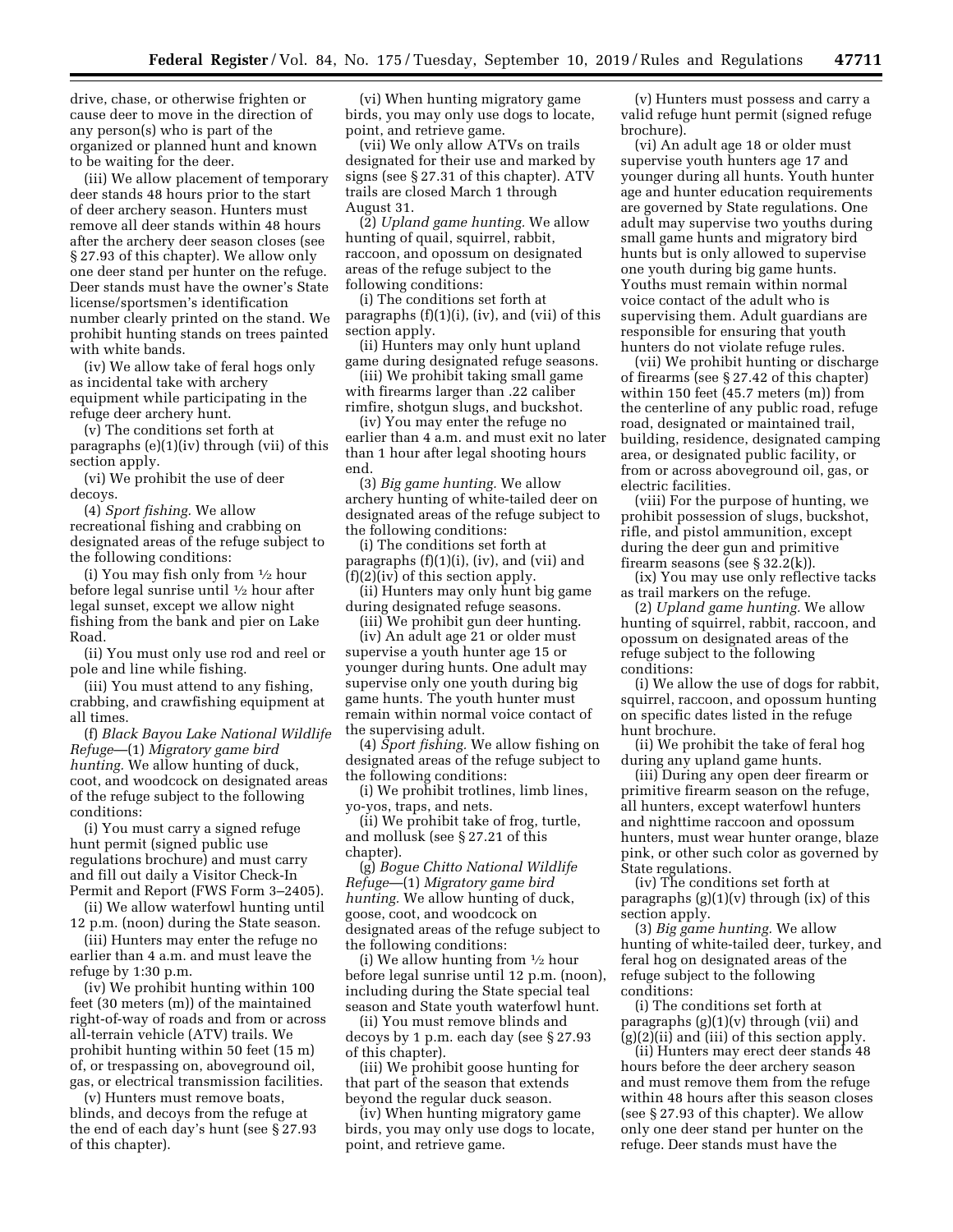drive, chase, or otherwise frighten or cause deer to move in the direction of any person(s) who is part of the organized or planned hunt and known to be waiting for the deer.

(iii) We allow placement of temporary deer stands 48 hours prior to the start of deer archery season. Hunters must remove all deer stands within 48 hours after the archery deer season closes (see § 27.93 of this chapter). We allow only one deer stand per hunter on the refuge. Deer stands must have the owner's State license/sportsmen's identification number clearly printed on the stand. We prohibit hunting stands on trees painted with white bands.

(iv) We allow take of feral hogs only as incidental take with archery equipment while participating in the refuge deer archery hunt.

(v) The conditions set forth at paragraphs (e)(1)(iv) through (vii) of this section apply.

(vi) We prohibit the use of deer decoys.

(4) *Sport fishing.* We allow recreational fishing and crabbing on designated areas of the refuge subject to the following conditions:

(i) You may fish only from  $\frac{1}{2}$  hour before legal sunrise until 1⁄2 hour after legal sunset, except we allow night fishing from the bank and pier on Lake Road.

(ii) You must only use rod and reel or pole and line while fishing.

(iii) You must attend to any fishing, crabbing, and crawfishing equipment at all times.

(f) *Black Bayou Lake National Wildlife Refuge*—(1) *Migratory game bird hunting.* We allow hunting of duck, coot, and woodcock on designated areas of the refuge subject to the following conditions:

(i) You must carry a signed refuge hunt permit (signed public use regulations brochure) and must carry and fill out daily a Visitor Check-In Permit and Report (FWS Form 3–2405).

(ii) We allow waterfowl hunting until 12 p.m. (noon) during the State season.

(iii) Hunters may enter the refuge no earlier than 4 a.m. and must leave the refuge by 1:30 p.m.

(iv) We prohibit hunting within 100 feet (30 meters (m)) of the maintained right-of-way of roads and from or across all-terrain vehicle (ATV) trails. We prohibit hunting within 50 feet (15 m) of, or trespassing on, aboveground oil, gas, or electrical transmission facilities.

(v) Hunters must remove boats, blinds, and decoys from the refuge at the end of each day's hunt (see § 27.93 of this chapter).

(vi) When hunting migratory game birds, you may only use dogs to locate, point, and retrieve game.

(vii) We only allow ATVs on trails designated for their use and marked by signs (see § 27.31 of this chapter). ATV trails are closed March 1 through August 31.

(2) *Upland game hunting.* We allow hunting of quail, squirrel, rabbit, raccoon, and opossum on designated areas of the refuge subject to the following conditions:

(i) The conditions set forth at paragraphs  $(f)(1)(i)$ ,  $(iv)$ , and  $(vii)$  of this section apply.

(ii) Hunters may only hunt upland game during designated refuge seasons.

(iii) We prohibit taking small game with firearms larger than .22 caliber

rimfire, shotgun slugs, and buckshot. (iv) You may enter the refuge no

earlier than 4 a.m. and must exit no later than 1 hour after legal shooting hours end.

(3) *Big game hunting.* We allow archery hunting of white-tailed deer on designated areas of the refuge subject to the following conditions:

(i) The conditions set forth at paragraphs (f)(1)(i), (iv), and (vii) and  $(f)(2)(iv)$  of this section apply.

(ii) Hunters may only hunt big game during designated refuge seasons.

(iii) We prohibit gun deer hunting.

(iv) An adult age 21 or older must supervise a youth hunter age 15 or younger during hunts. One adult may supervise only one youth during big game hunts. The youth hunter must remain within normal voice contact of the supervising adult.

(4) *Sport fishing.* We allow fishing on designated areas of the refuge subject to the following conditions:

(i) We prohibit trotlines, limb lines, yo-yos, traps, and nets.

(ii) We prohibit take of frog, turtle, and mollusk (see § 27.21 of this chapter).

(g) *Bogue Chitto National Wildlife Refuge*—(1) *Migratory game bird hunting.* We allow hunting of duck, goose, coot, and woodcock on designated areas of the refuge subject to the following conditions:

(i) We allow hunting from 1⁄2 hour before legal sunrise until 12 p.m. (noon), including during the State special teal season and State youth waterfowl hunt.

(ii) You must remove blinds and decoys by 1 p.m. each day (see § 27.93 of this chapter).

(iii) We prohibit goose hunting for that part of the season that extends beyond the regular duck season.

(iv) When hunting migratory game birds, you may only use dogs to locate, point, and retrieve game.

(v) Hunters must possess and carry a valid refuge hunt permit (signed refuge brochure).

(vi) An adult age 18 or older must supervise youth hunters age 17 and younger during all hunts. Youth hunter age and hunter education requirements are governed by State regulations. One adult may supervise two youths during small game hunts and migratory bird hunts but is only allowed to supervise one youth during big game hunts. Youths must remain within normal voice contact of the adult who is supervising them. Adult guardians are responsible for ensuring that youth hunters do not violate refuge rules.

(vii) We prohibit hunting or discharge of firearms (see § 27.42 of this chapter) within 150 feet (45.7 meters (m)) from the centerline of any public road, refuge road, designated or maintained trail, building, residence, designated camping area, or designated public facility, or from or across aboveground oil, gas, or electric facilities.

(viii) For the purpose of hunting, we prohibit possession of slugs, buckshot, rifle, and pistol ammunition, except during the deer gun and primitive firearm seasons (see § 32.2(k)).

(ix) You may use only reflective tacks as trail markers on the refuge.

(2) *Upland game hunting.* We allow hunting of squirrel, rabbit, raccoon, and opossum on designated areas of the refuge subject to the following conditions:

(i) We allow the use of dogs for rabbit, squirrel, raccoon, and opossum hunting on specific dates listed in the refuge hunt brochure.

(ii) We prohibit the take of feral hog during any upland game hunts.

(iii) During any open deer firearm or primitive firearm season on the refuge, all hunters, except waterfowl hunters and nighttime raccoon and opossum hunters, must wear hunter orange, blaze pink, or other such color as governed by State regulations.

(iv) The conditions set forth at paragraphs  $(g)(1)(v)$  through  $(ix)$  of this section apply.

(3) *Big game hunting.* We allow hunting of white-tailed deer, turkey, and feral hog on designated areas of the refuge subject to the following conditions:

(i) The conditions set forth at paragraphs  $(g)(1)(v)$  through (vii) and  $(g)(2)(ii)$  and  $(iii)$  of this section apply.

(ii) Hunters may erect deer stands 48 hours before the deer archery season and must remove them from the refuge within 48 hours after this season closes (see § 27.93 of this chapter). We allow only one deer stand per hunter on the refuge. Deer stands must have the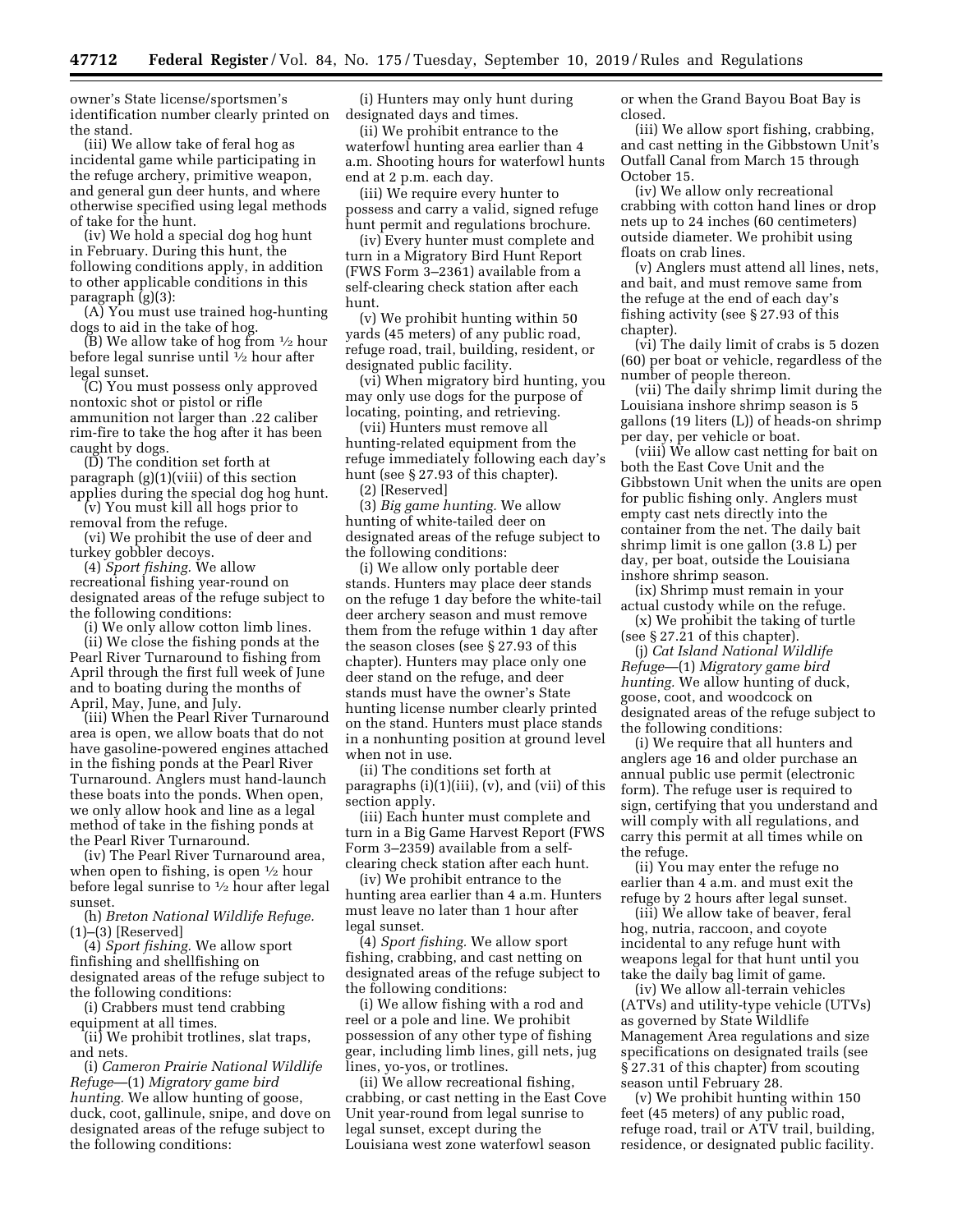owner's State license/sportsmen's identification number clearly printed on the stand.

(iii) We allow take of feral hog as incidental game while participating in the refuge archery, primitive weapon, and general gun deer hunts, and where otherwise specified using legal methods of take for the hunt.

(iv) We hold a special dog hog hunt in February. During this hunt, the following conditions apply, in addition to other applicable conditions in this paragraph (g)(3):

(A) You must use trained hog-hunting dogs to aid in the take of hog.

(B) We allow take of hog from  $\frac{1}{2}$  hour before legal sunrise until  $\frac{1}{2}$  hour after legal sunset.

(C) You must possess only approved nontoxic shot or pistol or rifle ammunition not larger than .22 caliber rim-fire to take the hog after it has been caught by dogs.

(D) The condition set forth at paragraph (g)(1)(viii) of this section applies during the special dog hog hunt.

(v) You must kill all hogs prior to removal from the refuge.

(vi) We prohibit the use of deer and turkey gobbler decoys.

(4) *Sport fishing.* We allow recreational fishing year-round on designated areas of the refuge subject to the following conditions:

(i) We only allow cotton limb lines.

(ii) We close the fishing ponds at the Pearl River Turnaround to fishing from April through the first full week of June and to boating during the months of April, May, June, and July.

(iii) When the Pearl River Turnaround area is open, we allow boats that do not have gasoline-powered engines attached in the fishing ponds at the Pearl River Turnaround. Anglers must hand-launch these boats into the ponds. When open, we only allow hook and line as a legal method of take in the fishing ponds at the Pearl River Turnaround.

(iv) The Pearl River Turnaround area, when open to fishing, is open 1⁄2 hour before legal sunrise to  $\frac{1}{2}$  hour after legal sunset.

(h) *Breton National Wildlife Refuge.*  (1)–(3) [Reserved]

(4) *Sport fishing.* We allow sport finfishing and shellfishing on designated areas of the refuge subject to the following conditions:

(i) Crabbers must tend crabbing equipment at all times.

(ii) We prohibit trotlines, slat traps, and nets.

(i) *Cameron Prairie National Wildlife Refuge*—(1) *Migratory game bird hunting.* We allow hunting of goose, duck, coot, gallinule, snipe, and dove on designated areas of the refuge subject to the following conditions:

(i) Hunters may only hunt during designated days and times.

(ii) We prohibit entrance to the waterfowl hunting area earlier than 4 a.m. Shooting hours for waterfowl hunts end at 2 p.m. each day.

(iii) We require every hunter to possess and carry a valid, signed refuge hunt permit and regulations brochure.

(iv) Every hunter must complete and turn in a Migratory Bird Hunt Report (FWS Form 3–2361) available from a self-clearing check station after each hunt.

(v) We prohibit hunting within 50 yards (45 meters) of any public road, refuge road, trail, building, resident, or designated public facility.

(vi) When migratory bird hunting, you may only use dogs for the purpose of locating, pointing, and retrieving.

(vii) Hunters must remove all hunting-related equipment from the refuge immediately following each day's hunt (see § 27.93 of this chapter).

(2) [Reserved]

(3) *Big game hunting.* We allow hunting of white-tailed deer on designated areas of the refuge subject to the following conditions:

(i) We allow only portable deer stands. Hunters may place deer stands on the refuge 1 day before the white-tail deer archery season and must remove them from the refuge within 1 day after the season closes (see § 27.93 of this chapter). Hunters may place only one deer stand on the refuge, and deer stands must have the owner's State hunting license number clearly printed on the stand. Hunters must place stands in a nonhunting position at ground level when not in use.

(ii) The conditions set forth at paragraphs (i)(1)(iii), (v), and (vii) of this section apply.

(iii) Each hunter must complete and turn in a Big Game Harvest Report (FWS Form 3–2359) available from a selfclearing check station after each hunt.

(iv) We prohibit entrance to the hunting area earlier than 4 a.m. Hunters must leave no later than 1 hour after legal sunset.

(4) *Sport fishing.* We allow sport fishing, crabbing, and cast netting on designated areas of the refuge subject to the following conditions:

(i) We allow fishing with a rod and reel or a pole and line. We prohibit possession of any other type of fishing gear, including limb lines, gill nets, jug lines, yo-yos, or trotlines.

(ii) We allow recreational fishing, crabbing, or cast netting in the East Cove Unit year-round from legal sunrise to legal sunset, except during the Louisiana west zone waterfowl season

or when the Grand Bayou Boat Bay is closed.

(iii) We allow sport fishing, crabbing, and cast netting in the Gibbstown Unit's Outfall Canal from March 15 through October 15.

(iv) We allow only recreational crabbing with cotton hand lines or drop nets up to 24 inches (60 centimeters) outside diameter. We prohibit using floats on crab lines.

(v) Anglers must attend all lines, nets, and bait, and must remove same from the refuge at the end of each day's fishing activity (see § 27.93 of this chapter).

(vi) The daily limit of crabs is 5 dozen (60) per boat or vehicle, regardless of the number of people thereon.

(vii) The daily shrimp limit during the Louisiana inshore shrimp season is 5 gallons (19 liters (L)) of heads-on shrimp per day, per vehicle or boat.

(viii) We allow cast netting for bait on both the East Cove Unit and the Gibbstown Unit when the units are open for public fishing only. Anglers must empty cast nets directly into the container from the net. The daily bait shrimp limit is one gallon (3.8 L) per day, per boat, outside the Louisiana inshore shrimp season.

(ix) Shrimp must remain in your actual custody while on the refuge.

(x) We prohibit the taking of turtle (see § 27.21 of this chapter).

(j) *Cat Island National Wildlife Refuge*—(1) *Migratory game bird hunting.* We allow hunting of duck, goose, coot, and woodcock on designated areas of the refuge subject to the following conditions:

(i) We require that all hunters and anglers age 16 and older purchase an annual public use permit (electronic form). The refuge user is required to sign, certifying that you understand and will comply with all regulations, and carry this permit at all times while on the refuge.

(ii) You may enter the refuge no earlier than 4 a.m. and must exit the refuge by 2 hours after legal sunset.

(iii) We allow take of beaver, feral hog, nutria, raccoon, and coyote incidental to any refuge hunt with weapons legal for that hunt until you take the daily bag limit of game.

(iv) We allow all-terrain vehicles (ATVs) and utility-type vehicle (UTVs) as governed by State Wildlife Management Area regulations and size specifications on designated trails (see § 27.31 of this chapter) from scouting season until February 28.

(v) We prohibit hunting within 150 feet (45 meters) of any public road, refuge road, trail or ATV trail, building, residence, or designated public facility.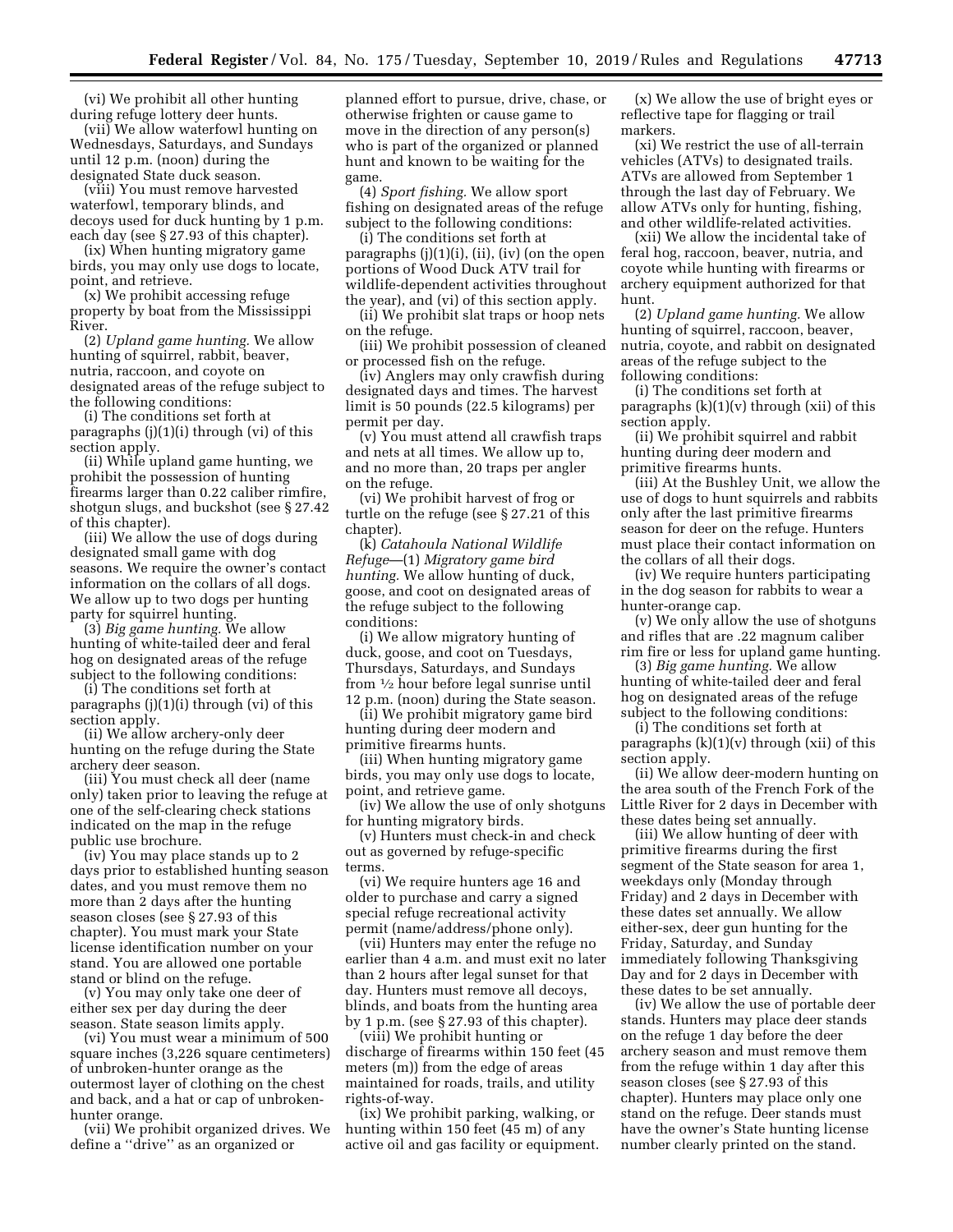(vi) We prohibit all other hunting during refuge lottery deer hunts.

(vii) We allow waterfowl hunting on Wednesdays, Saturdays, and Sundays until 12 p.m. (noon) during the designated State duck season.

(viii) You must remove harvested waterfowl, temporary blinds, and decoys used for duck hunting by 1 p.m. each day (see § 27.93 of this chapter).

(ix) When hunting migratory game birds, you may only use dogs to locate, point, and retrieve.

(x) We prohibit accessing refuge property by boat from the Mississippi River.

(2) *Upland game hunting.* We allow hunting of squirrel, rabbit, beaver, nutria, raccoon, and coyote on designated areas of the refuge subject to the following conditions:

(i) The conditions set forth at paragraphs (j)(1)(i) through (vi) of this section apply.

(ii) While upland game hunting, we prohibit the possession of hunting firearms larger than 0.22 caliber rimfire, shotgun slugs, and buckshot (see § 27.42 of this chapter).

(iii) We allow the use of dogs during designated small game with dog seasons. We require the owner's contact information on the collars of all dogs. We allow up to two dogs per hunting party for squirrel hunting.

(3) *Big game hunting.* We allow hunting of white-tailed deer and feral hog on designated areas of the refuge subject to the following conditions:

(i) The conditions set forth at paragraphs (j)(1)(i) through (vi) of this section apply.

(ii) We allow archery-only deer hunting on the refuge during the State archery deer season.

(iii) You must check all deer (name only) taken prior to leaving the refuge at one of the self-clearing check stations indicated on the map in the refuge public use brochure.

(iv) You may place stands up to 2 days prior to established hunting season dates, and you must remove them no more than 2 days after the hunting season closes (see § 27.93 of this chapter). You must mark your State license identification number on your stand. You are allowed one portable stand or blind on the refuge.

(v) You may only take one deer of either sex per day during the deer season. State season limits apply.

(vi) You must wear a minimum of 500 square inches (3,226 square centimeters) of unbroken-hunter orange as the outermost layer of clothing on the chest and back, and a hat or cap of unbrokenhunter orange.

(vii) We prohibit organized drives. We define a ''drive'' as an organized or

planned effort to pursue, drive, chase, or otherwise frighten or cause game to move in the direction of any person(s) who is part of the organized or planned hunt and known to be waiting for the game.

(4) *Sport fishing.* We allow sport fishing on designated areas of the refuge subject to the following conditions:

(i) The conditions set forth at paragraphs  $(j)(1)(i)$ ,  $(ii)$ ,  $(iv)$  (on the open portions of Wood Duck ATV trail for wildlife-dependent activities throughout the year), and (vi) of this section apply.

(ii) We prohibit slat traps or hoop nets on the refuge.

(iii) We prohibit possession of cleaned or processed fish on the refuge.

(iv) Anglers may only crawfish during designated days and times. The harvest limit is 50 pounds (22.5 kilograms) per permit per day.

(v) You must attend all crawfish traps and nets at all times. We allow up to, and no more than, 20 traps per angler on the refuge.

(vi) We prohibit harvest of frog or turtle on the refuge (see § 27.21 of this chapter).

(k) *Catahoula National Wildlife Refuge*—(1) *Migratory game bird hunting.* We allow hunting of duck, goose, and coot on designated areas of the refuge subject to the following conditions:

(i) We allow migratory hunting of duck, goose, and coot on Tuesdays, Thursdays, Saturdays, and Sundays from 1⁄2 hour before legal sunrise until 12 p.m. (noon) during the State season.

(ii) We prohibit migratory game bird hunting during deer modern and primitive firearms hunts.

(iii) When hunting migratory game birds, you may only use dogs to locate, point, and retrieve game.

(iv) We allow the use of only shotguns for hunting migratory birds.

(v) Hunters must check-in and check out as governed by refuge-specific terms.

(vi) We require hunters age 16 and older to purchase and carry a signed special refuge recreational activity permit (name/address/phone only).

(vii) Hunters may enter the refuge no earlier than 4 a.m. and must exit no later than 2 hours after legal sunset for that day. Hunters must remove all decoys, blinds, and boats from the hunting area by 1 p.m. (see § 27.93 of this chapter).

(viii) We prohibit hunting or discharge of firearms within 150 feet (45 meters (m)) from the edge of areas maintained for roads, trails, and utility rights-of-way.

(ix) We prohibit parking, walking, or hunting within 150 feet (45 m) of any active oil and gas facility or equipment.

(x) We allow the use of bright eyes or reflective tape for flagging or trail markers.

(xi) We restrict the use of all-terrain vehicles (ATVs) to designated trails. ATVs are allowed from September 1 through the last day of February. We allow ATVs only for hunting, fishing, and other wildlife-related activities.

(xii) We allow the incidental take of feral hog, raccoon, beaver, nutria, and coyote while hunting with firearms or archery equipment authorized for that hunt.

(2) *Upland game hunting.* We allow hunting of squirrel, raccoon, beaver, nutria, coyote, and rabbit on designated areas of the refuge subject to the following conditions:

(i) The conditions set forth at paragraphs  $(k)(1)(v)$  through  $(xii)$  of this section apply.

(ii) We prohibit squirrel and rabbit hunting during deer modern and primitive firearms hunts.

(iii) At the Bushley Unit, we allow the use of dogs to hunt squirrels and rabbits only after the last primitive firearms season for deer on the refuge. Hunters must place their contact information on the collars of all their dogs.

(iv) We require hunters participating in the dog season for rabbits to wear a hunter-orange cap.

(v) We only allow the use of shotguns and rifles that are .22 magnum caliber rim fire or less for upland game hunting.

(3) *Big game hunting.* We allow hunting of white-tailed deer and feral hog on designated areas of the refuge subject to the following conditions:

(i) The conditions set forth at paragraphs  $(k)(1)(v)$  through  $(xii)$  of this section apply.

(ii) We allow deer-modern hunting on the area south of the French Fork of the Little River for 2 days in December with these dates being set annually.

(iii) We allow hunting of deer with primitive firearms during the first segment of the State season for area 1, weekdays only (Monday through Friday) and 2 days in December with these dates set annually. We allow either-sex, deer gun hunting for the Friday, Saturday, and Sunday immediately following Thanksgiving Day and for 2 days in December with these dates to be set annually.

(iv) We allow the use of portable deer stands. Hunters may place deer stands on the refuge 1 day before the deer archery season and must remove them from the refuge within 1 day after this season closes (see § 27.93 of this chapter). Hunters may place only one stand on the refuge. Deer stands must have the owner's State hunting license number clearly printed on the stand.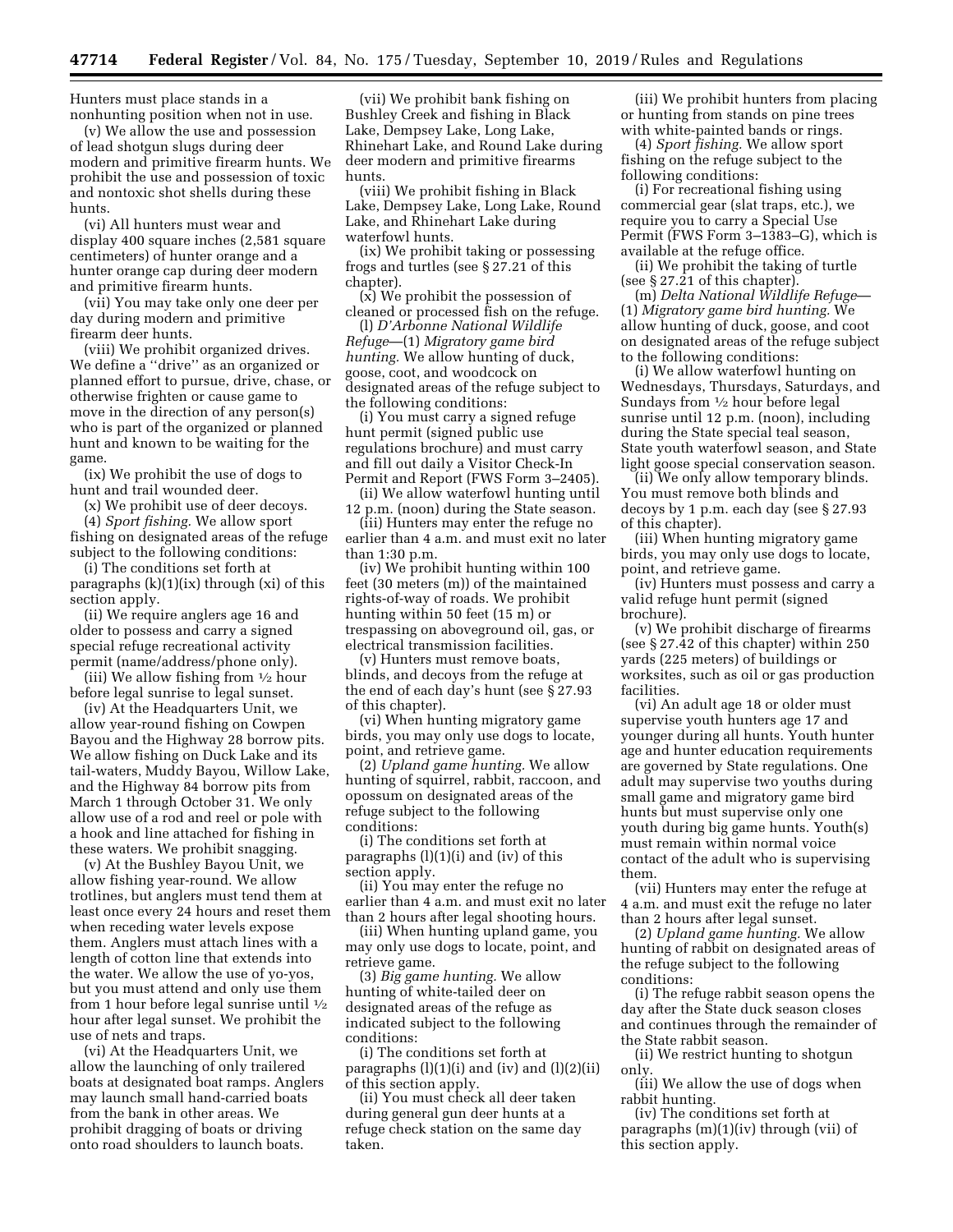Hunters must place stands in a nonhunting position when not in use.

(v) We allow the use and possession of lead shotgun slugs during deer modern and primitive firearm hunts. We prohibit the use and possession of toxic and nontoxic shot shells during these hunts.

(vi) All hunters must wear and display 400 square inches (2,581 square centimeters) of hunter orange and a hunter orange cap during deer modern and primitive firearm hunts.

(vii) You may take only one deer per day during modern and primitive firearm deer hunts.

(viii) We prohibit organized drives. We define a ''drive'' as an organized or planned effort to pursue, drive, chase, or otherwise frighten or cause game to move in the direction of any person(s) who is part of the organized or planned hunt and known to be waiting for the game.

(ix) We prohibit the use of dogs to hunt and trail wounded deer.

(x) We prohibit use of deer decoys. (4) *Sport fishing.* We allow sport fishing on designated areas of the refuge subject to the following conditions:

(i) The conditions set forth at paragraphs (k)(1)(ix) through (xi) of this section apply.

(ii) We require anglers age 16 and older to possess and carry a signed special refuge recreational activity permit (name/address/phone only).

(iii) We allow fishing from  $\frac{1}{2}$  hour before legal sunrise to legal sunset.

(iv) At the Headquarters Unit, we allow year-round fishing on Cowpen Bayou and the Highway 28 borrow pits. We allow fishing on Duck Lake and its tail-waters, Muddy Bayou, Willow Lake, and the Highway 84 borrow pits from March 1 through October 31. We only allow use of a rod and reel or pole with a hook and line attached for fishing in these waters. We prohibit snagging.

(v) At the Bushley Bayou Unit, we allow fishing year-round. We allow trotlines, but anglers must tend them at least once every 24 hours and reset them when receding water levels expose them. Anglers must attach lines with a length of cotton line that extends into the water. We allow the use of yo-yos, but you must attend and only use them from 1 hour before legal sunrise until  $\frac{1}{2}$ hour after legal sunset. We prohibit the use of nets and traps.

(vi) At the Headquarters Unit, we allow the launching of only trailered boats at designated boat ramps. Anglers may launch small hand-carried boats from the bank in other areas. We prohibit dragging of boats or driving onto road shoulders to launch boats.

(vii) We prohibit bank fishing on Bushley Creek and fishing in Black Lake, Dempsey Lake, Long Lake, Rhinehart Lake, and Round Lake during deer modern and primitive firearms hunts.

(viii) We prohibit fishing in Black Lake, Dempsey Lake, Long Lake, Round Lake, and Rhinehart Lake during waterfowl hunts.

(ix) We prohibit taking or possessing frogs and turtles (see § 27.21 of this chapter).

(x) We prohibit the possession of cleaned or processed fish on the refuge.

(l) *D'Arbonne National Wildlife Refuge*—(1) *Migratory game bird hunting.* We allow hunting of duck, goose, coot, and woodcock on designated areas of the refuge subject to the following conditions:

(i) You must carry a signed refuge hunt permit (signed public use regulations brochure) and must carry and fill out daily a Visitor Check-In Permit and Report (FWS Form 3–2405).

(ii) We allow waterfowl hunting until 12 p.m. (noon) during the State season.

(iii) Hunters may enter the refuge no earlier than 4 a.m. and must exit no later than 1:30 p.m.

(iv) We prohibit hunting within 100 feet (30 meters (m)) of the maintained rights-of-way of roads. We prohibit hunting within 50 feet (15 m) or trespassing on aboveground oil, gas, or electrical transmission facilities.

(v) Hunters must remove boats, blinds, and decoys from the refuge at the end of each day's hunt (see § 27.93 of this chapter).

(vi) When hunting migratory game birds, you may only use dogs to locate, point, and retrieve game.

(2) *Upland game hunting.* We allow hunting of squirrel, rabbit, raccoon, and opossum on designated areas of the refuge subject to the following conditions:

(i) The conditions set forth at paragraphs (l)(1)(i) and (iv) of this section apply.

(ii) You may enter the refuge no earlier than 4 a.m. and must exit no later than 2 hours after legal shooting hours.

(iii) When hunting upland game, you may only use dogs to locate, point, and retrieve game.

(3) *Big game hunting.* We allow hunting of white-tailed deer on designated areas of the refuge as indicated subject to the following conditions:

(i) The conditions set forth at paragraphs  $(l)(1)(i)$  and  $(iv)$  and  $(l)(2)(ii)$ of this section apply.

(ii) You must check all deer taken during general gun deer hunts at a refuge check station on the same day taken.

(iii) We prohibit hunters from placing or hunting from stands on pine trees with white-painted bands or rings.

(4) *Sport fishing.* We allow sport fishing on the refuge subject to the following conditions:

(i) For recreational fishing using commercial gear (slat traps, etc.), we require you to carry a Special Use Permit (FWS Form 3–1383–G), which is available at the refuge office.

(ii) We prohibit the taking of turtle (see § 27.21 of this chapter).

(m) *Delta National Wildlife Refuge*— (1) *Migratory game bird hunting.* We allow hunting of duck, goose, and coot on designated areas of the refuge subject to the following conditions:

(i) We allow waterfowl hunting on Wednesdays, Thursdays, Saturdays, and Sundays from 1⁄2 hour before legal sunrise until 12 p.m. (noon), including during the State special teal season, State youth waterfowl season, and State light goose special conservation season.

(ii) We only allow temporary blinds. You must remove both blinds and decoys by 1 p.m. each day (see § 27.93 of this chapter).

(iii) When hunting migratory game birds, you may only use dogs to locate, point, and retrieve game.

(iv) Hunters must possess and carry a valid refuge hunt permit (signed brochure).

(v) We prohibit discharge of firearms (see § 27.42 of this chapter) within 250 yards (225 meters) of buildings or worksites, such as oil or gas production facilities.

(vi) An adult age 18 or older must supervise youth hunters age 17 and younger during all hunts. Youth hunter age and hunter education requirements are governed by State regulations. One adult may supervise two youths during small game and migratory game bird hunts but must supervise only one youth during big game hunts. Youth(s) must remain within normal voice contact of the adult who is supervising them.

(vii) Hunters may enter the refuge at 4 a.m. and must exit the refuge no later than 2 hours after legal sunset.

(2) *Upland game hunting.* We allow hunting of rabbit on designated areas of the refuge subject to the following conditions:

(i) The refuge rabbit season opens the day after the State duck season closes and continues through the remainder of the State rabbit season.

(ii) We restrict hunting to shotgun only.

(iii) We allow the use of dogs when rabbit hunting.

(iv) The conditions set forth at paragraphs (m)(1)(iv) through (vii) of this section apply.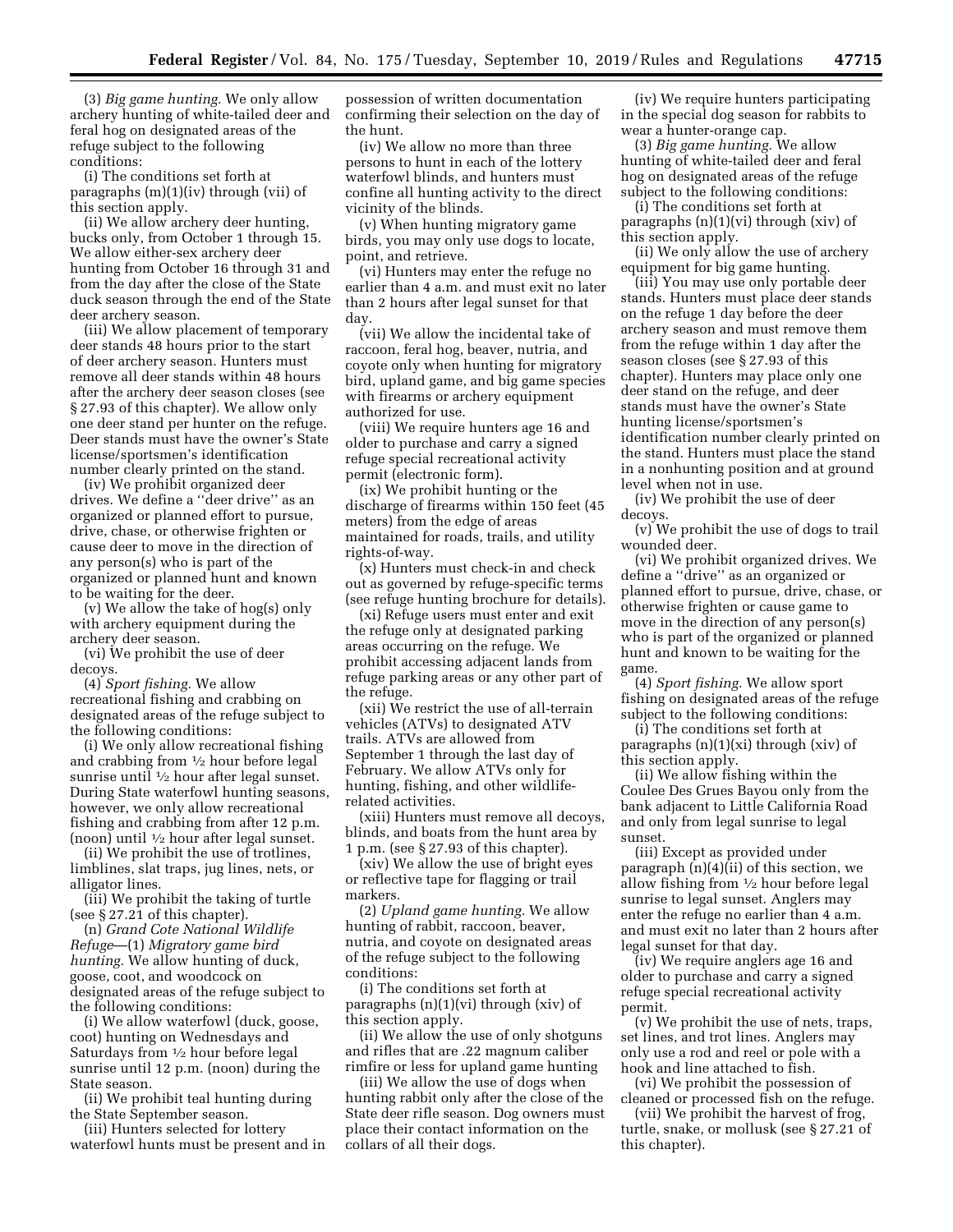(3) *Big game hunting.* We only allow archery hunting of white-tailed deer and feral hog on designated areas of the refuge subject to the following conditions:

(i) The conditions set forth at paragraphs (m)(1)(iv) through (vii) of this section apply.

(ii) We allow archery deer hunting, bucks only, from October 1 through 15. We allow either-sex archery deer hunting from October 16 through 31 and from the day after the close of the State duck season through the end of the State deer archery season.

(iii) We allow placement of temporary deer stands 48 hours prior to the start of deer archery season. Hunters must remove all deer stands within 48 hours after the archery deer season closes (see § 27.93 of this chapter). We allow only one deer stand per hunter on the refuge. Deer stands must have the owner's State license/sportsmen's identification number clearly printed on the stand.

(iv) We prohibit organized deer drives. We define a ''deer drive'' as an organized or planned effort to pursue, drive, chase, or otherwise frighten or cause deer to move in the direction of any person(s) who is part of the organized or planned hunt and known to be waiting for the deer.

(v) We allow the take of hog(s) only with archery equipment during the archery deer season.

(vi) We prohibit the use of deer decoys.

(4) *Sport fishing.* We allow recreational fishing and crabbing on designated areas of the refuge subject to the following conditions:

(i) We only allow recreational fishing and crabbing from 1⁄2 hour before legal sunrise until 1/2 hour after legal sunset. During State waterfowl hunting seasons, however, we only allow recreational fishing and crabbing from after 12 p.m. (noon) until 1⁄2 hour after legal sunset.

(ii) We prohibit the use of trotlines, limblines, slat traps, jug lines, nets, or alligator lines.

(iii) We prohibit the taking of turtle (see § 27.21 of this chapter).

(n) *Grand Cote National Wildlife Refuge*—(1) *Migratory game bird hunting.* We allow hunting of duck, goose, coot, and woodcock on designated areas of the refuge subject to the following conditions:

(i) We allow waterfowl (duck, goose, coot) hunting on Wednesdays and Saturdays from 1⁄2 hour before legal sunrise until 12 p.m. (noon) during the State season.

(ii) We prohibit teal hunting during the State September season.

(iii) Hunters selected for lottery waterfowl hunts must be present and in

possession of written documentation confirming their selection on the day of the hunt.

(iv) We allow no more than three persons to hunt in each of the lottery waterfowl blinds, and hunters must confine all hunting activity to the direct vicinity of the blinds.

(v) When hunting migratory game birds, you may only use dogs to locate, point, and retrieve.

(vi) Hunters may enter the refuge no earlier than 4 a.m. and must exit no later than 2 hours after legal sunset for that day.

(vii) We allow the incidental take of raccoon, feral hog, beaver, nutria, and coyote only when hunting for migratory bird, upland game, and big game species with firearms or archery equipment authorized for use.

(viii) We require hunters age 16 and older to purchase and carry a signed refuge special recreational activity permit (electronic form).

(ix) We prohibit hunting or the discharge of firearms within 150 feet (45 meters) from the edge of areas maintained for roads, trails, and utility rights-of-way.

(x) Hunters must check-in and check out as governed by refuge-specific terms (see refuge hunting brochure for details).

(xi) Refuge users must enter and exit the refuge only at designated parking areas occurring on the refuge. We prohibit accessing adjacent lands from refuge parking areas or any other part of the refuge.

(xii) We restrict the use of all-terrain vehicles (ATVs) to designated ATV trails. ATVs are allowed from September 1 through the last day of February. We allow ATVs only for hunting, fishing, and other wildliferelated activities.

(xiii) Hunters must remove all decoys, blinds, and boats from the hunt area by 1 p.m. (see § 27.93 of this chapter).

(xiv) We allow the use of bright eyes or reflective tape for flagging or trail markers.

(2) *Upland game hunting.* We allow hunting of rabbit, raccoon, beaver, nutria, and coyote on designated areas of the refuge subject to the following conditions:

(i) The conditions set forth at paragraphs (n)(1)(vi) through (xiv) of this section apply.

(ii) We allow the use of only shotguns and rifles that are .22 magnum caliber rimfire or less for upland game hunting

(iii) We allow the use of dogs when hunting rabbit only after the close of the State deer rifle season. Dog owners must place their contact information on the collars of all their dogs.

(iv) We require hunters participating in the special dog season for rabbits to wear a hunter-orange cap.

(3) *Big game hunting.* We allow hunting of white-tailed deer and feral hog on designated areas of the refuge subject to the following conditions:

(i) The conditions set forth at paragraphs  $(n)(1)(vi)$  through  $(xiv)$  of this section apply.

(ii) We only allow the use of archery equipment for big game hunting.

(iii) You may use only portable deer stands. Hunters must place deer stands on the refuge 1 day before the deer archery season and must remove them from the refuge within 1 day after the season closes (see § 27.93 of this chapter). Hunters may place only one deer stand on the refuge, and deer stands must have the owner's State hunting license/sportsmen's identification number clearly printed on the stand. Hunters must place the stand in a nonhunting position and at ground level when not in use.

(iv) We prohibit the use of deer decoys.

(v) We prohibit the use of dogs to trail wounded deer.

(vi) We prohibit organized drives. We define a ''drive'' as an organized or planned effort to pursue, drive, chase, or otherwise frighten or cause game to move in the direction of any person(s) who is part of the organized or planned hunt and known to be waiting for the game.

(4) *Sport fishing.* We allow sport fishing on designated areas of the refuge subject to the following conditions:

(i) The conditions set forth at paragraphs (n)(1)(xi) through (xiv) of this section apply.

(ii) We allow fishing within the Coulee Des Grues Bayou only from the bank adjacent to Little California Road and only from legal sunrise to legal sunset.

(iii) Except as provided under paragraph (n)(4)(ii) of this section, we allow fishing from 1⁄2 hour before legal sunrise to legal sunset. Anglers may enter the refuge no earlier than 4 a.m. and must exit no later than 2 hours after legal sunset for that day.

(iv) We require anglers age 16 and older to purchase and carry a signed refuge special recreational activity permit.

(v) We prohibit the use of nets, traps, set lines, and trot lines. Anglers may only use a rod and reel or pole with a hook and line attached to fish.

(vi) We prohibit the possession of cleaned or processed fish on the refuge.

(vii) We prohibit the harvest of frog, turtle, snake, or mollusk (see § 27.21 of this chapter).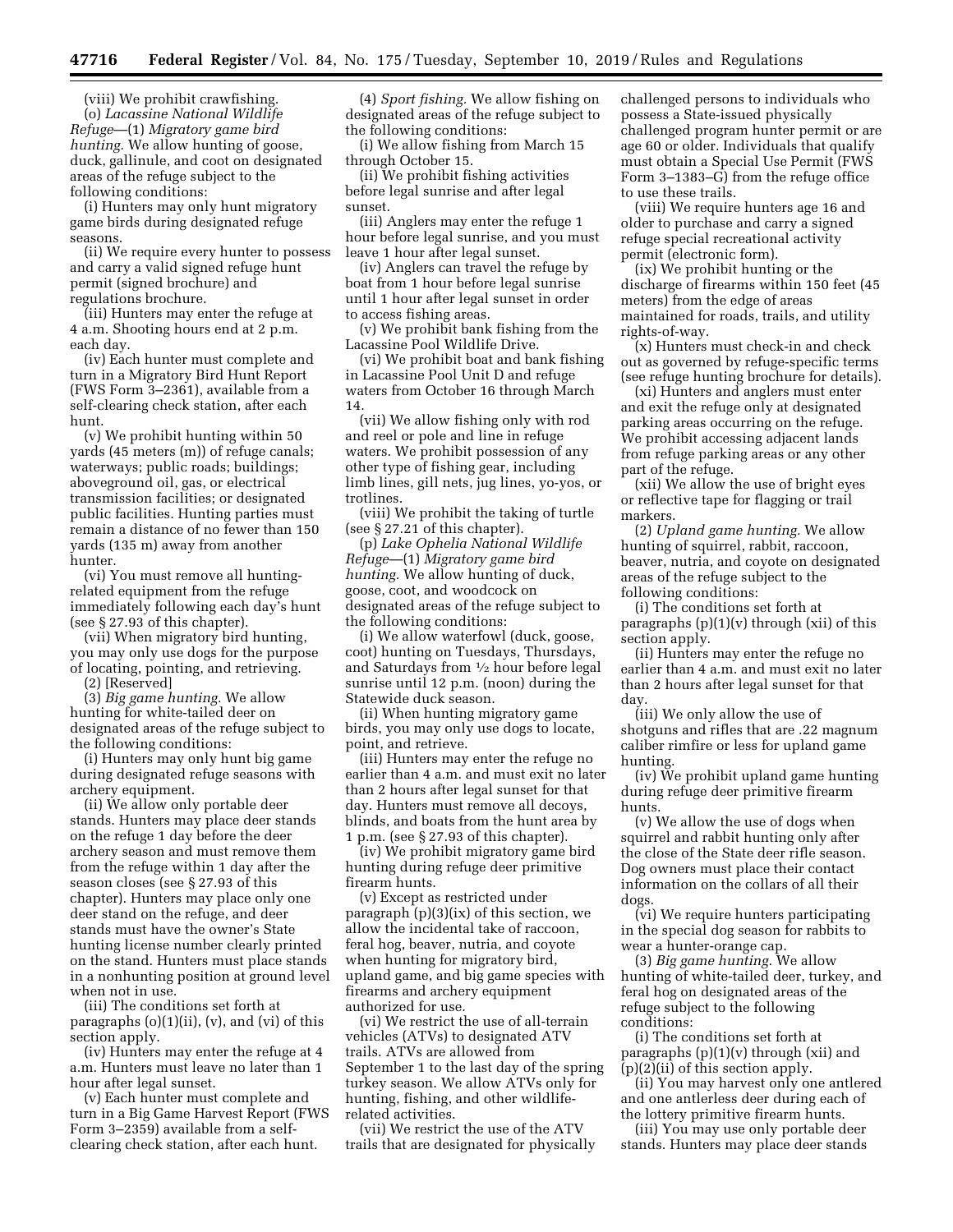(viii) We prohibit crawfishing. (o) *Lacassine National Wildlife Refuge*—(1) *Migratory game bird hunting.* We allow hunting of goose, duck, gallinule, and coot on designated areas of the refuge subject to the following conditions:

(i) Hunters may only hunt migratory game birds during designated refuge seasons.

(ii) We require every hunter to possess and carry a valid signed refuge hunt permit (signed brochure) and regulations brochure.

(iii) Hunters may enter the refuge at 4 a.m. Shooting hours end at 2 p.m. each day.

(iv) Each hunter must complete and turn in a Migratory Bird Hunt Report (FWS Form 3–2361), available from a self-clearing check station, after each hunt.

(v) We prohibit hunting within 50 yards (45 meters (m)) of refuge canals; waterways; public roads; buildings; aboveground oil, gas, or electrical transmission facilities; or designated public facilities. Hunting parties must remain a distance of no fewer than 150 yards (135 m) away from another hunter.

(vi) You must remove all huntingrelated equipment from the refuge immediately following each day's hunt (see § 27.93 of this chapter).

(vii) When migratory bird hunting, you may only use dogs for the purpose of locating, pointing, and retrieving. (2) [Reserved]

(3) *Big game hunting.* We allow hunting for white-tailed deer on designated areas of the refuge subject to the following conditions:

(i) Hunters may only hunt big game during designated refuge seasons with archery equipment.

(ii) We allow only portable deer stands. Hunters may place deer stands on the refuge 1 day before the deer archery season and must remove them from the refuge within 1 day after the season closes (see § 27.93 of this chapter). Hunters may place only one deer stand on the refuge, and deer stands must have the owner's State hunting license number clearly printed on the stand. Hunters must place stands in a nonhunting position at ground level when not in use.

(iii) The conditions set forth at paragraphs (o)(1)(ii), (v), and (vi) of this section apply.

(iv) Hunters may enter the refuge at 4 a.m. Hunters must leave no later than 1 hour after legal sunset.

(v) Each hunter must complete and turn in a Big Game Harvest Report (FWS Form 3–2359) available from a selfclearing check station, after each hunt.

(4) *Sport fishing.* We allow fishing on designated areas of the refuge subject to the following conditions:

(i) We allow fishing from March 15 through October 15.

(ii) We prohibit fishing activities before legal sunrise and after legal sunset.

(iii) Anglers may enter the refuge 1 hour before legal sunrise, and you must leave 1 hour after legal sunset.

(iv) Anglers can travel the refuge by boat from 1 hour before legal sunrise until 1 hour after legal sunset in order to access fishing areas.

(v) We prohibit bank fishing from the Lacassine Pool Wildlife Drive.

(vi) We prohibit boat and bank fishing in Lacassine Pool Unit D and refuge waters from October 16 through March 14.

(vii) We allow fishing only with rod and reel or pole and line in refuge waters. We prohibit possession of any other type of fishing gear, including limb lines, gill nets, jug lines, yo-yos, or trotlines.

(viii) We prohibit the taking of turtle (see § 27.21 of this chapter).

(p) *Lake Ophelia National Wildlife Refuge*—(1) *Migratory game bird hunting.* We allow hunting of duck, goose, coot, and woodcock on designated areas of the refuge subject to the following conditions:

(i) We allow waterfowl (duck, goose, coot) hunting on Tuesdays, Thursdays, and Saturdays from 1⁄2 hour before legal sunrise until 12 p.m. (noon) during the Statewide duck season.

(ii) When hunting migratory game birds, you may only use dogs to locate, point, and retrieve.

(iii) Hunters may enter the refuge no earlier than 4 a.m. and must exit no later than 2 hours after legal sunset for that day. Hunters must remove all decoys, blinds, and boats from the hunt area by 1 p.m. (see § 27.93 of this chapter).

(iv) We prohibit migratory game bird hunting during refuge deer primitive firearm hunts.

(v) Except as restricted under paragraph (p)(3)(ix) of this section, we allow the incidental take of raccoon, feral hog, beaver, nutria, and coyote when hunting for migratory bird, upland game, and big game species with firearms and archery equipment authorized for use.

(vi) We restrict the use of all-terrain vehicles (ATVs) to designated ATV trails. ATVs are allowed from September 1 to the last day of the spring turkey season. We allow ATVs only for hunting, fishing, and other wildliferelated activities.

(vii) We restrict the use of the ATV trails that are designated for physically challenged persons to individuals who possess a State-issued physically challenged program hunter permit or are age 60 or older. Individuals that qualify must obtain a Special Use Permit (FWS Form 3–1383–G) from the refuge office to use these trails.

(viii) We require hunters age 16 and older to purchase and carry a signed refuge special recreational activity permit (electronic form).

(ix) We prohibit hunting or the discharge of firearms within 150 feet (45 meters) from the edge of areas maintained for roads, trails, and utility rights-of-way.

(x) Hunters must check-in and check out as governed by refuge-specific terms (see refuge hunting brochure for details).

(xi) Hunters and anglers must enter and exit the refuge only at designated parking areas occurring on the refuge. We prohibit accessing adjacent lands from refuge parking areas or any other part of the refuge.

(xii) We allow the use of bright eyes or reflective tape for flagging or trail markers.

(2) *Upland game hunting.* We allow hunting of squirrel, rabbit, raccoon, beaver, nutria, and coyote on designated areas of the refuge subject to the following conditions:

(i) The conditions set forth at paragraphs  $(p)(1)(v)$  through  $(xii)$  of this section apply.

(ii) Hunters may enter the refuge no earlier than 4 a.m. and must exit no later than 2 hours after legal sunset for that day.

(iii) We only allow the use of shotguns and rifles that are .22 magnum caliber rimfire or less for upland game hunting.

(iv) We prohibit upland game hunting during refuge deer primitive firearm hunts.

(v) We allow the use of dogs when squirrel and rabbit hunting only after the close of the State deer rifle season. Dog owners must place their contact information on the collars of all their dogs.

(vi) We require hunters participating in the special dog season for rabbits to wear a hunter-orange cap.

(3) *Big game hunting.* We allow hunting of white-tailed deer, turkey, and feral hog on designated areas of the refuge subject to the following conditions:

(i) The conditions set forth at paragraphs (p)(1)(v) through (xii) and (p)(2)(ii) of this section apply.

(ii) You may harvest only one antlered and one antlerless deer during each of the lottery primitive firearm hunts.

(iii) You may use only portable deer stands. Hunters may place deer stands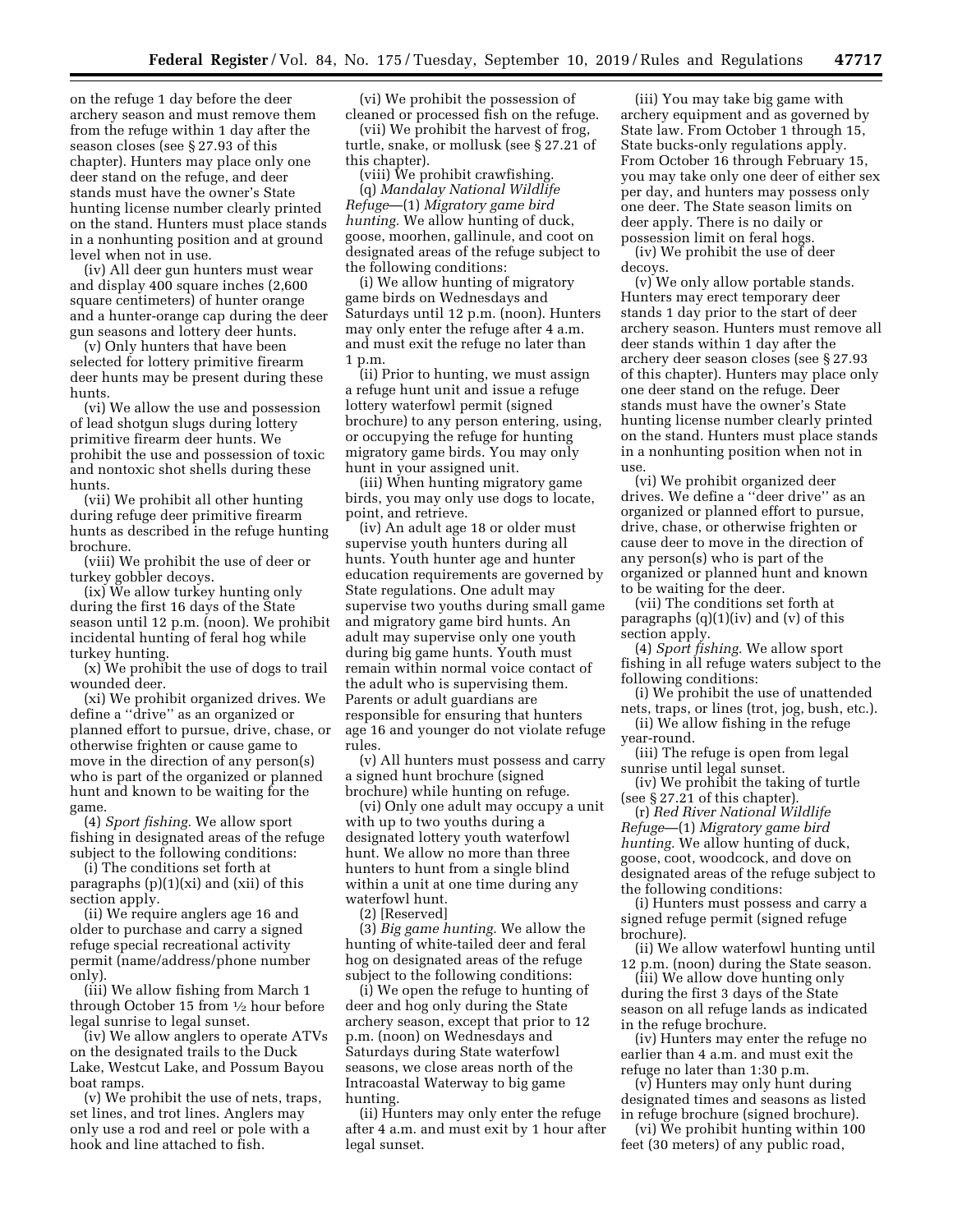on the refuge 1 day before the deer archery season and must remove them from the refuge within 1 day after the season closes (see § 27.93 of this chapter). Hunters may place only one deer stand on the refuge, and deer stands must have the owner's State hunting license number clearly printed on the stand. Hunters must place stands in a nonhunting position and at ground level when not in use.

(iv) All deer gun hunters must wear and display 400 square inches (2,600 square centimeters) of hunter orange and a hunter-orange cap during the deer gun seasons and lottery deer hunts.

(v) Only hunters that have been selected for lottery primitive firearm deer hunts may be present during these hunts.

(vi) We allow the use and possession of lead shotgun slugs during lottery primitive firearm deer hunts. We prohibit the use and possession of toxic and nontoxic shot shells during these hunts.

(vii) We prohibit all other hunting during refuge deer primitive firearm hunts as described in the refuge hunting brochure.

(viii) We prohibit the use of deer or turkey gobbler decoys.

(ix) We allow turkey hunting only during the first 16 days of the State season until 12 p.m. (noon). We prohibit incidental hunting of feral hog while turkey hunting.

(x) We prohibit the use of dogs to trail wounded deer.

(xi) We prohibit organized drives. We define a ''drive'' as an organized or planned effort to pursue, drive, chase, or otherwise frighten or cause game to move in the direction of any person(s) who is part of the organized or planned hunt and known to be waiting for the game.

(4) *Sport fishing.* We allow sport fishing in designated areas of the refuge subject to the following conditions:

(i) The conditions set forth at paragraphs  $(p)(1)(xi)$  and  $(xii)$  of this section apply.

(ii) We require anglers age 16 and older to purchase and carry a signed refuge special recreational activity permit (name/address/phone number only).

(iii) We allow fishing from March 1 through October 15 from 1⁄2 hour before legal sunrise to legal sunset.

(iv) We allow anglers to operate ATVs on the designated trails to the Duck Lake, Westcut Lake, and Possum Bayou boat ramps.

(v) We prohibit the use of nets, traps, set lines, and trot lines. Anglers may only use a rod and reel or pole with a hook and line attached to fish.

(vi) We prohibit the possession of cleaned or processed fish on the refuge.

(vii) We prohibit the harvest of frog, turtle, snake, or mollusk (see § 27.21 of this chapter).

(viii) We prohibit crawfishing.

(q) *Mandalay National Wildlife Refuge*—(1) *Migratory game bird hunting.* We allow hunting of duck, goose, moorhen, gallinule, and coot on designated areas of the refuge subject to the following conditions:

(i) We allow hunting of migratory game birds on Wednesdays and Saturdays until 12 p.m. (noon). Hunters may only enter the refuge after 4 a.m. and must exit the refuge no later than 1 p.m.

(ii) Prior to hunting, we must assign a refuge hunt unit and issue a refuge lottery waterfowl permit (signed brochure) to any person entering, using, or occupying the refuge for hunting migratory game birds. You may only hunt in your assigned unit.

(iii) When hunting migratory game birds, you may only use dogs to locate, point, and retrieve.

(iv) An adult age 18 or older must supervise youth hunters during all hunts. Youth hunter age and hunter education requirements are governed by State regulations. One adult may supervise two youths during small game and migratory game bird hunts. An adult may supervise only one youth during big game hunts. Youth must remain within normal voice contact of the adult who is supervising them. Parents or adult guardians are responsible for ensuring that hunters age 16 and younger do not violate refuge rules.

(v) All hunters must possess and carry a signed hunt brochure (signed brochure) while hunting on refuge.

(vi) Only one adult may occupy a unit with up to two youths during a designated lottery youth waterfowl hunt. We allow no more than three hunters to hunt from a single blind within a unit at one time during any waterfowl hunt.

(2) [Reserved]

(3) *Big game hunting.* We allow the hunting of white-tailed deer and feral hog on designated areas of the refuge subject to the following conditions:

(i) We open the refuge to hunting of deer and hog only during the State archery season, except that prior to 12 p.m. (noon) on Wednesdays and Saturdays during State waterfowl seasons, we close areas north of the Intracoastal Waterway to big game hunting.

(ii) Hunters may only enter the refuge after 4 a.m. and must exit by 1 hour after legal sunset.

(iii) You may take big game with archery equipment and as governed by State law. From October 1 through 15, State bucks-only regulations apply. From October 16 through February 15, you may take only one deer of either sex per day, and hunters may possess only one deer. The State season limits on deer apply. There is no daily or possession limit on feral hogs.

(iv) We prohibit the use of deer decoys.

(v) We only allow portable stands. Hunters may erect temporary deer stands 1 day prior to the start of deer archery season. Hunters must remove all deer stands within 1 day after the archery deer season closes (see § 27.93 of this chapter). Hunters may place only one deer stand on the refuge. Deer stands must have the owner's State hunting license number clearly printed on the stand. Hunters must place stands in a nonhunting position when not in use.

(vi) We prohibit organized deer drives. We define a ''deer drive'' as an organized or planned effort to pursue, drive, chase, or otherwise frighten or cause deer to move in the direction of any person(s) who is part of the organized or planned hunt and known to be waiting for the deer.

(vii) The conditions set forth at paragraphs  $(q)(1)(iv)$  and  $(v)$  of this section apply.

(4) *Sport fishing.* We allow sport fishing in all refuge waters subject to the following conditions:

(i) We prohibit the use of unattended nets, traps, or lines (trot, jog, bush, etc.).

(ii) We allow fishing in the refuge year-round.

(iii) The refuge is open from legal sunrise until legal sunset.

(iv) We prohibit the taking of turtle (see § 27.21 of this chapter).

(r) *Red River National Wildlife Refuge*—(1) *Migratory game bird hunting.* We allow hunting of duck, goose, coot, woodcock, and dove on designated areas of the refuge subject to the following conditions:

(i) Hunters must possess and carry a signed refuge permit (signed refuge brochure).

(ii) We allow waterfowl hunting until 12 p.m. (noon) during the State season.

(iii) We allow dove hunting only during the first 3 days of the State season on all refuge lands as indicated in the refuge brochure.

(iv) Hunters may enter the refuge no earlier than 4 a.m. and must exit the refuge no later than 1:30 p.m.

(v) Hunters may only hunt during designated times and seasons as listed in refuge brochure (signed brochure).

(vi) We prohibit hunting within 100 feet (30 meters) of any public road,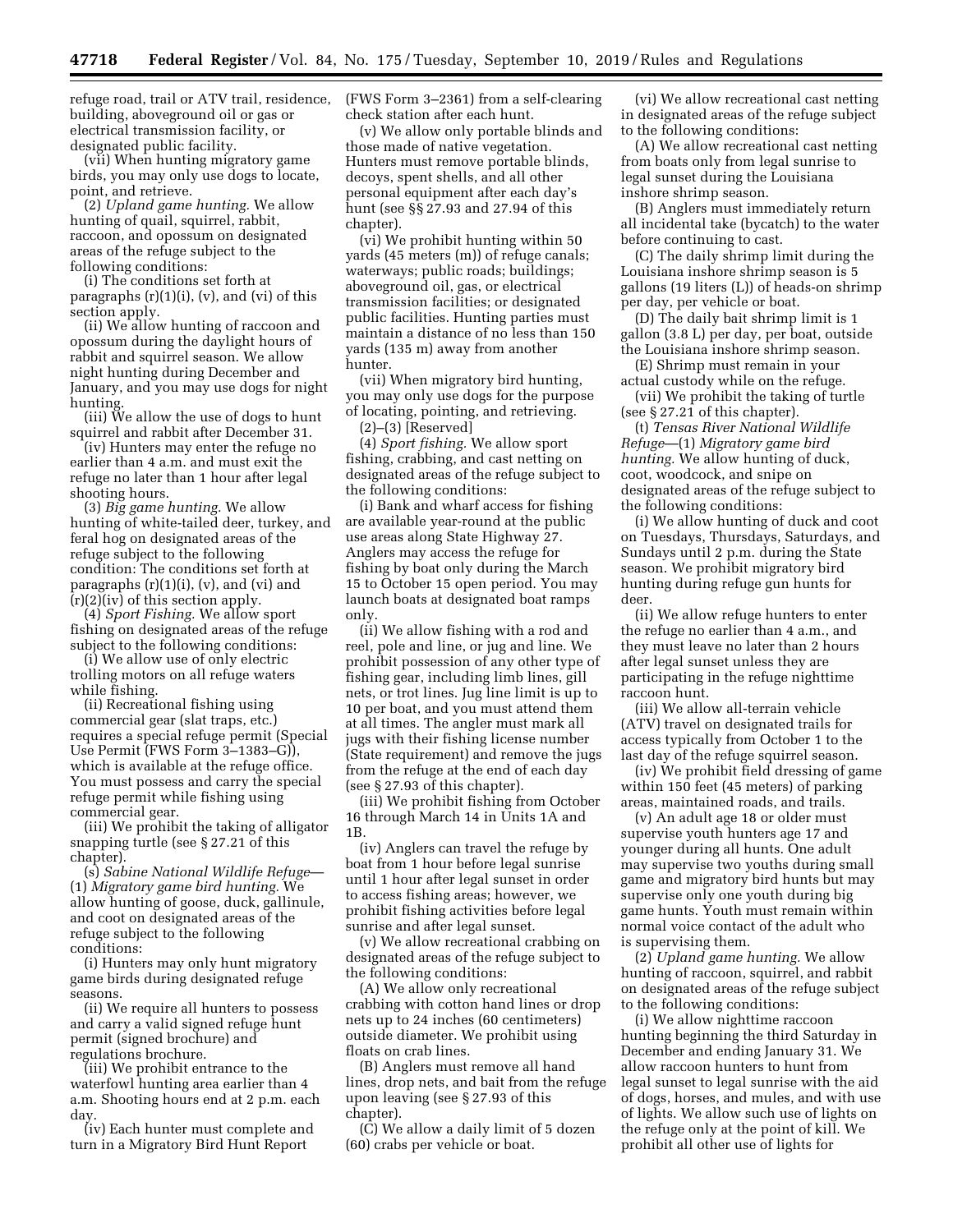refuge road, trail or ATV trail, residence, building, aboveground oil or gas or electrical transmission facility, or designated public facility.

(vii) When hunting migratory game birds, you may only use dogs to locate, point, and retrieve.

(2) *Upland game hunting.* We allow hunting of quail, squirrel, rabbit, raccoon, and opossum on designated areas of the refuge subject to the following conditions:

(i) The conditions set forth at paragraphs  $(r)(1)(i)$ ,  $(v)$ , and  $(vi)$  of this section apply.

(ii) We allow hunting of raccoon and opossum during the daylight hours of rabbit and squirrel season. We allow night hunting during December and January, and you may use dogs for night hunting.

(iii) We allow the use of dogs to hunt squirrel and rabbit after December 31.

(iv) Hunters may enter the refuge no earlier than 4 a.m. and must exit the refuge no later than 1 hour after legal shooting hours.

(3) *Big game hunting.* We allow hunting of white-tailed deer, turkey, and feral hog on designated areas of the refuge subject to the following condition: The conditions set forth at paragraphs  $(r)(1)(i)$ ,  $(v)$ , and  $(vi)$  and (r)(2)(iv) of this section apply.

(4) *Sport Fishing.* We allow sport fishing on designated areas of the refuge subject to the following conditions:

(i) We allow use of only electric trolling motors on all refuge waters while fishing.

(ii) Recreational fishing using commercial gear (slat traps, etc.) requires a special refuge permit (Special Use Permit (FWS Form 3–1383–G)), which is available at the refuge office. You must possess and carry the special refuge permit while fishing using commercial gear.

(iii) We prohibit the taking of alligator snapping turtle (see § 27.21 of this chapter).

(s) *Sabine National Wildlife Refuge*— (1) *Migratory game bird hunting.* We allow hunting of goose, duck, gallinule, and coot on designated areas of the refuge subject to the following conditions:

(i) Hunters may only hunt migratory game birds during designated refuge seasons.

(ii) We require all hunters to possess and carry a valid signed refuge hunt permit (signed brochure) and regulations brochure.

(iii) We prohibit entrance to the waterfowl hunting area earlier than 4 a.m. Shooting hours end at 2 p.m. each day.

(iv) Each hunter must complete and turn in a Migratory Bird Hunt Report

(FWS Form 3–2361) from a self-clearing check station after each hunt.

(v) We allow only portable blinds and those made of native vegetation. Hunters must remove portable blinds, decoys, spent shells, and all other personal equipment after each day's hunt (see §§ 27.93 and 27.94 of this chapter).

(vi) We prohibit hunting within 50 yards (45 meters (m)) of refuge canals; waterways; public roads; buildings; aboveground oil, gas, or electrical transmission facilities; or designated public facilities. Hunting parties must maintain a distance of no less than 150 yards (135 m) away from another hunter.

(vii) When migratory bird hunting, you may only use dogs for the purpose of locating, pointing, and retrieving.

(2)–(3) [Reserved]

(4) *Sport fishing.* We allow sport fishing, crabbing, and cast netting on designated areas of the refuge subject to the following conditions:

(i) Bank and wharf access for fishing are available year-round at the public use areas along State Highway 27. Anglers may access the refuge for fishing by boat only during the March 15 to October 15 open period. You may launch boats at designated boat ramps only.

(ii) We allow fishing with a rod and reel, pole and line, or jug and line. We prohibit possession of any other type of fishing gear, including limb lines, gill nets, or trot lines. Jug line limit is up to 10 per boat, and you must attend them at all times. The angler must mark all jugs with their fishing license number (State requirement) and remove the jugs from the refuge at the end of each day (see § 27.93 of this chapter).

(iii) We prohibit fishing from October 16 through March 14 in Units 1A and 1B.

(iv) Anglers can travel the refuge by boat from 1 hour before legal sunrise until 1 hour after legal sunset in order to access fishing areas; however, we prohibit fishing activities before legal sunrise and after legal sunset.

(v) We allow recreational crabbing on designated areas of the refuge subject to the following conditions:

(A) We allow only recreational crabbing with cotton hand lines or drop nets up to 24 inches (60 centimeters) outside diameter. We prohibit using floats on crab lines.

(B) Anglers must remove all hand lines, drop nets, and bait from the refuge upon leaving (see § 27.93 of this chapter).

(C) We allow a daily limit of 5 dozen (60) crabs per vehicle or boat.

(vi) We allow recreational cast netting in designated areas of the refuge subject to the following conditions:

(A) We allow recreational cast netting from boats only from legal sunrise to legal sunset during the Louisiana inshore shrimp season.

(B) Anglers must immediately return all incidental take (bycatch) to the water before continuing to cast.

(C) The daily shrimp limit during the Louisiana inshore shrimp season is 5 gallons (19 liters (L)) of heads-on shrimp per day, per vehicle or boat.

(D) The daily bait shrimp limit is 1 gallon (3.8 L) per day, per boat, outside the Louisiana inshore shrimp season.

(E) Shrimp must remain in your actual custody while on the refuge.

(vii) We prohibit the taking of turtle (see § 27.21 of this chapter).

(t) *Tensas River National Wildlife Refuge*—(1) *Migratory game bird hunting.* We allow hunting of duck, coot, woodcock, and snipe on designated areas of the refuge subject to the following conditions:

(i) We allow hunting of duck and coot on Tuesdays, Thursdays, Saturdays, and Sundays until 2 p.m. during the State season. We prohibit migratory bird hunting during refuge gun hunts for deer.

(ii) We allow refuge hunters to enter the refuge no earlier than 4 a.m., and they must leave no later than 2 hours after legal sunset unless they are participating in the refuge nighttime raccoon hunt.

(iii) We allow all-terrain vehicle (ATV) travel on designated trails for access typically from October 1 to the last day of the refuge squirrel season.

(iv) We prohibit field dressing of game within 150 feet (45 meters) of parking areas, maintained roads, and trails.

(v) An adult age 18 or older must supervise youth hunters age 17 and younger during all hunts. One adult may supervise two youths during small game and migratory bird hunts but may supervise only one youth during big game hunts. Youth must remain within normal voice contact of the adult who is supervising them.

(2) *Upland game hunting.* We allow hunting of raccoon, squirrel, and rabbit on designated areas of the refuge subject to the following conditions:

(i) We allow nighttime raccoon hunting beginning the third Saturday in December and ending January 31. We allow raccoon hunters to hunt from legal sunset to legal sunrise with the aid of dogs, horses, and mules, and with use of lights. We allow such use of lights on the refuge only at the point of kill. We prohibit all other use of lights for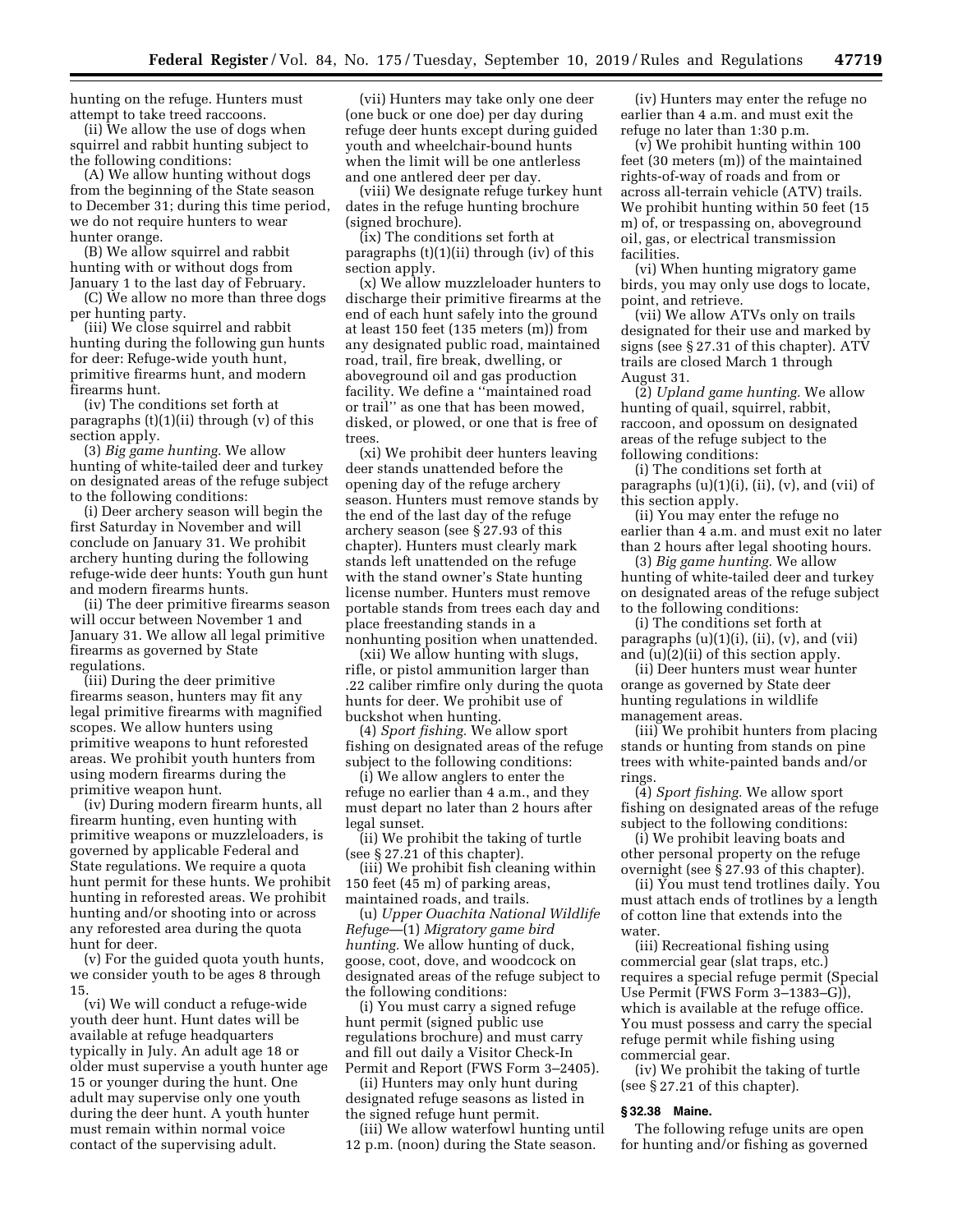hunting on the refuge. Hunters must attempt to take treed raccoons.

(ii) We allow the use of dogs when squirrel and rabbit hunting subject to the following conditions:

(A) We allow hunting without dogs from the beginning of the State season to December 31; during this time period, we do not require hunters to wear hunter orange.

(B) We allow squirrel and rabbit hunting with or without dogs from January 1 to the last day of February.

(C) We allow no more than three dogs per hunting party.

(iii) We close squirrel and rabbit hunting during the following gun hunts for deer: Refuge-wide youth hunt, primitive firearms hunt, and modern firearms hunt.

(iv) The conditions set forth at paragraphs  $(t)(1)(ii)$  through  $(v)$  of this section apply.

(3) *Big game hunting.* We allow hunting of white-tailed deer and turkey on designated areas of the refuge subject to the following conditions:

(i) Deer archery season will begin the first Saturday in November and will conclude on January 31. We prohibit archery hunting during the following refuge-wide deer hunts: Youth gun hunt and modern firearms hunts.

(ii) The deer primitive firearms season will occur between November 1 and January 31. We allow all legal primitive firearms as governed by State regulations.

(iii) During the deer primitive firearms season, hunters may fit any legal primitive firearms with magnified scopes. We allow hunters using primitive weapons to hunt reforested areas. We prohibit youth hunters from using modern firearms during the primitive weapon hunt.

(iv) During modern firearm hunts, all firearm hunting, even hunting with primitive weapons or muzzleloaders, is governed by applicable Federal and State regulations. We require a quota hunt permit for these hunts. We prohibit hunting in reforested areas. We prohibit hunting and/or shooting into or across any reforested area during the quota hunt for deer.

(v) For the guided quota youth hunts, we consider youth to be ages 8 through 15.

(vi) We will conduct a refuge-wide youth deer hunt. Hunt dates will be available at refuge headquarters typically in July. An adult age 18 or older must supervise a youth hunter age 15 or younger during the hunt. One adult may supervise only one youth during the deer hunt. A youth hunter must remain within normal voice contact of the supervising adult.

(vii) Hunters may take only one deer (one buck or one doe) per day during refuge deer hunts except during guided youth and wheelchair-bound hunts when the limit will be one antlerless and one antlered deer per day.

(viii) We designate refuge turkey hunt dates in the refuge hunting brochure (signed brochure).

(ix) The conditions set forth at paragraphs (t)(1)(ii) through (iv) of this section apply.

(x) We allow muzzleloader hunters to discharge their primitive firearms at the end of each hunt safely into the ground at least 150 feet (135 meters (m)) from any designated public road, maintained road, trail, fire break, dwelling, or aboveground oil and gas production facility. We define a ''maintained road or trail'' as one that has been mowed, disked, or plowed, or one that is free of trees.

(xi) We prohibit deer hunters leaving deer stands unattended before the opening day of the refuge archery season. Hunters must remove stands by the end of the last day of the refuge archery season (see § 27.93 of this chapter). Hunters must clearly mark stands left unattended on the refuge with the stand owner's State hunting license number. Hunters must remove portable stands from trees each day and place freestanding stands in a nonhunting position when unattended.

(xii) We allow hunting with slugs, rifle, or pistol ammunition larger than .22 caliber rimfire only during the quota hunts for deer. We prohibit use of buckshot when hunting.

(4) *Sport fishing.* We allow sport fishing on designated areas of the refuge subject to the following conditions:

(i) We allow anglers to enter the refuge no earlier than 4 a.m., and they must depart no later than 2 hours after legal sunset.

(ii) We prohibit the taking of turtle (see § 27.21 of this chapter).

(iii) We prohibit fish cleaning within 150 feet (45 m) of parking areas, maintained roads, and trails.

(u) *Upper Ouachita National Wildlife Refuge*—(1) *Migratory game bird hunting.* We allow hunting of duck, goose, coot, dove, and woodcock on designated areas of the refuge subject to the following conditions:

(i) You must carry a signed refuge hunt permit (signed public use regulations brochure) and must carry and fill out daily a Visitor Check-In Permit and Report (FWS Form 3–2405).

(ii) Hunters may only hunt during designated refuge seasons as listed in the signed refuge hunt permit.

(iii) We allow waterfowl hunting until 12 p.m. (noon) during the State season.

(iv) Hunters may enter the refuge no earlier than 4 a.m. and must exit the refuge no later than 1:30 p.m.

(v) We prohibit hunting within 100 feet (30 meters (m)) of the maintained rights-of-way of roads and from or across all-terrain vehicle (ATV) trails. We prohibit hunting within 50 feet (15 m) of, or trespassing on, aboveground oil, gas, or electrical transmission facilities.

(vi) When hunting migratory game birds, you may only use dogs to locate, point, and retrieve.

(vii) We allow ATVs only on trails designated for their use and marked by signs (see § 27.31 of this chapter). ATV trails are closed March 1 through August 31.

(2) *Upland game hunting.* We allow hunting of quail, squirrel, rabbit, raccoon, and opossum on designated areas of the refuge subject to the following conditions:

(i) The conditions set forth at paragraphs  $(u)(1)(i)$ ,  $(ii)$ ,  $(v)$ , and  $(vii)$  of this section apply.

(ii) You may enter the refuge no earlier than 4 a.m. and must exit no later than 2 hours after legal shooting hours.

(3) *Big game hunting.* We allow hunting of white-tailed deer and turkey on designated areas of the refuge subject to the following conditions:

(i) The conditions set forth at paragraphs  $(u)(1)(i)$ ,  $(ii)$ ,  $(v)$ , and  $(vii)$ and (u)(2)(ii) of this section apply.

(ii) Deer hunters must wear hunter orange as governed by State deer hunting regulations in wildlife management areas.

(iii) We prohibit hunters from placing stands or hunting from stands on pine trees with white-painted bands and/or rings.

(4) *Sport fishing.* We allow sport fishing on designated areas of the refuge subject to the following conditions:

(i) We prohibit leaving boats and other personal property on the refuge overnight (see § 27.93 of this chapter).

(ii) You must tend trotlines daily. You must attach ends of trotlines by a length of cotton line that extends into the water.

(iii) Recreational fishing using commercial gear (slat traps, etc.) requires a special refuge permit (Special Use Permit (FWS Form 3–1383–G)), which is available at the refuge office. You must possess and carry the special refuge permit while fishing using commercial gear.

(iv) We prohibit the taking of turtle (see § 27.21 of this chapter).

## **§ 32.38 Maine.**

The following refuge units are open for hunting and/or fishing as governed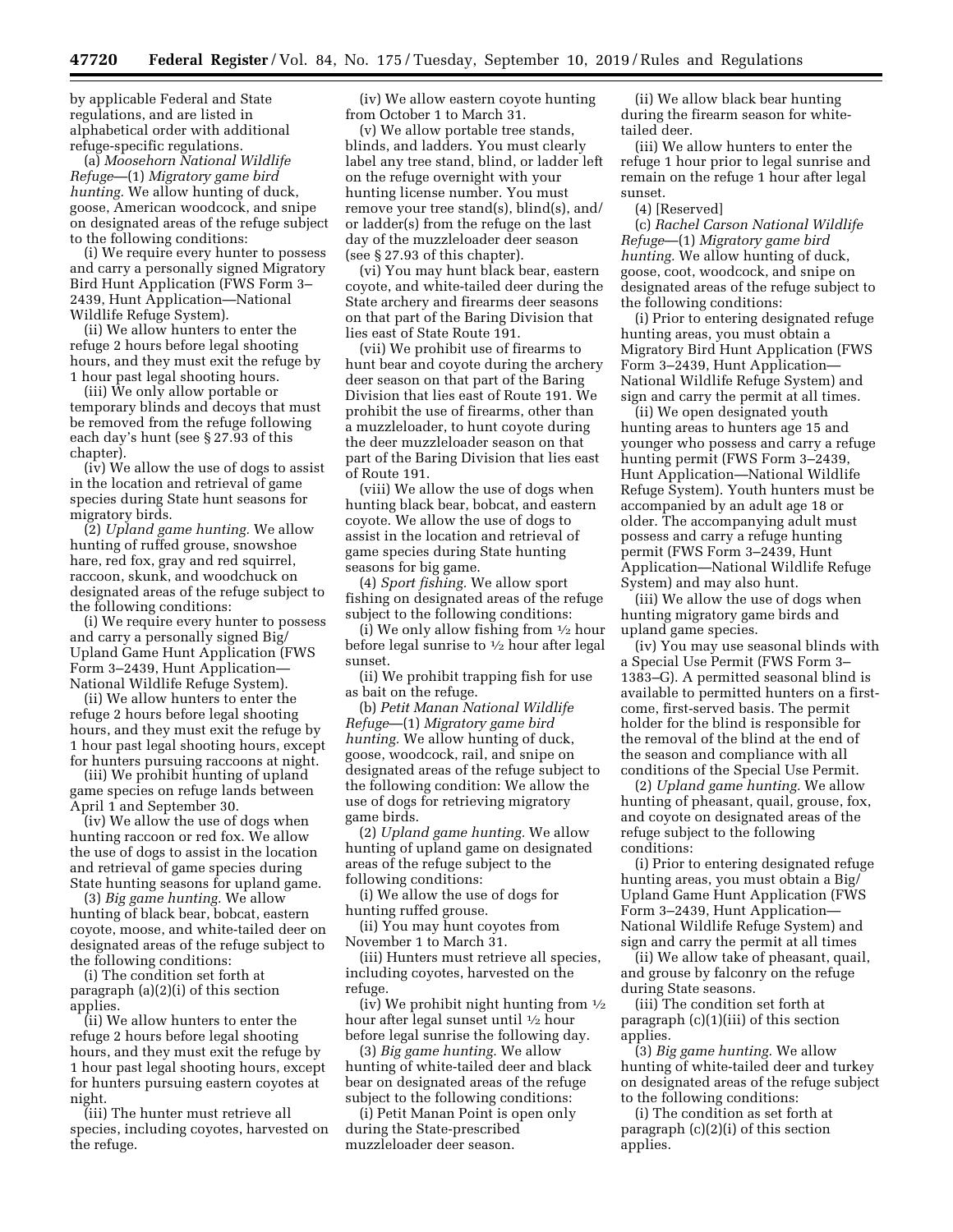by applicable Federal and State regulations, and are listed in alphabetical order with additional refuge-specific regulations.

(a) *Moosehorn National Wildlife Refuge*—(1) *Migratory game bird hunting.* We allow hunting of duck, goose, American woodcock, and snipe on designated areas of the refuge subject to the following conditions:

(i) We require every hunter to possess and carry a personally signed Migratory Bird Hunt Application (FWS Form 3– 2439, Hunt Application—National Wildlife Refuge System).

(ii) We allow hunters to enter the refuge 2 hours before legal shooting hours, and they must exit the refuge by 1 hour past legal shooting hours.

(iii) We only allow portable or temporary blinds and decoys that must be removed from the refuge following each day's hunt (see § 27.93 of this chapter).

(iv) We allow the use of dogs to assist in the location and retrieval of game species during State hunt seasons for migratory birds.

(2) *Upland game hunting.* We allow hunting of ruffed grouse, snowshoe hare, red fox, gray and red squirrel, raccoon, skunk, and woodchuck on designated areas of the refuge subject to the following conditions:

(i) We require every hunter to possess and carry a personally signed Big/ Upland Game Hunt Application (FWS Form 3–2439, Hunt Application— National Wildlife Refuge System).

(ii) We allow hunters to enter the refuge 2 hours before legal shooting hours, and they must exit the refuge by 1 hour past legal shooting hours, except for hunters pursuing raccoons at night.

(iii) We prohibit hunting of upland game species on refuge lands between April 1 and September 30.

(iv) We allow the use of dogs when hunting raccoon or red fox. We allow the use of dogs to assist in the location and retrieval of game species during State hunting seasons for upland game.

(3) *Big game hunting.* We allow hunting of black bear, bobcat, eastern coyote, moose, and white-tailed deer on designated areas of the refuge subject to the following conditions:

(i) The condition set forth at paragraph (a)(2)(i) of this section applies.

(ii) We allow hunters to enter the refuge 2 hours before legal shooting hours, and they must exit the refuge by 1 hour past legal shooting hours, except for hunters pursuing eastern coyotes at night.

(iii) The hunter must retrieve all species, including coyotes, harvested on the refuge.

(iv) We allow eastern coyote hunting from October 1 to March 31.

(v) We allow portable tree stands, blinds, and ladders. You must clearly label any tree stand, blind, or ladder left on the refuge overnight with your hunting license number. You must remove your tree stand(s), blind(s), and/ or ladder(s) from the refuge on the last day of the muzzleloader deer season (see § 27.93 of this chapter).

(vi) You may hunt black bear, eastern coyote, and white-tailed deer during the State archery and firearms deer seasons on that part of the Baring Division that lies east of State Route 191.

(vii) We prohibit use of firearms to hunt bear and coyote during the archery deer season on that part of the Baring Division that lies east of Route 191. We prohibit the use of firearms, other than a muzzleloader, to hunt coyote during the deer muzzleloader season on that part of the Baring Division that lies east of Route 191.

(viii) We allow the use of dogs when hunting black bear, bobcat, and eastern coyote. We allow the use of dogs to assist in the location and retrieval of game species during State hunting seasons for big game.

(4) *Sport fishing.* We allow sport fishing on designated areas of the refuge subject to the following conditions:

(i) We only allow fishing from 1⁄2 hour before legal sunrise to 1⁄2 hour after legal sunset.

(ii) We prohibit trapping fish for use as bait on the refuge.

(b) *Petit Manan National Wildlife Refuge*—(1) *Migratory game bird hunting.* We allow hunting of duck, goose, woodcock, rail, and snipe on designated areas of the refuge subject to the following condition: We allow the use of dogs for retrieving migratory game birds.

(2) *Upland game hunting.* We allow hunting of upland game on designated areas of the refuge subject to the following conditions:

(i) We allow the use of dogs for hunting ruffed grouse.

(ii) You may hunt coyotes from November 1 to March 31.

(iii) Hunters must retrieve all species, including coyotes, harvested on the refuge.

(iv) We prohibit night hunting from  $\frac{1}{2}$ hour after legal sunset until 1⁄2 hour before legal sunrise the following day.

(3) *Big game hunting.* We allow hunting of white-tailed deer and black bear on designated areas of the refuge subject to the following conditions:

(i) Petit Manan Point is open only during the State-prescribed muzzleloader deer season.

(ii) We allow black bear hunting during the firearm season for whitetailed deer.

(iii) We allow hunters to enter the refuge 1 hour prior to legal sunrise and remain on the refuge 1 hour after legal sunset.

(4) [Reserved]

(c) *Rachel Carson National Wildlife Refuge*—(1) *Migratory game bird hunting.* We allow hunting of duck, goose, coot, woodcock, and snipe on designated areas of the refuge subject to the following conditions:

(i) Prior to entering designated refuge hunting areas, you must obtain a Migratory Bird Hunt Application (FWS Form 3–2439, Hunt Application— National Wildlife Refuge System) and sign and carry the permit at all times.

(ii) We open designated youth hunting areas to hunters age 15 and younger who possess and carry a refuge hunting permit (FWS Form 3–2439, Hunt Application—National Wildlife Refuge System). Youth hunters must be accompanied by an adult age 18 or older. The accompanying adult must possess and carry a refuge hunting permit (FWS Form 3–2439, Hunt Application—National Wildlife Refuge System) and may also hunt.

(iii) We allow the use of dogs when hunting migratory game birds and upland game species.

(iv) You may use seasonal blinds with a Special Use Permit (FWS Form 3– 1383–G). A permitted seasonal blind is available to permitted hunters on a firstcome, first-served basis. The permit holder for the blind is responsible for the removal of the blind at the end of the season and compliance with all conditions of the Special Use Permit.

(2) *Upland game hunting.* We allow hunting of pheasant, quail, grouse, fox, and coyote on designated areas of the refuge subject to the following conditions:

(i) Prior to entering designated refuge hunting areas, you must obtain a Big/ Upland Game Hunt Application (FWS Form 3–2439, Hunt Application— National Wildlife Refuge System) and sign and carry the permit at all times

(ii) We allow take of pheasant, quail, and grouse by falconry on the refuge during State seasons.

(iii) The condition set forth at paragraph (c)(1)(iii) of this section applies.

(3) *Big game hunting.* We allow hunting of white-tailed deer and turkey on designated areas of the refuge subject to the following conditions:

(i) The condition as set forth at paragraph (c)(2)(i) of this section applies.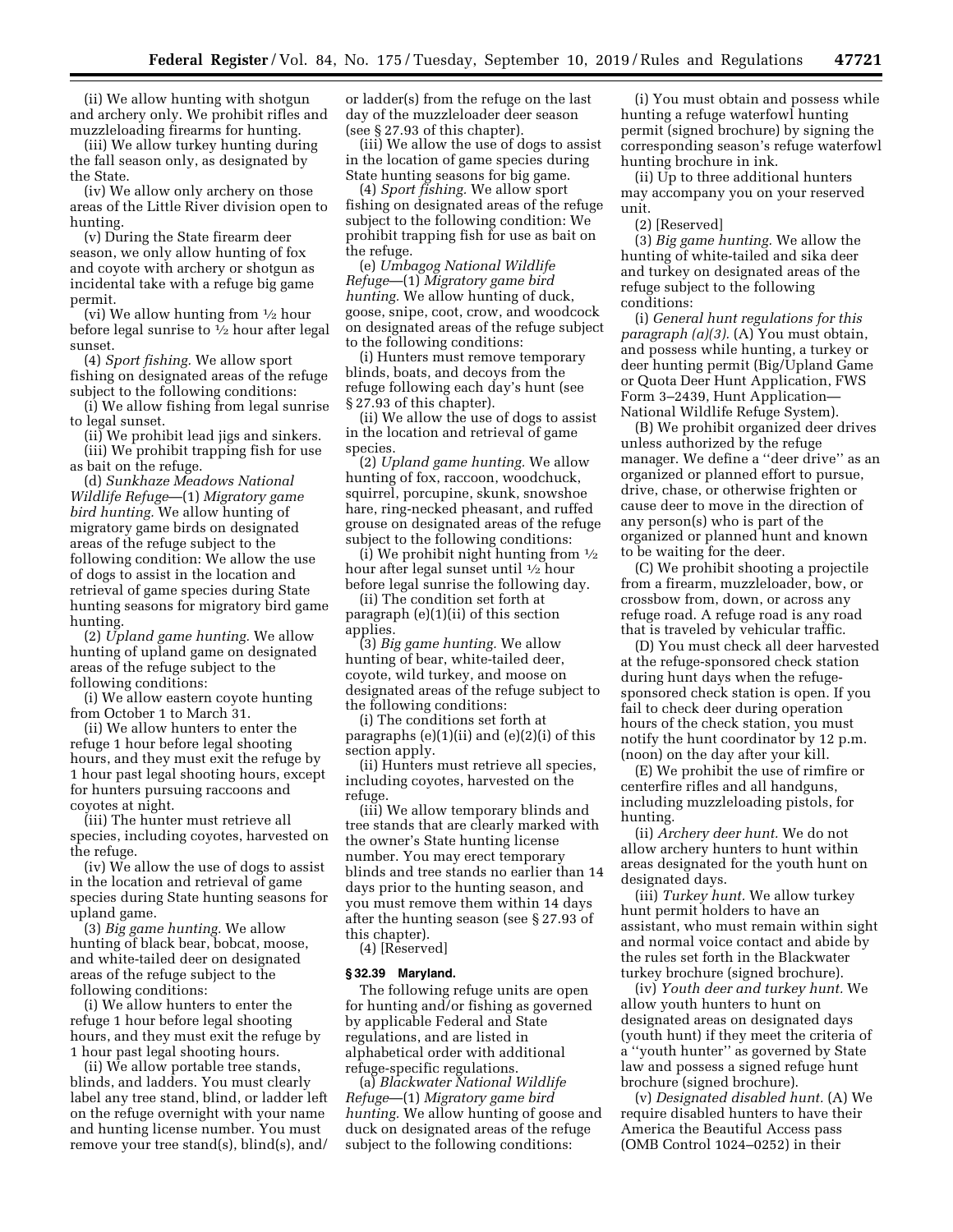(ii) We allow hunting with shotgun and archery only. We prohibit rifles and muzzleloading firearms for hunting.

(iii) We allow turkey hunting during the fall season only, as designated by the State.

(iv) We allow only archery on those areas of the Little River division open to hunting.

(v) During the State firearm deer season, we only allow hunting of fox and coyote with archery or shotgun as incidental take with a refuge big game permit.

(vi) We allow hunting from  $\frac{1}{2}$  hour before legal sunrise to 1⁄2 hour after legal sunset.

(4) *Sport fishing.* We allow sport fishing on designated areas of the refuge subject to the following conditions:

(i) We allow fishing from legal sunrise to legal sunset.

(ii) We prohibit lead jigs and sinkers. (iii) We prohibit trapping fish for use as bait on the refuge.

(d) *Sunkhaze Meadows National Wildlife Refuge*—(1) *Migratory game bird hunting.* We allow hunting of migratory game birds on designated areas of the refuge subject to the following condition: We allow the use of dogs to assist in the location and retrieval of game species during State hunting seasons for migratory bird game hunting.

(2) *Upland game hunting.* We allow hunting of upland game on designated areas of the refuge subject to the following conditions:

(i) We allow eastern coyote hunting from October 1 to March 31.

(ii) We allow hunters to enter the refuge 1 hour before legal shooting hours, and they must exit the refuge by 1 hour past legal shooting hours, except for hunters pursuing raccoons and coyotes at night.

(iii) The hunter must retrieve all species, including coyotes, harvested on the refuge.

(iv) We allow the use of dogs to assist in the location and retrieval of game species during State hunting seasons for upland game.

(3) *Big game hunting.* We allow hunting of black bear, bobcat, moose, and white-tailed deer on designated areas of the refuge subject to the following conditions:

(i) We allow hunters to enter the refuge 1 hour before legal shooting hours, and they must exit the refuge by 1 hour past legal shooting hours.

(ii) We allow portable tree stands, blinds, and ladders. You must clearly label any tree stand, blind, or ladder left on the refuge overnight with your name and hunting license number. You must remove your tree stand(s), blind(s), and/ or ladder(s) from the refuge on the last day of the muzzleloader deer season (see § 27.93 of this chapter).

(iii) We allow the use of dogs to assist in the location of game species during State hunting seasons for big game.

(4) *Sport fishing.* We allow sport fishing on designated areas of the refuge subject to the following condition: We prohibit trapping fish for use as bait on the refuge.

(e) *Umbagog National Wildlife Refuge*—(1) *Migratory game bird hunting.* We allow hunting of duck, goose, snipe, coot, crow, and woodcock on designated areas of the refuge subject to the following conditions:

(i) Hunters must remove temporary blinds, boats, and decoys from the refuge following each day's hunt (see § 27.93 of this chapter).

(ii) We allow the use of dogs to assist in the location and retrieval of game species.

(2) *Upland game hunting.* We allow hunting of fox, raccoon, woodchuck, squirrel, porcupine, skunk, snowshoe hare, ring-necked pheasant, and ruffed grouse on designated areas of the refuge subject to the following conditions:

(i) We prohibit night hunting from  $\frac{1}{2}$ hour after legal sunset until 1⁄2 hour before legal sunrise the following day.

(ii) The condition set forth at paragraph (e)(1)(ii) of this section applies.

(3) *Big game hunting.* We allow hunting of bear, white-tailed deer, coyote, wild turkey, and moose on designated areas of the refuge subject to the following conditions:

(i) The conditions set forth at paragraphs (e)(1)(ii) and (e)(2)(i) of this section apply.

(ii) Hunters must retrieve all species, including coyotes, harvested on the refuge.

(iii) We allow temporary blinds and tree stands that are clearly marked with the owner's State hunting license number. You may erect temporary blinds and tree stands no earlier than 14 days prior to the hunting season, and you must remove them within 14 days after the hunting season (see § 27.93 of this chapter).

(4) [Reserved]

# **§ 32.39 Maryland.**

The following refuge units are open for hunting and/or fishing as governed by applicable Federal and State regulations, and are listed in alphabetical order with additional refuge-specific regulations.

(a) *Blackwater National Wildlife Refuge*—(1) *Migratory game bird hunting.* We allow hunting of goose and duck on designated areas of the refuge subject to the following conditions:

(i) You must obtain and possess while hunting a refuge waterfowl hunting permit (signed brochure) by signing the corresponding season's refuge waterfowl hunting brochure in ink.

(ii) Up to three additional hunters may accompany you on your reserved unit.

(2) [Reserved]

(3) *Big game hunting.* We allow the hunting of white-tailed and sika deer and turkey on designated areas of the refuge subject to the following conditions:

(i) *General hunt regulations for this paragraph (a)(3).* (A) You must obtain, and possess while hunting, a turkey or deer hunting permit (Big/Upland Game or Quota Deer Hunt Application, FWS Form 3–2439, Hunt Application— National Wildlife Refuge System).

(B) We prohibit organized deer drives unless authorized by the refuge manager. We define a ''deer drive'' as an organized or planned effort to pursue, drive, chase, or otherwise frighten or cause deer to move in the direction of any person(s) who is part of the organized or planned hunt and known to be waiting for the deer.

(C) We prohibit shooting a projectile from a firearm, muzzleloader, bow, or crossbow from, down, or across any refuge road. A refuge road is any road that is traveled by vehicular traffic.

(D) You must check all deer harvested at the refuge-sponsored check station during hunt days when the refugesponsored check station is open. If you fail to check deer during operation hours of the check station, you must notify the hunt coordinator by 12 p.m. (noon) on the day after your kill.

(E) We prohibit the use of rimfire or centerfire rifles and all handguns, including muzzleloading pistols, for hunting.

(ii) *Archery deer hunt.* We do not allow archery hunters to hunt within areas designated for the youth hunt on designated days.

(iii) *Turkey hunt.* We allow turkey hunt permit holders to have an assistant, who must remain within sight and normal voice contact and abide by the rules set forth in the Blackwater turkey brochure (signed brochure).

(iv) *Youth deer and turkey hunt.* We allow youth hunters to hunt on designated areas on designated days (youth hunt) if they meet the criteria of a ''youth hunter'' as governed by State law and possess a signed refuge hunt brochure (signed brochure).

(v) *Designated disabled hunt.* (A) We require disabled hunters to have their America the Beautiful Access pass (OMB Control 1024–0252) in their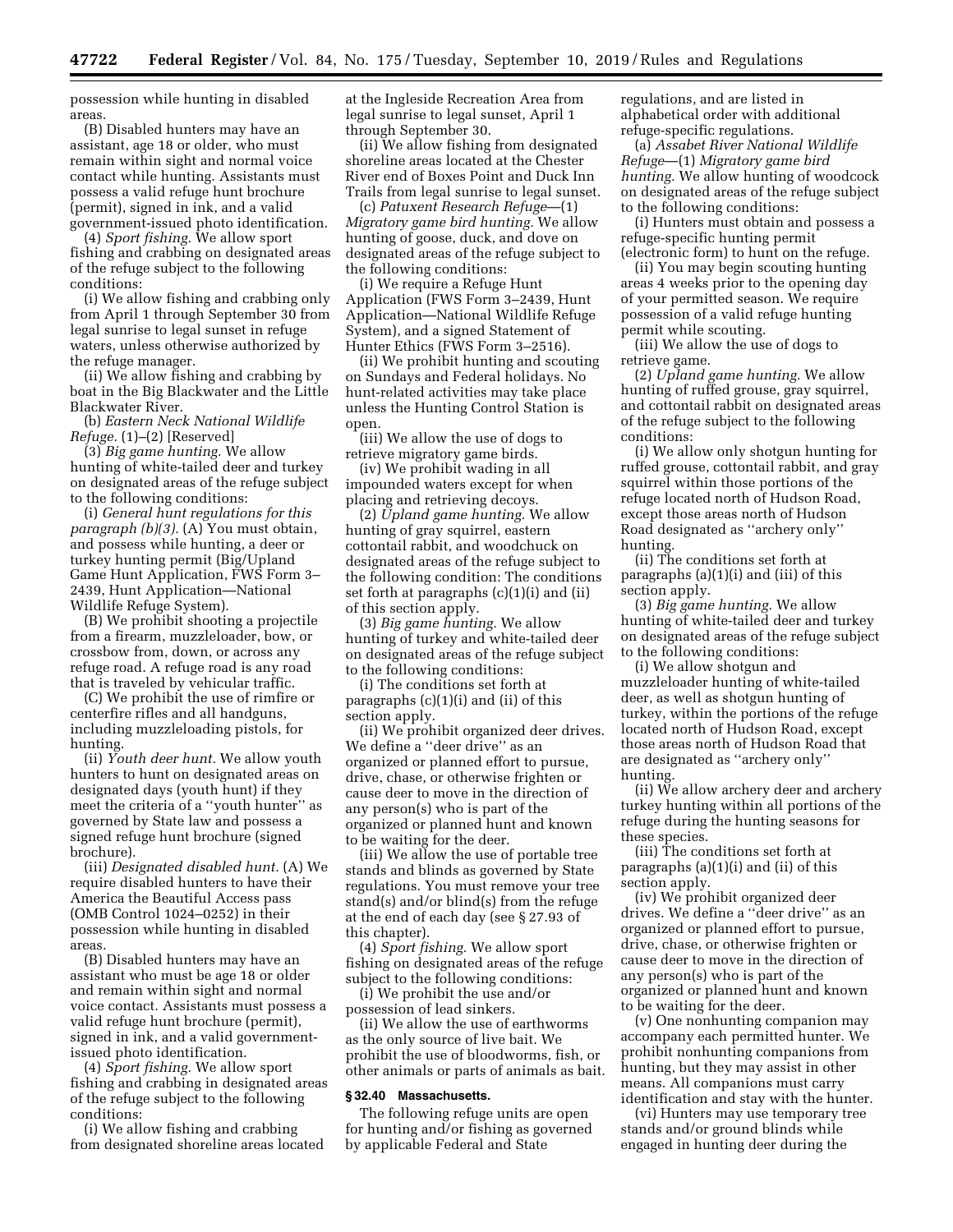possession while hunting in disabled areas.

(B) Disabled hunters may have an assistant, age 18 or older, who must remain within sight and normal voice contact while hunting. Assistants must possess a valid refuge hunt brochure (permit), signed in ink, and a valid government-issued photo identification.

(4) *Sport fishing.* We allow sport fishing and crabbing on designated areas of the refuge subject to the following conditions:

(i) We allow fishing and crabbing only from April 1 through September 30 from legal sunrise to legal sunset in refuge waters, unless otherwise authorized by the refuge manager.

(ii) We allow fishing and crabbing by boat in the Big Blackwater and the Little Blackwater River.

(b) *Eastern Neck National Wildlife Refuge.* (1)–(2) [Reserved]

(3) *Big game hunting.* We allow hunting of white-tailed deer and turkey on designated areas of the refuge subject to the following conditions:

(i) *General hunt regulations for this paragraph (b)(3).* (A) You must obtain, and possess while hunting, a deer or turkey hunting permit (Big/Upland Game Hunt Application, FWS Form 3– 2439, Hunt Application—National Wildlife Refuge System).

(B) We prohibit shooting a projectile from a firearm, muzzleloader, bow, or crossbow from, down, or across any refuge road. A refuge road is any road that is traveled by vehicular traffic.

(C) We prohibit the use of rimfire or centerfire rifles and all handguns, including muzzleloading pistols, for hunting.

(ii) *Youth deer hunt.* We allow youth hunters to hunt on designated areas on designated days (youth hunt) if they meet the criteria of a ''youth hunter'' as governed by State law and possess a signed refuge hunt brochure (signed brochure).

(iii) *Designated disabled hunt.* (A) We require disabled hunters to have their America the Beautiful Access pass (OMB Control 1024–0252) in their possession while hunting in disabled areas.

(B) Disabled hunters may have an assistant who must be age 18 or older and remain within sight and normal voice contact. Assistants must possess a valid refuge hunt brochure (permit), signed in ink, and a valid governmentissued photo identification.

(4) *Sport fishing.* We allow sport fishing and crabbing in designated areas of the refuge subject to the following conditions:

(i) We allow fishing and crabbing from designated shoreline areas located at the Ingleside Recreation Area from legal sunrise to legal sunset, April 1 through September 30.

(ii) We allow fishing from designated shoreline areas located at the Chester River end of Boxes Point and Duck Inn Trails from legal sunrise to legal sunset.

(c) *Patuxent Research Refuge*—(1) *Migratory game bird hunting.* We allow hunting of goose, duck, and dove on designated areas of the refuge subject to the following conditions:

(i) We require a Refuge Hunt Application (FWS Form 3–2439, Hunt Application—National Wildlife Refuge System), and a signed Statement of Hunter Ethics (FWS Form 3–2516).

(ii) We prohibit hunting and scouting on Sundays and Federal holidays. No hunt-related activities may take place unless the Hunting Control Station is open.

(iii) We allow the use of dogs to retrieve migratory game birds.

(iv) We prohibit wading in all impounded waters except for when placing and retrieving decoys.

(2) *Upland game hunting.* We allow hunting of gray squirrel, eastern cottontail rabbit, and woodchuck on designated areas of the refuge subject to the following condition: The conditions set forth at paragraphs (c)(1)(i) and (ii) of this section apply.

(3) *Big game hunting.* We allow hunting of turkey and white-tailed deer on designated areas of the refuge subject to the following conditions:

(i) The conditions set forth at paragraphs (c)(1)(i) and (ii) of this section apply.

(ii) We prohibit organized deer drives. We define a ''deer drive'' as an organized or planned effort to pursue, drive, chase, or otherwise frighten or cause deer to move in the direction of any person(s) who is part of the organized or planned hunt and known to be waiting for the deer.

(iii) We allow the use of portable tree stands and blinds as governed by State regulations. You must remove your tree stand(s) and/or blind(s) from the refuge at the end of each day (see § 27.93 of this chapter).

(4) *Sport fishing.* We allow sport fishing on designated areas of the refuge subject to the following conditions:

(i) We prohibit the use and/or possession of lead sinkers.

(ii) We allow the use of earthworms as the only source of live bait. We prohibit the use of bloodworms, fish, or other animals or parts of animals as bait.

## **§ 32.40 Massachusetts.**

The following refuge units are open for hunting and/or fishing as governed by applicable Federal and State

regulations, and are listed in alphabetical order with additional refuge-specific regulations.

(a) *Assabet River National Wildlife Refuge*—(1) *Migratory game bird hunting.* We allow hunting of woodcock on designated areas of the refuge subject to the following conditions:

(i) Hunters must obtain and possess a refuge-specific hunting permit (electronic form) to hunt on the refuge.

(ii) You may begin scouting hunting areas 4 weeks prior to the opening day of your permitted season. We require possession of a valid refuge hunting permit while scouting.

(iii) We allow the use of dogs to retrieve game.

(2) *Upland game hunting.* We allow hunting of ruffed grouse, gray squirrel, and cottontail rabbit on designated areas of the refuge subject to the following conditions:

(i) We allow only shotgun hunting for ruffed grouse, cottontail rabbit, and gray squirrel within those portions of the refuge located north of Hudson Road, except those areas north of Hudson Road designated as ''archery only'' hunting.

(ii) The conditions set forth at paragraphs (a)(1)(i) and (iii) of this section apply.

(3) *Big game hunting.* We allow hunting of white-tailed deer and turkey on designated areas of the refuge subject to the following conditions:

(i) We allow shotgun and muzzleloader hunting of white-tailed deer, as well as shotgun hunting of turkey, within the portions of the refuge located north of Hudson Road, except those areas north of Hudson Road that are designated as ''archery only'' hunting.

(ii) We allow archery deer and archery turkey hunting within all portions of the refuge during the hunting seasons for these species.

(iii) The conditions set forth at paragraphs (a)(1)(i) and (ii) of this section apply.

(iv) We prohibit organized deer drives. We define a ''deer drive'' as an organized or planned effort to pursue, drive, chase, or otherwise frighten or cause deer to move in the direction of any person(s) who is part of the organized or planned hunt and known to be waiting for the deer.

(v) One nonhunting companion may accompany each permitted hunter. We prohibit nonhunting companions from hunting, but they may assist in other means. All companions must carry identification and stay with the hunter.

(vi) Hunters may use temporary tree stands and/or ground blinds while engaged in hunting deer during the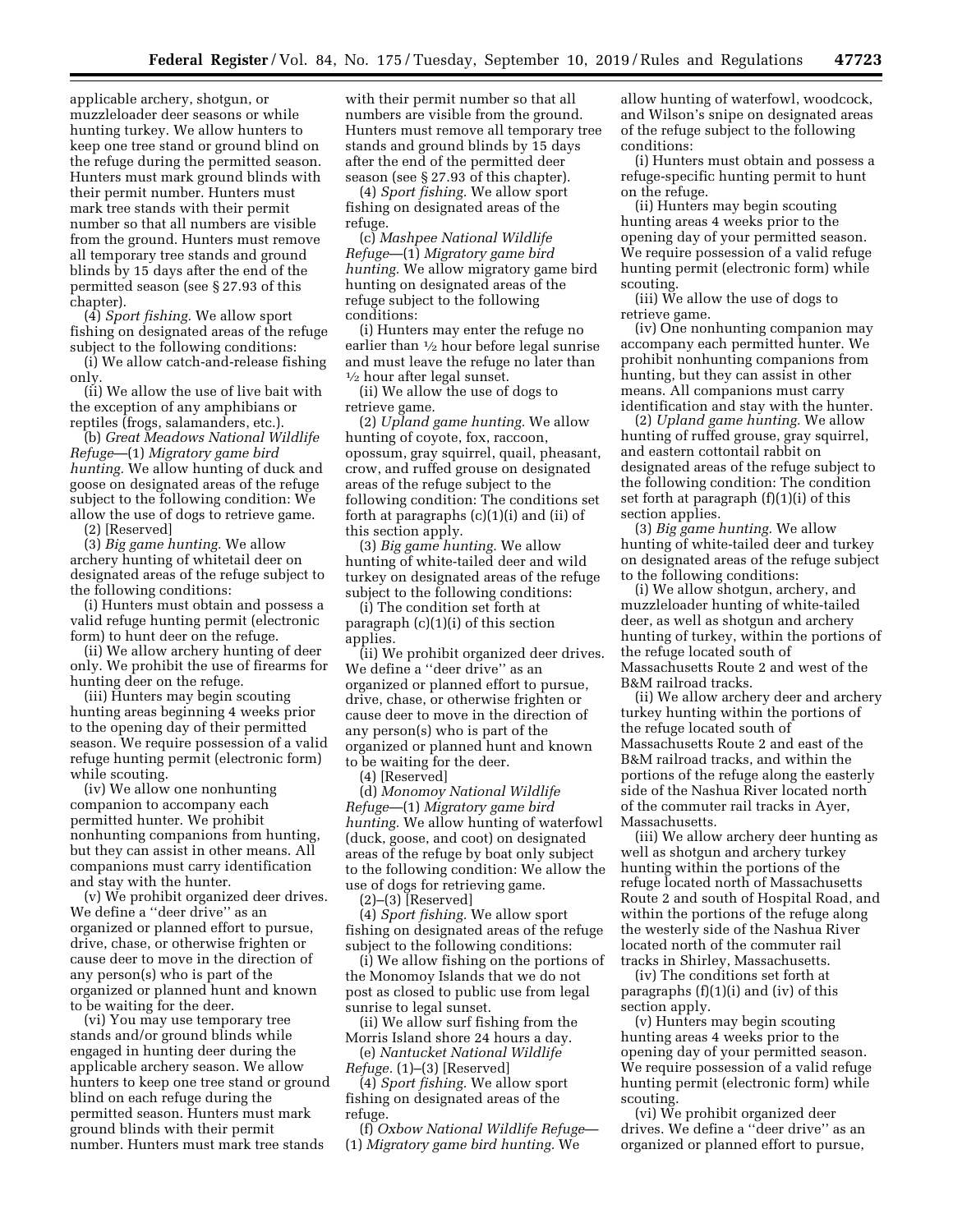applicable archery, shotgun, or muzzleloader deer seasons or while hunting turkey. We allow hunters to keep one tree stand or ground blind on the refuge during the permitted season. Hunters must mark ground blinds with their permit number. Hunters must mark tree stands with their permit number so that all numbers are visible from the ground. Hunters must remove all temporary tree stands and ground blinds by 15 days after the end of the permitted season (see § 27.93 of this chapter).

(4) *Sport fishing.* We allow sport fishing on designated areas of the refuge subject to the following conditions:

(i) We allow catch-and-release fishing only.

(ii) We allow the use of live bait with the exception of any amphibians or reptiles (frogs, salamanders, etc.).

(b) *Great Meadows National Wildlife Refuge*—(1) *Migratory game bird hunting.* We allow hunting of duck and goose on designated areas of the refuge subject to the following condition: We allow the use of dogs to retrieve game.

(2) [Reserved]

(3) *Big game hunting.* We allow archery hunting of whitetail deer on designated areas of the refuge subject to the following conditions:

(i) Hunters must obtain and possess a valid refuge hunting permit (electronic form) to hunt deer on the refuge.

(ii) We allow archery hunting of deer only. We prohibit the use of firearms for hunting deer on the refuge.

(iii) Hunters may begin scouting hunting areas beginning 4 weeks prior to the opening day of their permitted season. We require possession of a valid refuge hunting permit (electronic form) while scouting.

(iv) We allow one nonhunting companion to accompany each permitted hunter. We prohibit nonhunting companions from hunting, but they can assist in other means. All companions must carry identification and stay with the hunter.

(v) We prohibit organized deer drives. We define a ''deer drive'' as an organized or planned effort to pursue, drive, chase, or otherwise frighten or cause deer to move in the direction of any person(s) who is part of the organized or planned hunt and known to be waiting for the deer.

(vi) You may use temporary tree stands and/or ground blinds while engaged in hunting deer during the applicable archery season. We allow hunters to keep one tree stand or ground blind on each refuge during the permitted season. Hunters must mark ground blinds with their permit number. Hunters must mark tree stands

with their permit number so that all numbers are visible from the ground. Hunters must remove all temporary tree stands and ground blinds by 15 days after the end of the permitted deer season (see § 27.93 of this chapter).

(4) *Sport fishing.* We allow sport fishing on designated areas of the refuge.

(c) *Mashpee National Wildlife Refuge*—(1) *Migratory game bird hunting.* We allow migratory game bird hunting on designated areas of the refuge subject to the following conditions:

(i) Hunters may enter the refuge no earlier than 1⁄2 hour before legal sunrise and must leave the refuge no later than 1⁄2 hour after legal sunset.

(ii) We allow the use of dogs to retrieve game.

(2) *Upland game hunting.* We allow hunting of coyote, fox, raccoon, opossum, gray squirrel, quail, pheasant, crow, and ruffed grouse on designated areas of the refuge subject to the following condition: The conditions set forth at paragraphs (c)(1)(i) and (ii) of this section apply.

(3) *Big game hunting.* We allow hunting of white-tailed deer and wild turkey on designated areas of the refuge subject to the following conditions:

(i) The condition set forth at paragraph  $(c)(1)(i)$  of this section applies.

(ii) We prohibit organized deer drives. We define a ''deer drive'' as an organized or planned effort to pursue, drive, chase, or otherwise frighten or cause deer to move in the direction of any person(s) who is part of the organized or planned hunt and known to be waiting for the deer.

(4) [Reserved]

(d) *Monomoy National Wildlife Refuge*—(1) *Migratory game bird hunting.* We allow hunting of waterfowl (duck, goose, and coot) on designated areas of the refuge by boat only subject to the following condition: We allow the use of dogs for retrieving game.

(2)–(3) [Reserved]

(4) *Sport fishing.* We allow sport fishing on designated areas of the refuge subject to the following conditions:

(i) We allow fishing on the portions of the Monomoy Islands that we do not post as closed to public use from legal sunrise to legal sunset.

(ii) We allow surf fishing from the Morris Island shore 24 hours a day.

(e) *Nantucket National Wildlife Refuge.* (1)–(3) [Reserved]

(4) *Sport fishing.* We allow sport fishing on designated areas of the refuge.

(f) *Oxbow National Wildlife Refuge*— (1) *Migratory game bird hunting.* We

allow hunting of waterfowl, woodcock, and Wilson's snipe on designated areas of the refuge subject to the following conditions:

(i) Hunters must obtain and possess a refuge-specific hunting permit to hunt on the refuge.

(ii) Hunters may begin scouting hunting areas 4 weeks prior to the opening day of your permitted season. We require possession of a valid refuge hunting permit (electronic form) while scouting.

(iii) We allow the use of dogs to retrieve game.

(iv) One nonhunting companion may accompany each permitted hunter. We prohibit nonhunting companions from hunting, but they can assist in other means. All companions must carry identification and stay with the hunter.

(2) *Upland game hunting.* We allow hunting of ruffed grouse, gray squirrel, and eastern cottontail rabbit on designated areas of the refuge subject to the following condition: The condition set forth at paragraph (f)(1)(i) of this section applies.

(3) *Big game hunting.* We allow hunting of white-tailed deer and turkey on designated areas of the refuge subject to the following conditions:

(i) We allow shotgun, archery, and muzzleloader hunting of white-tailed deer, as well as shotgun and archery hunting of turkey, within the portions of the refuge located south of Massachusetts Route 2 and west of the B&M railroad tracks.

(ii) We allow archery deer and archery turkey hunting within the portions of the refuge located south of Massachusetts Route 2 and east of the B&M railroad tracks, and within the portions of the refuge along the easterly side of the Nashua River located north of the commuter rail tracks in Ayer, Massachusetts.

(iii) We allow archery deer hunting as well as shotgun and archery turkey hunting within the portions of the refuge located north of Massachusetts Route 2 and south of Hospital Road, and within the portions of the refuge along the westerly side of the Nashua River located north of the commuter rail tracks in Shirley, Massachusetts.

(iv) The conditions set forth at paragraphs (f)(1)(i) and (iv) of this section apply.

(v) Hunters may begin scouting hunting areas 4 weeks prior to the opening day of your permitted season. We require possession of a valid refuge hunting permit (electronic form) while scouting.

(vi) We prohibit organized deer drives. We define a ''deer drive'' as an organized or planned effort to pursue,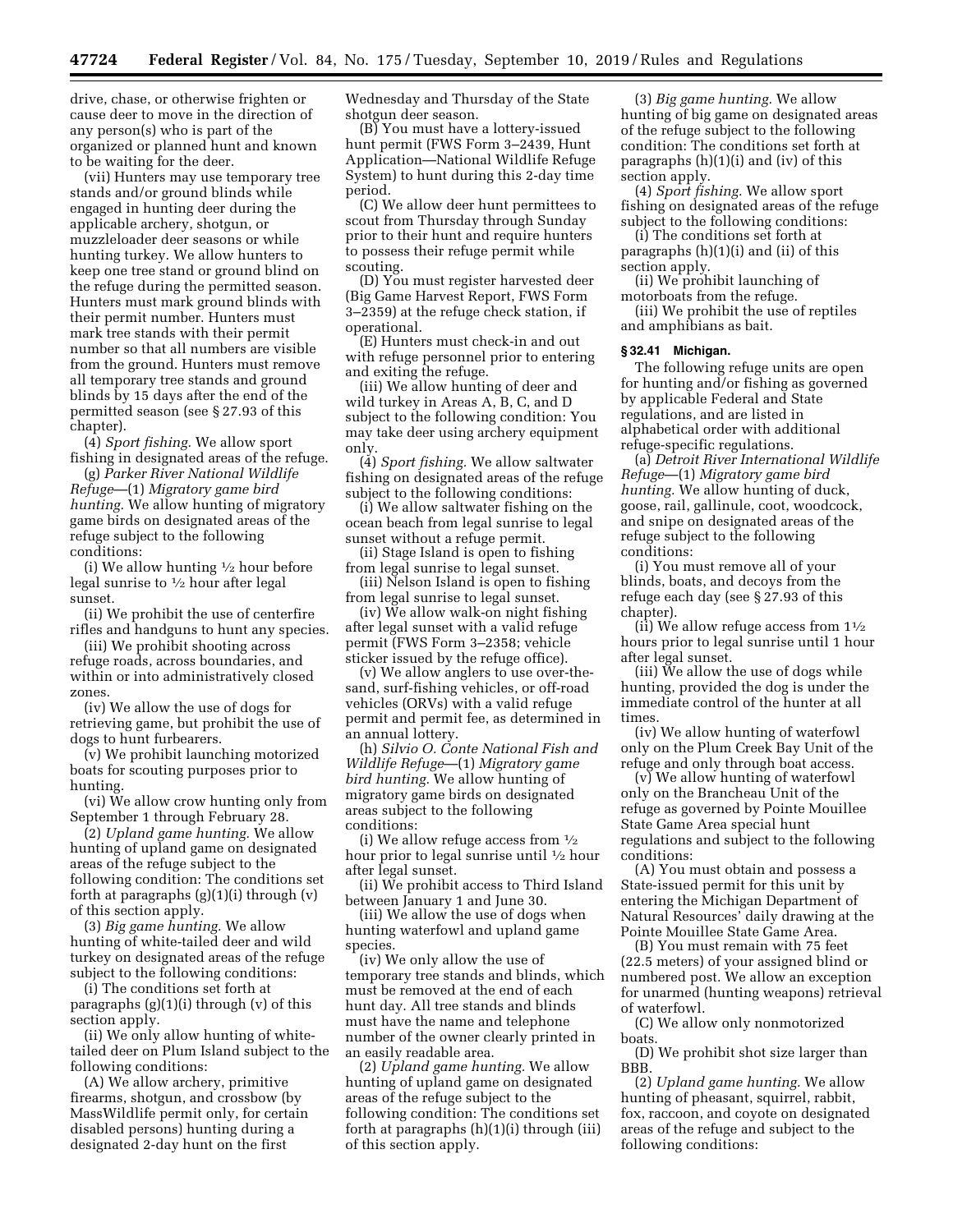drive, chase, or otherwise frighten or cause deer to move in the direction of any person(s) who is part of the organized or planned hunt and known to be waiting for the deer.

(vii) Hunters may use temporary tree stands and/or ground blinds while engaged in hunting deer during the applicable archery, shotgun, or muzzleloader deer seasons or while hunting turkey. We allow hunters to keep one tree stand or ground blind on the refuge during the permitted season. Hunters must mark ground blinds with their permit number. Hunters must mark tree stands with their permit number so that all numbers are visible from the ground. Hunters must remove all temporary tree stands and ground blinds by 15 days after the end of the permitted season (see § 27.93 of this chapter).

(4) *Sport fishing.* We allow sport fishing in designated areas of the refuge.

(g) *Parker River National Wildlife Refuge*—(1) *Migratory game bird hunting.* We allow hunting of migratory game birds on designated areas of the refuge subject to the following conditions:

(i) We allow hunting  $\frac{1}{2}$  hour before legal sunrise to 1⁄2 hour after legal sunset.

(ii) We prohibit the use of centerfire rifles and handguns to hunt any species.

(iii) We prohibit shooting across refuge roads, across boundaries, and within or into administratively closed zones.

(iv) We allow the use of dogs for retrieving game, but prohibit the use of dogs to hunt furbearers.

(v) We prohibit launching motorized boats for scouting purposes prior to hunting.

(vi) We allow crow hunting only from September 1 through February 28.

(2) *Upland game hunting.* We allow hunting of upland game on designated areas of the refuge subject to the following condition: The conditions set forth at paragraphs  $(g)(1)(i)$  through  $(v)$ of this section apply.

(3) *Big game hunting.* We allow hunting of white-tailed deer and wild turkey on designated areas of the refuge subject to the following conditions:

(i) The conditions set forth at paragraphs (g)(1)(i) through (v) of this section apply.

(ii) We only allow hunting of whitetailed deer on Plum Island subject to the following conditions:

(A) We allow archery, primitive firearms, shotgun, and crossbow (by MassWildlife permit only, for certain disabled persons) hunting during a designated 2-day hunt on the first

Wednesday and Thursday of the State shotgun deer season.

(B) You must have a lottery-issued hunt permit (FWS Form 3–2439, Hunt Application—National Wildlife Refuge System) to hunt during this 2-day time period.

(C) We allow deer hunt permittees to scout from Thursday through Sunday prior to their hunt and require hunters to possess their refuge permit while scouting.

(D) You must register harvested deer (Big Game Harvest Report, FWS Form 3–2359) at the refuge check station, if operational.

(E) Hunters must check-in and out with refuge personnel prior to entering and exiting the refuge.

(iii) We allow hunting of deer and wild turkey in Areas A, B, C, and D subject to the following condition: You may take deer using archery equipment only.

(4) *Sport fishing.* We allow saltwater fishing on designated areas of the refuge subject to the following conditions:

(i) We allow saltwater fishing on the ocean beach from legal sunrise to legal sunset without a refuge permit.

(ii) Stage Island is open to fishing from legal sunrise to legal sunset. (iii) Nelson Island is open to fishing

from legal sunrise to legal sunset.

(iv) We allow walk-on night fishing after legal sunset with a valid refuge permit (FWS Form 3–2358; vehicle sticker issued by the refuge office).

(v) We allow anglers to use over-thesand, surf-fishing vehicles, or off-road vehicles (ORVs) with a valid refuge permit and permit fee, as determined in an annual lottery.

(h) *Silvio O. Conte National Fish and Wildlife Refuge*—(1) *Migratory game bird hunting.* We allow hunting of migratory game birds on designated areas subject to the following conditions:

(i) We allow refuge access from  $\frac{1}{2}$ hour prior to legal sunrise until 1⁄2 hour after legal sunset.

(ii) We prohibit access to Third Island between January 1 and June 30.

(iii) We allow the use of dogs when hunting waterfowl and upland game species.

(iv) We only allow the use of temporary tree stands and blinds, which must be removed at the end of each hunt day. All tree stands and blinds must have the name and telephone number of the owner clearly printed in an easily readable area.

(2) *Upland game hunting.* We allow hunting of upland game on designated areas of the refuge subject to the following condition: The conditions set forth at paragraphs (h)(1)(i) through (iii) of this section apply.

(3) *Big game hunting.* We allow hunting of big game on designated areas of the refuge subject to the following condition: The conditions set forth at paragraphs (h)(1)(i) and (iv) of this section apply.

(4) *Sport fishing.* We allow sport fishing on designated areas of the refuge subject to the following conditions:

(i) The conditions set forth at paragraphs (h)(1)(i) and (ii) of this section apply.

(ii) We prohibit launching of motorboats from the refuge.

(iii) We prohibit the use of reptiles and amphibians as bait.

## **§ 32.41 Michigan.**

The following refuge units are open for hunting and/or fishing as governed by applicable Federal and State regulations, and are listed in alphabetical order with additional refuge-specific regulations.

(a) *Detroit River International Wildlife Refuge*—(1) *Migratory game bird hunting.* We allow hunting of duck, goose, rail, gallinule, coot, woodcock, and snipe on designated areas of the refuge subject to the following conditions:

(i) You must remove all of your blinds, boats, and decoys from the refuge each day (see § 27.93 of this chapter).

(ii) We allow refuge access from  $1\frac{1}{2}$ hours prior to legal sunrise until 1 hour after legal sunset.

(iii) We allow the use of dogs while hunting, provided the dog is under the immediate control of the hunter at all times.

(iv) We allow hunting of waterfowl only on the Plum Creek Bay Unit of the refuge and only through boat access.

(v) We allow hunting of waterfowl only on the Brancheau Unit of the refuge as governed by Pointe Mouillee State Game Area special hunt regulations and subject to the following conditions:

(A) You must obtain and possess a State-issued permit for this unit by entering the Michigan Department of Natural Resources' daily drawing at the Pointe Mouillee State Game Area.

(B) You must remain with 75 feet (22.5 meters) of your assigned blind or numbered post. We allow an exception for unarmed (hunting weapons) retrieval of waterfowl.

(C) We allow only nonmotorized boats.

(D) We prohibit shot size larger than BBB.

(2) *Upland game hunting.* We allow hunting of pheasant, squirrel, rabbit, fox, raccoon, and coyote on designated areas of the refuge and subject to the following conditions: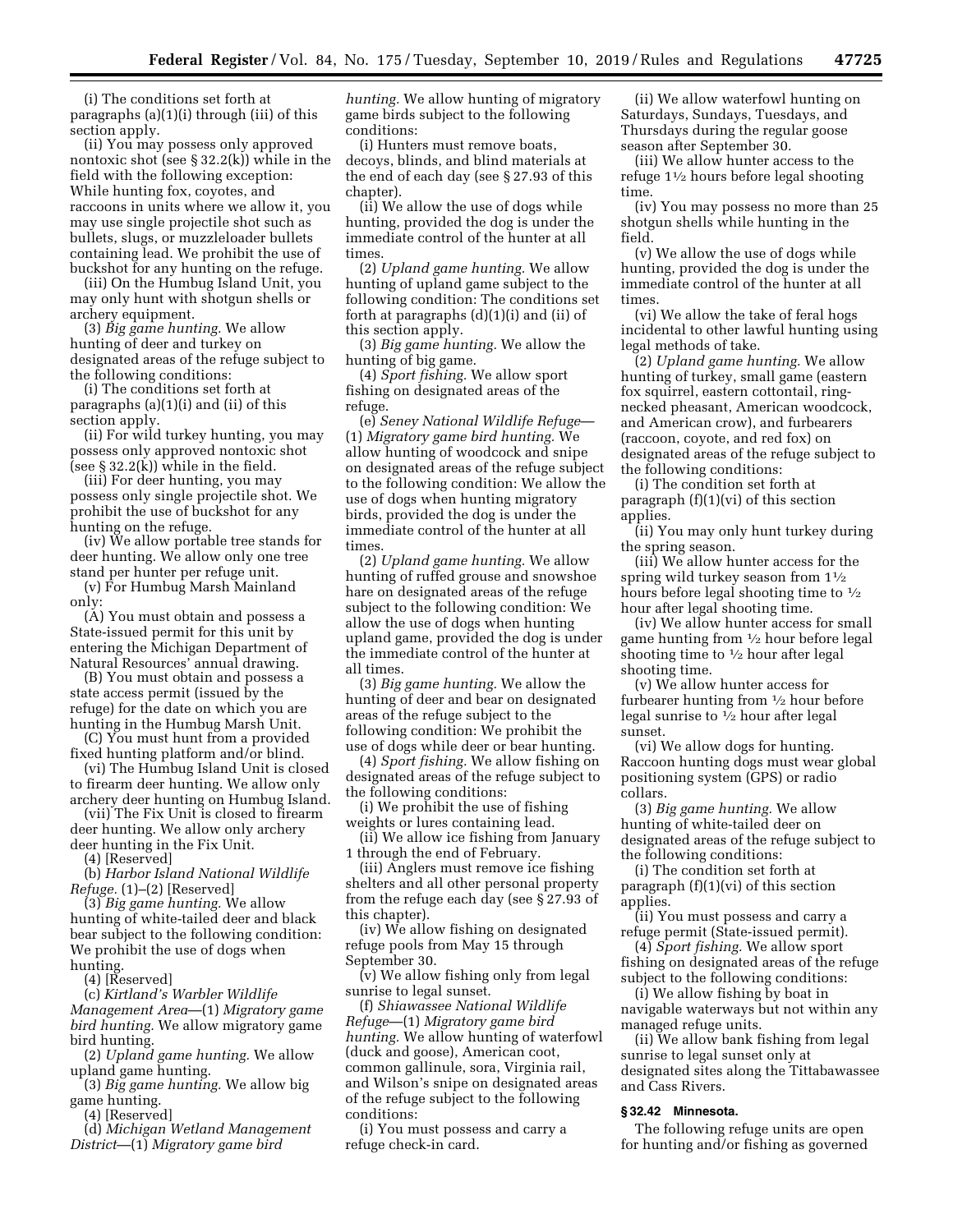(i) The conditions set forth at paragraphs (a)(1)(i) through (iii) of this section apply.

(ii) You may possess only approved nontoxic shot (see § 32.2(k)) while in the field with the following exception: While hunting fox, coyotes, and raccoons in units where we allow it, you may use single projectile shot such as bullets, slugs, or muzzleloader bullets containing lead. We prohibit the use of buckshot for any hunting on the refuge.

(iii) On the Humbug Island Unit, you may only hunt with shotgun shells or archery equipment.

(3) *Big game hunting.* We allow hunting of deer and turkey on designated areas of the refuge subject to the following conditions:

(i) The conditions set forth at paragraphs (a)(1)(i) and (ii) of this section apply.

(ii) For wild turkey hunting, you may possess only approved nontoxic shot (see  $\S 32.2(k)$ ) while in the field.

(iii) For deer hunting, you may possess only single projectile shot. We prohibit the use of buckshot for any hunting on the refuge.

(iv) We allow portable tree stands for deer hunting. We allow only one tree stand per hunter per refuge unit.

(v) For Humbug Marsh Mainland only:

(A) You must obtain and possess a State-issued permit for this unit by entering the Michigan Department of Natural Resources' annual drawing.

(B) You must obtain and possess a state access permit (issued by the refuge) for the date on which you are hunting in the Humbug Marsh Unit.

(C) You must hunt from a provided fixed hunting platform and/or blind.

(vi) The Humbug Island Unit is closed to firearm deer hunting. We allow only archery deer hunting on Humbug Island.

(vii) The Fix Unit is closed to firearm deer hunting. We allow only archery deer hunting in the Fix Unit.

(4) [Reserved]

(b) *Harbor Island National Wildlife Refuge.* (1)–(2) [Reserved]

(3) *Big game hunting.* We allow hunting of white-tailed deer and black bear subject to the following condition: We prohibit the use of dogs when hunting.

(4) [Reserved]

(c) *Kirtland's Warbler Wildlife Management Area*—(1) *Migratory game bird hunting.* We allow migratory game bird hunting.

(2) *Upland game hunting.* We allow upland game hunting.

(3) *Big game hunting.* We allow big game hunting.

(4) [Reserved]

(d) *Michigan Wetland Management District*—(1) *Migratory game bird* 

*hunting.* We allow hunting of migratory game birds subject to the following conditions:

(i) Hunters must remove boats, decoys, blinds, and blind materials at the end of each day (see § 27.93 of this chapter).

(ii) We allow the use of dogs while hunting, provided the dog is under the immediate control of the hunter at all times

(2) *Upland game hunting.* We allow hunting of upland game subject to the following condition: The conditions set forth at paragraphs  $(d)(1)(i)$  and  $(ii)$  of this section apply.

(3) *Big game hunting.* We allow the hunting of big game.

(4) *Sport fishing.* We allow sport fishing on designated areas of the refuge.

(e) *Seney National Wildlife Refuge*— (1) *Migratory game bird hunting.* We allow hunting of woodcock and snipe on designated areas of the refuge subject to the following condition: We allow the use of dogs when hunting migratory birds, provided the dog is under the immediate control of the hunter at all times.

(2) *Upland game hunting.* We allow hunting of ruffed grouse and snowshoe hare on designated areas of the refuge subject to the following condition: We allow the use of dogs when hunting upland game, provided the dog is under the immediate control of the hunter at all times.

(3) *Big game hunting.* We allow the hunting of deer and bear on designated areas of the refuge subject to the following condition: We prohibit the use of dogs while deer or bear hunting.

(4) *Sport fishing.* We allow fishing on designated areas of the refuge subject to the following conditions:

(i) We prohibit the use of fishing weights or lures containing lead.

(ii) We allow ice fishing from January 1 through the end of February.

(iii) Anglers must remove ice fishing shelters and all other personal property from the refuge each day (see § 27.93 of this chapter).

(iv) We allow fishing on designated refuge pools from May 15 through September 30.

(v) We allow fishing only from legal sunrise to legal sunset.

(f) *Shiawassee National Wildlife Refuge*—(1) *Migratory game bird hunting.* We allow hunting of waterfowl (duck and goose), American coot, common gallinule, sora, Virginia rail, and Wilson's snipe on designated areas of the refuge subject to the following conditions:

(i) You must possess and carry a refuge check-in card.

(ii) We allow waterfowl hunting on Saturdays, Sundays, Tuesdays, and Thursdays during the regular goose season after September 30.

(iii) We allow hunter access to the refuge 11⁄2 hours before legal shooting time.

(iv) You may possess no more than 25 shotgun shells while hunting in the field.

(v) We allow the use of dogs while hunting, provided the dog is under the immediate control of the hunter at all times.

(vi) We allow the take of feral hogs incidental to other lawful hunting using legal methods of take.

(2) *Upland game hunting.* We allow hunting of turkey, small game (eastern fox squirrel, eastern cottontail, ringnecked pheasant, American woodcock, and American crow), and furbearers (raccoon, coyote, and red fox) on designated areas of the refuge subject to the following conditions:

(i) The condition set forth at paragraph (f)(1)(vi) of this section applies.

(ii) You may only hunt turkey during the spring season.

(iii) We allow hunter access for the spring wild turkey season from 11⁄2 hours before legal shooting time to 1⁄2 hour after legal shooting time.

(iv) We allow hunter access for small game hunting from 1⁄2 hour before legal shooting time to  $\frac{1}{2}$  hour after legal shooting time.

(v) We allow hunter access for furbearer hunting from  $\frac{1}{2}$  hour before legal sunrise to 1⁄2 hour after legal sunset.

(vi) We allow dogs for hunting. Raccoon hunting dogs must wear global positioning system (GPS) or radio collars.

(3) *Big game hunting.* We allow hunting of white-tailed deer on designated areas of the refuge subject to the following conditions:

(i) The condition set forth at paragraph (f)(1)(vi) of this section applies.

(ii) You must possess and carry a refuge permit (State-issued permit).

(4) *Sport fishing.* We allow sport fishing on designated areas of the refuge subject to the following conditions:

(i) We allow fishing by boat in navigable waterways but not within any managed refuge units.

(ii) We allow bank fishing from legal sunrise to legal sunset only at designated sites along the Tittabawassee and Cass Rivers.

# **§ 32.42 Minnesota.**

The following refuge units are open for hunting and/or fishing as governed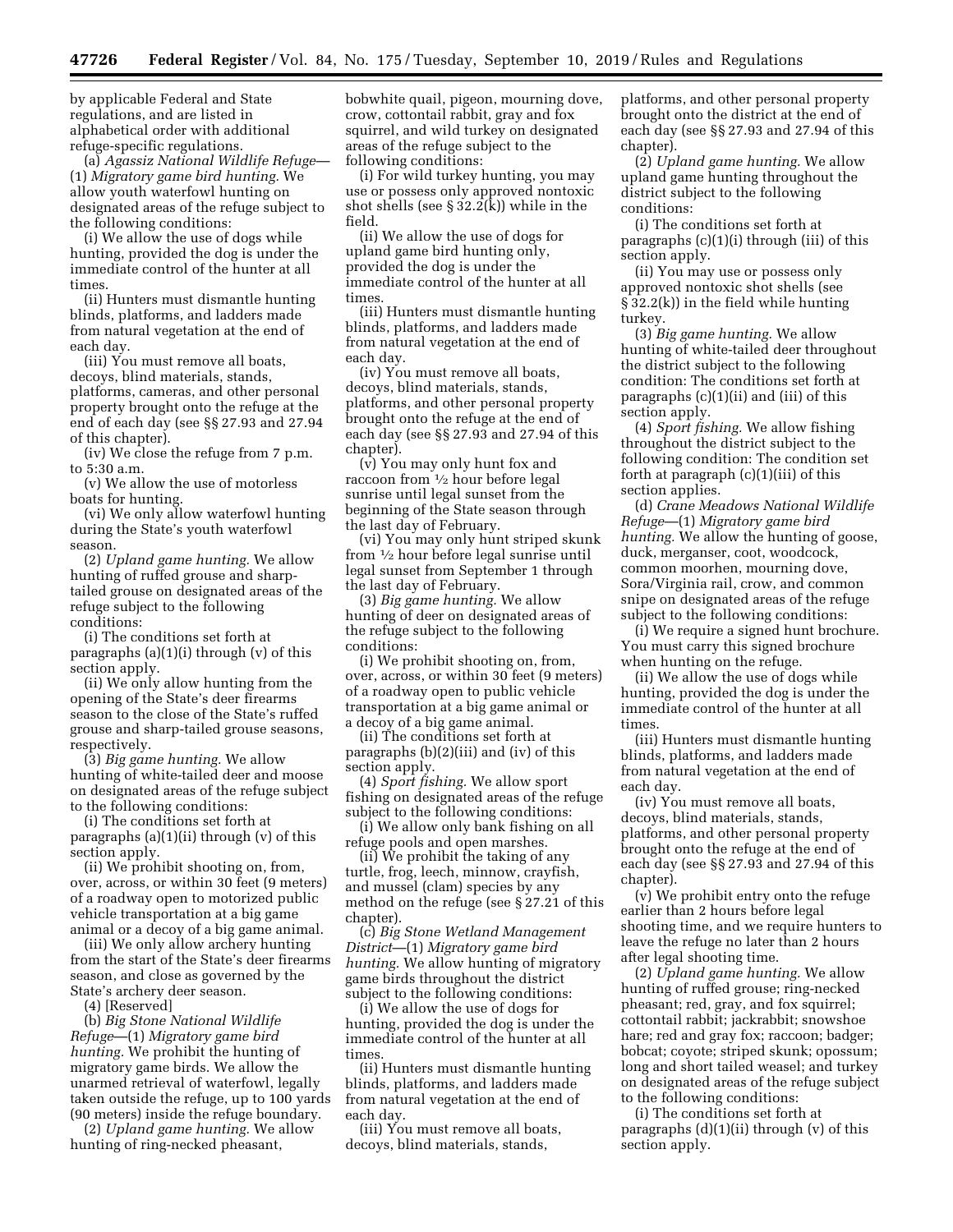by applicable Federal and State regulations, and are listed in alphabetical order with additional refuge-specific regulations.

(a) *Agassiz National Wildlife Refuge*— (1) *Migratory game bird hunting.* We allow youth waterfowl hunting on designated areas of the refuge subject to the following conditions:

(i) We allow the use of dogs while hunting, provided the dog is under the immediate control of the hunter at all times.

(ii) Hunters must dismantle hunting blinds, platforms, and ladders made from natural vegetation at the end of each day.

(iii) You must remove all boats, decoys, blind materials, stands, platforms, cameras, and other personal property brought onto the refuge at the end of each day (see §§ 27.93 and 27.94 of this chapter).

(iv) We close the refuge from 7 p.m. to 5:30 a.m.

(v) We allow the use of motorless boats for hunting.

(vi) We only allow waterfowl hunting during the State's youth waterfowl season.

(2) *Upland game hunting.* We allow hunting of ruffed grouse and sharptailed grouse on designated areas of the refuge subject to the following conditions:

(i) The conditions set forth at paragraphs (a)(1)(i) through (v) of this section apply.

(ii) We only allow hunting from the opening of the State's deer firearms season to the close of the State's ruffed grouse and sharp-tailed grouse seasons, respectively.

(3) *Big game hunting.* We allow hunting of white-tailed deer and moose on designated areas of the refuge subject to the following conditions:

(i) The conditions set forth at paragraphs (a)(1)(ii) through (v) of this section apply.

(ii) We prohibit shooting on, from, over, across, or within 30 feet (9 meters) of a roadway open to motorized public vehicle transportation at a big game animal or a decoy of a big game animal.

(iii) We only allow archery hunting from the start of the State's deer firearms season, and close as governed by the State's archery deer season.

(4) [Reserved]

(b) *Big Stone National Wildlife Refuge*—(1) *Migratory game bird hunting.* We prohibit the hunting of migratory game birds. We allow the unarmed retrieval of waterfowl, legally taken outside the refuge, up to 100 yards (90 meters) inside the refuge boundary.

(2) *Upland game hunting.* We allow hunting of ring-necked pheasant,

bobwhite quail, pigeon, mourning dove, crow, cottontail rabbit, gray and fox squirrel, and wild turkey on designated areas of the refuge subject to the following conditions:

(i) For wild turkey hunting, you may use or possess only approved nontoxic shot shells (see § 32.2(k)) while in the field.

(ii) We allow the use of dogs for upland game bird hunting only, provided the dog is under the immediate control of the hunter at all times.

(iii) Hunters must dismantle hunting blinds, platforms, and ladders made from natural vegetation at the end of each day.

(iv) You must remove all boats, decoys, blind materials, stands, platforms, and other personal property brought onto the refuge at the end of each day (see §§ 27.93 and 27.94 of this chapter).

(v) You may only hunt fox and raccoon from 1⁄2 hour before legal sunrise until legal sunset from the beginning of the State season through the last day of February.

(vi) You may only hunt striped skunk from 1⁄2 hour before legal sunrise until legal sunset from September 1 through the last day of February.

(3) *Big game hunting.* We allow hunting of deer on designated areas of the refuge subject to the following conditions:

(i) We prohibit shooting on, from, over, across, or within 30 feet (9 meters) of a roadway open to public vehicle transportation at a big game animal or a decoy of a big game animal.

(ii) The conditions set forth at paragraphs (b)(2)(iii) and (iv) of this section apply.

(4) *Sport fishing.* We allow sport fishing on designated areas of the refuge subject to the following conditions:

(i) We allow only bank fishing on all refuge pools and open marshes.

(ii) We prohibit the taking of any turtle, frog, leech, minnow, crayfish, and mussel (clam) species by any method on the refuge (see § 27.21 of this chapter).

(c) *Big Stone Wetland Management District*—(1) *Migratory game bird hunting.* We allow hunting of migratory game birds throughout the district subject to the following conditions:

(i) We allow the use of dogs for hunting, provided the dog is under the immediate control of the hunter at all times.

(ii) Hunters must dismantle hunting blinds, platforms, and ladders made from natural vegetation at the end of each day.

(iii) You must remove all boats, decoys, blind materials, stands,

platforms, and other personal property brought onto the district at the end of each day (see §§ 27.93 and 27.94 of this chapter).

(2) *Upland game hunting.* We allow upland game hunting throughout the district subject to the following conditions:

(i) The conditions set forth at paragraphs (c)(1)(i) through (iii) of this section apply.

(ii) You may use or possess only approved nontoxic shot shells (see § 32.2(k)) in the field while hunting turkey.

(3) *Big game hunting.* We allow hunting of white-tailed deer throughout the district subject to the following condition: The conditions set forth at paragraphs (c)(1)(ii) and (iii) of this section apply.

(4) *Sport fishing.* We allow fishing throughout the district subject to the following condition: The condition set forth at paragraph (c)(1)(iii) of this section applies.

(d) *Crane Meadows National Wildlife Refuge*—(1) *Migratory game bird hunting.* We allow the hunting of goose, duck, merganser, coot, woodcock, common moorhen, mourning dove, Sora/Virginia rail, crow, and common snipe on designated areas of the refuge subject to the following conditions:

(i) We require a signed hunt brochure. You must carry this signed brochure when hunting on the refuge.

(ii) We allow the use of dogs while hunting, provided the dog is under the immediate control of the hunter at all times.

(iii) Hunters must dismantle hunting blinds, platforms, and ladders made from natural vegetation at the end of each day.

(iv) You must remove all boats, decoys, blind materials, stands, platforms, and other personal property brought onto the refuge at the end of each day (see §§ 27.93 and 27.94 of this chapter).

(v) We prohibit entry onto the refuge earlier than 2 hours before legal shooting time, and we require hunters to leave the refuge no later than 2 hours after legal shooting time.

(2) *Upland game hunting.* We allow hunting of ruffed grouse; ring-necked pheasant; red, gray, and fox squirrel; cottontail rabbit; jackrabbit; snowshoe hare; red and gray fox; raccoon; badger; bobcat; coyote; striped skunk; opossum; long and short tailed weasel; and turkey on designated areas of the refuge subject to the following conditions:

(i) The conditions set forth at paragraphs  $(d)(1)(ii)$  through  $(v)$  of this section apply.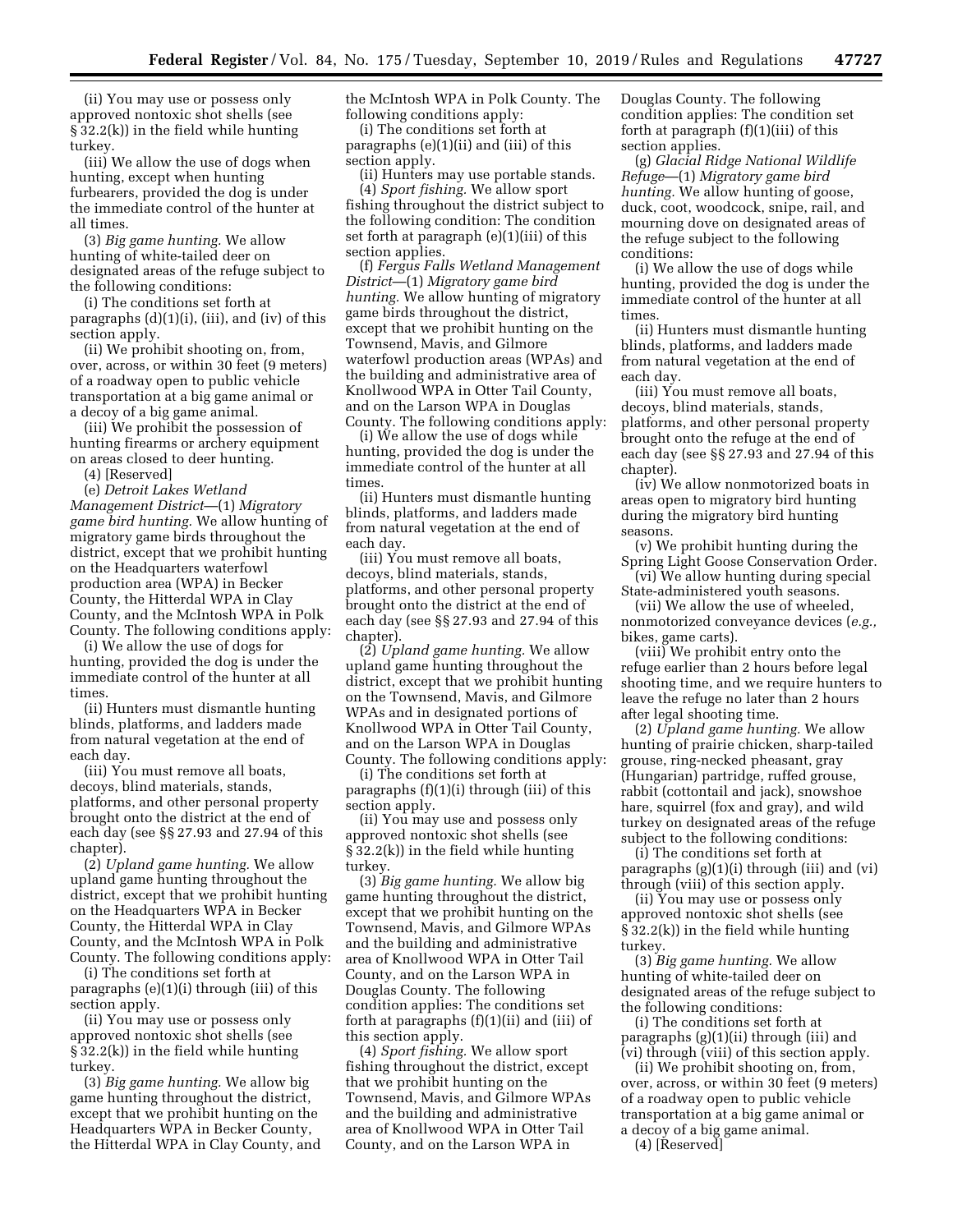(ii) You may use or possess only approved nontoxic shot shells (see § 32.2(k)) in the field while hunting turkey.

(iii) We allow the use of dogs when hunting, except when hunting furbearers, provided the dog is under the immediate control of the hunter at all times.

(3) *Big game hunting.* We allow hunting of white-tailed deer on designated areas of the refuge subject to the following conditions:

(i) The conditions set forth at paragraphs (d)(1)(i), (iii), and (iv) of this section apply.

(ii) We prohibit shooting on, from, over, across, or within 30 feet (9 meters) of a roadway open to public vehicle transportation at a big game animal or a decoy of a big game animal.

(iii) We prohibit the possession of hunting firearms or archery equipment on areas closed to deer hunting.

(4) [Reserved]

(e) *Detroit Lakes Wetland Management District*—(1) *Migratory game bird hunting.* We allow hunting of migratory game birds throughout the district, except that we prohibit hunting on the Headquarters waterfowl production area (WPA) in Becker County, the Hitterdal WPA in Clay County, and the McIntosh WPA in Polk County. The following conditions apply:

(i) We allow the use of dogs for hunting, provided the dog is under the immediate control of the hunter at all times.

(ii) Hunters must dismantle hunting blinds, platforms, and ladders made from natural vegetation at the end of each day.

(iii) You must remove all boats, decoys, blind materials, stands, platforms, and other personal property brought onto the district at the end of each day (see §§ 27.93 and 27.94 of this chapter).

(2) *Upland game hunting.* We allow upland game hunting throughout the district, except that we prohibit hunting on the Headquarters WPA in Becker County, the Hitterdal WPA in Clay County, and the McIntosh WPA in Polk County. The following conditions apply:

(i) The conditions set forth at paragraphs (e)(1)(i) through (iii) of this section apply.

(ii) You may use or possess only approved nontoxic shot shells (see  $\hat{q}$  32.2(k)) in the field while hunting turkey.

(3) *Big game hunting.* We allow big game hunting throughout the district, except that we prohibit hunting on the Headquarters WPA in Becker County, the Hitterdal WPA in Clay County, and the McIntosh WPA in Polk County. The following conditions apply:

(i) The conditions set forth at paragraphs (e)(1)(ii) and (iii) of this section apply.

(ii) Hunters may use portable stands. (4) *Sport fishing.* We allow sport fishing throughout the district subject to the following condition: The condition set forth at paragraph (e)(1)(iii) of this section applies.

(f) *Fergus Falls Wetland Management District*—(1) *Migratory game bird hunting.* We allow hunting of migratory game birds throughout the district, except that we prohibit hunting on the Townsend, Mavis, and Gilmore waterfowl production areas (WPAs) and the building and administrative area of Knollwood WPA in Otter Tail County, and on the Larson WPA in Douglas County. The following conditions apply:

(i) We allow the use of dogs while hunting, provided the dog is under the immediate control of the hunter at all times.

(ii) Hunters must dismantle hunting blinds, platforms, and ladders made from natural vegetation at the end of each day.

(iii) You must remove all boats, decoys, blind materials, stands, platforms, and other personal property brought onto the district at the end of each day (see §§ 27.93 and 27.94 of this chapter).

(2) *Upland game hunting.* We allow upland game hunting throughout the district, except that we prohibit hunting on the Townsend, Mavis, and Gilmore WPAs and in designated portions of Knollwood WPA in Otter Tail County, and on the Larson WPA in Douglas County. The following conditions apply:

(i) The conditions set forth at paragraphs (f)(1)(i) through (iii) of this section apply.

(ii) You may use and possess only approved nontoxic shot shells (see § 32.2(k)) in the field while hunting turkey.

(3) *Big game hunting.* We allow big game hunting throughout the district, except that we prohibit hunting on the Townsend, Mavis, and Gilmore WPAs and the building and administrative area of Knollwood WPA in Otter Tail County, and on the Larson WPA in Douglas County. The following condition applies: The conditions set forth at paragraphs (f)(1)(ii) and (iii) of this section apply.

(4) *Sport fishing.* We allow sport fishing throughout the district, except that we prohibit hunting on the Townsend, Mavis, and Gilmore WPAs and the building and administrative area of Knollwood WPA in Otter Tail County, and on the Larson WPA in

Douglas County. The following condition applies: The condition set forth at paragraph (f)(1)(iii) of this section applies.

(g) *Glacial Ridge National Wildlife Refuge*—(1) *Migratory game bird hunting.* We allow hunting of goose, duck, coot, woodcock, snipe, rail, and mourning dove on designated areas of the refuge subject to the following conditions:

(i) We allow the use of dogs while hunting, provided the dog is under the immediate control of the hunter at all times.

(ii) Hunters must dismantle hunting blinds, platforms, and ladders made from natural vegetation at the end of each day.

(iii) You must remove all boats, decoys, blind materials, stands, platforms, and other personal property brought onto the refuge at the end of each day (see §§ 27.93 and 27.94 of this chapter).

(iv) We allow nonmotorized boats in areas open to migratory bird hunting during the migratory bird hunting seasons.

(v) We prohibit hunting during the Spring Light Goose Conservation Order. (vi) We allow hunting during special

State-administered youth seasons. (vii) We allow the use of wheeled,

nonmotorized conveyance devices (*e.g.,*  bikes, game carts).

(viii) We prohibit entry onto the refuge earlier than 2 hours before legal shooting time, and we require hunters to leave the refuge no later than 2 hours after legal shooting time.

(2) *Upland game hunting.* We allow hunting of prairie chicken, sharp-tailed grouse, ring-necked pheasant, gray (Hungarian) partridge, ruffed grouse, rabbit (cottontail and jack), snowshoe hare, squirrel (fox and gray), and wild turkey on designated areas of the refuge subject to the following conditions:

(i) The conditions set forth at paragraphs (g)(1)(i) through (iii) and (vi) through (viii) of this section apply.

(ii) You may use or possess only approved nontoxic shot shells (see § 32.2(k)) in the field while hunting turkey.

(3) *Big game hunting.* We allow hunting of white-tailed deer on designated areas of the refuge subject to the following conditions:

(i) The conditions set forth at paragraphs (g)(1)(ii) through (iii) and (vi) through (viii) of this section apply.

(ii) We prohibit shooting on, from, over, across, or within 30 feet (9 meters) of a roadway open to public vehicle transportation at a big game animal or a decoy of a big game animal. (4) [Reserved]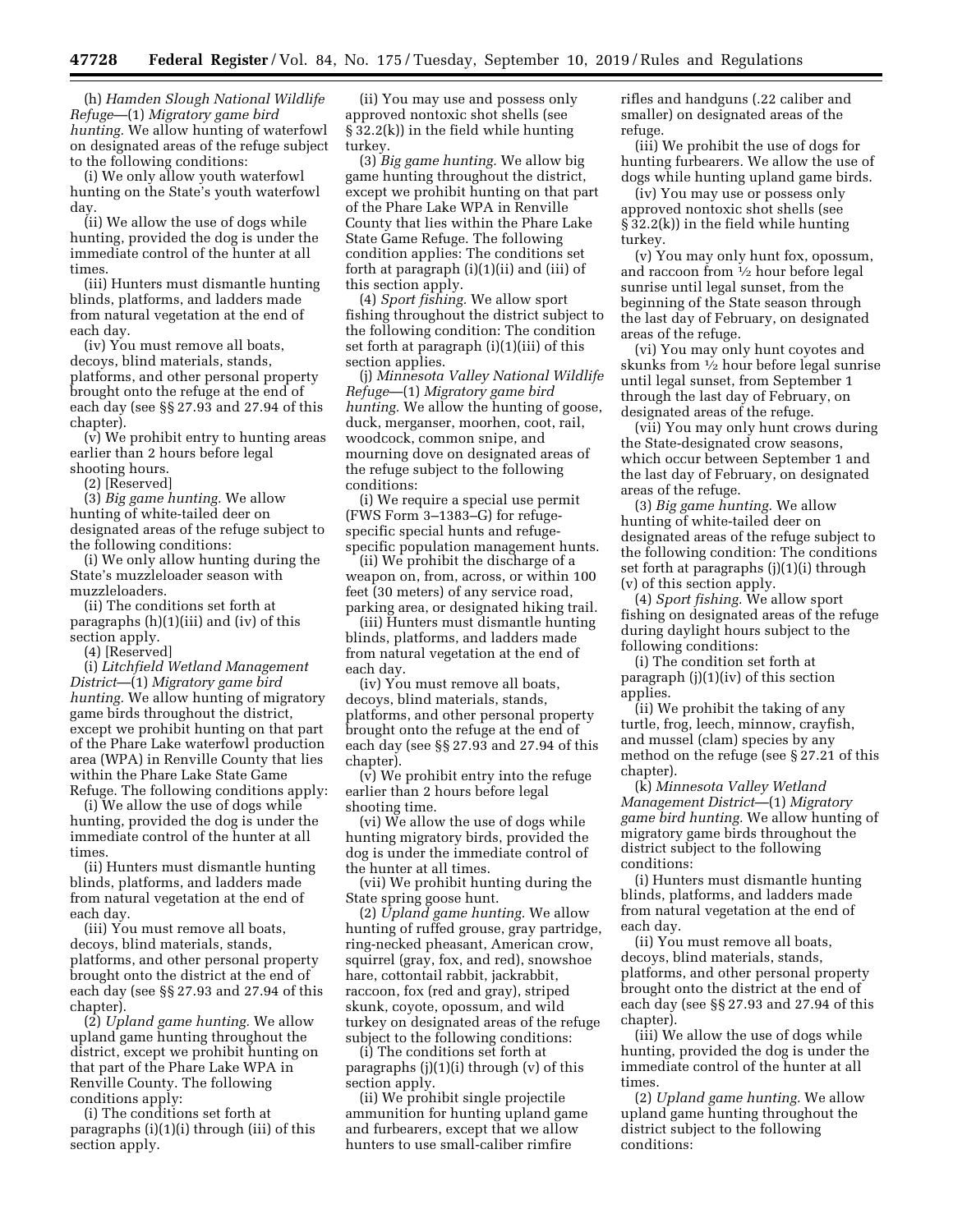(h) *Hamden Slough National Wildlife Refuge*—(1) *Migratory game bird hunting.* We allow hunting of waterfowl on designated areas of the refuge subject to the following conditions:

(i) We only allow youth waterfowl hunting on the State's youth waterfowl day.

(ii) We allow the use of dogs while hunting, provided the dog is under the immediate control of the hunter at all times.

(iii) Hunters must dismantle hunting blinds, platforms, and ladders made from natural vegetation at the end of each day.

(iv) You must remove all boats, decoys, blind materials, stands, platforms, and other personal property brought onto the refuge at the end of each day (see §§ 27.93 and 27.94 of this chapter).

(v) We prohibit entry to hunting areas earlier than 2 hours before legal shooting hours.

(2) [Reserved]

(3) *Big game hunting.* We allow hunting of white-tailed deer on designated areas of the refuge subject to the following conditions:

(i) We only allow hunting during the State's muzzleloader season with muzzleloaders.

(ii) The conditions set forth at paragraphs (h)(1)(iii) and (iv) of this section apply.

(4) [Reserved]

(i) *Litchfield Wetland Management District*—(1) *Migratory game bird hunting.* We allow hunting of migratory game birds throughout the district, except we prohibit hunting on that part of the Phare Lake waterfowl production area (WPA) in Renville County that lies within the Phare Lake State Game Refuge. The following conditions apply:

(i) We allow the use of dogs while hunting, provided the dog is under the immediate control of the hunter at all times.

(ii) Hunters must dismantle hunting blinds, platforms, and ladders made from natural vegetation at the end of each day.

(iii) You must remove all boats, decoys, blind materials, stands, platforms, and other personal property brought onto the district at the end of each day (see §§ 27.93 and 27.94 of this chapter).

(2) *Upland game hunting.* We allow upland game hunting throughout the district, except we prohibit hunting on that part of the Phare Lake WPA in Renville County. The following conditions apply:

(i) The conditions set forth at paragraphs (i)(1)(i) through (iii) of this section apply.

(ii) You may use and possess only approved nontoxic shot shells (see § 32.2(k)) in the field while hunting turkey.

(3) *Big game hunting.* We allow big game hunting throughout the district, except we prohibit hunting on that part of the Phare Lake WPA in Renville County that lies within the Phare Lake State Game Refuge. The following condition applies: The conditions set forth at paragraph (i)(1)(ii) and (iii) of this section apply.

(4) *Sport fishing.* We allow sport fishing throughout the district subject to the following condition: The condition set forth at paragraph (i)(1)(iii) of this section applies.

(j) *Minnesota Valley National Wildlife Refuge*—(1) *Migratory game bird hunting.* We allow the hunting of goose, duck, merganser, moorhen, coot, rail, woodcock, common snipe, and mourning dove on designated areas of the refuge subject to the following conditions:

(i) We require a special use permit (FWS Form 3–1383–G) for refugespecific special hunts and refugespecific population management hunts.

(ii) We prohibit the discharge of a weapon on, from, across, or within 100 feet (30 meters) of any service road, parking area, or designated hiking trail.

(iii) Hunters must dismantle hunting blinds, platforms, and ladders made from natural vegetation at the end of each day.

(iv) You must remove all boats, decoys, blind materials, stands, platforms, and other personal property brought onto the refuge at the end of each day (see §§ 27.93 and 27.94 of this chapter).

 $(\bar{v})$  We prohibit entry into the refuge earlier than 2 hours before legal shooting time.

(vi) We allow the use of dogs while hunting migratory birds, provided the dog is under the immediate control of the hunter at all times.

(vii) We prohibit hunting during the State spring goose hunt.

(2) *Upland game hunting.* We allow hunting of ruffed grouse, gray partridge, ring-necked pheasant, American crow, squirrel (gray, fox, and red), snowshoe hare, cottontail rabbit, jackrabbit, raccoon, fox (red and gray), striped skunk, coyote, opossum, and wild turkey on designated areas of the refuge subject to the following conditions:

(i) The conditions set forth at paragraphs  $(j)(1)(i)$  through  $(v)$  of this section apply.

(ii) We prohibit single projectile ammunition for hunting upland game and furbearers, except that we allow hunters to use small-caliber rimfire

rifles and handguns (.22 caliber and smaller) on designated areas of the refuge.

(iii) We prohibit the use of dogs for hunting furbearers. We allow the use of dogs while hunting upland game birds.

(iv) You may use or possess only approved nontoxic shot shells (see § 32.2(k)) in the field while hunting turkey.

(v) You may only hunt fox, opossum, and raccoon from  $\frac{1}{2}$  hour before legal sunrise until legal sunset, from the beginning of the State season through the last day of February, on designated areas of the refuge.

(vi) You may only hunt coyotes and skunks from 1⁄2 hour before legal sunrise until legal sunset, from September 1 through the last day of February, on designated areas of the refuge.

(vii) You may only hunt crows during the State-designated crow seasons, which occur between September 1 and the last day of February, on designated areas of the refuge.

(3) *Big game hunting.* We allow hunting of white-tailed deer on designated areas of the refuge subject to the following condition: The conditions set forth at paragraphs (j)(1)(i) through (v) of this section apply.

(4) *Sport fishing.* We allow sport fishing on designated areas of the refuge during daylight hours subject to the following conditions:

(i) The condition set forth at paragraph  $(j)(1)(iv)$  of this section applies.

(ii) We prohibit the taking of any turtle, frog, leech, minnow, crayfish, and mussel (clam) species by any method on the refuge (see § 27.21 of this chapter).

(k) *Minnesota Valley Wetland Management District*—(1) *Migratory game bird hunting.* We allow hunting of migratory game birds throughout the district subject to the following conditions:

(i) Hunters must dismantle hunting blinds, platforms, and ladders made from natural vegetation at the end of each day.

(ii) You must remove all boats, decoys, blind materials, stands, platforms, and other personal property brought onto the district at the end of each day (see §§ 27.93 and 27.94 of this chapter).

(iii) We allow the use of dogs while hunting, provided the dog is under the immediate control of the hunter at all times.

(2) *Upland game hunting.* We allow upland game hunting throughout the district subject to the following conditions: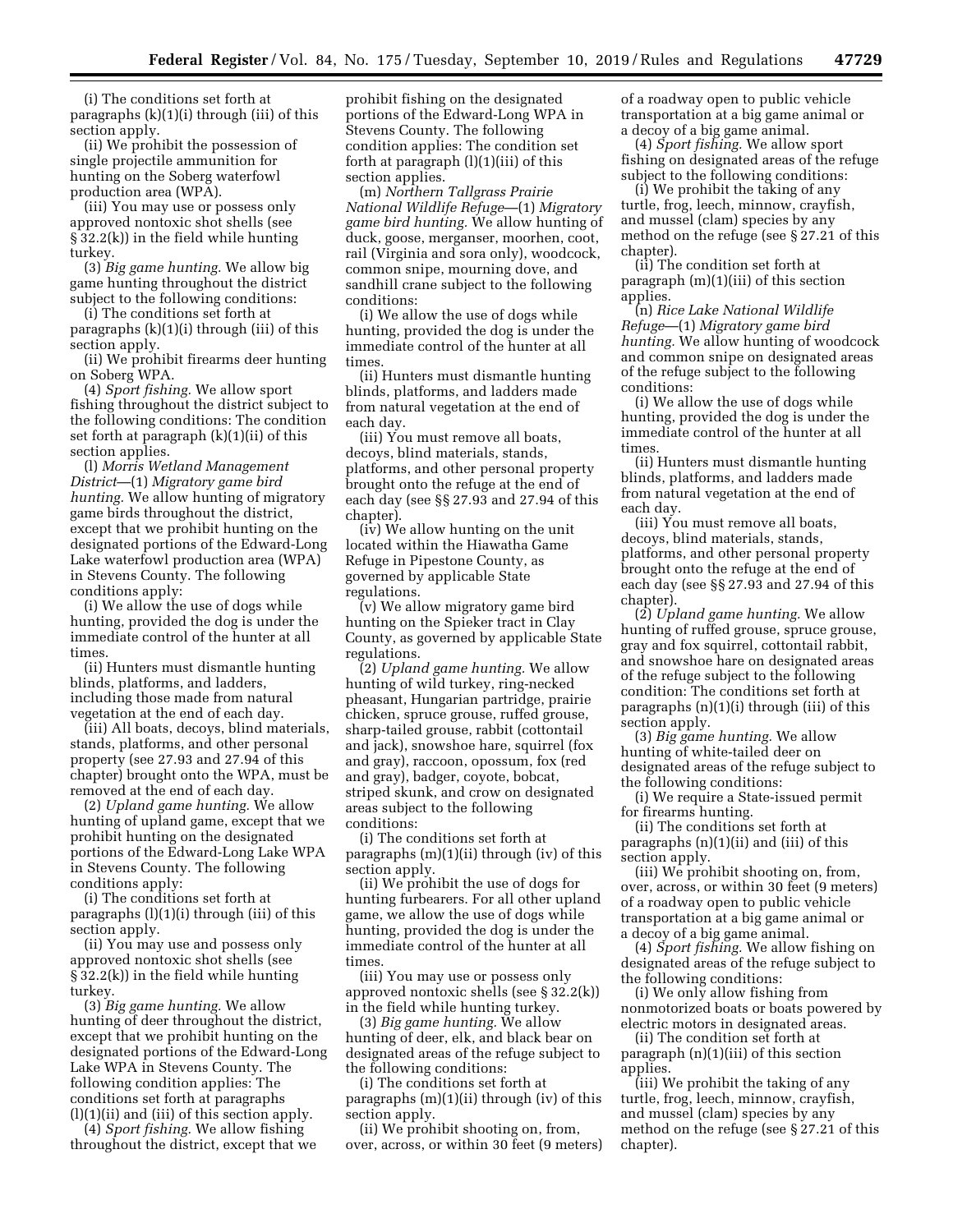(i) The conditions set forth at paragraphs (k)(1)(i) through (iii) of this section apply.

(ii) We prohibit the possession of single projectile ammunition for hunting on the Soberg waterfowl production area (WPA).

(iii) You may use or possess only approved nontoxic shot shells (see § 32.2(k)) in the field while hunting turkey.

(3) *Big game hunting.* We allow big game hunting throughout the district subject to the following conditions:

(i) The conditions set forth at paragraphs (k)(1)(i) through (iii) of this section apply.

(ii) We prohibit firearms deer hunting on Soberg WPA.

(4) *Sport fishing.* We allow sport fishing throughout the district subject to the following conditions: The condition set forth at paragraph (k)(1)(ii) of this section applies.

(l) *Morris Wetland Management District*—(1) *Migratory game bird hunting.* We allow hunting of migratory game birds throughout the district, except that we prohibit hunting on the designated portions of the Edward-Long Lake waterfowl production area (WPA) in Stevens County. The following conditions apply:

(i) We allow the use of dogs while hunting, provided the dog is under the immediate control of the hunter at all times.

(ii) Hunters must dismantle hunting blinds, platforms, and ladders, including those made from natural vegetation at the end of each day.

(iii) All boats, decoys, blind materials, stands, platforms, and other personal property (see 27.93 and 27.94 of this chapter) brought onto the WPA, must be removed at the end of each day.

(2) *Upland game hunting.* We allow hunting of upland game, except that we prohibit hunting on the designated portions of the Edward-Long Lake WPA in Stevens County. The following conditions apply:

(i) The conditions set forth at paragraphs (l)(1)(i) through (iii) of this section apply.

(ii) You may use and possess only approved nontoxic shot shells (see § 32.2(k)) in the field while hunting turkey.

(3) *Big game hunting.* We allow hunting of deer throughout the district, except that we prohibit hunting on the designated portions of the Edward-Long Lake WPA in Stevens County. The following condition applies: The conditions set forth at paragraphs (l)(1)(ii) and (iii) of this section apply.

(4) *Sport fishing.* We allow fishing throughout the district, except that we prohibit fishing on the designated portions of the Edward-Long WPA in Stevens County. The following condition applies: The condition set forth at paragraph (l)(1)(iii) of this section applies.

(m) *Northern Tallgrass Prairie National Wildlife Refuge*—(1) *Migratory game bird hunting.* We allow hunting of duck, goose, merganser, moorhen, coot, rail (Virginia and sora only), woodcock, common snipe, mourning dove, and sandhill crane subject to the following conditions:

(i) We allow the use of dogs while hunting, provided the dog is under the immediate control of the hunter at all times.

(ii) Hunters must dismantle hunting blinds, platforms, and ladders made from natural vegetation at the end of each day.

(iii) You must remove all boats, decoys, blind materials, stands, platforms, and other personal property brought onto the refuge at the end of each day (see §§ 27.93 and 27.94 of this chapter).

(iv) We allow hunting on the unit located within the Hiawatha Game Refuge in Pipestone County, as governed by applicable State regulations.

(v) We allow migratory game bird hunting on the Spieker tract in Clay County, as governed by applicable State regulations.

(2) *Upland game hunting.* We allow hunting of wild turkey, ring-necked pheasant, Hungarian partridge, prairie chicken, spruce grouse, ruffed grouse, sharp-tailed grouse, rabbit (cottontail and jack), snowshoe hare, squirrel (fox and gray), raccoon, opossum, fox (red and gray), badger, coyote, bobcat, striped skunk, and crow on designated areas subject to the following conditions:

(i) The conditions set forth at paragraphs (m)(1)(ii) through (iv) of this section apply.

(ii) We prohibit the use of dogs for hunting furbearers. For all other upland game, we allow the use of dogs while hunting, provided the dog is under the immediate control of the hunter at all times.

(iii) You may use or possess only approved nontoxic shells (see § 32.2(k)) in the field while hunting turkey.

(3) *Big game hunting.* We allow hunting of deer, elk, and black bear on designated areas of the refuge subject to the following conditions:

(i) The conditions set forth at paragraphs (m)(1)(ii) through (iv) of this section apply.

(ii) We prohibit shooting on, from, over, across, or within 30 feet (9 meters) of a roadway open to public vehicle transportation at a big game animal or a decoy of a big game animal.

(4) *Sport fishing.* We allow sport fishing on designated areas of the refuge subject to the following conditions:

(i) We prohibit the taking of any turtle, frog, leech, minnow, crayfish, and mussel (clam) species by any method on the refuge (see § 27.21 of this chapter).

(ii) The condition set forth at paragraph (m)(1)(iii) of this section applies.

(n) *Rice Lake National Wildlife Refuge*—(1) *Migratory game bird hunting.* We allow hunting of woodcock and common snipe on designated areas of the refuge subject to the following conditions:

(i) We allow the use of dogs while hunting, provided the dog is under the immediate control of the hunter at all times.

(ii) Hunters must dismantle hunting blinds, platforms, and ladders made from natural vegetation at the end of each day.

(iii) You must remove all boats, decoys, blind materials, stands, platforms, and other personal property brought onto the refuge at the end of each day (see §§ 27.93 and 27.94 of this chapter).

(2) *Upland game hunting.* We allow hunting of ruffed grouse, spruce grouse, gray and fox squirrel, cottontail rabbit, and snowshoe hare on designated areas of the refuge subject to the following condition: The conditions set forth at paragraphs (n)(1)(i) through (iii) of this section apply.

(3) *Big game hunting.* We allow hunting of white-tailed deer on designated areas of the refuge subject to the following conditions:

(i) We require a State-issued permit for firearms hunting.

(ii) The conditions set forth at paragraphs (n)(1)(ii) and (iii) of this section apply.

(iii) We prohibit shooting on, from, over, across, or within 30 feet (9 meters) of a roadway open to public vehicle transportation at a big game animal or a decoy of a big game animal.

(4) *Sport fishing.* We allow fishing on designated areas of the refuge subject to the following conditions:

(i) We only allow fishing from nonmotorized boats or boats powered by electric motors in designated areas.

(ii) The condition set forth at paragraph (n)(1)(iii) of this section applies.

(iii) We prohibit the taking of any turtle, frog, leech, minnow, crayfish, and mussel (clam) species by any method on the refuge (see § 27.21 of this chapter).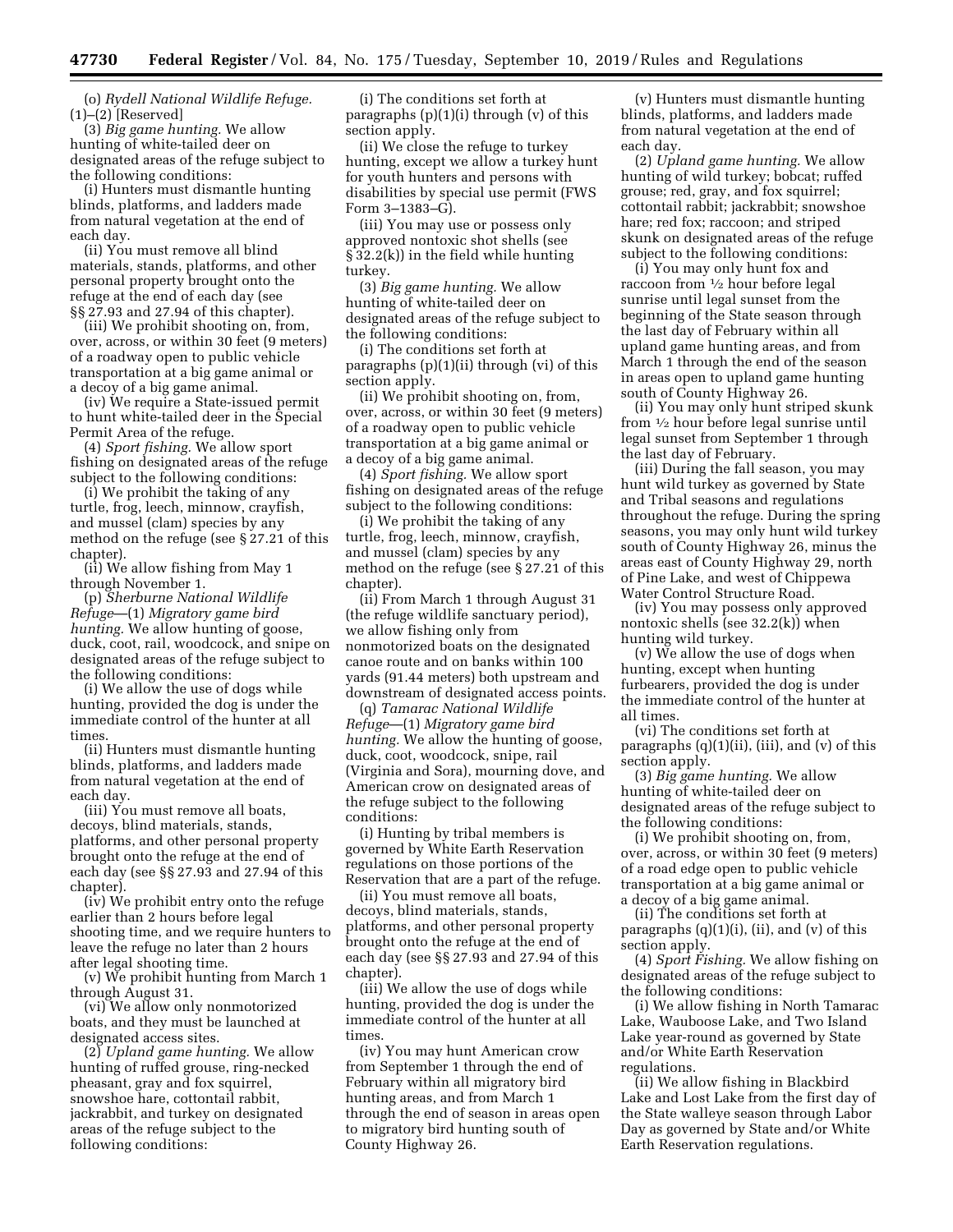(o) *Rydell National Wildlife Refuge.*  (1)–(2) [Reserved]

(3) *Big game hunting.* We allow hunting of white-tailed deer on designated areas of the refuge subject to the following conditions:

(i) Hunters must dismantle hunting blinds, platforms, and ladders made from natural vegetation at the end of each day.

(ii) You must remove all blind materials, stands, platforms, and other personal property brought onto the refuge at the end of each day (see §§ 27.93 and 27.94 of this chapter).

(iii) We prohibit shooting on, from, over, across, or within 30 feet (9 meters) of a roadway open to public vehicle transportation at a big game animal or a decoy of a big game animal.

(iv) We require a State-issued permit to hunt white-tailed deer in the Special Permit Area of the refuge.

(4) *Sport fishing.* We allow sport fishing on designated areas of the refuge subject to the following conditions:

(i) We prohibit the taking of any turtle, frog, leech, minnow, crayfish, and mussel (clam) species by any method on the refuge (see § 27.21 of this chapter).

(ii) We allow fishing from May 1 through November 1.

(p) *Sherburne National Wildlife Refuge*—(1) *Migratory game bird hunting.* We allow hunting of goose, duck, coot, rail, woodcock, and snipe on designated areas of the refuge subject to the following conditions:

(i) We allow the use of dogs while hunting, provided the dog is under the immediate control of the hunter at all times.

(ii) Hunters must dismantle hunting blinds, platforms, and ladders made from natural vegetation at the end of each day.

(iii) You must remove all boats, decoys, blind materials, stands, platforms, and other personal property brought onto the refuge at the end of each day (see §§ 27.93 and 27.94 of this chapter).

(iv) We prohibit entry onto the refuge earlier than 2 hours before legal shooting time, and we require hunters to leave the refuge no later than 2 hours after legal shooting time.

(v) We prohibit hunting from March 1 through August 31.

(vi) We allow only nonmotorized boats, and they must be launched at designated access sites.

(2) *Upland game hunting.* We allow hunting of ruffed grouse, ring-necked pheasant, gray and fox squirrel, snowshoe hare, cottontail rabbit, jackrabbit, and turkey on designated areas of the refuge subject to the following conditions:

(i) The conditions set forth at paragraphs  $(p)(1)(i)$  through  $(v)$  of this section apply.

(ii) We close the refuge to turkey hunting, except we allow a turkey hunt for youth hunters and persons with disabilities by special use permit (FWS Form 3–1383–G).

(iii) You may use or possess only approved nontoxic shot shells (see § 32.2(k)) in the field while hunting turkey.

(3) *Big game hunting.* We allow hunting of white-tailed deer on designated areas of the refuge subject to the following conditions:

(i) The conditions set forth at paragraphs (p)(1)(ii) through (vi) of this section apply.

(ii) We prohibit shooting on, from, over, across, or within 30 feet (9 meters) of a roadway open to public vehicle transportation at a big game animal or a decoy of a big game animal.

(4) *Sport fishing.* We allow sport fishing on designated areas of the refuge subject to the following conditions:

(i) We prohibit the taking of any turtle, frog, leech, minnow, crayfish, and mussel (clam) species by any method on the refuge (see § 27.21 of this chapter).

(ii) From March 1 through August 31 (the refuge wildlife sanctuary period), we allow fishing only from nonmotorized boats on the designated canoe route and on banks within 100 yards (91.44 meters) both upstream and downstream of designated access points.

(q) *Tamarac National Wildlife Refuge*—(1) *Migratory game bird hunting.* We allow the hunting of goose, duck, coot, woodcock, snipe, rail (Virginia and Sora), mourning dove, and American crow on designated areas of the refuge subject to the following conditions:

(i) Hunting by tribal members is governed by White Earth Reservation regulations on those portions of the Reservation that are a part of the refuge.

(ii) You must remove all boats, decoys, blind materials, stands, platforms, and other personal property brought onto the refuge at the end of each day (see §§ 27.93 and 27.94 of this chapter).

(iii) We allow the use of dogs while hunting, provided the dog is under the immediate control of the hunter at all times.

(iv) You may hunt American crow from September 1 through the end of February within all migratory bird hunting areas, and from March 1 through the end of season in areas open to migratory bird hunting south of County Highway 26.

(v) Hunters must dismantle hunting blinds, platforms, and ladders made from natural vegetation at the end of each day.

(2) *Upland game hunting.* We allow hunting of wild turkey; bobcat; ruffed grouse; red, gray, and fox squirrel; cottontail rabbit; jackrabbit; snowshoe hare; red fox; raccoon; and striped skunk on designated areas of the refuge subject to the following conditions:

(i) You may only hunt fox and raccoon from 1⁄2 hour before legal sunrise until legal sunset from the beginning of the State season through the last day of February within all upland game hunting areas, and from March 1 through the end of the season in areas open to upland game hunting south of County Highway 26.

(ii) You may only hunt striped skunk from 1⁄2 hour before legal sunrise until legal sunset from September 1 through the last day of February.

(iii) During the fall season, you may hunt wild turkey as governed by State and Tribal seasons and regulations throughout the refuge. During the spring seasons, you may only hunt wild turkey south of County Highway 26, minus the areas east of County Highway 29, north of Pine Lake, and west of Chippewa Water Control Structure Road.

(iv) You may possess only approved nontoxic shells (see 32.2(k)) when hunting wild turkey.

(v) We allow the use of dogs when hunting, except when hunting furbearers, provided the dog is under the immediate control of the hunter at all times.

(vi) The conditions set forth at paragraphs  $(q)(1)(ii)$ , (iii), and  $(v)$  of this section apply.

(3) *Big game hunting.* We allow hunting of white-tailed deer on designated areas of the refuge subject to the following conditions:

(i) We prohibit shooting on, from, over, across, or within 30 feet (9 meters) of a road edge open to public vehicle transportation at a big game animal or a decoy of a big game animal.

(ii) The conditions set forth at paragraphs (q)(1)(i), (ii), and (v) of this section apply.

(4) *Sport Fishing.* We allow fishing on designated areas of the refuge subject to the following conditions:

(i) We allow fishing in North Tamarac Lake, Wauboose Lake, and Two Island Lake year-round as governed by State and/or White Earth Reservation regulations.

(ii) We allow fishing in Blackbird Lake and Lost Lake from the first day of the State walleye season through Labor Day as governed by State and/or White Earth Reservation regulations.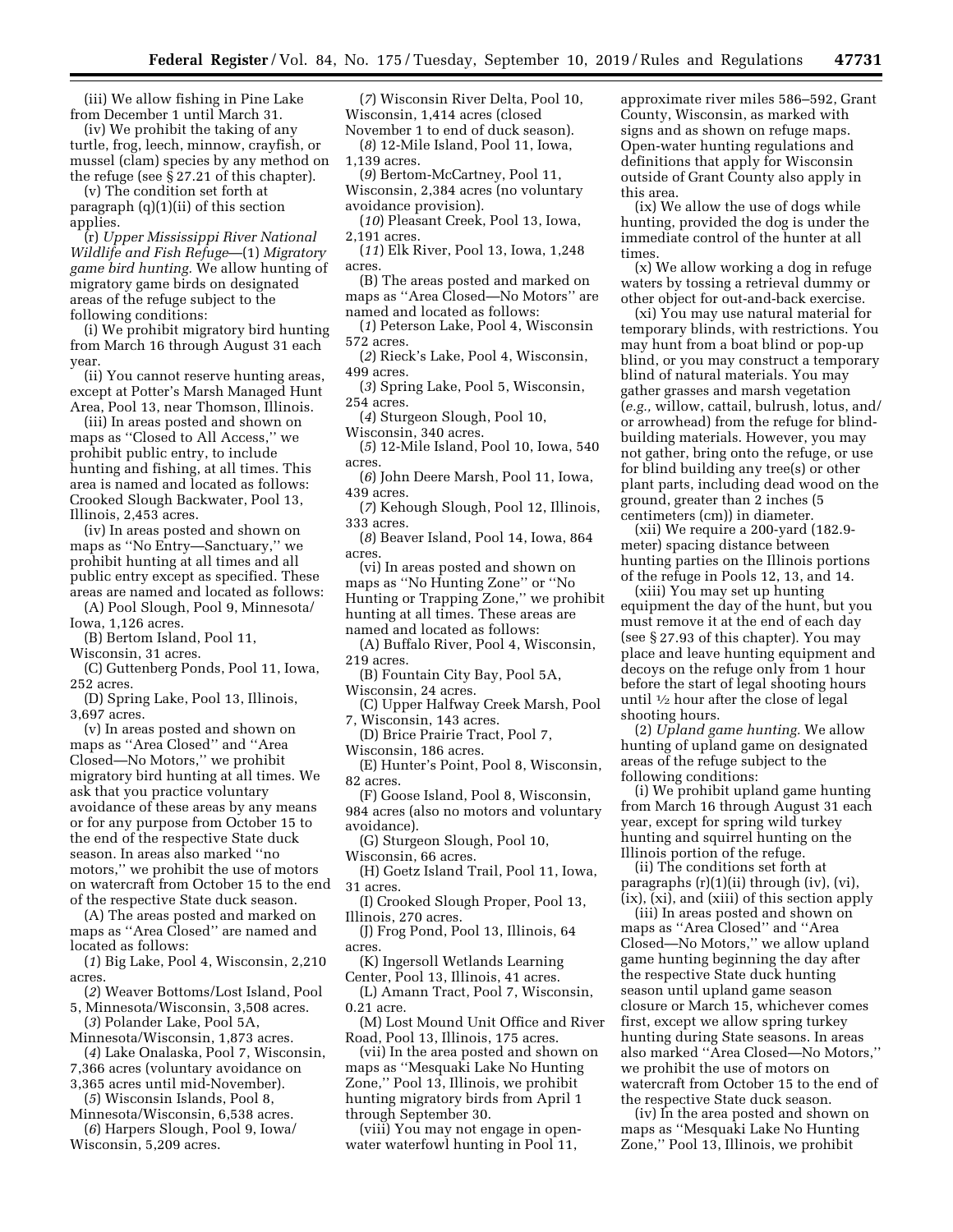(iii) We allow fishing in Pine Lake from December 1 until March 31.

(iv) We prohibit the taking of any turtle, frog, leech, minnow, crayfish, or mussel (clam) species by any method on the refuge (see § 27.21 of this chapter).

(v) The condition set forth at paragraph (q)(1)(ii) of this section applies.

(r) *Upper Mississippi River National Wildlife and Fish Refuge*—(1) *Migratory game bird hunting.* We allow hunting of migratory game birds on designated areas of the refuge subject to the following conditions:

(i) We prohibit migratory bird hunting from March 16 through August 31 each year.

(ii) You cannot reserve hunting areas, except at Potter's Marsh Managed Hunt Area, Pool 13, near Thomson, Illinois.

(iii) In areas posted and shown on maps as ''Closed to All Access,'' we prohibit public entry, to include hunting and fishing, at all times. This area is named and located as follows: Crooked Slough Backwater, Pool 13, Illinois, 2,453 acres.

(iv) In areas posted and shown on maps as ''No Entry—Sanctuary,'' we prohibit hunting at all times and all public entry except as specified. These areas are named and located as follows:

(A) Pool Slough, Pool 9, Minnesota/ Iowa, 1,126 acres.

(B) Bertom Island, Pool 11,

Wisconsin, 31 acres.

(C) Guttenberg Ponds, Pool 11, Iowa, 252 acres.

(D) Spring Lake, Pool 13, Illinois, 3,697 acres.

(v) In areas posted and shown on maps as ''Area Closed'' and ''Area Closed—No Motors,'' we prohibit migratory bird hunting at all times. We ask that you practice voluntary avoidance of these areas by any means or for any purpose from October 15 to the end of the respective State duck season. In areas also marked ''no motors,'' we prohibit the use of motors on watercraft from October 15 to the end of the respective State duck season.

(A) The areas posted and marked on maps as ''Area Closed'' are named and located as follows:

(*1*) Big Lake, Pool 4, Wisconsin, 2,210 acres.

(*2*) Weaver Bottoms/Lost Island, Pool 5, Minnesota/Wisconsin, 3,508 acres.

(*3*) Polander Lake, Pool 5A, Minnesota/Wisconsin, 1,873 acres.

(*4*) Lake Onalaska, Pool 7, Wisconsin, 7,366 acres (voluntary avoidance on

3,365 acres until mid-November). (*5*) Wisconsin Islands, Pool 8,

Minnesota/Wisconsin, 6,538 acres. (*6*) Harpers Slough, Pool 9, Iowa/

Wisconsin, 5,209 acres.

(*7*) Wisconsin River Delta, Pool 10, Wisconsin, 1,414 acres (closed November 1 to end of duck season).

(*8*) 12-Mile Island, Pool 11, Iowa, 1,139 acres.

(*9*) Bertom-McCartney, Pool 11, Wisconsin, 2,384 acres (no voluntary

avoidance provision). (*10*) Pleasant Creek, Pool 13, Iowa,

2,191 acres. (*11*) Elk River, Pool 13, Iowa, 1,248 acres.

(B) The areas posted and marked on maps as ''Area Closed—No Motors'' are named and located as follows:

(*1*) Peterson Lake, Pool 4, Wisconsin 572 acres.

(*2*) Rieck's Lake, Pool 4, Wisconsin, 499 acres.

(*3*) Spring Lake, Pool 5, Wisconsin, 254 acres.

(*4*) Sturgeon Slough, Pool 10, Wisconsin, 340 acres.

(*5*) 12-Mile Island, Pool 10, Iowa, 540 acres.

(*6*) John Deere Marsh, Pool 11, Iowa, 439 acres.

(*7*) Kehough Slough, Pool 12, Illinois, 333 acres.

(*8*) Beaver Island, Pool 14, Iowa, 864 acres.

(vi) In areas posted and shown on maps as ''No Hunting Zone'' or ''No Hunting or Trapping Zone,'' we prohibit hunting at all times. These areas are named and located as follows:

(A) Buffalo River, Pool 4, Wisconsin, 219 acres.

(B) Fountain City Bay, Pool 5A, Wisconsin, 24 acres.

(C) Upper Halfway Creek Marsh, Pool 7, Wisconsin, 143 acres.

(D) Brice Prairie Tract, Pool 7,

Wisconsin, 186 acres. (E) Hunter's Point, Pool 8, Wisconsin, 82 acres.

(F) Goose Island, Pool 8, Wisconsin, 984 acres (also no motors and voluntary avoidance).

(G) Sturgeon Slough, Pool 10,

Wisconsin, 66 acres.

(H) Goetz Island Trail, Pool 11, Iowa, 31 acres.

(I) Crooked Slough Proper, Pool 13, Illinois, 270 acres.

(J) Frog Pond, Pool 13, Illinois, 64 acres.

(K) Ingersoll Wetlands Learning

Center, Pool 13, Illinois, 41 acres. (L) Amann Tract, Pool 7, Wisconsin, 0.21 acre.

(M) Lost Mound Unit Office and River Road, Pool 13, Illinois, 175 acres.

(vii) In the area posted and shown on maps as ''Mesquaki Lake No Hunting Zone,'' Pool 13, Illinois, we prohibit hunting migratory birds from April 1 through September 30.

(viii) You may not engage in openwater waterfowl hunting in Pool 11,

approximate river miles 586–592, Grant County, Wisconsin, as marked with signs and as shown on refuge maps. Open-water hunting regulations and definitions that apply for Wisconsin outside of Grant County also apply in this area.

(ix) We allow the use of dogs while hunting, provided the dog is under the immediate control of the hunter at all times.

(x) We allow working a dog in refuge waters by tossing a retrieval dummy or other object for out-and-back exercise.

(xi) You may use natural material for temporary blinds, with restrictions. You may hunt from a boat blind or pop-up blind, or you may construct a temporary blind of natural materials. You may gather grasses and marsh vegetation (*e.g.,* willow, cattail, bulrush, lotus, and/ or arrowhead) from the refuge for blindbuilding materials. However, you may not gather, bring onto the refuge, or use for blind building any tree(s) or other plant parts, including dead wood on the ground, greater than 2 inches (5 centimeters (cm)) in diameter.

(xii) We require a 200-yard (182.9 meter) spacing distance between hunting parties on the Illinois portions of the refuge in Pools 12, 13, and 14.

(xiii) You may set up hunting equipment the day of the hunt, but you must remove it at the end of each day (see § 27.93 of this chapter). You may place and leave hunting equipment and decoys on the refuge only from 1 hour before the start of legal shooting hours until  $\frac{1}{2}$  hour after the close of legal shooting hours.

(2) *Upland game hunting.* We allow hunting of upland game on designated areas of the refuge subject to the following conditions:

(i) We prohibit upland game hunting from March 16 through August 31 each year, except for spring wild turkey hunting and squirrel hunting on the Illinois portion of the refuge.

(ii) The conditions set forth at paragraphs (r)(1)(ii) through (iv), (vi), (ix), (xi), and (xiii) of this section apply

(iii) In areas posted and shown on maps as ''Area Closed'' and ''Area Closed—No Motors,'' we allow upland game hunting beginning the day after the respective State duck hunting season until upland game season closure or March 15, whichever comes first, except we allow spring turkey hunting during State seasons. In areas also marked ''Area Closed—No Motors,'' we prohibit the use of motors on watercraft from October 15 to the end of the respective State duck season.

(iv) In the area posted and shown on maps as ''Mesquaki Lake No Hunting Zone,'' Pool 13, Illinois, we prohibit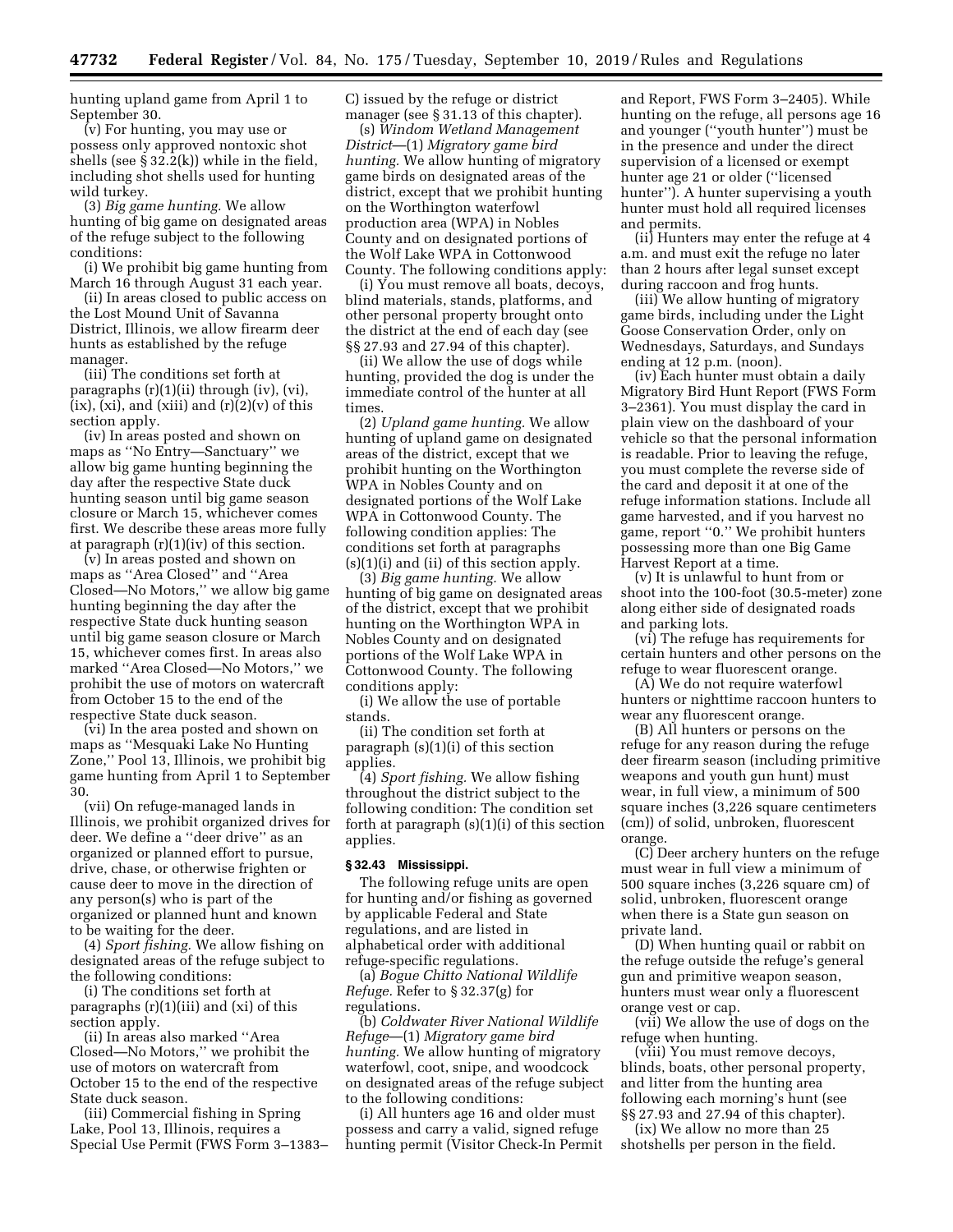hunting upland game from April 1 to September 30.

(v) For hunting, you may use or possess only approved nontoxic shot shells (see  $\S 32.2(k)$ ) while in the field, including shot shells used for hunting wild turkey.

(3) *Big game hunting.* We allow hunting of big game on designated areas of the refuge subject to the following conditions:

(i) We prohibit big game hunting from March 16 through August 31 each year.

(ii) In areas closed to public access on the Lost Mound Unit of Savanna District, Illinois, we allow firearm deer hunts as established by the refuge manager.

(iii) The conditions set forth at paragraphs (r)(1)(ii) through (iv), (vi),  $\overline{(ix)}$ ,  $\overline{(xi)}$ , and  $\overline{(xiii)}$  and  $\overline{(r)}(2)(v)$  of this section apply.

(iv) In areas posted and shown on maps as ''No Entry—Sanctuary'' we allow big game hunting beginning the day after the respective State duck hunting season until big game season closure or March 15, whichever comes first. We describe these areas more fully at paragraph (r)(1)(iv) of this section.

(v) In areas posted and shown on maps as ''Area Closed'' and ''Area Closed—No Motors,'' we allow big game hunting beginning the day after the respective State duck hunting season until big game season closure or March 15, whichever comes first. In areas also marked ''Area Closed—No Motors,'' we prohibit the use of motors on watercraft from October 15 to the end of the respective State duck season.

(vi) In the area posted and shown on maps as ''Mesquaki Lake No Hunting Zone,'' Pool 13, Illinois, we prohibit big game hunting from April 1 to September 30.

(vii) On refuge-managed lands in Illinois, we prohibit organized drives for deer. We define a ''deer drive'' as an organized or planned effort to pursue, drive, chase, or otherwise frighten or cause deer to move in the direction of any person(s) who is part of the organized or planned hunt and known to be waiting for the deer.

(4) *Sport fishing.* We allow fishing on designated areas of the refuge subject to the following conditions:

(i) The conditions set forth at paragraphs  $(r)(1)(iii)$  and  $(xi)$  of this section apply.

(ii) In areas also marked ''Area Closed—No Motors,'' we prohibit the use of motors on watercraft from October 15 to the end of the respective State duck season.

(iii) Commercial fishing in Spring Lake, Pool 13, Illinois, requires a Special Use Permit (FWS Form 3–1383– C) issued by the refuge or district manager (see § 31.13 of this chapter).

(s) *Windom Wetland Management District*—(1) *Migratory game bird hunting.* We allow hunting of migratory game birds on designated areas of the district, except that we prohibit hunting on the Worthington waterfowl production area (WPA) in Nobles County and on designated portions of the Wolf Lake WPA in Cottonwood County. The following conditions apply:

(i) You must remove all boats, decoys, blind materials, stands, platforms, and other personal property brought onto the district at the end of each day (see §§ 27.93 and 27.94 of this chapter).

(ii) We allow the use of dogs while hunting, provided the dog is under the immediate control of the hunter at all times.

(2) *Upland game hunting.* We allow hunting of upland game on designated areas of the district, except that we prohibit hunting on the Worthington WPA in Nobles County and on designated portions of the Wolf Lake WPA in Cottonwood County. The following condition applies: The conditions set forth at paragraphs  $(s)(1)(i)$  and  $(ii)$  of this section apply.

(3) *Big game hunting.* We allow hunting of big game on designated areas of the district, except that we prohibit hunting on the Worthington WPA in Nobles County and on designated portions of the Wolf Lake WPA in Cottonwood County. The following conditions apply:

(i) We allow the use of portable stands.

(ii) The condition set forth at paragraph (s)(1)(i) of this section applies.

(4) *Sport fishing.* We allow fishing throughout the district subject to the following condition: The condition set forth at paragraph (s)(1)(i) of this section applies.

#### **§ 32.43 Mississippi.**

The following refuge units are open for hunting and/or fishing as governed by applicable Federal and State regulations, and are listed in alphabetical order with additional refuge-specific regulations.

(a) *Bogue Chitto National Wildlife Refuge.* Refer to § 32.37(g) for regulations.

(b) *Coldwater River National Wildlife Refuge*—(1) *Migratory game bird hunting.* We allow hunting of migratory waterfowl, coot, snipe, and woodcock on designated areas of the refuge subject to the following conditions:

(i) All hunters age 16 and older must possess and carry a valid, signed refuge hunting permit (Visitor Check-In Permit

and Report, FWS Form 3–2405). While hunting on the refuge, all persons age 16 and younger (''youth hunter'') must be in the presence and under the direct supervision of a licensed or exempt hunter age 21 or older (''licensed hunter''). A hunter supervising a youth hunter must hold all required licenses and permits.

(ii) Hunters may enter the refuge at 4 a.m. and must exit the refuge no later than 2 hours after legal sunset except during raccoon and frog hunts.

(iii) We allow hunting of migratory game birds, including under the Light Goose Conservation Order, only on Wednesdays, Saturdays, and Sundays ending at 12 p.m. (noon).

(iv) Each hunter must obtain a daily Migratory Bird Hunt Report (FWS Form 3–2361). You must display the card in plain view on the dashboard of your vehicle so that the personal information is readable. Prior to leaving the refuge, you must complete the reverse side of the card and deposit it at one of the refuge information stations. Include all game harvested, and if you harvest no game, report ''0.'' We prohibit hunters possessing more than one Big Game Harvest Report at a time.

(v) It is unlawful to hunt from or shoot into the 100-foot (30.5-meter) zone along either side of designated roads and parking lots.

(vi) The refuge has requirements for certain hunters and other persons on the refuge to wear fluorescent orange.

(A) We do not require waterfowl hunters or nighttime raccoon hunters to wear any fluorescent orange.

(B) All hunters or persons on the refuge for any reason during the refuge deer firearm season (including primitive weapons and youth gun hunt) must wear, in full view, a minimum of 500 square inches (3,226 square centimeters (cm)) of solid, unbroken, fluorescent orange.

(C) Deer archery hunters on the refuge must wear in full view a minimum of 500 square inches (3,226 square cm) of solid, unbroken, fluorescent orange when there is a State gun season on private land.

(D) When hunting quail or rabbit on the refuge outside the refuge's general gun and primitive weapon season, hunters must wear only a fluorescent orange vest or cap.

(vii) We allow the use of dogs on the refuge when hunting.

(viii) You must remove decoys, blinds, boats, other personal property, and litter from the hunting area following each morning's hunt (see §§ 27.93 and 27.94 of this chapter).

(ix) We allow no more than 25 shotshells per person in the field.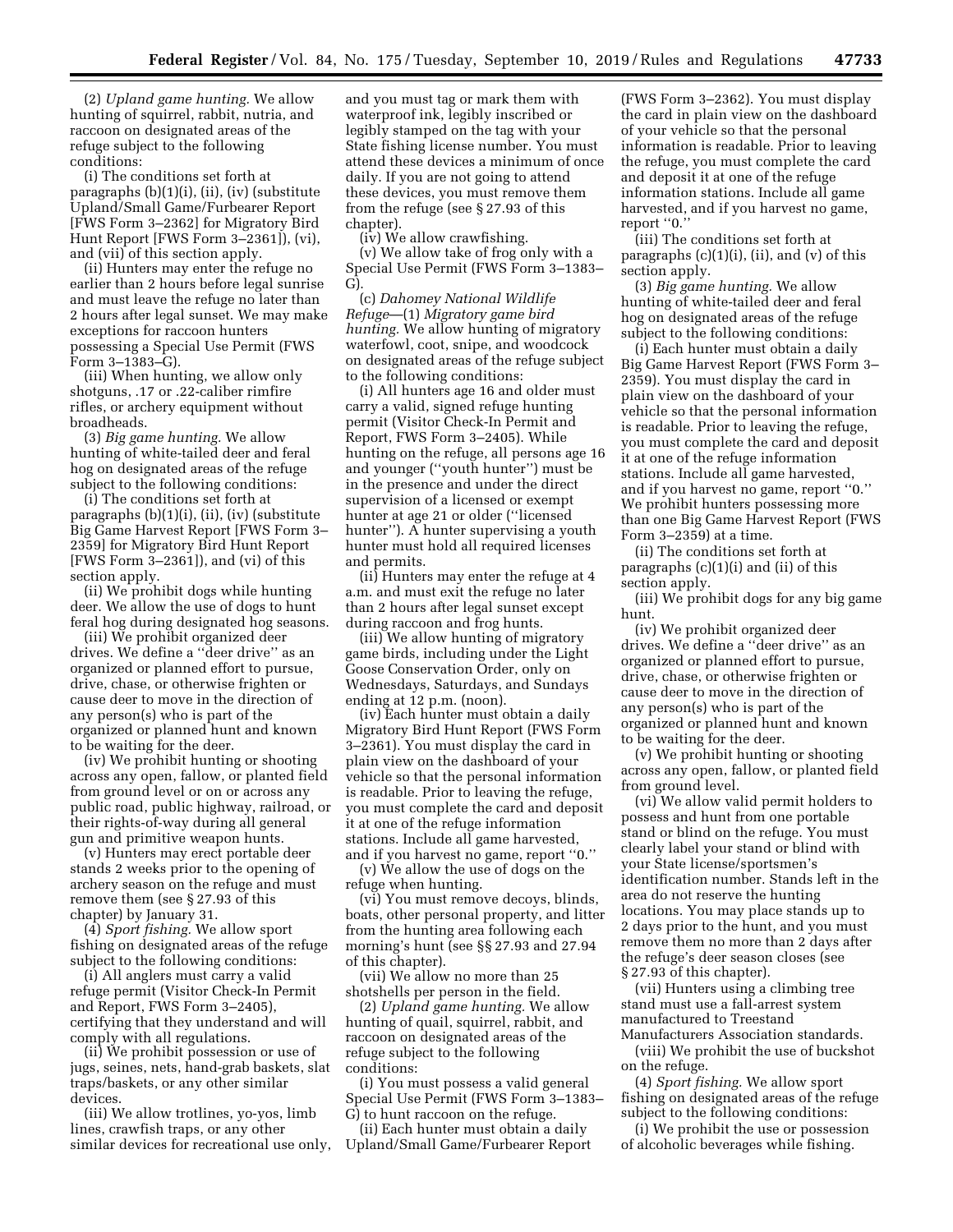(2) *Upland game hunting.* We allow hunting of squirrel, rabbit, nutria, and raccoon on designated areas of the refuge subject to the following conditions:

(i) The conditions set forth at paragraphs (b)(1)(i), (ii), (iv) (substitute Upland/Small Game/Furbearer Report [FWS Form 3–2362] for Migratory Bird Hunt Report [FWS Form 3–2361]), (vi), and (vii) of this section apply.

(ii) Hunters may enter the refuge no earlier than 2 hours before legal sunrise and must leave the refuge no later than 2 hours after legal sunset. We may make exceptions for raccoon hunters possessing a Special Use Permit (FWS Form 3–1383–G).

(iii) When hunting, we allow only shotguns, .17 or .22-caliber rimfire rifles, or archery equipment without broadheads.

(3) *Big game hunting.* We allow hunting of white-tailed deer and feral hog on designated areas of the refuge subject to the following conditions:

(i) The conditions set forth at paragraphs (b)(1)(i), (ii), (iv) (substitute Big Game Harvest Report [FWS Form 3– 2359] for Migratory Bird Hunt Report [FWS Form 3–2361]), and (vi) of this section apply.

(ii) We prohibit dogs while hunting deer. We allow the use of dogs to hunt feral hog during designated hog seasons.

(iii) We prohibit organized deer drives. We define a ''deer drive'' as an organized or planned effort to pursue, drive, chase, or otherwise frighten or cause deer to move in the direction of any person(s) who is part of the organized or planned hunt and known to be waiting for the deer.

(iv) We prohibit hunting or shooting across any open, fallow, or planted field from ground level or on or across any public road, public highway, railroad, or their rights-of-way during all general gun and primitive weapon hunts.

(v) Hunters may erect portable deer stands 2 weeks prior to the opening of archery season on the refuge and must remove them (see § 27.93 of this chapter) by January 31.

(4) *Sport fishing.* We allow sport fishing on designated areas of the refuge subject to the following conditions:

(i) All anglers must carry a valid refuge permit (Visitor Check-In Permit and Report, FWS Form 3–2405), certifying that they understand and will comply with all regulations.

(ii) We prohibit possession or use of jugs, seines, nets, hand-grab baskets, slat traps/baskets, or any other similar devices.

(iii) We allow trotlines, yo-yos, limb lines, crawfish traps, or any other similar devices for recreational use only, and you must tag or mark them with waterproof ink, legibly inscribed or legibly stamped on the tag with your State fishing license number. You must attend these devices a minimum of once daily. If you are not going to attend these devices, you must remove them from the refuge (see § 27.93 of this chapter).

(iv) We allow crawfishing.

(v) We allow take of frog only with a Special Use Permit (FWS Form 3–1383– G).

(c) *Dahomey National Wildlife Refuge*—(1) *Migratory game bird hunting.* We allow hunting of migratory waterfowl, coot, snipe, and woodcock on designated areas of the refuge subject to the following conditions:

(i) All hunters age 16 and older must carry a valid, signed refuge hunting permit (Visitor Check-In Permit and Report, FWS Form 3–2405). While hunting on the refuge, all persons age 16 and younger (''youth hunter'') must be in the presence and under the direct supervision of a licensed or exempt hunter at age 21 or older (''licensed hunter''). A hunter supervising a youth hunter must hold all required licenses and permits.

(ii) Hunters may enter the refuge at 4 a.m. and must exit the refuge no later than 2 hours after legal sunset except during raccoon and frog hunts.

(iii) We allow hunting of migratory game birds, including under the Light Goose Conservation Order, only on Wednesdays, Saturdays, and Sundays ending at 12 p.m. (noon).

(iv) Each hunter must obtain a daily Migratory Bird Hunt Report (FWS Form 3–2361). You must display the card in plain view on the dashboard of your vehicle so that the personal information is readable. Prior to leaving the refuge, you must complete the card and deposit it at one of the refuge information stations. Include all game harvested, and if you harvest no game, report ''0.''

(v) We allow the use of dogs on the refuge when hunting.

(vi) You must remove decoys, blinds, boats, other personal property, and litter from the hunting area following each morning's hunt (see §§ 27.93 and 27.94 of this chapter).

(vii) We allow no more than 25 shotshells per person in the field.

(2) *Upland game hunting.* We allow hunting of quail, squirrel, rabbit, and raccoon on designated areas of the refuge subject to the following conditions:

(i) You must possess a valid general Special Use Permit (FWS Form 3–1383– G) to hunt raccoon on the refuge.

(ii) Each hunter must obtain a daily Upland/Small Game/Furbearer Report

(FWS Form 3–2362). You must display the card in plain view on the dashboard of your vehicle so that the personal information is readable. Prior to leaving the refuge, you must complete the card and deposit it at one of the refuge information stations. Include all game harvested, and if you harvest no game, report ''0.''

(iii) The conditions set forth at paragraphs (c)(1)(i), (ii), and (v) of this section apply.

(3) *Big game hunting.* We allow hunting of white-tailed deer and feral hog on designated areas of the refuge subject to the following conditions:

(i) Each hunter must obtain a daily Big Game Harvest Report (FWS Form 3– 2359). You must display the card in plain view on the dashboard of your vehicle so that the personal information is readable. Prior to leaving the refuge, you must complete the card and deposit it at one of the refuge information stations. Include all game harvested, and if you harvest no game, report ''0.'' We prohibit hunters possessing more than one Big Game Harvest Report (FWS Form 3–2359) at a time.

(ii) The conditions set forth at paragraphs (c)(1)(i) and (ii) of this section apply.

(iii) We prohibit dogs for any big game hunt.

(iv) We prohibit organized deer drives. We define a ''deer drive'' as an organized or planned effort to pursue, drive, chase, or otherwise frighten or cause deer to move in the direction of any person(s) who is part of the organized or planned hunt and known to be waiting for the deer.

(v) We prohibit hunting or shooting across any open, fallow, or planted field from ground level.

(vi) We allow valid permit holders to possess and hunt from one portable stand or blind on the refuge. You must clearly label your stand or blind with your State license/sportsmen's identification number. Stands left in the area do not reserve the hunting locations. You may place stands up to 2 days prior to the hunt, and you must remove them no more than 2 days after the refuge's deer season closes (see § 27.93 of this chapter).

(vii) Hunters using a climbing tree stand must use a fall-arrest system manufactured to Treestand Manufacturers Association standards.

(viii) We prohibit the use of buckshot on the refuge.

(4) *Sport fishing.* We allow sport fishing on designated areas of the refuge subject to the following conditions:

(i) We prohibit the use or possession of alcoholic beverages while fishing.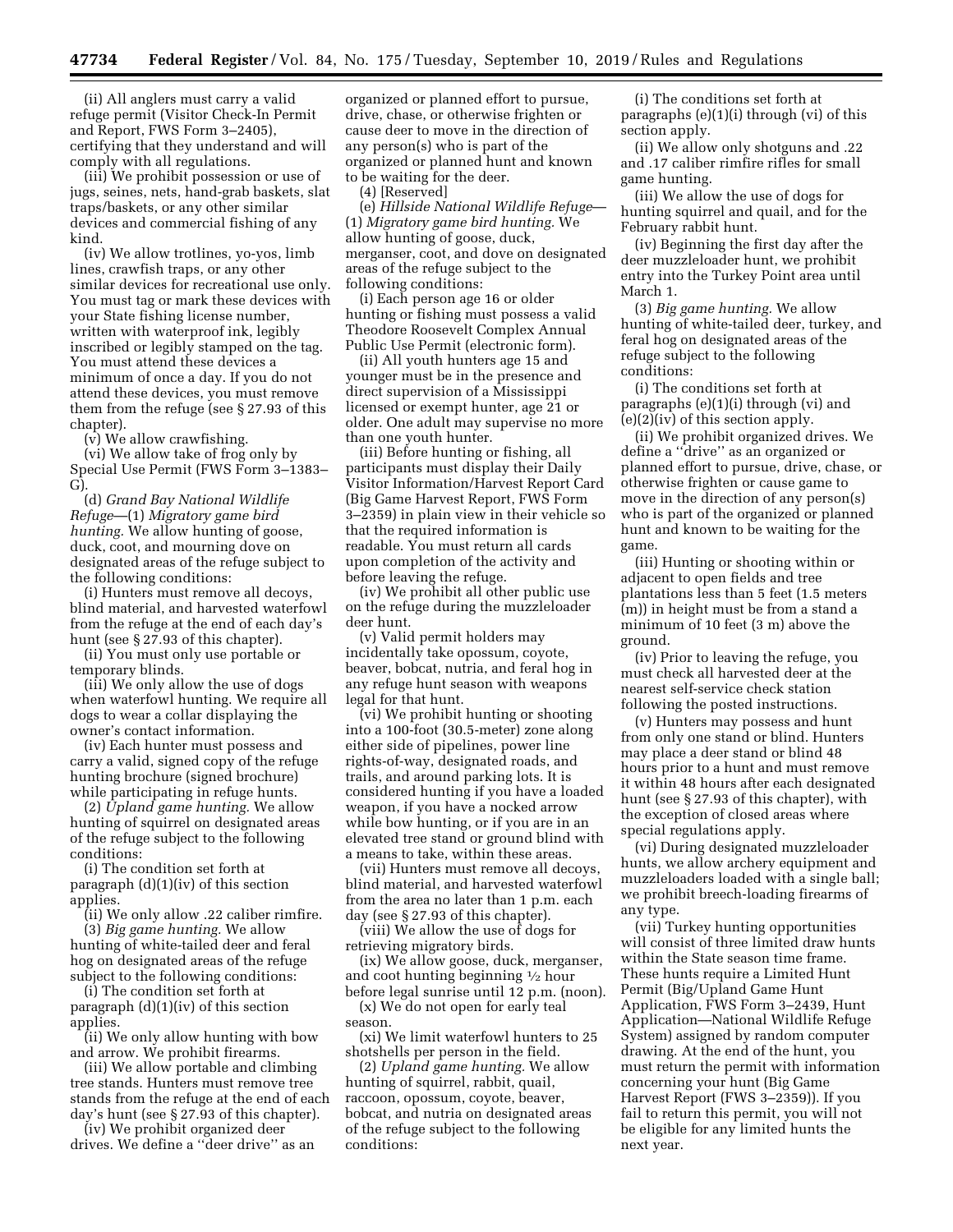(ii) All anglers must carry a valid refuge permit (Visitor Check-In Permit and Report, FWS Form 3–2405), certifying that they understand and will comply with all regulations.

(iii) We prohibit possession or use of jugs, seines, nets, hand-grab baskets, slat traps/baskets, or any other similar devices and commercial fishing of any kind.

(iv) We allow trotlines, yo-yos, limb lines, crawfish traps, or any other similar devices for recreational use only. You must tag or mark these devices with your State fishing license number, written with waterproof ink, legibly inscribed or legibly stamped on the tag. You must attend these devices a minimum of once a day. If you do not attend these devices, you must remove them from the refuge (see § 27.93 of this chapter).

(v) We allow crawfishing.

(vi) We allow take of frog only by Special Use Permit (FWS Form 3–1383– G).

(d) *Grand Bay National Wildlife Refuge*—(1) *Migratory game bird hunting.* We allow hunting of goose, duck, coot, and mourning dove on designated areas of the refuge subject to the following conditions:

(i) Hunters must remove all decoys, blind material, and harvested waterfowl from the refuge at the end of each day's hunt (see § 27.93 of this chapter).

(ii) You must only use portable or temporary blinds.

(iii) We only allow the use of dogs when waterfowl hunting. We require all dogs to wear a collar displaying the owner's contact information.

(iv) Each hunter must possess and carry a valid, signed copy of the refuge hunting brochure (signed brochure) while participating in refuge hunts.

(2) *Upland game hunting.* We allow hunting of squirrel on designated areas of the refuge subject to the following conditions:

(i) The condition set forth at paragraph (d)(1)(iv) of this section applies.

(ii) We only allow .22 caliber rimfire. (3) *Big game hunting.* We allow hunting of white-tailed deer and feral

hog on designated areas of the refuge subject to the following conditions: (i) The condition set forth at

paragraph (d)(1)(iv) of this section applies.

(ii) We only allow hunting with bow and arrow. We prohibit firearms.

(iii) We allow portable and climbing tree stands. Hunters must remove tree stands from the refuge at the end of each day's hunt (see § 27.93 of this chapter).

(iv) We prohibit organized deer drives. We define a ''deer drive'' as an

organized or planned effort to pursue, drive, chase, or otherwise frighten or cause deer to move in the direction of any person(s) who is part of the organized or planned hunt and known to be waiting for the deer.

(4) [Reserved]

(e) *Hillside National Wildlife Refuge*— (1) *Migratory game bird hunting.* We allow hunting of goose, duck, merganser, coot, and dove on designated areas of the refuge subject to the following conditions:

(i) Each person age 16 or older hunting or fishing must possess a valid Theodore Roosevelt Complex Annual Public Use Permit (electronic form).

(ii) All youth hunters age 15 and younger must be in the presence and direct supervision of a Mississippi licensed or exempt hunter, age 21 or older. One adult may supervise no more than one youth hunter.

(iii) Before hunting or fishing, all participants must display their Daily Visitor Information/Harvest Report Card (Big Game Harvest Report, FWS Form 3–2359) in plain view in their vehicle so that the required information is readable. You must return all cards upon completion of the activity and before leaving the refuge.

(iv) We prohibit all other public use on the refuge during the muzzleloader deer hunt.

(v) Valid permit holders may incidentally take opossum, coyote, beaver, bobcat, nutria, and feral hog in any refuge hunt season with weapons legal for that hunt.

(vi) We prohibit hunting or shooting into a 100-foot (30.5-meter) zone along either side of pipelines, power line rights-of-way, designated roads, and trails, and around parking lots. It is considered hunting if you have a loaded weapon, if you have a nocked arrow while bow hunting, or if you are in an elevated tree stand or ground blind with a means to take, within these areas.

(vii) Hunters must remove all decoys, blind material, and harvested waterfowl from the area no later than 1 p.m. each day (see § 27.93 of this chapter).

(viii) We allow the use of dogs for retrieving migratory birds.

(ix) We allow goose, duck, merganser, and coot hunting beginning 1⁄2 hour before legal sunrise until 12 p.m. (noon). (x) We do not open for early teal season.

(xi) We limit waterfowl hunters to 25 shotshells per person in the field.

(2) *Upland game hunting.* We allow hunting of squirrel, rabbit, quail, raccoon, opossum, coyote, beaver, bobcat, and nutria on designated areas of the refuge subject to the following conditions:

(i) The conditions set forth at paragraphs (e)(1)(i) through (vi) of this section apply.

(ii) We allow only shotguns and .22 and .17 caliber rimfire rifles for small game hunting.

(iii) We allow the use of dogs for hunting squirrel and quail, and for the February rabbit hunt.

(iv) Beginning the first day after the deer muzzleloader hunt, we prohibit entry into the Turkey Point area until March 1.

(3) *Big game hunting.* We allow hunting of white-tailed deer, turkey, and feral hog on designated areas of the refuge subject to the following conditions:

(i) The conditions set forth at paragraphs (e)(1)(i) through (vi) and  $(e)(2)(iv)$  of this section apply.

(ii) We prohibit organized drives. We define a ''drive'' as an organized or planned effort to pursue, drive, chase, or otherwise frighten or cause game to move in the direction of any person(s) who is part of the organized or planned hunt and known to be waiting for the game.

(iii) Hunting or shooting within or adjacent to open fields and tree plantations less than 5 feet (1.5 meters (m)) in height must be from a stand a minimum of 10 feet (3 m) above the ground.

(iv) Prior to leaving the refuge, you must check all harvested deer at the nearest self-service check station following the posted instructions.

(v) Hunters may possess and hunt from only one stand or blind. Hunters may place a deer stand or blind 48 hours prior to a hunt and must remove it within 48 hours after each designated hunt (see § 27.93 of this chapter), with the exception of closed areas where special regulations apply.

(vi) During designated muzzleloader hunts, we allow archery equipment and muzzleloaders loaded with a single ball; we prohibit breech-loading firearms of any type.

(vii) Turkey hunting opportunities will consist of three limited draw hunts within the State season time frame. These hunts require a Limited Hunt Permit (Big/Upland Game Hunt Application, FWS Form 3–2439, Hunt Application—National Wildlife Refuge System) assigned by random computer drawing. At the end of the hunt, you must return the permit with information concerning your hunt (Big Game Harvest Report (FWS 3–2359)). If you fail to return this permit, you will not be eligible for any limited hunts the next year.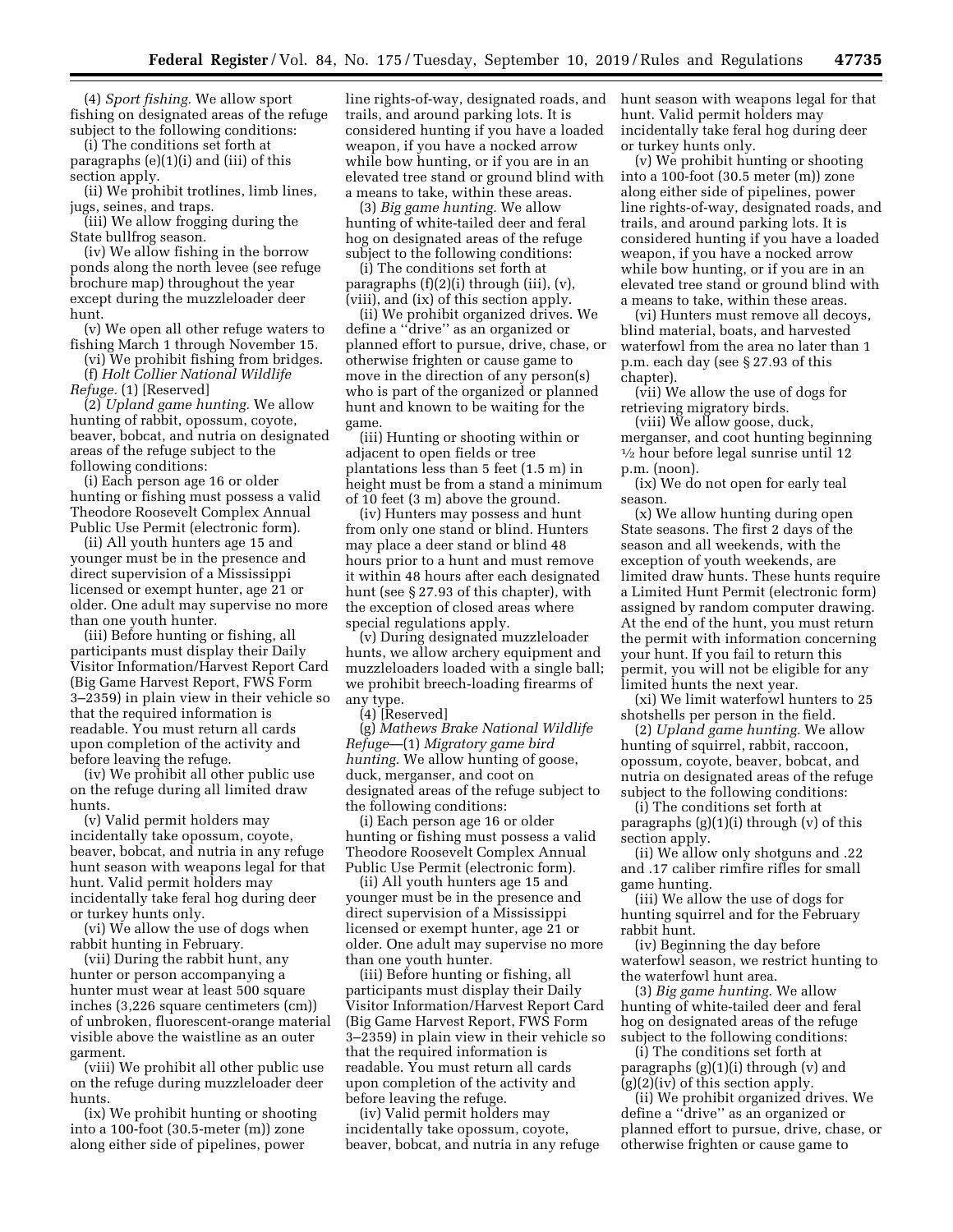(4) *Sport fishing.* We allow sport fishing on designated areas of the refuge subject to the following conditions:

(i) The conditions set forth at paragraphs (e)(1)(i) and (iii) of this section apply.

(ii) We prohibit trotlines, limb lines, jugs, seines, and traps.

(iii) We allow frogging during the State bullfrog season.

(iv) We allow fishing in the borrow ponds along the north levee (see refuge brochure map) throughout the year except during the muzzleloader deer hunt.

(v) We open all other refuge waters to fishing March 1 through November 15.

(vi) We prohibit fishing from bridges. (f) *Holt Collier National Wildlife Refuge.* (1) [Reserved]

(2) *Upland game hunting.* We allow hunting of rabbit, opossum, coyote, beaver, bobcat, and nutria on designated areas of the refuge subject to the following conditions:

(i) Each person age 16 or older hunting or fishing must possess a valid Theodore Roosevelt Complex Annual Public Use Permit (electronic form).

(ii) All youth hunters age 15 and younger must be in the presence and direct supervision of a Mississippi licensed or exempt hunter, age 21 or older. One adult may supervise no more than one youth hunter.

(iii) Before hunting or fishing, all participants must display their Daily Visitor Information/Harvest Report Card (Big Game Harvest Report, FWS Form 3–2359) in plain view in their vehicle so that the required information is readable. You must return all cards upon completion of the activity and before leaving the refuge.

(iv) We prohibit all other public use on the refuge during all limited draw hunts.

(v) Valid permit holders may incidentally take opossum, coyote, beaver, bobcat, and nutria in any refuge hunt season with weapons legal for that hunt. Valid permit holders may incidentally take feral hog during deer or turkey hunts only.

(vi) We allow the use of dogs when rabbit hunting in February.

(vii) During the rabbit hunt, any hunter or person accompanying a hunter must wear at least 500 square inches (3,226 square centimeters (cm)) of unbroken, fluorescent-orange material visible above the waistline as an outer garment.

(viii) We prohibit all other public use on the refuge during muzzleloader deer hunts.

(ix) We prohibit hunting or shooting into a 100-foot (30.5-meter (m)) zone along either side of pipelines, power

line rights-of-way, designated roads, and hunt season with weapons legal for that trails, and around parking lots. It is considered hunting if you have a loaded weapon, if you have a nocked arrow while bow hunting, or if you are in an elevated tree stand or ground blind with a means to take, within these areas.

(3) *Big game hunting.* We allow hunting of white-tailed deer and feral hog on designated areas of the refuge subject to the following conditions:

(i) The conditions set forth at paragraphs (f)(2)(i) through (iii), (v), (viii), and (ix) of this section apply.

(ii) We prohibit organized drives. We define a ''drive'' as an organized or planned effort to pursue, drive, chase, or otherwise frighten or cause game to move in the direction of any person(s) who is part of the organized or planned hunt and known to be waiting for the game.

(iii) Hunting or shooting within or adjacent to open fields or tree plantations less than 5 feet (1.5 m) in height must be from a stand a minimum of 10 feet (3 m) above the ground.

(iv) Hunters may possess and hunt from only one stand or blind. Hunters may place a deer stand or blind 48 hours prior to a hunt and must remove it within 48 hours after each designated hunt (see § 27.93 of this chapter), with the exception of closed areas where special regulations apply.

(v) During designated muzzleloader hunts, we allow archery equipment and muzzleloaders loaded with a single ball; we prohibit breech-loading firearms of any type.

(4) [Reserved]

(g) *Mathews Brake National Wildlife Refuge*—(1) *Migratory game bird hunting.* We allow hunting of goose, duck, merganser, and coot on designated areas of the refuge subject to the following conditions:

(i) Each person age 16 or older hunting or fishing must possess a valid Theodore Roosevelt Complex Annual Public Use Permit (electronic form).

(ii) All youth hunters age 15 and younger must be in the presence and direct supervision of a Mississippi licensed or exempt hunter, age 21 or older. One adult may supervise no more than one youth hunter.

(iii) Before hunting or fishing, all participants must display their Daily Visitor Information/Harvest Report Card (Big Game Harvest Report, FWS Form 3–2359) in plain view in their vehicle so that the required information is readable. You must return all cards upon completion of the activity and before leaving the refuge.

(iv) Valid permit holders may incidentally take opossum, coyote, beaver, bobcat, and nutria in any refuge

hunt. Valid permit holders may incidentally take feral hog during deer or turkey hunts only.

(v) We prohibit hunting or shooting into a 100-foot (30.5 meter (m)) zone along either side of pipelines, power line rights-of-way, designated roads, and trails, and around parking lots. It is considered hunting if you have a loaded weapon, if you have a nocked arrow while bow hunting, or if you are in an elevated tree stand or ground blind with a means to take, within these areas.

(vi) Hunters must remove all decoys, blind material, boats, and harvested waterfowl from the area no later than 1 p.m. each day (see § 27.93 of this chapter).

(vii) We allow the use of dogs for retrieving migratory birds.

(viii) We allow goose, duck, merganser, and coot hunting beginning 1⁄2 hour before legal sunrise until 12 p.m. (noon).

(ix) We do not open for early teal season.

(x) We allow hunting during open State seasons. The first 2 days of the season and all weekends, with the exception of youth weekends, are limited draw hunts. These hunts require a Limited Hunt Permit (electronic form) assigned by random computer drawing. At the end of the hunt, you must return the permit with information concerning your hunt. If you fail to return this permit, you will not be eligible for any limited hunts the next year.

(xi) We limit waterfowl hunters to 25 shotshells per person in the field.

(2) *Upland game hunting.* We allow hunting of squirrel, rabbit, raccoon, opossum, coyote, beaver, bobcat, and nutria on designated areas of the refuge subject to the following conditions:

(i) The conditions set forth at paragraphs  $(g)(1)(i)$  through  $(v)$  of this section apply.

(ii) We allow only shotguns and .22 and .17 caliber rimfire rifles for small game hunting.

(iii) We allow the use of dogs for hunting squirrel and for the February rabbit hunt.

(iv) Beginning the day before waterfowl season, we restrict hunting to the waterfowl hunt area.

(3) *Big game hunting.* We allow hunting of white-tailed deer and feral hog on designated areas of the refuge subject to the following conditions:

(i) The conditions set forth at paragraphs (g)(1)(i) through (v) and (g)(2)(iv) of this section apply.

(ii) We prohibit organized drives. We define a ''drive'' as an organized or planned effort to pursue, drive, chase, or otherwise frighten or cause game to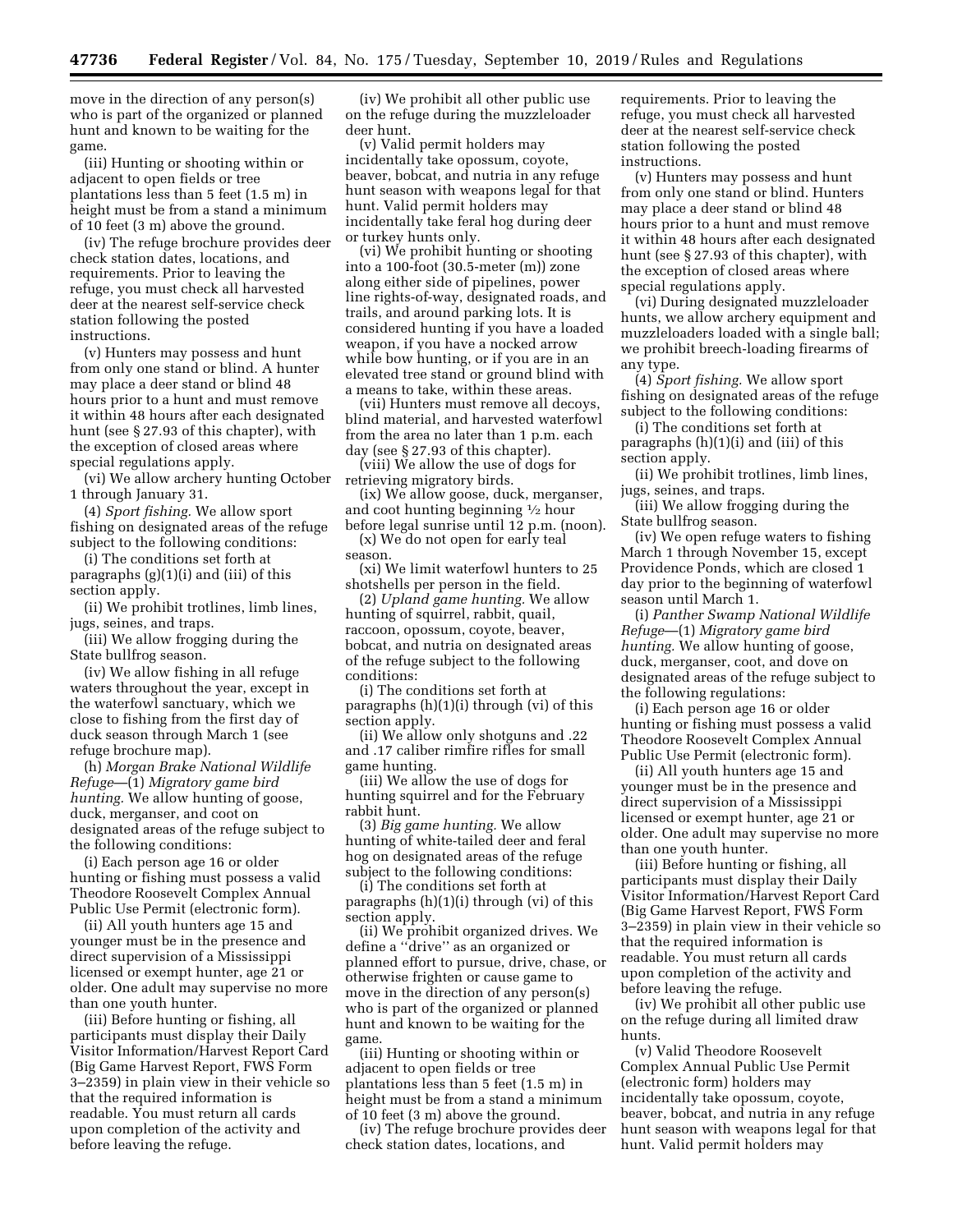move in the direction of any person(s) who is part of the organized or planned hunt and known to be waiting for the game.

(iii) Hunting or shooting within or adjacent to open fields or tree plantations less than 5 feet (1.5 m) in height must be from a stand a minimum of 10 feet (3 m) above the ground.

(iv) The refuge brochure provides deer check station dates, locations, and requirements. Prior to leaving the refuge, you must check all harvested deer at the nearest self-service check station following the posted instructions.

(v) Hunters may possess and hunt from only one stand or blind. A hunter may place a deer stand or blind 48 hours prior to a hunt and must remove it within 48 hours after each designated hunt (see § 27.93 of this chapter), with the exception of closed areas where special regulations apply.

(vi) We allow archery hunting October 1 through January 31.

(4) *Sport fishing.* We allow sport fishing on designated areas of the refuge subject to the following conditions:

(i) The conditions set forth at paragraphs  $(g)(1)(i)$  and  $(iii)$  of this section apply.

(ii) We prohibit trotlines, limb lines, jugs, seines, and traps.

(iii) We allow frogging during the State bullfrog season.

(iv) We allow fishing in all refuge waters throughout the year, except in the waterfowl sanctuary, which we close to fishing from the first day of duck season through March 1 (see refuge brochure map).

(h) *Morgan Brake National Wildlife Refuge*—(1) *Migratory game bird hunting.* We allow hunting of goose, duck, merganser, and coot on designated areas of the refuge subject to the following conditions:

(i) Each person age 16 or older hunting or fishing must possess a valid Theodore Roosevelt Complex Annual Public Use Permit (electronic form).

(ii) All youth hunters age 15 and younger must be in the presence and direct supervision of a Mississippi licensed or exempt hunter, age 21 or older. One adult may supervise no more than one youth hunter.

(iii) Before hunting or fishing, all participants must display their Daily Visitor Information/Harvest Report Card (Big Game Harvest Report, FWS Form 3–2359) in plain view in their vehicle so that the required information is readable. You must return all cards upon completion of the activity and before leaving the refuge.

(iv) We prohibit all other public use on the refuge during the muzzleloader deer hunt.

(v) Valid permit holders may incidentally take opossum, coyote, beaver, bobcat, and nutria in any refuge hunt season with weapons legal for that hunt. Valid permit holders may incidentally take feral hog during deer or turkey hunts only.

(vi) We prohibit hunting or shooting into a 100-foot (30.5-meter (m)) zone along either side of pipelines, power line rights-of-way, designated roads, and trails, and around parking lots. It is considered hunting if you have a loaded weapon, if you have a nocked arrow while bow hunting, or if you are in an elevated tree stand or ground blind with a means to take, within these areas.

(vii) Hunters must remove all decoys, blind material, and harvested waterfowl from the area no later than 1 p.m. each day (see § 27.93 of this chapter).

(viii) We allow the use of dogs for retrieving migratory birds.

(ix) We allow goose, duck, merganser, and coot hunting beginning 1⁄2 hour

before legal sunrise until 12 p.m. (noon). (x) We do not open for early teal season.

(xi) We limit waterfowl hunters to 25 shotshells per person in the field.

(2) *Upland game hunting.* We allow hunting of squirrel, rabbit, quail, raccoon, opossum, coyote, beaver, bobcat, and nutria on designated areas of the refuge subject to the following conditions:

(i) The conditions set forth at paragraphs (h)(1)(i) through (vi) of this section apply.

(ii) We allow only shotguns and .22 and .17 caliber rimfire rifles for small game hunting.

(iii) We allow the use of dogs for hunting squirrel and for the February rabbit hunt.

(3) *Big game hunting.* We allow hunting of white-tailed deer and feral hog on designated areas of the refuge subject to the following conditions:

(i) The conditions set forth at paragraphs (h)(1)(i) through (vi) of this section apply.

(ii) We prohibit organized drives. We define a ''drive'' as an organized or planned effort to pursue, drive, chase, or otherwise frighten or cause game to move in the direction of any person(s) who is part of the organized or planned hunt and known to be waiting for the game.

(iii) Hunting or shooting within or adjacent to open fields or tree plantations less than 5 feet (1.5 m) in height must be from a stand a minimum of 10 feet (3 m) above the ground.

(iv) The refuge brochure provides deer check station dates, locations, and

requirements. Prior to leaving the refuge, you must check all harvested deer at the nearest self-service check station following the posted instructions.

(v) Hunters may possess and hunt from only one stand or blind. Hunters may place a deer stand or blind 48 hours prior to a hunt and must remove it within 48 hours after each designated hunt (see § 27.93 of this chapter), with the exception of closed areas where special regulations apply.

(vi) During designated muzzleloader hunts, we allow archery equipment and muzzleloaders loaded with a single ball; we prohibit breech-loading firearms of any type.

(4) *Sport fishing.* We allow sport fishing on designated areas of the refuge subject to the following conditions:

(i) The conditions set forth at paragraphs (h)(1)(i) and (iii) of this section apply.

(ii) We prohibit trotlines, limb lines, jugs, seines, and traps.

(iii) We allow frogging during the State bullfrog season.

(iv) We open refuge waters to fishing March 1 through November 15, except Providence Ponds, which are closed 1 day prior to the beginning of waterfowl season until March 1.

(i) *Panther Swamp National Wildlife Refuge*—(1) *Migratory game bird hunting.* We allow hunting of goose, duck, merganser, coot, and dove on designated areas of the refuge subject to the following regulations:

(i) Each person age 16 or older hunting or fishing must possess a valid Theodore Roosevelt Complex Annual Public Use Permit (electronic form).

(ii) All youth hunters age 15 and younger must be in the presence and direct supervision of a Mississippi licensed or exempt hunter, age 21 or older. One adult may supervise no more than one youth hunter.

(iii) Before hunting or fishing, all participants must display their Daily Visitor Information/Harvest Report Card (Big Game Harvest Report, FWS Form 3–2359) in plain view in their vehicle so that the required information is readable. You must return all cards upon completion of the activity and before leaving the refuge.

(iv) We prohibit all other public use on the refuge during all limited draw hunts.

(v) Valid Theodore Roosevelt Complex Annual Public Use Permit (electronic form) holders may incidentally take opossum, coyote, beaver, bobcat, and nutria in any refuge hunt season with weapons legal for that hunt. Valid permit holders may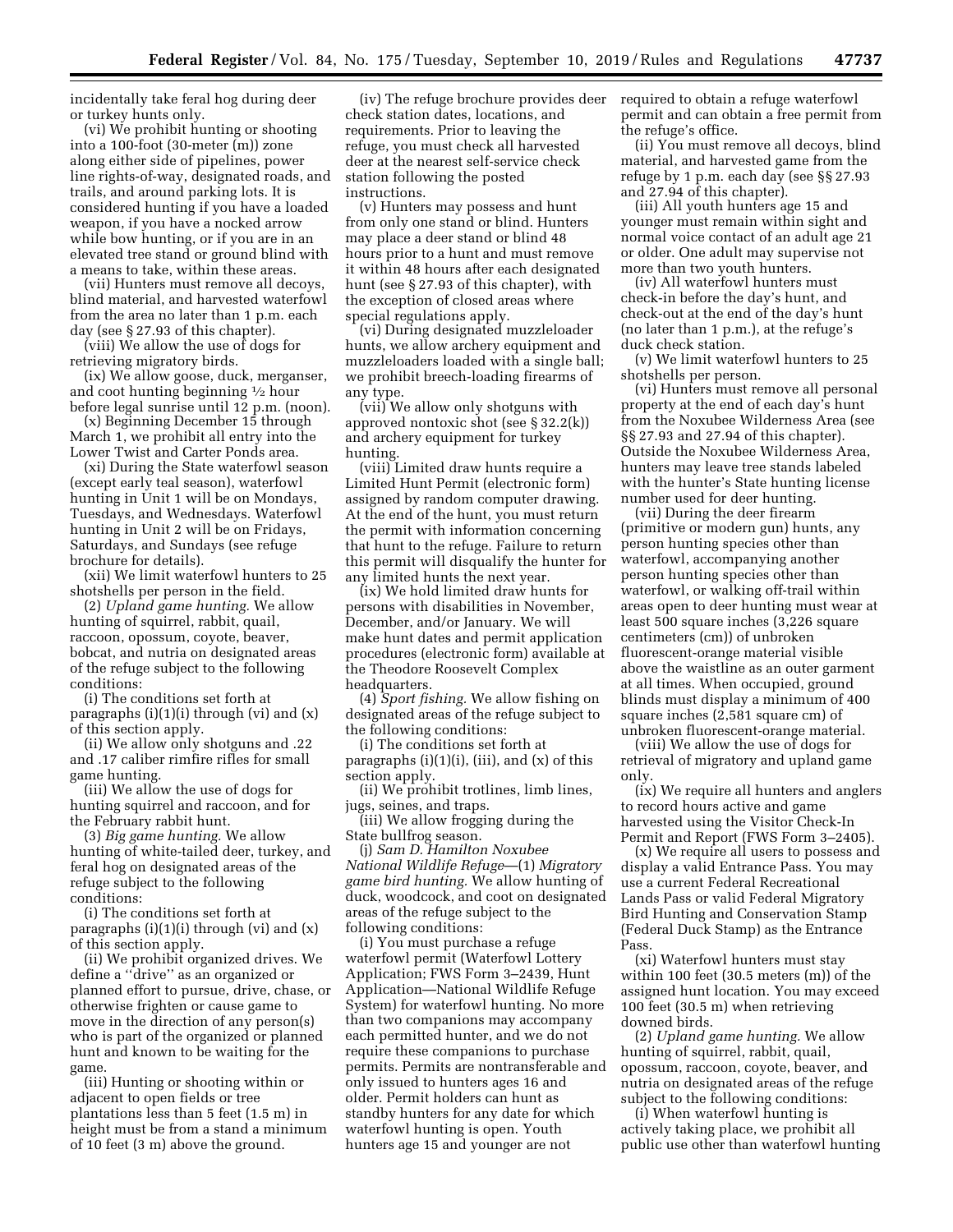incidentally take feral hog during deer or turkey hunts only.

(vi) We prohibit hunting or shooting into a 100-foot (30-meter (m)) zone along either side of pipelines, power line rights-of-way, designated roads, and trails, and around parking lots. It is considered hunting if you have a loaded weapon, if you have a nocked arrow while bow hunting, or if you are in an elevated tree stand or ground blind with a means to take, within these areas.

(vii) Hunters must remove all decoys, blind material, and harvested waterfowl from the area no later than 1 p.m. each day (see § 27.93 of this chapter).

(viii) We allow the use of dogs for retrieving migratory birds.

(ix) We allow goose, duck, merganser, and coot hunting beginning 1⁄2 hour before legal sunrise until 12 p.m. (noon).

(x) Beginning December 15 through March 1, we prohibit all entry into the Lower Twist and Carter Ponds area.

(xi) During the State waterfowl season (except early teal season), waterfowl hunting in Unit 1 will be on Mondays, Tuesdays, and Wednesdays. Waterfowl hunting in Unit 2 will be on Fridays, Saturdays, and Sundays (see refuge brochure for details).

(xii) We limit waterfowl hunters to 25 shotshells per person in the field.

(2) *Upland game hunting.* We allow hunting of squirrel, rabbit, quail, raccoon, opossum, coyote, beaver, bobcat, and nutria on designated areas of the refuge subject to the following conditions:

(i) The conditions set forth at paragraphs  $(i)(1)(i)$  through  $(vi)$  and  $(x)$ of this section apply.

(ii) We allow only shotguns and .22 and .17 caliber rimfire rifles for small game hunting.

(iii) We allow the use of dogs for hunting squirrel and raccoon, and for the February rabbit hunt.

(3) *Big game hunting.* We allow hunting of white-tailed deer, turkey, and feral hog on designated areas of the refuge subject to the following conditions:

(i) The conditions set forth at paragraphs  $(i)(1)(i)$  through  $(vi)$  and  $(x)$ of this section apply.

(ii) We prohibit organized drives. We define a ''drive'' as an organized or planned effort to pursue, drive, chase, or otherwise frighten or cause game to move in the direction of any person(s) who is part of the organized or planned hunt and known to be waiting for the game.

(iii) Hunting or shooting within or adjacent to open fields or tree plantations less than 5 feet (1.5 m) in height must be from a stand a minimum of 10 feet (3 m) above the ground.

(iv) The refuge brochure provides deer required to obtain a refuge waterfowl check station dates, locations, and requirements. Prior to leaving the refuge, you must check all harvested deer at the nearest self-service check station following the posted instructions.

(v) Hunters may possess and hunt from only one stand or blind. Hunters may place a deer stand or blind 48 hours prior to a hunt and must remove it within 48 hours after each designated hunt (see § 27.93 of this chapter), with the exception of closed areas where special regulations apply.

(vi) During designated muzzleloader hunts, we allow archery equipment and muzzleloaders loaded with a single ball; we prohibit breech-loading firearms of any type.

(vii) We allow only shotguns with approved nontoxic shot (see § 32.2(k)) and archery equipment for turkey hunting.

(viii) Limited draw hunts require a Limited Hunt Permit (electronic form) assigned by random computer drawing. At the end of the hunt, you must return the permit with information concerning that hunt to the refuge. Failure to return this permit will disqualify the hunter for any limited hunts the next year.

(ix) We hold limited draw hunts for persons with disabilities in November, December, and/or January. We will make hunt dates and permit application procedures (electronic form) available at the Theodore Roosevelt Complex headquarters.

(4) *Sport fishing.* We allow fishing on designated areas of the refuge subject to the following conditions:

(i) The conditions set forth at paragraphs (i)(1)(i), (iii), and (x) of this section apply.

(ii) We prohibit trotlines, limb lines, jugs, seines, and traps.

(iii) We allow frogging during the State bullfrog season.

(j) *Sam D. Hamilton Noxubee National Wildlife Refuge*—(1) *Migratory game bird hunting.* We allow hunting of duck, woodcock, and coot on designated areas of the refuge subject to the following conditions:

(i) You must purchase a refuge waterfowl permit (Waterfowl Lottery Application; FWS Form 3–2439, Hunt Application—National Wildlife Refuge System) for waterfowl hunting. No more than two companions may accompany each permitted hunter, and we do not require these companions to purchase permits. Permits are nontransferable and only issued to hunters ages 16 and older. Permit holders can hunt as standby hunters for any date for which waterfowl hunting is open. Youth hunters age 15 and younger are not

permit and can obtain a free permit from the refuge's office.

(ii) You must remove all decoys, blind material, and harvested game from the refuge by 1 p.m. each day (see §§ 27.93 and 27.94 of this chapter).

(iii) All youth hunters age 15 and younger must remain within sight and normal voice contact of an adult age 21 or older. One adult may supervise not more than two youth hunters.

(iv) All waterfowl hunters must check-in before the day's hunt, and check-out at the end of the day's hunt (no later than 1 p.m.), at the refuge's duck check station.

(v) We limit waterfowl hunters to 25 shotshells per person.

(vi) Hunters must remove all personal property at the end of each day's hunt from the Noxubee Wilderness Area (see §§ 27.93 and 27.94 of this chapter). Outside the Noxubee Wilderness Area, hunters may leave tree stands labeled with the hunter's State hunting license number used for deer hunting.

(vii) During the deer firearm (primitive or modern gun) hunts, any person hunting species other than waterfowl, accompanying another person hunting species other than waterfowl, or walking off-trail within areas open to deer hunting must wear at least 500 square inches (3,226 square centimeters (cm)) of unbroken fluorescent-orange material visible above the waistline as an outer garment at all times. When occupied, ground blinds must display a minimum of 400 square inches (2,581 square cm) of unbroken fluorescent-orange material.

(viii) We allow the use of dogs for retrieval of migratory and upland game only.

(ix) We require all hunters and anglers to record hours active and game harvested using the Visitor Check-In Permit and Report (FWS Form 3–2405).

(x) We require all users to possess and display a valid Entrance Pass. You may use a current Federal Recreational Lands Pass or valid Federal Migratory Bird Hunting and Conservation Stamp (Federal Duck Stamp) as the Entrance Pass.

(xi) Waterfowl hunters must stay within 100 feet (30.5 meters (m)) of the assigned hunt location. You may exceed 100 feet (30.5 m) when retrieving downed birds.

(2) *Upland game hunting.* We allow hunting of squirrel, rabbit, quail, opossum, raccoon, coyote, beaver, and nutria on designated areas of the refuge subject to the following conditions:

(i) When waterfowl hunting is actively taking place, we prohibit all public use other than waterfowl hunting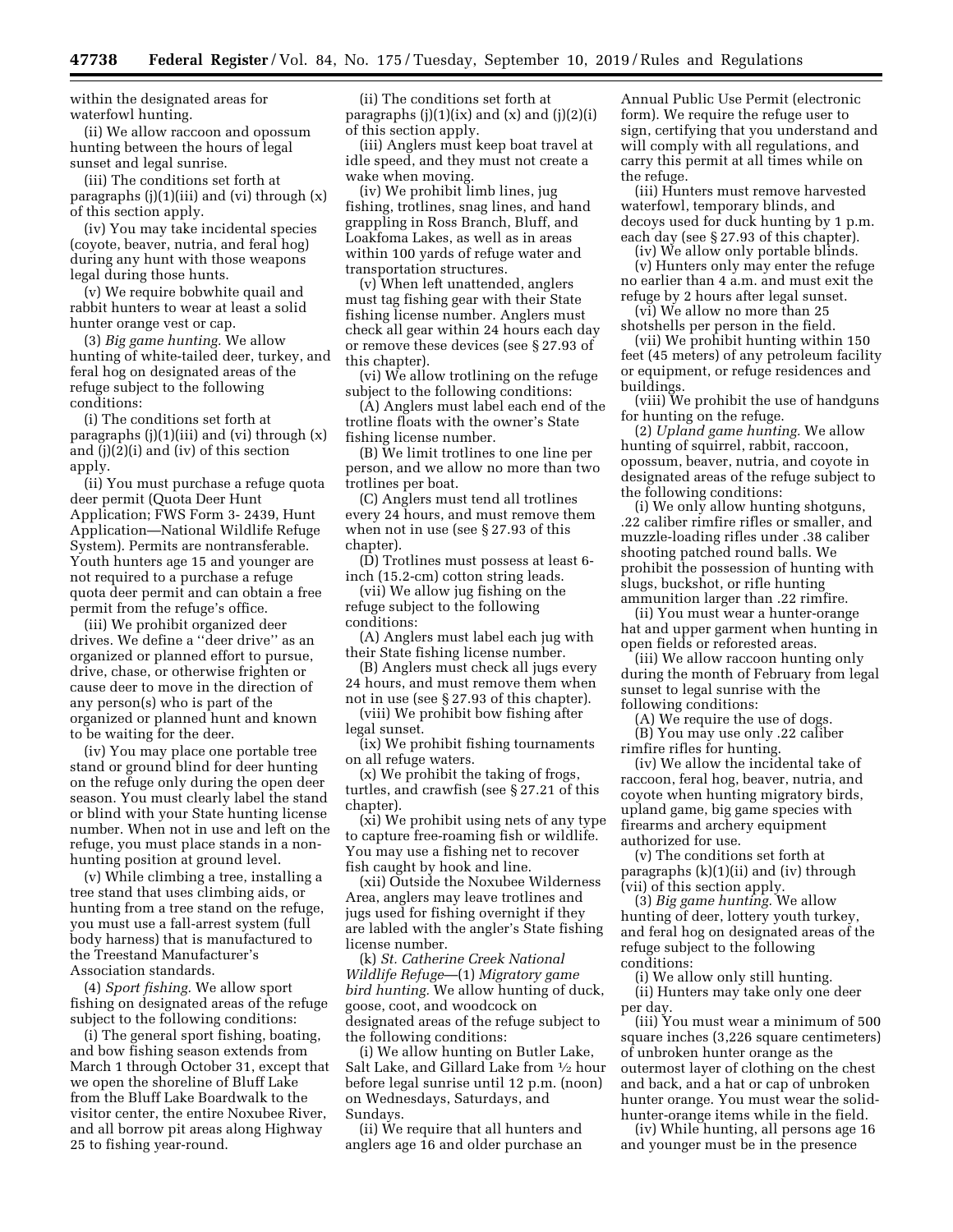within the designated areas for waterfowl hunting.

(ii) We allow raccoon and opossum hunting between the hours of legal sunset and legal sunrise.

(iii) The conditions set forth at paragraphs  $(j)(1)(iii)$  and  $(vi)$  through  $(x)$ of this section apply.

(iv) You may take incidental species (coyote, beaver, nutria, and feral hog) during any hunt with those weapons legal during those hunts.

(v) We require bobwhite quail and rabbit hunters to wear at least a solid hunter orange vest or cap.

(3) *Big game hunting.* We allow hunting of white-tailed deer, turkey, and feral hog on designated areas of the refuge subject to the following conditions:

(i) The conditions set forth at paragraphs  $(j)(1)(iii)$  and  $(vi)$  through  $(x)$ and (j)(2)(i) and (iv) of this section apply.

(ii) You must purchase a refuge quota deer permit (Quota Deer Hunt Application; FWS Form 3- 2439, Hunt Application—National Wildlife Refuge System). Permits are nontransferable. Youth hunters age 15 and younger are not required to a purchase a refuge quota deer permit and can obtain a free permit from the refuge's office.

(iii) We prohibit organized deer drives. We define a ''deer drive'' as an organized or planned effort to pursue, drive, chase, or otherwise frighten or cause deer to move in the direction of any person(s) who is part of the organized or planned hunt and known to be waiting for the deer.

(iv) You may place one portable tree stand or ground blind for deer hunting on the refuge only during the open deer season. You must clearly label the stand or blind with your State hunting license number. When not in use and left on the refuge, you must place stands in a nonhunting position at ground level.

(v) While climbing a tree, installing a tree stand that uses climbing aids, or hunting from a tree stand on the refuge, you must use a fall-arrest system (full body harness) that is manufactured to the Treestand Manufacturer's Association standards.

(4) *Sport fishing.* We allow sport fishing on designated areas of the refuge subject to the following conditions:

(i) The general sport fishing, boating, and bow fishing season extends from March 1 through October 31, except that we open the shoreline of Bluff Lake from the Bluff Lake Boardwalk to the visitor center, the entire Noxubee River, and all borrow pit areas along Highway 25 to fishing year-round.

(ii) The conditions set forth at paragraphs  $(j)(1)(ix)$  and  $(x)$  and  $(j)(2)(i)$ of this section apply.

(iii) Anglers must keep boat travel at idle speed, and they must not create a wake when moving.

(iv) We prohibit limb lines, jug fishing, trotlines, snag lines, and hand grappling in Ross Branch, Bluff, and Loakfoma Lakes, as well as in areas within 100 yards of refuge water and transportation structures.

(v) When left unattended, anglers must tag fishing gear with their State fishing license number. Anglers must check all gear within 24 hours each day or remove these devices (see § 27.93 of this chapter).

(vi) We allow trotlining on the refuge subject to the following conditions:

(A) Anglers must label each end of the trotline floats with the owner's State fishing license number.

(B) We limit trotlines to one line per person, and we allow no more than two trotlines per boat.

(C) Anglers must tend all trotlines every 24 hours, and must remove them when not in use (see § 27.93 of this chapter).

(D) Trotlines must possess at least 6 inch (15.2-cm) cotton string leads.

(vii) We allow jug fishing on the refuge subject to the following conditions:

(A) Anglers must label each jug with their State fishing license number.

(B) Anglers must check all jugs every 24 hours, and must remove them when not in use (see § 27.93 of this chapter).

(viii) We prohibit bow fishing after legal sunset.

(ix) We prohibit fishing tournaments on all refuge waters.

(x) We prohibit the taking of frogs, turtles, and crawfish (see § 27.21 of this chapter).

(xi) We prohibit using nets of any type to capture free-roaming fish or wildlife. You may use a fishing net to recover fish caught by hook and line.

(xii) Outside the Noxubee Wilderness Area, anglers may leave trotlines and jugs used for fishing overnight if they are labled with the angler's State fishing license number.

(k) *St. Catherine Creek National Wildlife Refuge*—(1) *Migratory game bird hunting.* We allow hunting of duck, goose, coot, and woodcock on designated areas of the refuge subject to the following conditions:

(i) We allow hunting on Butler Lake, Salt Lake, and Gillard Lake from 1⁄2 hour before legal sunrise until 12 p.m. (noon) on Wednesdays, Saturdays, and Sundays.

(ii) We require that all hunters and anglers age 16 and older purchase an

Annual Public Use Permit (electronic form). We require the refuge user to sign, certifying that you understand and will comply with all regulations, and carry this permit at all times while on the refuge.

(iii) Hunters must remove harvested waterfowl, temporary blinds, and decoys used for duck hunting by 1 p.m. each day (see § 27.93 of this chapter).

(iv) We allow only portable blinds. (v) Hunters only may enter the refuge no earlier than 4 a.m. and must exit the refuge by 2 hours after legal sunset.

(vi) We allow no more than 25 shotshells per person in the field.

(vii) We prohibit hunting within 150 feet (45 meters) of any petroleum facility or equipment, or refuge residences and buildings.

(viii) We prohibit the use of handguns for hunting on the refuge.

(2) *Upland game hunting.* We allow hunting of squirrel, rabbit, raccoon, opossum, beaver, nutria, and coyote in designated areas of the refuge subject to the following conditions:

(i) We only allow hunting shotguns, .22 caliber rimfire rifles or smaller, and muzzle-loading rifles under .38 caliber shooting patched round balls. We prohibit the possession of hunting with slugs, buckshot, or rifle hunting ammunition larger than .22 rimfire.

(ii) You must wear a hunter-orange hat and upper garment when hunting in open fields or reforested areas.

(iii) We allow raccoon hunting only during the month of February from legal sunset to legal sunrise with the following conditions:

(A) We require the use of dogs.

(B) You may use only .22 caliber rimfire rifles for hunting.

(iv) We allow the incidental take of raccoon, feral hog, beaver, nutria, and coyote when hunting migratory birds, upland game, big game species with firearms and archery equipment authorized for use.

(v) The conditions set forth at paragraphs (k)(1)(ii) and (iv) through (vii) of this section apply.

(3) *Big game hunting.* We allow hunting of deer, lottery youth turkey, and feral hog on designated areas of the refuge subject to the following conditions:

(i) We allow only still hunting. (ii) Hunters may take only one deer per day.

(iii) You must wear a minimum of 500 square inches (3,226 square centimeters) of unbroken hunter orange as the outermost layer of clothing on the chest and back, and a hat or cap of unbroken hunter orange. You must wear the solidhunter-orange items while in the field.

(iv) While hunting, all persons age 16 and younger must be in the presence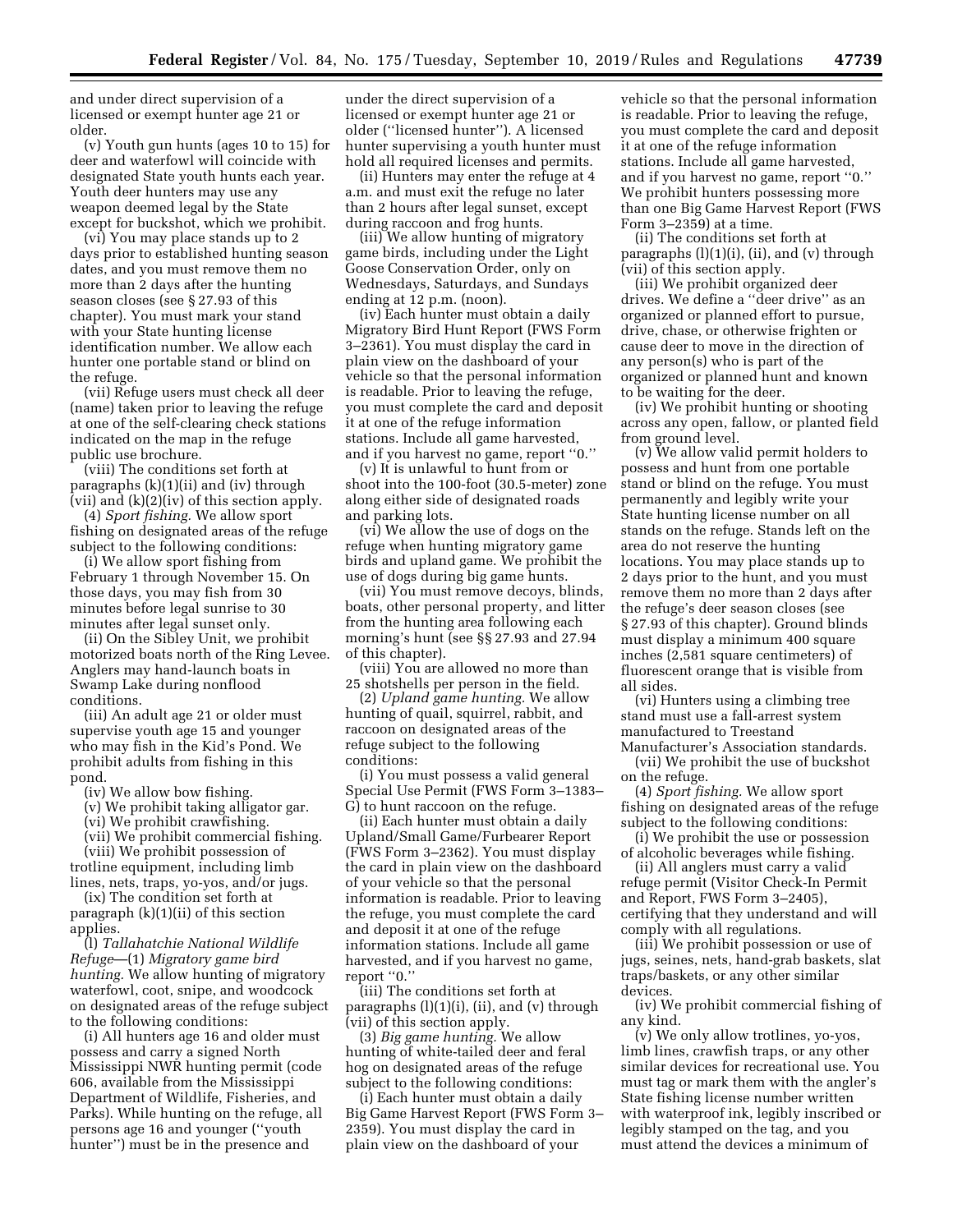and under direct supervision of a licensed or exempt hunter age 21 or older.

(v) Youth gun hunts (ages 10 to 15) for deer and waterfowl will coincide with designated State youth hunts each year. Youth deer hunters may use any weapon deemed legal by the State except for buckshot, which we prohibit.

(vi) You may place stands up to 2 days prior to established hunting season dates, and you must remove them no more than 2 days after the hunting season closes (see § 27.93 of this chapter). You must mark your stand with your State hunting license identification number. We allow each hunter one portable stand or blind on the refuge.

(vii) Refuge users must check all deer (name) taken prior to leaving the refuge at one of the self-clearing check stations indicated on the map in the refuge public use brochure.

(viii) The conditions set forth at paragraphs (k)(1)(ii) and (iv) through (vii) and (k)(2)(iv) of this section apply.

(4) *Sport fishing.* We allow sport fishing on designated areas of the refuge subject to the following conditions:

(i) We allow sport fishing from February 1 through November 15. On those days, you may fish from 30 minutes before legal sunrise to 30 minutes after legal sunset only.

(ii) On the Sibley Unit, we prohibit motorized boats north of the Ring Levee. Anglers may hand-launch boats in Swamp Lake during nonflood conditions.

(iii) An adult age 21 or older must supervise youth age 15 and younger who may fish in the Kid's Pond. We prohibit adults from fishing in this pond.

(iv) We allow bow fishing.

(v) We prohibit taking alligator gar.

(vi) We prohibit crawfishing.

(vii) We prohibit commercial fishing. (viii) We prohibit possession of

trotline equipment, including limb lines, nets, traps, yo-yos, and/or jugs. (ix) The condition set forth at

paragraph (k)(1)(ii) of this section applies.

(l) *Tallahatchie National Wildlife Refuge*—(1) *Migratory game bird hunting.* We allow hunting of migratory waterfowl, coot, snipe, and woodcock on designated areas of the refuge subject to the following conditions:

(i) All hunters age 16 and older must possess and carry a signed North Mississippi NWR hunting permit (code 606, available from the Mississippi Department of Wildlife, Fisheries, and Parks). While hunting on the refuge, all persons age 16 and younger (''youth hunter'') must be in the presence and

under the direct supervision of a licensed or exempt hunter age 21 or older (''licensed hunter''). A licensed hunter supervising a youth hunter must hold all required licenses and permits.

(ii) Hunters may enter the refuge at 4 a.m. and must exit the refuge no later than 2 hours after legal sunset, except during raccoon and frog hunts.

(iii) We allow hunting of migratory game birds, including under the Light Goose Conservation Order, only on Wednesdays, Saturdays, and Sundays ending at 12 p.m. (noon).

(iv) Each hunter must obtain a daily Migratory Bird Hunt Report (FWS Form 3–2361). You must display the card in plain view on the dashboard of your vehicle so that the personal information is readable. Prior to leaving the refuge, you must complete the card and deposit it at one of the refuge information stations. Include all game harvested, and if you harvest no game, report ''0.''

(v) It is unlawful to hunt from or shoot into the 100-foot (30.5-meter) zone along either side of designated roads and parking lots.

(vi) We allow the use of dogs on the refuge when hunting migratory game birds and upland game. We prohibit the use of dogs during big game hunts.

(vii) You must remove decoys, blinds, boats, other personal property, and litter from the hunting area following each morning's hunt (see §§ 27.93 and 27.94 of this chapter).

(viii) You are allowed no more than 25 shotshells per person in the field.

(2) *Upland game hunting.* We allow hunting of quail, squirrel, rabbit, and raccoon on designated areas of the refuge subject to the following conditions:

(i) You must possess a valid general Special Use Permit (FWS Form 3–1383– G) to hunt raccoon on the refuge.

(ii) Each hunter must obtain a daily Upland/Small Game/Furbearer Report (FWS Form 3–2362). You must display the card in plain view on the dashboard of your vehicle so that the personal information is readable. Prior to leaving the refuge, you must complete the card and deposit it at one of the refuge information stations. Include all game harvested, and if you harvest no game, report "0.'

(iii) The conditions set forth at paragraphs  $(l)(1)(i)$ ,  $(ii)$ , and  $(v)$  through (vii) of this section apply.

(3) *Big game hunting.* We allow hunting of white-tailed deer and feral hog on designated areas of the refuge subject to the following conditions:

(i) Each hunter must obtain a daily Big Game Harvest Report (FWS Form 3– 2359). You must display the card in plain view on the dashboard of your

vehicle so that the personal information is readable. Prior to leaving the refuge, you must complete the card and deposit it at one of the refuge information stations. Include all game harvested, and if you harvest no game, report ''0.'' We prohibit hunters possessing more than one Big Game Harvest Report (FWS Form 3–2359) at a time.

(ii) The conditions set forth at paragraphs (l)(1)(i), (ii), and (v) through (vii) of this section apply.

(iii) We prohibit organized deer drives. We define a ''deer drive'' as an organized or planned effort to pursue, drive, chase, or otherwise frighten or cause deer to move in the direction of any person(s) who is part of the organized or planned hunt and known to be waiting for the deer.

(iv) We prohibit hunting or shooting across any open, fallow, or planted field from ground level.

(v) We allow valid permit holders to possess and hunt from one portable stand or blind on the refuge. You must permanently and legibly write your State hunting license number on all stands on the refuge. Stands left on the area do not reserve the hunting locations. You may place stands up to 2 days prior to the hunt, and you must remove them no more than 2 days after the refuge's deer season closes (see § 27.93 of this chapter). Ground blinds must display a minimum 400 square inches (2,581 square centimeters) of fluorescent orange that is visible from all sides.

(vi) Hunters using a climbing tree stand must use a fall-arrest system manufactured to Treestand Manufacturer's Association standards.

(vii) We prohibit the use of buckshot on the refuge.

(4) *Sport fishing.* We allow sport fishing on designated areas of the refuge subject to the following conditions:

(i) We prohibit the use or possession of alcoholic beverages while fishing.

(ii) All anglers must carry a valid refuge permit (Visitor Check-In Permit and Report, FWS Form 3–2405), certifying that they understand and will comply with all regulations.

(iii) We prohibit possession or use of jugs, seines, nets, hand-grab baskets, slat traps/baskets, or any other similar devices.

(iv) We prohibit commercial fishing of any kind.

(v) We only allow trotlines, yo-yos, limb lines, crawfish traps, or any other similar devices for recreational use. You must tag or mark them with the angler's State fishing license number written with waterproof ink, legibly inscribed or legibly stamped on the tag, and you must attend the devices a minimum of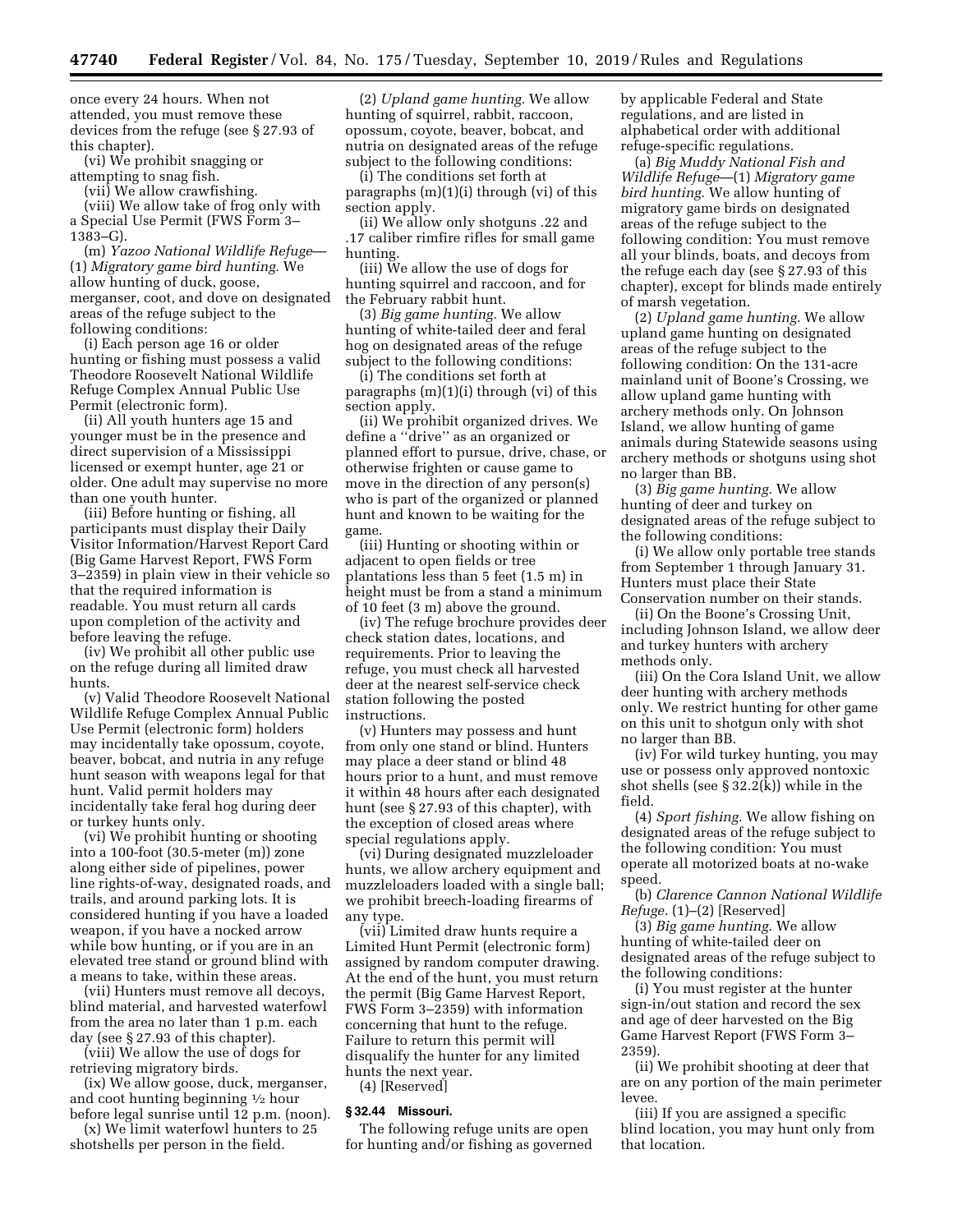once every 24 hours. When not attended, you must remove these devices from the refuge (see § 27.93 of this chapter).

(vi) We prohibit snagging or attempting to snag fish.

(vii) We allow crawfishing.

(viii) We allow take of frog only with a Special Use Permit (FWS Form 3– 1383–G).

(m) *Yazoo National Wildlife Refuge*— (1) *Migratory game bird hunting.* We allow hunting of duck, goose, merganser, coot, and dove on designated areas of the refuge subject to the following conditions:

(i) Each person age 16 or older hunting or fishing must possess a valid Theodore Roosevelt National Wildlife Refuge Complex Annual Public Use Permit (electronic form).

(ii) All youth hunters age 15 and younger must be in the presence and direct supervision of a Mississippi licensed or exempt hunter, age 21 or older. One adult may supervise no more than one youth hunter.

(iii) Before hunting or fishing, all participants must display their Daily Visitor Information/Harvest Report Card (Big Game Harvest Report, FWS Form 3–2359) in plain view in their vehicle so that the required information is readable. You must return all cards upon completion of the activity and before leaving the refuge.

(iv) We prohibit all other public use on the refuge during all limited draw hunts.

(v) Valid Theodore Roosevelt National Wildlife Refuge Complex Annual Public Use Permit (electronic form) holders may incidentally take opossum, coyote, beaver, bobcat, and nutria in any refuge hunt season with weapons legal for that hunt. Valid permit holders may incidentally take feral hog during deer or turkey hunts only.

(vi) We prohibit hunting or shooting into a 100-foot (30.5-meter (m)) zone along either side of pipelines, power line rights-of-way, designated roads, and trails, and around parking lots. It is considered hunting if you have a loaded weapon, if you have a nocked arrow while bow hunting, or if you are in an elevated tree stand or ground blind with a means to take, within these areas.

(vii) Hunters must remove all decoys, blind material, and harvested waterfowl from the area no later than 1 p.m. each day (see § 27.93 of this chapter).

(viii) We allow the use of dogs for retrieving migratory birds.

(ix) We allow goose, duck, merganser, and coot hunting beginning 1⁄2 hour before legal sunrise until 12 p.m. (noon).

(x) We limit waterfowl hunters to 25 shotshells per person in the field.

(2) *Upland game hunting.* We allow hunting of squirrel, rabbit, raccoon, opossum, coyote, beaver, bobcat, and nutria on designated areas of the refuge subject to the following conditions:

(i) The conditions set forth at paragraphs (m)(1)(i) through (vi) of this section apply.

(ii) We allow only shotguns .22 and .17 caliber rimfire rifles for small game hunting.

(iii) We allow the use of dogs for hunting squirrel and raccoon, and for the February rabbit hunt.

(3) *Big game hunting.* We allow hunting of white-tailed deer and feral hog on designated areas of the refuge subject to the following conditions:

(i) The conditions set forth at paragraphs (m)(1)(i) through (vi) of this section apply.

(ii) We prohibit organized drives. We define a ''drive'' as an organized or planned effort to pursue, drive, chase, or otherwise frighten or cause game to move in the direction of any person(s) who is part of the organized or planned hunt and known to be waiting for the game.

(iii) Hunting or shooting within or adjacent to open fields or tree plantations less than 5 feet (1.5 m) in height must be from a stand a minimum of 10 feet (3 m) above the ground.

(iv) The refuge brochure provides deer check station dates, locations, and requirements. Prior to leaving the refuge, you must check all harvested deer at the nearest self-service check station following the posted instructions.

(v) Hunters may possess and hunt from only one stand or blind. Hunters may place a deer stand or blind 48 hours prior to a hunt, and must remove it within 48 hours after each designated hunt (see § 27.93 of this chapter), with the exception of closed areas where special regulations apply.

(vi) During designated muzzleloader hunts, we allow archery equipment and muzzleloaders loaded with a single ball; we prohibit breech-loading firearms of any type.

(vii) Limited draw hunts require a Limited Hunt Permit (electronic form) assigned by random computer drawing. At the end of the hunt, you must return the permit (Big Game Harvest Report, FWS Form 3–2359) with information concerning that hunt to the refuge. Failure to return this permit will disqualify the hunter for any limited hunts the next year.

(4) [Reserved]

# **§ 32.44 Missouri.**

The following refuge units are open for hunting and/or fishing as governed by applicable Federal and State regulations, and are listed in alphabetical order with additional refuge-specific regulations.

(a) *Big Muddy National Fish and Wildlife Refuge*—(1) *Migratory game bird hunting.* We allow hunting of migratory game birds on designated areas of the refuge subject to the following condition: You must remove all your blinds, boats, and decoys from the refuge each day (see § 27.93 of this chapter), except for blinds made entirely of marsh vegetation.

(2) *Upland game hunting.* We allow upland game hunting on designated areas of the refuge subject to the following condition: On the 131-acre mainland unit of Boone's Crossing, we allow upland game hunting with archery methods only. On Johnson Island, we allow hunting of game animals during Statewide seasons using archery methods or shotguns using shot no larger than BB.

(3) *Big game hunting.* We allow hunting of deer and turkey on designated areas of the refuge subject to the following conditions:

(i) We allow only portable tree stands from September 1 through January 31. Hunters must place their State Conservation number on their stands.

(ii) On the Boone's Crossing Unit, including Johnson Island, we allow deer and turkey hunters with archery methods only.

(iii) On the Cora Island Unit, we allow deer hunting with archery methods only. We restrict hunting for other game on this unit to shotgun only with shot no larger than BB.

(iv) For wild turkey hunting, you may use or possess only approved nontoxic shot shells (see § 32.2(k)) while in the field.

(4) *Sport fishing.* We allow fishing on designated areas of the refuge subject to the following condition: You must operate all motorized boats at no-wake speed.

(b) *Clarence Cannon National Wildlife Refuge.* (1)–(2) [Reserved]

(3) *Big game hunting.* We allow hunting of white-tailed deer on designated areas of the refuge subject to the following conditions:

(i) You must register at the hunter sign-in/out station and record the sex and age of deer harvested on the Big Game Harvest Report (FWS Form 3– 2359).

(ii) We prohibit shooting at deer that are on any portion of the main perimeter levee.

(iii) If you are assigned a specific blind location, you may hunt only from that location.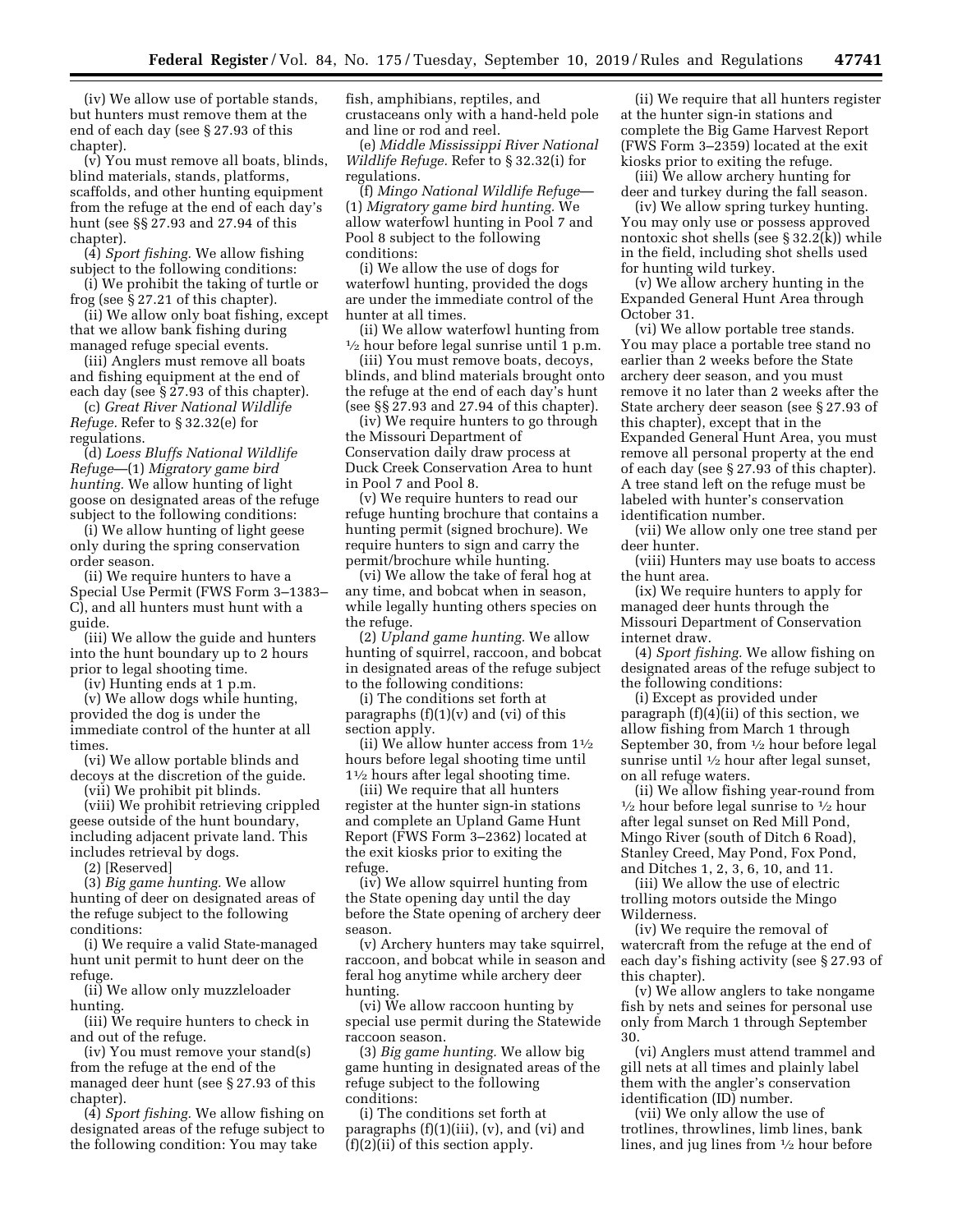(iv) We allow use of portable stands, but hunters must remove them at the end of each day (see § 27.93 of this chapter).

(v) You must remove all boats, blinds, blind materials, stands, platforms, scaffolds, and other hunting equipment from the refuge at the end of each day's hunt (see §§ 27.93 and 27.94 of this chapter).

(4) *Sport fishing.* We allow fishing subject to the following conditions:

(i) We prohibit the taking of turtle or frog (see § 27.21 of this chapter).

(ii) We allow only boat fishing, except that we allow bank fishing during managed refuge special events.

(iii) Anglers must remove all boats and fishing equipment at the end of each day (see § 27.93 of this chapter).

(c) *Great River National Wildlife Refuge.* Refer to § 32.32(e) for regulations.

(d) *Loess Bluffs National Wildlife Refuge*—(1) *Migratory game bird hunting.* We allow hunting of light goose on designated areas of the refuge subject to the following conditions:

(i) We allow hunting of light geese only during the spring conservation order season.

(ii) We require hunters to have a Special Use Permit (FWS Form 3–1383– C), and all hunters must hunt with a guide.

(iii) We allow the guide and hunters into the hunt boundary up to 2 hours prior to legal shooting time.

(iv) Hunting ends at 1 p.m.

(v) We allow dogs while hunting, provided the dog is under the immediate control of the hunter at all times.

(vi) We allow portable blinds and decoys at the discretion of the guide.

(vii) We prohibit pit blinds. (viii) We prohibit retrieving crippled geese outside of the hunt boundary, including adjacent private land. This includes retrieval by dogs.

(2) [Reserved]

(3) *Big game hunting.* We allow hunting of deer on designated areas of the refuge subject to the following conditions:

(i) We require a valid State-managed hunt unit permit to hunt deer on the refuge.

(ii) We allow only muzzleloader hunting.

(iii) We require hunters to check in and out of the refuge.

(iv) You must remove your stand(s) from the refuge at the end of the managed deer hunt (see § 27.93 of this chapter).

(4) *Sport fishing.* We allow fishing on designated areas of the refuge subject to the following condition: You may take

fish, amphibians, reptiles, and crustaceans only with a hand-held pole and line or rod and reel.

(e) *Middle Mississippi River National Wildlife Refuge.* Refer to § 32.32(i) for regulations.

(f) *Mingo National Wildlife Refuge*— (1) *Migratory game bird hunting.* We allow waterfowl hunting in Pool 7 and Pool 8 subject to the following conditions:

(i) We allow the use of dogs for waterfowl hunting, provided the dogs are under the immediate control of the hunter at all times.<br>(ii) We allow waterfowl hunting from

 $\frac{1}{2}$  hour before legal sunrise until 1 p.m.

(iii) You must remove boats, decoys, blinds, and blind materials brought onto the refuge at the end of each day's hunt (see §§ 27.93 and 27.94 of this chapter).

(iv) We require hunters to go through the Missouri Department of Conservation daily draw process at Duck Creek Conservation Area to hunt in Pool 7 and Pool 8.

(v) We require hunters to read our refuge hunting brochure that contains a hunting permit (signed brochure). We require hunters to sign and carry the permit/brochure while hunting.

(vi) We allow the take of feral hog at any time, and bobcat when in season, while legally hunting others species on the refuge.

(2) *Upland game hunting.* We allow hunting of squirrel, raccoon, and bobcat in designated areas of the refuge subject to the following conditions:

(i) The conditions set forth at paragraphs  $(f)(1)(v)$  and  $(vi)$  of this section apply.

(ii) We allow hunter access from  $1\frac{1}{2}$ hours before legal shooting time until 11⁄2 hours after legal shooting time.

(iii) We require that all hunters register at the hunter sign-in stations and complete an Upland Game Hunt Report (FWS Form 3–2362) located at the exit kiosks prior to exiting the refuge.

(iv) We allow squirrel hunting from the State opening day until the day before the State opening of archery deer season.

(v) Archery hunters may take squirrel, raccoon, and bobcat while in season and feral hog anytime while archery deer hunting.

(vi) We allow raccoon hunting by special use permit during the Statewide raccoon season.

(3) *Big game hunting.* We allow big game hunting in designated areas of the refuge subject to the following conditions:

(i) The conditions set forth at paragraphs  $(f)(1)(iii)$ ,  $(v)$ , and  $(vi)$  and (f)(2)(ii) of this section apply.

(ii) We require that all hunters register at the hunter sign-in stations and complete the Big Game Harvest Report (FWS Form 3–2359) located at the exit kiosks prior to exiting the refuge.

(iii) We allow archery hunting for deer and turkey during the fall season.

(iv) We allow spring turkey hunting. You may only use or possess approved nontoxic shot shells (see  $\S 32.2(k)$ ) while in the field, including shot shells used for hunting wild turkey.

(v) We allow archery hunting in the Expanded General Hunt Area through October 31.

(vi) We allow portable tree stands. You may place a portable tree stand no earlier than 2 weeks before the State archery deer season, and you must remove it no later than 2 weeks after the State archery deer season (see § 27.93 of this chapter), except that in the Expanded General Hunt Area, you must remove all personal property at the end of each day (see § 27.93 of this chapter). A tree stand left on the refuge must be labeled with hunter's conservation identification number.

(vii) We allow only one tree stand per deer hunter.

(viii) Hunters may use boats to access the hunt area.

(ix) We require hunters to apply for managed deer hunts through the Missouri Department of Conservation internet draw.

(4) *Sport fishing.* We allow fishing on designated areas of the refuge subject to the following conditions:

(i) Except as provided under paragraph (f)(4)(ii) of this section, we allow fishing from March 1 through September 30, from 1⁄2 hour before legal sunrise until 1⁄2 hour after legal sunset, on all refuge waters.

(ii) We allow fishing year-round from  $\frac{1}{2}$  hour before legal sunrise to  $\frac{1}{2}$  hour after legal sunset on Red Mill Pond, Mingo River (south of Ditch 6 Road), Stanley Creed, May Pond, Fox Pond, and Ditches 1, 2, 3, 6, 10, and 11.

(iii) We allow the use of electric trolling motors outside the Mingo Wilderness.

(iv) We require the removal of watercraft from the refuge at the end of each day's fishing activity (see § 27.93 of this chapter).

(v) We allow anglers to take nongame fish by nets and seines for personal use only from March 1 through September 30.

(vi) Anglers must attend trammel and gill nets at all times and plainly label them with the angler's conservation identification (ID) number.

(vii) We only allow the use of trotlines, throwlines, limb lines, bank lines, and jug lines from 1⁄2 hour before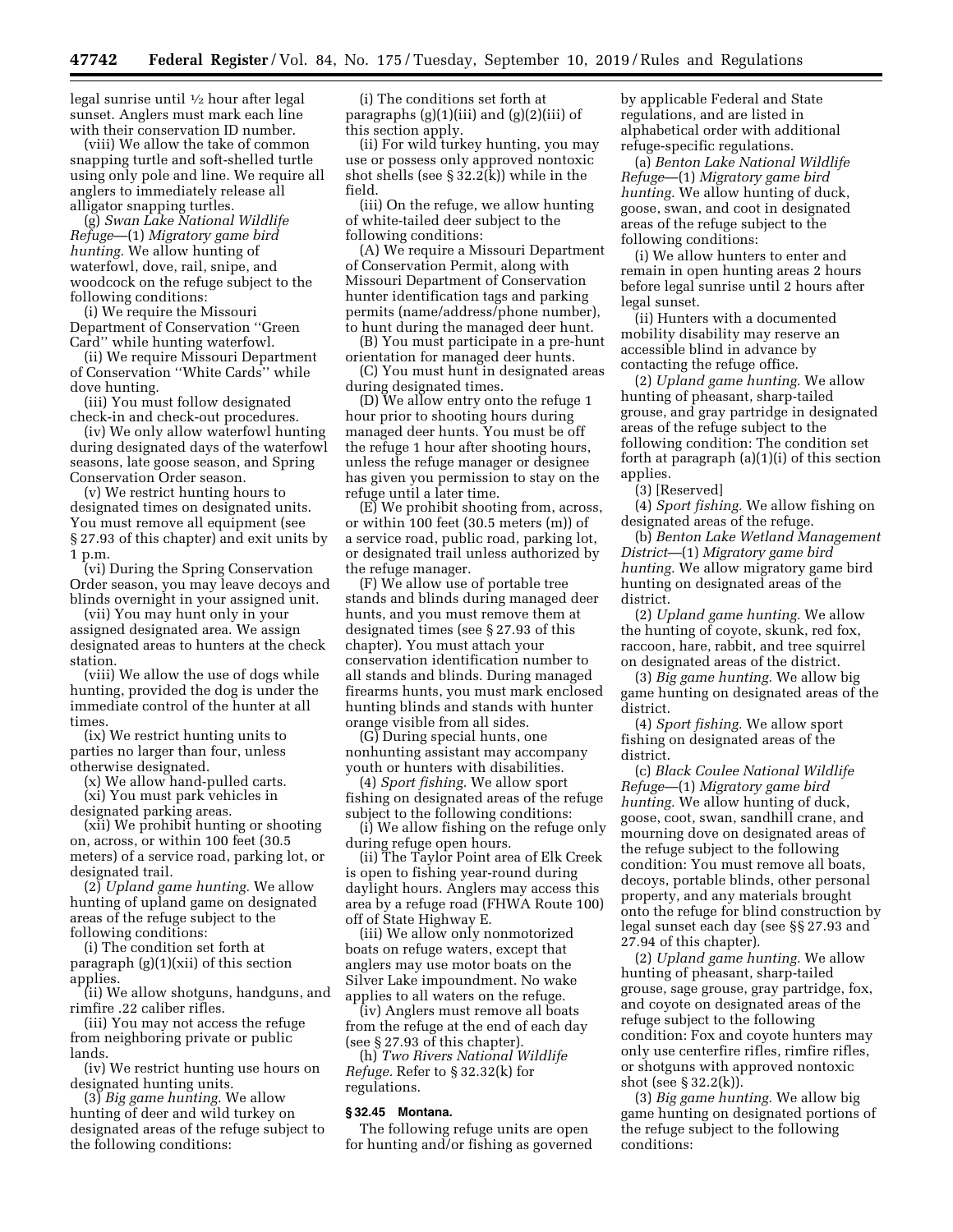legal sunrise until 1⁄2 hour after legal sunset. Anglers must mark each line with their conservation ID number.

(viii) We allow the take of common snapping turtle and soft-shelled turtle using only pole and line. We require all anglers to immediately release all alligator snapping turtles.

(g) *Swan Lake National Wildlife Refuge*—(1) *Migratory game bird hunting.* We allow hunting of waterfowl, dove, rail, snipe, and woodcock on the refuge subject to the following conditions:

(i) We require the Missouri Department of Conservation ''Green Card'' while hunting waterfowl.

(ii) We require Missouri Department of Conservation ''White Cards'' while dove hunting.

(iii) You must follow designated check-in and check-out procedures.

(iv) We only allow waterfowl hunting during designated days of the waterfowl seasons, late goose season, and Spring Conservation Order season.

(v) We restrict hunting hours to designated times on designated units. You must remove all equipment (see § 27.93 of this chapter) and exit units by 1 p.m.

(vi) During the Spring Conservation Order season, you may leave decoys and blinds overnight in your assigned unit.

(vii) You may hunt only in your assigned designated area. We assign designated areas to hunters at the check station.

(viii) We allow the use of dogs while hunting, provided the dog is under the immediate control of the hunter at all times.

(ix) We restrict hunting units to parties no larger than four, unless otherwise designated.

(x) We allow hand-pulled carts. (xi) You must park vehicles in

designated parking areas.

(xii) We prohibit hunting or shooting on, across, or within 100 feet (30.5 meters) of a service road, parking lot, or designated trail.

(2) *Upland game hunting.* We allow hunting of upland game on designated areas of the refuge subject to the following conditions:

(i) The condition set forth at paragraph (g)(1)(xii) of this section applies.

(ii) We allow shotguns, handguns, and rimfire .22 caliber rifles.

(iii) You may not access the refuge from neighboring private or public lands.

(iv) We restrict hunting use hours on designated hunting units.

(3) *Big game hunting.* We allow hunting of deer and wild turkey on designated areas of the refuge subject to the following conditions:

(i) The conditions set forth at paragraphs (g)(1)(iii) and (g)(2)(iii) of this section apply.

(ii) For wild turkey hunting, you may use or possess only approved nontoxic shot shells (see § 32.2(k)) while in the field.

(iii) On the refuge, we allow hunting of white-tailed deer subject to the following conditions:

(A) We require a Missouri Department of Conservation Permit, along with Missouri Department of Conservation hunter identification tags and parking permits (name/address/phone number), to hunt during the managed deer hunt.

(B) You must participate in a pre-hunt orientation for managed deer hunts.

(C) You must hunt in designated areas during designated times.

(D) We allow entry onto the refuge 1 hour prior to shooting hours during managed deer hunts. You must be off the refuge 1 hour after shooting hours, unless the refuge manager or designee has given you permission to stay on the refuge until a later time.

(E) We prohibit shooting from, across, or within 100 feet (30.5 meters (m)) of a service road, public road, parking lot, or designated trail unless authorized by the refuge manager.

(F) We allow use of portable tree stands and blinds during managed deer hunts, and you must remove them at designated times (see § 27.93 of this chapter). You must attach your conservation identification number to all stands and blinds. During managed firearms hunts, you must mark enclosed hunting blinds and stands with hunter orange visible from all sides.

(G) During special hunts, one nonhunting assistant may accompany youth or hunters with disabilities.

(4) *Sport fishing.* We allow sport fishing on designated areas of the refuge subject to the following conditions:

(i) We allow fishing on the refuge only during refuge open hours.

(ii) The Taylor Point area of Elk Creek is open to fishing year-round during daylight hours. Anglers may access this area by a refuge road (FHWA Route 100) off of State Highway E.

(iii) We allow only nonmotorized boats on refuge waters, except that anglers may use motor boats on the Silver Lake impoundment. No wake applies to all waters on the refuge.

(iv) Anglers must remove all boats from the refuge at the end of each day (see § 27.93 of this chapter).

(h) *Two Rivers National Wildlife Refuge.* Refer to § 32.32(k) for regulations.

## **§ 32.45 Montana.**

The following refuge units are open for hunting and/or fishing as governed by applicable Federal and State regulations, and are listed in alphabetical order with additional refuge-specific regulations.

(a) *Benton Lake National Wildlife Refuge*—(1) *Migratory game bird hunting.* We allow hunting of duck, goose, swan, and coot in designated areas of the refuge subject to the following conditions:

(i) We allow hunters to enter and remain in open hunting areas 2 hours before legal sunrise until 2 hours after legal sunset.

(ii) Hunters with a documented mobility disability may reserve an accessible blind in advance by contacting the refuge office.

(2) *Upland game hunting.* We allow hunting of pheasant, sharp-tailed grouse, and gray partridge in designated areas of the refuge subject to the following condition: The condition set forth at paragraph (a)(1)(i) of this section applies.

(3) [Reserved]

(4) *Sport fishing.* We allow fishing on designated areas of the refuge.

(b) *Benton Lake Wetland Management District*—(1) *Migratory game bird hunting.* We allow migratory game bird hunting on designated areas of the district.

(2) *Upland game hunting.* We allow the hunting of coyote, skunk, red fox, raccoon, hare, rabbit, and tree squirrel on designated areas of the district.

(3) *Big game hunting.* We allow big game hunting on designated areas of the district.

(4) *Sport fishing.* We allow sport fishing on designated areas of the district.

(c) *Black Coulee National Wildlife Refuge*—(1) *Migratory game bird hunting.* We allow hunting of duck, goose, coot, swan, sandhill crane, and mourning dove on designated areas of the refuge subject to the following condition: You must remove all boats, decoys, portable blinds, other personal property, and any materials brought onto the refuge for blind construction by legal sunset each day (see §§ 27.93 and 27.94 of this chapter).

(2) *Upland game hunting.* We allow hunting of pheasant, sharp-tailed grouse, sage grouse, gray partridge, fox, and coyote on designated areas of the refuge subject to the following condition: Fox and coyote hunters may only use centerfire rifles, rimfire rifles, or shotguns with approved nontoxic shot (see § 32.2(k)).

(3) *Big game hunting.* We allow big game hunting on designated portions of the refuge subject to the following conditions: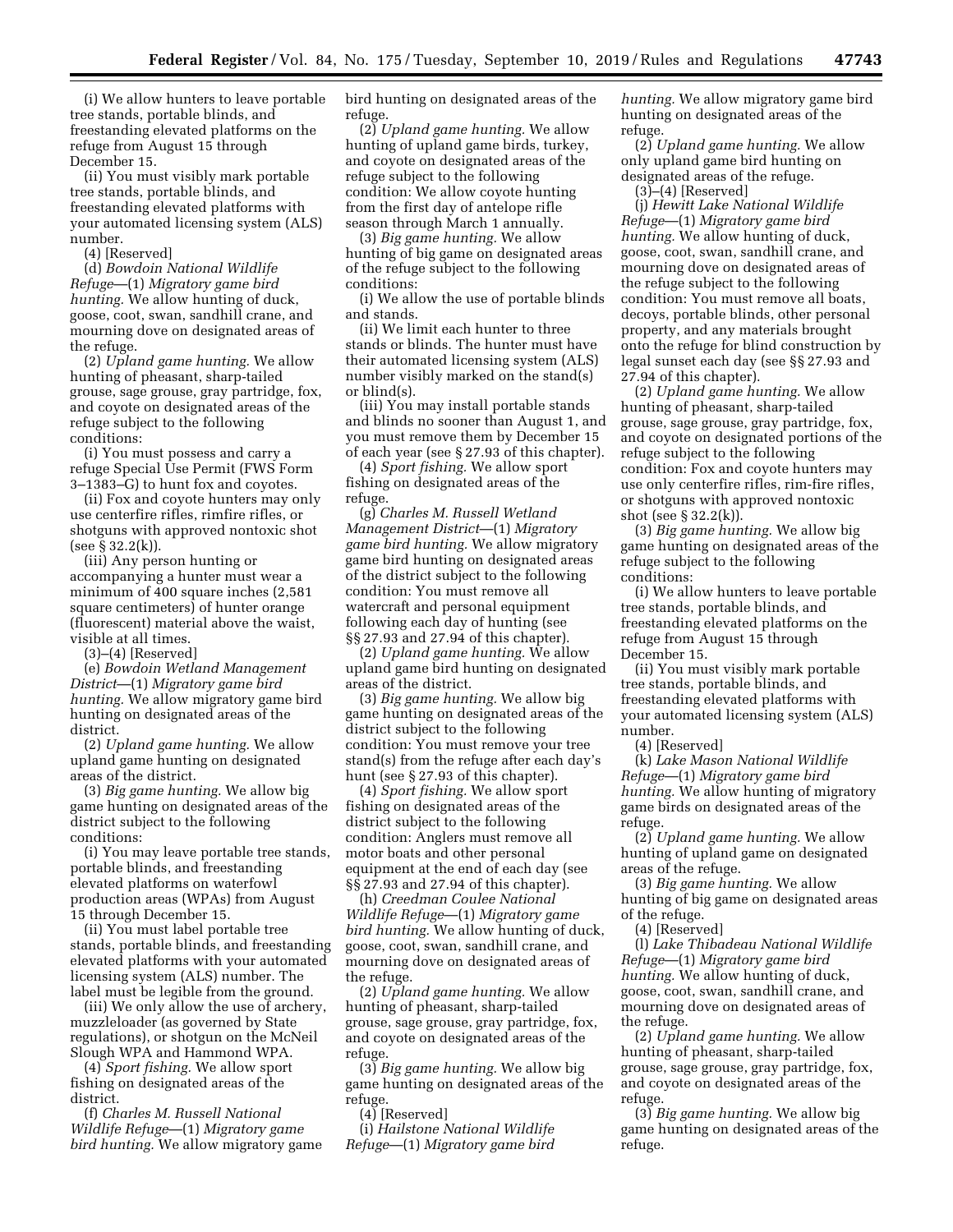(i) We allow hunters to leave portable tree stands, portable blinds, and freestanding elevated platforms on the refuge from August 15 through December 15.

(ii) You must visibly mark portable tree stands, portable blinds, and freestanding elevated platforms with your automated licensing system (ALS) number.

(4) [Reserved]

(d) *Bowdoin National Wildlife Refuge*—(1) *Migratory game bird hunting.* We allow hunting of duck, goose, coot, swan, sandhill crane, and mourning dove on designated areas of the refuge.

(2) *Upland game hunting.* We allow hunting of pheasant, sharp-tailed grouse, sage grouse, gray partridge, fox, and coyote on designated areas of the refuge subject to the following conditions:

(i) You must possess and carry a refuge Special Use Permit (FWS Form 3–1383–G) to hunt fox and coyotes.

(ii) Fox and coyote hunters may only use centerfire rifles, rimfire rifles, or shotguns with approved nontoxic shot  $(see § 32.2(k)).$ 

(iii) Any person hunting or accompanying a hunter must wear a minimum of 400 square inches (2,581 square centimeters) of hunter orange (fluorescent) material above the waist, visible at all times.

 $(3)–(4)$  [Reserved]

(e) *Bowdoin Wetland Management District*—(1) *Migratory game bird hunting.* We allow migratory game bird hunting on designated areas of the district.

(2) *Upland game hunting.* We allow upland game hunting on designated areas of the district.

(3) *Big game hunting.* We allow big game hunting on designated areas of the district subject to the following conditions:

(i) You may leave portable tree stands, portable blinds, and freestanding elevated platforms on waterfowl production areas (WPAs) from August 15 through December 15.

(ii) You must label portable tree stands, portable blinds, and freestanding elevated platforms with your automated licensing system (ALS) number. The label must be legible from the ground.

(iii) We only allow the use of archery, muzzleloader (as governed by State regulations), or shotgun on the McNeil Slough WPA and Hammond WPA.

(4) *Sport fishing.* We allow sport fishing on designated areas of the district.

(f) *Charles M. Russell National Wildlife Refuge*—(1) *Migratory game bird hunting.* We allow migratory game bird hunting on designated areas of the refuge.

(2) *Upland game hunting.* We allow hunting of upland game birds, turkey, and coyote on designated areas of the refuge subject to the following condition: We allow coyote hunting from the first day of antelope rifle season through March 1 annually.

(3) *Big game hunting.* We allow hunting of big game on designated areas of the refuge subject to the following conditions:

(i) We allow the use of portable blinds and stands.

(ii) We limit each hunter to three stands or blinds. The hunter must have their automated licensing system (ALS) number visibly marked on the stand(s) or blind(s).

(iii) You may install portable stands and blinds no sooner than August 1, and you must remove them by December 15 of each year (see § 27.93 of this chapter).

(4) *Sport fishing.* We allow sport fishing on designated areas of the refuge.

(g) *Charles M. Russell Wetland Management District*—(1) *Migratory game bird hunting.* We allow migratory game bird hunting on designated areas of the district subject to the following condition: You must remove all watercraft and personal equipment following each day of hunting (see §§ 27.93 and 27.94 of this chapter).

(2) *Upland game hunting.* We allow upland game bird hunting on designated areas of the district.

(3) *Big game hunting.* We allow big game hunting on designated areas of the district subject to the following condition: You must remove your tree stand(s) from the refuge after each day's hunt (see § 27.93 of this chapter).

(4) *Sport fishing.* We allow sport fishing on designated areas of the district subject to the following condition: Anglers must remove all motor boats and other personal equipment at the end of each day (see §§ 27.93 and 27.94 of this chapter).

(h) *Creedman Coulee National Wildlife Refuge*—(1) *Migratory game bird hunting.* We allow hunting of duck, goose, coot, swan, sandhill crane, and mourning dove on designated areas of the refuge.

(2) *Upland game hunting.* We allow hunting of pheasant, sharp-tailed grouse, sage grouse, gray partridge, fox, and coyote on designated areas of the refuge.

(3) *Big game hunting.* We allow big game hunting on designated areas of the refuge.

(4) [Reserved]

(i) *Hailstone National Wildlife Refuge*—(1) *Migratory game bird*  *hunting.* We allow migratory game bird hunting on designated areas of the refuge.

(2) *Upland game hunting.* We allow only upland game bird hunting on designated areas of the refuge.

(3)–(4) [Reserved]

(j) *Hewitt Lake National Wildlife Refuge*—(1) *Migratory game bird hunting.* We allow hunting of duck, goose, coot, swan, sandhill crane, and mourning dove on designated areas of the refuge subject to the following condition: You must remove all boats, decoys, portable blinds, other personal property, and any materials brought onto the refuge for blind construction by legal sunset each day (see §§ 27.93 and 27.94 of this chapter).

(2) *Upland game hunting.* We allow hunting of pheasant, sharp-tailed grouse, sage grouse, gray partridge, fox, and coyote on designated portions of the refuge subject to the following condition: Fox and coyote hunters may use only centerfire rifles, rim-fire rifles, or shotguns with approved nontoxic shot (see § 32.2(k)).

(3) *Big game hunting.* We allow big game hunting on designated areas of the refuge subject to the following conditions:

(i) We allow hunters to leave portable tree stands, portable blinds, and freestanding elevated platforms on the refuge from August 15 through December 15.

(ii) You must visibly mark portable tree stands, portable blinds, and freestanding elevated platforms with your automated licensing system (ALS) number.

(4) [Reserved]

(k) *Lake Mason National Wildlife Refuge*—(1) *Migratory game bird hunting.* We allow hunting of migratory game birds on designated areas of the refuge.

(2) *Upland game hunting.* We allow hunting of upland game on designated areas of the refuge.

(3) *Big game hunting.* We allow hunting of big game on designated areas of the refuge.

(4) [Reserved]

(l) *Lake Thibadeau National Wildlife Refuge*—(1) *Migratory game bird hunting.* We allow hunting of duck, goose, coot, swan, sandhill crane, and mourning dove on designated areas of the refuge.

(2) *Upland game hunting.* We allow hunting of pheasant, sharp-tailed grouse, sage grouse, gray partridge, fox, and coyote on designated areas of the refuge.

(3) *Big game hunting.* We allow big game hunting on designated areas of the refuge.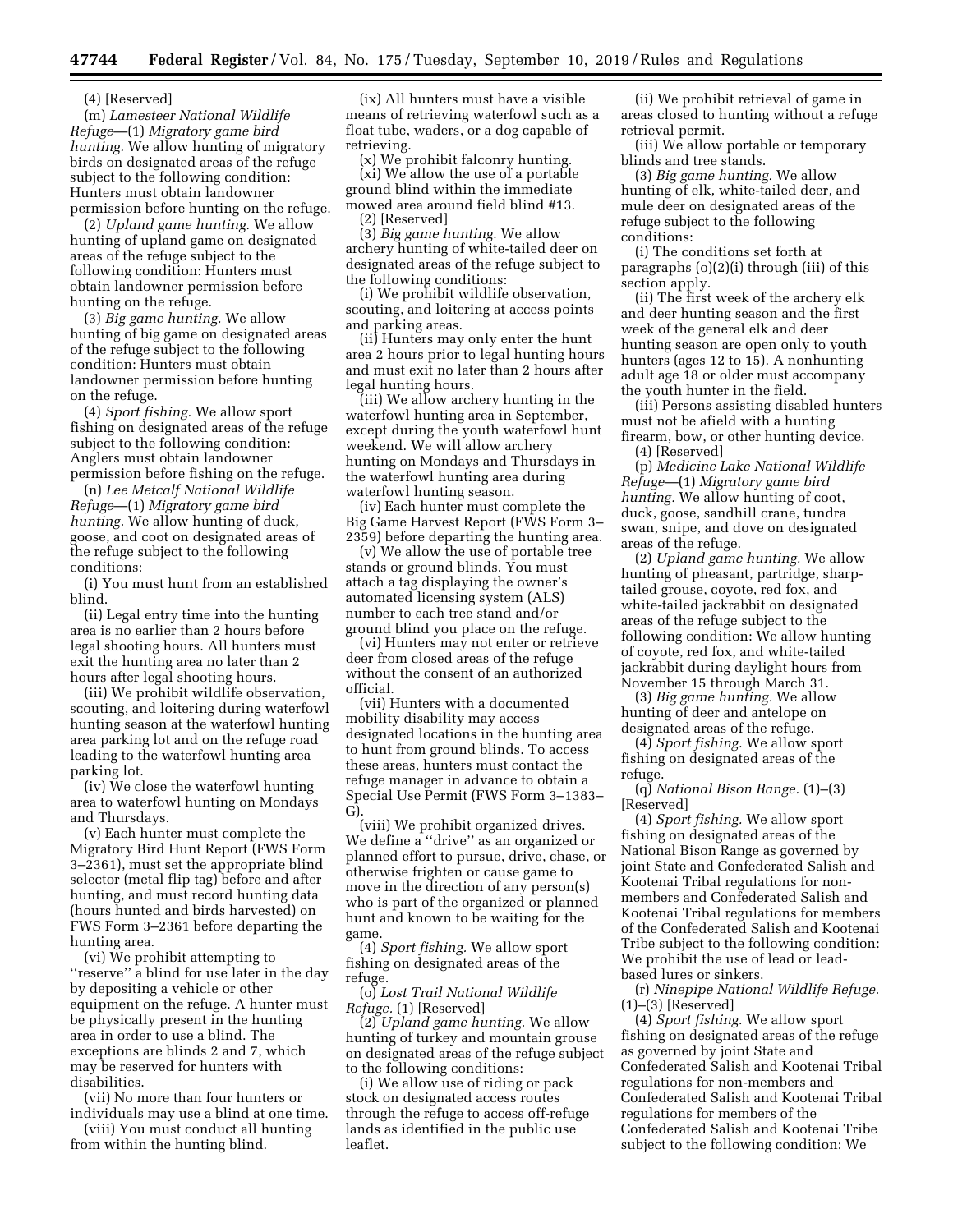(4) [Reserved]

(m) *Lamesteer National Wildlife Refuge*—(1) *Migratory game bird hunting.* We allow hunting of migratory birds on designated areas of the refuge subject to the following condition: Hunters must obtain landowner permission before hunting on the refuge.

(2) *Upland game hunting.* We allow hunting of upland game on designated areas of the refuge subject to the following condition: Hunters must obtain landowner permission before hunting on the refuge.

(3) *Big game hunting.* We allow hunting of big game on designated areas of the refuge subject to the following condition: Hunters must obtain landowner permission before hunting on the refuge.

(4) *Sport fishing.* We allow sport fishing on designated areas of the refuge subject to the following condition: Anglers must obtain landowner permission before fishing on the refuge.

(n) *Lee Metcalf National Wildlife Refuge*—(1) *Migratory game bird hunting.* We allow hunting of duck, goose, and coot on designated areas of the refuge subject to the following conditions:

(i) You must hunt from an established blind.

(ii) Legal entry time into the hunting area is no earlier than 2 hours before legal shooting hours. All hunters must exit the hunting area no later than 2 hours after legal shooting hours.

(iii) We prohibit wildlife observation, scouting, and loitering during waterfowl hunting season at the waterfowl hunting area parking lot and on the refuge road leading to the waterfowl hunting area parking lot.

(iv) We close the waterfowl hunting area to waterfowl hunting on Mondays and Thursdays.

(v) Each hunter must complete the Migratory Bird Hunt Report (FWS Form 3–2361), must set the appropriate blind selector (metal flip tag) before and after hunting, and must record hunting data (hours hunted and birds harvested) on FWS Form 3–2361 before departing the hunting area.

(vi) We prohibit attempting to ''reserve'' a blind for use later in the day by depositing a vehicle or other equipment on the refuge. A hunter must be physically present in the hunting area in order to use a blind. The exceptions are blinds 2 and 7, which may be reserved for hunters with disabilities.

(vii) No more than four hunters or individuals may use a blind at one time.

(viii) You must conduct all hunting from within the hunting blind.

(ix) All hunters must have a visible means of retrieving waterfowl such as a float tube, waders, or a dog capable of retrieving.

(x) We prohibit falconry hunting. (xi) We allow the use of a portable ground blind within the immediate mowed area around field blind #13. (2) [Reserved]

(3) *Big game hunting.* We allow archery hunting of white-tailed deer on designated areas of the refuge subject to the following conditions:

(i) We prohibit wildlife observation, scouting, and loitering at access points and parking areas.

(ii) Hunters may only enter the hunt area 2 hours prior to legal hunting hours and must exit no later than 2 hours after legal hunting hours.

(iii) We allow archery hunting in the waterfowl hunting area in September, except during the youth waterfowl hunt weekend. We will allow archery hunting on Mondays and Thursdays in the waterfowl hunting area during waterfowl hunting season.

(iv) Each hunter must complete the Big Game Harvest Report (FWS Form 3– 2359) before departing the hunting area.

(v) We allow the use of portable tree stands or ground blinds. You must attach a tag displaying the owner's automated licensing system (ALS) number to each tree stand and/or ground blind you place on the refuge.

(vi) Hunters may not enter or retrieve deer from closed areas of the refuge without the consent of an authorized official.

(vii) Hunters with a documented mobility disability may access designated locations in the hunting area to hunt from ground blinds. To access these areas, hunters must contact the refuge manager in advance to obtain a Special Use Permit (FWS Form 3–1383– G).

(viii) We prohibit organized drives. We define a ''drive'' as an organized or planned effort to pursue, drive, chase, or otherwise frighten or cause game to move in the direction of any person(s) who is part of the organized or planned hunt and known to be waiting for the game.

(4) *Sport fishing.* We allow sport fishing on designated areas of the refuge.

(o) *Lost Trail National Wildlife Refuge.* (1) [Reserved]

(2) *Upland game hunting.* We allow hunting of turkey and mountain grouse on designated areas of the refuge subject to the following conditions:

(i) We allow use of riding or pack stock on designated access routes through the refuge to access off-refuge lands as identified in the public use leaflet.

(ii) We prohibit retrieval of game in areas closed to hunting without a refuge retrieval permit.

(iii) We allow portable or temporary blinds and tree stands.

(3) *Big game hunting.* We allow hunting of elk, white-tailed deer, and mule deer on designated areas of the refuge subject to the following conditions:

(i) The conditions set forth at paragraphs (o)(2)(i) through (iii) of this section apply.

(ii) The first week of the archery elk and deer hunting season and the first week of the general elk and deer hunting season are open only to youth hunters (ages 12 to 15). A nonhunting adult age 18 or older must accompany the youth hunter in the field.

(iii) Persons assisting disabled hunters must not be afield with a hunting firearm, bow, or other hunting device.

(4) [Reserved]

(p) *Medicine Lake National Wildlife Refuge*—(1) *Migratory game bird hunting.* We allow hunting of coot, duck, goose, sandhill crane, tundra swan, snipe, and dove on designated areas of the refuge.

(2) *Upland game hunting.* We allow hunting of pheasant, partridge, sharptailed grouse, coyote, red fox, and white-tailed jackrabbit on designated areas of the refuge subject to the following condition: We allow hunting of coyote, red fox, and white-tailed jackrabbit during daylight hours from November 15 through March 31.

(3) *Big game hunting.* We allow hunting of deer and antelope on designated areas of the refuge.

(4) *Sport fishing.* We allow sport fishing on designated areas of the refuge.

(q) *National Bison Range.* (1)–(3) [Reserved]

(4) *Sport fishing.* We allow sport fishing on designated areas of the National Bison Range as governed by joint State and Confederated Salish and Kootenai Tribal regulations for nonmembers and Confederated Salish and Kootenai Tribal regulations for members of the Confederated Salish and Kootenai Tribe subject to the following condition: We prohibit the use of lead or leadbased lures or sinkers.

(r) *Ninepipe National Wildlife Refuge.*  (1)–(3) [Reserved]

(4) *Sport fishing.* We allow sport fishing on designated areas of the refuge as governed by joint State and Confederated Salish and Kootenai Tribal regulations for non-members and Confederated Salish and Kootenai Tribal regulations for members of the Confederated Salish and Kootenai Tribe subject to the following condition: We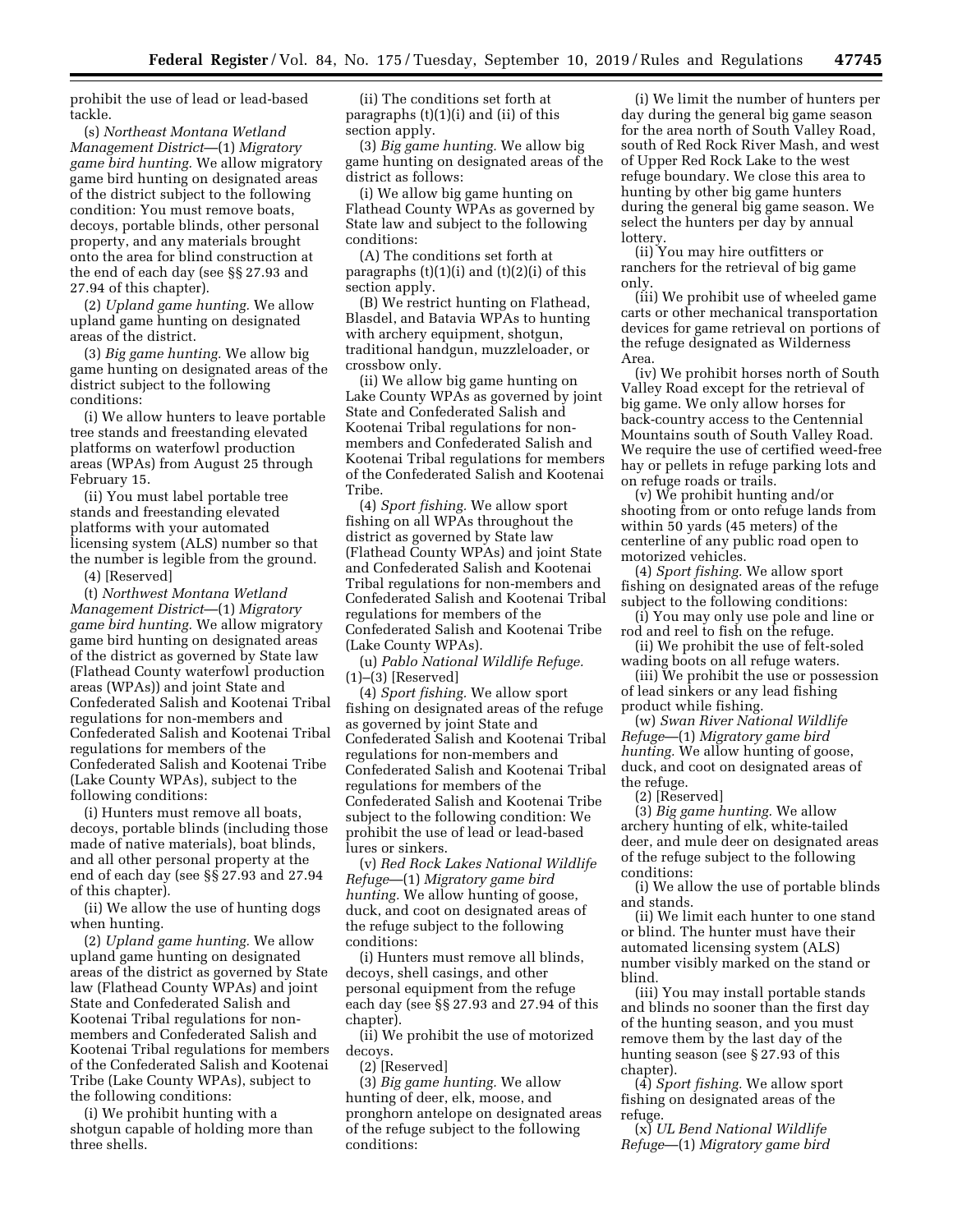prohibit the use of lead or lead-based tackle.

(s) *Northeast Montana Wetland Management District*—(1) *Migratory game bird hunting.* We allow migratory game bird hunting on designated areas of the district subject to the following condition: You must remove boats, decoys, portable blinds, other personal property, and any materials brought onto the area for blind construction at the end of each day (see §§ 27.93 and 27.94 of this chapter).

(2) *Upland game hunting.* We allow upland game hunting on designated areas of the district.

(3) *Big game hunting.* We allow big game hunting on designated areas of the district subject to the following conditions:

(i) We allow hunters to leave portable tree stands and freestanding elevated platforms on waterfowl production areas (WPAs) from August 25 through February 15.

(ii) You must label portable tree stands and freestanding elevated platforms with your automated licensing system (ALS) number so that the number is legible from the ground.

(4) [Reserved]

(t) *Northwest Montana Wetland Management District*—(1) *Migratory game bird hunting.* We allow migratory game bird hunting on designated areas of the district as governed by State law (Flathead County waterfowl production areas (WPAs)) and joint State and Confederated Salish and Kootenai Tribal regulations for non-members and Confederated Salish and Kootenai Tribal regulations for members of the Confederated Salish and Kootenai Tribe (Lake County WPAs), subject to the following conditions:

(i) Hunters must remove all boats, decoys, portable blinds (including those made of native materials), boat blinds, and all other personal property at the end of each day (see §§ 27.93 and 27.94 of this chapter).

(ii) We allow the use of hunting dogs when hunting.

(2) *Upland game hunting.* We allow upland game hunting on designated areas of the district as governed by State law (Flathead County WPAs) and joint State and Confederated Salish and Kootenai Tribal regulations for nonmembers and Confederated Salish and Kootenai Tribal regulations for members of the Confederated Salish and Kootenai Tribe (Lake County WPAs), subject to the following conditions:

(i) We prohibit hunting with a shotgun capable of holding more than three shells.

(ii) The conditions set forth at paragraphs  $(t)(1)(i)$  and  $(ii)$  of this section apply.

(3) *Big game hunting.* We allow big game hunting on designated areas of the district as follows:

(i) We allow big game hunting on Flathead County WPAs as governed by State law and subject to the following conditions:

(A) The conditions set forth at paragraphs  $(t)(1)(i)$  and  $(t)(2)(i)$  of this section apply.

(B) We restrict hunting on Flathead, Blasdel, and Batavia WPAs to hunting with archery equipment, shotgun, traditional handgun, muzzleloader, or crossbow only.

(ii) We allow big game hunting on Lake County WPAs as governed by joint State and Confederated Salish and Kootenai Tribal regulations for nonmembers and Confederated Salish and Kootenai Tribal regulations for members of the Confederated Salish and Kootenai Tribe.

(4) *Sport fishing.* We allow sport fishing on all WPAs throughout the district as governed by State law (Flathead County WPAs) and joint State and Confederated Salish and Kootenai Tribal regulations for non-members and Confederated Salish and Kootenai Tribal regulations for members of the Confederated Salish and Kootenai Tribe (Lake County WPAs).

(u) *Pablo National Wildlife Refuge.*  (1)–(3) [Reserved]

(4) *Sport fishing.* We allow sport fishing on designated areas of the refuge as governed by joint State and Confederated Salish and Kootenai Tribal regulations for non-members and Confederated Salish and Kootenai Tribal regulations for members of the Confederated Salish and Kootenai Tribe subject to the following condition: We prohibit the use of lead or lead-based lures or sinkers.

(v) *Red Rock Lakes National Wildlife Refuge*—(1) *Migratory game bird hunting.* We allow hunting of goose, duck, and coot on designated areas of the refuge subject to the following conditions:

(i) Hunters must remove all blinds, decoys, shell casings, and other personal equipment from the refuge each day (see §§ 27.93 and 27.94 of this chapter).

(ii) We prohibit the use of motorized decoys.

(2) [Reserved]

(3) *Big game hunting.* We allow hunting of deer, elk, moose, and pronghorn antelope on designated areas of the refuge subject to the following conditions:

(i) We limit the number of hunters per day during the general big game season for the area north of South Valley Road, south of Red Rock River Mash, and west of Upper Red Rock Lake to the west refuge boundary. We close this area to hunting by other big game hunters during the general big game season. We select the hunters per day by annual lottery.

(ii) You may hire outfitters or ranchers for the retrieval of big game only.

(iii) We prohibit use of wheeled game carts or other mechanical transportation devices for game retrieval on portions of the refuge designated as Wilderness Area.

(iv) We prohibit horses north of South Valley Road except for the retrieval of big game. We only allow horses for back-country access to the Centennial Mountains south of South Valley Road. We require the use of certified weed-free hay or pellets in refuge parking lots and on refuge roads or trails.

(v) We prohibit hunting and/or shooting from or onto refuge lands from within 50 yards (45 meters) of the centerline of any public road open to motorized vehicles.

(4) *Sport fishing.* We allow sport fishing on designated areas of the refuge subject to the following conditions:

(i) You may only use pole and line or rod and reel to fish on the refuge.

(ii) We prohibit the use of felt-soled wading boots on all refuge waters.

(iii) We prohibit the use or possession of lead sinkers or any lead fishing product while fishing.

(w) *Swan River National Wildlife Refuge*—(1) *Migratory game bird hunting.* We allow hunting of goose, duck, and coot on designated areas of the refuge.

(2) [Reserved]

(3) *Big game hunting.* We allow archery hunting of elk, white-tailed deer, and mule deer on designated areas of the refuge subject to the following conditions:

(i) We allow the use of portable blinds and stands.

(ii) We limit each hunter to one stand or blind. The hunter must have their automated licensing system (ALS) number visibly marked on the stand or blind.

(iii) You may install portable stands and blinds no sooner than the first day of the hunting season, and you must remove them by the last day of the hunting season (see § 27.93 of this chapter).

(4) *Sport fishing.* We allow sport fishing on designated areas of the refuge.

(x) *UL Bend National Wildlife Refuge*—(1) *Migratory game bird*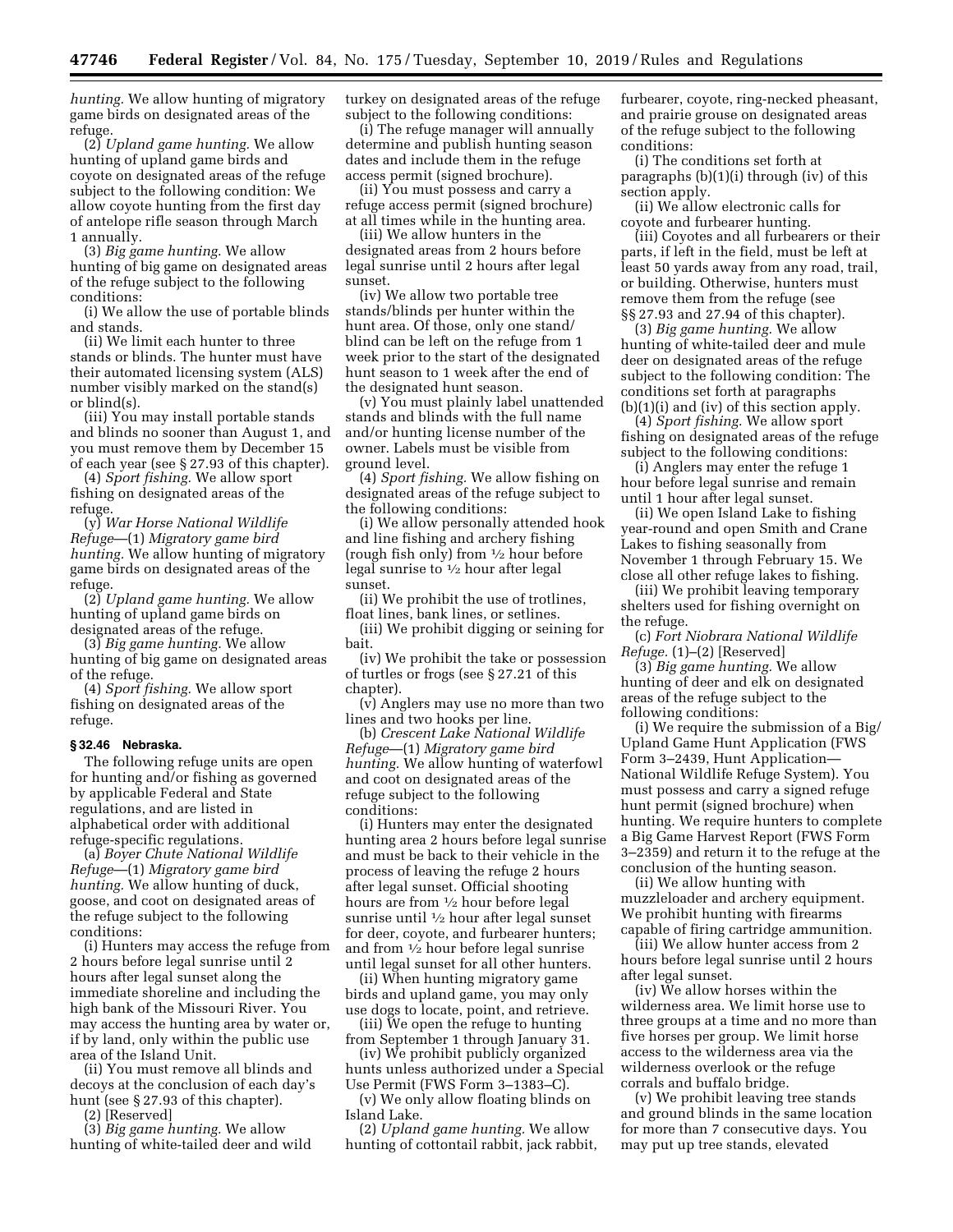*hunting.* We allow hunting of migratory game birds on designated areas of the refuge.

(2) *Upland game hunting.* We allow hunting of upland game birds and coyote on designated areas of the refuge subject to the following condition: We allow coyote hunting from the first day of antelope rifle season through March 1 annually.

(3) *Big game hunting.* We allow hunting of big game on designated areas of the refuge subject to the following conditions:

(i) We allow the use of portable blinds and stands.

(ii) We limit each hunter to three stands or blinds. The hunter must have their automated licensing system (ALS) number visibly marked on the stand(s) or blind(s).

(iii) You may install portable stands and blinds no sooner than August 1, and you must remove them by December 15 of each year (see § 27.93 of this chapter).

(4) *Sport fishing.* We allow sport fishing on designated areas of the refuge.

(y) *War Horse National Wildlife Refuge*—(1) *Migratory game bird hunting.* We allow hunting of migratory game birds on designated areas of the refuge.

(2) *Upland game hunting.* We allow hunting of upland game birds on designated areas of the refuge.

(3) *Big game hunting.* We allow hunting of big game on designated areas of the refuge.

(4) *Sport fishing.* We allow sport fishing on designated areas of the refuge.

## **§ 32.46 Nebraska.**

The following refuge units are open for hunting and/or fishing as governed by applicable Federal and State regulations, and are listed in alphabetical order with additional refuge-specific regulations.

(a) *Boyer Chute National Wildlife Refuge*—(1) *Migratory game bird hunting.* We allow hunting of duck, goose, and coot on designated areas of the refuge subject to the following conditions:

(i) Hunters may access the refuge from 2 hours before legal sunrise until 2 hours after legal sunset along the immediate shoreline and including the high bank of the Missouri River. You may access the hunting area by water or, if by land, only within the public use area of the Island Unit.

(ii) You must remove all blinds and decoys at the conclusion of each day's hunt (see § 27.93 of this chapter).

(2) [Reserved]

(3) *Big game hunting.* We allow hunting of white-tailed deer and wild turkey on designated areas of the refuge subject to the following conditions:

(i) The refuge manager will annually determine and publish hunting season dates and include them in the refuge access permit (signed brochure).

(ii) You must possess and carry a refuge access permit (signed brochure) at all times while in the hunting area.

(iii) We allow hunters in the designated areas from 2 hours before legal sunrise until 2 hours after legal sunset.

(iv) We allow two portable tree stands/blinds per hunter within the hunt area. Of those, only one stand/ blind can be left on the refuge from 1 week prior to the start of the designated hunt season to 1 week after the end of the designated hunt season.

(v) You must plainly label unattended stands and blinds with the full name and/or hunting license number of the owner. Labels must be visible from ground level.

(4) *Sport fishing.* We allow fishing on designated areas of the refuge subject to the following conditions:

(i) We allow personally attended hook and line fishing and archery fishing (rough fish only) from 1⁄2 hour before legal sunrise to 1⁄2 hour after legal sunset.

(ii) We prohibit the use of trotlines, float lines, bank lines, or setlines.

(iii) We prohibit digging or seining for bait.

(iv) We prohibit the take or possession of turtles or frogs (see § 27.21 of this chapter).

(v) Anglers may use no more than two lines and two hooks per line.

(b) *Crescent Lake National Wildlife Refuge*—(1) *Migratory game bird hunting.* We allow hunting of waterfowl and coot on designated areas of the refuge subject to the following conditions:

(i) Hunters may enter the designated hunting area 2 hours before legal sunrise and must be back to their vehicle in the process of leaving the refuge 2 hours after legal sunset. Official shooting hours are from 1⁄2 hour before legal sunrise until 1⁄2 hour after legal sunset for deer, coyote, and furbearer hunters; and from 1⁄2 hour before legal sunrise until legal sunset for all other hunters.

(ii) When hunting migratory game birds and upland game, you may only use dogs to locate, point, and retrieve.

(iii) We open the refuge to hunting from September 1 through January 31.

(iv) We prohibit publicly organized hunts unless authorized under a Special Use Permit (FWS Form 3–1383–C).

(v) We only allow floating blinds on Island Lake.

(2) *Upland game hunting.* We allow hunting of cottontail rabbit, jack rabbit, furbearer, coyote, ring-necked pheasant, and prairie grouse on designated areas of the refuge subject to the following conditions:

(i) The conditions set forth at paragraphs (b)(1)(i) through (iv) of this section apply.

(ii) We allow electronic calls for coyote and furbearer hunting.

(iii) Coyotes and all furbearers or their parts, if left in the field, must be left at least 50 yards away from any road, trail, or building. Otherwise, hunters must remove them from the refuge (see §§ 27.93 and 27.94 of this chapter).

(3) *Big game hunting.* We allow hunting of white-tailed deer and mule deer on designated areas of the refuge subject to the following condition: The conditions set forth at paragraphs (b)(1)(i) and (iv) of this section apply.

(4) *Sport fishing.* We allow sport fishing on designated areas of the refuge subject to the following conditions:

(i) Anglers may enter the refuge 1 hour before legal sunrise and remain until 1 hour after legal sunset.

(ii) We open Island Lake to fishing year-round and open Smith and Crane Lakes to fishing seasonally from November 1 through February 15. We close all other refuge lakes to fishing.

(iii) We prohibit leaving temporary shelters used for fishing overnight on the refuge.

(c) *Fort Niobrara National Wildlife Refuge.* (1)–(2) [Reserved]

(3) *Big game hunting.* We allow hunting of deer and elk on designated areas of the refuge subject to the following conditions:

(i) We require the submission of a Big/ Upland Game Hunt Application (FWS Form 3–2439, Hunt Application— National Wildlife Refuge System). You must possess and carry a signed refuge hunt permit (signed brochure) when hunting. We require hunters to complete a Big Game Harvest Report (FWS Form 3–2359) and return it to the refuge at the conclusion of the hunting season.

(ii) We allow hunting with muzzleloader and archery equipment. We prohibit hunting with firearms capable of firing cartridge ammunition.

(iii) We allow hunter access from 2 hours before legal sunrise until 2 hours after legal sunset.

(iv) We allow horses within the wilderness area. We limit horse use to three groups at a time and no more than five horses per group. We limit horse access to the wilderness area via the wilderness overlook or the refuge corrals and buffalo bridge.

(v) We prohibit leaving tree stands and ground blinds in the same location for more than 7 consecutive days. You may put up tree stands, elevated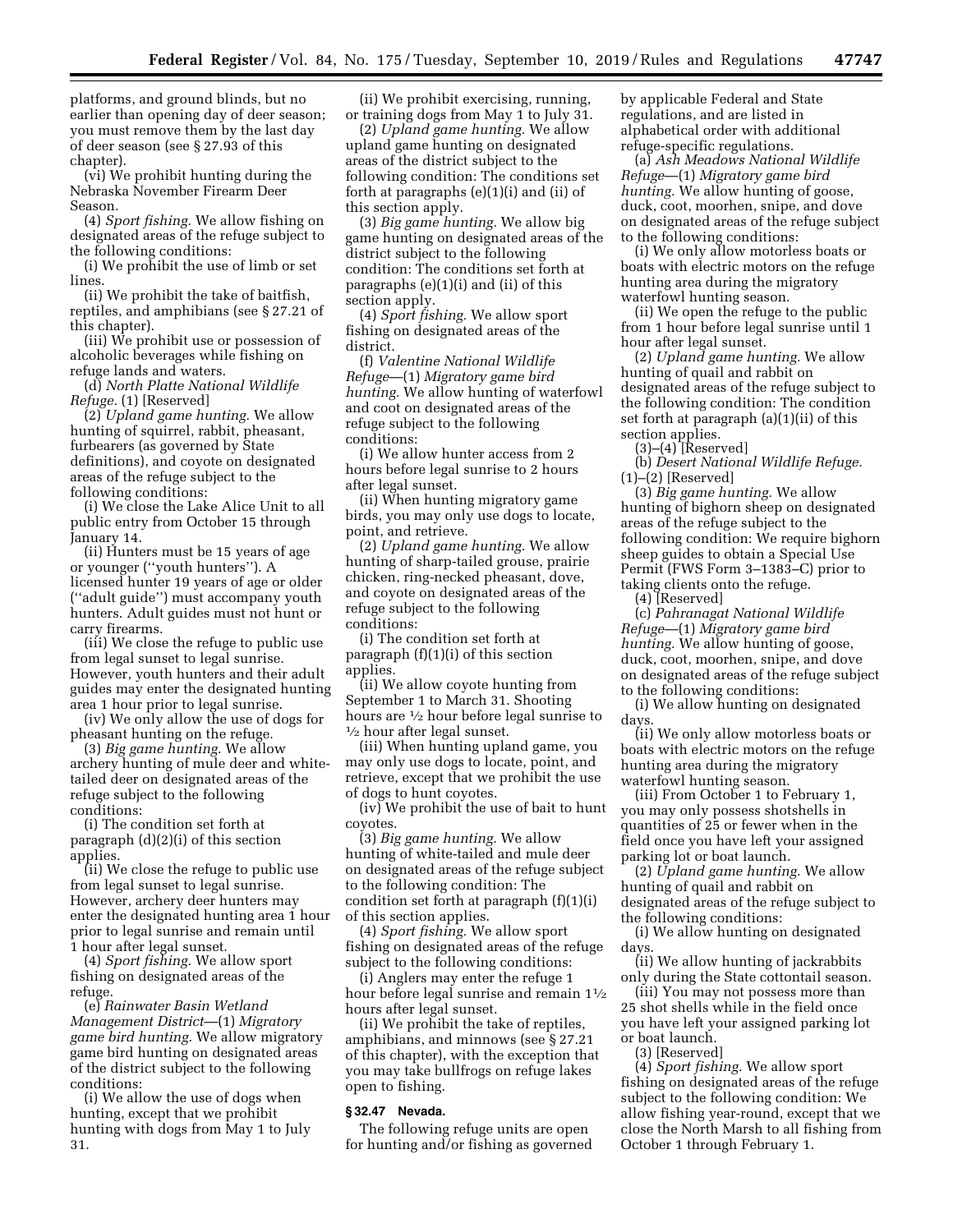platforms, and ground blinds, but no earlier than opening day of deer season; you must remove them by the last day of deer season (see § 27.93 of this chapter).

(vi) We prohibit hunting during the Nebraska November Firearm Deer Season.

(4) *Sport fishing.* We allow fishing on designated areas of the refuge subject to the following conditions:

(i) We prohibit the use of limb or set lines.

(ii) We prohibit the take of baitfish, reptiles, and amphibians (see § 27.21 of this chapter).

(iii) We prohibit use or possession of alcoholic beverages while fishing on refuge lands and waters.

(d) *North Platte National Wildlife Refuge.* (1) [Reserved]

(2) *Upland game hunting.* We allow hunting of squirrel, rabbit, pheasant, furbearers (as governed by State definitions), and coyote on designated areas of the refuge subject to the following conditions:

(i) We close the Lake Alice Unit to all public entry from October 15 through January 14.

(ii) Hunters must be 15 years of age or younger (''youth hunters''). A licensed hunter 19 years of age or older (''adult guide'') must accompany youth hunters. Adult guides must not hunt or carry firearms.

(iii) We close the refuge to public use from legal sunset to legal sunrise. However, youth hunters and their adult guides may enter the designated hunting area 1 hour prior to legal sunrise.

(iv) We only allow the use of dogs for pheasant hunting on the refuge.

(3) *Big game hunting.* We allow archery hunting of mule deer and whitetailed deer on designated areas of the refuge subject to the following conditions:

(i) The condition set forth at paragraph (d)(2)(i) of this section applies.

(ii) We close the refuge to public use from legal sunset to legal sunrise. However, archery deer hunters may enter the designated hunting area 1 hour prior to legal sunrise and remain until 1 hour after legal sunset.

(4) *Sport fishing.* We allow sport fishing on designated areas of the refuge.

(e) *Rainwater Basin Wetland Management District*—(1) *Migratory game bird hunting.* We allow migratory game bird hunting on designated areas of the district subject to the following conditions:

(i) We allow the use of dogs when hunting, except that we prohibit hunting with dogs from May 1 to July 31.

(ii) We prohibit exercising, running, or training dogs from May 1 to July 31.

(2) *Upland game hunting.* We allow upland game hunting on designated areas of the district subject to the following condition: The conditions set forth at paragraphs (e)(1)(i) and (ii) of this section apply.

(3) *Big game hunting.* We allow big game hunting on designated areas of the district subject to the following condition: The conditions set forth at paragraphs (e)(1)(i) and (ii) of this section apply.

(4) *Sport fishing.* We allow sport fishing on designated areas of the district.

(f) *Valentine National Wildlife Refuge*—(1) *Migratory game bird hunting.* We allow hunting of waterfowl and coot on designated areas of the refuge subject to the following conditions:

(i) We allow hunter access from 2 hours before legal sunrise to 2 hours after legal sunset.

(ii) When hunting migratory game birds, you may only use dogs to locate, point, and retrieve.

(2) *Upland game hunting.* We allow hunting of sharp-tailed grouse, prairie chicken, ring-necked pheasant, dove, and coyote on designated areas of the refuge subject to the following conditions:

(i) The condition set forth at paragraph (f)(1)(i) of this section applies.

(ii) We allow coyote hunting from September 1 to March 31. Shooting hours are  $\frac{1}{2}$  hour before legal sunrise to  $\frac{1}{2}$  hour after legal sunset.

(iii) When hunting upland game, you may only use dogs to locate, point, and retrieve, except that we prohibit the use of dogs to hunt coyotes.

(iv) We prohibit the use of bait to hunt coyotes.

(3) *Big game hunting.* We allow hunting of white-tailed and mule deer on designated areas of the refuge subject to the following condition: The condition set forth at paragraph (f)(1)(i) of this section applies.

(4) *Sport fishing.* We allow sport fishing on designated areas of the refuge subject to the following conditions:

(i) Anglers may enter the refuge 1 hour before legal sunrise and remain  $1\frac{1}{2}$ hours after legal sunset.

(ii) We prohibit the take of reptiles, amphibians, and minnows (see § 27.21 of this chapter), with the exception that you may take bullfrogs on refuge lakes open to fishing.

## **§ 32.47 Nevada.**

The following refuge units are open for hunting and/or fishing as governed by applicable Federal and State regulations, and are listed in alphabetical order with additional refuge-specific regulations.

(a) *Ash Meadows National Wildlife Refuge*—(1) *Migratory game bird hunting.* We allow hunting of goose, duck, coot, moorhen, snipe, and dove on designated areas of the refuge subject to the following conditions:

(i) We only allow motorless boats or boats with electric motors on the refuge hunting area during the migratory waterfowl hunting season.

(ii) We open the refuge to the public from 1 hour before legal sunrise until 1 hour after legal sunset.

(2) *Upland game hunting.* We allow hunting of quail and rabbit on designated areas of the refuge subject to the following condition: The condition set forth at paragraph (a)(1)(ii) of this section applies.

 $(3)$ – $(4)$  [Reserved]

(b) *Desert National Wildlife Refuge.*   $(1)$ – $(2)$  [Reserved]

(3) *Big game hunting.* We allow hunting of bighorn sheep on designated areas of the refuge subject to the following condition: We require bighorn sheep guides to obtain a Special Use Permit (FWS Form 3–1383–C) prior to taking clients onto the refuge.

(4) [Reserved]

(c) *Pahranagat National Wildlife Refuge*—(1) *Migratory game bird hunting.* We allow hunting of goose, duck, coot, moorhen, snipe, and dove on designated areas of the refuge subject to the following conditions:

(i) We allow hunting on designated days.

(ii) We only allow motorless boats or boats with electric motors on the refuge hunting area during the migratory waterfowl hunting season.

(iii) From October 1 to February 1, you may only possess shotshells in quantities of 25 or fewer when in the field once you have left your assigned parking lot or boat launch.

(2) *Upland game hunting.* We allow hunting of quail and rabbit on designated areas of the refuge subject to the following conditions:

(i) We allow hunting on designated days.

(ii) We allow hunting of jackrabbits only during the State cottontail season.

(iii) You may not possess more than 25 shot shells while in the field once you have left your assigned parking lot or boat launch.

(3) [Reserved]

(4) *Sport fishing.* We allow sport fishing on designated areas of the refuge subject to the following condition: We allow fishing year-round, except that we close the North Marsh to all fishing from October 1 through February 1.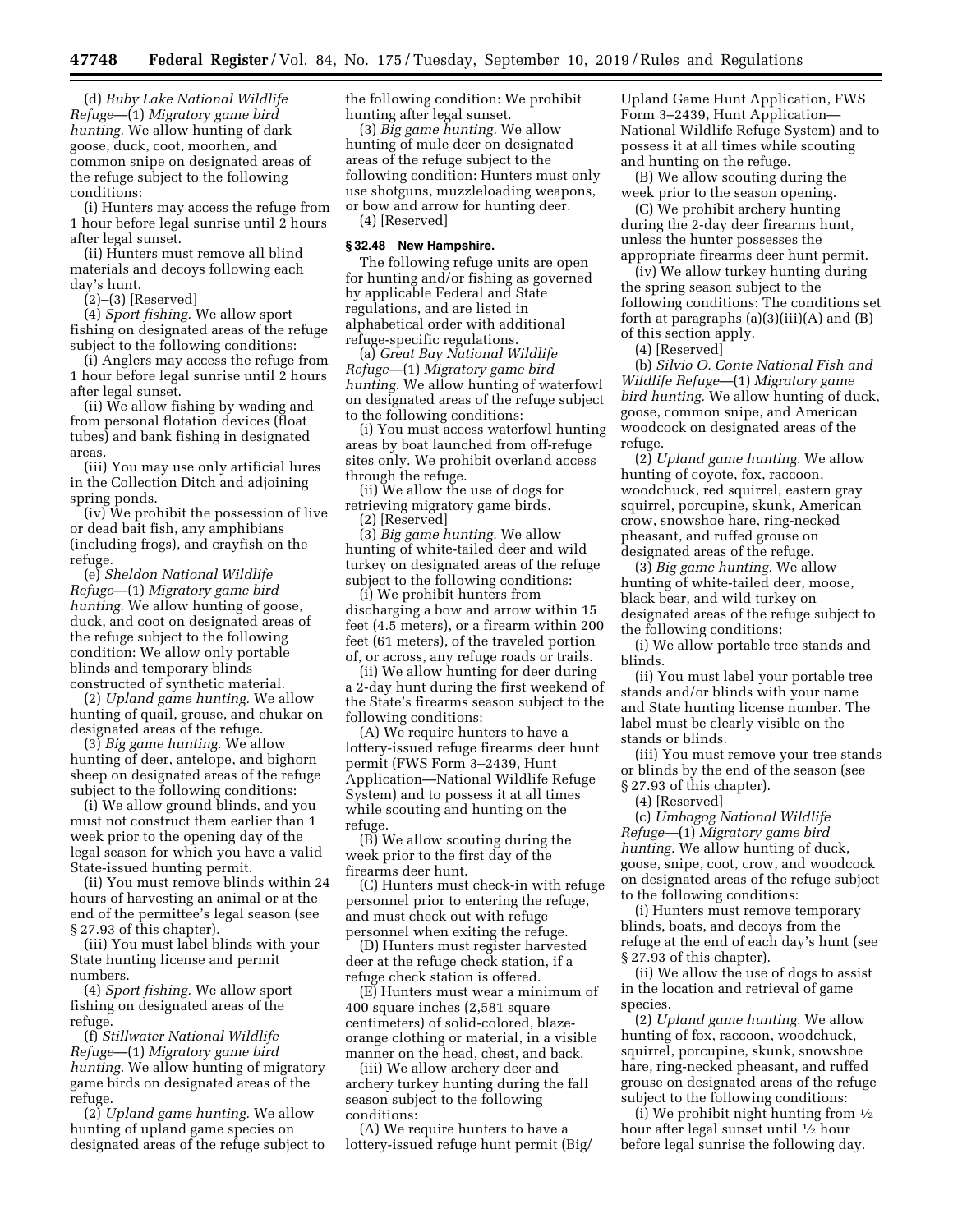(d) *Ruby Lake National Wildlife Refuge*—(1) *Migratory game bird hunting.* We allow hunting of dark goose, duck, coot, moorhen, and common snipe on designated areas of the refuge subject to the following conditions:

(i) Hunters may access the refuge from 1 hour before legal sunrise until 2 hours after legal sunset.

(ii) Hunters must remove all blind materials and decoys following each day's hunt.

(2)–(3) [Reserved]

(4) *Sport fishing.* We allow sport fishing on designated areas of the refuge subject to the following conditions:

(i) Anglers may access the refuge from 1 hour before legal sunrise until 2 hours after legal sunset.

(ii) We allow fishing by wading and from personal flotation devices (float tubes) and bank fishing in designated areas.

(iii) You may use only artificial lures in the Collection Ditch and adjoining spring ponds.

(iv) We prohibit the possession of live or dead bait fish, any amphibians (including frogs), and crayfish on the refuge.

(e) *Sheldon National Wildlife Refuge*—(1) *Migratory game bird hunting.* We allow hunting of goose, duck, and coot on designated areas of the refuge subject to the following condition: We allow only portable blinds and temporary blinds constructed of synthetic material.

(2) *Upland game hunting.* We allow hunting of quail, grouse, and chukar on designated areas of the refuge.

(3) *Big game hunting.* We allow hunting of deer, antelope, and bighorn sheep on designated areas of the refuge subject to the following conditions:

(i) We allow ground blinds, and you must not construct them earlier than 1 week prior to the opening day of the legal season for which you have a valid State-issued hunting permit.

(ii) You must remove blinds within 24 hours of harvesting an animal or at the end of the permittee's legal season (see § 27.93 of this chapter).

(iii) You must label blinds with your State hunting license and permit numbers.

(4) *Sport fishing.* We allow sport fishing on designated areas of the refuge.

(f) *Stillwater National Wildlife Refuge*—(1) *Migratory game bird hunting.* We allow hunting of migratory game birds on designated areas of the refuge.

(2) *Upland game hunting.* We allow hunting of upland game species on designated areas of the refuge subject to the following condition: We prohibit hunting after legal sunset.

(3) *Big game hunting.* We allow hunting of mule deer on designated areas of the refuge subject to the following condition: Hunters must only use shotguns, muzzleloading weapons, or bow and arrow for hunting deer.

(4) [Reserved]

# **§ 32.48 New Hampshire.**

The following refuge units are open for hunting and/or fishing as governed by applicable Federal and State regulations, and are listed in alphabetical order with additional refuge-specific regulations.

(a) *Great Bay National Wildlife Refuge*—(1) *Migratory game bird hunting.* We allow hunting of waterfowl on designated areas of the refuge subject to the following conditions:

(i) You must access waterfowl hunting areas by boat launched from off-refuge sites only. We prohibit overland access through the refuge.

(ii) We allow the use of dogs for retrieving migratory game birds.

(2) [Reserved]

(3) *Big game hunting.* We allow hunting of white-tailed deer and wild turkey on designated areas of the refuge subject to the following conditions:

(i) We prohibit hunters from discharging a bow and arrow within 15 feet (4.5 meters), or a firearm within 200 feet (61 meters), of the traveled portion of, or across, any refuge roads or trails.

(ii) We allow hunting for deer during a 2-day hunt during the first weekend of the State's firearms season subject to the following conditions:

(A) We require hunters to have a lottery-issued refuge firearms deer hunt permit (FWS Form 3–2439, Hunt Application—National Wildlife Refuge System) and to possess it at all times while scouting and hunting on the refuge.

(B) We allow scouting during the week prior to the first day of the firearms deer hunt.

(C) Hunters must check-in with refuge personnel prior to entering the refuge, and must check out with refuge personnel when exiting the refuge.

(D) Hunters must register harvested deer at the refuge check station, if a refuge check station is offered.

(E) Hunters must wear a minimum of 400 square inches (2,581 square centimeters) of solid-colored, blazeorange clothing or material, in a visible manner on the head, chest, and back.

(iii) We allow archery deer and archery turkey hunting during the fall season subject to the following conditions:

(A) We require hunters to have a lottery-issued refuge hunt permit (Big/ Upland Game Hunt Application, FWS Form 3–2439, Hunt Application— National Wildlife Refuge System) and to possess it at all times while scouting and hunting on the refuge.

(B) We allow scouting during the week prior to the season opening.

(C) We prohibit archery hunting during the 2-day deer firearms hunt, unless the hunter possesses the appropriate firearms deer hunt permit.

(iv) We allow turkey hunting during the spring season subject to the following conditions: The conditions set forth at paragraphs (a)(3)(iii)(A) and (B) of this section apply.

(4) [Reserved]

(b) *Silvio O. Conte National Fish and Wildlife Refuge*—(1) *Migratory game bird hunting.* We allow hunting of duck, goose, common snipe, and American woodcock on designated areas of the refuge.

(2) *Upland game hunting.* We allow hunting of coyote, fox, raccoon, woodchuck, red squirrel, eastern gray squirrel, porcupine, skunk, American crow, snowshoe hare, ring-necked pheasant, and ruffed grouse on designated areas of the refuge.

(3) *Big game hunting.* We allow hunting of white-tailed deer, moose, black bear, and wild turkey on designated areas of the refuge subject to the following conditions:

(i) We allow portable tree stands and blinds.

(ii) You must label your portable tree stands and/or blinds with your name and State hunting license number. The label must be clearly visible on the stands or blinds.

(iii) You must remove your tree stands or blinds by the end of the season (see § 27.93 of this chapter).

(4) [Reserved]

(c) *Umbagog National Wildlife Refuge*—(1) *Migratory game bird hunting.* We allow hunting of duck, goose, snipe, coot, crow, and woodcock on designated areas of the refuge subject to the following conditions:

(i) Hunters must remove temporary blinds, boats, and decoys from the refuge at the end of each day's hunt (see § 27.93 of this chapter).

(ii) We allow the use of dogs to assist in the location and retrieval of game species.

(2) *Upland game hunting.* We allow hunting of fox, raccoon, woodchuck, squirrel, porcupine, skunk, snowshoe hare, ring-necked pheasant, and ruffed grouse on designated areas of the refuge subject to the following conditions:

(i) We prohibit night hunting from 1⁄2 hour after legal sunset until 1⁄2 hour before legal sunrise the following day.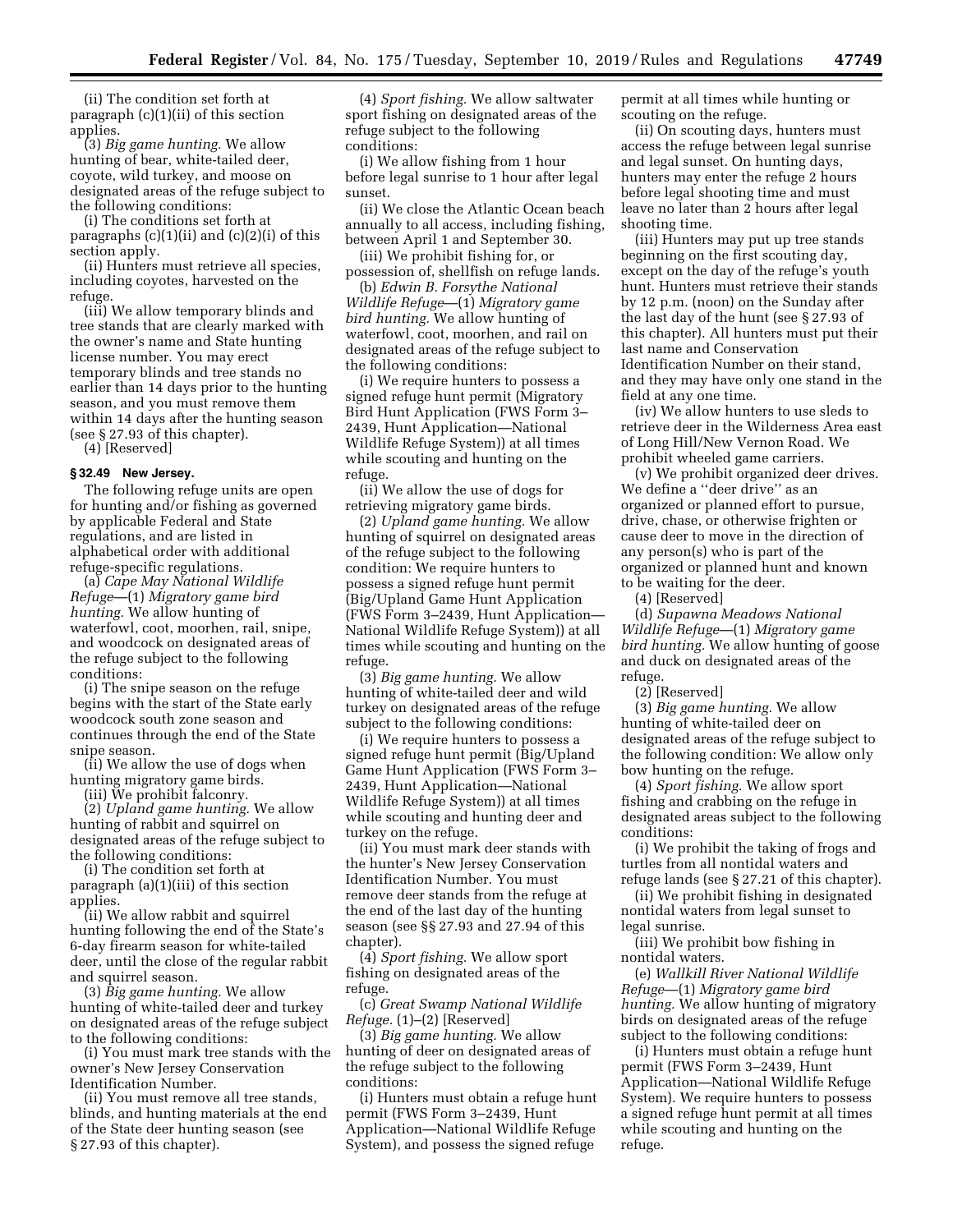(ii) The condition set forth at paragraph (c)(1)(ii) of this section applies.

(3) *Big game hunting.* We allow hunting of bear, white-tailed deer, coyote, wild turkey, and moose on designated areas of the refuge subject to the following conditions:

(i) The conditions set forth at paragraphs  $(c)(1)(ii)$  and  $(c)(2)(i)$  of this section apply.

(ii) Hunters must retrieve all species, including coyotes, harvested on the refuge.

(iii) We allow temporary blinds and tree stands that are clearly marked with the owner's name and State hunting license number. You may erect temporary blinds and tree stands no earlier than 14 days prior to the hunting season, and you must remove them within 14 days after the hunting season (see § 27.93 of this chapter).

(4) [Reserved]

# **§ 32.49 New Jersey.**

The following refuge units are open for hunting and/or fishing as governed by applicable Federal and State regulations, and are listed in alphabetical order with additional refuge-specific regulations.

(a) *Cape May National Wildlife Refuge*—(1) *Migratory game bird hunting.* We allow hunting of waterfowl, coot, moorhen, rail, snipe, and woodcock on designated areas of the refuge subject to the following conditions:

(i) The snipe season on the refuge begins with the start of the State early woodcock south zone season and continues through the end of the State snipe season.

(ii) We allow the use of dogs when hunting migratory game birds.

(iii) We prohibit falconry.

(2) *Upland game hunting.* We allow hunting of rabbit and squirrel on designated areas of the refuge subject to the following conditions:

(i) The condition set forth at paragraph (a)(1)(iii) of this section applies.

(ii) We allow rabbit and squirrel hunting following the end of the State's 6-day firearm season for white-tailed deer, until the close of the regular rabbit and squirrel season.

(3) *Big game hunting.* We allow hunting of white-tailed deer and turkey on designated areas of the refuge subject to the following conditions:

(i) You must mark tree stands with the owner's New Jersey Conservation Identification Number.

(ii) You must remove all tree stands, blinds, and hunting materials at the end of the State deer hunting season (see § 27.93 of this chapter).

(4) *Sport fishing.* We allow saltwater sport fishing on designated areas of the refuge subject to the following conditions:

(i) We allow fishing from 1 hour before legal sunrise to 1 hour after legal sunset.

(ii) We close the Atlantic Ocean beach annually to all access, including fishing, between April 1 and September 30.

(iii) We prohibit fishing for, or possession of, shellfish on refuge lands. (b) *Edwin B. Forsythe National* 

*Wildlife Refuge*—(1) *Migratory game bird hunting.* We allow hunting of waterfowl, coot, moorhen, and rail on designated areas of the refuge subject to the following conditions:

(i) We require hunters to possess a signed refuge hunt permit (Migratory Bird Hunt Application (FWS Form 3– 2439, Hunt Application—National Wildlife Refuge System)) at all times while scouting and hunting on the refuge.

(ii) We allow the use of dogs for retrieving migratory game birds.

(2) *Upland game hunting.* We allow hunting of squirrel on designated areas of the refuge subject to the following condition: We require hunters to possess a signed refuge hunt permit (Big/Upland Game Hunt Application (FWS Form 3–2439, Hunt Application— National Wildlife Refuge System)) at all times while scouting and hunting on the refuge.

(3) *Big game hunting.* We allow hunting of white-tailed deer and wild turkey on designated areas of the refuge subject to the following conditions:

(i) We require hunters to possess a signed refuge hunt permit (Big/Upland Game Hunt Application (FWS Form 3– 2439, Hunt Application—National Wildlife Refuge System)) at all times while scouting and hunting deer and turkey on the refuge.

(ii) You must mark deer stands with the hunter's New Jersey Conservation Identification Number. You must remove deer stands from the refuge at the end of the last day of the hunting season (see §§ 27.93 and 27.94 of this chapter).

(4) *Sport fishing.* We allow sport fishing on designated areas of the refuge.

(c) *Great Swamp National Wildlife Refuge.* (1)–(2) [Reserved]

(3) *Big game hunting.* We allow hunting of deer on designated areas of the refuge subject to the following conditions:

(i) Hunters must obtain a refuge hunt permit (FWS Form 3–2439, Hunt Application—National Wildlife Refuge System), and possess the signed refuge

permit at all times while hunting or scouting on the refuge.

(ii) On scouting days, hunters must access the refuge between legal sunrise and legal sunset. On hunting days, hunters may enter the refuge 2 hours before legal shooting time and must leave no later than 2 hours after legal shooting time.

(iii) Hunters may put up tree stands beginning on the first scouting day, except on the day of the refuge's youth hunt. Hunters must retrieve their stands by 12 p.m. (noon) on the Sunday after the last day of the hunt (see § 27.93 of this chapter). All hunters must put their last name and Conservation Identification Number on their stand, and they may have only one stand in the field at any one time.

(iv) We allow hunters to use sleds to retrieve deer in the Wilderness Area east of Long Hill/New Vernon Road. We prohibit wheeled game carriers.

(v) We prohibit organized deer drives. We define a ''deer drive'' as an organized or planned effort to pursue, drive, chase, or otherwise frighten or cause deer to move in the direction of any person(s) who is part of the organized or planned hunt and known to be waiting for the deer.

(4) [Reserved]

(d) *Supawna Meadows National Wildlife Refuge*—(1) *Migratory game bird hunting.* We allow hunting of goose and duck on designated areas of the refuge.

(2) [Reserved]

(3) *Big game hunting.* We allow hunting of white-tailed deer on designated areas of the refuge subject to the following condition: We allow only bow hunting on the refuge.

(4) *Sport fishing.* We allow sport fishing and crabbing on the refuge in designated areas subject to the following conditions:

(i) We prohibit the taking of frogs and turtles from all nontidal waters and refuge lands (see § 27.21 of this chapter).

(ii) We prohibit fishing in designated nontidal waters from legal sunset to legal sunrise.

(iii) We prohibit bow fishing in nontidal waters.

(e) *Wallkill River National Wildlife Refuge*—(1) *Migratory game bird hunting.* We allow hunting of migratory birds on designated areas of the refuge subject to the following conditions:

(i) Hunters must obtain a refuge hunt permit (FWS Form 3–2439, Hunt Application—National Wildlife Refuge System). We require hunters to possess a signed refuge hunt permit at all times while scouting and hunting on the refuge.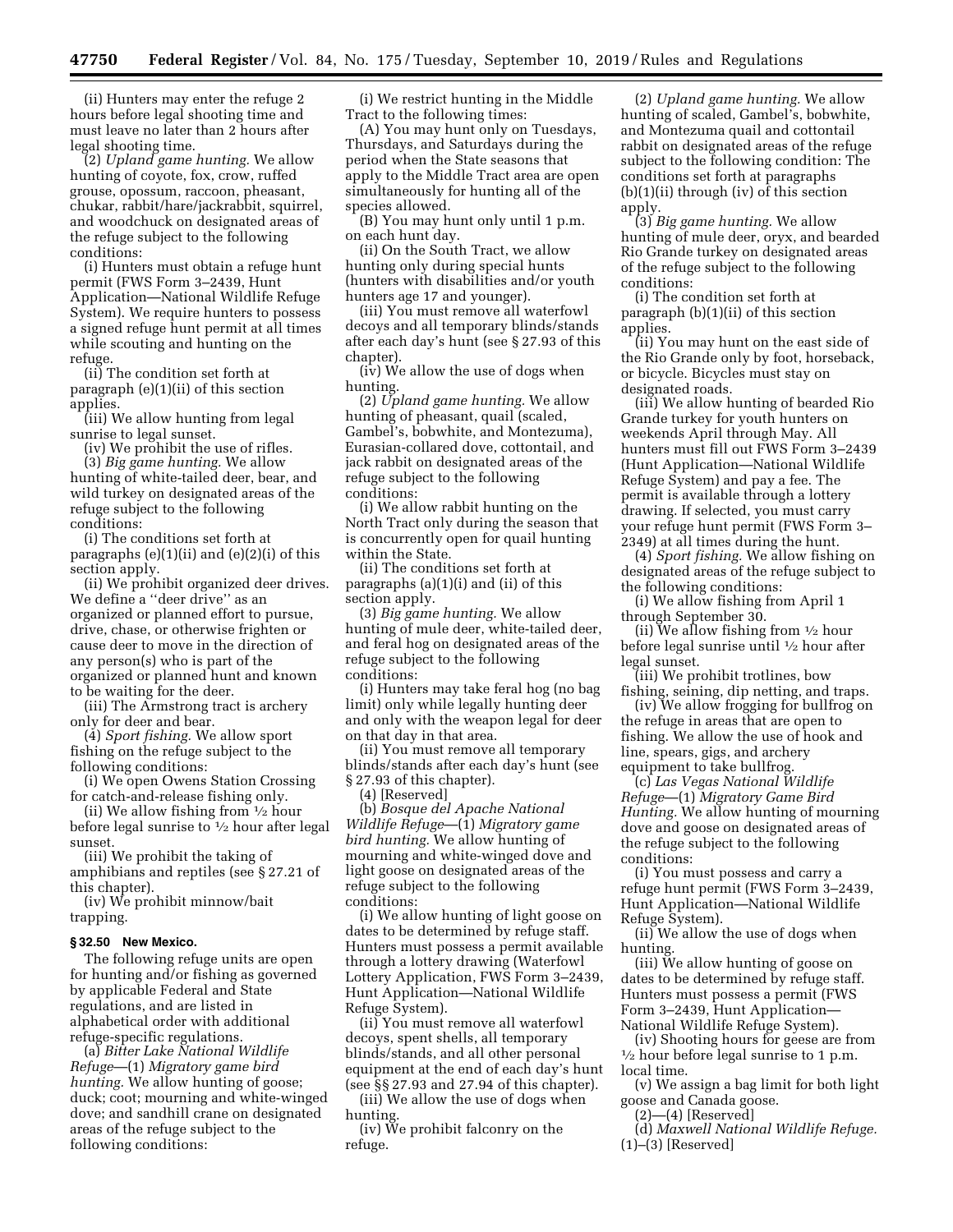(ii) Hunters may enter the refuge 2 hours before legal shooting time and must leave no later than 2 hours after legal shooting time.

(2) *Upland game hunting.* We allow hunting of coyote, fox, crow, ruffed grouse, opossum, raccoon, pheasant, chukar, rabbit/hare/jackrabbit, squirrel, and woodchuck on designated areas of the refuge subject to the following conditions:

(i) Hunters must obtain a refuge hunt permit (FWS Form 3–2439, Hunt Application—National Wildlife Refuge System). We require hunters to possess a signed refuge hunt permit at all times while scouting and hunting on the refuge.

(ii) The condition set forth at paragraph (e)(1)(ii) of this section applies.

(iii) We allow hunting from legal sunrise to legal sunset.

(iv) We prohibit the use of rifles. (3) *Big game hunting.* We allow

hunting of white-tailed deer, bear, and wild turkey on designated areas of the refuge subject to the following conditions:

(i) The conditions set forth at paragraphs  $(e)(1)(ii)$  and  $(e)(2)(i)$  of this section apply.

(ii) We prohibit organized deer drives. We define a ''deer drive'' as an organized or planned effort to pursue, drive, chase, or otherwise frighten or cause deer to move in the direction of any person(s) who is part of the organized or planned hunt and known to be waiting for the deer.

(iii) The Armstrong tract is archery only for deer and bear.

(4) *Sport fishing.* We allow sport fishing on the refuge subject to the following conditions:

(i) We open Owens Station Crossing for catch-and-release fishing only.

(ii) We allow fishing from  $\frac{1}{2}$  hour before legal sunrise to 1⁄2 hour after legal sunset.

(iii) We prohibit the taking of amphibians and reptiles (see § 27.21 of this chapter).

(iv) We prohibit minnow/bait trapping.

#### **§ 32.50 New Mexico.**

The following refuge units are open for hunting and/or fishing as governed by applicable Federal and State regulations, and are listed in alphabetical order with additional refuge-specific regulations.

(a) *Bitter Lake National Wildlife Refuge*—(1) *Migratory game bird hunting.* We allow hunting of goose; duck; coot; mourning and white-winged dove; and sandhill crane on designated areas of the refuge subject to the following conditions:

(i) We restrict hunting in the Middle Tract to the following times:

(A) You may hunt only on Tuesdays, Thursdays, and Saturdays during the period when the State seasons that apply to the Middle Tract area are open simultaneously for hunting all of the species allowed.

(B) You may hunt only until 1 p.m. on each hunt day.

(ii) On the South Tract, we allow hunting only during special hunts (hunters with disabilities and/or youth hunters age 17 and younger).

(iii) You must remove all waterfowl decoys and all temporary blinds/stands after each day's hunt (see § 27.93 of this chapter).

(iv) We allow the use of dogs when hunting.

(2) *Upland game hunting.* We allow hunting of pheasant, quail (scaled, Gambel's, bobwhite, and Montezuma), Eurasian-collared dove, cottontail, and jack rabbit on designated areas of the refuge subject to the following conditions:

(i) We allow rabbit hunting on the North Tract only during the season that is concurrently open for quail hunting within the State.

(ii) The conditions set forth at paragraphs (a)(1)(i) and (ii) of this section apply.

(3) *Big game hunting.* We allow hunting of mule deer, white-tailed deer, and feral hog on designated areas of the refuge subject to the following conditions:

(i) Hunters may take feral hog (no bag limit) only while legally hunting deer and only with the weapon legal for deer on that day in that area.

(ii) You must remove all temporary blinds/stands after each day's hunt (see § 27.93 of this chapter).

(4) [Reserved]

(b) *Bosque del Apache National Wildlife Refuge*—(1) *Migratory game bird hunting.* We allow hunting of mourning and white-winged dove and light goose on designated areas of the refuge subject to the following conditions:

(i) We allow hunting of light goose on dates to be determined by refuge staff. Hunters must possess a permit available through a lottery drawing (Waterfowl Lottery Application, FWS Form 3–2439, Hunt Application—National Wildlife Refuge System).

(ii) You must remove all waterfowl decoys, spent shells, all temporary blinds/stands, and all other personal equipment at the end of each day's hunt (see §§ 27.93 and 27.94 of this chapter).

(iii) We allow the use of dogs when hunting.

(iv) We prohibit falconry on the refuge.

(2) *Upland game hunting.* We allow hunting of scaled, Gambel's, bobwhite, and Montezuma quail and cottontail rabbit on designated areas of the refuge subject to the following condition: The conditions set forth at paragraphs (b)(1)(ii) through (iv) of this section apply.

(3) *Big game hunting.* We allow hunting of mule deer, oryx, and bearded Rio Grande turkey on designated areas of the refuge subject to the following conditions:

(i) The condition set forth at paragraph (b)(1)(ii) of this section applies.

(ii) You may hunt on the east side of the Rio Grande only by foot, horseback, or bicycle. Bicycles must stay on designated roads.

(iii) We allow hunting of bearded Rio Grande turkey for youth hunters on weekends April through May. All hunters must fill out FWS Form 3–2439 (Hunt Application—National Wildlife Refuge System) and pay a fee. The permit is available through a lottery drawing. If selected, you must carry your refuge hunt permit (FWS Form 3– 2349) at all times during the hunt.

(4) *Sport fishing.* We allow fishing on designated areas of the refuge subject to the following conditions:

(i) We allow fishing from April 1 through September 30.

(ii) We allow fishing from  $\frac{1}{2}$  hour before legal sunrise until 1⁄2 hour after legal sunset.

(iii) We prohibit trotlines, bow fishing, seining, dip netting, and traps.

(iv) We allow frogging for bullfrog on the refuge in areas that are open to fishing. We allow the use of hook and line, spears, gigs, and archery equipment to take bullfrog.

(c) *Las Vegas National Wildlife Refuge*—(1) *Migratory Game Bird Hunting.* We allow hunting of mourning dove and goose on designated areas of the refuge subject to the following conditions:

(i) You must possess and carry a refuge hunt permit (FWS Form 3–2439, Hunt Application—National Wildlife Refuge System).

(ii) We allow the use of dogs when hunting.

(iii) We allow hunting of goose on dates to be determined by refuge staff. Hunters must possess a permit (FWS Form 3–2439, Hunt Application— National Wildlife Refuge System).

(iv) Shooting hours for geese are from  $\frac{1}{2}$  hour before legal sunrise to 1 p.m. local time.

(v) We assign a bag limit for both light goose and Canada goose.

(2)—(4) [Reserved]

(d) *Maxwell National Wildlife Refuge.*  (1)–(3) [Reserved]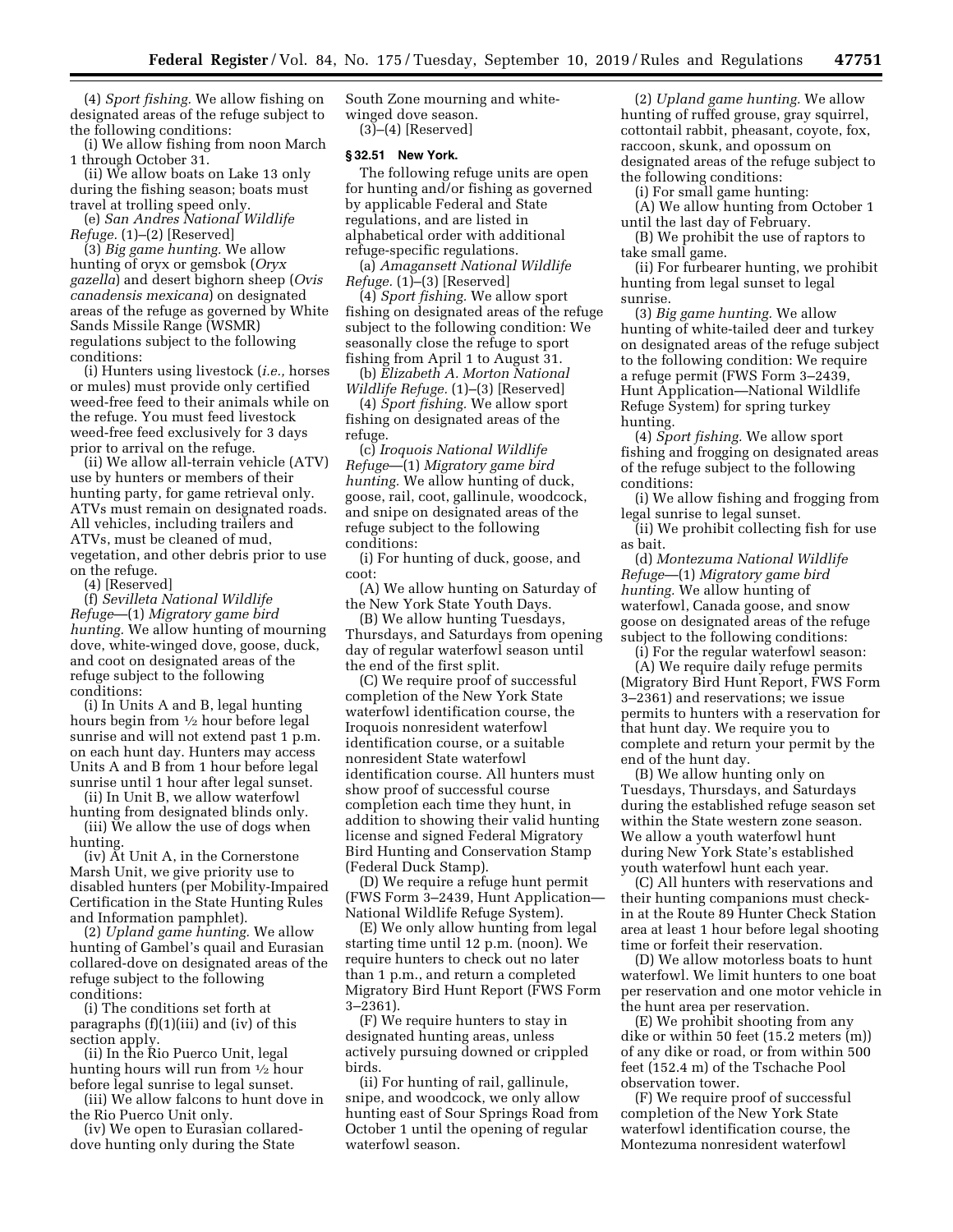(4) *Sport fishing.* We allow fishing on designated areas of the refuge subject to the following conditions:

(i) We allow fishing from noon March 1 through October 31.

(ii) We allow boats on Lake 13 only during the fishing season; boats must travel at trolling speed only.

(e) *San Andres National Wildlife Refuge.* (1)–(2) [Reserved]

(3) *Big game hunting.* We allow hunting of oryx or gemsbok (*Oryx gazella*) and desert bighorn sheep (*Ovis canadensis mexicana*) on designated areas of the refuge as governed by White Sands Missile Range (WSMR) regulations subject to the following conditions:

(i) Hunters using livestock (*i.e.,* horses or mules) must provide only certified weed-free feed to their animals while on the refuge. You must feed livestock weed-free feed exclusively for 3 days prior to arrival on the refuge.

(ii) We allow all-terrain vehicle (ATV) use by hunters or members of their hunting party, for game retrieval only. ATVs must remain on designated roads. All vehicles, including trailers and ATVs, must be cleaned of mud, vegetation, and other debris prior to use on the refuge.

(4) [Reserved]

(f) *Sevilleta National Wildlife Refuge*—(1) *Migratory game bird hunting.* We allow hunting of mourning dove, white-winged dove, goose, duck, and coot on designated areas of the refuge subject to the following conditions:

(i) In Units A and B, legal hunting hours begin from 1⁄2 hour before legal sunrise and will not extend past 1 p.m. on each hunt day. Hunters may access Units A and B from 1 hour before legal sunrise until 1 hour after legal sunset.

(ii) In Unit B, we allow waterfowl hunting from designated blinds only.

(iii) We allow the use of dogs when hunting.

(iv) At Unit A, in the Cornerstone Marsh Unit, we give priority use to disabled hunters (per Mobility-Impaired Certification in the State Hunting Rules and Information pamphlet).

(2) *Upland game hunting.* We allow hunting of Gambel's quail and Eurasian collared-dove on designated areas of the refuge subject to the following conditions:

(i) The conditions set forth at paragraphs (f)(1)(iii) and (iv) of this section apply.

(ii) In the Rio Puerco Unit, legal hunting hours will run from 1⁄2 hour before legal sunrise to legal sunset.

(iii) We allow falcons to hunt dove in the Rio Puerco Unit only.

(iv) We open to Eurasian collareddove hunting only during the State

South Zone mourning and whitewinged dove season. (3)–(4) [Reserved]

### **§ 32.51 New York.**

The following refuge units are open for hunting and/or fishing as governed by applicable Federal and State regulations, and are listed in alphabetical order with additional refuge-specific regulations.

(a) *Amagansett National Wildlife Refuge.* (1)–(3) [Reserved]

(4) *Sport fishing.* We allow sport fishing on designated areas of the refuge subject to the following condition: We seasonally close the refuge to sport fishing from April 1 to August 31.

(b) *Elizabeth A. Morton National Wildlife Refuge.* (1)–(3) [Reserved]

(4) *Sport fishing.* We allow sport fishing on designated areas of the refuge.

(c) *Iroquois National Wildlife Refuge*—(1) *Migratory game bird hunting.* We allow hunting of duck, goose, rail, coot, gallinule, woodcock, and snipe on designated areas of the refuge subject to the following conditions:

(i) For hunting of duck, goose, and coot:

(A) We allow hunting on Saturday of the New York State Youth Days.

(B) We allow hunting Tuesdays, Thursdays, and Saturdays from opening day of regular waterfowl season until the end of the first split.

(C) We require proof of successful completion of the New York State waterfowl identification course, the Iroquois nonresident waterfowl identification course, or a suitable nonresident State waterfowl identification course. All hunters must show proof of successful course completion each time they hunt, in addition to showing their valid hunting license and signed Federal Migratory Bird Hunting and Conservation Stamp (Federal Duck Stamp).

(D) We require a refuge hunt permit (FWS Form 3–2439, Hunt Application— National Wildlife Refuge System).

(E) We only allow hunting from legal starting time until 12 p.m. (noon). We require hunters to check out no later than 1 p.m., and return a completed Migratory Bird Hunt Report (FWS Form 3–2361).

(F) We require hunters to stay in designated hunting areas, unless actively pursuing downed or crippled birds.

(ii) For hunting of rail, gallinule, snipe, and woodcock, we only allow hunting east of Sour Springs Road from October 1 until the opening of regular waterfowl season.

(2) *Upland game hunting.* We allow hunting of ruffed grouse, gray squirrel, cottontail rabbit, pheasant, coyote, fox, raccoon, skunk, and opossum on designated areas of the refuge subject to the following conditions:

(i) For small game hunting:

(A) We allow hunting from October 1 until the last day of February.

(B) We prohibit the use of raptors to take small game.

(ii) For furbearer hunting, we prohibit hunting from legal sunset to legal sunrise.

(3) *Big game hunting.* We allow hunting of white-tailed deer and turkey on designated areas of the refuge subject to the following condition: We require a refuge permit (FWS Form 3–2439, Hunt Application—National Wildlife Refuge System) for spring turkey hunting.

(4) *Sport fishing.* We allow sport fishing and frogging on designated areas of the refuge subject to the following conditions:

(i) We allow fishing and frogging from legal sunrise to legal sunset.

(ii) We prohibit collecting fish for use as bait.

(d) *Montezuma National Wildlife Refuge*—(1) *Migratory game bird hunting.* We allow hunting of waterfowl, Canada goose, and snow goose on designated areas of the refuge subject to the following conditions:

(i) For the regular waterfowl season: (A) We require daily refuge permits (Migratory Bird Hunt Report, FWS Form 3–2361) and reservations; we issue permits to hunters with a reservation for that hunt day. We require you to complete and return your permit by the end of the hunt day.

(B) We allow hunting only on Tuesdays, Thursdays, and Saturdays during the established refuge season set within the State western zone season. We allow a youth waterfowl hunt during New York State's established youth waterfowl hunt each year.

(C) All hunters with reservations and their hunting companions must checkin at the Route 89 Hunter Check Station area at least 1 hour before legal shooting time or forfeit their reservation.

(D) We allow motorless boats to hunt waterfowl. We limit hunters to one boat per reservation and one motor vehicle in the hunt area per reservation.

(E) We prohibit shooting from any dike or within 50 feet (15.2 meters (m)) of any dike or road, or from within 500 feet (152.4 m) of the Tschache Pool observation tower.

(F) We require proof of successful completion of the New York State waterfowl identification course, the Montezuma nonresident waterfowl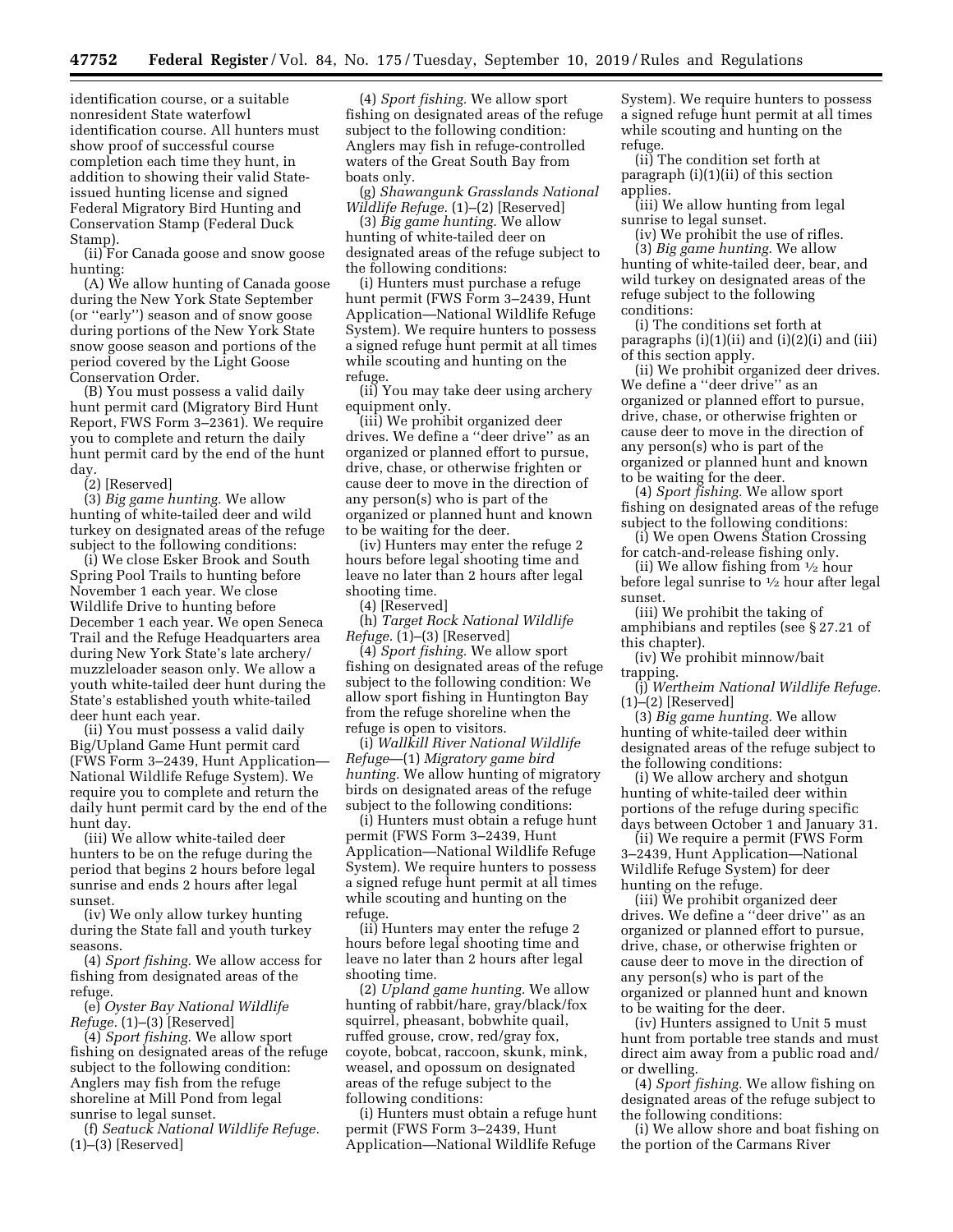identification course, or a suitable nonresident State waterfowl identification course. All hunters must show proof of successful course completion each time they hunt, in addition to showing their valid Stateissued hunting license and signed Federal Migratory Bird Hunting and Conservation Stamp (Federal Duck Stamp).

(ii) For Canada goose and snow goose hunting:

(A) We allow hunting of Canada goose during the New York State September (or ''early'') season and of snow goose during portions of the New York State snow goose season and portions of the period covered by the Light Goose Conservation Order.

(B) You must possess a valid daily hunt permit card (Migratory Bird Hunt Report, FWS Form 3–2361). We require you to complete and return the daily hunt permit card by the end of the hunt day.

(2) [Reserved]

(3) *Big game hunting.* We allow hunting of white-tailed deer and wild turkey on designated areas of the refuge subject to the following conditions:

(i) We close Esker Brook and South Spring Pool Trails to hunting before November 1 each year. We close Wildlife Drive to hunting before December 1 each year. We open Seneca Trail and the Refuge Headquarters area during New York State's late archery/ muzzleloader season only. We allow a youth white-tailed deer hunt during the State's established youth white-tailed deer hunt each year.

(ii) You must possess a valid daily Big/Upland Game Hunt permit card (FWS Form 3–2439, Hunt Application— National Wildlife Refuge System). We require you to complete and return the daily hunt permit card by the end of the hunt day.

(iii) We allow white-tailed deer hunters to be on the refuge during the period that begins 2 hours before legal sunrise and ends 2 hours after legal sunset.

(iv) We only allow turkey hunting during the State fall and youth turkey seasons.

(4) *Sport fishing.* We allow access for fishing from designated areas of the refuge.

(e) *Oyster Bay National Wildlife Refuge.* (1)–(3) [Reserved]

(4) *Sport fishing.* We allow sport fishing on designated areas of the refuge subject to the following condition: Anglers may fish from the refuge shoreline at Mill Pond from legal sunrise to legal sunset.

(f) *Seatuck National Wildlife Refuge.*  (1)–(3) [Reserved]

(4) *Sport fishing.* We allow sport fishing on designated areas of the refuge subject to the following condition: Anglers may fish in refuge-controlled waters of the Great South Bay from boats only.

(g) *Shawangunk Grasslands National Wildlife Refuge.* (1)–(2) [Reserved]

(3) *Big game hunting.* We allow hunting of white-tailed deer on designated areas of the refuge subject to the following conditions:

(i) Hunters must purchase a refuge hunt permit (FWS Form 3–2439, Hunt Application—National Wildlife Refuge System). We require hunters to possess a signed refuge hunt permit at all times while scouting and hunting on the refuge.

(ii) You may take deer using archery equipment only.

(iii) We prohibit organized deer drives. We define a ''deer drive'' as an organized or planned effort to pursue, drive, chase, or otherwise frighten or cause deer to move in the direction of any person(s) who is part of the organized or planned hunt and known to be waiting for the deer.

(iv) Hunters may enter the refuge 2 hours before legal shooting time and leave no later than 2 hours after legal shooting time.

(4) [Reserved]

(h) *Target Rock National Wildlife Refuge.* (1)–(3) [Reserved]

(4) *Sport fishing.* We allow sport fishing on designated areas of the refuge subject to the following condition: We allow sport fishing in Huntington Bay from the refuge shoreline when the refuge is open to visitors.

(i) *Wallkill River National Wildlife Refuge*—(1) *Migratory game bird hunting.* We allow hunting of migratory birds on designated areas of the refuge subject to the following conditions:

(i) Hunters must obtain a refuge hunt permit (FWS Form 3–2439, Hunt Application—National Wildlife Refuge System). We require hunters to possess a signed refuge hunt permit at all times while scouting and hunting on the refuge.

(ii) Hunters may enter the refuge 2 hours before legal shooting time and leave no later than 2 hours after legal shooting time.

(2) *Upland game hunting.* We allow hunting of rabbit/hare, gray/black/fox squirrel, pheasant, bobwhite quail, ruffed grouse, crow, red/gray fox, coyote, bobcat, raccoon, skunk, mink, weasel, and opossum on designated areas of the refuge subject to the following conditions:

(i) Hunters must obtain a refuge hunt permit (FWS Form 3–2439, Hunt Application—National Wildlife Refuge

System). We require hunters to possess a signed refuge hunt permit at all times while scouting and hunting on the refuge.

(ii) The condition set forth at paragraph (i)(1)(ii) of this section applies.

(iii) We allow hunting from legal sunrise to legal sunset.

(iv) We prohibit the use of rifles. (3) *Big game hunting.* We allow hunting of white-tailed deer, bear, and wild turkey on designated areas of the refuge subject to the following conditions:

(i) The conditions set forth at paragraphs  $(i)(1)(ii)$  and  $(i)(2)(i)$  and  $(iii)$ of this section apply.

(ii) We prohibit organized deer drives. We define a ''deer drive'' as an organized or planned effort to pursue, drive, chase, or otherwise frighten or cause deer to move in the direction of any person(s) who is part of the organized or planned hunt and known to be waiting for the deer.

(4) *Sport fishing.* We allow sport fishing on designated areas of the refuge subject to the following conditions:

(i) We open Owens Station Crossing for catch-and-release fishing only.

(ii) We allow fishing from 1⁄2 hour before legal sunrise to 1⁄2 hour after legal sunset.

(iii) We prohibit the taking of amphibians and reptiles (see § 27.21 of this chapter).

(iv) We prohibit minnow/bait trapping.

(j) *Wertheim National Wildlife Refuge.*   $(1)$ – $(2)$  [Reserved]

(3) *Big game hunting.* We allow hunting of white-tailed deer within designated areas of the refuge subject to the following conditions:

(i) We allow archery and shotgun hunting of white-tailed deer within portions of the refuge during specific days between October 1 and January 31.

(ii) We require a permit (FWS Form 3–2439, Hunt Application—National Wildlife Refuge System) for deer hunting on the refuge.

(iii) We prohibit organized deer drives. We define a ''deer drive'' as an organized or planned effort to pursue, drive, chase, or otherwise frighten or cause deer to move in the direction of any person(s) who is part of the organized or planned hunt and known to be waiting for the deer.

(iv) Hunters assigned to Unit 5 must hunt from portable tree stands and must direct aim away from a public road and/ or dwelling.

(4) *Sport fishing.* We allow fishing on designated areas of the refuge subject to the following conditions:

(i) We allow shore and boat fishing on the portion of the Carmans River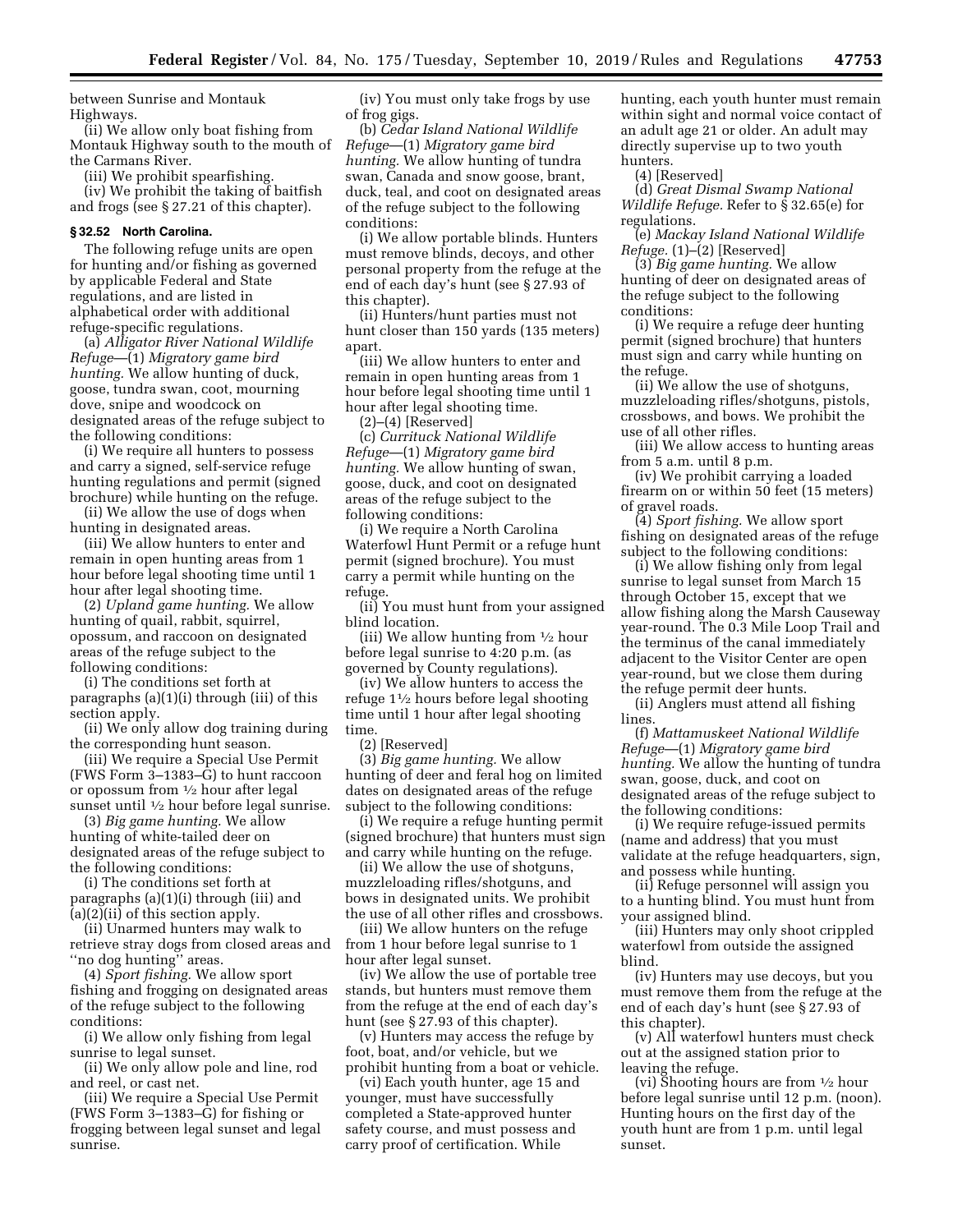between Sunrise and Montauk Highways.

(ii) We allow only boat fishing from Montauk Highway south to the mouth of the Carmans River.

(iii) We prohibit spearfishing.

(iv) We prohibit the taking of baitfish and frogs (see § 27.21 of this chapter).

## **§ 32.52 North Carolina.**

The following refuge units are open for hunting and/or fishing as governed by applicable Federal and State regulations, and are listed in alphabetical order with additional refuge-specific regulations.

(a) *Alligator River National Wildlife Refuge*—(1) *Migratory game bird hunting.* We allow hunting of duck, goose, tundra swan, coot, mourning dove, snipe and woodcock on designated areas of the refuge subject to the following conditions:

(i) We require all hunters to possess and carry a signed, self-service refuge hunting regulations and permit (signed brochure) while hunting on the refuge.

(ii) We allow the use of dogs when hunting in designated areas.

(iii) We allow hunters to enter and remain in open hunting areas from 1 hour before legal shooting time until 1 hour after legal shooting time.

(2) *Upland game hunting.* We allow hunting of quail, rabbit, squirrel, opossum, and raccoon on designated areas of the refuge subject to the following conditions:

(i) The conditions set forth at paragraphs (a)(1)(i) through (iii) of this section apply.

(ii) We only allow dog training during the corresponding hunt season.

(iii) We require a Special Use Permit (FWS Form 3–1383–G) to hunt raccoon or opossum from 1⁄2 hour after legal sunset until 1⁄2 hour before legal sunrise.

(3) *Big game hunting.* We allow hunting of white-tailed deer on designated areas of the refuge subject to the following conditions:

(i) The conditions set forth at paragraphs (a)(1)(i) through (iii) and (a)(2)(ii) of this section apply.

(ii) Unarmed hunters may walk to retrieve stray dogs from closed areas and ''no dog hunting'' areas.

(4) *Sport fishing.* We allow sport fishing and frogging on designated areas of the refuge subject to the following conditions:

(i) We allow only fishing from legal sunrise to legal sunset.

(ii) We only allow pole and line, rod and reel, or cast net.

(iii) We require a Special Use Permit (FWS Form 3–1383–G) for fishing or frogging between legal sunset and legal sunrise.

(iv) You must only take frogs by use of frog gigs.

(b) *Cedar Island National Wildlife Refuge*—(1) *Migratory game bird hunting.* We allow hunting of tundra swan, Canada and snow goose, brant, duck, teal, and coot on designated areas of the refuge subject to the following conditions:

(i) We allow portable blinds. Hunters must remove blinds, decoys, and other personal property from the refuge at the end of each day's hunt (see § 27.93 of this chapter).

(ii) Hunters/hunt parties must not hunt closer than 150 yards (135 meters) apart.

(iii) We allow hunters to enter and remain in open hunting areas from 1 hour before legal shooting time until 1 hour after legal shooting time.

(2)–(4) [Reserved]

(c) *Currituck National Wildlife Refuge*—(1) *Migratory game bird hunting.* We allow hunting of swan, goose, duck, and coot on designated areas of the refuge subject to the following conditions:

(i) We require a North Carolina Waterfowl Hunt Permit or a refuge hunt permit (signed brochure). You must carry a permit while hunting on the refuge.

(ii) You must hunt from your assigned blind location.

(iii) We allow hunting from  $\frac{1}{2}$  hour before legal sunrise to 4:20 p.m. (as governed by County regulations).

(iv) We allow hunters to access the refuge 11⁄2 hours before legal shooting time until 1 hour after legal shooting time

(2) [Reserved]

(3) *Big game hunting.* We allow hunting of deer and feral hog on limited dates on designated areas of the refuge subject to the following conditions:

(i) We require a refuge hunting permit (signed brochure) that hunters must sign and carry while hunting on the refuge.

(ii) We allow the use of shotguns, muzzleloading rifles/shotguns, and bows in designated units. We prohibit the use of all other rifles and crossbows.

(iii) We allow hunters on the refuge from 1 hour before legal sunrise to 1 hour after legal sunset.

(iv) We allow the use of portable tree stands, but hunters must remove them from the refuge at the end of each day's hunt (see § 27.93 of this chapter).

(v) Hunters may access the refuge by foot, boat, and/or vehicle, but we prohibit hunting from a boat or vehicle.

(vi) Each youth hunter, age 15 and younger, must have successfully completed a State-approved hunter safety course, and must possess and carry proof of certification. While

hunting, each youth hunter must remain within sight and normal voice contact of an adult age 21 or older. An adult may directly supervise up to two youth hunters.

(4) [Reserved]

(d) *Great Dismal Swamp National Wildlife Refuge.* Refer to § 32.65(e) for regulations.

(e) *Mackay Island National Wildlife Refuge.* (1)–(2) [Reserved]

(3) *Big game hunting.* We allow hunting of deer on designated areas of the refuge subject to the following conditions:

(i) We require a refuge deer hunting permit (signed brochure) that hunters must sign and carry while hunting on the refuge.

(ii) We allow the use of shotguns, muzzleloading rifles/shotguns, pistols, crossbows, and bows. We prohibit the use of all other rifles.

(iii) We allow access to hunting areas from 5 a.m. until 8 p.m.

(iv) We prohibit carrying a loaded firearm on or within 50 feet (15 meters) of gravel roads.

(4) *Sport fishing.* We allow sport fishing on designated areas of the refuge subject to the following conditions:

(i) We allow fishing only from legal sunrise to legal sunset from March 15 through October 15, except that we allow fishing along the Marsh Causeway year-round. The 0.3 Mile Loop Trail and the terminus of the canal immediately adjacent to the Visitor Center are open year-round, but we close them during the refuge permit deer hunts.

(ii) Anglers must attend all fishing lines.

(f) *Mattamuskeet National Wildlife Refuge*—(1) *Migratory game bird hunting.* We allow the hunting of tundra swan, goose, duck, and coot on designated areas of the refuge subject to the following conditions:

(i) We require refuge-issued permits (name and address) that you must validate at the refuge headquarters, sign, and possess while hunting.

(ii) Refuge personnel will assign you to a hunting blind. You must hunt from your assigned blind.

(iii) Hunters may only shoot crippled waterfowl from outside the assigned blind.

(iv) Hunters may use decoys, but you must remove them from the refuge at the end of each day's hunt (see § 27.93 of this chapter).

(v) All waterfowl hunters must check out at the assigned station prior to leaving the refuge.

(vi) Shooting hours are from 1⁄2 hour before legal sunrise until 12 p.m. (noon). Hunting hours on the first day of the youth hunt are from 1 p.m. until legal sunset.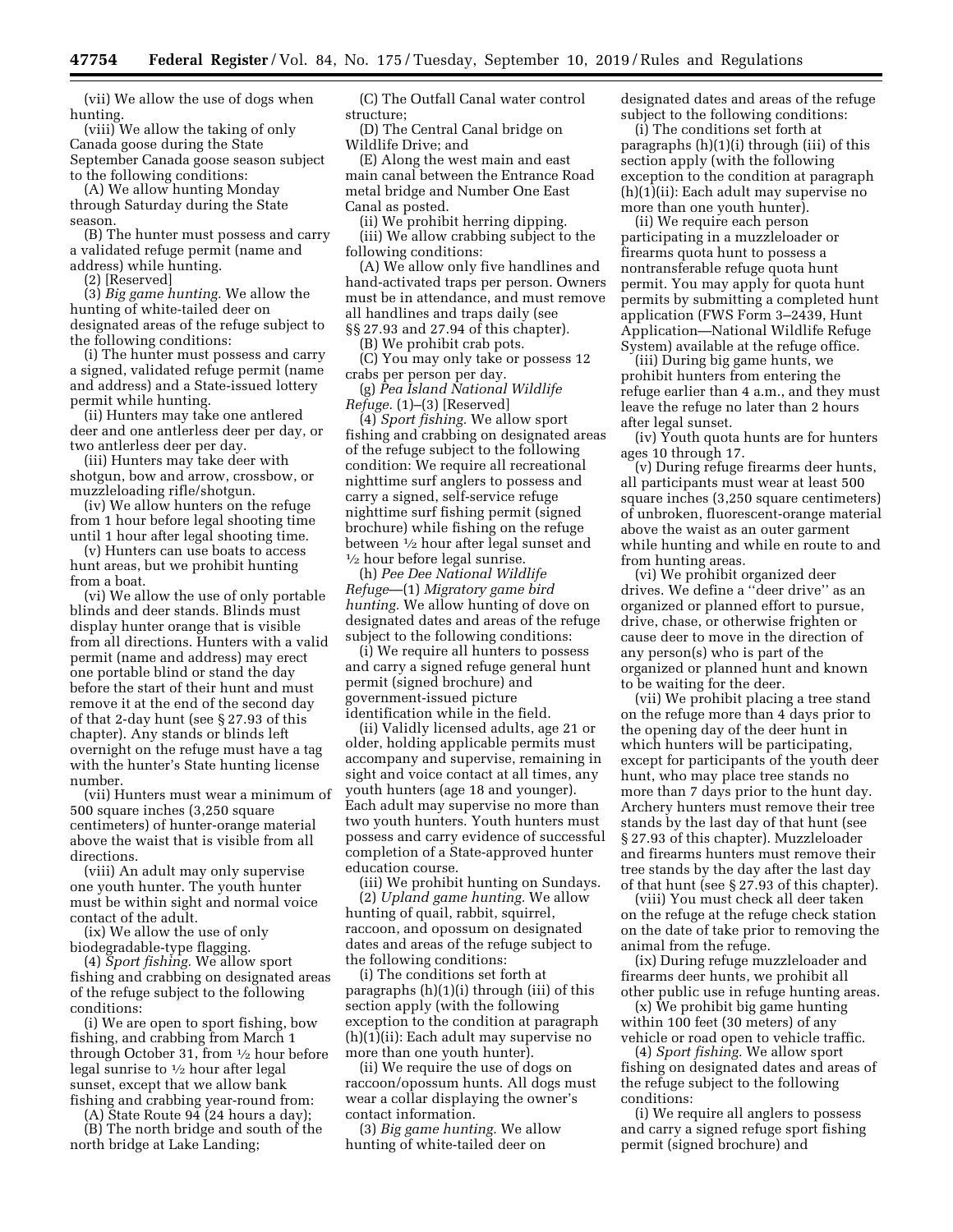(vii) We allow the use of dogs when hunting.

(viii) We allow the taking of only Canada goose during the State September Canada goose season subject to the following conditions:

(A) We allow hunting Monday through Saturday during the State season.

(B) The hunter must possess and carry a validated refuge permit (name and address) while hunting.

(2) [Reserved]

(3) *Big game hunting.* We allow the hunting of white-tailed deer on designated areas of the refuge subject to the following conditions:

(i) The hunter must possess and carry a signed, validated refuge permit (name and address) and a State-issued lottery permit while hunting.

(ii) Hunters may take one antlered deer and one antlerless deer per day, or two antlerless deer per day.

(iii) Hunters may take deer with shotgun, bow and arrow, crossbow, or muzzleloading rifle/shotgun.

(iv) We allow hunters on the refuge from 1 hour before legal shooting time until 1 hour after legal shooting time.

(v) Hunters can use boats to access hunt areas, but we prohibit hunting from a boat.

(vi) We allow the use of only portable blinds and deer stands. Blinds must display hunter orange that is visible from all directions. Hunters with a valid permit (name and address) may erect one portable blind or stand the day before the start of their hunt and must remove it at the end of the second day of that 2-day hunt (see § 27.93 of this chapter). Any stands or blinds left overnight on the refuge must have a tag with the hunter's State hunting license number.

(vii) Hunters must wear a minimum of 500 square inches (3,250 square centimeters) of hunter-orange material above the waist that is visible from all directions.

(viii) An adult may only supervise one youth hunter. The youth hunter must be within sight and normal voice contact of the adult.

(ix) We allow the use of only biodegradable-type flagging.

(4) *Sport fishing.* We allow sport fishing and crabbing on designated areas of the refuge subject to the following conditions:

(i) We are open to sport fishing, bow fishing, and crabbing from March 1 through October 31, from  $\frac{1}{2}$  hour before legal sunrise to 1⁄2 hour after legal sunset, except that we allow bank fishing and crabbing year-round from:

(A) State Route 94 (24 hours a day);

(B) The north bridge and south of the north bridge at Lake Landing;

(C) The Outfall Canal water control structure;

(D) The Central Canal bridge on Wildlife Drive; and

(E) Along the west main and east main canal between the Entrance Road metal bridge and Number One East Canal as posted.

(ii) We prohibit herring dipping. (iii) We allow crabbing subject to the following conditions:

(A) We allow only five handlines and hand-activated traps per person. Owners must be in attendance, and must remove all handlines and traps daily (see §§ 27.93 and 27.94 of this chapter).

(B) We prohibit crab pots.

(C) You may only take or possess 12 crabs per person per day.

(g) *Pea Island National Wildlife Refuge.* (1)–(3) [Reserved]

(4) *Sport fishing.* We allow sport fishing and crabbing on designated areas of the refuge subject to the following condition: We require all recreational nighttime surf anglers to possess and carry a signed, self-service refuge nighttime surf fishing permit (signed brochure) while fishing on the refuge between 1⁄2 hour after legal sunset and 1⁄2 hour before legal sunrise.

(h) *Pee Dee National Wildlife Refuge*—(1) *Migratory game bird hunting.* We allow hunting of dove on designated dates and areas of the refuge subject to the following conditions:

(i) We require all hunters to possess and carry a signed refuge general hunt permit (signed brochure) and government-issued picture identification while in the field.

(ii) Validly licensed adults, age 21 or older, holding applicable permits must accompany and supervise, remaining in sight and voice contact at all times, any youth hunters (age 18 and younger). Each adult may supervise no more than two youth hunters. Youth hunters must possess and carry evidence of successful completion of a State-approved hunter education course.

(iii) We prohibit hunting on Sundays. (2) *Upland game hunting.* We allow hunting of quail, rabbit, squirrel, raccoon, and opossum on designated dates and areas of the refuge subject to the following conditions:

(i) The conditions set forth at paragraphs (h)(1)(i) through (iii) of this section apply (with the following exception to the condition at paragraph (h)(1)(ii): Each adult may supervise no more than one youth hunter).

(ii) We require the use of dogs on raccoon/opossum hunts. All dogs must wear a collar displaying the owner's contact information.

(3) *Big game hunting.* We allow hunting of white-tailed deer on

designated dates and areas of the refuge subject to the following conditions:

(i) The conditions set forth at paragraphs (h)(1)(i) through (iii) of this section apply (with the following exception to the condition at paragraph (h)(1)(ii): Each adult may supervise no more than one youth hunter).

(ii) We require each person participating in a muzzleloader or firearms quota hunt to possess a nontransferable refuge quota hunt permit. You may apply for quota hunt permits by submitting a completed hunt application (FWS Form 3–2439, Hunt Application—National Wildlife Refuge System) available at the refuge office.

(iii) During big game hunts, we prohibit hunters from entering the refuge earlier than 4 a.m., and they must leave the refuge no later than 2 hours after legal sunset.

(iv) Youth quota hunts are for hunters ages 10 through 17.

(v) During refuge firearms deer hunts, all participants must wear at least 500 square inches (3,250 square centimeters) of unbroken, fluorescent-orange material above the waist as an outer garment while hunting and while en route to and from hunting areas.

(vi) We prohibit organized deer drives. We define a ''deer drive'' as an organized or planned effort to pursue, drive, chase, or otherwise frighten or cause deer to move in the direction of any person(s) who is part of the organized or planned hunt and known to be waiting for the deer.

(vii) We prohibit placing a tree stand on the refuge more than 4 days prior to the opening day of the deer hunt in which hunters will be participating, except for participants of the youth deer hunt, who may place tree stands no more than 7 days prior to the hunt day. Archery hunters must remove their tree stands by the last day of that hunt (see § 27.93 of this chapter). Muzzleloader and firearms hunters must remove their tree stands by the day after the last day of that hunt (see § 27.93 of this chapter).

(viii) You must check all deer taken on the refuge at the refuge check station on the date of take prior to removing the animal from the refuge.

(ix) During refuge muzzleloader and firearms deer hunts, we prohibit all other public use in refuge hunting areas.

(x) We prohibit big game hunting within 100 feet (30 meters) of any vehicle or road open to vehicle traffic.

(4) *Sport fishing.* We allow sport fishing on designated dates and areas of the refuge subject to the following conditions:

(i) We require all anglers to possess and carry a signed refuge sport fishing permit (signed brochure) and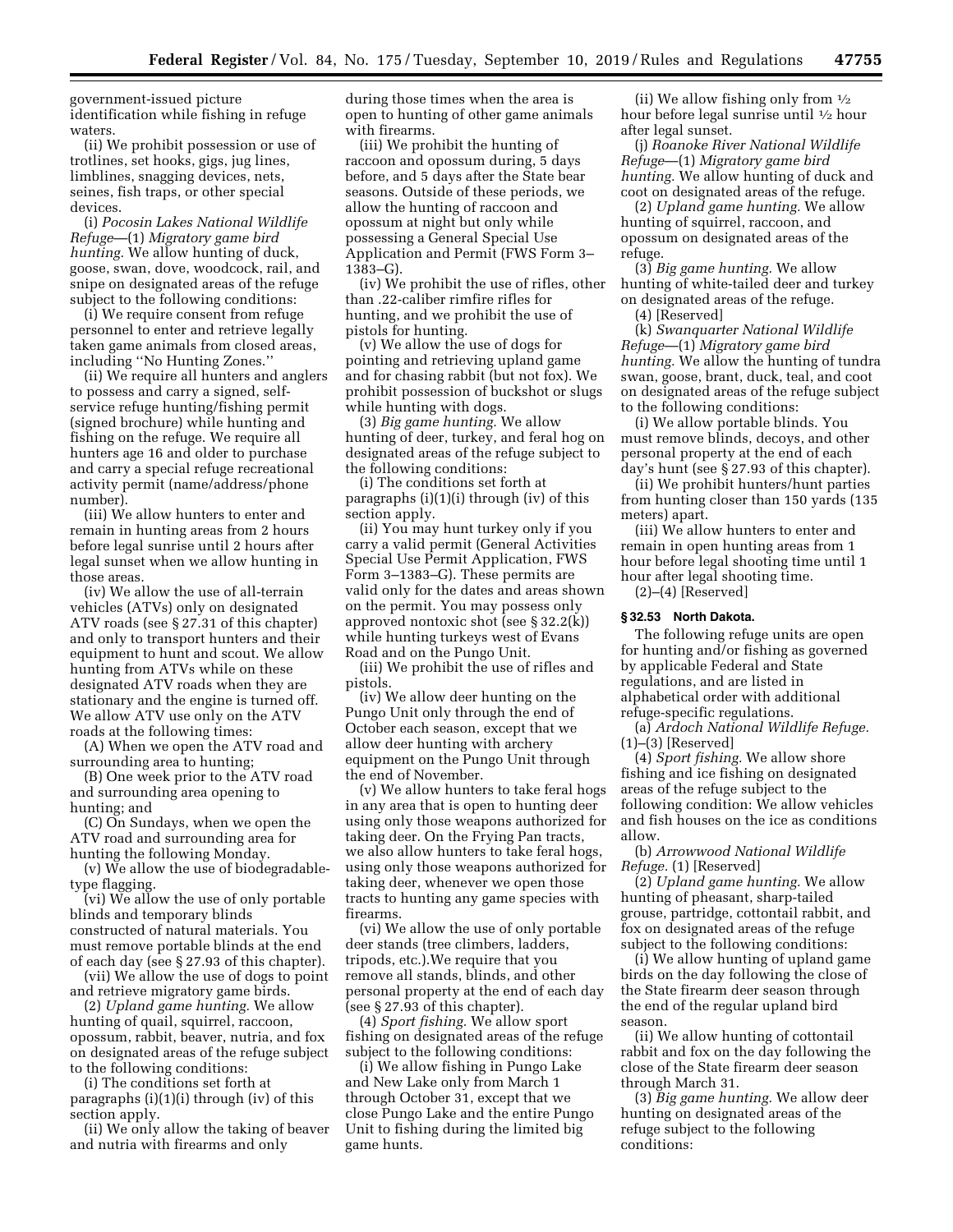government-issued picture identification while fishing in refuge waters.

(ii) We prohibit possession or use of trotlines, set hooks, gigs, jug lines, limblines, snagging devices, nets, seines, fish traps, or other special devices.

(i) *Pocosin Lakes National Wildlife Refuge*—(1) *Migratory game bird hunting.* We allow hunting of duck, goose, swan, dove, woodcock, rail, and snipe on designated areas of the refuge subject to the following conditions:

(i) We require consent from refuge personnel to enter and retrieve legally taken game animals from closed areas, including ''No Hunting Zones.''

(ii) We require all hunters and anglers to possess and carry a signed, selfservice refuge hunting/fishing permit (signed brochure) while hunting and fishing on the refuge. We require all hunters age 16 and older to purchase and carry a special refuge recreational activity permit (name/address/phone number).

(iii) We allow hunters to enter and remain in hunting areas from 2 hours before legal sunrise until 2 hours after legal sunset when we allow hunting in those areas.

(iv) We allow the use of all-terrain vehicles (ATVs) only on designated ATV roads (see § 27.31 of this chapter) and only to transport hunters and their equipment to hunt and scout. We allow hunting from ATVs while on these designated ATV roads when they are stationary and the engine is turned off. We allow ATV use only on the ATV roads at the following times:

(A) When we open the ATV road and surrounding area to hunting;

(B) One week prior to the ATV road and surrounding area opening to hunting; and

(C) On Sundays, when we open the ATV road and surrounding area for hunting the following Monday.

(v) We allow the use of biodegradabletype flagging.

(vi) We allow the use of only portable blinds and temporary blinds constructed of natural materials. You must remove portable blinds at the end of each day (see § 27.93 of this chapter).

(vii) We allow the use of dogs to point and retrieve migratory game birds.

(2) *Upland game hunting.* We allow hunting of quail, squirrel, raccoon, opossum, rabbit, beaver, nutria, and fox on designated areas of the refuge subject to the following conditions:

(i) The conditions set forth at paragraphs (i)(1)(i) through (iv) of this section apply.

(ii) We only allow the taking of beaver and nutria with firearms and only

during those times when the area is open to hunting of other game animals with firearms.

(iii) We prohibit the hunting of raccoon and opossum during, 5 days before, and 5 days after the State bear seasons. Outside of these periods, we allow the hunting of raccoon and opossum at night but only while possessing a General Special Use Application and Permit (FWS Form 3– 1383–G).

(iv) We prohibit the use of rifles, other than .22-caliber rimfire rifles for hunting, and we prohibit the use of pistols for hunting.

(v) We allow the use of dogs for pointing and retrieving upland game and for chasing rabbit (but not fox). We prohibit possession of buckshot or slugs while hunting with dogs.

(3) *Big game hunting.* We allow hunting of deer, turkey, and feral hog on designated areas of the refuge subject to the following conditions:

(i) The conditions set forth at paragraphs (i)(1)(i) through (iv) of this section apply.

(ii) You may hunt turkey only if you carry a valid permit (General Activities Special Use Permit Application, FWS Form 3–1383–G). These permits are valid only for the dates and areas shown on the permit. You may possess only approved nontoxic shot (see § 32.2(k)) while hunting turkeys west of Evans Road and on the Pungo Unit.

(iii) We prohibit the use of rifles and pistols.

(iv) We allow deer hunting on the Pungo Unit only through the end of October each season, except that we allow deer hunting with archery equipment on the Pungo Unit through the end of November.

(v) We allow hunters to take feral hogs in any area that is open to hunting deer using only those weapons authorized for taking deer. On the Frying Pan tracts, we also allow hunters to take feral hogs, using only those weapons authorized for taking deer, whenever we open those tracts to hunting any game species with firearms.

(vi) We allow the use of only portable deer stands (tree climbers, ladders, tripods, etc.).We require that you remove all stands, blinds, and other personal property at the end of each day (see § 27.93 of this chapter).

(4) *Sport fishing.* We allow sport fishing on designated areas of the refuge subject to the following conditions:

(i) We allow fishing in Pungo Lake and New Lake only from March 1 through October 31, except that we close Pungo Lake and the entire Pungo Unit to fishing during the limited big game hunts.

(ii) We allow fishing only from  $\frac{1}{2}$ hour before legal sunrise until 1⁄2 hour after legal sunset.

(j) *Roanoke River National Wildlife Refuge*—(1) *Migratory game bird hunting.* We allow hunting of duck and coot on designated areas of the refuge.

(2) *Upland game hunting.* We allow hunting of squirrel, raccoon, and opossum on designated areas of the refuge.

(3) *Big game hunting.* We allow hunting of white-tailed deer and turkey on designated areas of the refuge.

(4) [Reserved]

(k) *Swanquarter National Wildlife Refuge*—(1) *Migratory game bird hunting.* We allow the hunting of tundra swan, goose, brant, duck, teal, and coot on designated areas of the refuge subject to the following conditions:

(i) We allow portable blinds. You must remove blinds, decoys, and other personal property at the end of each day's hunt (see § 27.93 of this chapter).

(ii) We prohibit hunters/hunt parties from hunting closer than 150 yards (135 meters) apart.

(iii) We allow hunters to enter and remain in open hunting areas from 1 hour before legal shooting time until 1 hour after legal shooting time.

(2)–(4) [Reserved]

### **§ 32.53 North Dakota.**

The following refuge units are open for hunting and/or fishing as governed by applicable Federal and State regulations, and are listed in alphabetical order with additional refuge-specific regulations.

(a) *Ardoch National Wildlife Refuge.*  (1)–(3) [Reserved]

(4) *Sport fishing.* We allow shore fishing and ice fishing on designated areas of the refuge subject to the following condition: We allow vehicles and fish houses on the ice as conditions allow.

(b) *Arrowwood National Wildlife Refuge.* (1) [Reserved]

(2) *Upland game hunting.* We allow hunting of pheasant, sharp-tailed grouse, partridge, cottontail rabbit, and fox on designated areas of the refuge subject to the following conditions:

(i) We allow hunting of upland game birds on the day following the close of the State firearm deer season through the end of the regular upland bird season.

(ii) We allow hunting of cottontail rabbit and fox on the day following the close of the State firearm deer season through March 31.

(3) *Big game hunting.* We allow deer hunting on designated areas of the refuge subject to the following conditions: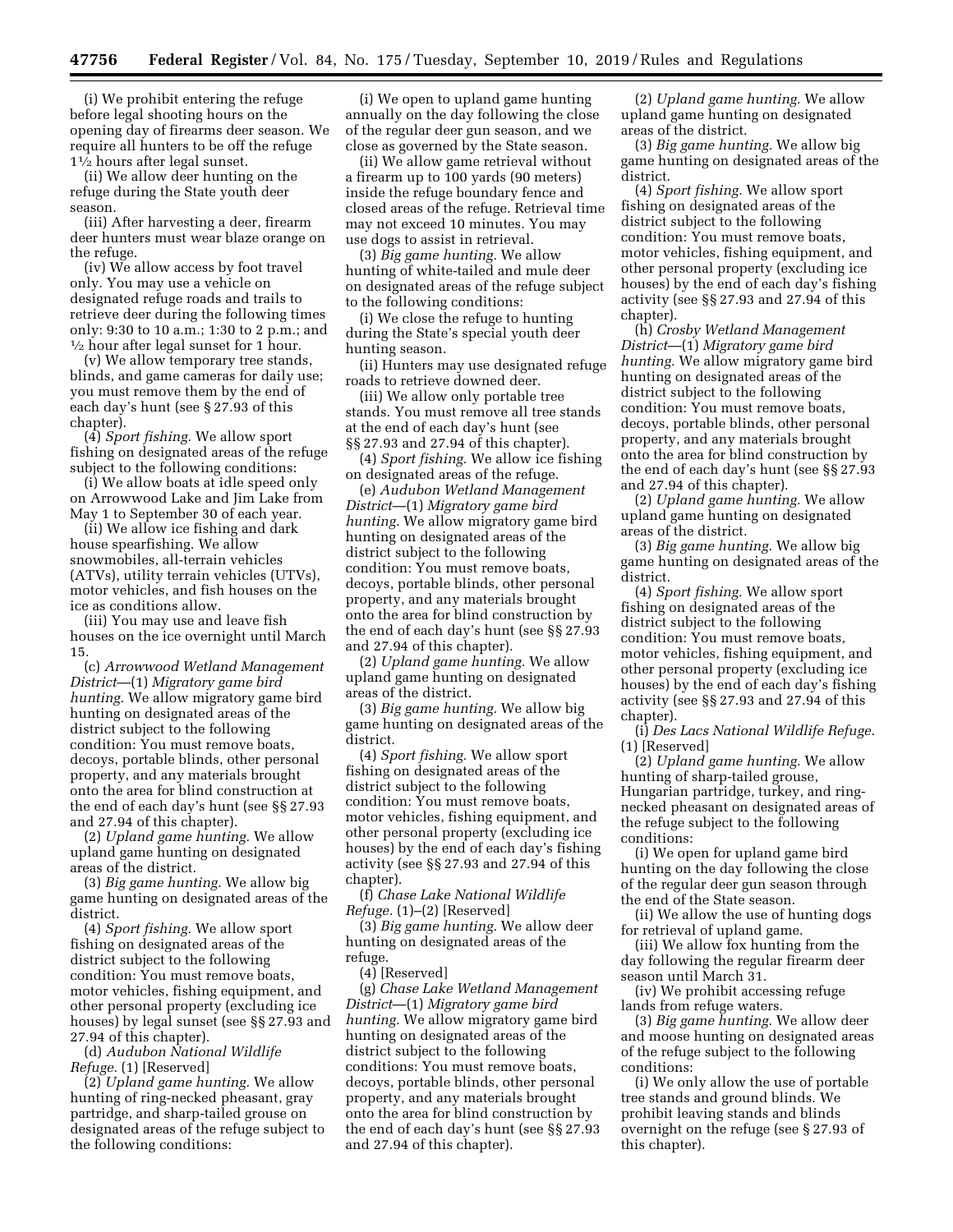(i) We prohibit entering the refuge before legal shooting hours on the opening day of firearms deer season. We require all hunters to be off the refuge 11⁄2 hours after legal sunset.

(ii) We allow deer hunting on the refuge during the State youth deer season.

(iii) After harvesting a deer, firearm deer hunters must wear blaze orange on the refuge.

(iv) We allow access by foot travel only. You may use a vehicle on designated refuge roads and trails to retrieve deer during the following times only: 9:30 to 10 a.m.; 1:30 to 2 p.m.; and  $\frac{1}{2}$  hour after legal sunset for 1 hour.

(v) We allow temporary tree stands, blinds, and game cameras for daily use; you must remove them by the end of each day's hunt (see § 27.93 of this chapter).

(4) *Sport fishing.* We allow sport fishing on designated areas of the refuge subject to the following conditions:

(i) We allow boats at idle speed only on Arrowwood Lake and Jim Lake from May 1 to September 30 of each year.

(ii) We allow ice fishing and dark house spearfishing. We allow snowmobiles, all-terrain vehicles (ATVs), utility terrain vehicles (UTVs), motor vehicles, and fish houses on the ice as conditions allow.

(iii) You may use and leave fish houses on the ice overnight until March 15.

(c) *Arrowwood Wetland Management District*—(1) *Migratory game bird hunting.* We allow migratory game bird hunting on designated areas of the district subject to the following condition: You must remove boats, decoys, portable blinds, other personal property, and any materials brought onto the area for blind construction at the end of each day's hunt (see §§ 27.93 and 27.94 of this chapter).

(2) *Upland game hunting.* We allow upland game hunting on designated areas of the district.

(3) *Big game hunting.* We allow big game hunting on designated areas of the district.

(4) *Sport fishing.* We allow sport fishing on designated areas of the district subject to the following condition: You must remove boats, motor vehicles, fishing equipment, and other personal property (excluding ice houses) by legal sunset (see §§ 27.93 and 27.94 of this chapter).

(d) *Audubon National Wildlife Refuge.* (1) [Reserved]

(2) *Upland game hunting.* We allow hunting of ring-necked pheasant, gray partridge, and sharp-tailed grouse on designated areas of the refuge subject to the following conditions:

(i) We open to upland game hunting annually on the day following the close of the regular deer gun season, and we close as governed by the State season.

(ii) We allow game retrieval without a firearm up to 100 yards (90 meters) inside the refuge boundary fence and closed areas of the refuge. Retrieval time may not exceed 10 minutes. You may use dogs to assist in retrieval.

(3) *Big game hunting.* We allow hunting of white-tailed and mule deer on designated areas of the refuge subject to the following conditions:

(i) We close the refuge to hunting during the State's special youth deer hunting season.

(ii) Hunters may use designated refuge roads to retrieve downed deer.

(iii) We allow only portable tree stands. You must remove all tree stands at the end of each day's hunt (see §§ 27.93 and 27.94 of this chapter).

(4) *Sport fishing.* We allow ice fishing on designated areas of the refuge.

(e) *Audubon Wetland Management District*—(1) *Migratory game bird hunting.* We allow migratory game bird hunting on designated areas of the district subject to the following condition: You must remove boats, decoys, portable blinds, other personal property, and any materials brought onto the area for blind construction by the end of each day's hunt (see §§ 27.93 and 27.94 of this chapter).

(2) *Upland game hunting.* We allow upland game hunting on designated areas of the district.

(3) *Big game hunting.* We allow big game hunting on designated areas of the district.

(4) *Sport fishing.* We allow sport fishing on designated areas of the district subject to the following condition: You must remove boats, motor vehicles, fishing equipment, and other personal property (excluding ice houses) by the end of each day's fishing activity (see §§ 27.93 and 27.94 of this chapter).

(f) *Chase Lake National Wildlife Refuge.* (1)–(2) [Reserved]

(3) *Big game hunting.* We allow deer hunting on designated areas of the refuge.

(4) [Reserved]

(g) *Chase Lake Wetland Management District*—(1) *Migratory game bird hunting.* We allow migratory game bird hunting on designated areas of the district subject to the following conditions: You must remove boats, decoys, portable blinds, other personal property, and any materials brought onto the area for blind construction by the end of each day's hunt (see §§ 27.93 and 27.94 of this chapter).

(2) *Upland game hunting.* We allow upland game hunting on designated areas of the district.

(3) *Big game hunting.* We allow big game hunting on designated areas of the district.

(4) *Sport fishing.* We allow sport fishing on designated areas of the district subject to the following condition: You must remove boats, motor vehicles, fishing equipment, and other personal property (excluding ice houses) by the end of each day's fishing activity (see §§ 27.93 and 27.94 of this chapter).

(h) *Crosby Wetland Management District*—(1) *Migratory game bird hunting.* We allow migratory game bird hunting on designated areas of the district subject to the following condition: You must remove boats, decoys, portable blinds, other personal property, and any materials brought onto the area for blind construction by the end of each day's hunt (see §§ 27.93 and 27.94 of this chapter).

(2) *Upland game hunting.* We allow upland game hunting on designated areas of the district.

(3) *Big game hunting.* We allow big game hunting on designated areas of the district.

(4) *Sport fishing.* We allow sport fishing on designated areas of the district subject to the following condition: You must remove boats, motor vehicles, fishing equipment, and other personal property (excluding ice houses) by the end of each day's fishing activity (see §§ 27.93 and 27.94 of this chapter).

(i) *Des Lacs National Wildlife Refuge.*  (1) [Reserved]

(2) *Upland game hunting.* We allow hunting of sharp-tailed grouse, Hungarian partridge, turkey, and ringnecked pheasant on designated areas of the refuge subject to the following conditions:

(i) We open for upland game bird hunting on the day following the close of the regular deer gun season through the end of the State season.

(ii) We allow the use of hunting dogs for retrieval of upland game.

(iii) We allow fox hunting from the day following the regular firearm deer season until March 31.

(iv) We prohibit accessing refuge lands from refuge waters.

(3) *Big game hunting.* We allow deer and moose hunting on designated areas of the refuge subject to the following conditions:

(i) We only allow the use of portable tree stands and ground blinds. We prohibit leaving stands and blinds overnight on the refuge (see § 27.93 of this chapter).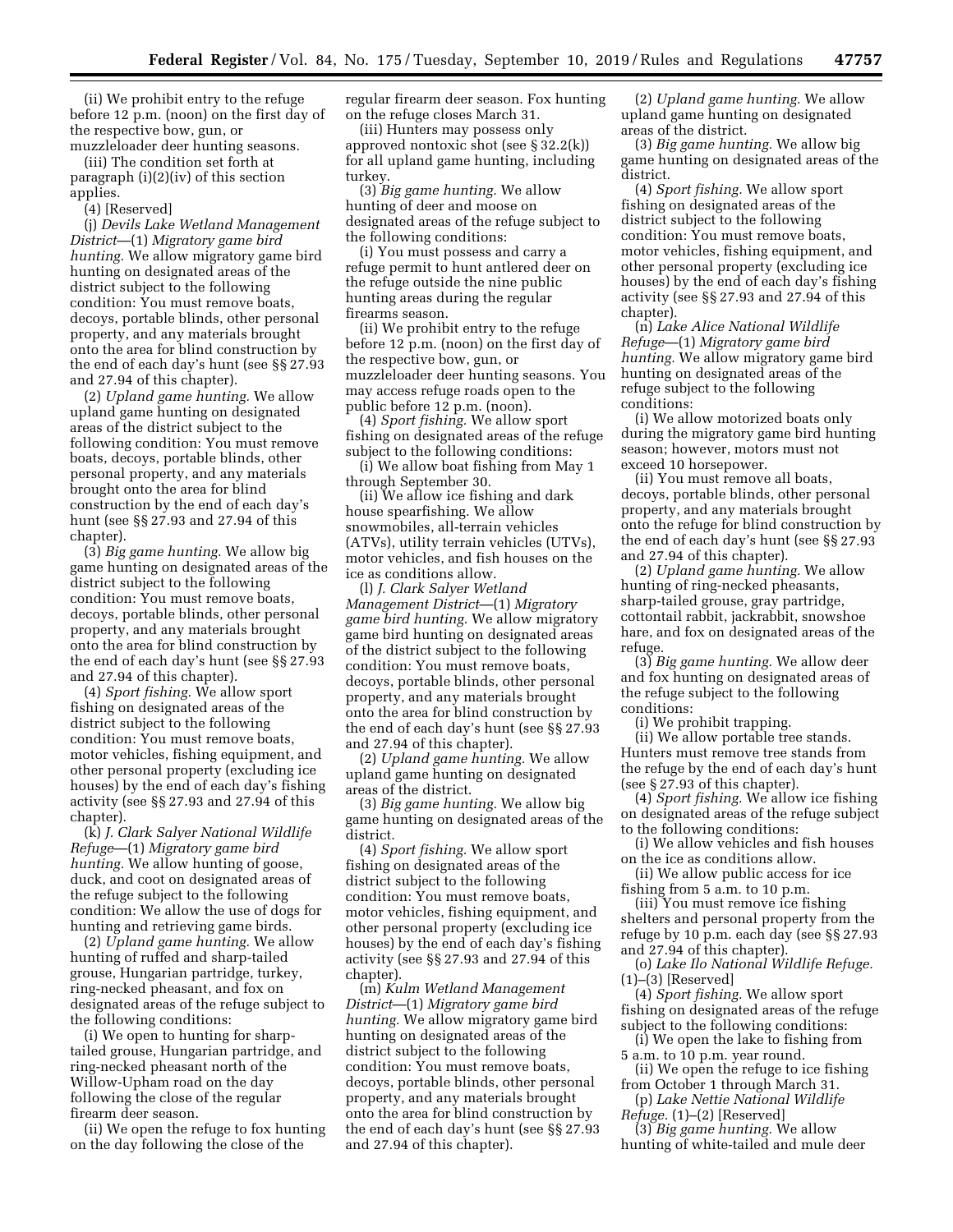(ii) We prohibit entry to the refuge before 12 p.m. (noon) on the first day of the respective bow, gun, or muzzleloader deer hunting seasons.

(iii) The condition set forth at paragraph (i)(2)(iv) of this section applies.

(4) [Reserved]

(j) *Devils Lake Wetland Management District*—(1) *Migratory game bird hunting.* We allow migratory game bird hunting on designated areas of the district subject to the following condition: You must remove boats, decoys, portable blinds, other personal property, and any materials brought onto the area for blind construction by the end of each day's hunt (see §§ 27.93 and 27.94 of this chapter).

(2) *Upland game hunting.* We allow upland game hunting on designated areas of the district subject to the following condition: You must remove boats, decoys, portable blinds, other personal property, and any materials brought onto the area for blind construction by the end of each day's hunt (see §§ 27.93 and 27.94 of this chapter).

(3) *Big game hunting.* We allow big game hunting on designated areas of the district subject to the following condition: You must remove boats, decoys, portable blinds, other personal property, and any materials brought onto the area for blind construction by the end of each day's hunt (see §§ 27.93 and 27.94 of this chapter).

(4) *Sport fishing.* We allow sport fishing on designated areas of the district subject to the following condition: You must remove boats, motor vehicles, fishing equipment, and other personal property (excluding ice houses) by the end of each day's fishing activity (see §§ 27.93 and 27.94 of this chapter).

(k) *J. Clark Salyer National Wildlife Refuge*—(1) *Migratory game bird hunting.* We allow hunting of goose, duck, and coot on designated areas of the refuge subject to the following condition: We allow the use of dogs for hunting and retrieving game birds.

(2) *Upland game hunting.* We allow hunting of ruffed and sharp-tailed grouse, Hungarian partridge, turkey, ring-necked pheasant, and fox on designated areas of the refuge subject to the following conditions:

(i) We open to hunting for sharptailed grouse, Hungarian partridge, and ring-necked pheasant north of the Willow-Upham road on the day following the close of the regular firearm deer season.

(ii) We open the refuge to fox hunting on the day following the close of the

regular firearm deer season. Fox hunting on the refuge closes March 31.

(iii) Hunters may possess only approved nontoxic shot (see § 32.2(k)) for all upland game hunting, including turkey.

(3) *Big game hunting.* We allow hunting of deer and moose on designated areas of the refuge subject to the following conditions:

(i) You must possess and carry a refuge permit to hunt antlered deer on the refuge outside the nine public hunting areas during the regular firearms season.

(ii) We prohibit entry to the refuge before 12 p.m. (noon) on the first day of the respective bow, gun, or muzzleloader deer hunting seasons. You may access refuge roads open to the public before 12 p.m. (noon).

(4) *Sport fishing.* We allow sport fishing on designated areas of the refuge subject to the following conditions:

(i) We allow boat fishing from May 1 through September 30.

(ii) We allow ice fishing and dark house spearfishing. We allow snowmobiles, all-terrain vehicles (ATVs), utility terrain vehicles (UTVs), motor vehicles, and fish houses on the ice as conditions allow.

(l) *J. Clark Salyer Wetland Management District*—(1) *Migratory game bird hunting.* We allow migratory game bird hunting on designated areas of the district subject to the following condition: You must remove boats, decoys, portable blinds, other personal property, and any materials brought onto the area for blind construction by the end of each day's hunt (see §§ 27.93 and 27.94 of this chapter).

(2) *Upland game hunting.* We allow upland game hunting on designated areas of the district.

(3) *Big game hunting.* We allow big game hunting on designated areas of the district.

(4) *Sport fishing.* We allow sport fishing on designated areas of the district subject to the following condition: You must remove boats, motor vehicles, fishing equipment, and other personal property (excluding ice houses) by the end of each day's fishing activity (see §§ 27.93 and 27.94 of this chapter).

(m) *Kulm Wetland Management District*—(1) *Migratory game bird hunting.* We allow migratory game bird hunting on designated areas of the district subject to the following condition: You must remove boats, decoys, portable blinds, other personal property, and any materials brought onto the area for blind construction by the end of each day's hunt (see §§ 27.93 and 27.94 of this chapter).

(2) *Upland game hunting.* We allow upland game hunting on designated areas of the district.

(3) *Big game hunting.* We allow big game hunting on designated areas of the district.

(4) *Sport fishing.* We allow sport fishing on designated areas of the district subject to the following condition: You must remove boats, motor vehicles, fishing equipment, and other personal property (excluding ice houses) by the end of each day's fishing activity (see §§ 27.93 and 27.94 of this chapter).

(n) *Lake Alice National Wildlife Refuge*—(1) *Migratory game bird hunting.* We allow migratory game bird hunting on designated areas of the refuge subject to the following conditions:

(i) We allow motorized boats only during the migratory game bird hunting season; however, motors must not exceed 10 horsepower.

(ii) You must remove all boats, decoys, portable blinds, other personal property, and any materials brought onto the refuge for blind construction by the end of each day's hunt (see §§ 27.93 and 27.94 of this chapter).

(2) *Upland game hunting.* We allow hunting of ring-necked pheasants, sharp-tailed grouse, gray partridge, cottontail rabbit, jackrabbit, snowshoe hare, and fox on designated areas of the refuge.

(3) *Big game hunting.* We allow deer and fox hunting on designated areas of the refuge subject to the following conditions:

(i) We prohibit trapping.

(ii) We allow portable tree stands. Hunters must remove tree stands from the refuge by the end of each day's hunt (see § 27.93 of this chapter).

(4) *Sport fishing.* We allow ice fishing on designated areas of the refuge subject to the following conditions:

(i) We allow vehicles and fish houses on the ice as conditions allow.

(ii) We allow public access for ice fishing from 5 a.m. to 10 p.m.

(iii) You must remove ice fishing shelters and personal property from the refuge by 10 p.m. each day (see §§ 27.93 and 27.94 of this chapter).

(o) *Lake Ilo National Wildlife Refuge.*  (1)–(3) [Reserved]

(4) *Sport fishing.* We allow sport fishing on designated areas of the refuge subject to the following conditions:

(i) We open the lake to fishing from 5 a.m. to 10 p.m. year round.

(ii) We open the refuge to ice fishing from October 1 through March 31.

(p) *Lake Nettie National Wildlife Refuge.* (1)–(2) [Reserved]

(3) *Big game hunting.* We allow hunting of white-tailed and mule deer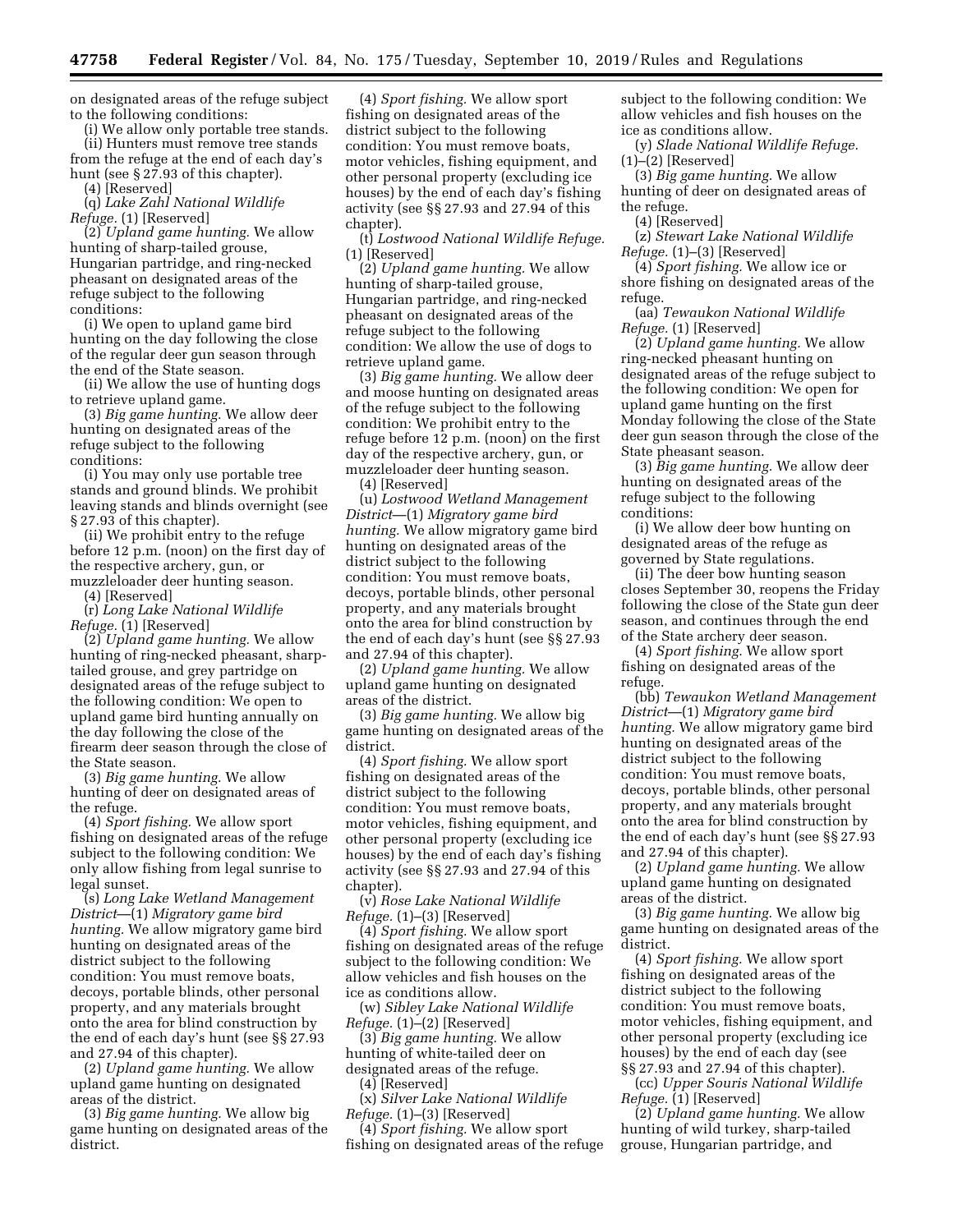on designated areas of the refuge subject to the following conditions:

(i) We allow only portable tree stands. (ii) Hunters must remove tree stands from the refuge at the end of each day's hunt (see § 27.93 of this chapter).

(4) [Reserved]

(q) *Lake Zahl National Wildlife Refuge.* (1) [Reserved]

(2) *Upland game hunting.* We allow hunting of sharp-tailed grouse, Hungarian partridge, and ring-necked pheasant on designated areas of the refuge subject to the following conditions:

(i) We open to upland game bird hunting on the day following the close of the regular deer gun season through the end of the State season.

(ii) We allow the use of hunting dogs to retrieve upland game.

(3) *Big game hunting.* We allow deer hunting on designated areas of the refuge subject to the following conditions:

(i) You may only use portable tree stands and ground blinds. We prohibit leaving stands and blinds overnight (see § 27.93 of this chapter).

(ii) We prohibit entry to the refuge before 12 p.m. (noon) on the first day of the respective archery, gun, or muzzleloader deer hunting season.

(4) [Reserved]

(r) *Long Lake National Wildlife Refuge.* (1) [Reserved]

(2) *Upland game hunting.* We allow hunting of ring-necked pheasant, sharptailed grouse, and grey partridge on designated areas of the refuge subject to the following condition: We open to upland game bird hunting annually on the day following the close of the firearm deer season through the close of the State season.

(3) *Big game hunting.* We allow hunting of deer on designated areas of the refuge.

(4) *Sport fishing.* We allow sport fishing on designated areas of the refuge subject to the following condition: We only allow fishing from legal sunrise to legal sunset.

(s) *Long Lake Wetland Management District*—(1) *Migratory game bird hunting.* We allow migratory game bird hunting on designated areas of the district subject to the following condition: You must remove boats, decoys, portable blinds, other personal property, and any materials brought onto the area for blind construction by the end of each day's hunt (see §§ 27.93 and 27.94 of this chapter).

(2) *Upland game hunting.* We allow upland game hunting on designated areas of the district.

(3) *Big game hunting.* We allow big game hunting on designated areas of the district.

(4) *Sport fishing.* We allow sport fishing on designated areas of the district subject to the following condition: You must remove boats, motor vehicles, fishing equipment, and other personal property (excluding ice houses) by the end of each day's fishing activity (see §§ 27.93 and 27.94 of this chapter).

(t) *Lostwood National Wildlife Refuge.*  (1) [Reserved]

(2) *Upland game hunting.* We allow hunting of sharp-tailed grouse, Hungarian partridge, and ring-necked pheasant on designated areas of the refuge subject to the following condition: We allow the use of dogs to retrieve upland game.

(3) *Big game hunting.* We allow deer and moose hunting on designated areas of the refuge subject to the following condition: We prohibit entry to the refuge before 12 p.m. (noon) on the first day of the respective archery, gun, or muzzleloader deer hunting season.

(4) [Reserved] (u) *Lostwood Wetland Management District*—(1) *Migratory game bird* 

*hunting.* We allow migratory game bird hunting on designated areas of the district subject to the following condition: You must remove boats, decoys, portable blinds, other personal property, and any materials brought onto the area for blind construction by the end of each day's hunt (see §§ 27.93 and 27.94 of this chapter).

(2) *Upland game hunting.* We allow upland game hunting on designated areas of the district.

(3) *Big game hunting.* We allow big game hunting on designated areas of the district.

(4) *Sport fishing.* We allow sport fishing on designated areas of the district subject to the following condition: You must remove boats, motor vehicles, fishing equipment, and other personal property (excluding ice houses) by the end of each day's fishing activity (see §§ 27.93 and 27.94 of this chapter).

(v) *Rose Lake National Wildlife Refuge.* (1)–(3) [Reserved]

(4) *Sport fishing.* We allow sport fishing on designated areas of the refuge subject to the following condition: We allow vehicles and fish houses on the ice as conditions allow.

(w) *Sibley Lake National Wildlife Refuge.* (1)–(2) [Reserved]

(3) *Big game hunting.* We allow hunting of white-tailed deer on designated areas of the refuge.

(4) [Reserved]

(x) *Silver Lake National Wildlife Refuge.* (1)–(3) [Reserved]

(4) *Sport fishing.* We allow sport fishing on designated areas of the refuge subject to the following condition: We allow vehicles and fish houses on the ice as conditions allow.

(y) *Slade National Wildlife Refuge.*  (1)–(2) [Reserved]

(3) *Big game hunting.* We allow hunting of deer on designated areas of the refuge.

(4) [Reserved]

(z) *Stewart Lake National Wildlife Refuge.* (1)–(3) [Reserved]

(4) *Sport fishing.* We allow ice or shore fishing on designated areas of the refuge.

(aa) *Tewaukon National Wildlife Refuge.* (1) [Reserved]

(2) *Upland game hunting.* We allow ring-necked pheasant hunting on designated areas of the refuge subject to the following condition: We open for upland game hunting on the first Monday following the close of the State deer gun season through the close of the State pheasant season.

(3) *Big game hunting.* We allow deer hunting on designated areas of the refuge subject to the following conditions:

(i) We allow deer bow hunting on designated areas of the refuge as governed by State regulations.

(ii) The deer bow hunting season closes September 30, reopens the Friday following the close of the State gun deer season, and continues through the end of the State archery deer season.

(4) *Sport fishing.* We allow sport fishing on designated areas of the refuge.

(bb) *Tewaukon Wetland Management District*—(1) *Migratory game bird hunting.* We allow migratory game bird hunting on designated areas of the district subject to the following condition: You must remove boats, decoys, portable blinds, other personal property, and any materials brought onto the area for blind construction by the end of each day's hunt (see §§ 27.93 and 27.94 of this chapter).

(2) *Upland game hunting.* We allow upland game hunting on designated areas of the district.

(3) *Big game hunting.* We allow big game hunting on designated areas of the district.

(4) *Sport fishing.* We allow sport fishing on designated areas of the district subject to the following condition: You must remove boats, motor vehicles, fishing equipment, and other personal property (excluding ice houses) by the end of each day (see §§ 27.93 and 27.94 of this chapter).

(cc) *Upper Souris National Wildlife Refuge.* (1) [Reserved]

(2) *Upland game hunting.* We allow hunting of wild turkey, sharp-tailed grouse, Hungarian partridge, and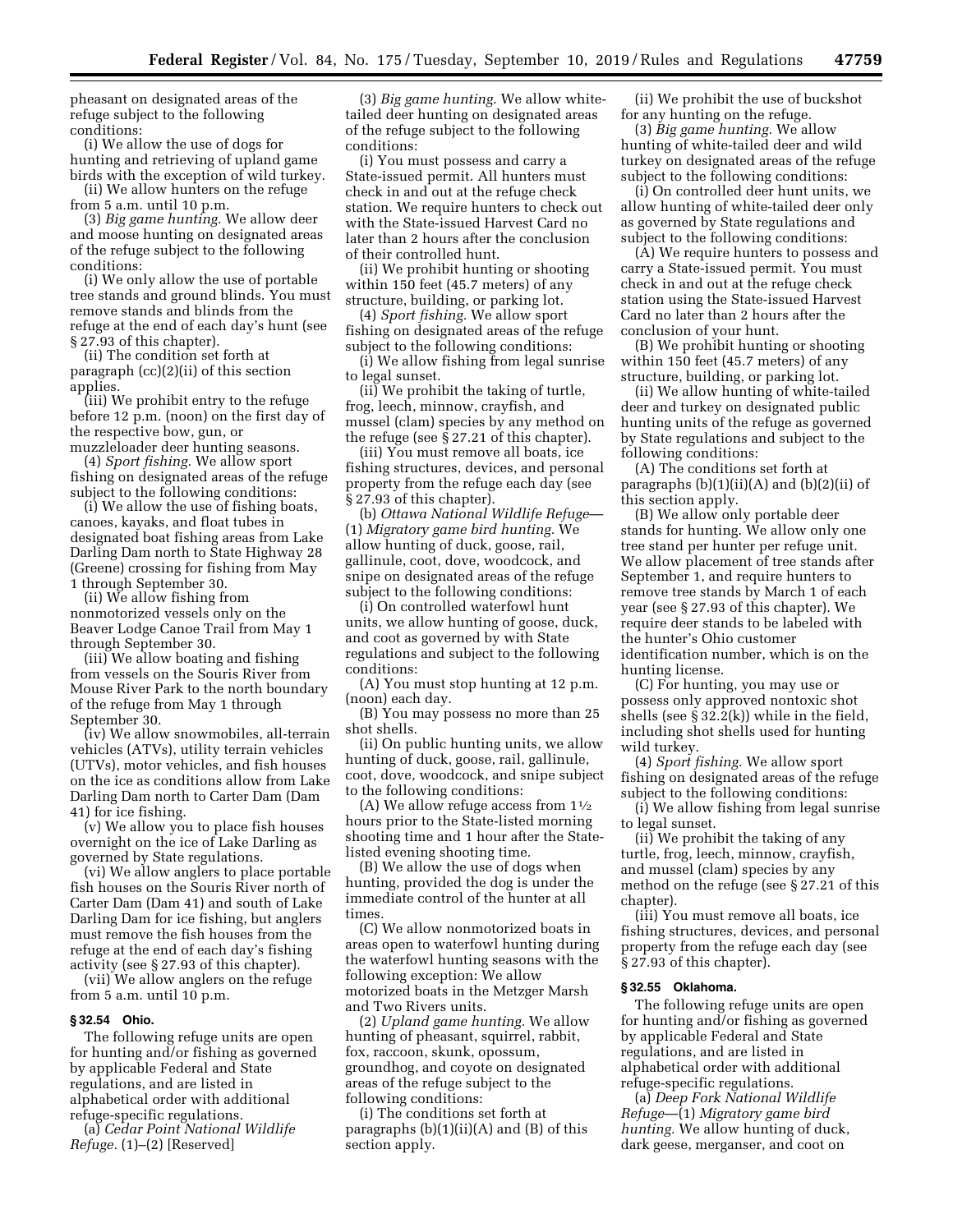pheasant on designated areas of the refuge subject to the following conditions:

(i) We allow the use of dogs for hunting and retrieving of upland game birds with the exception of wild turkey.

(ii) We allow hunters on the refuge from 5 a.m. until 10 p.m.

(3) *Big game hunting.* We allow deer and moose hunting on designated areas of the refuge subject to the following conditions:

(i) We only allow the use of portable tree stands and ground blinds. You must remove stands and blinds from the refuge at the end of each day's hunt (see § 27.93 of this chapter).

(ii) The condition set forth at paragraph (cc)(2)(ii) of this section applies.

(iii) We prohibit entry to the refuge before 12 p.m. (noon) on the first day of the respective bow, gun, or muzzleloader deer hunting seasons.

(4) *Sport fishing.* We allow sport fishing on designated areas of the refuge subject to the following conditions:

(i) We allow the use of fishing boats, canoes, kayaks, and float tubes in designated boat fishing areas from Lake Darling Dam north to State Highway 28 (Greene) crossing for fishing from May 1 through September 30.

(ii) We allow fishing from nonmotorized vessels only on the Beaver Lodge Canoe Trail from May 1 through September 30.

(iii) We allow boating and fishing from vessels on the Souris River from Mouse River Park to the north boundary of the refuge from May 1 through September 30.

(iv) We allow snowmobiles, all-terrain vehicles (ATVs), utility terrain vehicles (UTVs), motor vehicles, and fish houses on the ice as conditions allow from Lake Darling Dam north to Carter Dam (Dam 41) for ice fishing.

(v) We allow you to place fish houses overnight on the ice of Lake Darling as governed by State regulations.

(vi) We allow anglers to place portable fish houses on the Souris River north of Carter Dam (Dam 41) and south of Lake Darling Dam for ice fishing, but anglers must remove the fish houses from the refuge at the end of each day's fishing activity (see § 27.93 of this chapter).

(vii) We allow anglers on the refuge from 5 a.m. until 10 p.m.

### **§ 32.54 Ohio.**

The following refuge units are open for hunting and/or fishing as governed by applicable Federal and State regulations, and are listed in alphabetical order with additional refuge-specific regulations.

(a) *Cedar Point National Wildlife Refuge.* (1)–(2) [Reserved]

(3) *Big game hunting.* We allow whitetailed deer hunting on designated areas of the refuge subject to the following conditions:

(i) You must possess and carry a State-issued permit. All hunters must check in and out at the refuge check station. We require hunters to check out with the State-issued Harvest Card no later than 2 hours after the conclusion of their controlled hunt.

(ii) We prohibit hunting or shooting within 150 feet (45.7 meters) of any structure, building, or parking lot.

(4) *Sport fishing.* We allow sport fishing on designated areas of the refuge subject to the following conditions:

(i) We allow fishing from legal sunrise to legal sunset.

(ii) We prohibit the taking of turtle, frog, leech, minnow, crayfish, and mussel (clam) species by any method on the refuge (see § 27.21 of this chapter).

(iii) You must remove all boats, ice fishing structures, devices, and personal property from the refuge each day (see § 27.93 of this chapter).

(b) *Ottawa National Wildlife Refuge*— (1) *Migratory game bird hunting.* We allow hunting of duck, goose, rail, gallinule, coot, dove, woodcock, and snipe on designated areas of the refuge subject to the following conditions:

(i) On controlled waterfowl hunt units, we allow hunting of goose, duck, and coot as governed by with State regulations and subject to the following conditions:

(A) You must stop hunting at 12 p.m. (noon) each day.

(B) You may possess no more than 25 shot shells.

(ii) On public hunting units, we allow hunting of duck, goose, rail, gallinule, coot, dove, woodcock, and snipe subject to the following conditions:

(A) We allow refuge access from  $1\frac{1}{2}$ hours prior to the State-listed morning shooting time and 1 hour after the Statelisted evening shooting time.

(B) We allow the use of dogs when hunting, provided the dog is under the immediate control of the hunter at all times.

(C) We allow nonmotorized boats in areas open to waterfowl hunting during the waterfowl hunting seasons with the following exception: We allow motorized boats in the Metzger Marsh and Two Rivers units.

(2) *Upland game hunting.* We allow hunting of pheasant, squirrel, rabbit, fox, raccoon, skunk, opossum, groundhog, and coyote on designated areas of the refuge subject to the following conditions:

(i) The conditions set forth at paragraphs  $(b)(1)(ii)(A)$  and  $(B)$  of this section apply.

(ii) We prohibit the use of buckshot for any hunting on the refuge.

(3) *Big game hunting.* We allow hunting of white-tailed deer and wild turkey on designated areas of the refuge subject to the following conditions:

(i) On controlled deer hunt units, we allow hunting of white-tailed deer only as governed by State regulations and subject to the following conditions:

(A) We require hunters to possess and carry a State-issued permit. You must check in and out at the refuge check station using the State-issued Harvest Card no later than 2 hours after the conclusion of your hunt.

(B) We prohibit hunting or shooting within 150 feet (45.7 meters) of any structure, building, or parking lot.

(ii) We allow hunting of white-tailed deer and turkey on designated public hunting units of the refuge as governed by State regulations and subject to the following conditions:

(A) The conditions set forth at paragraphs  $(b)(1)(ii)(A)$  and  $(b)(2)(ii)$  of this section apply.

(B) We allow only portable deer stands for hunting. We allow only one tree stand per hunter per refuge unit. We allow placement of tree stands after September 1, and require hunters to remove tree stands by March 1 of each year (see § 27.93 of this chapter). We require deer stands to be labeled with the hunter's Ohio customer identification number, which is on the hunting license.

(C) For hunting, you may use or possess only approved nontoxic shot shells (see § 32.2(k)) while in the field, including shot shells used for hunting wild turkey.

(4) *Sport fishing.* We allow sport fishing on designated areas of the refuge subject to the following conditions:

(i) We allow fishing from legal sunrise to legal sunset.

(ii) We prohibit the taking of any turtle, frog, leech, minnow, crayfish, and mussel (clam) species by any method on the refuge (see § 27.21 of this chapter).

(iii) You must remove all boats, ice fishing structures, devices, and personal property from the refuge each day (see § 27.93 of this chapter).

#### **§ 32.55 Oklahoma.**

The following refuge units are open for hunting and/or fishing as governed by applicable Federal and State regulations, and are listed in alphabetical order with additional refuge-specific regulations.

(a) *Deep Fork National Wildlife Refuge*—(1) *Migratory game bird hunting.* We allow hunting of duck, dark geese, merganser, and coot on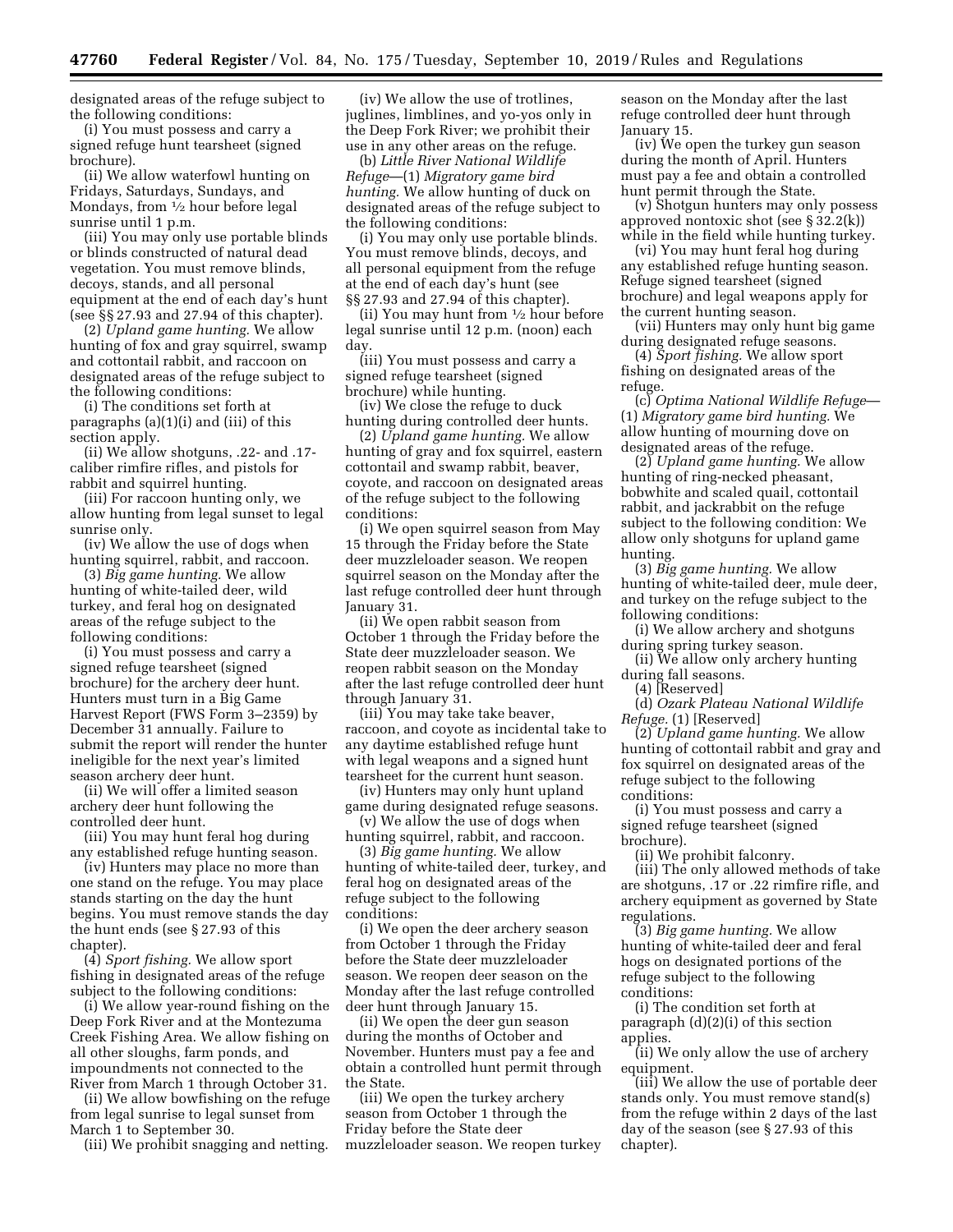designated areas of the refuge subject to the following conditions:

(i) You must possess and carry a signed refuge hunt tearsheet (signed brochure).

(ii) We allow waterfowl hunting on Fridays, Saturdays, Sundays, and Mondays, from 1⁄2 hour before legal sunrise until 1 p.m.

(iii) You may only use portable blinds or blinds constructed of natural dead vegetation. You must remove blinds, decoys, stands, and all personal equipment at the end of each day's hunt (see §§ 27.93 and 27.94 of this chapter).

(2) *Upland game hunting.* We allow hunting of fox and gray squirrel, swamp and cottontail rabbit, and raccoon on designated areas of the refuge subject to the following conditions:

(i) The conditions set forth at paragraphs (a)(1)(i) and (iii) of this section apply.

(ii) We allow shotguns, .22- and .17 caliber rimfire rifles, and pistols for rabbit and squirrel hunting.

(iii) For raccoon hunting only, we allow hunting from legal sunset to legal sunrise only.

(iv) We allow the use of dogs when hunting squirrel, rabbit, and raccoon.

(3) *Big game hunting.* We allow hunting of white-tailed deer, wild turkey, and feral hog on designated areas of the refuge subject to the following conditions:

(i) You must possess and carry a signed refuge tearsheet (signed brochure) for the archery deer hunt. Hunters must turn in a Big Game Harvest Report (FWS Form 3–2359) by December 31 annually. Failure to submit the report will render the hunter ineligible for the next year's limited season archery deer hunt.

(ii) We will offer a limited season archery deer hunt following the controlled deer hunt.

(iii) You may hunt feral hog during any established refuge hunting season.

(iv) Hunters may place no more than one stand on the refuge. You may place stands starting on the day the hunt begins. You must remove stands the day the hunt ends (see § 27.93 of this chapter).

(4) *Sport fishing.* We allow sport fishing in designated areas of the refuge subject to the following conditions:

(i) We allow year-round fishing on the Deep Fork River and at the Montezuma Creek Fishing Area. We allow fishing on all other sloughs, farm ponds, and impoundments not connected to the River from March 1 through October 31.

(ii) We allow bowfishing on the refuge from legal sunrise to legal sunset from March 1 to September 30.

(iii) We prohibit snagging and netting.

(iv) We allow the use of trotlines, juglines, limblines, and yo-yos only in the Deep Fork River; we prohibit their use in any other areas on the refuge.

(b) *Little River National Wildlife Refuge*—(1) *Migratory game bird hunting.* We allow hunting of duck on designated areas of the refuge subject to the following conditions:

(i) You may only use portable blinds. You must remove blinds, decoys, and all personal equipment from the refuge at the end of each day's hunt (see §§ 27.93 and 27.94 of this chapter).

(ii) You may hunt from 1⁄2 hour before legal sunrise until 12 p.m. (noon) each day.

(iii) You must possess and carry a signed refuge tearsheet (signed brochure) while hunting.

(iv) We close the refuge to duck hunting during controlled deer hunts.

(2) *Upland game hunting.* We allow hunting of gray and fox squirrel, eastern cottontail and swamp rabbit, beaver, coyote, and raccoon on designated areas of the refuge subject to the following conditions:

(i) We open squirrel season from May 15 through the Friday before the State deer muzzleloader season. We reopen squirrel season on the Monday after the last refuge controlled deer hunt through January 31.

(ii) We open rabbit season from October 1 through the Friday before the State deer muzzleloader season. We reopen rabbit season on the Monday after the last refuge controlled deer hunt through January 31.

(iii) You may take take beaver, raccoon, and coyote as incidental take to any daytime established refuge hunt with legal weapons and a signed hunt tearsheet for the current hunt season.

(iv) Hunters may only hunt upland game during designated refuge seasons. (v) We allow the use of dogs when

hunting squirrel, rabbit, and raccoon. (3) *Big game hunting.* We allow

hunting of white-tailed deer, turkey, and feral hog on designated areas of the refuge subject to the following conditions:

(i) We open the deer archery season from October 1 through the Friday before the State deer muzzleloader season. We reopen deer season on the Monday after the last refuge controlled deer hunt through January 15.

(ii) We open the deer gun season during the months of October and November. Hunters must pay a fee and obtain a controlled hunt permit through the State.

(iii) We open the turkey archery season from October 1 through the Friday before the State deer muzzleloader season. We reopen turkey season on the Monday after the last refuge controlled deer hunt through January 15.

(iv) We open the turkey gun season during the month of April. Hunters must pay a fee and obtain a controlled hunt permit through the State.

(v) Shotgun hunters may only possess approved nontoxic shot (see § 32.2(k)) while in the field while hunting turkey.

(vi) You may hunt feral hog during any established refuge hunting season. Refuge signed tearsheet (signed brochure) and legal weapons apply for the current hunting season.

(vii) Hunters may only hunt big game during designated refuge seasons.

(4) *Sport fishing.* We allow sport fishing on designated areas of the refuge.

(c) *Optima National Wildlife Refuge*— (1) *Migratory game bird hunting.* We allow hunting of mourning dove on designated areas of the refuge.

(2) *Upland game hunting.* We allow hunting of ring-necked pheasant, bobwhite and scaled quail, cottontail rabbit, and jackrabbit on the refuge subject to the following condition: We allow only shotguns for upland game hunting.

(3) *Big game hunting.* We allow hunting of white-tailed deer, mule deer, and turkey on the refuge subject to the following conditions:

(i) We allow archery and shotguns during spring turkey season.

(ii) We allow only archery hunting during fall seasons.

(4) [Reserved]

(d) *Ozark Plateau National Wildlife Refuge.* (1) [Reserved]

(2) *Upland game hunting.* We allow hunting of cottontail rabbit and gray and fox squirrel on designated areas of the refuge subject to the following conditions:

(i) You must possess and carry a signed refuge tearsheet (signed brochure).

(ii) We prohibit falconry.

(iii) The only allowed methods of take are shotguns, .17 or .22 rimfire rifle, and archery equipment as governed by State regulations.

(3) *Big game hunting.* We allow hunting of white-tailed deer and feral hogs on designated portions of the refuge subject to the following conditions:

(i) The condition set forth at paragraph (d)(2)(i) of this section applies.

(ii) We only allow the use of archery equipment.

(iii) We allow the use of portable deer stands only. You must remove stand(s) from the refuge within 2 days of the last day of the season (see § 27.93 of this chapter).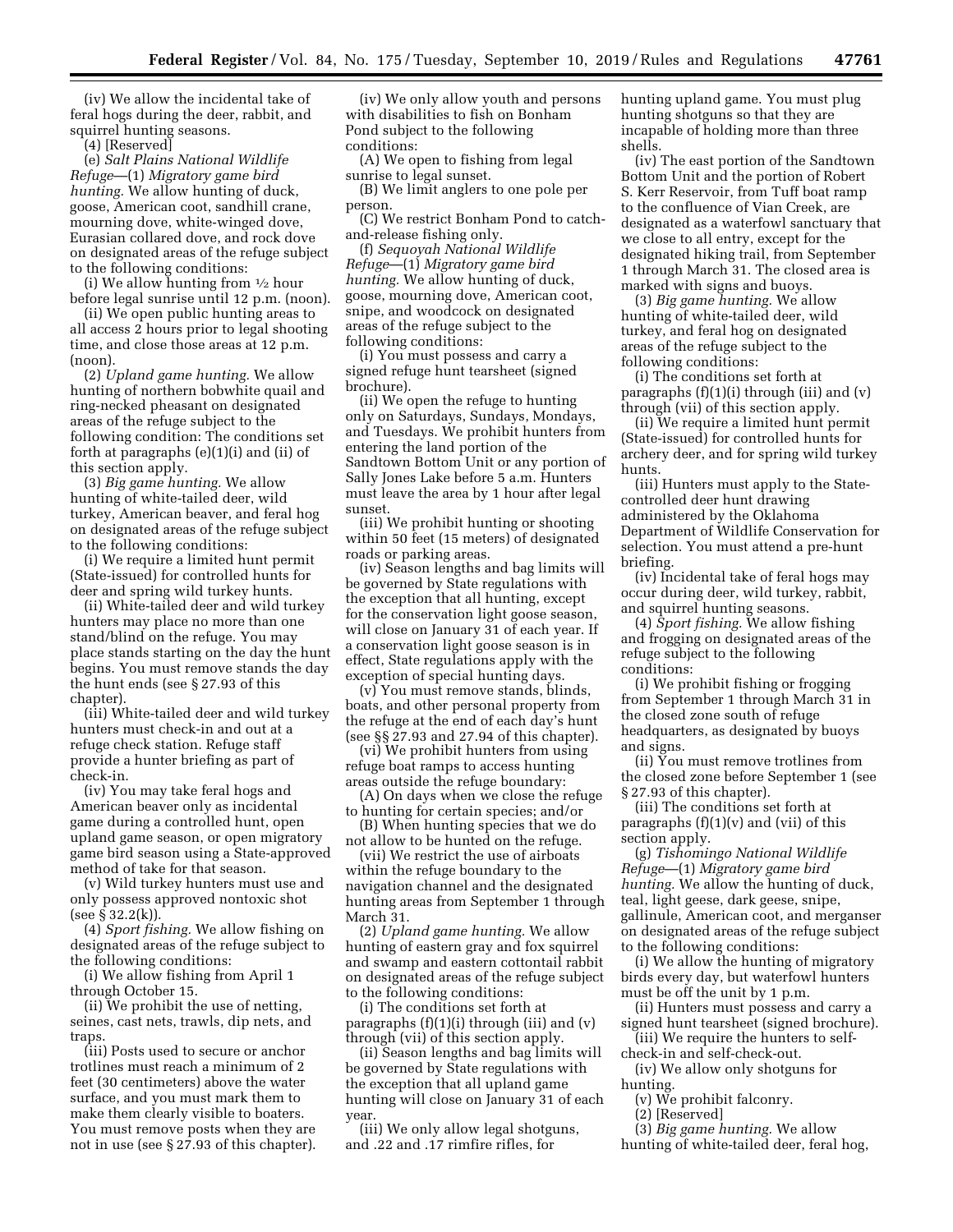(iv) We allow the incidental take of feral hogs during the deer, rabbit, and squirrel hunting seasons.

(4) [Reserved]

(e) *Salt Plains National Wildlife Refuge*—(1) *Migratory game bird hunting.* We allow hunting of duck, goose, American coot, sandhill crane, mourning dove, white-winged dove, Eurasian collared dove, and rock dove on designated areas of the refuge subject to the following conditions:

(i) We allow hunting from  $\frac{1}{2}$  hour before legal sunrise until 12 p.m. (noon).

(ii) We open public hunting areas to all access 2 hours prior to legal shooting time, and close those areas at 12 p.m. (noon).

(2) *Upland game hunting.* We allow hunting of northern bobwhite quail and ring-necked pheasant on designated areas of the refuge subject to the following condition: The conditions set forth at paragraphs (e)(1)(i) and (ii) of this section apply.

(3) *Big game hunting.* We allow hunting of white-tailed deer, wild turkey, American beaver, and feral hog on designated areas of the refuge subject to the following conditions:

(i) We require a limited hunt permit (State-issued) for controlled hunts for deer and spring wild turkey hunts.

(ii) White-tailed deer and wild turkey hunters may place no more than one stand/blind on the refuge. You may place stands starting on the day the hunt begins. You must remove stands the day the hunt ends (see § 27.93 of this chapter).

(iii) White-tailed deer and wild turkey hunters must check-in and out at a refuge check station. Refuge staff provide a hunter briefing as part of check-in.

(iv) You may take feral hogs and American beaver only as incidental game during a controlled hunt, open upland game season, or open migratory game bird season using a State-approved method of take for that season.

(v) Wild turkey hunters must use and only possess approved nontoxic shot (see § 32.2(k)).

(4) *Sport fishing.* We allow fishing on designated areas of the refuge subject to the following conditions:

(i) We allow fishing from April 1 through October 15.

(ii) We prohibit the use of netting, seines, cast nets, trawls, dip nets, and traps.

(iii) Posts used to secure or anchor trotlines must reach a minimum of 2 feet (30 centimeters) above the water surface, and you must mark them to make them clearly visible to boaters. You must remove posts when they are not in use (see § 27.93 of this chapter).

(iv) We only allow youth and persons with disabilities to fish on Bonham Pond subject to the following conditions:

(A) We open to fishing from legal sunrise to legal sunset.

(B) We limit anglers to one pole per person.

(C) We restrict Bonham Pond to catchand-release fishing only.

(f) *Sequoyah National Wildlife Refuge*—(1) *Migratory game bird hunting.* We allow hunting of duck, goose, mourning dove, American coot, snipe, and woodcock on designated areas of the refuge subject to the following conditions:

(i) You must possess and carry a signed refuge hunt tearsheet (signed brochure).

(ii) We open the refuge to hunting only on Saturdays, Sundays, Mondays, and Tuesdays. We prohibit hunters from entering the land portion of the Sandtown Bottom Unit or any portion of Sally Jones Lake before 5 a.m. Hunters must leave the area by 1 hour after legal sunset.

(iii) We prohibit hunting or shooting within 50 feet (15 meters) of designated roads or parking areas.

(iv) Season lengths and bag limits will be governed by State regulations with the exception that all hunting, except for the conservation light goose season, will close on January 31 of each year. If a conservation light goose season is in effect, State regulations apply with the exception of special hunting days.

(v) You must remove stands, blinds, boats, and other personal property from the refuge at the end of each day's hunt (see §§ 27.93 and 27.94 of this chapter).

(vi) We prohibit hunters from using refuge boat ramps to access hunting areas outside the refuge boundary:

(A) On days when we close the refuge to hunting for certain species; and/or

(B) When hunting species that we do not allow to be hunted on the refuge.

(vii) We restrict the use of airboats within the refuge boundary to the navigation channel and the designated hunting areas from September 1 through March 31.

(2) *Upland game hunting.* We allow hunting of eastern gray and fox squirrel and swamp and eastern cottontail rabbit on designated areas of the refuge subject to the following conditions:

(i) The conditions set forth at paragraphs  $(f)(1)(i)$  through (iii) and  $(v)$ through (vii) of this section apply.

(ii) Season lengths and bag limits will be governed by State regulations with the exception that all upland game hunting will close on January 31 of each year.

(iii) We only allow legal shotguns, and .22 and .17 rimfire rifles, for

hunting upland game. You must plug hunting shotguns so that they are incapable of holding more than three shells.

(iv) The east portion of the Sandtown Bottom Unit and the portion of Robert S. Kerr Reservoir, from Tuff boat ramp to the confluence of Vian Creek, are designated as a waterfowl sanctuary that we close to all entry, except for the designated hiking trail, from September 1 through March 31. The closed area is marked with signs and buoys.

(3) *Big game hunting.* We allow hunting of white-tailed deer, wild turkey, and feral hog on designated areas of the refuge subject to the following conditions:

(i) The conditions set forth at paragraphs (f)(1)(i) through (iii) and (v) through (vii) of this section apply.

(ii) We require a limited hunt permit (State-issued) for controlled hunts for archery deer, and for spring wild turkey hunts.

(iii) Hunters must apply to the Statecontrolled deer hunt drawing administered by the Oklahoma Department of Wildlife Conservation for selection. You must attend a pre-hunt briefing.

(iv) Incidental take of feral hogs may occur during deer, wild turkey, rabbit, and squirrel hunting seasons.

(4) *Sport fishing.* We allow fishing and frogging on designated areas of the refuge subject to the following conditions:

(i) We prohibit fishing or frogging from September 1 through March 31 in the closed zone south of refuge headquarters, as designated by buoys and signs.

(ii) You must remove trotlines from the closed zone before September 1 (see § 27.93 of this chapter).

(iii) The conditions set forth at paragraphs  $(f)(1)(v)$  and  $(vii)$  of this section apply.

(g) *Tishomingo National Wildlife Refuge*—(1) *Migratory game bird hunting.* We allow the hunting of duck, teal, light geese, dark geese, snipe, gallinule, American coot, and merganser on designated areas of the refuge subject to the following conditions:

(i) We allow the hunting of migratory birds every day, but waterfowl hunters must be off the unit by 1 p.m.

(ii) Hunters must possess and carry a signed hunt tearsheet (signed brochure).

(iii) We require the hunters to selfcheck-in and self-check-out.

(iv) We allow only shotguns for hunting.

(v) We prohibit falconry.

(2) [Reserved]

(3) *Big game hunting.* We allow

hunting of white-tailed deer, feral hog,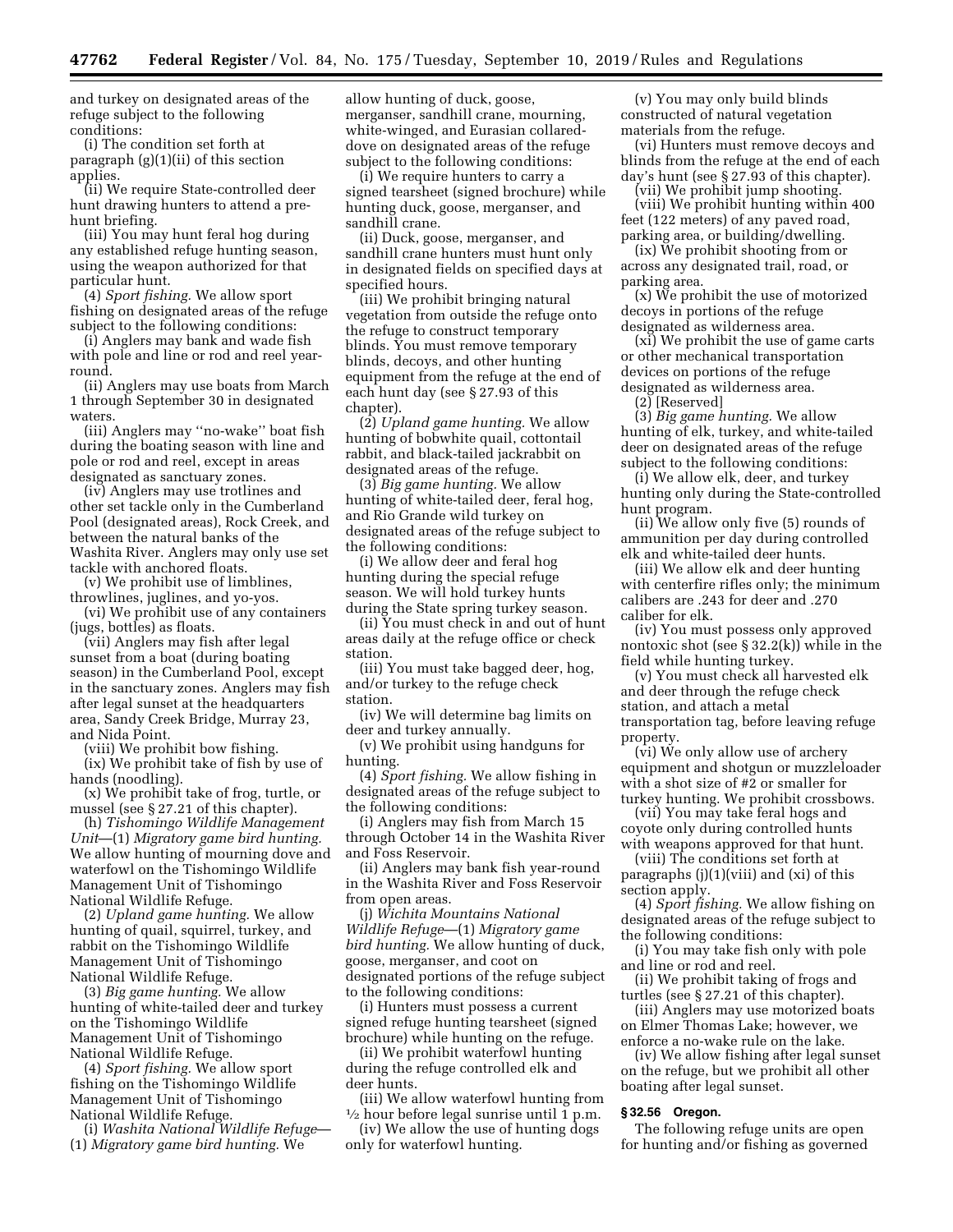and turkey on designated areas of the refuge subject to the following conditions:

(i) The condition set forth at paragraph (g)(1)(ii) of this section applies.

(ii) We require State-controlled deer hunt drawing hunters to attend a prehunt briefing.

(iii) You may hunt feral hog during any established refuge hunting season, using the weapon authorized for that particular hunt.

(4) *Sport fishing.* We allow sport fishing on designated areas of the refuge subject to the following conditions:

(i) Anglers may bank and wade fish with pole and line or rod and reel yearround.

(ii) Anglers may use boats from March 1 through September 30 in designated waters.

(iii) Anglers may ''no-wake'' boat fish during the boating season with line and pole or rod and reel, except in areas designated as sanctuary zones.

(iv) Anglers may use trotlines and other set tackle only in the Cumberland Pool (designated areas), Rock Creek, and between the natural banks of the Washita River. Anglers may only use set tackle with anchored floats.

(v) We prohibit use of limblines, throwlines, juglines, and yo-yos.

(vi) We prohibit use of any containers (jugs, bottles) as floats.

(vii) Anglers may fish after legal sunset from a boat (during boating season) in the Cumberland Pool, except in the sanctuary zones. Anglers may fish after legal sunset at the headquarters area, Sandy Creek Bridge, Murray 23, and Nida Point.

(viii) We prohibit bow fishing.

(ix) We prohibit take of fish by use of hands (noodling).

(x) We prohibit take of frog, turtle, or mussel (see § 27.21 of this chapter).

(h) *Tishomingo Wildlife Management Unit*—(1) *Migratory game bird hunting.*  We allow hunting of mourning dove and waterfowl on the Tishomingo Wildlife Management Unit of Tishomingo National Wildlife Refuge.

(2) *Upland game hunting.* We allow hunting of quail, squirrel, turkey, and rabbit on the Tishomingo Wildlife Management Unit of Tishomingo National Wildlife Refuge.

(3) *Big game hunting.* We allow hunting of white-tailed deer and turkey on the Tishomingo Wildlife Management Unit of Tishomingo National Wildlife Refuge.

(4) *Sport fishing.* We allow sport fishing on the Tishomingo Wildlife Management Unit of Tishomingo National Wildlife Refuge.

(i) *Washita National Wildlife Refuge*— (1) *Migratory game bird hunting.* We

allow hunting of duck, goose, merganser, sandhill crane, mourning, white-winged, and Eurasian collareddove on designated areas of the refuge subject to the following conditions:

(i) We require hunters to carry a signed tearsheet (signed brochure) while hunting duck, goose, merganser, and sandhill crane.

(ii) Duck, goose, merganser, and sandhill crane hunters must hunt only in designated fields on specified days at specified hours.

(iii) We prohibit bringing natural vegetation from outside the refuge onto the refuge to construct temporary blinds. You must remove temporary blinds, decoys, and other hunting equipment from the refuge at the end of each hunt day (see § 27.93 of this chapter).

(2) *Upland game hunting.* We allow hunting of bobwhite quail, cottontail rabbit, and black-tailed jackrabbit on designated areas of the refuge.

(3) *Big game hunting.* We allow hunting of white-tailed deer, feral hog, and Rio Grande wild turkey on designated areas of the refuge subject to the following conditions:

(i) We allow deer and feral hog hunting during the special refuge season. We will hold turkey hunts during the State spring turkey season.

(ii) You must check in and out of hunt areas daily at the refuge office or check station.

(iii) You must take bagged deer, hog, and/or turkey to the refuge check station.

(iv) We will determine bag limits on deer and turkey annually.

(v) We prohibit using handguns for hunting.

(4) *Sport fishing.* We allow fishing in designated areas of the refuge subject to the following conditions:

(i) Anglers may fish from March 15 through October 14 in the Washita River and Foss Reservoir.

(ii) Anglers may bank fish year-round in the Washita River and Foss Reservoir from open areas.

(j) *Wichita Mountains National Wildlife Refuge*—(1) *Migratory game bird hunting.* We allow hunting of duck, goose, merganser, and coot on designated portions of the refuge subject to the following conditions:

(i) Hunters must possess a current signed refuge hunting tearsheet (signed brochure) while hunting on the refuge.

(ii) We prohibit waterfowl hunting during the refuge controlled elk and deer hunts.

(iii) We allow waterfowl hunting from 1⁄2 hour before legal sunrise until 1 p.m.

(iv) We allow the use of hunting dogs only for waterfowl hunting.

(v) You may only build blinds constructed of natural vegetation materials from the refuge.

(vi) Hunters must remove decoys and blinds from the refuge at the end of each day's hunt (see § 27.93 of this chapter).

(vii) We prohibit jump shooting. (viii) We prohibit hunting within 400 feet (122 meters) of any paved road, parking area, or building/dwelling.

(ix) We prohibit shooting from or across any designated trail, road, or parking area.

(x) We prohibit the use of motorized decoys in portions of the refuge designated as wilderness area.

(xi) We prohibit the use of game carts or other mechanical transportation devices on portions of the refuge designated as wilderness area.

(2) [Reserved]

(3) *Big game hunting.* We allow hunting of elk, turkey, and white-tailed deer on designated areas of the refuge subject to the following conditions:

(i) We allow elk, deer, and turkey hunting only during the State-controlled hunt program.

(ii) We allow only five (5) rounds of ammunition per day during controlled elk and white-tailed deer hunts.

(iii) We allow elk and deer hunting with centerfire rifles only; the minimum calibers are .243 for deer and .270 caliber for elk.

(iv) You must possess only approved nontoxic shot (see § 32.2(k)) while in the field while hunting turkey.

(v) You must check all harvested elk and deer through the refuge check station, and attach a metal transportation tag, before leaving refuge property.

(vi) We only allow use of archery equipment and shotgun or muzzleloader with a shot size of #2 or smaller for turkey hunting. We prohibit crossbows.

(vii) You may take feral hogs and coyote only during controlled hunts with weapons approved for that hunt.

(viii) The conditions set forth at paragraphs  $(j)(1)(viii)$  and  $(xi)$  of this

section apply. (4) *Sport fishing.* We allow fishing on

designated areas of the refuge subject to the following conditions:

(i) You may take fish only with pole and line or rod and reel.

(ii) We prohibit taking of frogs and turtles (see § 27.21 of this chapter).

(iii) Anglers may use motorized boats on Elmer Thomas Lake; however, we enforce a no-wake rule on the lake.

(iv) We allow fishing after legal sunset on the refuge, but we prohibit all other boating after legal sunset.

### **§ 32.56 Oregon.**

The following refuge units are open for hunting and/or fishing as governed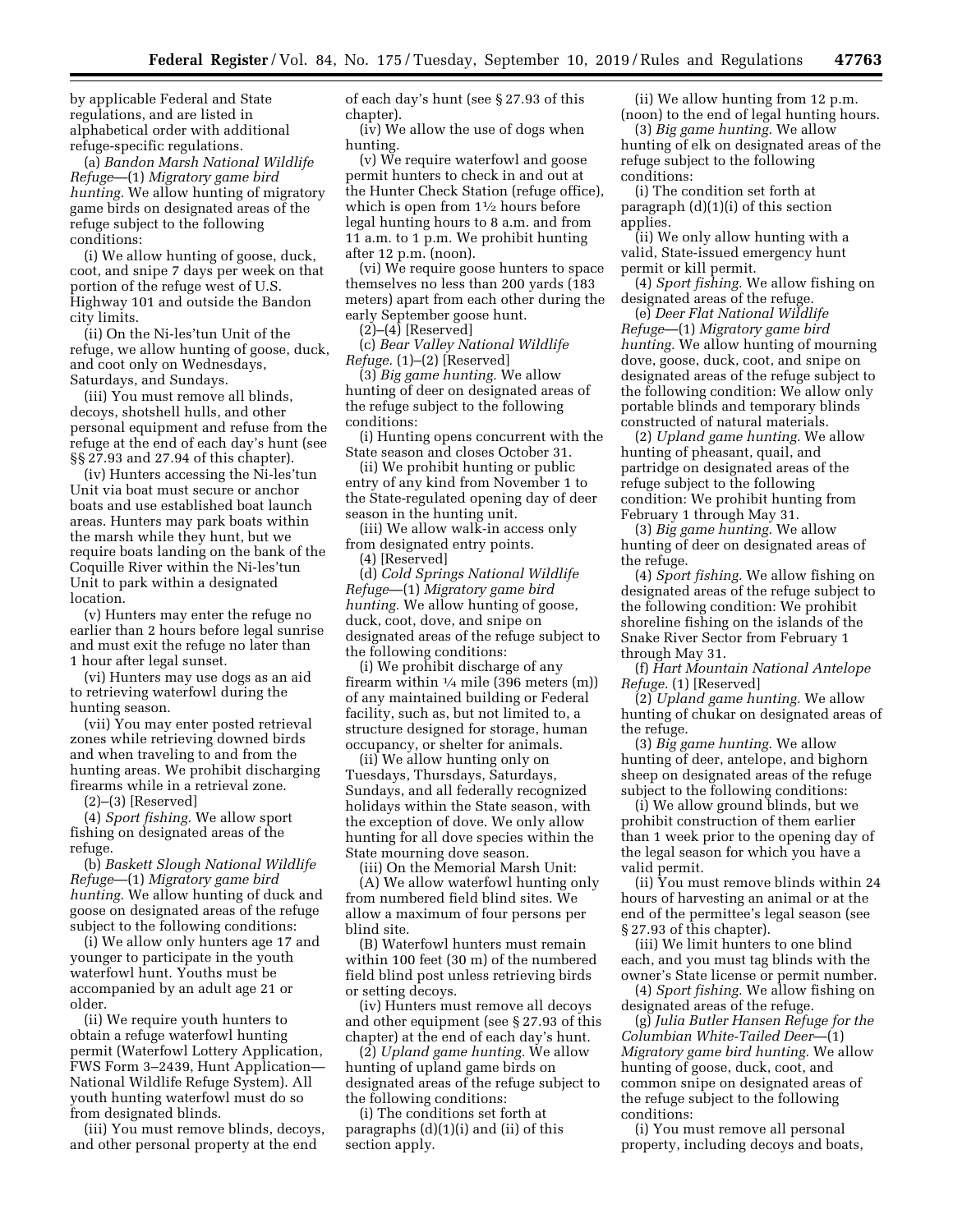by applicable Federal and State regulations, and are listed in alphabetical order with additional refuge-specific regulations.

(a) *Bandon Marsh National Wildlife Refuge*—(1) *Migratory game bird hunting.* We allow hunting of migratory game birds on designated areas of the refuge subject to the following conditions:

(i) We allow hunting of goose, duck, coot, and snipe 7 days per week on that portion of the refuge west of U.S. Highway 101 and outside the Bandon city limits.

(ii) On the Ni-les'tun Unit of the refuge, we allow hunting of goose, duck, and coot only on Wednesdays, Saturdays, and Sundays.

(iii) You must remove all blinds, decoys, shotshell hulls, and other personal equipment and refuse from the refuge at the end of each day's hunt (see §§ 27.93 and 27.94 of this chapter).

(iv) Hunters accessing the Ni-les'tun Unit via boat must secure or anchor boats and use established boat launch areas. Hunters may park boats within the marsh while they hunt, but we require boats landing on the bank of the Coquille River within the Ni-les'tun Unit to park within a designated location.

(v) Hunters may enter the refuge no earlier than 2 hours before legal sunrise and must exit the refuge no later than 1 hour after legal sunset.

(vi) Hunters may use dogs as an aid to retrieving waterfowl during the hunting season.

(vii) You may enter posted retrieval zones while retrieving downed birds and when traveling to and from the hunting areas. We prohibit discharging firearms while in a retrieval zone.

(2)–(3) [Reserved]

(4) *Sport fishing.* We allow sport fishing on designated areas of the refuge.

(b) *Baskett Slough National Wildlife Refuge*—(1) *Migratory game bird hunting.* We allow hunting of duck and goose on designated areas of the refuge subject to the following conditions:

(i) We allow only hunters age 17 and younger to participate in the youth waterfowl hunt. Youths must be accompanied by an adult age 21 or older.

(ii) We require youth hunters to obtain a refuge waterfowl hunting permit (Waterfowl Lottery Application, FWS Form 3–2439, Hunt Application— National Wildlife Refuge System). All youth hunting waterfowl must do so from designated blinds.

(iii) You must remove blinds, decoys, and other personal property at the end

of each day's hunt (see § 27.93 of this chapter).

(iv) We allow the use of dogs when hunting.

(v) We require waterfowl and goose permit hunters to check in and out at the Hunter Check Station (refuge office), which is open from  $1\frac{1}{2}$  hours before legal hunting hours to 8 a.m. and from 11 a.m. to 1 p.m. We prohibit hunting after 12 p.m. (noon).

(vi) We require goose hunters to space themselves no less than 200 yards (183 meters) apart from each other during the early September goose hunt.

(2)–(4) [Reserved]

(c) *Bear Valley National Wildlife Refuge.* (1)–(2) [Reserved]

(3) *Big game hunting.* We allow hunting of deer on designated areas of the refuge subject to the following conditions:

(i) Hunting opens concurrent with the State season and closes October 31.

(ii) We prohibit hunting or public entry of any kind from November 1 to the State-regulated opening day of deer season in the hunting unit.

(iii) We allow walk-in access only from designated entry points.

(4) [Reserved]

(d) *Cold Springs National Wildlife Refuge*—(1) *Migratory game bird hunting.* We allow hunting of goose, duck, coot, dove, and snipe on designated areas of the refuge subject to the following conditions:

(i) We prohibit discharge of any firearm within  $\frac{1}{4}$  mile (396 meters (m)) of any maintained building or Federal facility, such as, but not limited to, a structure designed for storage, human occupancy, or shelter for animals.

(ii) We allow hunting only on Tuesdays, Thursdays, Saturdays, Sundays, and all federally recognized holidays within the State season, with the exception of dove. We only allow hunting for all dove species within the State mourning dove season.

(iii) On the Memorial Marsh Unit: (A) We allow waterfowl hunting only from numbered field blind sites. We allow a maximum of four persons per blind site.

(B) Waterfowl hunters must remain within 100 feet (30 m) of the numbered field blind post unless retrieving birds or setting decoys.

(iv) Hunters must remove all decoys and other equipment (see § 27.93 of this chapter) at the end of each day's hunt.

(2) *Upland game hunting.* We allow hunting of upland game birds on designated areas of the refuge subject to the following conditions:

(i) The conditions set forth at paragraphs (d)(1)(i) and (ii) of this section apply.

(ii) We allow hunting from 12 p.m. (noon) to the end of legal hunting hours.

(3) *Big game hunting.* We allow hunting of elk on designated areas of the refuge subject to the following conditions:

(i) The condition set forth at paragraph (d)(1)(i) of this section applies.

(ii) We only allow hunting with a valid, State-issued emergency hunt permit or kill permit.

(4) *Sport fishing.* We allow fishing on designated areas of the refuge.

(e) *Deer Flat National Wildlife Refuge*—(1) *Migratory game bird hunting.* We allow hunting of mourning dove, goose, duck, coot, and snipe on designated areas of the refuge subject to the following condition: We allow only portable blinds and temporary blinds constructed of natural materials.

(2) *Upland game hunting.* We allow hunting of pheasant, quail, and partridge on designated areas of the refuge subject to the following condition: We prohibit hunting from February 1 through May 31.

(3) *Big game hunting.* We allow hunting of deer on designated areas of the refuge.

(4) *Sport fishing.* We allow fishing on designated areas of the refuge subject to the following condition: We prohibit shoreline fishing on the islands of the Snake River Sector from February 1 through May 31.

(f) *Hart Mountain National Antelope Refuge.* (1) [Reserved]

(2) *Upland game hunting.* We allow hunting of chukar on designated areas of the refuge.

(3) *Big game hunting.* We allow hunting of deer, antelope, and bighorn sheep on designated areas of the refuge subject to the following conditions:

(i) We allow ground blinds, but we prohibit construction of them earlier than 1 week prior to the opening day of the legal season for which you have a valid permit.

(ii) You must remove blinds within 24 hours of harvesting an animal or at the end of the permittee's legal season (see § 27.93 of this chapter).

(iii) We limit hunters to one blind each, and you must tag blinds with the owner's State license or permit number.

(4) *Sport fishing.* We allow fishing on designated areas of the refuge.

(g) *Julia Butler Hansen Refuge for the Columbian White-Tailed Deer*—(1) *Migratory game bird hunting.* We allow hunting of goose, duck, coot, and common snipe on designated areas of the refuge subject to the following conditions:

(i) You must remove all personal property, including decoys and boats,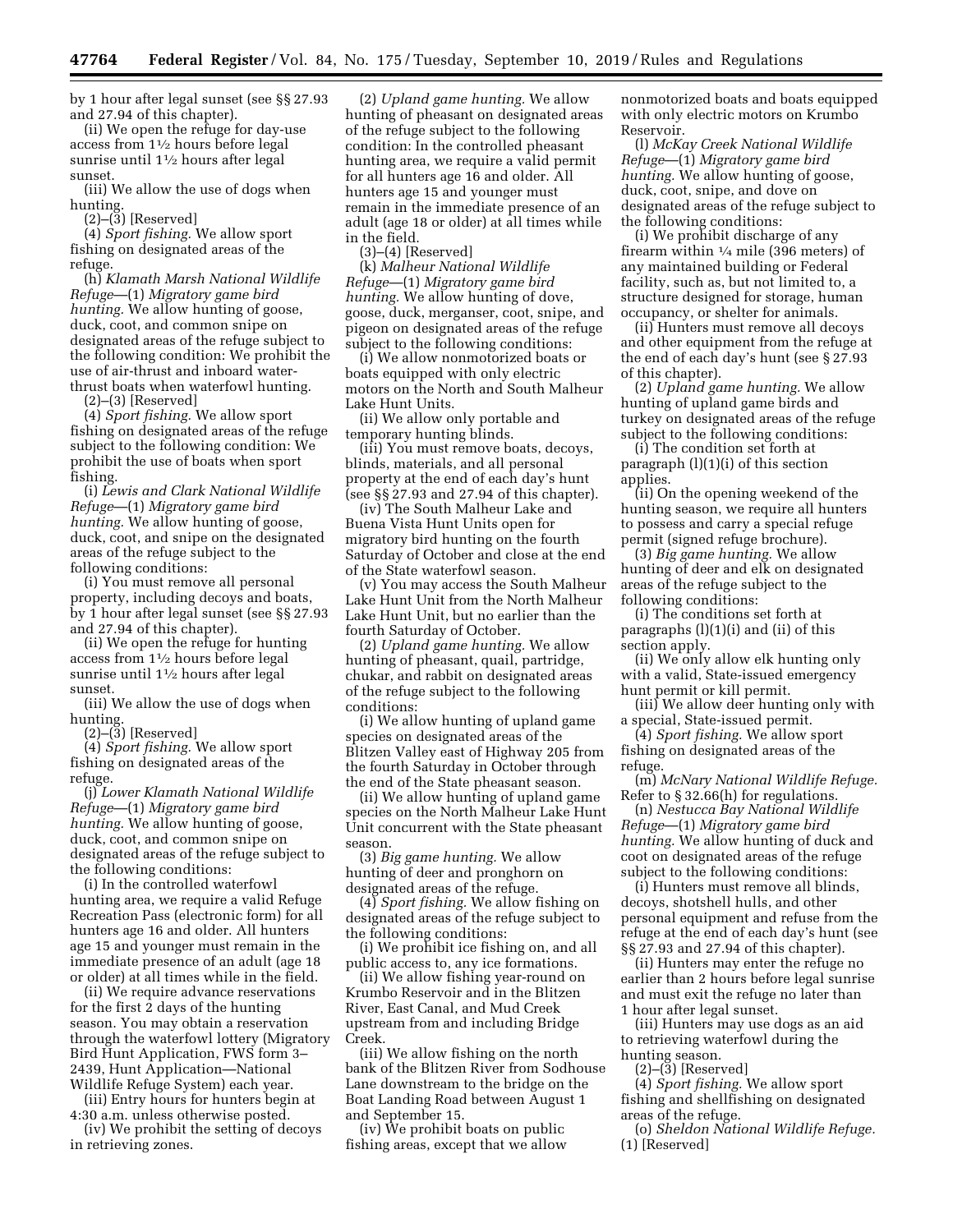by 1 hour after legal sunset (see §§ 27.93 and 27.94 of this chapter).

(ii) We open the refuge for day-use access from 11⁄2 hours before legal sunrise until 11⁄2 hours after legal sunset.

(iii) We allow the use of dogs when hunting.

(2)–(3) [Reserved]

(4) *Sport fishing.* We allow sport fishing on designated areas of the refuge.

(h) *Klamath Marsh National Wildlife Refuge*—(1) *Migratory game bird hunting.* We allow hunting of goose, duck, coot, and common snipe on designated areas of the refuge subject to the following condition: We prohibit the use of air-thrust and inboard waterthrust boats when waterfowl hunting.

(2)–(3) [Reserved]

(4) *Sport fishing.* We allow sport fishing on designated areas of the refuge subject to the following condition: We prohibit the use of boats when sport fishing.

(i) *Lewis and Clark National Wildlife Refuge*—(1) *Migratory game bird hunting.* We allow hunting of goose, duck, coot, and snipe on the designated areas of the refuge subject to the following conditions:

(i) You must remove all personal property, including decoys and boats, by 1 hour after legal sunset (see §§ 27.93 and 27.94 of this chapter).

(ii) We open the refuge for hunting access from 11⁄2 hours before legal sunrise until 11⁄2 hours after legal sunset.

(iii) We allow the use of dogs when hunting.

(2)–(3) [Reserved]

(4) *Sport fishing.* We allow sport fishing on designated areas of the refuge.

(j) *Lower Klamath National Wildlife Refuge*—(1) *Migratory game bird hunting.* We allow hunting of goose, duck, coot, and common snipe on designated areas of the refuge subject to the following conditions:

(i) In the controlled waterfowl hunting area, we require a valid Refuge Recreation Pass (electronic form) for all hunters age 16 and older. All hunters age 15 and younger must remain in the immediate presence of an adult (age 18 or older) at all times while in the field.

(ii) We require advance reservations for the first 2 days of the hunting season. You may obtain a reservation through the waterfowl lottery (Migratory Bird Hunt Application, FWS form 3– 2439, Hunt Application—National Wildlife Refuge System) each year.

(iii) Entry hours for hunters begin at

4:30 a.m. unless otherwise posted. (iv) We prohibit the setting of decoys

in retrieving zones.

(2) *Upland game hunting.* We allow hunting of pheasant on designated areas of the refuge subject to the following condition: In the controlled pheasant hunting area, we require a valid permit for all hunters age 16 and older. All hunters age 15 and younger must remain in the immediate presence of an adult (age 18 or older) at all times while in the field.

(3)–(4) [Reserved]

(k) *Malheur National Wildlife Refuge*—(1) *Migratory game bird hunting.* We allow hunting of dove, goose, duck, merganser, coot, snipe, and pigeon on designated areas of the refuge subject to the following conditions:

(i) We allow nonmotorized boats or boats equipped with only electric motors on the North and South Malheur Lake Hunt Units.

(ii) We allow only portable and temporary hunting blinds.

(iii) You must remove boats, decoys, blinds, materials, and all personal property at the end of each day's hunt (see §§ 27.93 and 27.94 of this chapter).

(iv) The South Malheur Lake and Buena Vista Hunt Units open for migratory bird hunting on the fourth Saturday of October and close at the end of the State waterfowl season.

(v) You may access the South Malheur Lake Hunt Unit from the North Malheur Lake Hunt Unit, but no earlier than the fourth Saturday of October.

(2) *Upland game hunting.* We allow hunting of pheasant, quail, partridge, chukar, and rabbit on designated areas of the refuge subject to the following conditions:

(i) We allow hunting of upland game species on designated areas of the Blitzen Valley east of Highway 205 from the fourth Saturday in October through the end of the State pheasant season.

(ii) We allow hunting of upland game species on the North Malheur Lake Hunt Unit concurrent with the State pheasant season.

(3) *Big game hunting.* We allow hunting of deer and pronghorn on designated areas of the refuge.

(4) *Sport fishing.* We allow fishing on designated areas of the refuge subject to the following conditions:

(i) We prohibit ice fishing on, and all public access to, any ice formations.

(ii) We allow fishing year-round on Krumbo Reservoir and in the Blitzen River, East Canal, and Mud Creek upstream from and including Bridge Creek.

(iii) We allow fishing on the north bank of the Blitzen River from Sodhouse Lane downstream to the bridge on the Boat Landing Road between August 1 and September 15.

(iv) We prohibit boats on public fishing areas, except that we allow nonmotorized boats and boats equipped with only electric motors on Krumbo Reservoir.

(l) *McKay Creek National Wildlife Refuge*—(1) *Migratory game bird hunting.* We allow hunting of goose, duck, coot, snipe, and dove on designated areas of the refuge subject to the following conditions:

(i) We prohibit discharge of any firearm within 1⁄4 mile (396 meters) of any maintained building or Federal facility, such as, but not limited to, a structure designed for storage, human occupancy, or shelter for animals.

(ii) Hunters must remove all decoys and other equipment from the refuge at the end of each day's hunt (see § 27.93 of this chapter).

(2) *Upland game hunting.* We allow hunting of upland game birds and turkey on designated areas of the refuge subject to the following conditions:

(i) The condition set forth at paragraph (l)(1)(i) of this section applies.

(ii) On the opening weekend of the hunting season, we require all hunters to possess and carry a special refuge permit (signed refuge brochure).

(3) *Big game hunting.* We allow hunting of deer and elk on designated areas of the refuge subject to the following conditions:

(i) The conditions set forth at paragraphs (l)(1)(i) and (ii) of this section apply.

(ii) We only allow elk hunting only with a valid, State-issued emergency hunt permit or kill permit.

(iii) We allow deer hunting only with a special, State-issued permit.

(4) *Sport fishing.* We allow sport fishing on designated areas of the refuge.

(m) *McNary National Wildlife Refuge.*  Refer to § 32.66(h) for regulations.

(n) *Nestucca Bay National Wildlife Refuge*—(1) *Migratory game bird hunting.* We allow hunting of duck and coot on designated areas of the refuge subject to the following conditions:

(i) Hunters must remove all blinds, decoys, shotshell hulls, and other personal equipment and refuse from the refuge at the end of each day's hunt (see §§ 27.93 and 27.94 of this chapter).

(ii) Hunters may enter the refuge no earlier than 2 hours before legal sunrise and must exit the refuge no later than 1 hour after legal sunset.

(iii) Hunters may use dogs as an aid to retrieving waterfowl during the hunting season.

(2)–(3) [Reserved]

(4) *Sport fishing.* We allow sport fishing and shellfishing on designated areas of the refuge.

(o) *Sheldon National Wildlife Refuge.*  (1) [Reserved]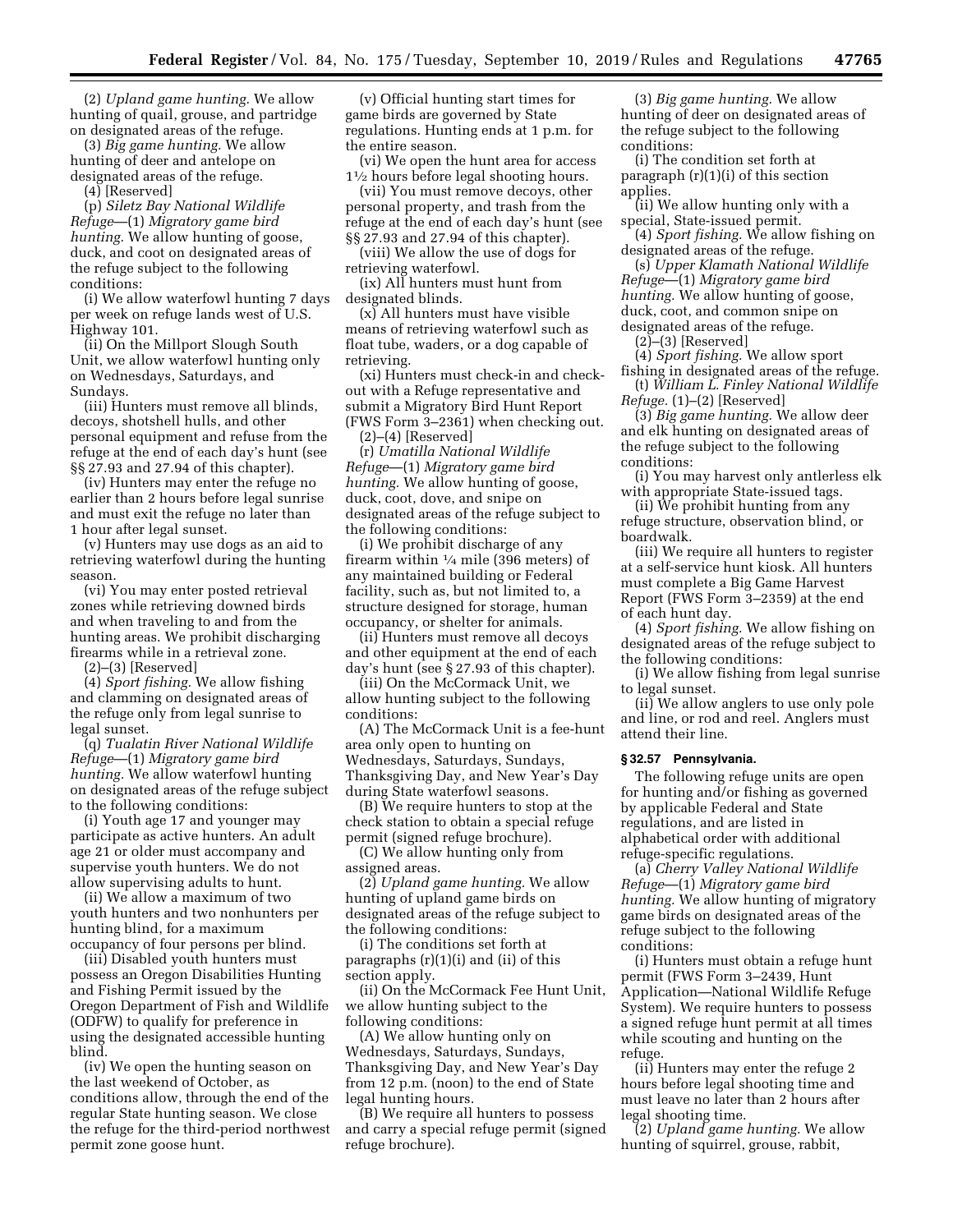(2) *Upland game hunting.* We allow hunting of quail, grouse, and partridge on designated areas of the refuge.

(3) *Big game hunting.* We allow hunting of deer and antelope on designated areas of the refuge.

(4) [Reserved]

(p) *Siletz Bay National Wildlife Refuge*—(1) *Migratory game bird hunting.* We allow hunting of goose, duck, and coot on designated areas of the refuge subject to the following conditions:

(i) We allow waterfowl hunting 7 days per week on refuge lands west of U.S. Highway 101.

(ii) On the Millport Slough South Unit, we allow waterfowl hunting only on Wednesdays, Saturdays, and Sundays.

(iii) Hunters must remove all blinds, decoys, shotshell hulls, and other personal equipment and refuse from the refuge at the end of each day's hunt (see §§ 27.93 and 27.94 of this chapter).

(iv) Hunters may enter the refuge no earlier than 2 hours before legal sunrise and must exit the refuge no later than 1 hour after legal sunset.

(v) Hunters may use dogs as an aid to retrieving waterfowl during the hunting season.

(vi) You may enter posted retrieval zones while retrieving downed birds and when traveling to and from the hunting areas. We prohibit discharging firearms while in a retrieval zone.

(2)–(3) [Reserved]

(4) *Sport fishing.* We allow fishing and clamming on designated areas of the refuge only from legal sunrise to legal sunset.

(q) *Tualatin River National Wildlife Refuge*—(1) *Migratory game bird hunting.* We allow waterfowl hunting on designated areas of the refuge subject to the following conditions:

(i) Youth age 17 and younger may participate as active hunters. An adult age 21 or older must accompany and supervise youth hunters. We do not allow supervising adults to hunt.

(ii) We allow a maximum of two youth hunters and two nonhunters per hunting blind, for a maximum occupancy of four persons per blind.

(iii) Disabled youth hunters must possess an Oregon Disabilities Hunting and Fishing Permit issued by the Oregon Department of Fish and Wildlife (ODFW) to qualify for preference in using the designated accessible hunting blind.

(iv) We open the hunting season on the last weekend of October, as conditions allow, through the end of the regular State hunting season. We close the refuge for the third-period northwest permit zone goose hunt.

(v) Official hunting start times for game birds are governed by State regulations. Hunting ends at 1 p.m. for the entire season.

(vi) We open the hunt area for access 11⁄2 hours before legal shooting hours.

(vii) You must remove decoys, other personal property, and trash from the refuge at the end of each day's hunt (see §§ 27.93 and 27.94 of this chapter).

(viii) We allow the use of dogs for retrieving waterfowl.

(ix) All hunters must hunt from designated blinds.

(x) All hunters must have visible means of retrieving waterfowl such as float tube, waders, or a dog capable of retrieving.

(xi) Hunters must check-in and checkout with a Refuge representative and submit a Migratory Bird Hunt Report (FWS Form 3–2361) when checking out.

(2)–(4) [Reserved]

(r) *Umatilla National Wildlife Refuge*—(1) *Migratory game bird hunting.* We allow hunting of goose, duck, coot, dove, and snipe on designated areas of the refuge subject to the following conditions:

(i) We prohibit discharge of any firearm within 1⁄4 mile (396 meters) of any maintained building or Federal facility, such as, but not limited to, a structure designed for storage, human occupancy, or shelter for animals.

(ii) Hunters must remove all decoys and other equipment at the end of each day's hunt (see § 27.93 of this chapter).

(iii) On the McCormack Unit, we allow hunting subject to the following conditions:

(A) The McCormack Unit is a fee-hunt area only open to hunting on Wednesdays, Saturdays, Sundays, Thanksgiving Day, and New Year's Day during State waterfowl seasons.

(B) We require hunters to stop at the check station to obtain a special refuge

permit (signed refuge brochure). (C) We allow hunting only from assigned areas.

(2) *Upland game hunting.* We allow hunting of upland game birds on designated areas of the refuge subject to the following conditions:

(i) The conditions set forth at paragraphs (r)(1)(i) and (ii) of this section apply.

(ii) On the McCormack Fee Hunt Unit, we allow hunting subject to the following conditions:

(A) We allow hunting only on Wednesdays, Saturdays, Sundays, Thanksgiving Day, and New Year's Day from 12 p.m. (noon) to the end of State legal hunting hours.

(B) We require all hunters to possess and carry a special refuge permit (signed refuge brochure).

(3) *Big game hunting.* We allow hunting of deer on designated areas of the refuge subject to the following conditions:

(i) The condition set forth at paragraph (r)(1)(i) of this section applies.

(ii) We allow hunting only with a special, State-issued permit.

(4) *Sport fishing.* We allow fishing on designated areas of the refuge.

(s) *Upper Klamath National Wildlife Refuge*—(1) *Migratory game bird hunting.* We allow hunting of goose, duck, coot, and common snipe on designated areas of the refuge.

 $(2)$ – $(3)$  [Reserved]

(4) *Sport fishing.* We allow sport fishing in designated areas of the refuge. (t) *William L. Finley National Wildlife* 

*Refuge.* (1)–(2) [Reserved]

(3) *Big game hunting.* We allow deer and elk hunting on designated areas of the refuge subject to the following conditions:

(i) You may harvest only antlerless elk with appropriate State-issued tags.

(ii) We prohibit hunting from any refuge structure, observation blind, or boardwalk.

(iii) We require all hunters to register at a self-service hunt kiosk. All hunters must complete a Big Game Harvest Report (FWS Form 3–2359) at the end of each hunt day.

(4) *Sport fishing.* We allow fishing on designated areas of the refuge subject to the following conditions:

(i) We allow fishing from legal sunrise to legal sunset.

(ii) We allow anglers to use only pole and line, or rod and reel. Anglers must attend their line.

## **§ 32.57 Pennsylvania.**

The following refuge units are open for hunting and/or fishing as governed by applicable Federal and State regulations, and are listed in alphabetical order with additional refuge-specific regulations.

(a) *Cherry Valley National Wildlife Refuge*—(1) *Migratory game bird hunting.* We allow hunting of migratory game birds on designated areas of the refuge subject to the following conditions:

(i) Hunters must obtain a refuge hunt permit (FWS Form 3–2439, Hunt Application—National Wildlife Refuge System). We require hunters to possess a signed refuge hunt permit at all times while scouting and hunting on the refuge.

(ii) Hunters may enter the refuge 2 hours before legal shooting time and must leave no later than 2 hours after legal shooting time.

(2) *Upland game hunting.* We allow hunting of squirrel, grouse, rabbit,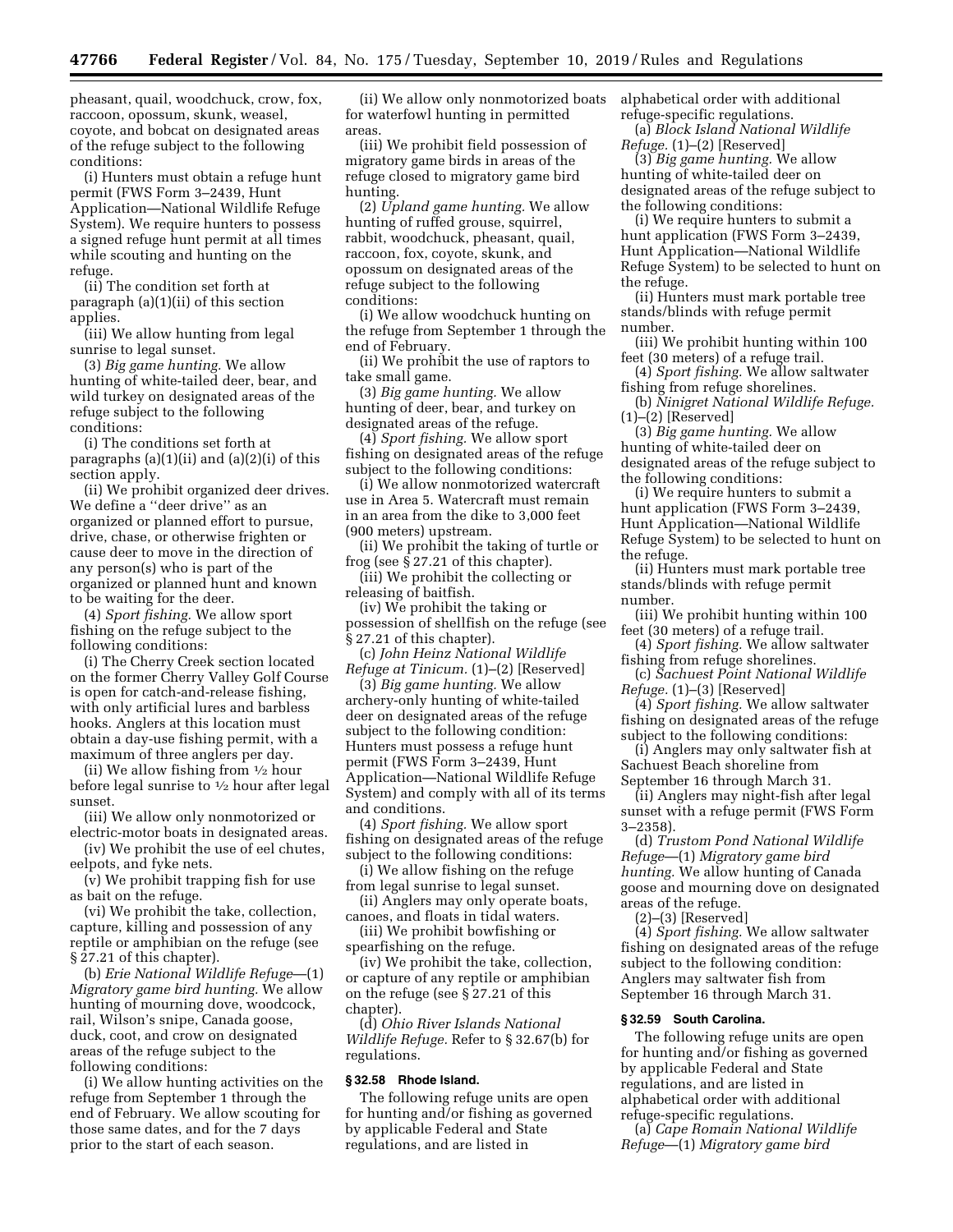pheasant, quail, woodchuck, crow, fox, raccoon, opossum, skunk, weasel, coyote, and bobcat on designated areas of the refuge subject to the following conditions:

(i) Hunters must obtain a refuge hunt permit (FWS Form 3–2439, Hunt Application—National Wildlife Refuge System). We require hunters to possess a signed refuge hunt permit at all times while scouting and hunting on the refuge.

(ii) The condition set forth at paragraph (a)(1)(ii) of this section applies.

(iii) We allow hunting from legal sunrise to legal sunset.

(3) *Big game hunting.* We allow hunting of white-tailed deer, bear, and wild turkey on designated areas of the refuge subject to the following conditions:

(i) The conditions set forth at paragraphs  $(a)(1)(ii)$  and  $(a)(2)(i)$  of this section apply.

(ii) We prohibit organized deer drives. We define a ''deer drive'' as an organized or planned effort to pursue, drive, chase, or otherwise frighten or cause deer to move in the direction of any person(s) who is part of the organized or planned hunt and known to be waiting for the deer.

(4) *Sport fishing.* We allow sport fishing on the refuge subject to the following conditions:

(i) The Cherry Creek section located on the former Cherry Valley Golf Course is open for catch-and-release fishing, with only artificial lures and barbless hooks. Anglers at this location must obtain a day-use fishing permit, with a maximum of three anglers per day.

(ii) We allow fishing from  $\frac{1}{2}$  hour before legal sunrise to 1⁄2 hour after legal sunset.

(iii) We allow only nonmotorized or electric-motor boats in designated areas.

(iv) We prohibit the use of eel chutes, eelpots, and fyke nets.

(v) We prohibit trapping fish for use as bait on the refuge.

(vi) We prohibit the take, collection, capture, killing and possession of any reptile or amphibian on the refuge (see § 27.21 of this chapter).

(b) *Erie National Wildlife Refuge*—(1) *Migratory game bird hunting.* We allow hunting of mourning dove, woodcock, rail, Wilson's snipe, Canada goose, duck, coot, and crow on designated areas of the refuge subject to the following conditions:

(i) We allow hunting activities on the refuge from September 1 through the end of February. We allow scouting for those same dates, and for the 7 days prior to the start of each season.

(ii) We allow only nonmotorized boats for waterfowl hunting in permitted areas.

(iii) We prohibit field possession of migratory game birds in areas of the refuge closed to migratory game bird hunting.

(2) *Upland game hunting.* We allow hunting of ruffed grouse, squirrel, rabbit, woodchuck, pheasant, quail, raccoon, fox, coyote, skunk, and opossum on designated areas of the refuge subject to the following conditions:

(i) We allow woodchuck hunting on the refuge from September 1 through the end of February.

(ii) We prohibit the use of raptors to take small game.

(3) *Big game hunting.* We allow hunting of deer, bear, and turkey on designated areas of the refuge.

(4) *Sport fishing.* We allow sport fishing on designated areas of the refuge subject to the following conditions:

(i) We allow nonmotorized watercraft use in Area 5. Watercraft must remain in an area from the dike to 3,000 feet (900 meters) upstream.

(ii) We prohibit the taking of turtle or frog (see § 27.21 of this chapter).

(iii) We prohibit the collecting or releasing of baitfish.

(iv) We prohibit the taking or possession of shellfish on the refuge (see § 27.21 of this chapter).

(c) *John Heinz National Wildlife Refuge at Tinicum.* (1)–(2) [Reserved]

(3) *Big game hunting.* We allow archery-only hunting of white-tailed deer on designated areas of the refuge subject to the following condition: Hunters must possess a refuge hunt permit (FWS Form 3–2439, Hunt Application—National Wildlife Refuge System) and comply with all of its terms and conditions.

(4) *Sport fishing.* We allow sport fishing on designated areas of the refuge subject to the following conditions:

(i) We allow fishing on the refuge from legal sunrise to legal sunset.

(ii) Anglers may only operate boats, canoes, and floats in tidal waters.

(iii) We prohibit bowfishing or spearfishing on the refuge.

(iv) We prohibit the take, collection, or capture of any reptile or amphibian on the refuge (see § 27.21 of this chapter).

(d) *Ohio River Islands National Wildlife Refuge.* Refer to § 32.67(b) for regulations.

# **§ 32.58 Rhode Island.**

The following refuge units are open for hunting and/or fishing as governed by applicable Federal and State regulations, and are listed in

alphabetical order with additional refuge-specific regulations.

(a) *Block Island National Wildlife Refuge.* (1)–(2) [Reserved]

(3) *Big game hunting.* We allow hunting of white-tailed deer on designated areas of the refuge subject to the following conditions:

(i) We require hunters to submit a hunt application (FWS Form 3–2439, Hunt Application—National Wildlife Refuge System) to be selected to hunt on the refuge.

(ii) Hunters must mark portable tree stands/blinds with refuge permit number.

(iii) We prohibit hunting within 100 feet (30 meters) of a refuge trail.

(4) *Sport fishing.* We allow saltwater fishing from refuge shorelines.

(b) *Ninigret National Wildlife Refuge.*   $(1)$ – $(2)$  [Reserved]

(3) *Big game hunting.* We allow hunting of white-tailed deer on designated areas of the refuge subject to the following conditions:

(i) We require hunters to submit a hunt application (FWS Form 3–2439, Hunt Application—National Wildlife Refuge System) to be selected to hunt on the refuge.

(ii) Hunters must mark portable tree stands/blinds with refuge permit number.

(iii) We prohibit hunting within 100 feet (30 meters) of a refuge trail.

(4) *Sport fishing.* We allow saltwater fishing from refuge shorelines.

(c) *Sachuest Point National Wildlife Refuge.* (1)–(3) [Reserved]

(4) *Sport fishing.* We allow saltwater fishing on designated areas of the refuge subject to the following conditions:

(i) Anglers may only saltwater fish at Sachuest Beach shoreline from

September 16 through March 31. (ii) Anglers may night-fish after legal sunset with a refuge permit (FWS Form 3–2358).

(d) *Trustom Pond National Wildlife Refuge*—(1) *Migratory game bird hunting.* We allow hunting of Canada goose and mourning dove on designated areas of the refuge.

(2)–(3) [Reserved]

(4) *Sport fishing.* We allow saltwater fishing on designated areas of the refuge subject to the following condition: Anglers may saltwater fish from September 16 through March 31.

### **§ 32.59 South Carolina.**

The following refuge units are open for hunting and/or fishing as governed by applicable Federal and State regulations, and are listed in alphabetical order with additional refuge-specific regulations.

(a) *Cape Romain National Wildlife Refuge*—(1) *Migratory game bird*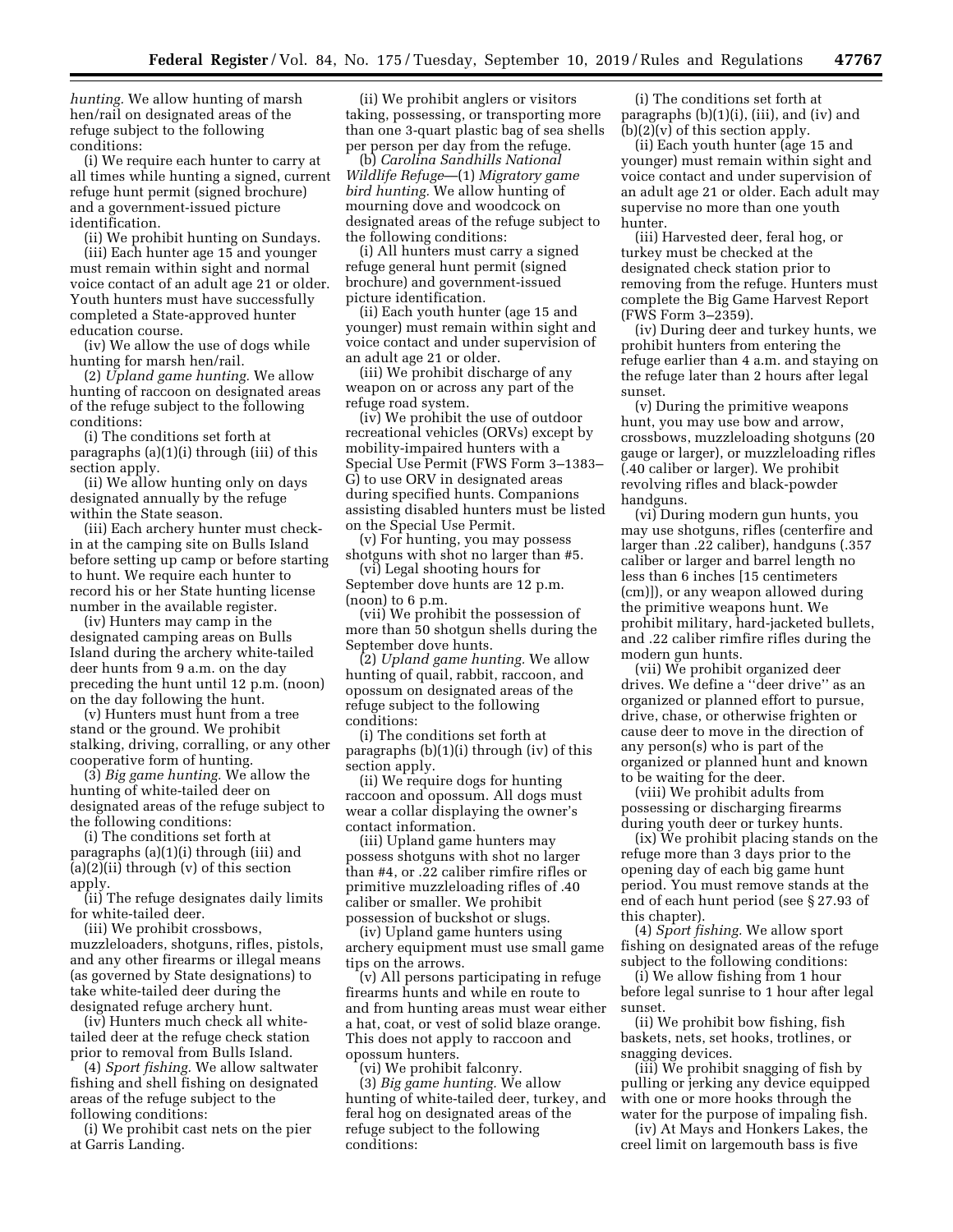*hunting.* We allow hunting of marsh hen/rail on designated areas of the refuge subject to the following conditions:

(i) We require each hunter to carry at all times while hunting a signed, current refuge hunt permit (signed brochure) and a government-issued picture identification.

(ii) We prohibit hunting on Sundays. (iii) Each hunter age 15 and younger must remain within sight and normal voice contact of an adult age 21 or older. Youth hunters must have successfully completed a State-approved hunter education course.

(iv) We allow the use of dogs while hunting for marsh hen/rail.

(2) *Upland game hunting.* We allow hunting of raccoon on designated areas of the refuge subject to the following conditions:

(i) The conditions set forth at paragraphs (a)(1)(i) through (iii) of this section apply.

(ii) We allow hunting only on days designated annually by the refuge within the State season.

(iii) Each archery hunter must checkin at the camping site on Bulls Island before setting up camp or before starting to hunt. We require each hunter to record his or her State hunting license number in the available register.

(iv) Hunters may camp in the designated camping areas on Bulls Island during the archery white-tailed deer hunts from 9 a.m. on the day preceding the hunt until 12 p.m. (noon) on the day following the hunt.

(v) Hunters must hunt from a tree stand or the ground. We prohibit stalking, driving, corralling, or any other cooperative form of hunting.

(3) *Big game hunting.* We allow the hunting of white-tailed deer on designated areas of the refuge subject to the following conditions:

(i) The conditions set forth at paragraphs (a)(1)(i) through (iii) and (a)(2)(ii) through (v) of this section apply.

(ii) The refuge designates daily limits for white-tailed deer.

(iii) We prohibit crossbows, muzzleloaders, shotguns, rifles, pistols, and any other firearms or illegal means (as governed by State designations) to take white-tailed deer during the designated refuge archery hunt.

(iv) Hunters much check all whitetailed deer at the refuge check station prior to removal from Bulls Island.

(4) *Sport fishing.* We allow saltwater fishing and shell fishing on designated areas of the refuge subject to the following conditions:

(i) We prohibit cast nets on the pier at Garris Landing.

(ii) We prohibit anglers or visitors taking, possessing, or transporting more than one 3-quart plastic bag of sea shells per person per day from the refuge.

(b) *Carolina Sandhills National Wildlife Refuge*—(1) *Migratory game bird hunting.* We allow hunting of mourning dove and woodcock on designated areas of the refuge subject to the following conditions:

(i) All hunters must carry a signed refuge general hunt permit (signed brochure) and government-issued picture identification.

(ii) Each youth hunter (age 15 and younger) must remain within sight and voice contact and under supervision of an adult age 21 or older.

(iii) We prohibit discharge of any weapon on or across any part of the refuge road system.

(iv) We prohibit the use of outdoor recreational vehicles (ORVs) except by mobility-impaired hunters with a Special Use Permit (FWS Form 3–1383– G) to use ORV in designated areas during specified hunts. Companions assisting disabled hunters must be listed on the Special Use Permit.

(v) For hunting, you may possess shotguns with shot no larger than #5.

(vi) Legal shooting hours for September dove hunts are 12 p.m. (noon) to 6 p.m.

(vii) We prohibit the possession of more than 50 shotgun shells during the September dove hunts.

(2) *Upland game hunting.* We allow hunting of quail, rabbit, raccoon, and opossum on designated areas of the refuge subject to the following conditions:

(i) The conditions set forth at paragraphs (b)(1)(i) through (iv) of this section apply.

(ii) We require dogs for hunting raccoon and opossum. All dogs must wear a collar displaying the owner's contact information.

(iii) Upland game hunters may possess shotguns with shot no larger than #4, or .22 caliber rimfire rifles or primitive muzzleloading rifles of .40 caliber or smaller. We prohibit possession of buckshot or slugs.

(iv) Upland game hunters using archery equipment must use small game tips on the arrows.

(v) All persons participating in refuge firearms hunts and while en route to and from hunting areas must wear either a hat, coat, or vest of solid blaze orange. This does not apply to raccoon and opossum hunters.

(vi) We prohibit falconry.

(3) *Big game hunting.* We allow hunting of white-tailed deer, turkey, and feral hog on designated areas of the refuge subject to the following conditions:

(i) The conditions set forth at paragraphs (b)(1)(i), (iii), and (iv) and  $(b)(2)(v)$  of this section apply.

(ii) Each youth hunter (age 15 and younger) must remain within sight and voice contact and under supervision of an adult age 21 or older. Each adult may supervise no more than one youth hunter.

(iii) Harvested deer, feral hog, or turkey must be checked at the designated check station prior to removing from the refuge. Hunters must complete the Big Game Harvest Report (FWS Form 3–2359).

(iv) During deer and turkey hunts, we prohibit hunters from entering the refuge earlier than 4 a.m. and staying on the refuge later than 2 hours after legal sunset.

(v) During the primitive weapons hunt, you may use bow and arrow, crossbows, muzzleloading shotguns (20 gauge or larger), or muzzleloading rifles (.40 caliber or larger). We prohibit revolving rifles and black-powder handguns.

(vi) During modern gun hunts, you may use shotguns, rifles (centerfire and larger than .22 caliber), handguns (.357 caliber or larger and barrel length no less than 6 inches [15 centimeters (cm)]), or any weapon allowed during the primitive weapons hunt. We prohibit military, hard-jacketed bullets, and .22 caliber rimfire rifles during the modern gun hunts.

(vii) We prohibit organized deer drives. We define a ''deer drive'' as an organized or planned effort to pursue, drive, chase, or otherwise frighten or cause deer to move in the direction of any person(s) who is part of the organized or planned hunt and known to be waiting for the deer.

(viii) We prohibit adults from possessing or discharging firearms during youth deer or turkey hunts.

(ix) We prohibit placing stands on the refuge more than 3 days prior to the opening day of each big game hunt period. You must remove stands at the end of each hunt period (see § 27.93 of this chapter).

(4) *Sport fishing.* We allow sport fishing on designated areas of the refuge subject to the following conditions:

(i) We allow fishing from 1 hour before legal sunrise to 1 hour after legal sunset.

(ii) We prohibit bow fishing, fish baskets, nets, set hooks, trotlines, or snagging devices.

(iii) We prohibit snagging of fish by pulling or jerking any device equipped with one or more hooks through the water for the purpose of impaling fish.

(iv) At Mays and Honkers Lakes, the creel limit on largemouth bass is five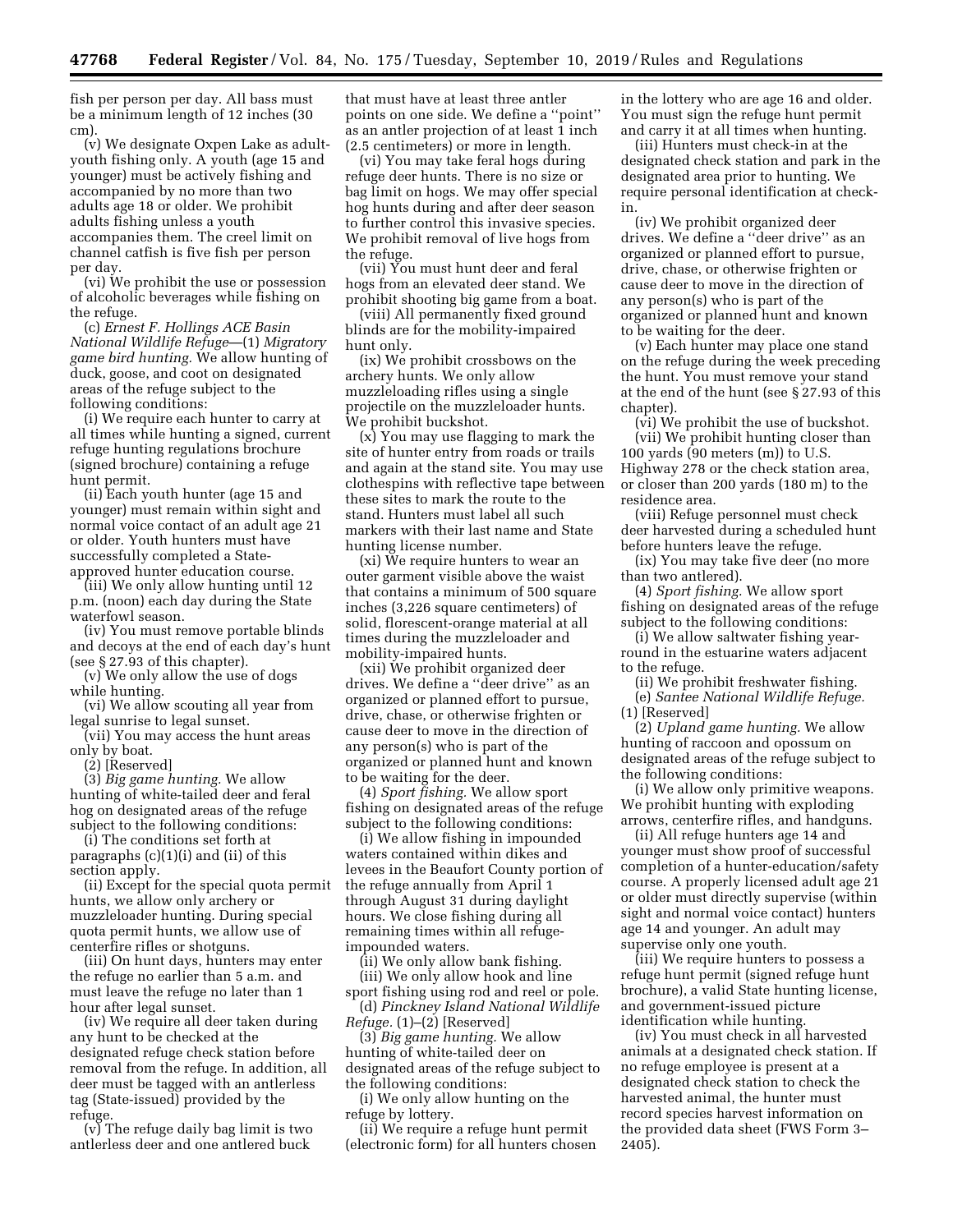fish per person per day. All bass must be a minimum length of 12 inches (30 cm).

(v) We designate Oxpen Lake as adultyouth fishing only. A youth (age 15 and younger) must be actively fishing and accompanied by no more than two adults age 18 or older. We prohibit adults fishing unless a youth accompanies them. The creel limit on channel catfish is five fish per person per day.

(vi) We prohibit the use or possession of alcoholic beverages while fishing on the refuge.

(c) *Ernest F. Hollings ACE Basin National Wildlife Refuge*—(1) *Migratory game bird hunting.* We allow hunting of duck, goose, and coot on designated areas of the refuge subject to the following conditions:

(i) We require each hunter to carry at all times while hunting a signed, current refuge hunting regulations brochure (signed brochure) containing a refuge hunt permit.

(ii) Each youth hunter (age 15 and younger) must remain within sight and normal voice contact of an adult age 21 or older. Youth hunters must have successfully completed a Stateapproved hunter education course.

(iii) We only allow hunting until 12 p.m. (noon) each day during the State waterfowl season.

(iv) You must remove portable blinds and decoys at the end of each day's hunt (see § 27.93 of this chapter).

(v) We only allow the use of dogs while hunting.

(vi) We allow scouting all year from legal sunrise to legal sunset.

(vii) You may access the hunt areas only by boat.

(2) [Reserved]

(3) *Big game hunting.* We allow hunting of white-tailed deer and feral hog on designated areas of the refuge subject to the following conditions:

(i) The conditions set forth at paragraphs (c)(1)(i) and (ii) of this section apply.

(ii) Except for the special quota permit hunts, we allow only archery or muzzleloader hunting. During special quota permit hunts, we allow use of centerfire rifles or shotguns.

(iii) On hunt days, hunters may enter the refuge no earlier than 5 a.m. and must leave the refuge no later than 1 hour after legal sunset.

(iv) We require all deer taken during any hunt to be checked at the designated refuge check station before removal from the refuge. In addition, all deer must be tagged with an antlerless tag (State-issued) provided by the refuge.

(v) The refuge daily bag limit is two antlerless deer and one antlered buck

that must have at least three antler points on one side. We define a ''point'' as an antler projection of at least 1 inch (2.5 centimeters) or more in length.

(vi) You may take feral hogs during refuge deer hunts. There is no size or bag limit on hogs. We may offer special hog hunts during and after deer season to further control this invasive species. We prohibit removal of live hogs from the refuge.

(vii) You must hunt deer and feral hogs from an elevated deer stand. We prohibit shooting big game from a boat.

(viii) All permanently fixed ground blinds are for the mobility-impaired hunt only.

(ix) We prohibit crossbows on the archery hunts. We only allow muzzleloading rifles using a single projectile on the muzzleloader hunts. We prohibit buckshot.

(x) You may use flagging to mark the site of hunter entry from roads or trails and again at the stand site. You may use clothespins with reflective tape between these sites to mark the route to the stand. Hunters must label all such markers with their last name and State hunting license number.

(xi) We require hunters to wear an outer garment visible above the waist that contains a minimum of 500 square inches (3,226 square centimeters) of solid, florescent-orange material at all times during the muzzleloader and mobility-impaired hunts.

(xii) We prohibit organized deer drives. We define a ''deer drive'' as an organized or planned effort to pursue, drive, chase, or otherwise frighten or cause deer to move in the direction of any person(s) who is part of the organized or planned hunt and known to be waiting for the deer.

(4) *Sport fishing.* We allow sport fishing on designated areas of the refuge subject to the following conditions:

(i) We allow fishing in impounded waters contained within dikes and levees in the Beaufort County portion of the refuge annually from April 1 through August 31 during daylight hours. We close fishing during all remaining times within all refugeimpounded waters.

(ii) We only allow bank fishing.

(iii) We only allow hook and line sport fishing using rod and reel or pole. (d) *Pinckney Island National Wildlife* 

*Refuge.* (1)–(2) [Reserved] (3) *Big game hunting.* We allow hunting of white-tailed deer on

designated areas of the refuge subject to the following conditions:

(i) We only allow hunting on the refuge by lottery.

(ii) We require a refuge hunt permit (electronic form) for all hunters chosen in the lottery who are age 16 and older. You must sign the refuge hunt permit and carry it at all times when hunting.

(iii) Hunters must check-in at the designated check station and park in the designated area prior to hunting. We require personal identification at checkin.

(iv) We prohibit organized deer drives. We define a ''deer drive'' as an organized or planned effort to pursue, drive, chase, or otherwise frighten or cause deer to move in the direction of any person(s) who is part of the organized or planned hunt and known to be waiting for the deer.

(v) Each hunter may place one stand on the refuge during the week preceding the hunt. You must remove your stand at the end of the hunt (see § 27.93 of this chapter).

(vi) We prohibit the use of buckshot. (vii) We prohibit hunting closer than 100 yards (90 meters (m)) to U.S. Highway 278 or the check station area, or closer than 200 yards (180 m) to the residence area.

(viii) Refuge personnel must check deer harvested during a scheduled hunt before hunters leave the refuge.

(ix) You may take five deer (no more than two antlered).

(4) *Sport fishing.* We allow sport fishing on designated areas of the refuge subject to the following conditions:

(i) We allow saltwater fishing yearround in the estuarine waters adjacent to the refuge.

(ii) We prohibit freshwater fishing.

(e) *Santee National Wildlife Refuge.*  (1) [Reserved]

(2) *Upland game hunting.* We allow hunting of raccoon and opossum on designated areas of the refuge subject to the following conditions:

(i) We allow only primitive weapons. We prohibit hunting with exploding arrows, centerfire rifles, and handguns.

(ii) All refuge hunters age 14 and younger must show proof of successful completion of a hunter-education/safety course. A properly licensed adult age 21 or older must directly supervise (within sight and normal voice contact) hunters age 14 and younger. An adult may supervise only one youth.

(iii) We require hunters to possess a refuge hunt permit (signed refuge hunt brochure), a valid State hunting license, and government-issued picture identification while hunting.

(iv) You must check in all harvested animals at a designated check station. If no refuge employee is present at a designated check station to check the harvested animal, the hunter must record species harvest information on the provided data sheet (FWS Form 3– 2405).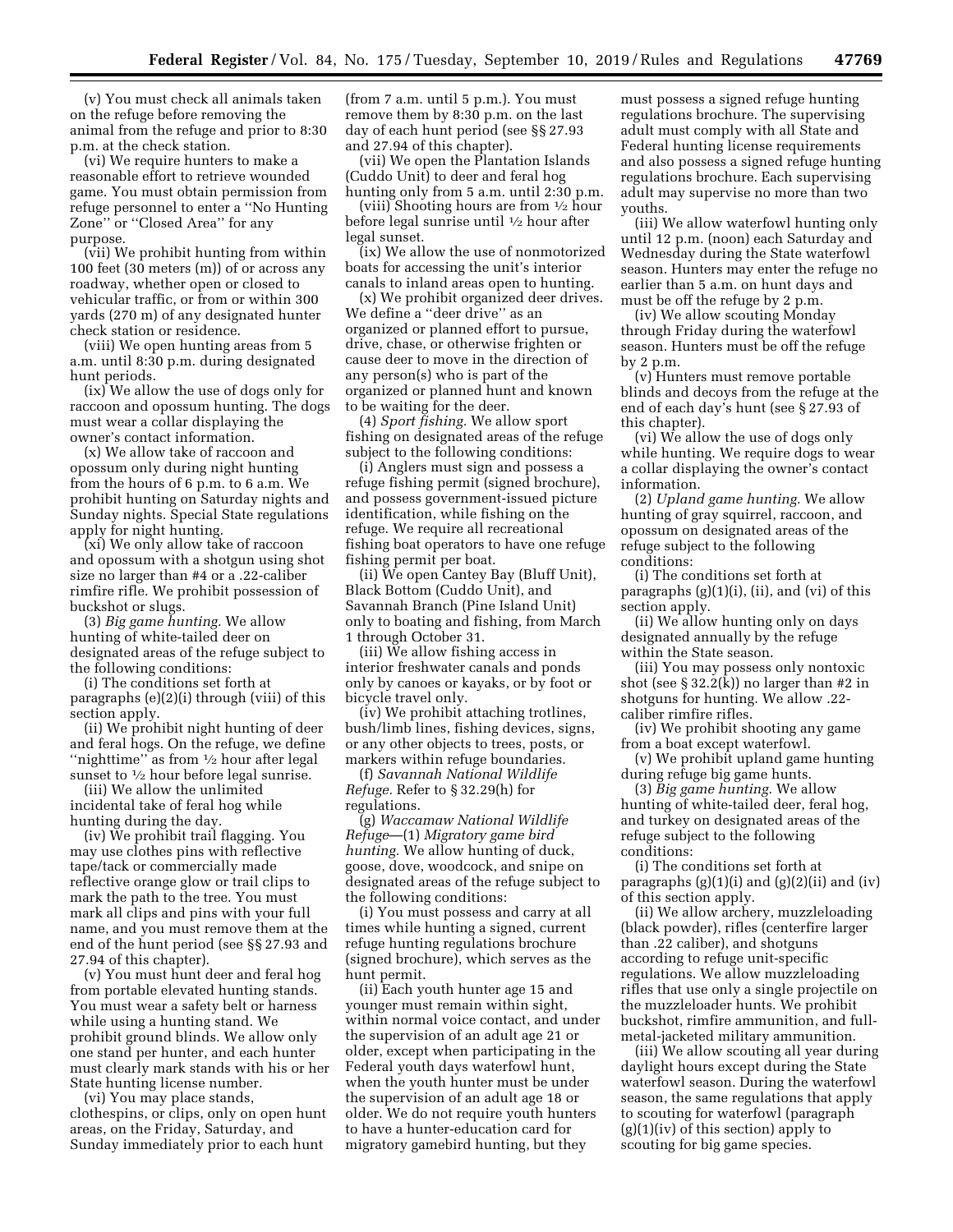(v) You must check all animals taken on the refuge before removing the animal from the refuge and prior to 8:30 p.m. at the check station.

(vi) We require hunters to make a reasonable effort to retrieve wounded game. You must obtain permission from refuge personnel to enter a ''No Hunting Zone'' or ''Closed Area'' for any purpose.

(vii) We prohibit hunting from within 100 feet (30 meters (m)) of or across any roadway, whether open or closed to vehicular traffic, or from or within 300 yards (270 m) of any designated hunter check station or residence.

(viii) We open hunting areas from 5 a.m. until 8:30 p.m. during designated hunt periods.

(ix) We allow the use of dogs only for raccoon and opossum hunting. The dogs must wear a collar displaying the owner's contact information.

(x) We allow take of raccoon and opossum only during night hunting from the hours of 6 p.m. to 6 a.m. We prohibit hunting on Saturday nights and Sunday nights. Special State regulations apply for night hunting.

(xi) We only allow take of raccoon and opossum with a shotgun using shot size no larger than #4 or a .22-caliber rimfire rifle. We prohibit possession of buckshot or slugs.

(3) *Big game hunting.* We allow hunting of white-tailed deer on designated areas of the refuge subject to the following conditions:

(i) The conditions set forth at paragraphs (e)(2)(i) through (viii) of this section apply.

(ii) We prohibit night hunting of deer and feral hogs. On the refuge, we define ''nighttime'' as from 1⁄2 hour after legal sunset to  $\frac{1}{2}$  hour before legal sunrise.

(iii) We allow the unlimited incidental take of feral hog while hunting during the day.

(iv) We prohibit trail flagging. You may use clothes pins with reflective tape/tack or commercially made reflective orange glow or trail clips to mark the path to the tree. You must mark all clips and pins with your full name, and you must remove them at the end of the hunt period (see §§ 27.93 and 27.94 of this chapter).

(v) You must hunt deer and feral hog from portable elevated hunting stands. You must wear a safety belt or harness while using a hunting stand. We prohibit ground blinds. We allow only one stand per hunter, and each hunter must clearly mark stands with his or her State hunting license number.

(vi) You may place stands, clothespins, or clips, only on open hunt areas, on the Friday, Saturday, and Sunday immediately prior to each hunt

(from 7 a.m. until 5 p.m.). You must remove them by 8:30 p.m. on the last day of each hunt period (see §§ 27.93 and 27.94 of this chapter).

(vii) We open the Plantation Islands (Cuddo Unit) to deer and feral hog hunting only from 5 a.m. until 2:30 p.m.

(viii) Shooting hours are from 1⁄2 hour before legal sunrise until 1⁄2 hour after legal sunset.

(ix) We allow the use of nonmotorized boats for accessing the unit's interior canals to inland areas open to hunting.

(x) We prohibit organized deer drives. We define a ''deer drive'' as an organized or planned effort to pursue, drive, chase, or otherwise frighten or cause deer to move in the direction of any person(s) who is part of the organized or planned hunt and known to be waiting for the deer.

(4) *Sport fishing.* We allow sport fishing on designated areas of the refuge subject to the following conditions:

(i) Anglers must sign and possess a refuge fishing permit (signed brochure), and possess government-issued picture identification, while fishing on the refuge. We require all recreational fishing boat operators to have one refuge fishing permit per boat.

(ii) We open Cantey Bay (Bluff Unit), Black Bottom (Cuddo Unit), and Savannah Branch (Pine Island Unit) only to boating and fishing, from March 1 through October 31.

(iii) We allow fishing access in interior freshwater canals and ponds only by canoes or kayaks, or by foot or bicycle travel only.

(iv) We prohibit attaching trotlines, bush/limb lines, fishing devices, signs, or any other objects to trees, posts, or markers within refuge boundaries.

(f) *Savannah National Wildlife Refuge.* Refer to § 32.29(h) for regulations.

(g) *Waccamaw National Wildlife Refuge*—(1) *Migratory game bird hunting.* We allow hunting of duck, goose, dove, woodcock, and snipe on designated areas of the refuge subject to the following conditions:

(i) You must possess and carry at all times while hunting a signed, current refuge hunting regulations brochure (signed brochure), which serves as the hunt permit.

(ii) Each youth hunter age 15 and younger must remain within sight, within normal voice contact, and under the supervision of an adult age 21 or older, except when participating in the Federal youth days waterfowl hunt, when the youth hunter must be under the supervision of an adult age 18 or older. We do not require youth hunters to have a hunter-education card for migratory gamebird hunting, but they

must possess a signed refuge hunting regulations brochure. The supervising adult must comply with all State and Federal hunting license requirements and also possess a signed refuge hunting regulations brochure. Each supervising adult may supervise no more than two youths.

(iii) We allow waterfowl hunting only until 12 p.m. (noon) each Saturday and Wednesday during the State waterfowl season. Hunters may enter the refuge no earlier than 5 a.m. on hunt days and must be off the refuge by 2 p.m.

(iv) We allow scouting Monday through Friday during the waterfowl season. Hunters must be off the refuge by 2 p.m.

(v) Hunters must remove portable blinds and decoys from the refuge at the end of each day's hunt (see § 27.93 of this chapter).

(vi) We allow the use of dogs only while hunting. We require dogs to wear a collar displaying the owner's contact information.

(2) *Upland game hunting.* We allow hunting of gray squirrel, raccoon, and opossum on designated areas of the refuge subject to the following conditions:

(i) The conditions set forth at paragraphs (g)(1)(i), (ii), and (vi) of this section apply.

(ii) We allow hunting only on days designated annually by the refuge within the State season.

(iii) You may possess only nontoxic shot (see  $\S 32.2(k)$ ) no larger than #2 in shotguns for hunting. We allow .22 caliber rimfire rifles.

(iv) We prohibit shooting any game from a boat except waterfowl.

(v) We prohibit upland game hunting during refuge big game hunts.

(3) *Big game hunting.* We allow hunting of white-tailed deer, feral hog, and turkey on designated areas of the refuge subject to the following conditions:

(i) The conditions set forth at paragraphs  $(g)(1)(i)$  and  $(g)(2)(ii)$  and  $(iv)$ of this section apply.

(ii) We allow archery, muzzleloading (black powder), rifles (centerfire larger than .22 caliber), and shotguns according to refuge unit-specific regulations. We allow muzzleloading rifles that use only a single projectile on the muzzleloader hunts. We prohibit buckshot, rimfire ammunition, and fullmetal-jacketed military ammunition.

(iii) We allow scouting all year during daylight hours except during the State waterfowl season. During the waterfowl season, the same regulations that apply to scouting for waterfowl (paragraph  $(g)(1)(iv)$  of this section) apply to scouting for big game species.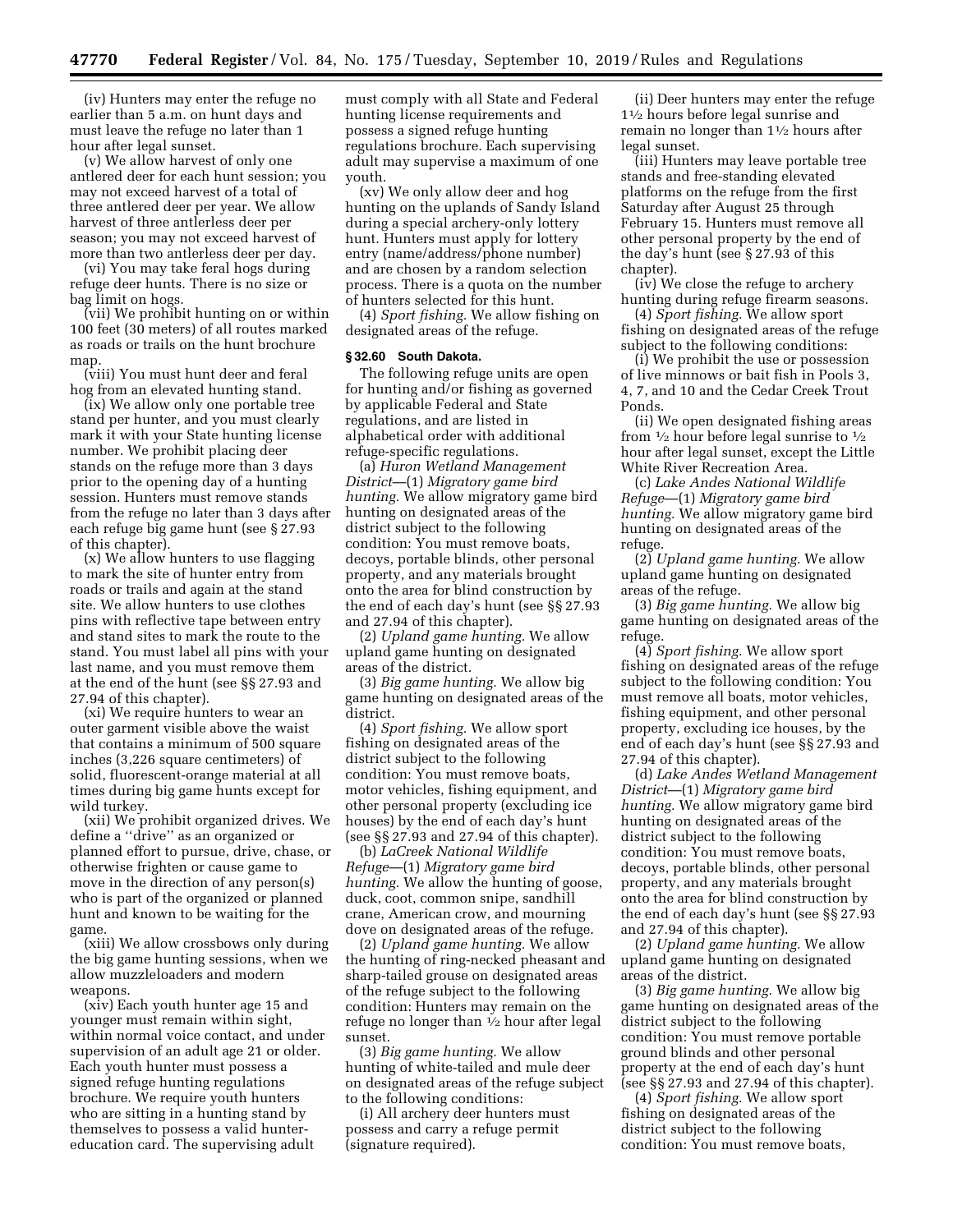(iv) Hunters may enter the refuge no earlier than 5 a.m. on hunt days and must leave the refuge no later than 1 hour after legal sunset.

(v) We allow harvest of only one antlered deer for each hunt session; you may not exceed harvest of a total of three antlered deer per year. We allow harvest of three antlerless deer per season; you may not exceed harvest of more than two antlerless deer per day.

(vi) You may take feral hogs during refuge deer hunts. There is no size or bag limit on hogs.

(vii) We prohibit hunting on or within 100 feet (30 meters) of all routes marked as roads or trails on the hunt brochure map.

(viii) You must hunt deer and feral hog from an elevated hunting stand.

(ix) We allow only one portable tree stand per hunter, and you must clearly mark it with your State hunting license number. We prohibit placing deer stands on the refuge more than 3 days prior to the opening day of a hunting session. Hunters must remove stands from the refuge no later than 3 days after each refuge big game hunt (see § 27.93 of this chapter).

(x) We allow hunters to use flagging to mark the site of hunter entry from roads or trails and again at the stand site. We allow hunters to use clothes pins with reflective tape between entry and stand sites to mark the route to the stand. You must label all pins with your last name, and you must remove them at the end of the hunt (see §§ 27.93 and 27.94 of this chapter).

(xi) We require hunters to wear an outer garment visible above the waist that contains a minimum of 500 square inches (3,226 square centimeters) of solid, fluorescent-orange material at all times during big game hunts except for wild turkey.

(xii) We prohibit organized drives. We define a ''drive'' as an organized or planned effort to pursue, drive, chase, or otherwise frighten or cause game to move in the direction of any person(s) who is part of the organized or planned hunt and known to be waiting for the game.

(xiii) We allow crossbows only during the big game hunting sessions, when we allow muzzleloaders and modern weapons.

(xiv) Each youth hunter age 15 and younger must remain within sight, within normal voice contact, and under supervision of an adult age 21 or older. Each youth hunter must possess a signed refuge hunting regulations brochure. We require youth hunters who are sitting in a hunting stand by themselves to possess a valid huntereducation card. The supervising adult

must comply with all State and Federal hunting license requirements and possess a signed refuge hunting regulations brochure. Each supervising adult may supervise a maximum of one youth.

(xv) We only allow deer and hog hunting on the uplands of Sandy Island during a special archery-only lottery hunt. Hunters must apply for lottery entry (name/address/phone number) and are chosen by a random selection process. There is a quota on the number of hunters selected for this hunt.

(4) *Sport fishing.* We allow fishing on designated areas of the refuge.

# **§ 32.60 South Dakota.**

The following refuge units are open for hunting and/or fishing as governed by applicable Federal and State regulations, and are listed in alphabetical order with additional refuge-specific regulations.

(a) *Huron Wetland Management District*—(1) *Migratory game bird hunting.* We allow migratory game bird hunting on designated areas of the district subject to the following condition: You must remove boats, decoys, portable blinds, other personal property, and any materials brought onto the area for blind construction by the end of each day's hunt (see §§ 27.93 and 27.94 of this chapter).

(2) *Upland game hunting.* We allow upland game hunting on designated areas of the district.

(3) *Big game hunting.* We allow big game hunting on designated areas of the district.

(4) *Sport fishing.* We allow sport fishing on designated areas of the district subject to the following condition: You must remove boats, motor vehicles, fishing equipment, and other personal property (excluding ice houses) by the end of each day's hunt (see §§ 27.93 and 27.94 of this chapter).

(b) *LaCreek National Wildlife Refuge*—(1) *Migratory game bird hunting.* We allow the hunting of goose, duck, coot, common snipe, sandhill crane, American crow, and mourning dove on designated areas of the refuge.

(2) *Upland game hunting.* We allow the hunting of ring-necked pheasant and sharp-tailed grouse on designated areas of the refuge subject to the following condition: Hunters may remain on the refuge no longer than 1⁄2 hour after legal sunset.

(3) *Big game hunting.* We allow hunting of white-tailed and mule deer on designated areas of the refuge subject to the following conditions:

(i) All archery deer hunters must possess and carry a refuge permit (signature required).

(ii) Deer hunters may enter the refuge 11⁄2 hours before legal sunrise and remain no longer than 11⁄2 hours after legal sunset.

(iii) Hunters may leave portable tree stands and free-standing elevated platforms on the refuge from the first Saturday after August 25 through February 15. Hunters must remove all other personal property by the end of the day's hunt (see § 27.93 of this chapter).

(iv) We close the refuge to archery hunting during refuge firearm seasons.

(4) *Sport fishing.* We allow sport fishing on designated areas of the refuge subject to the following conditions:

(i) We prohibit the use or possession of live minnows or bait fish in Pools 3, 4, 7, and 10 and the Cedar Creek Trout Ponds.

(ii) We open designated fishing areas from  $\frac{1}{2}$  hour before legal sunrise to  $\frac{1}{2}$ hour after legal sunset, except the Little White River Recreation Area.

(c) *Lake Andes National Wildlife Refuge*—(1) *Migratory game bird hunting.* We allow migratory game bird hunting on designated areas of the refuge.

(2) *Upland game hunting.* We allow upland game hunting on designated areas of the refuge.

(3) *Big game hunting.* We allow big game hunting on designated areas of the refuge.

(4) *Sport fishing.* We allow sport fishing on designated areas of the refuge subject to the following condition: You must remove all boats, motor vehicles, fishing equipment, and other personal property, excluding ice houses, by the end of each day's hunt (see §§ 27.93 and 27.94 of this chapter).

(d) *Lake Andes Wetland Management District*—(1) *Migratory game bird hunting.* We allow migratory game bird hunting on designated areas of the district subject to the following condition: You must remove boats, decoys, portable blinds, other personal property, and any materials brought onto the area for blind construction by the end of each day's hunt (see §§ 27.93 and 27.94 of this chapter).

(2) *Upland game hunting.* We allow upland game hunting on designated areas of the district.

(3) *Big game hunting.* We allow big game hunting on designated areas of the district subject to the following condition: You must remove portable ground blinds and other personal property at the end of each day's hunt (see §§ 27.93 and 27.94 of this chapter).

(4) *Sport fishing.* We allow sport fishing on designated areas of the district subject to the following condition: You must remove boats,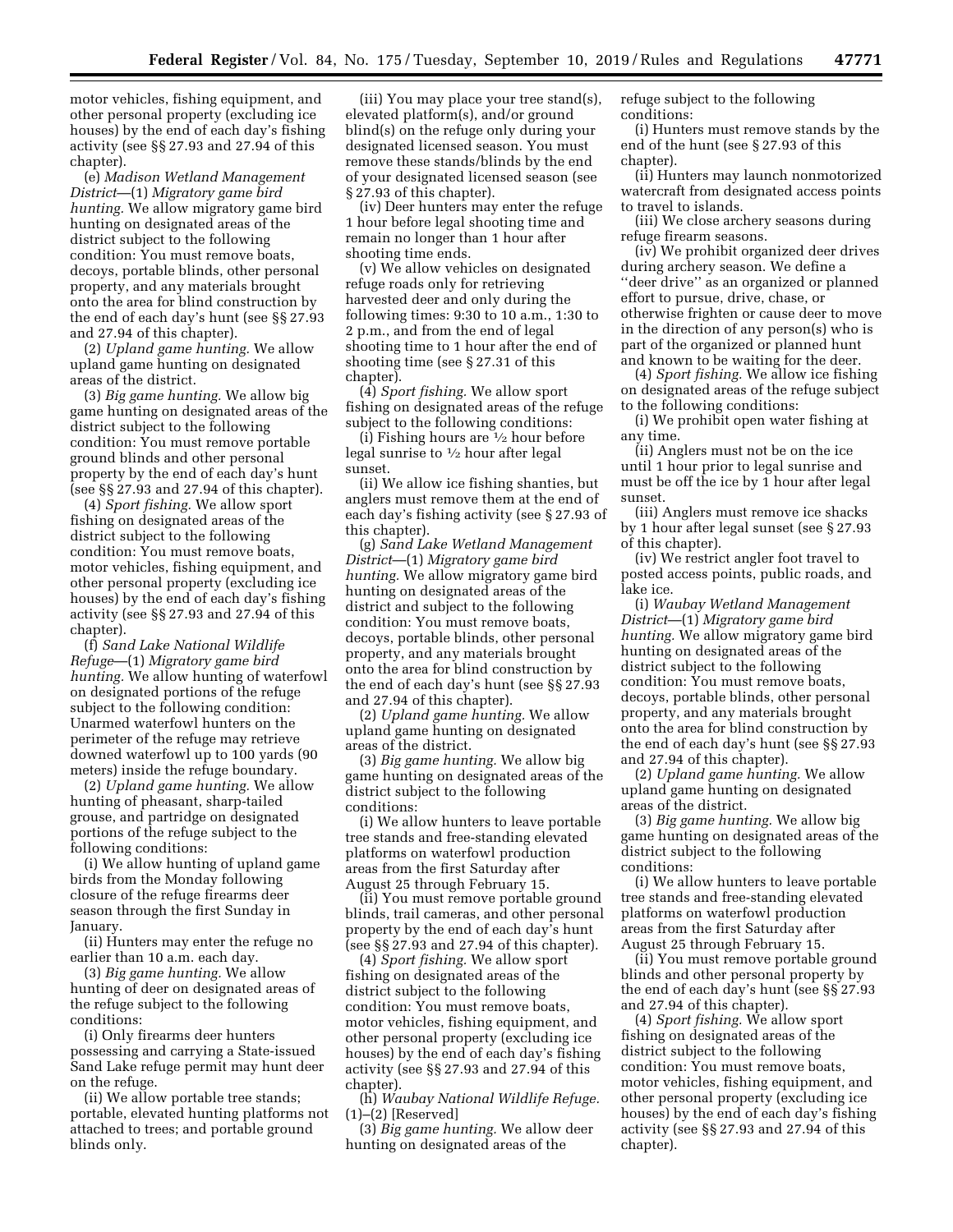motor vehicles, fishing equipment, and other personal property (excluding ice houses) by the end of each day's fishing activity (see §§ 27.93 and 27.94 of this chapter).

(e) *Madison Wetland Management District*—(1) *Migratory game bird hunting.* We allow migratory game bird hunting on designated areas of the district subject to the following condition: You must remove boats, decoys, portable blinds, other personal property, and any materials brought onto the area for blind construction by the end of each day's hunt (see §§ 27.93 and 27.94 of this chapter).

(2) *Upland game hunting.* We allow upland game hunting on designated areas of the district.

(3) *Big game hunting.* We allow big game hunting on designated areas of the district subject to the following condition: You must remove portable ground blinds and other personal property by the end of each day's hunt (see §§ 27.93 and 27.94 of this chapter).

(4) *Sport fishing.* We allow sport fishing on designated areas of the district subject to the following condition: You must remove boats, motor vehicles, fishing equipment, and other personal property (excluding ice houses) by the end of each day's fishing activity (see §§ 27.93 and 27.94 of this chapter).

(f) *Sand Lake National Wildlife Refuge*—(1) *Migratory game bird hunting.* We allow hunting of waterfowl on designated portions of the refuge subject to the following condition: Unarmed waterfowl hunters on the perimeter of the refuge may retrieve downed waterfowl up to 100 yards (90 meters) inside the refuge boundary.

(2) *Upland game hunting.* We allow hunting of pheasant, sharp-tailed grouse, and partridge on designated portions of the refuge subject to the following conditions:

(i) We allow hunting of upland game birds from the Monday following closure of the refuge firearms deer season through the first Sunday in January.

(ii) Hunters may enter the refuge no earlier than 10 a.m. each day.

(3) *Big game hunting.* We allow hunting of deer on designated areas of the refuge subject to the following conditions:

(i) Only firearms deer hunters possessing and carrying a State-issued Sand Lake refuge permit may hunt deer on the refuge.

(ii) We allow portable tree stands; portable, elevated hunting platforms not attached to trees; and portable ground blinds only.

(iii) You may place your tree stand(s), elevated platform(s), and/or ground blind(s) on the refuge only during your designated licensed season. You must remove these stands/blinds by the end of your designated licensed season (see § 27.93 of this chapter).

(iv) Deer hunters may enter the refuge 1 hour before legal shooting time and remain no longer than 1 hour after shooting time ends.

(v) We allow vehicles on designated refuge roads only for retrieving harvested deer and only during the following times: 9:30 to 10 a.m., 1:30 to 2 p.m., and from the end of legal shooting time to 1 hour after the end of shooting time (see § 27.31 of this chapter).

(4) *Sport fishing.* We allow sport fishing on designated areas of the refuge subject to the following conditions:

(i) Fishing hours are  $\frac{1}{2}$  hour before legal sunrise to 1⁄2 hour after legal sunset.

(ii) We allow ice fishing shanties, but anglers must remove them at the end of each day's fishing activity (see § 27.93 of this chapter).

(g) *Sand Lake Wetland Management District*—(1) *Migratory game bird hunting.* We allow migratory game bird hunting on designated areas of the district and subject to the following condition: You must remove boats, decoys, portable blinds, other personal property, and any materials brought onto the area for blind construction by the end of each day's hunt (see §§ 27.93 and 27.94 of this chapter).

(2) *Upland game hunting.* We allow upland game hunting on designated areas of the district.

(3) *Big game hunting.* We allow big game hunting on designated areas of the district subject to the following conditions:

(i) We allow hunters to leave portable tree stands and free-standing elevated platforms on waterfowl production areas from the first Saturday after August 25 through February 15.

(ii) You must remove portable ground blinds, trail cameras, and other personal property by the end of each day's hunt (see §§ 27.93 and 27.94 of this chapter).

(4) *Sport fishing.* We allow sport fishing on designated areas of the district subject to the following condition: You must remove boats, motor vehicles, fishing equipment, and other personal property (excluding ice houses) by the end of each day's fishing activity (see §§ 27.93 and 27.94 of this chapter).

(h) *Waubay National Wildlife Refuge.*  (1)–(2) [Reserved]

(3) *Big game hunting.* We allow deer hunting on designated areas of the

refuge subject to the following conditions:

(i) Hunters must remove stands by the end of the hunt (see § 27.93 of this chapter).

(ii) Hunters may launch nonmotorized watercraft from designated access points to travel to islands.

(iii) We close archery seasons during refuge firearm seasons.

(iv) We prohibit organized deer drives during archery season. We define a ''deer drive'' as an organized or planned effort to pursue, drive, chase, or otherwise frighten or cause deer to move in the direction of any person(s) who is part of the organized or planned hunt and known to be waiting for the deer.

(4) *Sport fishing.* We allow ice fishing on designated areas of the refuge subject to the following conditions:

(i) We prohibit open water fishing at any time.

(ii) Anglers must not be on the ice until 1 hour prior to legal sunrise and must be off the ice by 1 hour after legal sunset.

(iii) Anglers must remove ice shacks by 1 hour after legal sunset (see § 27.93 of this chapter).

(iv) We restrict angler foot travel to posted access points, public roads, and lake ice.

(i) *Waubay Wetland Management District*—(1) *Migratory game bird hunting.* We allow migratory game bird hunting on designated areas of the district subject to the following condition: You must remove boats, decoys, portable blinds, other personal property, and any materials brought onto the area for blind construction by the end of each day's hunt (see §§ 27.93 and 27.94 of this chapter).

(2) *Upland game hunting.* We allow upland game hunting on designated areas of the district.

(3) *Big game hunting.* We allow big game hunting on designated areas of the district subject to the following conditions:

(i) We allow hunters to leave portable tree stands and free-standing elevated platforms on waterfowl production areas from the first Saturday after August 25 through February 15.

(ii) You must remove portable ground blinds and other personal property by the end of each day's hunt (see §§ 27.93 and 27.94 of this chapter).

(4) *Sport fishing.* We allow sport fishing on designated areas of the district subject to the following condition: You must remove boats, motor vehicles, fishing equipment, and other personal property (excluding ice houses) by the end of each day's fishing activity (see §§ 27.93 and 27.94 of this chapter).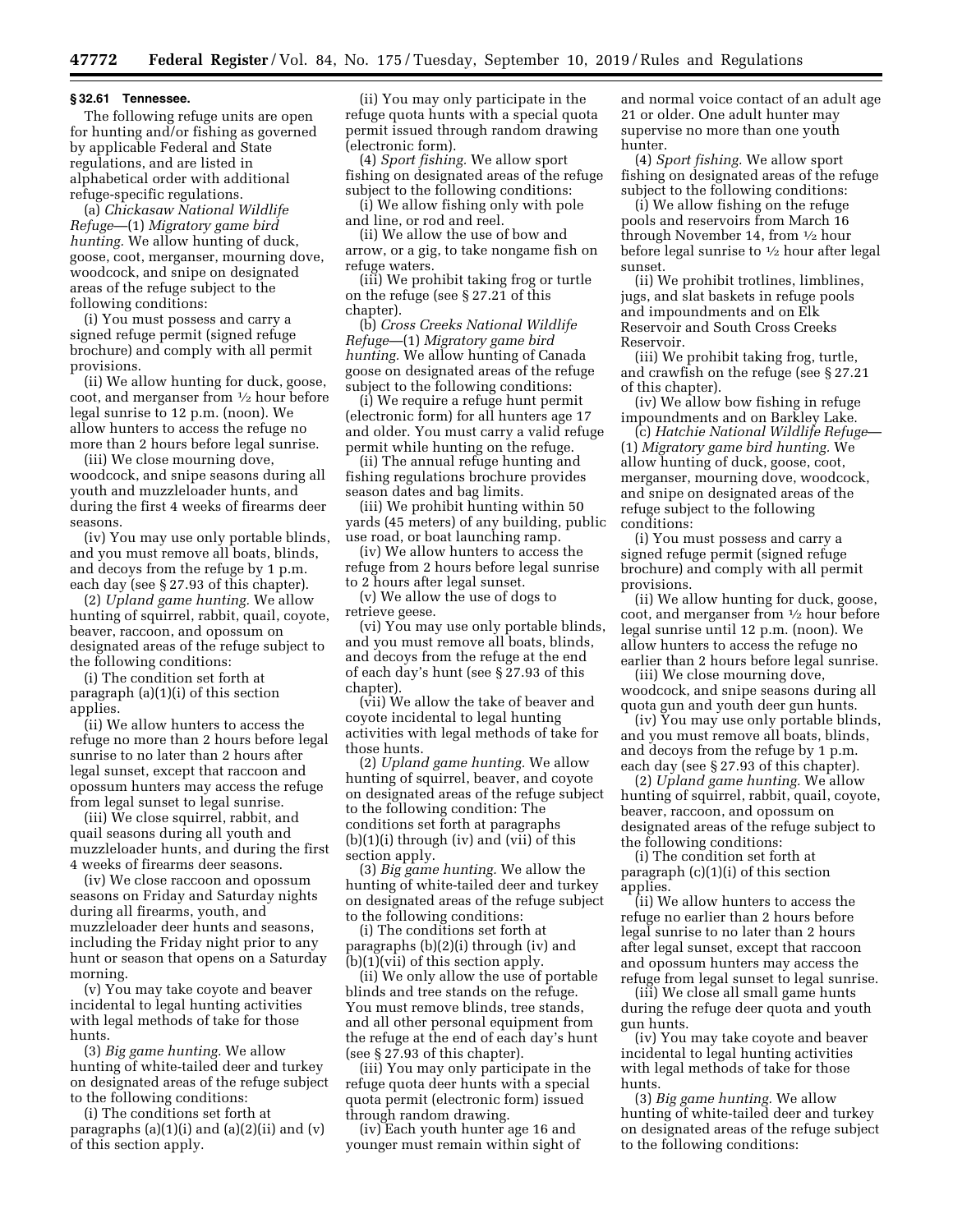#### **§ 32.61 Tennessee.**

The following refuge units are open for hunting and/or fishing as governed by applicable Federal and State regulations, and are listed in alphabetical order with additional refuge-specific regulations.

(a) *Chickasaw National Wildlife Refuge*—(1) *Migratory game bird hunting.* We allow hunting of duck, goose, coot, merganser, mourning dove, woodcock, and snipe on designated areas of the refuge subject to the following conditions:

(i) You must possess and carry a signed refuge permit (signed refuge brochure) and comply with all permit provisions.

(ii) We allow hunting for duck, goose, coot, and merganser from 1⁄2 hour before legal sunrise to 12 p.m. (noon). We allow hunters to access the refuge no more than 2 hours before legal sunrise.

(iii) We close mourning dove, woodcock, and snipe seasons during all youth and muzzleloader hunts, and during the first 4 weeks of firearms deer seasons.

(iv) You may use only portable blinds, and you must remove all boats, blinds, and decoys from the refuge by 1 p.m. each day (see § 27.93 of this chapter).

(2) *Upland game hunting.* We allow hunting of squirrel, rabbit, quail, coyote, beaver, raccoon, and opossum on designated areas of the refuge subject to the following conditions:

(i) The condition set forth at paragraph (a)(1)(i) of this section applies.

(ii) We allow hunters to access the refuge no more than 2 hours before legal sunrise to no later than 2 hours after legal sunset, except that raccoon and opossum hunters may access the refuge from legal sunset to legal sunrise.

(iii) We close squirrel, rabbit, and quail seasons during all youth and muzzleloader hunts, and during the first 4 weeks of firearms deer seasons.

(iv) We close raccoon and opossum seasons on Friday and Saturday nights during all firearms, youth, and muzzleloader deer hunts and seasons, including the Friday night prior to any hunt or season that opens on a Saturday morning.

(v) You may take coyote and beaver incidental to legal hunting activities with legal methods of take for those hunts.

(3) *Big game hunting.* We allow hunting of white-tailed deer and turkey on designated areas of the refuge subject to the following conditions:

(i) The conditions set forth at paragraphs  $(a)(1)(i)$  and  $(a)(2)(ii)$  and  $(v)$ of this section apply.

(ii) You may only participate in the refuge quota hunts with a special quota permit issued through random drawing (electronic form).

(4) *Sport fishing.* We allow sport fishing on designated areas of the refuge subject to the following conditions:

(i) We allow fishing only with pole and line, or rod and reel.

(ii) We allow the use of bow and arrow, or a gig, to take nongame fish on refuge waters.

(iii) We prohibit taking frog or turtle on the refuge (see § 27.21 of this chapter).

(b) *Cross Creeks National Wildlife Refuge*—(1) *Migratory game bird hunting.* We allow hunting of Canada goose on designated areas of the refuge subject to the following conditions:

(i) We require a refuge hunt permit (electronic form) for all hunters age 17 and older. You must carry a valid refuge permit while hunting on the refuge.

(ii) The annual refuge hunting and fishing regulations brochure provides season dates and bag limits.

(iii) We prohibit hunting within 50 yards (45 meters) of any building, public use road, or boat launching ramp.

(iv) We allow hunters to access the refuge from 2 hours before legal sunrise to 2 hours after legal sunset.

(v) We allow the use of dogs to retrieve geese.

(vi) You may use only portable blinds, and you must remove all boats, blinds, and decoys from the refuge at the end of each day's hunt (see § 27.93 of this chapter).

(vii) We allow the take of beaver and coyote incidental to legal hunting activities with legal methods of take for those hunts.

(2) *Upland game hunting.* We allow hunting of squirrel, beaver, and coyote on designated areas of the refuge subject to the following condition: The conditions set forth at paragraphs (b)(1)(i) through (iv) and (vii) of this section apply.

(3) *Big game hunting.* We allow the hunting of white-tailed deer and turkey on designated areas of the refuge subject to the following conditions:

(i) The conditions set forth at paragraphs (b)(2)(i) through (iv) and (b)(1)(vii) of this section apply.

(ii) We only allow the use of portable blinds and tree stands on the refuge. You must remove blinds, tree stands, and all other personal equipment from the refuge at the end of each day's hunt (see § 27.93 of this chapter).

(iii) You may only participate in the refuge quota deer hunts with a special quota permit (electronic form) issued through random drawing.

(iv) Each youth hunter age 16 and younger must remain within sight of

and normal voice contact of an adult age 21 or older. One adult hunter may supervise no more than one youth hunter.

(4) *Sport fishing.* We allow sport fishing on designated areas of the refuge subject to the following conditions:

(i) We allow fishing on the refuge pools and reservoirs from March 16 through November 14, from 1⁄2 hour before legal sunrise to  $\frac{1}{2}$  hour after legal sunset.

(ii) We prohibit trotlines, limblines, jugs, and slat baskets in refuge pools and impoundments and on Elk Reservoir and South Cross Creeks Reservoir.

(iii) We prohibit taking frog, turtle, and crawfish on the refuge (see § 27.21 of this chapter).

(iv) We allow bow fishing in refuge impoundments and on Barkley Lake.

(c) *Hatchie National Wildlife Refuge*— (1) *Migratory game bird hunting.* We allow hunting of duck, goose, coot, merganser, mourning dove, woodcock, and snipe on designated areas of the refuge subject to the following conditions:

(i) You must possess and carry a signed refuge permit (signed refuge brochure) and comply with all permit provisions.

(ii) We allow hunting for duck, goose, coot, and merganser from 1⁄2 hour before legal sunrise until 12 p.m. (noon). We allow hunters to access the refuge no earlier than 2 hours before legal sunrise.

(iii) We close mourning dove, woodcock, and snipe seasons during all quota gun and youth deer gun hunts.

(iv) You may use only portable blinds, and you must remove all boats, blinds, and decoys from the refuge by 1 p.m. each day (see § 27.93 of this chapter).

(2) *Upland game hunting.* We allow hunting of squirrel, rabbit, quail, coyote, beaver, raccoon, and opossum on designated areas of the refuge subject to the following conditions:

(i) The condition set forth at paragraph (c)(1)(i) of this section applies.

(ii) We allow hunters to access the refuge no earlier than 2 hours before legal sunrise to no later than 2 hours after legal sunset, except that raccoon and opossum hunters may access the refuge from legal sunset to legal sunrise.

(iii) We close all small game hunts during the refuge deer quota and youth gun hunts.

(iv) You may take coyote and beaver incidental to legal hunting activities with legal methods of take for those hunts.

(3) *Big game hunting.* We allow hunting of white-tailed deer and turkey on designated areas of the refuge subject to the following conditions: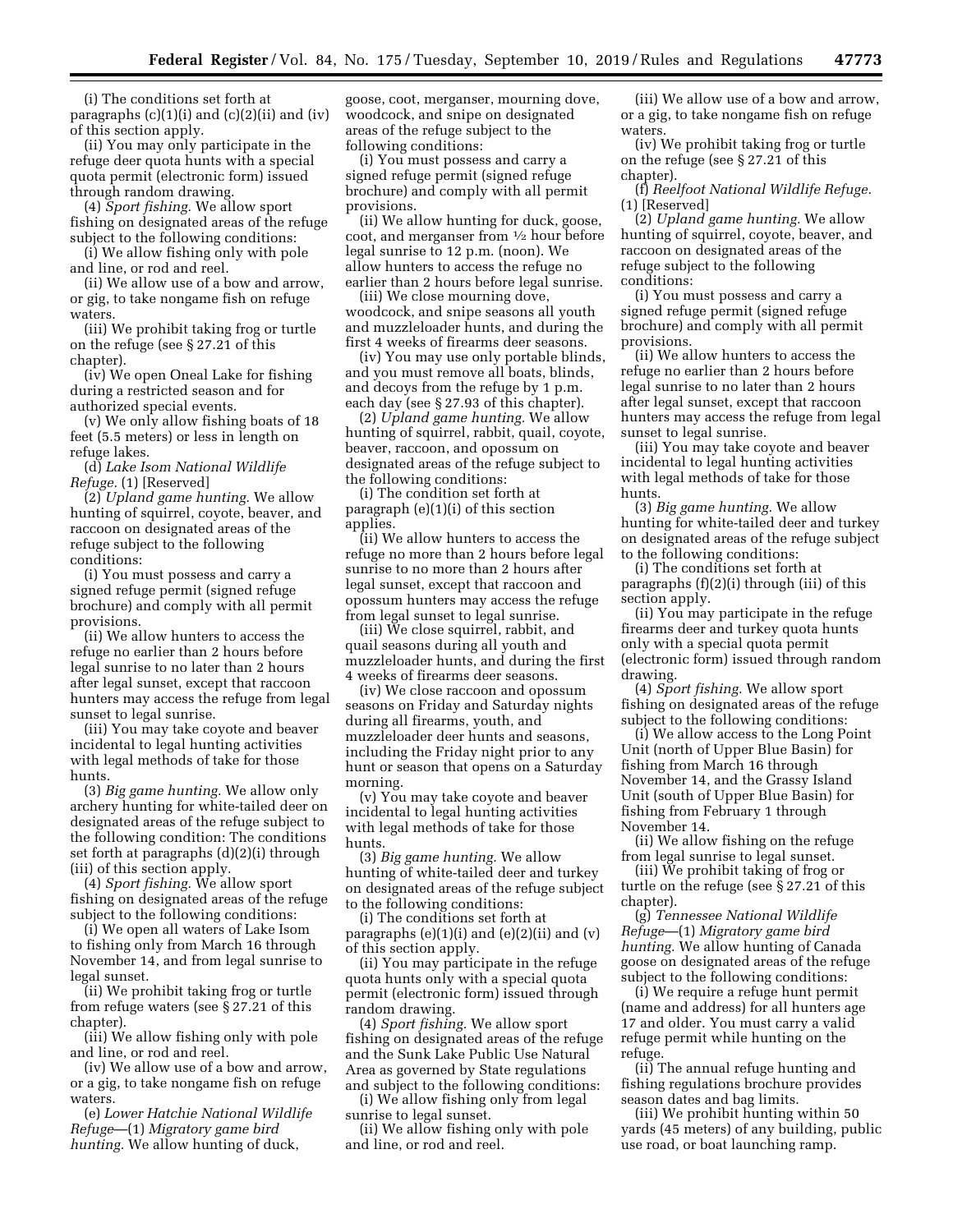(i) The conditions set forth at paragraphs  $(c)(1)(i)$  and  $(c)(2)(ii)$  and  $(iv)$ of this section apply.

(ii) You may only participate in the refuge deer quota hunts with a special quota permit (electronic form) issued through random drawing.

(4) *Sport fishing.* We allow sport fishing on designated areas of the refuge subject to the following conditions:

(i) We allow fishing only with pole and line, or rod and reel.

(ii) We allow use of a bow and arrow, or gig, to take nongame fish on refuge waters.

(iii) We prohibit taking frog or turtle on the refuge (see § 27.21 of this chapter).

(iv) We open Oneal Lake for fishing during a restricted season and for authorized special events.

(v) We only allow fishing boats of 18 feet (5.5 meters) or less in length on refuge lakes.

(d) *Lake Isom National Wildlife Refuge.* (1) [Reserved]

(2) *Upland game hunting.* We allow hunting of squirrel, coyote, beaver, and raccoon on designated areas of the refuge subject to the following conditions:

(i) You must possess and carry a signed refuge permit (signed refuge brochure) and comply with all permit provisions.

(ii) We allow hunters to access the refuge no earlier than 2 hours before legal sunrise to no later than 2 hours after legal sunset, except that raccoon hunters may access the refuge from legal sunset to legal sunrise.

(iii) You may take coyote and beaver incidental to legal hunting activities with legal methods of take for those hunts.

(3) *Big game hunting.* We allow only archery hunting for white-tailed deer on designated areas of the refuge subject to the following condition: The conditions set forth at paragraphs (d)(2)(i) through (iii) of this section apply.

(4) *Sport fishing.* We allow sport fishing on designated areas of the refuge subject to the following conditions:

(i) We open all waters of Lake Isom to fishing only from March 16 through November 14, and from legal sunrise to legal sunset.

(ii) We prohibit taking frog or turtle from refuge waters (see § 27.21 of this chapter).

(iii) We allow fishing only with pole and line, or rod and reel.

(iv) We allow use of a bow and arrow, or a gig, to take nongame fish on refuge waters.

(e) *Lower Hatchie National Wildlife Refuge*—(1) *Migratory game bird hunting.* We allow hunting of duck,

goose, coot, merganser, mourning dove, woodcock, and snipe on designated areas of the refuge subject to the following conditions:

(i) You must possess and carry a signed refuge permit (signed refuge brochure) and comply with all permit provisions.

(ii) We allow hunting for duck, goose, coot, and merganser from 1⁄2 hour before legal sunrise to 12 p.m. (noon). We allow hunters to access the refuge no earlier than 2 hours before legal sunrise.

(iii) We close mourning dove, woodcock, and snipe seasons all youth and muzzleloader hunts, and during the first 4 weeks of firearms deer seasons.

(iv) You may use only portable blinds, and you must remove all boats, blinds, and decoys from the refuge by 1 p.m. each day (see § 27.93 of this chapter).

(2) *Upland game hunting.* We allow hunting of squirrel, rabbit, quail, coyote, beaver, raccoon, and opossum on designated areas of the refuge subject to the following conditions:

(i) The condition set forth at paragraph (e)(1)(i) of this section applies.

(ii) We allow hunters to access the refuge no more than 2 hours before legal sunrise to no more than 2 hours after legal sunset, except that raccoon and opossum hunters may access the refuge from legal sunset to legal sunrise.

(iii) We close squirrel, rabbit, and quail seasons during all youth and muzzleloader hunts, and during the first 4 weeks of firearms deer seasons.

(iv) We close raccoon and opossum seasons on Friday and Saturday nights during all firearms, youth, and muzzleloader deer hunts and seasons, including the Friday night prior to any hunt or season that opens on a Saturday morning.

(v) You may take coyote and beaver incidental to legal hunting activities with legal methods of take for those hunts.

(3) *Big game hunting.* We allow hunting of white-tailed deer and turkey on designated areas of the refuge subject to the following conditions:

(i) The conditions set forth at paragraphs  $(e)(1)(i)$  and  $(e)(2)(ii)$  and  $(v)$ of this section apply.

(ii) You may participate in the refuge quota hunts only with a special quota permit (electronic form) issued through random drawing.

(4) *Sport fishing.* We allow sport fishing on designated areas of the refuge and the Sunk Lake Public Use Natural Area as governed by State regulations and subject to the following conditions:

(i) We allow fishing only from legal sunrise to legal sunset.

(ii) We allow fishing only with pole and line, or rod and reel.

(iii) We allow use of a bow and arrow, or a gig, to take nongame fish on refuge waters.

(iv) We prohibit taking frog or turtle on the refuge (see § 27.21 of this chapter).

(f) *Reelfoot National Wildlife Refuge.*  (1) [Reserved]

(2) *Upland game hunting.* We allow hunting of squirrel, coyote, beaver, and raccoon on designated areas of the refuge subject to the following conditions:

(i) You must possess and carry a signed refuge permit (signed refuge brochure) and comply with all permit provisions.

(ii) We allow hunters to access the refuge no earlier than 2 hours before legal sunrise to no later than 2 hours after legal sunset, except that raccoon hunters may access the refuge from legal sunset to legal sunrise.

(iii) You may take coyote and beaver incidental to legal hunting activities with legal methods of take for those hunts.

(3) *Big game hunting.* We allow hunting for white-tailed deer and turkey on designated areas of the refuge subject to the following conditions:

(i) The conditions set forth at paragraphs (f)(2)(i) through (iii) of this section apply.

(ii) You may participate in the refuge firearms deer and turkey quota hunts only with a special quota permit (electronic form) issued through random drawing.

(4) *Sport fishing.* We allow sport fishing on designated areas of the refuge subject to the following conditions:

(i) We allow access to the Long Point Unit (north of Upper Blue Basin) for fishing from March 16 through November 14, and the Grassy Island Unit (south of Upper Blue Basin) for fishing from February 1 through November 14.

(ii) We allow fishing on the refuge from legal sunrise to legal sunset.

(iii) We prohibit taking of frog or turtle on the refuge (see § 27.21 of this chapter).

(g) *Tennessee National Wildlife Refuge*—(1) *Migratory game bird hunting.* We allow hunting of Canada goose on designated areas of the refuge subject to the following conditions:

(i) We require a refuge hunt permit (name and address) for all hunters age 17 and older. You must carry a valid refuge permit while hunting on the refuge.

(ii) The annual refuge hunting and fishing regulations brochure provides season dates and bag limits.

(iii) We prohibit hunting within 50 yards (45 meters) of any building, public use road, or boat launching ramp.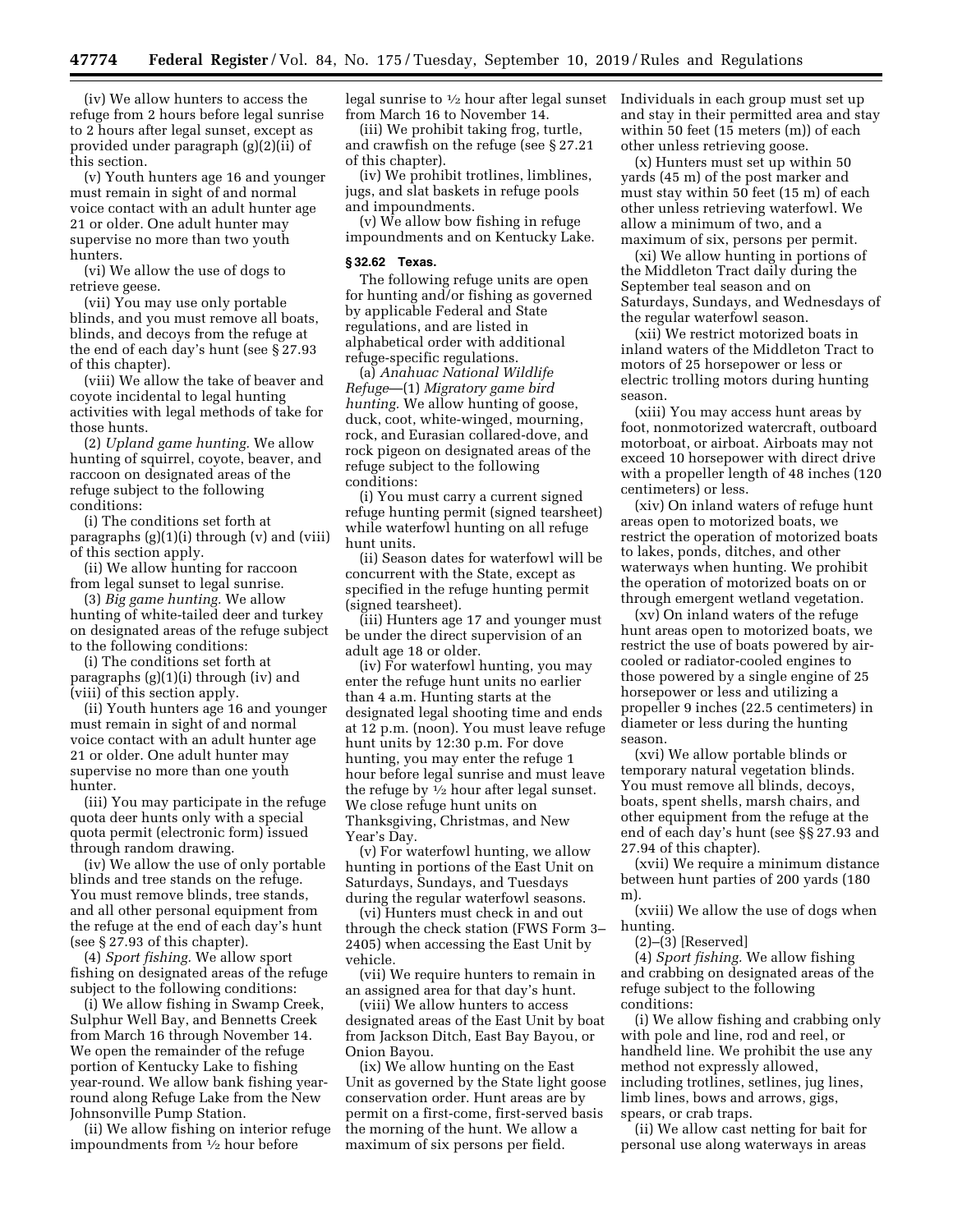(iv) We allow hunters to access the refuge from 2 hours before legal sunrise to 2 hours after legal sunset, except as provided under paragraph (g)(2)(ii) of this section.

(v) Youth hunters age 16 and younger must remain in sight of and normal voice contact with an adult hunter age 21 or older. One adult hunter may supervise no more than two youth hunters.

(vi) We allow the use of dogs to retrieve geese.

(vii) You may use only portable blinds, and you must remove all boats, blinds, and decoys from the refuge at the end of each day's hunt (see § 27.93 of this chapter).

(viii) We allow the take of beaver and coyote incidental to legal hunting activities with legal methods of take for those hunts.

(2) *Upland game hunting.* We allow hunting of squirrel, coyote, beaver, and raccoon on designated areas of the refuge subject to the following conditions:

(i) The conditions set forth at paragraphs  $(g)(1)(i)$  through  $(v)$  and  $(vii)$ of this section apply.

(ii) We allow hunting for raccoon from legal sunset to legal sunrise.

(3) *Big game hunting.* We allow hunting of white-tailed deer and turkey on designated areas of the refuge subject to the following conditions:

(i) The conditions set forth at paragraphs (g)(1)(i) through (iv) and (viii) of this section apply.

(ii) Youth hunters age 16 and younger must remain in sight of and normal voice contact with an adult hunter age 21 or older. One adult hunter may supervise no more than one youth hunter.

(iii) You may participate in the refuge quota deer hunts only with a special quota permit (electronic form) issued through random drawing.

(iv) We allow the use of only portable blinds and tree stands on the refuge. You must remove blinds, tree stands, and all other personal equipment from the refuge at the end of each day's hunt (see § 27.93 of this chapter).

(4) *Sport fishing.* We allow sport fishing on designated areas of the refuge subject to the following conditions:

(i) We allow fishing in Swamp Creek, Sulphur Well Bay, and Bennetts Creek from March 16 through November 14. We open the remainder of the refuge portion of Kentucky Lake to fishing year-round. We allow bank fishing yearround along Refuge Lake from the New Johnsonville Pump Station.

(ii) We allow fishing on interior refuge impoundments from 1⁄2 hour before

legal sunrise to 1⁄2 hour after legal sunset from March 16 to November 14.

(iii) We prohibit taking frog, turtle, and crawfish on the refuge (see § 27.21 of this chapter).

(iv) We prohibit trotlines, limblines, jugs, and slat baskets in refuge pools and impoundments.

(v) We allow bow fishing in refuge impoundments and on Kentucky Lake.

#### **§ 32.62 Texas.**

The following refuge units are open for hunting and/or fishing as governed by applicable Federal and State regulations, and are listed in alphabetical order with additional refuge-specific regulations.

(a) *Anahuac National Wildlife Refuge*—(1) *Migratory game bird hunting.* We allow hunting of goose, duck, coot, white-winged, mourning, rock, and Eurasian collared-dove, and rock pigeon on designated areas of the refuge subject to the following conditions:

(i) You must carry a current signed refuge hunting permit (signed tearsheet) while waterfowl hunting on all refuge hunt units.

(ii) Season dates for waterfowl will be concurrent with the State, except as specified in the refuge hunting permit (signed tearsheet).

(iii) Hunters age 17 and younger must be under the direct supervision of an adult age 18 or older.

(iv) For waterfowl hunting, you may enter the refuge hunt units no earlier than 4 a.m. Hunting starts at the designated legal shooting time and ends at 12 p.m. (noon). You must leave refuge hunt units by 12:30 p.m. For dove hunting, you may enter the refuge 1 hour before legal sunrise and must leave the refuge by  $\frac{1}{2}$  hour after legal sunset. We close refuge hunt units on Thanksgiving, Christmas, and New Year's Day.

(v) For waterfowl hunting, we allow hunting in portions of the East Unit on Saturdays, Sundays, and Tuesdays during the regular waterfowl seasons.

(vi) Hunters must check in and out through the check station (FWS Form 3– 2405) when accessing the East Unit by vehicle.

(vii) We require hunters to remain in an assigned area for that day's hunt.

(viii) We allow hunters to access designated areas of the East Unit by boat from Jackson Ditch, East Bay Bayou, or Onion Bayou.

(ix) We allow hunting on the East Unit as governed by the State light goose conservation order. Hunt areas are by permit on a first-come, first-served basis the morning of the hunt. We allow a maximum of six persons per field.

Individuals in each group must set up and stay in their permitted area and stay within 50 feet (15 meters (m)) of each other unless retrieving goose.

(x) Hunters must set up within 50 yards (45 m) of the post marker and must stay within 50 feet (15 m) of each other unless retrieving waterfowl. We allow a minimum of two, and a maximum of six, persons per permit.

(xi) We allow hunting in portions of the Middleton Tract daily during the September teal season and on Saturdays, Sundays, and Wednesdays of the regular waterfowl season.

(xii) We restrict motorized boats in inland waters of the Middleton Tract to motors of 25 horsepower or less or electric trolling motors during hunting season.

(xiii) You may access hunt areas by foot, nonmotorized watercraft, outboard motorboat, or airboat. Airboats may not exceed 10 horsepower with direct drive with a propeller length of 48 inches (120 centimeters) or less.

(xiv) On inland waters of refuge hunt areas open to motorized boats, we restrict the operation of motorized boats to lakes, ponds, ditches, and other waterways when hunting. We prohibit the operation of motorized boats on or through emergent wetland vegetation.

(xv) On inland waters of the refuge hunt areas open to motorized boats, we restrict the use of boats powered by aircooled or radiator-cooled engines to those powered by a single engine of 25 horsepower or less and utilizing a propeller 9 inches (22.5 centimeters) in diameter or less during the hunting season.

(xvi) We allow portable blinds or temporary natural vegetation blinds. You must remove all blinds, decoys, boats, spent shells, marsh chairs, and other equipment from the refuge at the end of each day's hunt (see §§ 27.93 and 27.94 of this chapter).

(xvii) We require a minimum distance between hunt parties of 200 yards (180 m).

(xviii) We allow the use of dogs when hunting.

 $(2)$ – $(\overline{3})$  [Reserved]

(4) *Sport fishing.* We allow fishing and crabbing on designated areas of the refuge subject to the following conditions:

(i) We allow fishing and crabbing only with pole and line, rod and reel, or handheld line. We prohibit the use any method not expressly allowed, including trotlines, setlines, jug lines, limb lines, bows and arrows, gigs, spears, or crab traps.

(ii) We allow cast netting for bait for personal use along waterways in areas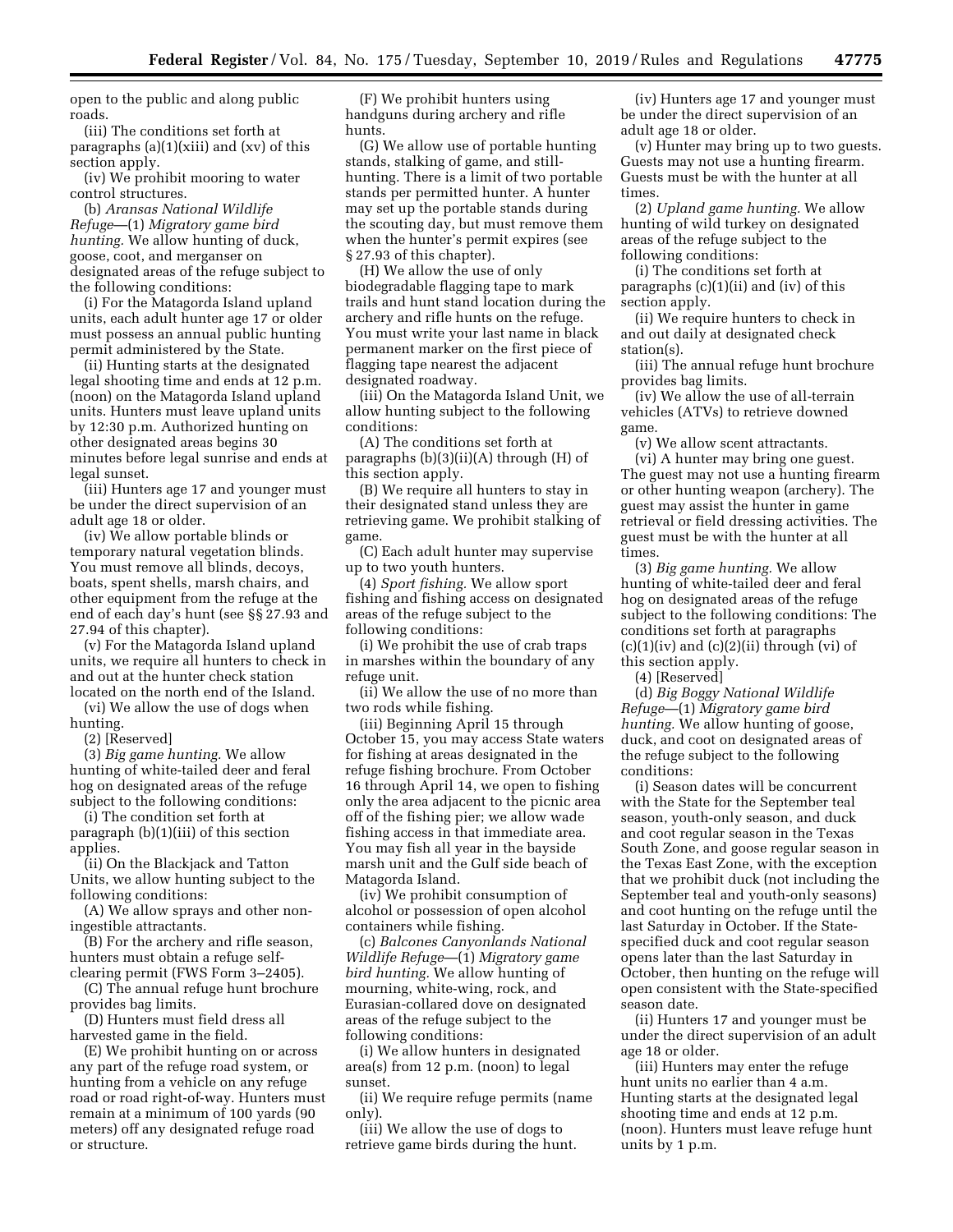open to the public and along public roads.

(iii) The conditions set forth at paragraphs (a)(1)(xiii) and (xv) of this section apply.

(iv) We prohibit mooring to water control structures.

(b) *Aransas National Wildlife Refuge*—(1) *Migratory game bird hunting.* We allow hunting of duck, goose, coot, and merganser on designated areas of the refuge subject to the following conditions:

(i) For the Matagorda Island upland units, each adult hunter age 17 or older must possess an annual public hunting permit administered by the State.

(ii) Hunting starts at the designated legal shooting time and ends at 12 p.m. (noon) on the Matagorda Island upland units. Hunters must leave upland units by 12:30 p.m. Authorized hunting on other designated areas begins 30 minutes before legal sunrise and ends at legal sunset.

(iii) Hunters age 17 and younger must be under the direct supervision of an adult age 18 or older.

(iv) We allow portable blinds or temporary natural vegetation blinds. You must remove all blinds, decoys, boats, spent shells, marsh chairs, and other equipment from the refuge at the end of each day's hunt (see §§ 27.93 and 27.94 of this chapter).

(v) For the Matagorda Island upland units, we require all hunters to check in and out at the hunter check station located on the north end of the Island.

(vi) We allow the use of dogs when hunting.

(2) [Reserved]

(3) *Big game hunting.* We allow hunting of white-tailed deer and feral hog on designated areas of the refuge subject to the following conditions:

(i) The condition set forth at paragraph (b)(1)(iii) of this section applies.

(ii) On the Blackjack and Tatton Units, we allow hunting subject to the following conditions:

(A) We allow sprays and other noningestible attractants.

(B) For the archery and rifle season, hunters must obtain a refuge selfclearing permit (FWS Form 3–2405).

(C) The annual refuge hunt brochure provides bag limits.

(D) Hunters must field dress all harvested game in the field.

(E) We prohibit hunting on or across any part of the refuge road system, or hunting from a vehicle on any refuge road or road right-of-way. Hunters must remain at a minimum of 100 yards (90 meters) off any designated refuge road or structure.

(F) We prohibit hunters using handguns during archery and rifle hunts.

(G) We allow use of portable hunting stands, stalking of game, and stillhunting. There is a limit of two portable stands per permitted hunter. A hunter may set up the portable stands during the scouting day, but must remove them when the hunter's permit expires (see § 27.93 of this chapter).

(H) We allow the use of only biodegradable flagging tape to mark trails and hunt stand location during the archery and rifle hunts on the refuge. You must write your last name in black permanent marker on the first piece of flagging tape nearest the adjacent designated roadway.

(iii) On the Matagorda Island Unit, we allow hunting subject to the following conditions:

(A) The conditions set forth at paragraphs (b)(3)(ii)(A) through (H) of this section apply.

(B) We require all hunters to stay in their designated stand unless they are retrieving game. We prohibit stalking of game.

(C) Each adult hunter may supervise up to two youth hunters.

(4) *Sport fishing.* We allow sport fishing and fishing access on designated areas of the refuge subject to the following conditions:

(i) We prohibit the use of crab traps in marshes within the boundary of any refuge unit.

(ii) We allow the use of no more than two rods while fishing.

(iii) Beginning April 15 through October 15, you may access State waters for fishing at areas designated in the refuge fishing brochure. From October 16 through April 14, we open to fishing only the area adjacent to the picnic area off of the fishing pier; we allow wade fishing access in that immediate area. You may fish all year in the bayside marsh unit and the Gulf side beach of Matagorda Island.

(iv) We prohibit consumption of alcohol or possession of open alcohol containers while fishing.

(c) *Balcones Canyonlands National Wildlife Refuge*—(1) *Migratory game bird hunting.* We allow hunting of mourning, white-wing, rock, and Eurasian-collared dove on designated areas of the refuge subject to the following conditions:

(i) We allow hunters in designated area(s) from 12 p.m. (noon) to legal sunset.

(ii) We require refuge permits (name only).

(iii) We allow the use of dogs to retrieve game birds during the hunt.

(iv) Hunters age 17 and younger must be under the direct supervision of an adult age 18 or older.

(v) Hunter may bring up to two guests. Guests may not use a hunting firearm. Guests must be with the hunter at all times.

(2) *Upland game hunting.* We allow hunting of wild turkey on designated areas of the refuge subject to the following conditions:

(i) The conditions set forth at paragraphs (c)(1)(ii) and (iv) of this section apply.

(ii) We require hunters to check in and out daily at designated check station(s).

(iii) The annual refuge hunt brochure provides bag limits.

(iv) We allow the use of all-terrain vehicles (ATVs) to retrieve downed game.

(v) We allow scent attractants. (vi) A hunter may bring one guest. The guest may not use a hunting firearm or other hunting weapon (archery). The guest may assist the hunter in game retrieval or field dressing activities. The guest must be with the hunter at all times.

(3) *Big game hunting.* We allow hunting of white-tailed deer and feral hog on designated areas of the refuge subject to the following conditions: The conditions set forth at paragraphs  $(c)(1)(iv)$  and  $(c)(2)(ii)$  through  $(vi)$  of this section apply.

(4) [Reserved]

(d) *Big Boggy National Wildlife Refuge*—(1) *Migratory game bird hunting.* We allow hunting of goose, duck, and coot on designated areas of the refuge subject to the following conditions:

(i) Season dates will be concurrent with the State for the September teal season, youth-only season, and duck and coot regular season in the Texas South Zone, and goose regular season in the Texas East Zone, with the exception that we prohibit duck (not including the September teal and youth-only seasons) and coot hunting on the refuge until the last Saturday in October. If the Statespecified duck and coot regular season opens later than the last Saturday in October, then hunting on the refuge will open consistent with the State-specified season date.

(ii) Hunters 17 and younger must be under the direct supervision of an adult age 18 or older.

(iii) Hunters may enter the refuge hunt units no earlier than 4 a.m. Hunting starts at the designated legal shooting time and ends at 12 p.m. (noon). Hunters must leave refuge hunt units by 1 p.m.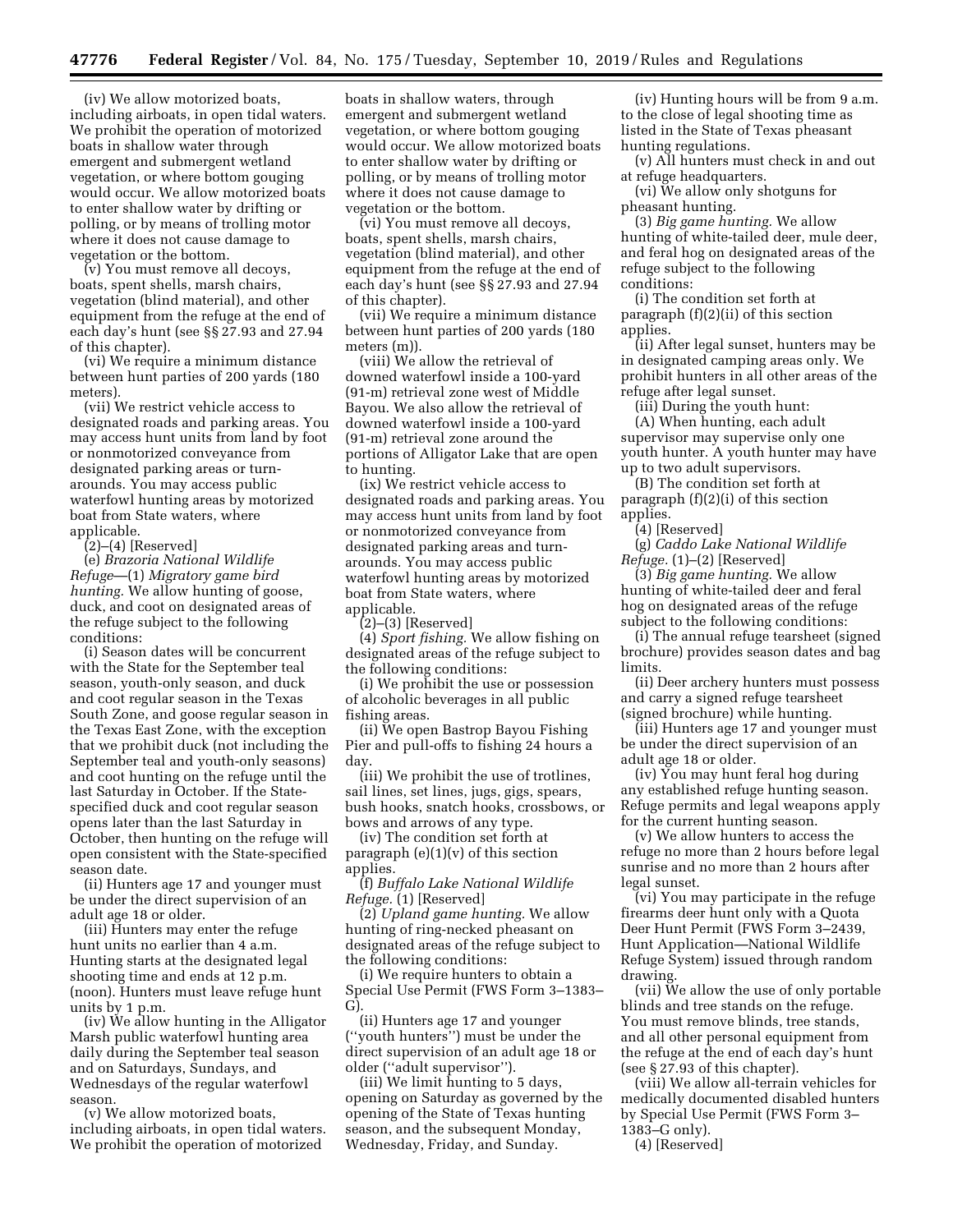(iv) We allow motorized boats, including airboats, in open tidal waters. We prohibit the operation of motorized boats in shallow water through emergent and submergent wetland vegetation, or where bottom gouging would occur. We allow motorized boats to enter shallow water by drifting or polling, or by means of trolling motor where it does not cause damage to vegetation or the bottom.

(v) You must remove all decoys, boats, spent shells, marsh chairs, vegetation (blind material), and other equipment from the refuge at the end of each day's hunt (see §§ 27.93 and 27.94 of this chapter).

(vi) We require a minimum distance between hunt parties of 200 yards (180 meters).

(vii) We restrict vehicle access to designated roads and parking areas. You may access hunt units from land by foot or nonmotorized conveyance from designated parking areas or turnarounds. You may access public waterfowl hunting areas by motorized boat from State waters, where applicable.

(2)–(4) [Reserved]

(e) *Brazoria National Wildlife Refuge*—(1) *Migratory game bird hunting.* We allow hunting of goose, duck, and coot on designated areas of the refuge subject to the following conditions:

(i) Season dates will be concurrent with the State for the September teal season, youth-only season, and duck and coot regular season in the Texas South Zone, and goose regular season in the Texas East Zone, with the exception that we prohibit duck (not including the September teal and youth-only seasons) and coot hunting on the refuge until the last Saturday in October. If the Statespecified duck and coot regular season opens later than the last Saturday in October, then hunting on the refuge will open consistent with the State-specified season date.

(ii) Hunters age 17 and younger must be under the direct supervision of an adult age 18 or older.

(iii) Hunters may enter the refuge hunt units no earlier than 4 a.m. Hunting starts at the designated legal shooting time and ends at 12 p.m. (noon). Hunters must leave refuge hunt units by 1 p.m.

(iv) We allow hunting in the Alligator Marsh public waterfowl hunting area daily during the September teal season and on Saturdays, Sundays, and Wednesdays of the regular waterfowl season.

(v) We allow motorized boats, including airboats, in open tidal waters. We prohibit the operation of motorized

boats in shallow waters, through emergent and submergent wetland vegetation, or where bottom gouging would occur. We allow motorized boats to enter shallow water by drifting or polling, or by means of trolling motor where it does not cause damage to vegetation or the bottom.

(vi) You must remove all decoys, boats, spent shells, marsh chairs, vegetation (blind material), and other equipment from the refuge at the end of each day's hunt (see §§ 27.93 and 27.94 of this chapter).

(vii) We require a minimum distance between hunt parties of 200 yards (180 meters (m)).

(viii) We allow the retrieval of downed waterfowl inside a 100-yard (91-m) retrieval zone west of Middle Bayou. We also allow the retrieval of downed waterfowl inside a 100-yard (91-m) retrieval zone around the portions of Alligator Lake that are open to hunting.

(ix) We restrict vehicle access to designated roads and parking areas. You may access hunt units from land by foot or nonmotorized conveyance from designated parking areas and turnarounds. You may access public waterfowl hunting areas by motorized boat from State waters, where applicable.

(2)–(3) [Reserved]

(4) *Sport fishing.* We allow fishing on designated areas of the refuge subject to the following conditions:

(i) We prohibit the use or possession of alcoholic beverages in all public fishing areas.

(ii) We open Bastrop Bayou Fishing Pier and pull-offs to fishing 24 hours a day.

(iii) We prohibit the use of trotlines, sail lines, set lines, jugs, gigs, spears, bush hooks, snatch hooks, crossbows, or bows and arrows of any type.

(iv) The condition set forth at paragraph  $(e)(1)(v)$  of this section applies.

(f) *Buffalo Lake National Wildlife Refuge.* (1) [Reserved]

(2) *Upland game hunting.* We allow hunting of ring-necked pheasant on designated areas of the refuge subject to the following conditions:

(i) We require hunters to obtain a Special Use Permit (FWS Form 3–1383– G).

(ii) Hunters age 17 and younger (''youth hunters'') must be under the direct supervision of an adult age 18 or older (''adult supervisor'').

(iii) We limit hunting to 5 days, opening on Saturday as governed by the opening of the State of Texas hunting season, and the subsequent Monday, Wednesday, Friday, and Sunday.

(iv) Hunting hours will be from 9 a.m. to the close of legal shooting time as listed in the State of Texas pheasant hunting regulations.

(v) All hunters must check in and out at refuge headquarters.

(vi) We allow only shotguns for pheasant hunting.

(3) *Big game hunting.* We allow hunting of white-tailed deer, mule deer, and feral hog on designated areas of the refuge subject to the following conditions:

(i) The condition set forth at paragraph (f)(2)(ii) of this section applies.

(ii) After legal sunset, hunters may be in designated camping areas only. We prohibit hunters in all other areas of the refuge after legal sunset.

(iii) During the youth hunt:

(A) When hunting, each adult supervisor may supervise only one youth hunter. A youth hunter may have up to two adult supervisors.

(B) The condition set forth at paragraph (f)(2)(i) of this section applies.

(4) [Reserved]

(g) *Caddo Lake National Wildlife Refuge.* (1)–(2) [Reserved]

(3) *Big game hunting.* We allow hunting of white-tailed deer and feral hog on designated areas of the refuge subject to the following conditions:

(i) The annual refuge tearsheet (signed brochure) provides season dates and bag limits.

(ii) Deer archery hunters must possess and carry a signed refuge tearsheet (signed brochure) while hunting.

(iii) Hunters age 17 and younger must be under the direct supervision of an adult age 18 or older.

(iv) You may hunt feral hog during any established refuge hunting season. Refuge permits and legal weapons apply for the current hunting season.

(v) We allow hunters to access the refuge no more than 2 hours before legal sunrise and no more than 2 hours after legal sunset.

(vi) You may participate in the refuge firearms deer hunt only with a Quota Deer Hunt Permit (FWS Form 3–2439, Hunt Application—National Wildlife Refuge System) issued through random drawing.

(vii) We allow the use of only portable blinds and tree stands on the refuge. You must remove blinds, tree stands, and all other personal equipment from the refuge at the end of each day's hunt (see § 27.93 of this chapter).

(viii) We allow all-terrain vehicles for medically documented disabled hunters by Special Use Permit (FWS Form 3– 1383–G only).

(4) [Reserved]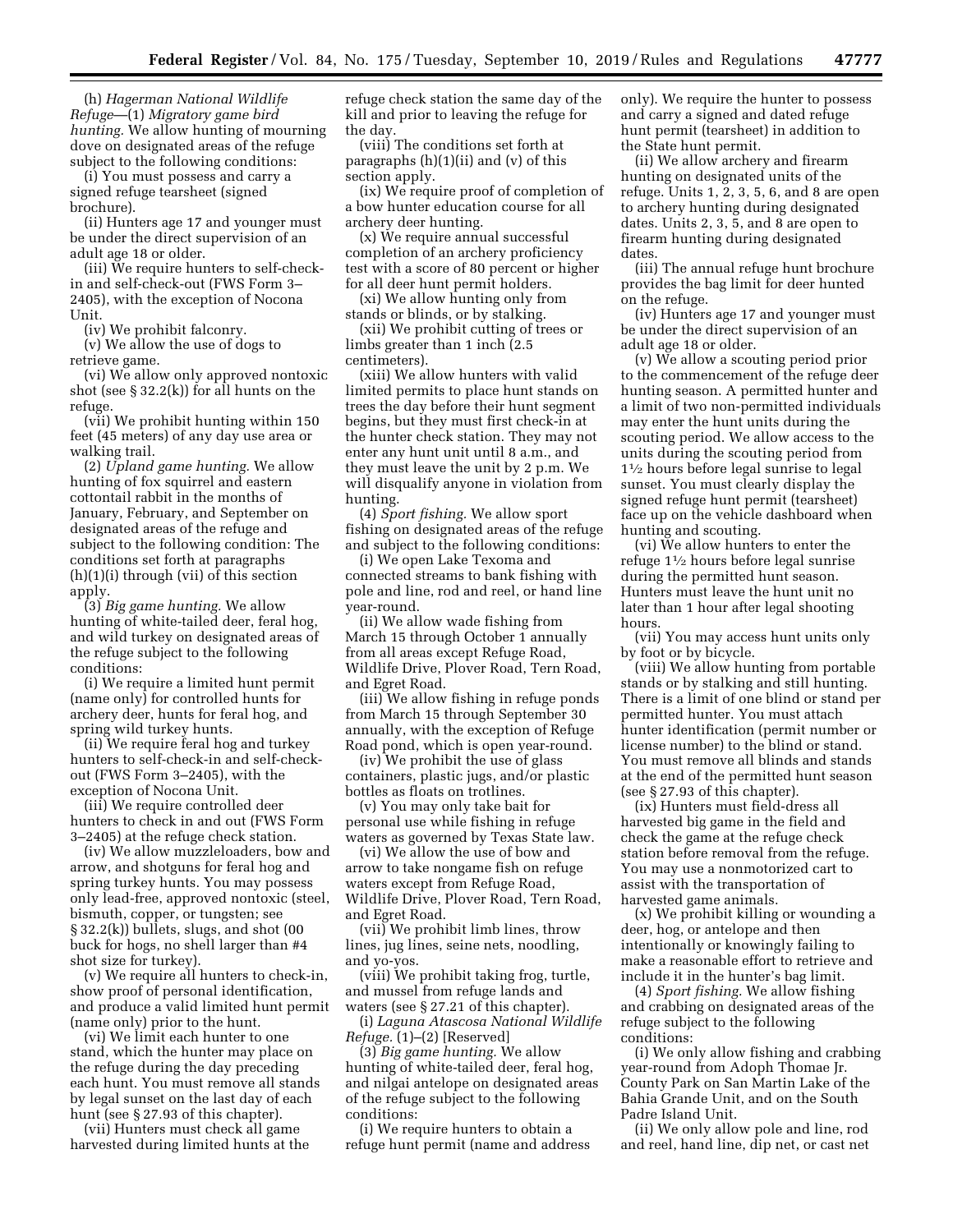(h) *Hagerman National Wildlife Refuge*—(1) *Migratory game bird hunting.* We allow hunting of mourning dove on designated areas of the refuge subject to the following conditions:

(i) You must possess and carry a signed refuge tearsheet (signed brochure).

(ii) Hunters age 17 and younger must be under the direct supervision of an adult age 18 or older.

(iii) We require hunters to self-checkin and self-check-out (FWS Form 3– 2405), with the exception of Nocona Unit.

(iv) We prohibit falconry.

(v) We allow the use of dogs to retrieve game.

(vi) We allow only approved nontoxic shot (see § 32.2(k)) for all hunts on the refuge.

(vii) We prohibit hunting within 150 feet (45 meters) of any day use area or walking trail.

(2) *Upland game hunting.* We allow hunting of fox squirrel and eastern cottontail rabbit in the months of January, February, and September on designated areas of the refuge and subject to the following condition: The conditions set forth at paragraphs (h)(1)(i) through (vii) of this section apply.

(3) *Big game hunting.* We allow hunting of white-tailed deer, feral hog, and wild turkey on designated areas of the refuge subject to the following conditions:

(i) We require a limited hunt permit (name only) for controlled hunts for archery deer, hunts for feral hog, and spring wild turkey hunts.

(ii) We require feral hog and turkey hunters to self-check-in and self-checkout (FWS Form 3–2405), with the exception of Nocona Unit.

(iii) We require controlled deer hunters to check in and out (FWS Form 3–2405) at the refuge check station.

(iv) We allow muzzleloaders, bow and arrow, and shotguns for feral hog and spring turkey hunts. You may possess only lead-free, approved nontoxic (steel, bismuth, copper, or tungsten; see § 32.2(k)) bullets, slugs, and shot (00 buck for hogs, no shell larger than #4 shot size for turkey).

(v) We require all hunters to check-in, show proof of personal identification, and produce a valid limited hunt permit (name only) prior to the hunt.

(vi) We limit each hunter to one stand, which the hunter may place on the refuge during the day preceding each hunt. You must remove all stands by legal sunset on the last day of each hunt (see § 27.93 of this chapter).

(vii) Hunters must check all game harvested during limited hunts at the refuge check station the same day of the kill and prior to leaving the refuge for the day.

(viii) The conditions set forth at paragraphs (h)(1)(ii) and (v) of this section apply.

(ix) We require proof of completion of a bow hunter education course for all archery deer hunting.

(x) We require annual successful completion of an archery proficiency test with a score of 80 percent or higher for all deer hunt permit holders.

(xi) We allow hunting only from stands or blinds, or by stalking.

(xii) We prohibit cutting of trees or limbs greater than 1 inch (2.5 centimeters).

(xiii) We allow hunters with valid limited permits to place hunt stands on trees the day before their hunt segment begins, but they must first check-in at the hunter check station. They may not enter any hunt unit until 8 a.m., and they must leave the unit by 2 p.m. We will disqualify anyone in violation from hunting.

(4) *Sport fishing.* We allow sport fishing on designated areas of the refuge and subject to the following conditions:

(i) We open Lake Texoma and connected streams to bank fishing with pole and line, rod and reel, or hand line year-round.

(ii) We allow wade fishing from March 15 through October 1 annually from all areas except Refuge Road, Wildlife Drive, Plover Road, Tern Road, and Egret Road.

(iii) We allow fishing in refuge ponds from March 15 through September 30 annually, with the exception of Refuge Road pond, which is open year-round.

(iv) We prohibit the use of glass containers, plastic jugs, and/or plastic bottles as floats on trotlines.

(v) You may only take bait for personal use while fishing in refuge waters as governed by Texas State law.

(vi) We allow the use of bow and arrow to take nongame fish on refuge waters except from Refuge Road, Wildlife Drive, Plover Road, Tern Road, and Egret Road.

(vii) We prohibit limb lines, throw lines, jug lines, seine nets, noodling, and yo-yos.

(viii) We prohibit taking frog, turtle, and mussel from refuge lands and waters (see § 27.21 of this chapter).

(i) *Laguna Atascosa National Wildlife Refuge.* (1)–(2) [Reserved]

(3) *Big game hunting.* We allow hunting of white-tailed deer, feral hog, and nilgai antelope on designated areas of the refuge subject to the following conditions:

(i) We require hunters to obtain a refuge hunt permit (name and address only). We require the hunter to possess and carry a signed and dated refuge hunt permit (tearsheet) in addition to the State hunt permit.

(ii) We allow archery and firearm hunting on designated units of the refuge. Units 1, 2, 3, 5, 6, and 8 are open to archery hunting during designated dates. Units 2, 3, 5, and 8 are open to firearm hunting during designated dates.

(iii) The annual refuge hunt brochure provides the bag limit for deer hunted on the refuge.

(iv) Hunters age 17 and younger must be under the direct supervision of an adult age 18 or older.

(v) We allow a scouting period prior to the commencement of the refuge deer hunting season. A permitted hunter and a limit of two non-permitted individuals may enter the hunt units during the scouting period. We allow access to the units during the scouting period from 11⁄2 hours before legal sunrise to legal sunset. You must clearly display the signed refuge hunt permit (tearsheet) face up on the vehicle dashboard when hunting and scouting.

(vi) We allow hunters to enter the refuge 11⁄2 hours before legal sunrise during the permitted hunt season. Hunters must leave the hunt unit no later than 1 hour after legal shooting hours.

(vii) You may access hunt units only by foot or by bicycle.

(viii) We allow hunting from portable stands or by stalking and still hunting. There is a limit of one blind or stand per permitted hunter. You must attach hunter identification (permit number or license number) to the blind or stand. You must remove all blinds and stands at the end of the permitted hunt season (see § 27.93 of this chapter).

(ix) Hunters must field-dress all harvested big game in the field and check the game at the refuge check station before removal from the refuge. You may use a nonmotorized cart to assist with the transportation of harvested game animals.

(x) We prohibit killing or wounding a deer, hog, or antelope and then intentionally or knowingly failing to make a reasonable effort to retrieve and include it in the hunter's bag limit.

(4) *Sport fishing.* We allow fishing and crabbing on designated areas of the refuge subject to the following conditions:

(i) We only allow fishing and crabbing year-round from Adoph Thomae Jr. County Park on San Martin Lake of the Bahia Grande Unit, and on the South Padre Island Unit.

(ii) We only allow pole and line, rod and reel, hand line, dip net, or cast net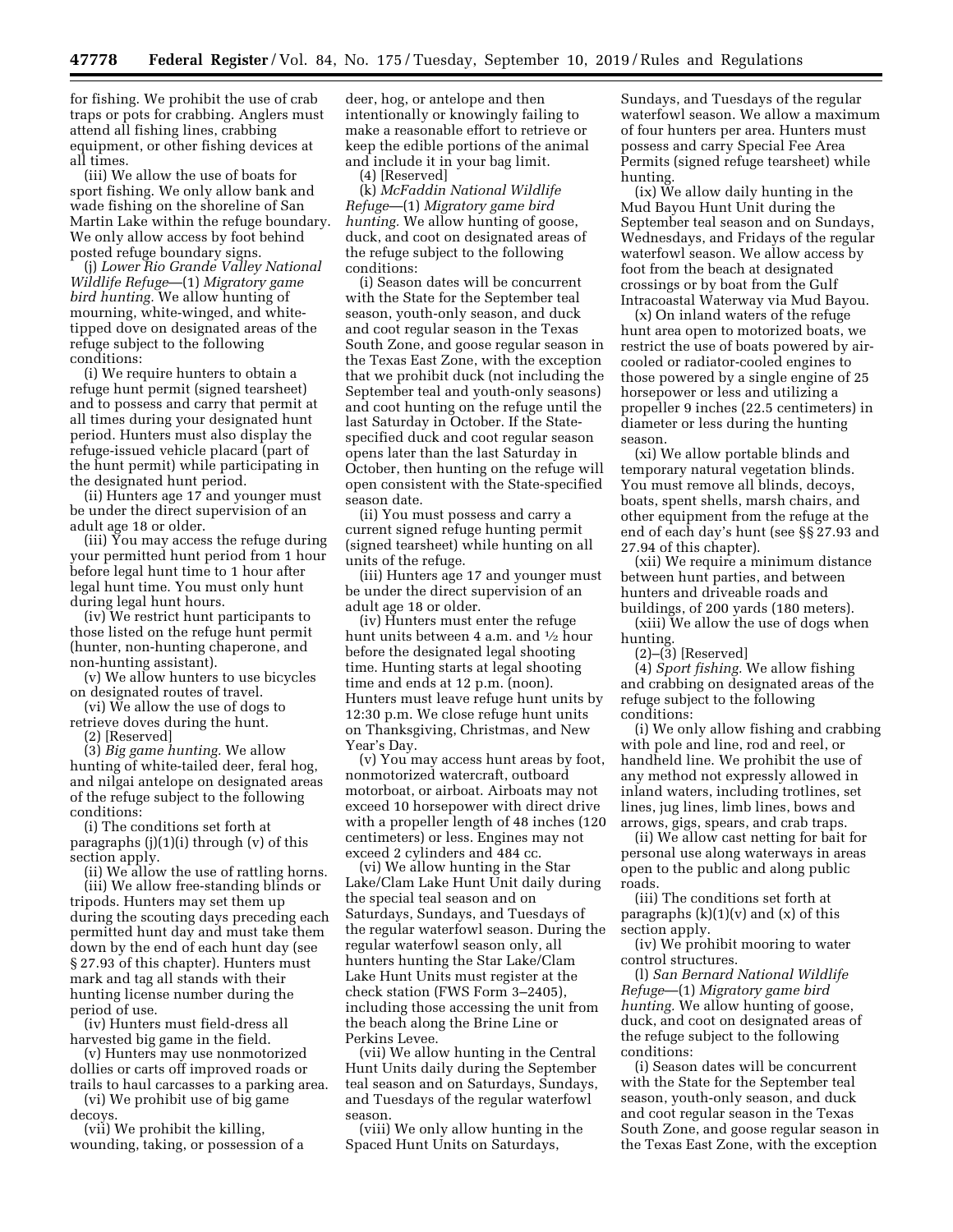for fishing. We prohibit the use of crab traps or pots for crabbing. Anglers must attend all fishing lines, crabbing equipment, or other fishing devices at all times.

(iii) We allow the use of boats for sport fishing. We only allow bank and wade fishing on the shoreline of San Martin Lake within the refuge boundary. We only allow access by foot behind posted refuge boundary signs.

(j) *Lower Rio Grande Valley National Wildlife Refuge*—(1) *Migratory game bird hunting.* We allow hunting of mourning, white-winged, and whitetipped dove on designated areas of the refuge subject to the following conditions:

(i) We require hunters to obtain a refuge hunt permit (signed tearsheet) and to possess and carry that permit at all times during your designated hunt period. Hunters must also display the refuge-issued vehicle placard (part of the hunt permit) while participating in the designated hunt period.

(ii) Hunters age 17 and younger must be under the direct supervision of an adult age 18 or older.

(iii) You may access the refuge during your permitted hunt period from 1 hour before legal hunt time to 1 hour after legal hunt time. You must only hunt during legal hunt hours.

(iv) We restrict hunt participants to those listed on the refuge hunt permit (hunter, non-hunting chaperone, and non-hunting assistant).

(v) We allow hunters to use bicycles on designated routes of travel.

(vi) We allow the use of dogs to

retrieve doves during the hunt. (2) [Reserved]

(3) *Big game hunting.* We allow hunting of white-tailed deer, feral hog, and nilgai antelope on designated areas of the refuge subject to the following conditions:

(i) The conditions set forth at paragraphs (j)(1)(i) through (v) of this section apply.

(ii) We allow the use of rattling horns. (iii) We allow free-standing blinds or tripods. Hunters may set them up during the scouting days preceding each permitted hunt day and must take them down by the end of each hunt day (see § 27.93 of this chapter). Hunters must mark and tag all stands with their hunting license number during the period of use.

(iv) Hunters must field-dress all harvested big game in the field.

(v) Hunters may use nonmotorized dollies or carts off improved roads or trails to haul carcasses to a parking area.

(vi) We prohibit use of big game decoys.

(vii) We prohibit the killing, wounding, taking, or possession of a deer, hog, or antelope and then intentionally or knowingly failing to make a reasonable effort to retrieve or keep the edible portions of the animal and include it in your bag limit.

(4) [Reserved]

(k) *McFaddin National Wildlife Refuge*—(1) *Migratory game bird hunting.* We allow hunting of goose, duck, and coot on designated areas of the refuge subject to the following conditions:

(i) Season dates will be concurrent with the State for the September teal season, youth-only season, and duck and coot regular season in the Texas South Zone, and goose regular season in the Texas East Zone, with the exception that we prohibit duck (not including the September teal and youth-only seasons) and coot hunting on the refuge until the last Saturday in October. If the Statespecified duck and coot regular season opens later than the last Saturday in October, then hunting on the refuge will open consistent with the State-specified season date.

(ii) You must possess and carry a current signed refuge hunting permit (signed tearsheet) while hunting on all units of the refuge.

(iii) Hunters age 17 and younger must be under the direct supervision of an adult age 18 or older.

(iv) Hunters must enter the refuge hunt units between 4 a.m. and 1⁄2 hour before the designated legal shooting time. Hunting starts at legal shooting time and ends at 12 p.m. (noon). Hunters must leave refuge hunt units by 12:30 p.m. We close refuge hunt units on Thanksgiving, Christmas, and New Year's Day.

(v) You may access hunt areas by foot, nonmotorized watercraft, outboard motorboat, or airboat. Airboats may not exceed 10 horsepower with direct drive with a propeller length of 48 inches (120 centimeters) or less. Engines may not exceed 2 cylinders and 484 cc.

(vi) We allow hunting in the Star Lake/Clam Lake Hunt Unit daily during the special teal season and on Saturdays, Sundays, and Tuesdays of the regular waterfowl season. During the regular waterfowl season only, all hunters hunting the Star Lake/Clam Lake Hunt Units must register at the check station (FWS Form 3–2405), including those accessing the unit from the beach along the Brine Line or Perkins Levee.

(vii) We allow hunting in the Central Hunt Units daily during the September teal season and on Saturdays, Sundays, and Tuesdays of the regular waterfowl season.

(viii) We only allow hunting in the Spaced Hunt Units on Saturdays,

Sundays, and Tuesdays of the regular waterfowl season. We allow a maximum of four hunters per area. Hunters must possess and carry Special Fee Area Permits (signed refuge tearsheet) while hunting.

(ix) We allow daily hunting in the Mud Bayou Hunt Unit during the September teal season and on Sundays, Wednesdays, and Fridays of the regular waterfowl season. We allow access by foot from the beach at designated crossings or by boat from the Gulf Intracoastal Waterway via Mud Bayou.

(x) On inland waters of the refuge hunt area open to motorized boats, we restrict the use of boats powered by aircooled or radiator-cooled engines to those powered by a single engine of 25 horsepower or less and utilizing a propeller 9 inches (22.5 centimeters) in diameter or less during the hunting season.

(xi) We allow portable blinds and temporary natural vegetation blinds. You must remove all blinds, decoys, boats, spent shells, marsh chairs, and other equipment from the refuge at the end of each day's hunt (see §§ 27.93 and 27.94 of this chapter).

(xii) We require a minimum distance between hunt parties, and between hunters and driveable roads and buildings, of 200 yards (180 meters).

(xiii) We allow the use of dogs when hunting.

 $(2)$ – $(3)$  [Reserved]

(4) *Sport fishing.* We allow fishing and crabbing on designated areas of the refuge subject to the following conditions:

(i) We only allow fishing and crabbing with pole and line, rod and reel, or handheld line. We prohibit the use of any method not expressly allowed in inland waters, including trotlines, set lines, jug lines, limb lines, bows and arrows, gigs, spears, and crab traps.

(ii) We allow cast netting for bait for personal use along waterways in areas open to the public and along public roads.

(iii) The conditions set forth at paragraphs  $(k)(1)(v)$  and  $(x)$  of this section apply.

(iv) We prohibit mooring to water control structures.

(l) *San Bernard National Wildlife Refuge*—(1) *Migratory game bird hunting.* We allow hunting of goose, duck, and coot on designated areas of the refuge subject to the following conditions:

(i) Season dates will be concurrent with the State for the September teal season, youth-only season, and duck and coot regular season in the Texas South Zone, and goose regular season in the Texas East Zone, with the exception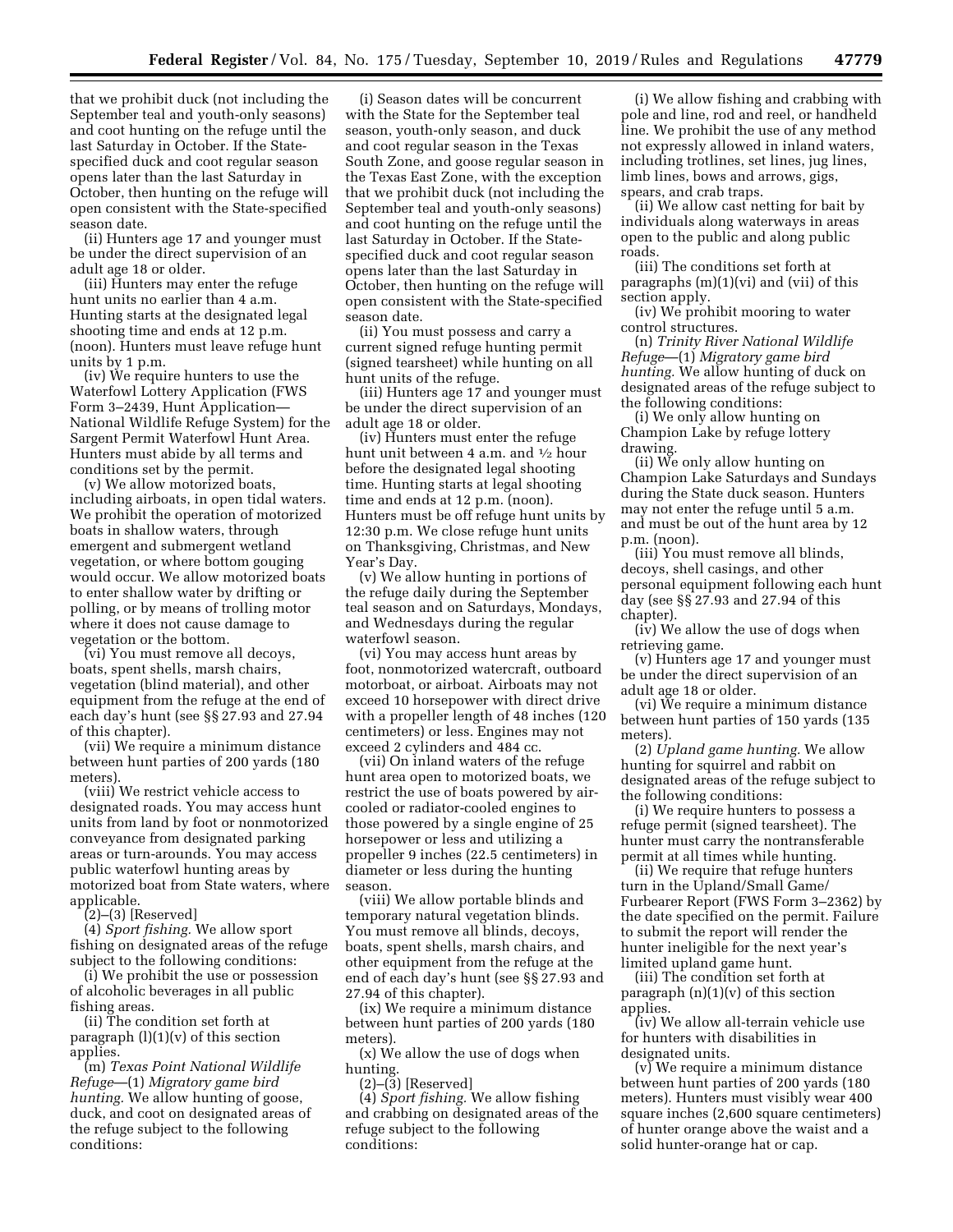that we prohibit duck (not including the September teal and youth-only seasons) and coot hunting on the refuge until the last Saturday in October. If the Statespecified duck and coot regular season opens later than the last Saturday in October, then hunting on the refuge will open consistent with the State-specified season date.

(ii) Hunters age 17 and younger must be under the direct supervision of an adult age 18 or older.

(iii) Hunters may enter the refuge hunt units no earlier than 4 a.m. Hunting starts at the designated legal shooting time and ends at 12 p.m. (noon). Hunters must leave refuge hunt units by 1 p.m.

(iv) We require hunters to use the Waterfowl Lottery Application (FWS Form 3-2439, Hunt Application-National Wildlife Refuge System) for the Sargent Permit Waterfowl Hunt Area. Hunters must abide by all terms and conditions set by the permit.

(v) We allow motorized boats, including airboats, in open tidal waters. We prohibit the operation of motorized boats in shallow waters, through emergent and submergent wetland vegetation, or where bottom gouging would occur. We allow motorized boats to enter shallow water by drifting or polling, or by means of trolling motor where it does not cause damage to vegetation or the bottom.

(vi) You must remove all decoys, boats, spent shells, marsh chairs, vegetation (blind material), and other equipment from the refuge at the end of each day's hunt (see §§ 27.93 and 27.94 of this chapter).

(vii) We require a minimum distance between hunt parties of 200 yards (180 meters).

(viii) We restrict vehicle access to designated roads. You may access hunt units from land by foot or nonmotorized conveyance from designated parking areas or turn-arounds. You may access public waterfowl hunting areas by motorized boat from State waters, where applicable.

(2)–(3) [Reserved]

(4) *Sport fishing.* We allow sport fishing on designated areas of the refuge subject to the following conditions:

(i) We prohibit the use or possession of alcoholic beverages in all public fishing areas.

(ii) The condition set forth at paragraph  $(l)(1)(v)$  of this section applies.

(m) *Texas Point National Wildlife Refuge*—(1) *Migratory game bird hunting.* We allow hunting of goose, duck, and coot on designated areas of the refuge subject to the following conditions:

(i) Season dates will be concurrent with the State for the September teal season, youth-only season, and duck and coot regular season in the Texas South Zone, and goose regular season in the Texas East Zone, with the exception that we prohibit duck (not including the September teal and youth-only seasons) and coot hunting on the refuge until the last Saturday in October. If the Statespecified duck and coot regular season opens later than the last Saturday in October, then hunting on the refuge will open consistent with the State-specified season date.

(ii) You must possess and carry a current signed refuge hunting permit (signed tearsheet) while hunting on all hunt units of the refuge.

(iii) Hunters age 17 and younger must be under the direct supervision of an adult age 18 or older.

(iv) Hunters must enter the refuge hunt unit between 4 a.m. and 1⁄2 hour before the designated legal shooting time. Hunting starts at legal shooting time and ends at 12 p.m. (noon). Hunters must be off refuge hunt units by 12:30 p.m. We close refuge hunt units on Thanksgiving, Christmas, and New Year's Day.

(v) We allow hunting in portions of the refuge daily during the September teal season and on Saturdays, Mondays, and Wednesdays during the regular waterfowl season.

(vi) You may access hunt areas by foot, nonmotorized watercraft, outboard motorboat, or airboat. Airboats may not exceed 10 horsepower with direct drive with a propeller length of 48 inches (120 centimeters) or less. Engines may not exceed 2 cylinders and 484 cc.

(vii) On inland waters of the refuge hunt area open to motorized boats, we restrict the use of boats powered by aircooled or radiator-cooled engines to those powered by a single engine of 25 horsepower or less and utilizing a propeller 9 inches (22.5 centimeters) in diameter or less during the hunting season.

(viii) We allow portable blinds and temporary natural vegetation blinds. You must remove all blinds, decoys, boats, spent shells, marsh chairs, and other equipment from the refuge at the end of each day's hunt (see §§ 27.93 and 27.94 of this chapter).

(ix) We require a minimum distance between hunt parties of 200 yards (180 meters).

(x) We allow the use of dogs when hunting.

 $(2)$ – $(\overline{3})$  [Reserved]

(4) *Sport fishing.* We allow fishing and crabbing on designated areas of the refuge subject to the following conditions:

(i) We allow fishing and crabbing with pole and line, rod and reel, or handheld line. We prohibit the use of any method not expressly allowed in inland waters, including trotlines, set lines, jug lines, limb lines, bows and arrows, gigs, spears, and crab traps.

(ii) We allow cast netting for bait by individuals along waterways in areas open to the public and along public roads.

(iii) The conditions set forth at paragraphs (m)(1)(vi) and (vii) of this section apply.

(iv) We prohibit mooring to water control structures.

(n) *Trinity River National Wildlife Refuge*—(1) *Migratory game bird hunting.* We allow hunting of duck on designated areas of the refuge subject to the following conditions:

(i) We only allow hunting on Champion Lake by refuge lottery drawing.

(ii) We only allow hunting on Champion Lake Saturdays and Sundays during the State duck season. Hunters may not enter the refuge until 5 a.m. and must be out of the hunt area by 12 p.m. (noon).

(iii) You must remove all blinds, decoys, shell casings, and other personal equipment following each hunt day (see §§ 27.93 and 27.94 of this chapter).

(iv) We allow the use of dogs when retrieving game.

(v) Hunters age 17 and younger must be under the direct supervision of an adult age 18 or older.

(vi) We require a minimum distance between hunt parties of 150 yards (135 meters).

(2) *Upland game hunting.* We allow hunting for squirrel and rabbit on designated areas of the refuge subject to the following conditions:

(i) We require hunters to possess a refuge permit (signed tearsheet). The hunter must carry the nontransferable permit at all times while hunting.

(ii) We require that refuge hunters turn in the Upland/Small Game/ Furbearer Report (FWS Form 3–2362) by the date specified on the permit. Failure to submit the report will render the hunter ineligible for the next year's limited upland game hunt.

(iii) The condition set forth at paragraph  $(n)(1)(v)$  of this section applies.

(iv) We allow all-terrain vehicle use for hunters with disabilities in designated units.

(v) We require a minimum distance between hunt parties of 200 yards (180 meters). Hunters must visibly wear 400 square inches (2,600 square centimeters) of hunter orange above the waist and a solid hunter-orange hat or cap.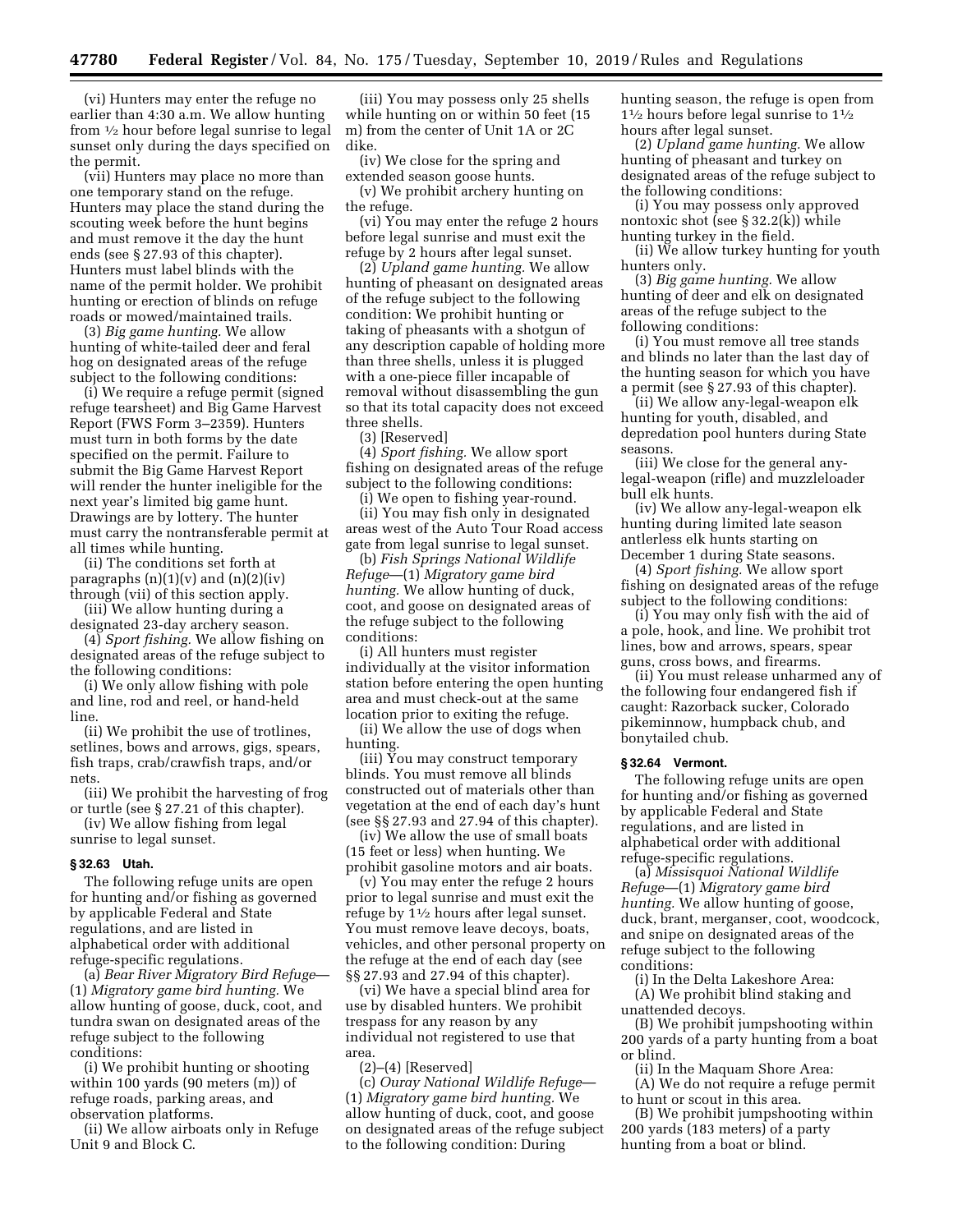(vi) Hunters may enter the refuge no earlier than 4:30 a.m. We allow hunting from 1⁄2 hour before legal sunrise to legal sunset only during the days specified on the permit.

(vii) Hunters may place no more than one temporary stand on the refuge. Hunters may place the stand during the scouting week before the hunt begins and must remove it the day the hunt ends (see § 27.93 of this chapter). Hunters must label blinds with the name of the permit holder. We prohibit hunting or erection of blinds on refuge roads or mowed/maintained trails.

(3) *Big game hunting.* We allow hunting of white-tailed deer and feral hog on designated areas of the refuge subject to the following conditions:

(i) We require a refuge permit (signed refuge tearsheet) and Big Game Harvest Report (FWS Form 3–2359). Hunters must turn in both forms by the date specified on the permit. Failure to submit the Big Game Harvest Report will render the hunter ineligible for the next year's limited big game hunt. Drawings are by lottery. The hunter must carry the nontransferable permit at all times while hunting.

(ii) The conditions set forth at paragraphs  $(n)(1)(v)$  and  $(n)(2)(iv)$ through (vii) of this section apply.

(iii) We allow hunting during a designated 23-day archery season.

(4) *Sport fishing.* We allow fishing on designated areas of the refuge subject to the following conditions:

(i) We only allow fishing with pole and line, rod and reel, or hand-held line.

(ii) We prohibit the use of trotlines, setlines, bows and arrows, gigs, spears, fish traps, crab/crawfish traps, and/or nets.

(iii) We prohibit the harvesting of frog or turtle (see § 27.21 of this chapter).

(iv) We allow fishing from legal sunrise to legal sunset.

### **§ 32.63 Utah.**

The following refuge units are open for hunting and/or fishing as governed by applicable Federal and State regulations, and are listed in alphabetical order with additional refuge-specific regulations.

(a) *Bear River Migratory Bird Refuge*— (1) *Migratory game bird hunting.* We allow hunting of goose, duck, coot, and tundra swan on designated areas of the refuge subject to the following conditions:

(i) We prohibit hunting or shooting within 100 yards (90 meters (m)) of refuge roads, parking areas, and observation platforms.

(ii) We allow airboats only in Refuge Unit 9 and Block C.

(iii) You may possess only 25 shells while hunting on or within 50 feet (15 m) from the center of Unit 1A or 2C dike.

(iv) We close for the spring and extended season goose hunts.

(v) We prohibit archery hunting on the refuge.

(vi) You may enter the refuge 2 hours before legal sunrise and must exit the refuge by 2 hours after legal sunset.

(2) *Upland game hunting.* We allow hunting of pheasant on designated areas of the refuge subject to the following condition: We prohibit hunting or taking of pheasants with a shotgun of any description capable of holding more than three shells, unless it is plugged with a one-piece filler incapable of removal without disassembling the gun so that its total capacity does not exceed three shells.

(3) [Reserved]

(4) *Sport fishing.* We allow sport fishing on designated areas of the refuge subject to the following conditions:

(i) We open to fishing year-round. (ii) You may fish only in designated areas west of the Auto Tour Road access gate from legal sunrise to legal sunset.

(b) *Fish Springs National Wildlife Refuge*—(1) *Migratory game bird hunting.* We allow hunting of duck, coot, and goose on designated areas of the refuge subject to the following conditions:

(i) All hunters must register individually at the visitor information station before entering the open hunting area and must check-out at the same location prior to exiting the refuge.

(ii) We allow the use of dogs when hunting.

(iii) You may construct temporary blinds. You must remove all blinds constructed out of materials other than vegetation at the end of each day's hunt (see §§ 27.93 and 27.94 of this chapter).

(iv) We allow the use of small boats (15 feet or less) when hunting. We prohibit gasoline motors and air boats.

(v) You may enter the refuge 2 hours prior to legal sunrise and must exit the refuge by 11⁄2 hours after legal sunset. You must remove leave decoys, boats, vehicles, and other personal property on the refuge at the end of each day (see §§ 27.93 and 27.94 of this chapter).

(vi) We have a special blind area for use by disabled hunters. We prohibit trespass for any reason by any individual not registered to use that area.

(2)–(4) [Reserved]

(c) *Ouray National Wildlife Refuge*— (1) *Migratory game bird hunting.* We allow hunting of duck, coot, and goose on designated areas of the refuge subject to the following condition: During

hunting season, the refuge is open from  $1\frac{1}{2}$  hours before legal sunrise to  $1\frac{1}{2}$ hours after legal sunset.

(2) *Upland game hunting.* We allow hunting of pheasant and turkey on designated areas of the refuge subject to the following conditions:

(i) You may possess only approved nontoxic shot (see § 32.2(k)) while hunting turkey in the field.

(ii) We allow turkey hunting for youth hunters only.

(3) *Big game hunting.* We allow hunting of deer and elk on designated areas of the refuge subject to the following conditions:

(i) You must remove all tree stands and blinds no later than the last day of the hunting season for which you have a permit (see § 27.93 of this chapter).

(ii) We allow any-legal-weapon elk hunting for youth, disabled, and depredation pool hunters during State seasons.

(iii) We close for the general anylegal-weapon (rifle) and muzzleloader bull elk hunts.

(iv) We allow any-legal-weapon elk hunting during limited late season antlerless elk hunts starting on December 1 during State seasons.

(4) *Sport fishing.* We allow sport fishing on designated areas of the refuge subject to the following conditions:

(i) You may only fish with the aid of a pole, hook, and line. We prohibit trot lines, bow and arrows, spears, spear guns, cross bows, and firearms.

(ii) You must release unharmed any of the following four endangered fish if caught: Razorback sucker, Colorado pikeminnow, humpback chub, and bonytailed chub.

### **§ 32.64 Vermont.**

The following refuge units are open for hunting and/or fishing as governed by applicable Federal and State regulations, and are listed in alphabetical order with additional refuge-specific regulations.

(a) *Missisquoi National Wildlife Refuge*—(1) *Migratory game bird hunting.* We allow hunting of goose, duck, brant, merganser, coot, woodcock, and snipe on designated areas of the refuge subject to the following conditions:

(i) In the Delta Lakeshore Area: (A) We prohibit blind staking and unattended decoys.

(B) We prohibit jumpshooting within 200 yards of a party hunting from a boat or blind.

(ii) In the Maquam Shore Area:

(A) We do not require a refuge permit to hunt or scout in this area.

(B) We prohibit jumpshooting within 200 yards (183 meters) of a party hunting from a boat or blind.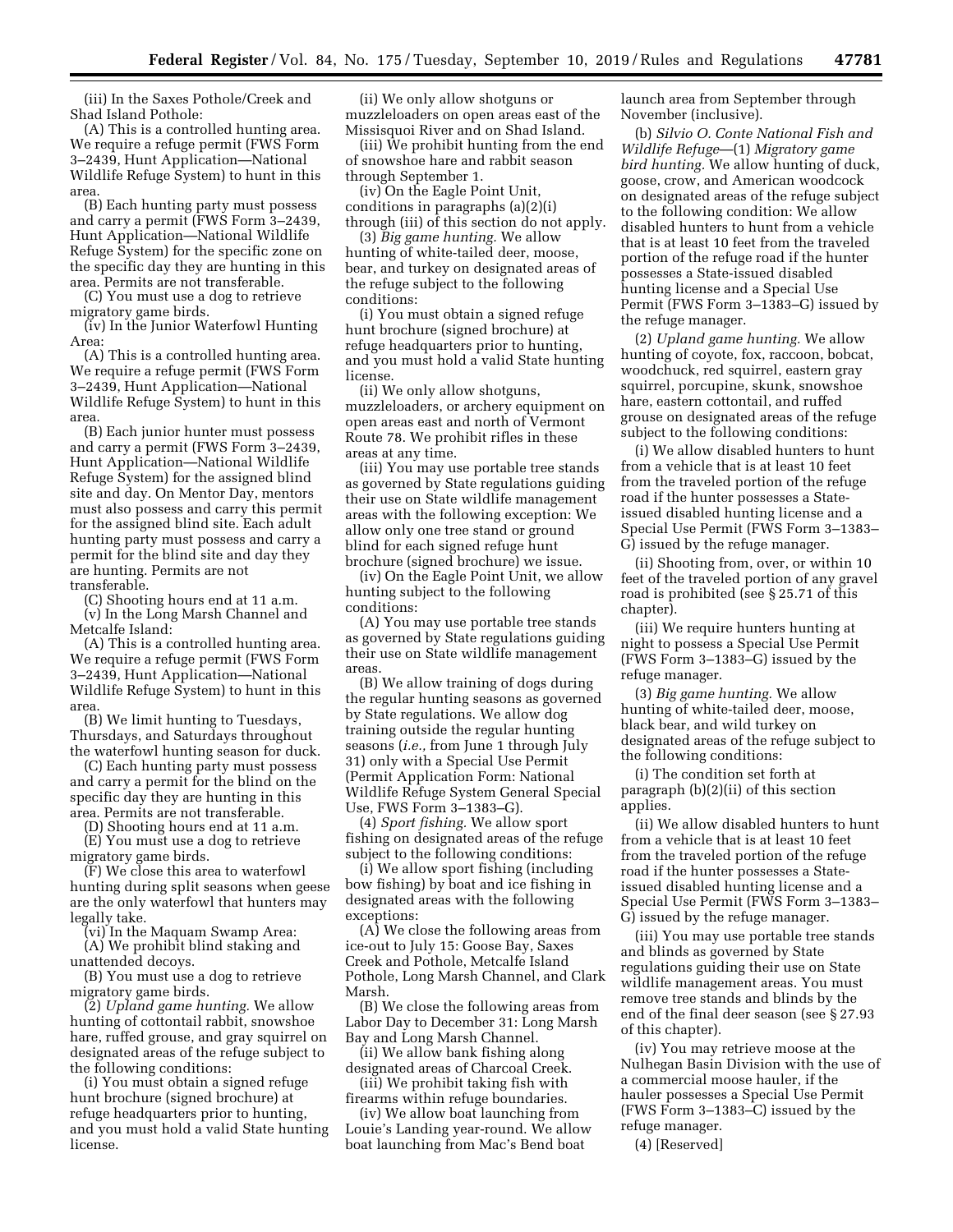(iii) In the Saxes Pothole/Creek and Shad Island Pothole:

(A) This is a controlled hunting area. We require a refuge permit (FWS Form 3–2439, Hunt Application—National Wildlife Refuge System) to hunt in this area.

(B) Each hunting party must possess and carry a permit (FWS Form 3–2439, Hunt Application—National Wildlife Refuge System) for the specific zone on the specific day they are hunting in this area. Permits are not transferable.

(C) You must use a dog to retrieve migratory game birds.

(iv) In the Junior Waterfowl Hunting Area:

(A) This is a controlled hunting area. We require a refuge permit (FWS Form 3–2439, Hunt Application—National Wildlife Refuge System) to hunt in this area.

(B) Each junior hunter must possess and carry a permit (FWS Form 3–2439, Hunt Application—National Wildlife Refuge System) for the assigned blind site and day. On Mentor Day, mentors must also possess and carry this permit for the assigned blind site. Each adult hunting party must possess and carry a permit for the blind site and day they are hunting. Permits are not transferable.

(C) Shooting hours end at 11 a.m.

(v) In the Long Marsh Channel and Metcalfe Island:

(A) This is a controlled hunting area. We require a refuge permit (FWS Form 3–2439, Hunt Application—National Wildlife Refuge System) to hunt in this area.

(B) We limit hunting to Tuesdays, Thursdays, and Saturdays throughout the waterfowl hunting season for duck.

(C) Each hunting party must possess and carry a permit for the blind on the specific day they are hunting in this area. Permits are not transferable.

(D) Shooting hours end at 11 a.m.

(E) You must use a dog to retrieve migratory game birds.

(F) We close this area to waterfowl hunting during split seasons when geese are the only waterfowl that hunters may legally take.

(vi) In the Maquam Swamp Area: (A) We prohibit blind staking and

unattended decoys. (B) You must use a dog to retrieve

migratory game birds.

(2) *Upland game hunting.* We allow hunting of cottontail rabbit, snowshoe hare, ruffed grouse, and gray squirrel on designated areas of the refuge subject to the following conditions:

(i) You must obtain a signed refuge hunt brochure (signed brochure) at refuge headquarters prior to hunting, and you must hold a valid State hunting license.

(ii) We only allow shotguns or muzzleloaders on open areas east of the Missisquoi River and on Shad Island.

(iii) We prohibit hunting from the end of snowshoe hare and rabbit season through September 1.

(iv) On the Eagle Point Unit, conditions in paragraphs (a)(2)(i) through (iii) of this section do not apply.

(3) *Big game hunting.* We allow hunting of white-tailed deer, moose, bear, and turkey on designated areas of the refuge subject to the following conditions:

(i) You must obtain a signed refuge hunt brochure (signed brochure) at refuge headquarters prior to hunting, and you must hold a valid State hunting license.

(ii) We only allow shotguns, muzzleloaders, or archery equipment on open areas east and north of Vermont Route 78. We prohibit rifles in these areas at any time.

(iii) You may use portable tree stands as governed by State regulations guiding their use on State wildlife management areas with the following exception: We allow only one tree stand or ground blind for each signed refuge hunt brochure (signed brochure) we issue.

(iv) On the Eagle Point Unit, we allow hunting subject to the following conditions:

(A) You may use portable tree stands as governed by State regulations guiding their use on State wildlife management areas.

(B) We allow training of dogs during the regular hunting seasons as governed by State regulations. We allow dog training outside the regular hunting seasons (*i.e.,* from June 1 through July 31) only with a Special Use Permit (Permit Application Form: National Wildlife Refuge System General Special Use, FWS Form 3–1383–G).

(4) *Sport fishing.* We allow sport fishing on designated areas of the refuge subject to the following conditions:

(i) We allow sport fishing (including bow fishing) by boat and ice fishing in designated areas with the following exceptions:

(A) We close the following areas from ice-out to July 15: Goose Bay, Saxes Creek and Pothole, Metcalfe Island Pothole, Long Marsh Channel, and Clark Marsh.

(B) We close the following areas from Labor Day to December 31: Long Marsh Bay and Long Marsh Channel.

(ii) We allow bank fishing along designated areas of Charcoal Creek.

(iii) We prohibit taking fish with firearms within refuge boundaries.

(iv) We allow boat launching from Louie's Landing year-round. We allow boat launching from Mac's Bend boat

launch area from September through November (inclusive).

(b) *Silvio O. Conte National Fish and Wildlife Refuge*—(1) *Migratory game bird hunting.* We allow hunting of duck, goose, crow, and American woodcock on designated areas of the refuge subject to the following condition: We allow disabled hunters to hunt from a vehicle that is at least 10 feet from the traveled portion of the refuge road if the hunter possesses a State-issued disabled hunting license and a Special Use Permit (FWS Form 3–1383–G) issued by the refuge manager.

(2) *Upland game hunting.* We allow hunting of coyote, fox, raccoon, bobcat, woodchuck, red squirrel, eastern gray squirrel, porcupine, skunk, snowshoe hare, eastern cottontail, and ruffed grouse on designated areas of the refuge subject to the following conditions:

(i) We allow disabled hunters to hunt from a vehicle that is at least 10 feet from the traveled portion of the refuge road if the hunter possesses a Stateissued disabled hunting license and a Special Use Permit (FWS Form 3–1383– G) issued by the refuge manager.

(ii) Shooting from, over, or within 10 feet of the traveled portion of any gravel road is prohibited (see § 25.71 of this chapter).

(iii) We require hunters hunting at night to possess a Special Use Permit (FWS Form 3–1383–G) issued by the refuge manager.

(3) *Big game hunting.* We allow hunting of white-tailed deer, moose, black bear, and wild turkey on designated areas of the refuge subject to the following conditions:

(i) The condition set forth at paragraph (b)(2)(ii) of this section applies.

(ii) We allow disabled hunters to hunt from a vehicle that is at least 10 feet from the traveled portion of the refuge road if the hunter possesses a Stateissued disabled hunting license and a Special Use Permit (FWS Form 3–1383– G) issued by the refuge manager.

(iii) You may use portable tree stands and blinds as governed by State regulations guiding their use on State wildlife management areas. You must remove tree stands and blinds by the end of the final deer season (see § 27.93 of this chapter).

(iv) You may retrieve moose at the Nulhegan Basin Division with the use of a commercial moose hauler, if the hauler possesses a Special Use Permit (FWS Form 3–1383–C) issued by the refuge manager.

(4) [Reserved]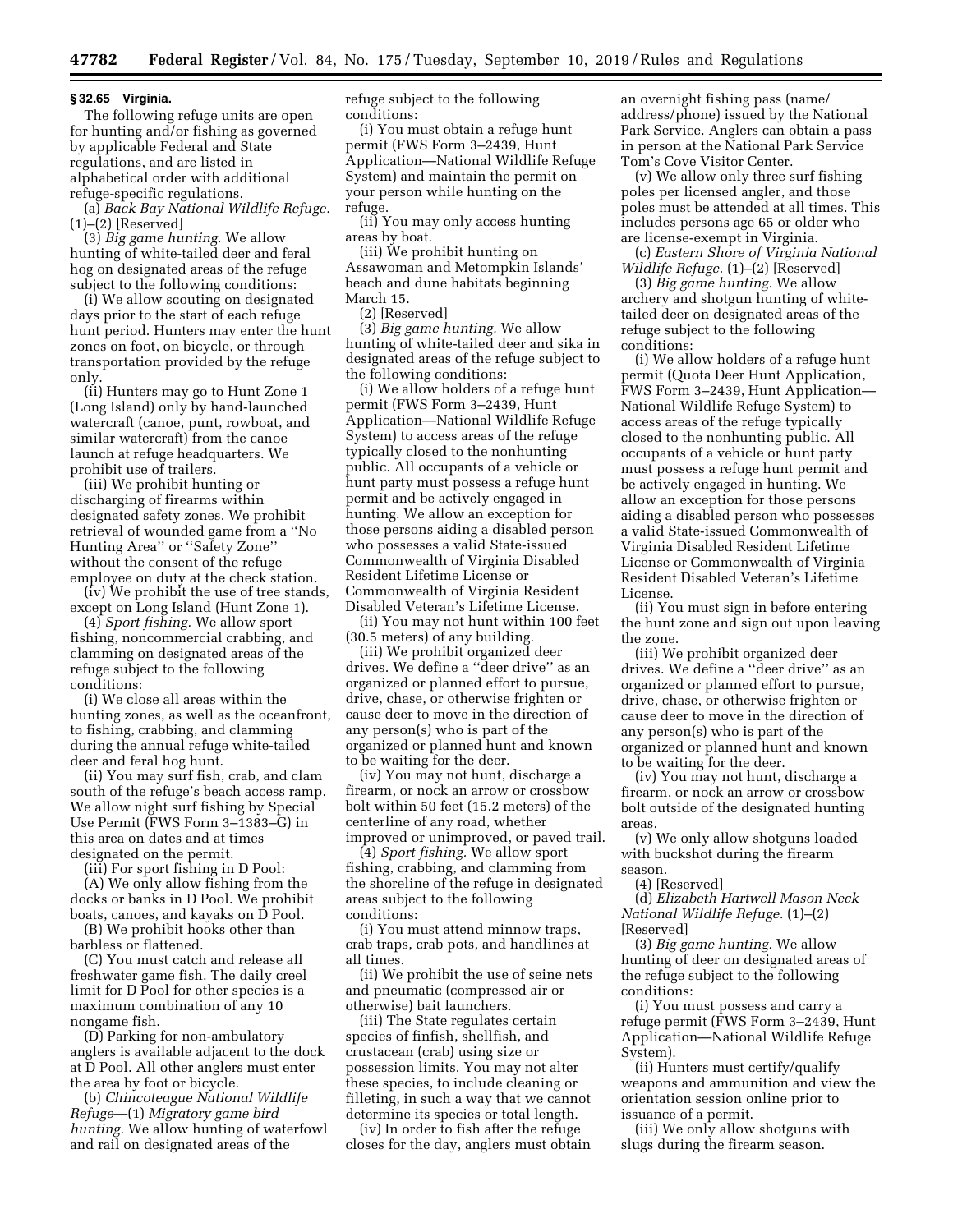#### **§ 32.65 Virginia.**

The following refuge units are open for hunting and/or fishing as governed by applicable Federal and State regulations, and are listed in alphabetical order with additional refuge-specific regulations.

(a) *Back Bay National Wildlife Refuge.*  (1)–(2) [Reserved]

(3) *Big game hunting.* We allow hunting of white-tailed deer and feral hog on designated areas of the refuge subject to the following conditions:

(i) We allow scouting on designated days prior to the start of each refuge hunt period. Hunters may enter the hunt zones on foot, on bicycle, or through transportation provided by the refuge only.

(ii) Hunters may go to Hunt Zone 1 (Long Island) only by hand-launched watercraft (canoe, punt, rowboat, and similar watercraft) from the canoe launch at refuge headquarters. We prohibit use of trailers.

(iii) We prohibit hunting or discharging of firearms within designated safety zones. We prohibit retrieval of wounded game from a ''No Hunting Area'' or ''Safety Zone'' without the consent of the refuge employee on duty at the check station.

(iv) We prohibit the use of tree stands, except on Long Island (Hunt Zone 1).

(4) *Sport fishing.* We allow sport fishing, noncommercial crabbing, and clamming on designated areas of the refuge subject to the following conditions:

(i) We close all areas within the hunting zones, as well as the oceanfront, to fishing, crabbing, and clamming during the annual refuge white-tailed deer and feral hog hunt.

(ii) You may surf fish, crab, and clam south of the refuge's beach access ramp. We allow night surf fishing by Special Use Permit (FWS Form 3–1383–G) in this area on dates and at times designated on the permit.

(iii) For sport fishing in D Pool:

(A) We only allow fishing from the docks or banks in D Pool. We prohibit boats, canoes, and kayaks on D Pool.

(B) We prohibit hooks other than barbless or flattened.

(C) You must catch and release all freshwater game fish. The daily creel limit for D Pool for other species is a maximum combination of any 10 nongame fish.

(D) Parking for non-ambulatory anglers is available adjacent to the dock at D Pool. All other anglers must enter the area by foot or bicycle.

(b) *Chincoteague National Wildlife Refuge*—(1) *Migratory game bird hunting.* We allow hunting of waterfowl and rail on designated areas of the

refuge subject to the following conditions:

(i) You must obtain a refuge hunt permit (FWS Form 3–2439, Hunt Application—National Wildlife Refuge System) and maintain the permit on your person while hunting on the refuge.

(ii) You may only access hunting areas by boat.

(iii) We prohibit hunting on Assawoman and Metompkin Islands' beach and dune habitats beginning March 15.

(2) [Reserved]

(3) *Big game hunting.* We allow hunting of white-tailed deer and sika in designated areas of the refuge subject to the following conditions:

(i) We allow holders of a refuge hunt permit (FWS Form 3–2439, Hunt Application—National Wildlife Refuge System) to access areas of the refuge typically closed to the nonhunting public. All occupants of a vehicle or hunt party must possess a refuge hunt permit and be actively engaged in hunting. We allow an exception for those persons aiding a disabled person who possesses a valid State-issued Commonwealth of Virginia Disabled Resident Lifetime License or Commonwealth of Virginia Resident Disabled Veteran's Lifetime License.

(ii) You may not hunt within 100 feet (30.5 meters) of any building.

(iii) We prohibit organized deer drives. We define a ''deer drive'' as an organized or planned effort to pursue, drive, chase, or otherwise frighten or cause deer to move in the direction of any person(s) who is part of the organized or planned hunt and known to be waiting for the deer.

(iv) You may not hunt, discharge a firearm, or nock an arrow or crossbow bolt within 50 feet (15.2 meters) of the centerline of any road, whether improved or unimproved, or paved trail.

(4) *Sport fishing.* We allow sport fishing, crabbing, and clamming from the shoreline of the refuge in designated areas subject to the following conditions:

(i) You must attend minnow traps, crab traps, crab pots, and handlines at all times.

(ii) We prohibit the use of seine nets and pneumatic (compressed air or otherwise) bait launchers.

(iii) The State regulates certain species of finfish, shellfish, and crustacean (crab) using size or possession limits. You may not alter these species, to include cleaning or filleting, in such a way that we cannot determine its species or total length.

(iv) In order to fish after the refuge closes for the day, anglers must obtain an overnight fishing pass (name/ address/phone) issued by the National Park Service. Anglers can obtain a pass in person at the National Park Service Tom's Cove Visitor Center.

(v) We allow only three surf fishing poles per licensed angler, and those poles must be attended at all times. This includes persons age 65 or older who are license-exempt in Virginia.

(c) *Eastern Shore of Virginia National Wildlife Refuge.* (1)–(2) [Reserved]

(3) *Big game hunting.* We allow archery and shotgun hunting of whitetailed deer on designated areas of the refuge subject to the following conditions:

(i) We allow holders of a refuge hunt permit (Quota Deer Hunt Application, FWS Form 3–2439, Hunt Application— National Wildlife Refuge System) to access areas of the refuge typically closed to the nonhunting public. All occupants of a vehicle or hunt party must possess a refuge hunt permit and be actively engaged in hunting. We allow an exception for those persons aiding a disabled person who possesses a valid State-issued Commonwealth of Virginia Disabled Resident Lifetime License or Commonwealth of Virginia Resident Disabled Veteran's Lifetime License.

(ii) You must sign in before entering the hunt zone and sign out upon leaving the zone.

(iii) We prohibit organized deer drives. We define a ''deer drive'' as an organized or planned effort to pursue, drive, chase, or otherwise frighten or cause deer to move in the direction of any person(s) who is part of the organized or planned hunt and known to be waiting for the deer.

(iv) You may not hunt, discharge a firearm, or nock an arrow or crossbow bolt outside of the designated hunting areas.

(v) We only allow shotguns loaded with buckshot during the firearm season.

(4) [Reserved]

(d) *Elizabeth Hartwell Mason Neck National Wildlife Refuge.* (1)–(2) [Reserved]

(3) *Big game hunting.* We allow hunting of deer on designated areas of the refuge subject to the following conditions:

(i) You must possess and carry a refuge permit (FWS Form 3–2439, Hunt Application—National Wildlife Refuge System).

(ii) Hunters must certify/qualify weapons and ammunition and view the orientation session online prior to issuance of a permit.

(iii) We only allow shotguns with slugs during the firearm season.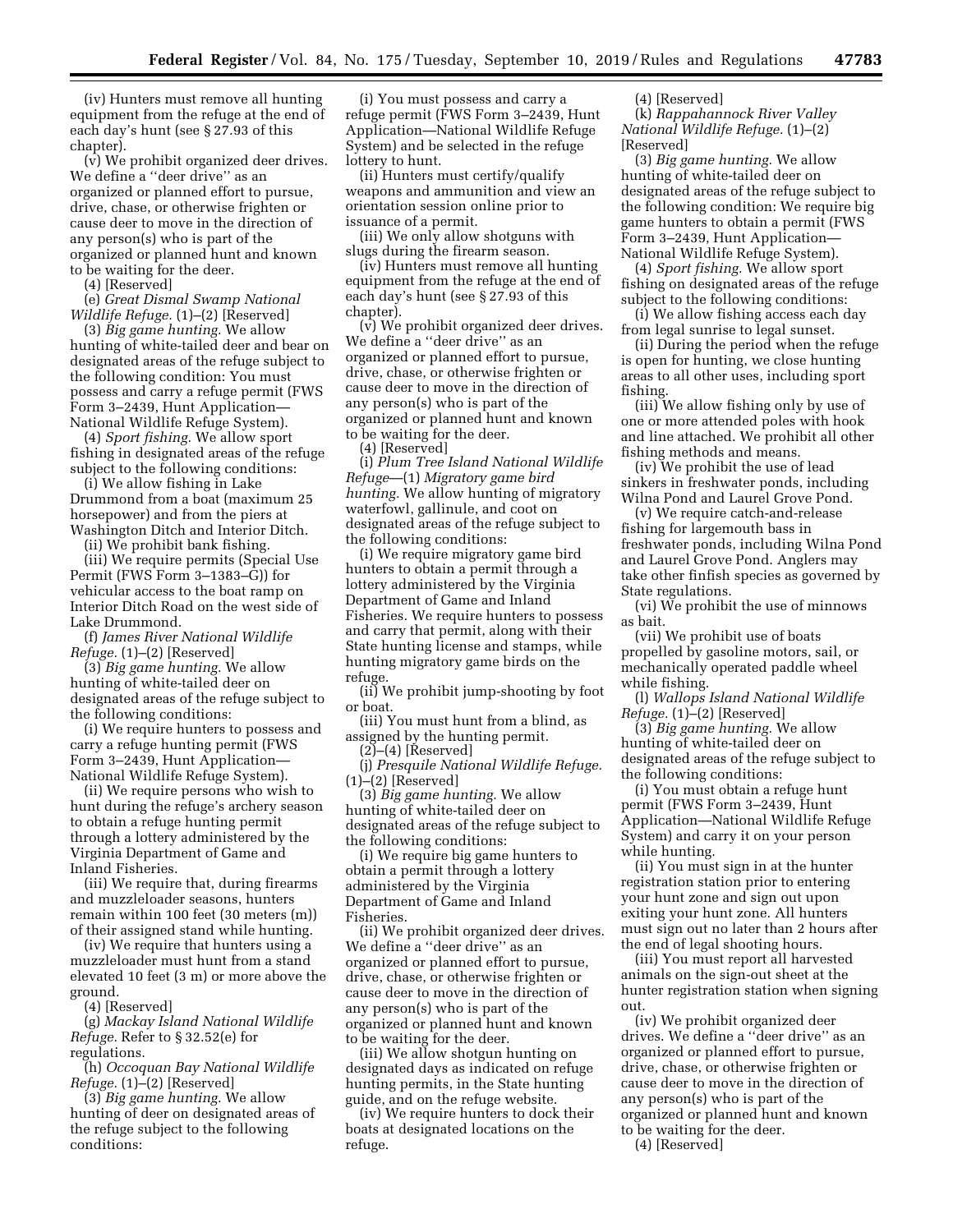(iv) Hunters must remove all hunting equipment from the refuge at the end of each day's hunt (see § 27.93 of this chapter).

(v) We prohibit organized deer drives. We define a ''deer drive'' as an organized or planned effort to pursue, drive, chase, or otherwise frighten or cause deer to move in the direction of any person(s) who is part of the organized or planned hunt and known to be waiting for the deer.

(4) [Reserved]

(e) *Great Dismal Swamp National Wildlife Refuge.* (1)–(2) [Reserved]

(3) *Big game hunting.* We allow hunting of white-tailed deer and bear on designated areas of the refuge subject to the following condition: You must possess and carry a refuge permit (FWS Form 3–2439, Hunt Application— National Wildlife Refuge System).

(4) *Sport fishing.* We allow sport fishing in designated areas of the refuge subject to the following conditions:

(i) We allow fishing in Lake Drummond from a boat (maximum 25 horsepower) and from the piers at Washington Ditch and Interior Ditch.

(ii) We prohibit bank fishing.

(iii) We require permits (Special Use Permit (FWS Form 3–1383–G)) for vehicular access to the boat ramp on Interior Ditch Road on the west side of Lake Drummond.

(f) *James River National Wildlife Refuge.* (1)–(2) [Reserved]

(3) *Big game hunting.* We allow hunting of white-tailed deer on designated areas of the refuge subject to the following conditions:

(i) We require hunters to possess and carry a refuge hunting permit (FWS Form 3–2439, Hunt Application— National Wildlife Refuge System).

(ii) We require persons who wish to hunt during the refuge's archery season to obtain a refuge hunting permit through a lottery administered by the Virginia Department of Game and Inland Fisheries.

(iii) We require that, during firearms and muzzleloader seasons, hunters remain within 100 feet (30 meters (m)) of their assigned stand while hunting.

(iv) We require that hunters using a muzzleloader must hunt from a stand elevated 10 feet (3 m) or more above the ground.

(4) [Reserved]

(g) *Mackay Island National Wildlife Refuge.* Refer to § 32.52(e) for regulations.

(h) *Occoquan Bay National Wildlife Refuge.* (1)–(2) [Reserved]

(3) *Big game hunting.* We allow hunting of deer on designated areas of the refuge subject to the following conditions:

(i) You must possess and carry a refuge permit (FWS Form 3–2439, Hunt Application—National Wildlife Refuge System) and be selected in the refuge lottery to hunt.

(ii) Hunters must certify/qualify weapons and ammunition and view an orientation session online prior to issuance of a permit.

(iii) We only allow shotguns with slugs during the firearm season.

(iv) Hunters must remove all hunting equipment from the refuge at the end of each day's hunt (see § 27.93 of this chapter).

(v) We prohibit organized deer drives. We define a ''deer drive'' as an organized or planned effort to pursue, drive, chase, or otherwise frighten or cause deer to move in the direction of any person(s) who is part of the organized or planned hunt and known to be waiting for the deer.

(4) [Reserved]

(i) *Plum Tree Island National Wildlife Refuge*—(1) *Migratory game bird hunting.* We allow hunting of migratory waterfowl, gallinule, and coot on designated areas of the refuge subject to the following conditions:

(i) We require migratory game bird hunters to obtain a permit through a lottery administered by the Virginia Department of Game and Inland Fisheries. We require hunters to possess and carry that permit, along with their State hunting license and stamps, while hunting migratory game birds on the refuge.

(ii) We prohibit jump-shooting by foot or boat.

(iii) You must hunt from a blind, as assigned by the hunting permit.

 $(2)$ – $(4)$  [Reserved]

(j) *Presquile National Wildlife Refuge.*  (1)–(2) [Reserved]

(3) *Big game hunting.* We allow hunting of white-tailed deer on designated areas of the refuge subject to the following conditions:

(i) We require big game hunters to obtain a permit through a lottery administered by the Virginia Department of Game and Inland Fisheries.

(ii) We prohibit organized deer drives. We define a ''deer drive'' as an organized or planned effort to pursue, drive, chase, or otherwise frighten or cause deer to move in the direction of any person(s) who is part of the organized or planned hunt and known to be waiting for the deer.

(iii) We allow shotgun hunting on designated days as indicated on refuge hunting permits, in the State hunting guide, and on the refuge website.

(iv) We require hunters to dock their boats at designated locations on the refuge.

(4) [Reserved]

(k) *Rappahannock River Valley National Wildlife Refuge.* (1)–(2) [Reserved]

(3) *Big game hunting.* We allow hunting of white-tailed deer on designated areas of the refuge subject to the following condition: We require big game hunters to obtain a permit (FWS Form 3–2439, Hunt Application— National Wildlife Refuge System).

(4) *Sport fishing.* We allow sport fishing on designated areas of the refuge subject to the following conditions:

(i) We allow fishing access each day from legal sunrise to legal sunset.

(ii) During the period when the refuge is open for hunting, we close hunting areas to all other uses, including sport fishing.

(iii) We allow fishing only by use of one or more attended poles with hook and line attached. We prohibit all other fishing methods and means.

(iv) We prohibit the use of lead sinkers in freshwater ponds, including Wilna Pond and Laurel Grove Pond.

(v) We require catch-and-release fishing for largemouth bass in freshwater ponds, including Wilna Pond and Laurel Grove Pond. Anglers may take other finfish species as governed by State regulations.

(vi) We prohibit the use of minnows as bait.

(vii) We prohibit use of boats propelled by gasoline motors, sail, or mechanically operated paddle wheel while fishing.

(l) *Wallops Island National Wildlife Refuge.* (1)–(2) [Reserved]

(3) *Big game hunting.* We allow hunting of white-tailed deer on designated areas of the refuge subject to the following conditions:

(i) You must obtain a refuge hunt permit (FWS Form 3–2439, Hunt Application—National Wildlife Refuge System) and carry it on your person while hunting.

(ii) You must sign in at the hunter registration station prior to entering your hunt zone and sign out upon exiting your hunt zone. All hunters must sign out no later than 2 hours after the end of legal shooting hours.

(iii) You must report all harvested animals on the sign-out sheet at the hunter registration station when signing out.

(iv) We prohibit organized deer drives. We define a ''deer drive'' as an organized or planned effort to pursue, drive, chase, or otherwise frighten or cause deer to move in the direction of any person(s) who is part of the organized or planned hunt and known to be waiting for the deer.

(4) [Reserved]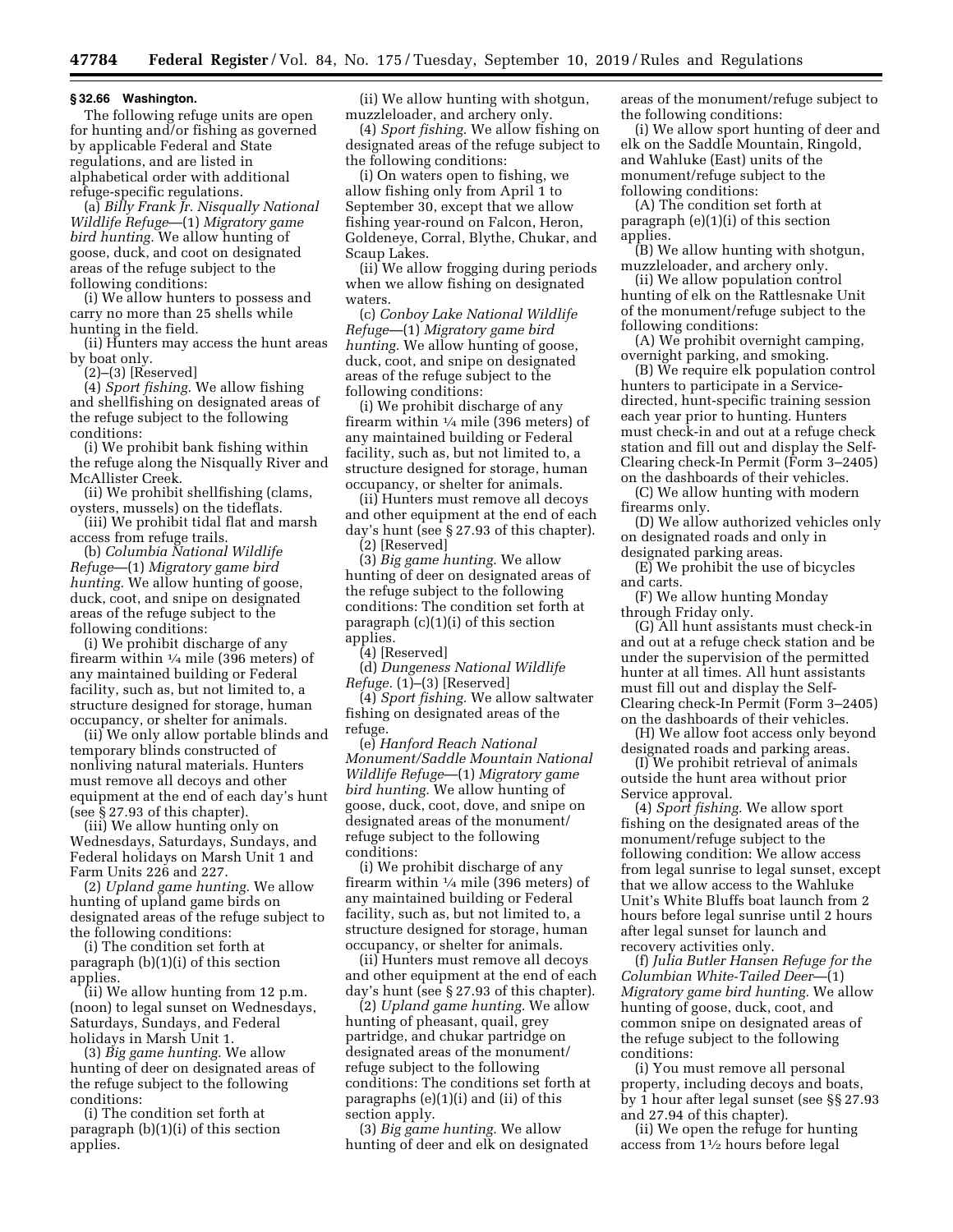### **§ 32.66 Washington.**

The following refuge units are open for hunting and/or fishing as governed by applicable Federal and State regulations, and are listed in alphabetical order with additional refuge-specific regulations.

(a) *Billy Frank Jr. Nisqually National Wildlife Refuge*—(1) *Migratory game bird hunting.* We allow hunting of goose, duck, and coot on designated areas of the refuge subject to the following conditions:

(i) We allow hunters to possess and carry no more than 25 shells while hunting in the field.

(ii) Hunters may access the hunt areas by boat only.

(2)–(3) [Reserved]

(4) *Sport fishing.* We allow fishing and shellfishing on designated areas of the refuge subject to the following conditions:

(i) We prohibit bank fishing within the refuge along the Nisqually River and McAllister Creek.

(ii) We prohibit shellfishing (clams, oysters, mussels) on the tideflats.

(iii) We prohibit tidal flat and marsh access from refuge trails.

(b) *Columbia National Wildlife Refuge*—(1) *Migratory game bird hunting.* We allow hunting of goose, duck, coot, and snipe on designated areas of the refuge subject to the following conditions:

(i) We prohibit discharge of any firearm within 1⁄4 mile (396 meters) of any maintained building or Federal facility, such as, but not limited to, a structure designed for storage, human occupancy, or shelter for animals.

(ii) We only allow portable blinds and temporary blinds constructed of nonliving natural materials. Hunters must remove all decoys and other equipment at the end of each day's hunt (see § 27.93 of this chapter).

(iii) We allow hunting only on Wednesdays, Saturdays, Sundays, and Federal holidays on Marsh Unit 1 and Farm Units 226 and 227.

(2) *Upland game hunting.* We allow hunting of upland game birds on designated areas of the refuge subject to the following conditions:

(i) The condition set forth at paragraph (b)(1)(i) of this section applies.

(ii) We allow hunting from 12 p.m. (noon) to legal sunset on Wednesdays, Saturdays, Sundays, and Federal holidays in Marsh Unit 1.

(3) *Big game hunting.* We allow hunting of deer on designated areas of the refuge subject to the following conditions:

(i) The condition set forth at paragraph (b)(1)(i) of this section applies.

(ii) We allow hunting with shotgun, muzzleloader, and archery only.

(4) *Sport fishing.* We allow fishing on designated areas of the refuge subject to the following conditions:

(i) On waters open to fishing, we allow fishing only from April 1 to September 30, except that we allow fishing year-round on Falcon, Heron, Goldeneye, Corral, Blythe, Chukar, and Scaup Lakes.

(ii) We allow frogging during periods when we allow fishing on designated waters.

(c) *Conboy Lake National Wildlife Refuge*—(1) *Migratory game bird hunting.* We allow hunting of goose, duck, coot, and snipe on designated areas of the refuge subject to the following conditions:

(i) We prohibit discharge of any firearm within 1⁄4 mile (396 meters) of any maintained building or Federal facility, such as, but not limited to, a structure designed for storage, human occupancy, or shelter for animals.

(ii) Hunters must remove all decoys and other equipment at the end of each day's hunt (see § 27.93 of this chapter). (2) [Reserved]

(3) *Big game hunting.* We allow hunting of deer on designated areas of the refuge subject to the following conditions: The condition set forth at paragraph (c)(1)(i) of this section applies.

(4) [Reserved]

(d) *Dungeness National Wildlife Refuge.* (1)–(3) [Reserved]

(4) *Sport fishing.* We allow saltwater fishing on designated areas of the refuge.

(e) *Hanford Reach National Monument/Saddle Mountain National Wildlife Refuge*—(1) *Migratory game bird hunting.* We allow hunting of goose, duck, coot, dove, and snipe on designated areas of the monument/ refuge subject to the following conditions:

(i) We prohibit discharge of any firearm within 1⁄4 mile (396 meters) of any maintained building or Federal facility, such as, but not limited to, a structure designed for storage, human occupancy, or shelter for animals.

(ii) Hunters must remove all decoys and other equipment at the end of each day's hunt (see § 27.93 of this chapter).

(2) *Upland game hunting.* We allow hunting of pheasant, quail, grey partridge, and chukar partridge on designated areas of the monument/ refuge subject to the following conditions: The conditions set forth at paragraphs (e)(1)(i) and (ii) of this section apply.

(3) *Big game hunting.* We allow hunting of deer and elk on designated areas of the monument/refuge subject to the following conditions:

(i) We allow sport hunting of deer and elk on the Saddle Mountain, Ringold, and Wahluke (East) units of the monument/refuge subject to the following conditions:

(A) The condition set forth at paragraph (e)(1)(i) of this section applies.

(B) We allow hunting with shotgun, muzzleloader, and archery only.

(ii) We allow population control hunting of elk on the Rattlesnake Unit of the monument/refuge subject to the following conditions:

(A) We prohibit overnight camping, overnight parking, and smoking.

(B) We require elk population control hunters to participate in a Servicedirected, hunt-specific training session each year prior to hunting. Hunters must check-in and out at a refuge check station and fill out and display the Self-Clearing check-In Permit (Form 3–2405) on the dashboards of their vehicles.

(C) We allow hunting with modern firearms only.

(D) We allow authorized vehicles only on designated roads and only in designated parking areas.

(E) We prohibit the use of bicycles and carts.

(F) We allow hunting Monday through Friday only.

(G) All hunt assistants must check-in and out at a refuge check station and be under the supervision of the permitted hunter at all times. All hunt assistants must fill out and display the Self-Clearing check-In Permit (Form 3–2405) on the dashboards of their vehicles.

(H) We allow foot access only beyond designated roads and parking areas.

(I) We prohibit retrieval of animals outside the hunt area without prior Service approval.

(4) *Sport fishing.* We allow sport fishing on the designated areas of the monument/refuge subject to the following condition: We allow access from legal sunrise to legal sunset, except that we allow access to the Wahluke Unit's White Bluffs boat launch from 2 hours before legal sunrise until 2 hours after legal sunset for launch and recovery activities only.

(f) *Julia Butler Hansen Refuge for the Columbian White-Tailed Deer*—(1) *Migratory game bird hunting.* We allow hunting of goose, duck, coot, and common snipe on designated areas of the refuge subject to the following conditions:

(i) You must remove all personal property, including decoys and boats, by 1 hour after legal sunset (see §§ 27.93 and 27.94 of this chapter).

(ii) We open the refuge for hunting access from 11⁄2 hours before legal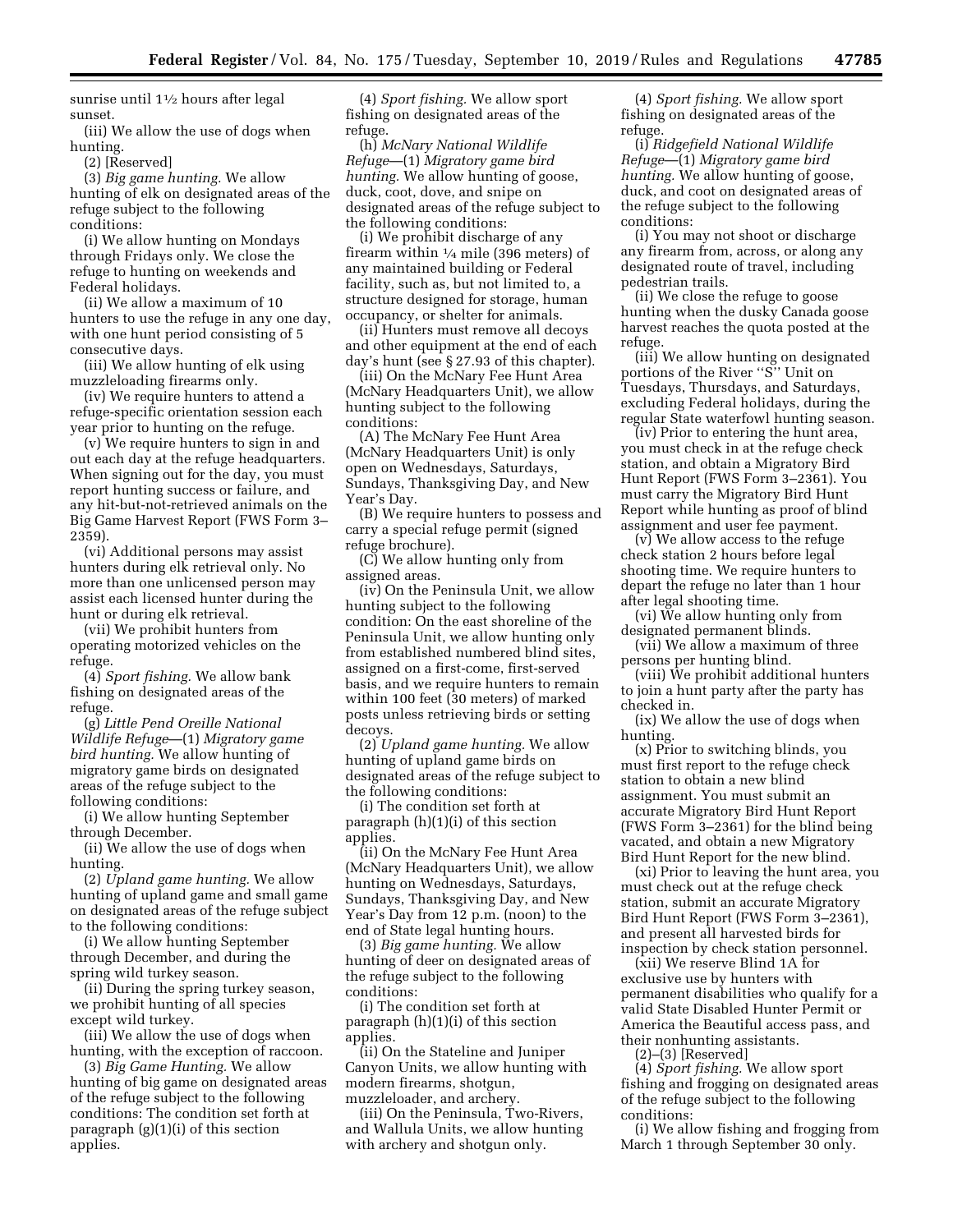sunrise until 11⁄2 hours after legal sunset.

(iii) We allow the use of dogs when hunting.

(2) [Reserved]

(3) *Big game hunting.* We allow hunting of elk on designated areas of the refuge subject to the following conditions:

(i) We allow hunting on Mondays through Fridays only. We close the refuge to hunting on weekends and Federal holidays.

(ii) We allow a maximum of 10 hunters to use the refuge in any one day, with one hunt period consisting of 5 consecutive days.

(iii) We allow hunting of elk using muzzleloading firearms only.

(iv) We require hunters to attend a refuge-specific orientation session each year prior to hunting on the refuge.

(v) We require hunters to sign in and out each day at the refuge headquarters. When signing out for the day, you must report hunting success or failure, and any hit-but-not-retrieved animals on the Big Game Harvest Report (FWS Form 3– 2359).

(vi) Additional persons may assist hunters during elk retrieval only. No more than one unlicensed person may assist each licensed hunter during the hunt or during elk retrieval.

(vii) We prohibit hunters from operating motorized vehicles on the refuge.

(4) *Sport fishing.* We allow bank fishing on designated areas of the refuge.

(g) *Little Pend Oreille National Wildlife Refuge*—(1) *Migratory game bird hunting.* We allow hunting of migratory game birds on designated areas of the refuge subject to the following conditions:

(i) We allow hunting September through December.

(ii) We allow the use of dogs when hunting.

(2) *Upland game hunting.* We allow hunting of upland game and small game on designated areas of the refuge subject to the following conditions:

(i) We allow hunting September through December, and during the spring wild turkey season.

(ii) During the spring turkey season, we prohibit hunting of all species except wild turkey.

(iii) We allow the use of dogs when hunting, with the exception of raccoon.

(3) *Big Game Hunting.* We allow hunting of big game on designated areas of the refuge subject to the following conditions: The condition set forth at paragraph (g)(1)(i) of this section applies.

(4) *Sport fishing.* We allow sport fishing on designated areas of the refuge.

(h) *McNary National Wildlife Refuge*—(1) *Migratory game bird hunting.* We allow hunting of goose, duck, coot, dove, and snipe on designated areas of the refuge subject to the following conditions:

(i) We prohibit discharge of any firearm within  $\frac{1}{4}$  mile (396 meters) of any maintained building or Federal facility, such as, but not limited to, a structure designed for storage, human occupancy, or shelter for animals.

(ii) Hunters must remove all decoys and other equipment at the end of each day's hunt (see § 27.93 of this chapter).

(iii) On the McNary Fee Hunt Area (McNary Headquarters Unit), we allow hunting subject to the following conditions:

(A) The McNary Fee Hunt Area (McNary Headquarters Unit) is only open on Wednesdays, Saturdays, Sundays, Thanksgiving Day, and New Year's Day.

(B) We require hunters to possess and carry a special refuge permit (signed refuge brochure).

(C) We allow hunting only from assigned areas.

(iv) On the Peninsula Unit, we allow hunting subject to the following condition: On the east shoreline of the Peninsula Unit, we allow hunting only from established numbered blind sites, assigned on a first-come, first-served basis, and we require hunters to remain within 100 feet (30 meters) of marked posts unless retrieving birds or setting decoys.

(2) *Upland game hunting.* We allow hunting of upland game birds on designated areas of the refuge subject to the following conditions:

(i) The condition set forth at paragraph (h)(1)(i) of this section applies.

(ii) On the McNary Fee Hunt Area (McNary Headquarters Unit), we allow hunting on Wednesdays, Saturdays, Sundays, Thanksgiving Day, and New Year's Day from 12 p.m. (noon) to the end of State legal hunting hours.

(3) *Big game hunting.* We allow hunting of deer on designated areas of the refuge subject to the following conditions:

(i) The condition set forth at paragraph (h)(1)(i) of this section applies.

(ii) On the Stateline and Juniper Canyon Units, we allow hunting with modern firearms, shotgun, muzzleloader, and archery.

(iii) On the Peninsula, Two-Rivers, and Wallula Units, we allow hunting with archery and shotgun only.

(4) *Sport fishing.* We allow sport fishing on designated areas of the refuge.

(i) *Ridgefield National Wildlife Refuge*—(1) *Migratory game bird hunting.* We allow hunting of goose, duck, and coot on designated areas of the refuge subject to the following conditions:

(i) You may not shoot or discharge any firearm from, across, or along any designated route of travel, including pedestrian trails.

(ii) We close the refuge to goose hunting when the dusky Canada goose harvest reaches the quota posted at the refuge.

(iii) We allow hunting on designated portions of the River ''S'' Unit on Tuesdays, Thursdays, and Saturdays, excluding Federal holidays, during the regular State waterfowl hunting season.

(iv) Prior to entering the hunt area, you must check in at the refuge check station, and obtain a Migratory Bird Hunt Report (FWS Form 3–2361). You must carry the Migratory Bird Hunt Report while hunting as proof of blind assignment and user fee payment.

(v) We allow access to the refuge check station 2 hours before legal shooting time. We require hunters to depart the refuge no later than 1 hour after legal shooting time.

(vi) We allow hunting only from designated permanent blinds.

(vii) We allow a maximum of three persons per hunting blind.

(viii) We prohibit additional hunters to join a hunt party after the party has checked in.

(ix) We allow the use of dogs when hunting.

(x) Prior to switching blinds, you must first report to the refuge check station to obtain a new blind assignment. You must submit an accurate Migratory Bird Hunt Report (FWS Form 3–2361) for the blind being vacated, and obtain a new Migratory Bird Hunt Report for the new blind.

(xi) Prior to leaving the hunt area, you must check out at the refuge check station, submit an accurate Migratory Bird Hunt Report (FWS Form 3–2361), and present all harvested birds for inspection by check station personnel.

(xii) We reserve Blind 1A for exclusive use by hunters with permanent disabilities who qualify for a valid State Disabled Hunter Permit or America the Beautiful access pass, and their nonhunting assistants.

(2)–(3) [Reserved]

(4) *Sport fishing.* We allow sport fishing and frogging on designated areas of the refuge subject to the following conditions:

(i) We allow fishing and frogging from March 1 through September 30 only.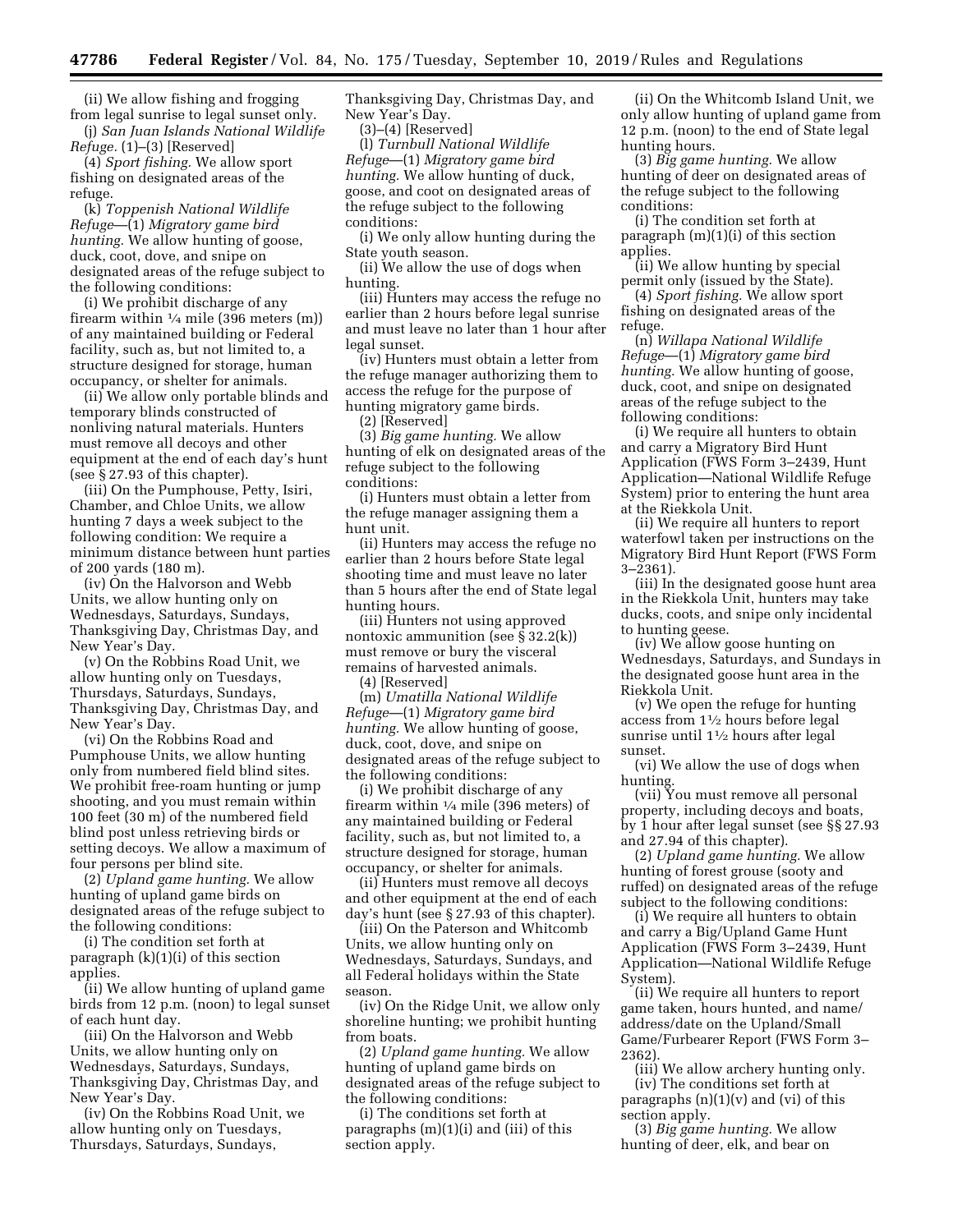(ii) We allow fishing and frogging from legal sunrise to legal sunset only.

(j) *San Juan Islands National Wildlife Refuge.* (1)–(3) [Reserved] (4) *Sport fishing.* We allow sport

fishing on designated areas of the refuge.

(k) *Toppenish National Wildlife Refuge*—(1) *Migratory game bird hunting.* We allow hunting of goose, duck, coot, dove, and snipe on designated areas of the refuge subject to the following conditions:

(i) We prohibit discharge of any firearm within  $\frac{1}{4}$  mile (396 meters (m)) of any maintained building or Federal facility, such as, but not limited to, a structure designed for storage, human occupancy, or shelter for animals.

(ii) We allow only portable blinds and temporary blinds constructed of nonliving natural materials. Hunters must remove all decoys and other equipment at the end of each day's hunt (see § 27.93 of this chapter).

(iii) On the Pumphouse, Petty, Isiri, Chamber, and Chloe Units, we allow hunting 7 days a week subject to the following condition: We require a minimum distance between hunt parties of 200 yards (180 m).

(iv) On the Halvorson and Webb Units, we allow hunting only on Wednesdays, Saturdays, Sundays, Thanksgiving Day, Christmas Day, and New Year's Day.

(v) On the Robbins Road Unit, we allow hunting only on Tuesdays, Thursdays, Saturdays, Sundays, Thanksgiving Day, Christmas Day, and New Year's Day.

(vi) On the Robbins Road and Pumphouse Units, we allow hunting only from numbered field blind sites. We prohibit free-roam hunting or jump shooting, and you must remain within 100 feet (30 m) of the numbered field blind post unless retrieving birds or setting decoys. We allow a maximum of four persons per blind site.

(2) *Upland game hunting.* We allow hunting of upland game birds on designated areas of the refuge subject to the following conditions:

(i) The condition set forth at paragraph (k)(1)(i) of this section applies.

(ii) We allow hunting of upland game birds from 12 p.m. (noon) to legal sunset of each hunt day.

(iii) On the Halvorson and Webb Units, we allow hunting only on Wednesdays, Saturdays, Sundays, Thanksgiving Day, Christmas Day, and New Year's Day.

(iv) On the Robbins Road Unit, we allow hunting only on Tuesdays, Thursdays, Saturdays, Sundays,

Thanksgiving Day, Christmas Day, and New Year's Day.

(3)–(4) [Reserved]

(l) *Turnbull National Wildlife Refuge*—(1) *Migratory game bird hunting.* We allow hunting of duck, goose, and coot on designated areas of the refuge subject to the following conditions:

(i) We only allow hunting during the State youth season.

(ii) We allow the use of dogs when hunting.

(iii) Hunters may access the refuge no earlier than 2 hours before legal sunrise and must leave no later than 1 hour after legal sunset.

(iv) Hunters must obtain a letter from the refuge manager authorizing them to access the refuge for the purpose of hunting migratory game birds.

(2) [Reserved]

(3) *Big game hunting.* We allow hunting of elk on designated areas of the refuge subject to the following conditions:

(i) Hunters must obtain a letter from the refuge manager assigning them a hunt unit.

(ii) Hunters may access the refuge no earlier than 2 hours before State legal shooting time and must leave no later than 5 hours after the end of State legal hunting hours.

(iii) Hunters not using approved nontoxic ammunition (see § 32.2(k)) must remove or bury the visceral remains of harvested animals.

(4) [Reserved]

(m) *Umatilla National Wildlife Refuge*—(1) *Migratory game bird hunting.* We allow hunting of goose, duck, coot, dove, and snipe on designated areas of the refuge subject to the following conditions:

(i) We prohibit discharge of any firearm within 1⁄4 mile (396 meters) of any maintained building or Federal facility, such as, but not limited to, a structure designed for storage, human occupancy, or shelter for animals.

(ii) Hunters must remove all decoys and other equipment at the end of each day's hunt (see § 27.93 of this chapter).

(iii) On the Paterson and Whitcomb Units, we allow hunting only on Wednesdays, Saturdays, Sundays, and all Federal holidays within the State season.

(iv) On the Ridge Unit, we allow only shoreline hunting; we prohibit hunting from boats.

(2) *Upland game hunting.* We allow hunting of upland game birds on designated areas of the refuge subject to the following conditions:

(i) The conditions set forth at paragraphs (m)(1)(i) and (iii) of this section apply.

(ii) On the Whitcomb Island Unit, we only allow hunting of upland game from 12 p.m. (noon) to the end of State legal hunting hours.

(3) *Big game hunting.* We allow hunting of deer on designated areas of the refuge subject to the following conditions:

(i) The condition set forth at paragraph (m)(1)(i) of this section applies.

(ii) We allow hunting by special permit only (issued by the State).

(4) *Sport fishing.* We allow sport fishing on designated areas of the refuge.

(n) *Willapa National Wildlife Refuge*—(1) *Migratory game bird hunting.* We allow hunting of goose, duck, coot, and snipe on designated areas of the refuge subject to the following conditions:

(i) We require all hunters to obtain and carry a Migratory Bird Hunt Application (FWS Form 3–2439, Hunt Application—National Wildlife Refuge System) prior to entering the hunt area at the Riekkola Unit.

(ii) We require all hunters to report waterfowl taken per instructions on the Migratory Bird Hunt Report (FWS Form 3–2361).

(iii) In the designated goose hunt area in the Riekkola Unit, hunters may take ducks, coots, and snipe only incidental to hunting geese.

(iv) We allow goose hunting on Wednesdays, Saturdays, and Sundays in the designated goose hunt area in the Riekkola Unit.

(v) We open the refuge for hunting access from 11⁄2 hours before legal sunrise until 11⁄2 hours after legal sunset.

(vi) We allow the use of dogs when hunting.

(vii) You must remove all personal property, including decoys and boats, by 1 hour after legal sunset (see §§ 27.93 and 27.94 of this chapter).

(2) *Upland game hunting.* We allow hunting of forest grouse (sooty and ruffed) on designated areas of the refuge subject to the following conditions:

(i) We require all hunters to obtain and carry a Big/Upland Game Hunt Application (FWS Form 3–2439, Hunt Application—National Wildlife Refuge System).

(ii) We require all hunters to report game taken, hours hunted, and name/ address/date on the Upland/Small Game/Furbearer Report (FWS Form 3– 2362).

(iii) We allow archery hunting only. (iv) The conditions set forth at paragraphs (n)(1)(v) and (vi) of this section apply.

(3) *Big game hunting.* We allow hunting of deer, elk, and bear on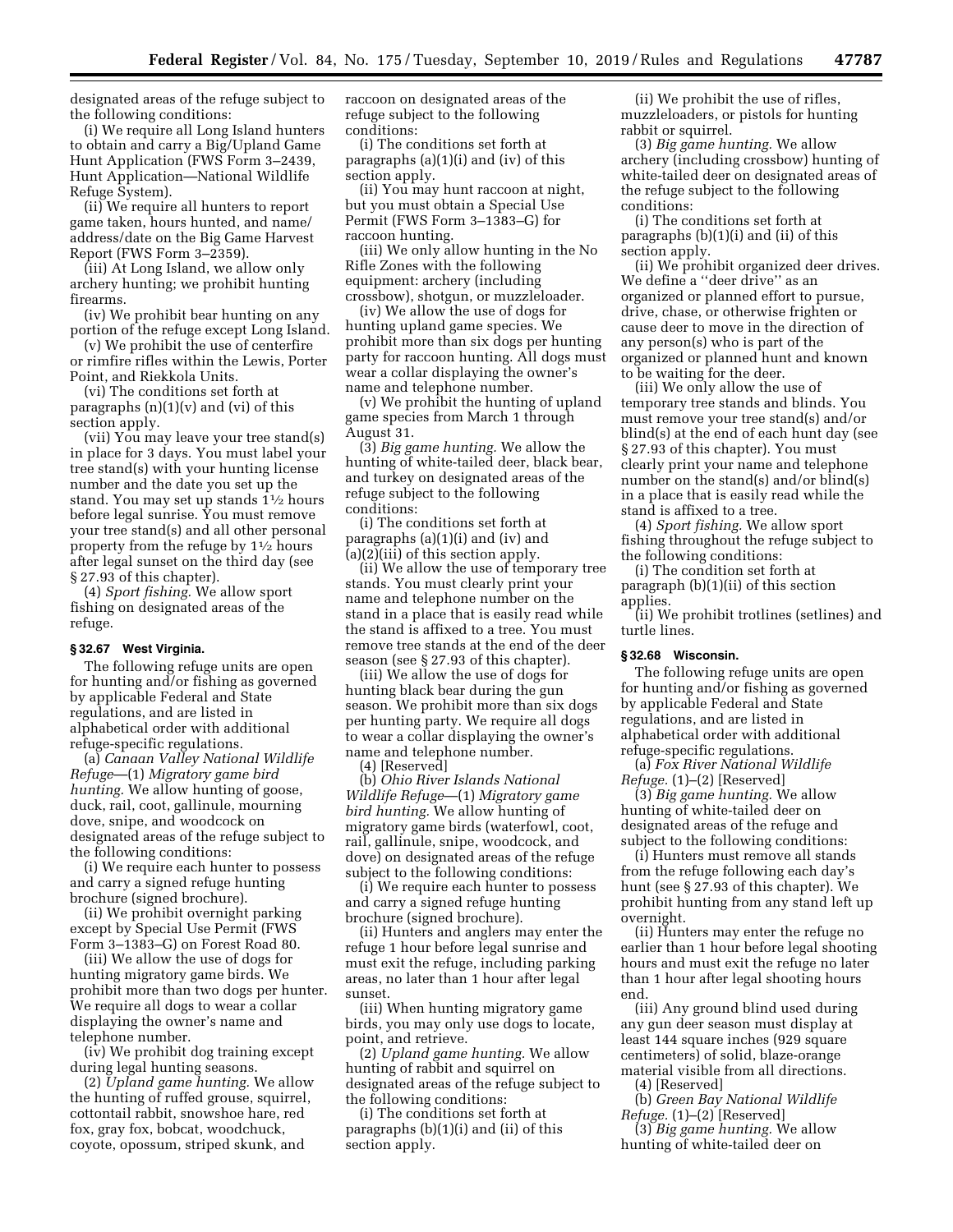designated areas of the refuge subject to the following conditions:

(i) We require all Long Island hunters to obtain and carry a Big/Upland Game Hunt Application (FWS Form 3–2439, Hunt Application—National Wildlife Refuge System).

(ii) We require all hunters to report game taken, hours hunted, and name/ address/date on the Big Game Harvest Report (FWS Form 3–2359).

(iii) At Long Island, we allow only archery hunting; we prohibit hunting firearms.

(iv) We prohibit bear hunting on any portion of the refuge except Long Island.

(v) We prohibit the use of centerfire or rimfire rifles within the Lewis, Porter Point, and Riekkola Units.

(vi) The conditions set forth at paragraphs  $(n)(1)(v)$  and  $(vi)$  of this section apply.

(vii) You may leave your tree stand(s) in place for 3 days. You must label your tree stand(s) with your hunting license number and the date you set up the stand. You may set up stands 11⁄2 hours before legal sunrise. You must remove your tree stand(s) and all other personal property from the refuge by  $1\frac{1}{2}$  hours after legal sunset on the third day (see § 27.93 of this chapter).

(4) *Sport fishing.* We allow sport fishing on designated areas of the refuge.

## **§ 32.67 West Virginia.**

The following refuge units are open for hunting and/or fishing as governed by applicable Federal and State regulations, and are listed in alphabetical order with additional refuge-specific regulations.

(a) *Canaan Valley National Wildlife Refuge*—(1) *Migratory game bird hunting.* We allow hunting of goose, duck, rail, coot, gallinule, mourning dove, snipe, and woodcock on designated areas of the refuge subject to the following conditions:

(i) We require each hunter to possess and carry a signed refuge hunting brochure (signed brochure).

(ii) We prohibit overnight parking except by Special Use Permit (FWS Form 3–1383–G) on Forest Road 80.

(iii) We allow the use of dogs for hunting migratory game birds. We prohibit more than two dogs per hunter. We require all dogs to wear a collar displaying the owner's name and telephone number.

(iv) We prohibit dog training except during legal hunting seasons.

(2) *Upland game hunting.* We allow the hunting of ruffed grouse, squirrel, cottontail rabbit, snowshoe hare, red fox, gray fox, bobcat, woodchuck, coyote, opossum, striped skunk, and

raccoon on designated areas of the refuge subject to the following conditions:

(i) The conditions set forth at paragraphs (a)(1)(i) and (iv) of this section apply.

(ii) You may hunt raccoon at night, but you must obtain a Special Use Permit (FWS Form 3–1383–G) for raccoon hunting.

(iii) We only allow hunting in the No Rifle Zones with the following equipment: archery (including crossbow), shotgun, or muzzleloader.

(iv) We allow the use of dogs for hunting upland game species. We prohibit more than six dogs per hunting party for raccoon hunting. All dogs must wear a collar displaying the owner's name and telephone number.

(v) We prohibit the hunting of upland game species from March 1 through August 31.

(3) *Big game hunting.* We allow the hunting of white-tailed deer, black bear, and turkey on designated areas of the refuge subject to the following conditions:

(i) The conditions set forth at paragraphs (a)(1)(i) and (iv) and (a)(2)(iii) of this section apply.

(ii) We allow the use of temporary tree stands. You must clearly print your name and telephone number on the stand in a place that is easily read while the stand is affixed to a tree. You must remove tree stands at the end of the deer season (see § 27.93 of this chapter).

(iii) We allow the use of dogs for hunting black bear during the gun season. We prohibit more than six dogs per hunting party. We require all dogs to wear a collar displaying the owner's name and telephone number.

(4) [Reserved]

(b) *Ohio River Islands National Wildlife Refuge*—(1) *Migratory game bird hunting.* We allow hunting of migratory game birds (waterfowl, coot, rail, gallinule, snipe, woodcock, and dove) on designated areas of the refuge subject to the following conditions:

(i) We require each hunter to possess and carry a signed refuge hunting brochure (signed brochure).

(ii) Hunters and anglers may enter the refuge 1 hour before legal sunrise and must exit the refuge, including parking areas, no later than 1 hour after legal sunset.

(iii) When hunting migratory game birds, you may only use dogs to locate, point, and retrieve.

(2) *Upland game hunting.* We allow hunting of rabbit and squirrel on designated areas of the refuge subject to the following conditions:

(i) The conditions set forth at paragraphs (b)(1)(i) and (ii) of this section apply.

(ii) We prohibit the use of rifles, muzzleloaders, or pistols for hunting rabbit or squirrel.

(3) *Big game hunting.* We allow archery (including crossbow) hunting of white-tailed deer on designated areas of the refuge subject to the following conditions:

(i) The conditions set forth at paragraphs (b)(1)(i) and (ii) of this section apply.

(ii) We prohibit organized deer drives. We define a ''deer drive'' as an organized or planned effort to pursue, drive, chase, or otherwise frighten or cause deer to move in the direction of any person(s) who is part of the organized or planned hunt and known to be waiting for the deer.

(iii) We only allow the use of temporary tree stands and blinds. You must remove your tree stand(s) and/or blind(s) at the end of each hunt day (see § 27.93 of this chapter). You must clearly print your name and telephone number on the stand(s) and/or blind(s) in a place that is easily read while the stand is affixed to a tree.

(4) *Sport fishing.* We allow sport fishing throughout the refuge subject to the following conditions:

(i) The condition set forth at paragraph (b)(1)(ii) of this section applies.

(ii) We prohibit trotlines (setlines) and turtle lines.

## **§ 32.68 Wisconsin.**

The following refuge units are open for hunting and/or fishing as governed by applicable Federal and State regulations, and are listed in alphabetical order with additional refuge-specific regulations.

(a) *Fox River National Wildlife Refuge.* (1)–(2) [Reserved]

(3) *Big game hunting.* We allow hunting of white-tailed deer on designated areas of the refuge and subject to the following conditions:

(i) Hunters must remove all stands from the refuge following each day's hunt (see § 27.93 of this chapter). We prohibit hunting from any stand left up overnight.

(ii) Hunters may enter the refuge no earlier than 1 hour before legal shooting hours and must exit the refuge no later than 1 hour after legal shooting hours end.

(iii) Any ground blind used during any gun deer season must display at least 144 square inches (929 square centimeters) of solid, blaze-orange material visible from all directions.

(4) [Reserved]

(b) *Green Bay National Wildlife Refuge.* (1)–(2) [Reserved]

(3) *Big game hunting.* We allow hunting of white-tailed deer on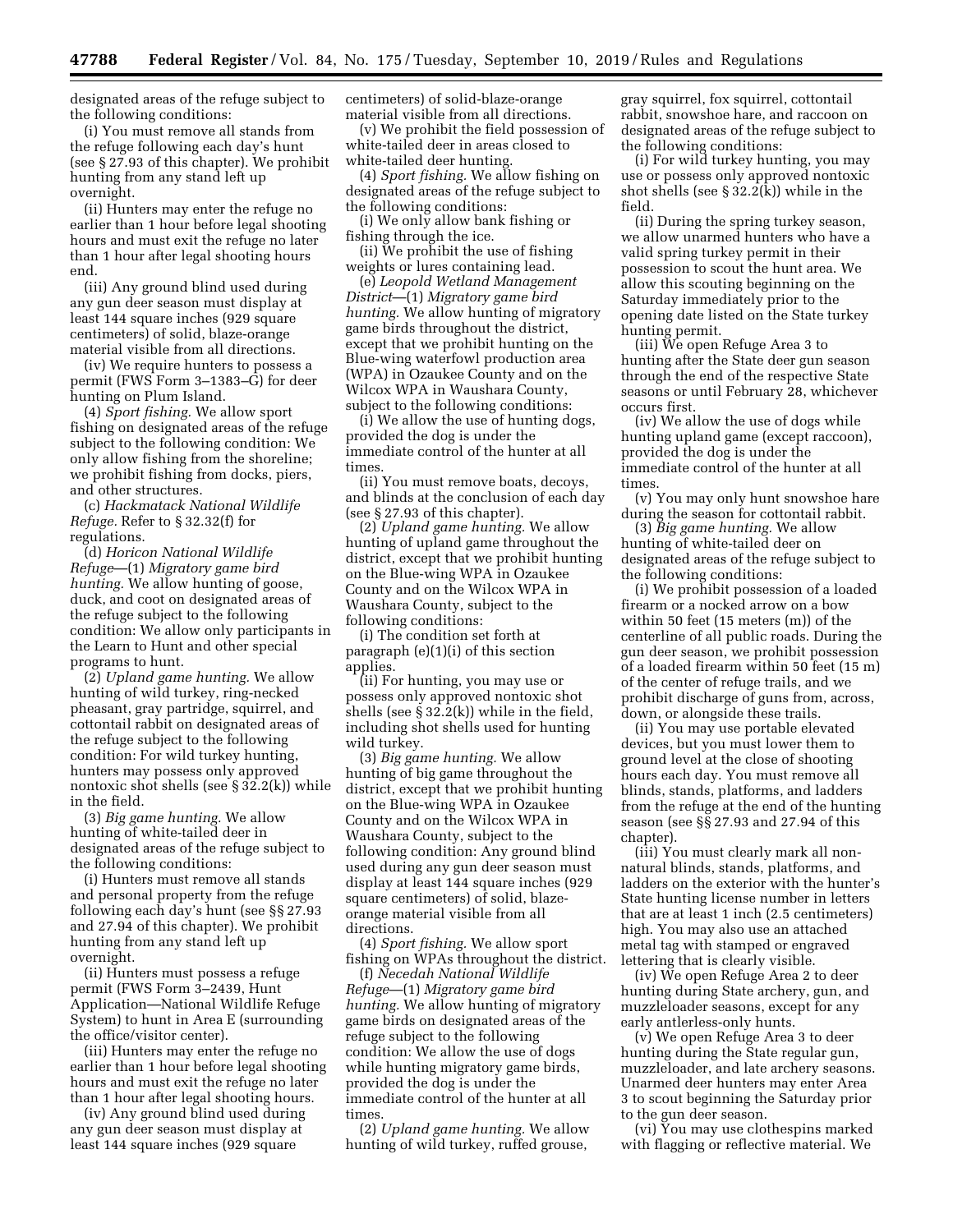designated areas of the refuge subject to the following conditions:

(i) You must remove all stands from the refuge following each day's hunt (see § 27.93 of this chapter). We prohibit hunting from any stand left up overnight.

(ii) Hunters may enter the refuge no earlier than 1 hour before legal shooting hours and must exit the refuge no later than 1 hour after legal shooting hours end.

(iii) Any ground blind used during any gun deer season must display at least 144 square inches (929 square centimeters) of solid, blaze-orange material visible from all directions.

(iv) We require hunters to possess a permit (FWS Form 3–1383–G) for deer hunting on Plum Island.

(4) *Sport fishing.* We allow sport fishing on designated areas of the refuge subject to the following condition: We only allow fishing from the shoreline; we prohibit fishing from docks, piers, and other structures.

(c) *Hackmatack National Wildlife Refuge.* Refer to § 32.32(f) for regulations.

(d) *Horicon National Wildlife Refuge*—(1) *Migratory game bird hunting.* We allow hunting of goose, duck, and coot on designated areas of the refuge subject to the following condition: We allow only participants in the Learn to Hunt and other special programs to hunt.

(2) *Upland game hunting.* We allow hunting of wild turkey, ring-necked pheasant, gray partridge, squirrel, and cottontail rabbit on designated areas of the refuge subject to the following condition: For wild turkey hunting, hunters may possess only approved nontoxic shot shells (see § 32.2(k)) while in the field.

(3) *Big game hunting.* We allow hunting of white-tailed deer in designated areas of the refuge subject to the following conditions:

(i) Hunters must remove all stands and personal property from the refuge following each day's hunt (see §§ 27.93 and 27.94 of this chapter). We prohibit hunting from any stand left up overnight.

(ii) Hunters must possess a refuge permit (FWS Form 3–2439, Hunt Application—National Wildlife Refuge System) to hunt in Area E (surrounding the office/visitor center).

(iii) Hunters may enter the refuge no earlier than 1 hour before legal shooting hours and must exit the refuge no later than 1 hour after legal shooting hours.

(iv) Any ground blind used during any gun deer season must display at least 144 square inches (929 square

centimeters) of solid-blaze-orange material visible from all directions.

(v) We prohibit the field possession of white-tailed deer in areas closed to white-tailed deer hunting.

(4) *Sport fishing.* We allow fishing on designated areas of the refuge subject to the following conditions:

(i) We only allow bank fishing or fishing through the ice.

(ii) We prohibit the use of fishing weights or lures containing lead.

(e) *Leopold Wetland Management District*—(1) *Migratory game bird hunting.* We allow hunting of migratory game birds throughout the district, except that we prohibit hunting on the Blue-wing waterfowl production area (WPA) in Ozaukee County and on the Wilcox WPA in Waushara County, subject to the following conditions:

(i) We allow the use of hunting dogs, provided the dog is under the immediate control of the hunter at all times.

(ii) You must remove boats, decoys, and blinds at the conclusion of each day (see § 27.93 of this chapter).

(2) *Upland game hunting.* We allow hunting of upland game throughout the district, except that we prohibit hunting on the Blue-wing WPA in Ozaukee County and on the Wilcox WPA in Waushara County, subject to the following conditions:

(i) The condition set forth at paragraph (e)(1)(i) of this section applies.

(ii) For hunting, you may use or possess only approved nontoxic shot shells (see § 32.2(k)) while in the field, including shot shells used for hunting wild turkey.

(3) *Big game hunting.* We allow hunting of big game throughout the district, except that we prohibit hunting on the Blue-wing WPA in Ozaukee County and on the Wilcox WPA in Waushara County, subject to the following condition: Any ground blind used during any gun deer season must display at least 144 square inches (929 square centimeters) of solid, blazeorange material visible from all directions.

(4) *Sport fishing.* We allow sport fishing on WPAs throughout the district.

(f) *Necedah National Wildlife Refuge*—(1) *Migratory game bird hunting.* We allow hunting of migratory game birds on designated areas of the refuge subject to the following condition: We allow the use of dogs while hunting migratory game birds, provided the dog is under the immediate control of the hunter at all times.

(2) *Upland game hunting.* We allow hunting of wild turkey, ruffed grouse,

gray squirrel, fox squirrel, cottontail rabbit, snowshoe hare, and raccoon on designated areas of the refuge subject to the following conditions:

(i) For wild turkey hunting, you may use or possess only approved nontoxic shot shells (see § 32.2(k)) while in the field.

(ii) During the spring turkey season, we allow unarmed hunters who have a valid spring turkey permit in their possession to scout the hunt area. We allow this scouting beginning on the Saturday immediately prior to the opening date listed on the State turkey hunting permit.

(iii) We open Refuge Area 3 to hunting after the State deer gun season through the end of the respective State seasons or until February 28, whichever occurs first.

(iv) We allow the use of dogs while hunting upland game (except raccoon), provided the dog is under the immediate control of the hunter at all times.

(v) You may only hunt snowshoe hare during the season for cottontail rabbit.

(3) *Big game hunting.* We allow hunting of white-tailed deer on designated areas of the refuge subject to the following conditions:

(i) We prohibit possession of a loaded firearm or a nocked arrow on a bow within 50 feet (15 meters (m)) of the centerline of all public roads. During the gun deer season, we prohibit possession of a loaded firearm within 50 feet (15 m) of the center of refuge trails, and we prohibit discharge of guns from, across, down, or alongside these trails.

(ii) You may use portable elevated devices, but you must lower them to ground level at the close of shooting hours each day. You must remove all blinds, stands, platforms, and ladders from the refuge at the end of the hunting season (see §§ 27.93 and 27.94 of this chapter).

(iii) You must clearly mark all nonnatural blinds, stands, platforms, and ladders on the exterior with the hunter's State hunting license number in letters that are at least 1 inch (2.5 centimeters) high. You may also use an attached metal tag with stamped or engraved lettering that is clearly visible.

(iv) We open Refuge Area 2 to deer hunting during State archery, gun, and muzzleloader seasons, except for any early antlerless-only hunts.

(v) We open Refuge Area 3 to deer hunting during the State regular gun, muzzleloader, and late archery seasons. Unarmed deer hunters may enter Area 3 to scout beginning the Saturday prior to the gun deer season.

(vi) You may use clothespins marked with flagging or reflective material. We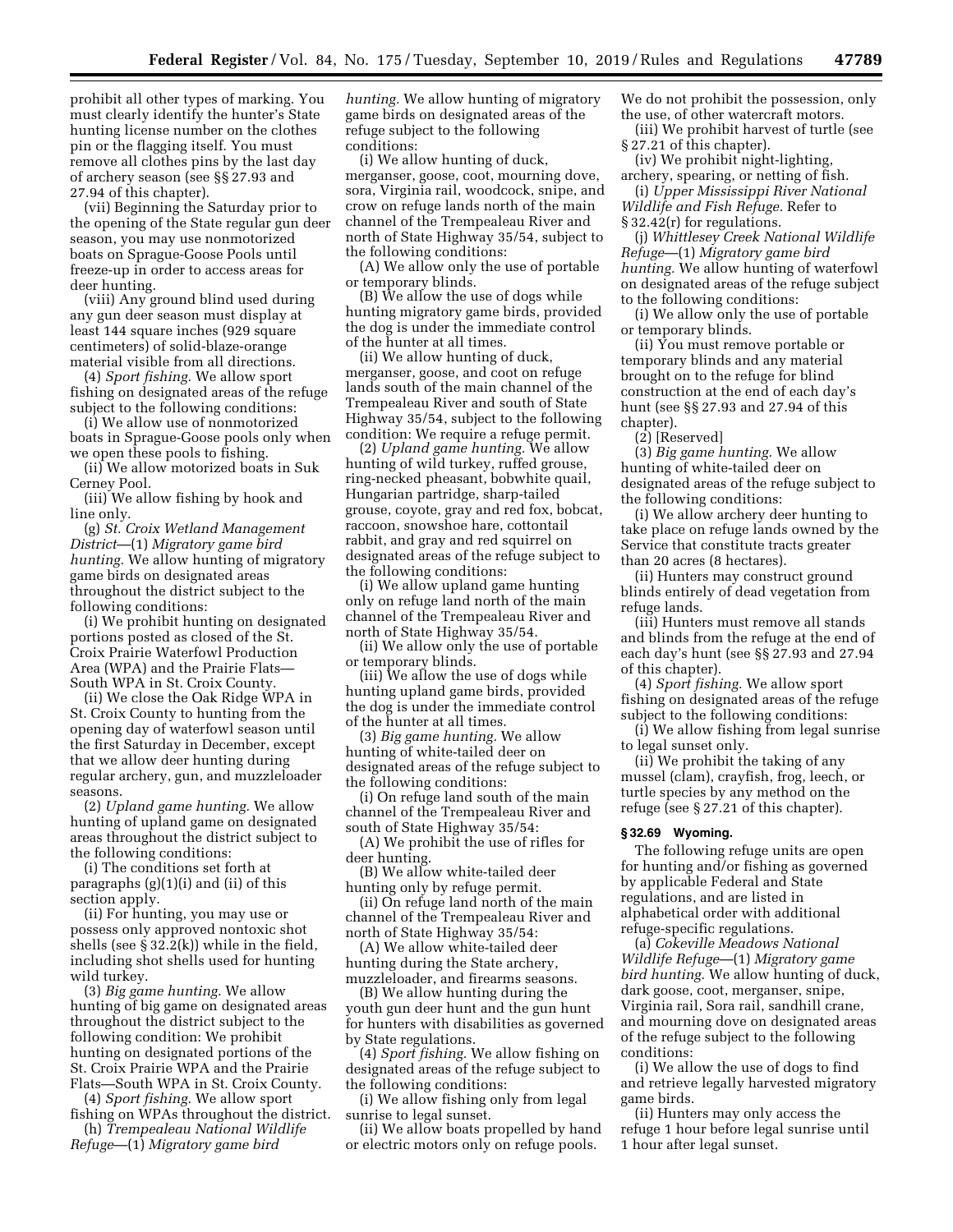prohibit all other types of marking. You must clearly identify the hunter's State hunting license number on the clothes pin or the flagging itself. You must remove all clothes pins by the last day of archery season (see §§ 27.93 and 27.94 of this chapter).

(vii) Beginning the Saturday prior to the opening of the State regular gun deer season, you may use nonmotorized boats on Sprague-Goose Pools until freeze-up in order to access areas for deer hunting.

(viii) Any ground blind used during any gun deer season must display at least 144 square inches (929 square centimeters) of solid-blaze-orange material visible from all directions.

(4) *Sport fishing.* We allow sport fishing on designated areas of the refuge subject to the following conditions:

(i) We allow use of nonmotorized boats in Sprague-Goose pools only when we open these pools to fishing.

(ii) We allow motorized boats in Suk Cerney Pool.

(iii) We allow fishing by hook and line only.

(g) *St. Croix Wetland Management District*—(1) *Migratory game bird hunting.* We allow hunting of migratory game birds on designated areas throughout the district subject to the following conditions:

(i) We prohibit hunting on designated portions posted as closed of the St. Croix Prairie Waterfowl Production Area (WPA) and the Prairie Flats— South WPA in St. Croix County.

(ii) We close the Oak Ridge WPA in St. Croix County to hunting from the opening day of waterfowl season until the first Saturday in December, except that we allow deer hunting during regular archery, gun, and muzzleloader seasons.

(2) *Upland game hunting.* We allow hunting of upland game on designated areas throughout the district subject to the following conditions:

(i) The conditions set forth at paragraphs  $(g)(1)(i)$  and  $(ii)$  of this section apply.

(ii) For hunting, you may use or possess only approved nontoxic shot shells (see § 32.2(k)) while in the field, including shot shells used for hunting wild turkey.

(3) *Big game hunting.* We allow hunting of big game on designated areas throughout the district subject to the following condition: We prohibit hunting on designated portions of the St. Croix Prairie WPA and the Prairie Flats—South WPA in St. Croix County.

(4) *Sport fishing.* We allow sport fishing on WPAs throughout the district.

(h) *Trempealeau National Wildlife Refuge*—(1) *Migratory game bird* 

*hunting.* We allow hunting of migratory game birds on designated areas of the refuge subject to the following conditions:

(i) We allow hunting of duck, merganser, goose, coot, mourning dove, sora, Virginia rail, woodcock, snipe, and crow on refuge lands north of the main channel of the Trempealeau River and north of State Highway 35/54, subject to the following conditions:

(A) We allow only the use of portable or temporary blinds.

(B) We allow the use of dogs while hunting migratory game birds, provided the dog is under the immediate control of the hunter at all times.

(ii) We allow hunting of duck, merganser, goose, and coot on refuge lands south of the main channel of the Trempealeau River and south of State Highway 35/54, subject to the following condition: We require a refuge permit.

(2) *Upland game hunting.* We allow hunting of wild turkey, ruffed grouse, ring-necked pheasant, bobwhite quail, Hungarian partridge, sharp-tailed grouse, coyote, gray and red fox, bobcat, raccoon, snowshoe hare, cottontail rabbit, and gray and red squirrel on designated areas of the refuge subject to the following conditions:

(i) We allow upland game hunting only on refuge land north of the main channel of the Trempealeau River and north of State Highway 35/54.

(ii) We allow only the use of portable or temporary blinds.

(iii) We allow the use of dogs while hunting upland game birds, provided the dog is under the immediate control of the hunter at all times.

(3) *Big game hunting.* We allow hunting of white-tailed deer on designated areas of the refuge subject to the following conditions:

(i) On refuge land south of the main channel of the Trempealeau River and south of State Highway 35/54:

(A) We prohibit the use of rifles for deer hunting.

(B) We allow white-tailed deer hunting only by refuge permit.

(ii) On refuge land north of the main channel of the Trempealeau River and north of State Highway 35/54:

(A) We allow white-tailed deer hunting during the State archery, muzzleloader, and firearms seasons.

(B) We allow hunting during the youth gun deer hunt and the gun hunt for hunters with disabilities as governed by State regulations.

(4) *Sport fishing.* We allow fishing on designated areas of the refuge subject to the following conditions:

(i) We allow fishing only from legal sunrise to legal sunset.

(ii) We allow boats propelled by hand or electric motors only on refuge pools.

We do not prohibit the possession, only the use, of other watercraft motors. (iii) We prohibit harvest of turtle (see

§ 27.21 of this chapter). (iv) We prohibit night-lighting,

archery, spearing, or netting of fish. (i) *Upper Mississippi River National Wildlife and Fish Refuge.* Refer to § 32.42(r) for regulations.

(j) *Whittlesey Creek National Wildlife Refuge*—(1) *Migratory game bird hunting.* We allow hunting of waterfowl on designated areas of the refuge subject to the following conditions:

(i) We allow only the use of portable or temporary blinds.

(ii) You must remove portable or temporary blinds and any material brought on to the refuge for blind construction at the end of each day's hunt (see §§ 27.93 and 27.94 of this chapter).

(2) [Reserved]

(3) *Big game hunting.* We allow hunting of white-tailed deer on designated areas of the refuge subject to the following conditions:

(i) We allow archery deer hunting to take place on refuge lands owned by the Service that constitute tracts greater than 20 acres (8 hectares).

(ii) Hunters may construct ground blinds entirely of dead vegetation from refuge lands.

(iii) Hunters must remove all stands and blinds from the refuge at the end of each day's hunt (see §§ 27.93 and 27.94 of this chapter).

(4) *Sport fishing.* We allow sport fishing on designated areas of the refuge subject to the following conditions:

(i) We allow fishing from legal sunrise to legal sunset only.

(ii) We prohibit the taking of any mussel (clam), crayfish, frog, leech, or turtle species by any method on the refuge (see § 27.21 of this chapter).

## **§ 32.69 Wyoming.**

The following refuge units are open for hunting and/or fishing as governed by applicable Federal and State regulations, and are listed in alphabetical order with additional refuge-specific regulations.

(a) *Cokeville Meadows National Wildlife Refuge*—(1) *Migratory game bird hunting.* We allow hunting of duck, dark goose, coot, merganser, snipe, Virginia rail, Sora rail, sandhill crane, and mourning dove on designated areas of the refuge subject to the following conditions:

(i) We allow the use of dogs to find and retrieve legally harvested migratory game birds.

(ii) Hunters may only access the refuge 1 hour before legal sunrise until 1 hour after legal sunset.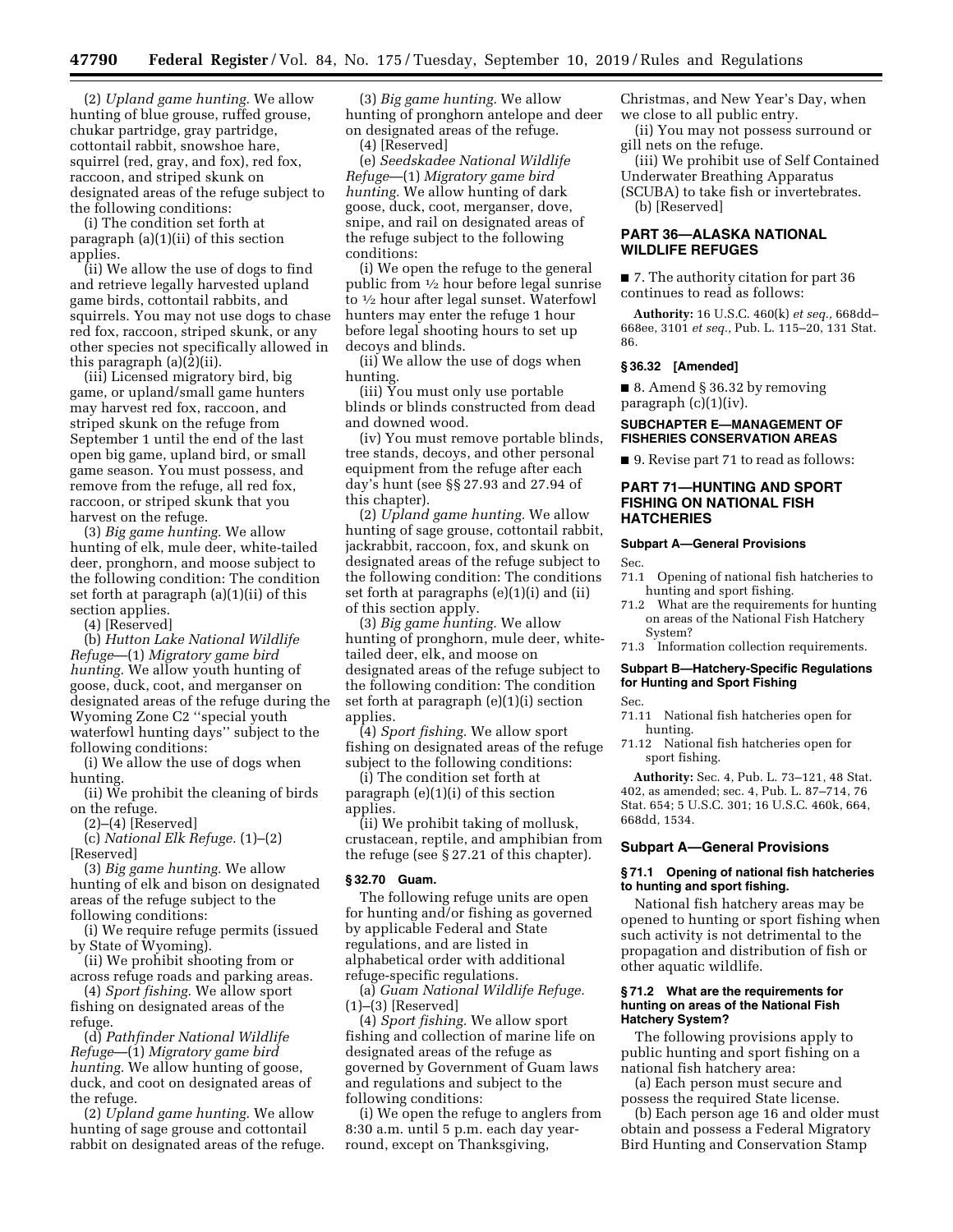(2) *Upland game hunting.* We allow hunting of blue grouse, ruffed grouse, chukar partridge, gray partridge, cottontail rabbit, snowshoe hare, squirrel (red, gray, and fox), red fox, raccoon, and striped skunk on designated areas of the refuge subject to the following conditions:

(i) The condition set forth at paragraph (a)(1)(ii) of this section applies.

(ii) We allow the use of dogs to find and retrieve legally harvested upland game birds, cottontail rabbits, and squirrels. You may not use dogs to chase red fox, raccoon, striped skunk, or any other species not specifically allowed in this paragraph (a)(2)(ii).

(iii) Licensed migratory bird, big game, or upland/small game hunters may harvest red fox, raccoon, and striped skunk on the refuge from September 1 until the end of the last open big game, upland bird, or small game season. You must possess, and remove from the refuge, all red fox, raccoon, or striped skunk that you harvest on the refuge.

(3) *Big game hunting.* We allow hunting of elk, mule deer, white-tailed deer, pronghorn, and moose subject to the following condition: The condition set forth at paragraph (a)(1)(ii) of this section applies.

(4) [Reserved]

(b) *Hutton Lake National Wildlife Refuge*—(1) *Migratory game bird hunting.* We allow youth hunting of goose, duck, coot, and merganser on designated areas of the refuge during the Wyoming Zone C2 ''special youth waterfowl hunting days'' subject to the following conditions:

(i) We allow the use of dogs when hunting.

(ii) We prohibit the cleaning of birds on the refuge.

(2)–(4) [Reserved]

(c) *National Elk Refuge.* (1)–(2) [Reserved]

(3) *Big game hunting.* We allow hunting of elk and bison on designated areas of the refuge subject to the following conditions:

(i) We require refuge permits (issued by State of Wyoming).

(ii) We prohibit shooting from or across refuge roads and parking areas.

(4) *Sport fishing.* We allow sport fishing on designated areas of the refuge.

(d) *Pathfinder National Wildlife Refuge*—(1) *Migratory game bird hunting.* We allow hunting of goose, duck, and coot on designated areas of the refuge.

(2) *Upland game hunting.* We allow hunting of sage grouse and cottontail rabbit on designated areas of the refuge.

(3) *Big game hunting.* We allow hunting of pronghorn antelope and deer on designated areas of the refuge. (4) [Reserved]

(e) *Seedskadee National Wildlife Refuge*—(1) *Migratory game bird hunting.* We allow hunting of dark goose, duck, coot, merganser, dove, snipe, and rail on designated areas of the refuge subject to the following conditions:

(i) We open the refuge to the general public from 1⁄2 hour before legal sunrise to 1⁄2 hour after legal sunset. Waterfowl hunters may enter the refuge 1 hour before legal shooting hours to set up decoys and blinds.

(ii) We allow the use of dogs when hunting.

(iii) You must only use portable blinds or blinds constructed from dead and downed wood.

(iv) You must remove portable blinds, tree stands, decoys, and other personal equipment from the refuge after each day's hunt (see §§ 27.93 and 27.94 of this chapter).

(2) *Upland game hunting.* We allow hunting of sage grouse, cottontail rabbit, jackrabbit, raccoon, fox, and skunk on designated areas of the refuge subject to the following condition: The conditions set forth at paragraphs (e)(1)(i) and (ii) of this section apply.

(3) *Big game hunting.* We allow hunting of pronghorn, mule deer, whitetailed deer, elk, and moose on designated areas of the refuge subject to the following condition: The condition set forth at paragraph (e)(1)(i) section applies.

(4) *Sport fishing.* We allow sport fishing on designated areas of the refuge subject to the following conditions:

(i) The condition set forth at paragraph (e)(1)(i) of this section applies.

(ii) We prohibit taking of mollusk, crustacean, reptile, and amphibian from the refuge (see § 27.21 of this chapter).

# **§ 32.70 Guam.**

The following refuge units are open for hunting and/or fishing as governed by applicable Federal and State regulations, and are listed in alphabetical order with additional refuge-specific regulations.

(a) *Guam National Wildlife Refuge.*  (1)–(3) [Reserved]

(4) *Sport fishing.* We allow sport fishing and collection of marine life on designated areas of the refuge as governed by Government of Guam laws and regulations and subject to the following conditions:

(i) We open the refuge to anglers from 8:30 a.m. until 5 p.m. each day yearround, except on Thanksgiving,

Christmas, and New Year's Day, when we close to all public entry.

(ii) You may not possess surround or gill nets on the refuge.

(iii) We prohibit use of Self Contained Underwater Breathing Apparatus (SCUBA) to take fish or invertebrates.

(b) [Reserved]

# **PART 36—ALASKA NATIONAL WILDLIFE REFUGES**

■ 7. The authority citation for part 36 continues to read as follows:

**Authority:** 16 U.S.C. 460(k) *et seq.,* 668dd– 668ee, 3101 *et seq.,* Pub. L. 115–20, 131 Stat. 86.

### **§ 36.32 [Amended]**

■ 8. Amend § 36.32 by removing paragraph (c)(1)(iv).

### **SUBCHAPTER E—MANAGEMENT OF FISHERIES CONSERVATION AREAS**

■ 9. Revise part 71 to read as follows:

## **PART 71—HUNTING AND SPORT FISHING ON NATIONAL FISH HATCHERIES**

### **Subpart A—General Provisions**

Sec.

- 71.1 Opening of national fish hatcheries to hunting and sport fishing.
- 71.2 What are the requirements for hunting on areas of the National Fish Hatchery System?
- 71.3 Information collection requirements.

# **Subpart B—Hatchery-Specific Regulations for Hunting and Sport Fishing**

Sec.

- 71.11 National fish hatcheries open for hunting.
- 71.12 National fish hatcheries open for sport fishing.

**Authority:** Sec. 4, Pub. L. 73–121, 48 Stat. 402, as amended; sec. 4, Pub. L. 87–714, 76 Stat. 654; 5 U.S.C. 301; 16 U.S.C. 460k, 664, 668dd, 1534.

# **Subpart A—General Provisions**

## **§ 71.1 Opening of national fish hatcheries to hunting and sport fishing.**

National fish hatchery areas may be opened to hunting or sport fishing when such activity is not detrimental to the propagation and distribution of fish or other aquatic wildlife.

## **§ 71.2 What are the requirements for hunting on areas of the National Fish Hatchery System?**

The following provisions apply to public hunting and sport fishing on a national fish hatchery area:

(a) Each person must secure and possess the required State license.

(b) Each person age 16 and older must obtain and possess a Federal Migratory Bird Hunting and Conservation Stamp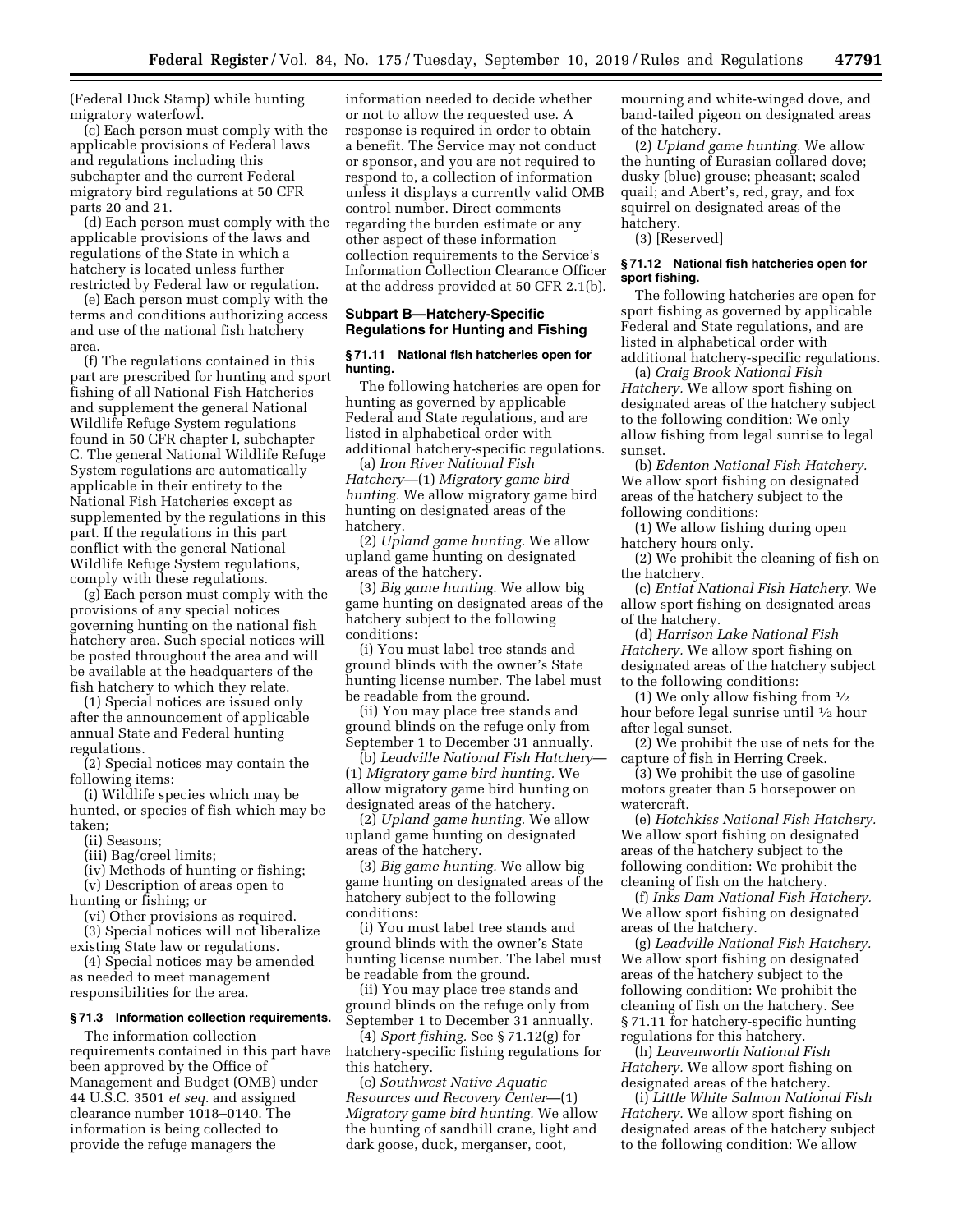(Federal Duck Stamp) while hunting migratory waterfowl.

(c) Each person must comply with the applicable provisions of Federal laws and regulations including this subchapter and the current Federal migratory bird regulations at 50 CFR parts 20 and 21.

(d) Each person must comply with the applicable provisions of the laws and regulations of the State in which a hatchery is located unless further restricted by Federal law or regulation.

(e) Each person must comply with the terms and conditions authorizing access and use of the national fish hatchery area.

(f) The regulations contained in this part are prescribed for hunting and sport fishing of all National Fish Hatcheries and supplement the general National Wildlife Refuge System regulations found in 50 CFR chapter I, subchapter C. The general National Wildlife Refuge System regulations are automatically applicable in their entirety to the National Fish Hatcheries except as supplemented by the regulations in this part. If the regulations in this part conflict with the general National Wildlife Refuge System regulations, comply with these regulations.

(g) Each person must comply with the provisions of any special notices governing hunting on the national fish hatchery area. Such special notices will be posted throughout the area and will be available at the headquarters of the fish hatchery to which they relate.

(1) Special notices are issued only after the announcement of applicable annual State and Federal hunting regulations.

(2) Special notices may contain the following items:

(i) Wildlife species which may be hunted, or species of fish which may be taken;

(ii) Seasons;

(iii) Bag/creel limits;

(iv) Methods of hunting or fishing; (v) Description of areas open to

hunting or fishing; or

(vi) Other provisions as required.

(3) Special notices will not liberalize existing State law or regulations.

(4) Special notices may be amended as needed to meet management responsibilities for the area.

### **§ 71.3 Information collection requirements.**

The information collection requirements contained in this part have been approved by the Office of Management and Budget (OMB) under 44 U.S.C. 3501 *et seq.* and assigned clearance number 1018–0140. The information is being collected to provide the refuge managers the

information needed to decide whether or not to allow the requested use. A response is required in order to obtain a benefit. The Service may not conduct or sponsor, and you are not required to respond to, a collection of information unless it displays a currently valid OMB control number. Direct comments regarding the burden estimate or any other aspect of these information collection requirements to the Service's Information Collection Clearance Officer at the address provided at 50 CFR 2.1(b).

## **Subpart B—Hatchery-Specific Regulations for Hunting and Fishing**

### **§ 71.11 National fish hatcheries open for hunting.**

The following hatcheries are open for hunting as governed by applicable Federal and State regulations, and are listed in alphabetical order with additional hatchery-specific regulations.

(a) *Iron River National Fish Hatchery*—(1) *Migratory game bird hunting.* We allow migratory game bird hunting on designated areas of the hatchery.

(2) *Upland game hunting.* We allow upland game hunting on designated areas of the hatchery.

(3) *Big game hunting.* We allow big game hunting on designated areas of the hatchery subject to the following conditions:

(i) You must label tree stands and ground blinds with the owner's State hunting license number. The label must be readable from the ground.

(ii) You may place tree stands and ground blinds on the refuge only from September 1 to December 31 annually.

(b) *Leadville National Fish Hatchery*— (1) *Migratory game bird hunting.* We allow migratory game bird hunting on designated areas of the hatchery.

(2) *Upland game hunting.* We allow upland game hunting on designated areas of the hatchery.

(3) *Big game hunting.* We allow big game hunting on designated areas of the hatchery subject to the following conditions:

(i) You must label tree stands and ground blinds with the owner's State hunting license number. The label must be readable from the ground.

(ii) You may place tree stands and ground blinds on the refuge only from September 1 to December 31 annually.

(4) *Sport fishing.* See § 71.12(g) for hatchery-specific fishing regulations for this hatchery.

(c) *Southwest Native Aquatic Resources and Recovery Center*—(1) *Migratory game bird hunting.* We allow the hunting of sandhill crane, light and dark goose, duck, merganser, coot,

mourning and white-winged dove, and band-tailed pigeon on designated areas of the hatchery.

(2) *Upland game hunting.* We allow the hunting of Eurasian collared dove; dusky (blue) grouse; pheasant; scaled quail; and Abert's, red, gray, and fox squirrel on designated areas of the hatchery.

(3) [Reserved]

## **§ 71.12 National fish hatcheries open for sport fishing.**

The following hatcheries are open for sport fishing as governed by applicable Federal and State regulations, and are listed in alphabetical order with additional hatchery-specific regulations.

(a) *Craig Brook National Fish Hatchery.* We allow sport fishing on designated areas of the hatchery subject to the following condition: We only allow fishing from legal sunrise to legal sunset.

(b) *Edenton National Fish Hatchery.*  We allow sport fishing on designated areas of the hatchery subject to the following conditions:

(1) We allow fishing during open hatchery hours only.

(2) We prohibit the cleaning of fish on the hatchery.

(c) *Entiat National Fish Hatchery.* We allow sport fishing on designated areas of the hatchery.

(d) *Harrison Lake National Fish Hatchery.* We allow sport fishing on designated areas of the hatchery subject to the following conditions:

(1) We only allow fishing from  $\frac{1}{2}$ hour before legal sunrise until 1⁄2 hour after legal sunset.

(2) We prohibit the use of nets for the capture of fish in Herring Creek.

(3) We prohibit the use of gasoline motors greater than 5 horsepower on watercraft.

(e) *Hotchkiss National Fish Hatchery.*  We allow sport fishing on designated areas of the hatchery subject to the following condition: We prohibit the cleaning of fish on the hatchery.

(f) *Inks Dam National Fish Hatchery.*  We allow sport fishing on designated areas of the hatchery.

(g) *Leadville National Fish Hatchery.*  We allow sport fishing on designated areas of the hatchery subject to the following condition: We prohibit the cleaning of fish on the hatchery. See § 71.11 for hatchery-specific hunting regulations for this hatchery.

(h) *Leavenworth National Fish Hatchery.* We allow sport fishing on designated areas of the hatchery.

(i) *Little White Salmon National Fish Hatchery.* We allow sport fishing on designated areas of the hatchery subject to the following condition: We allow